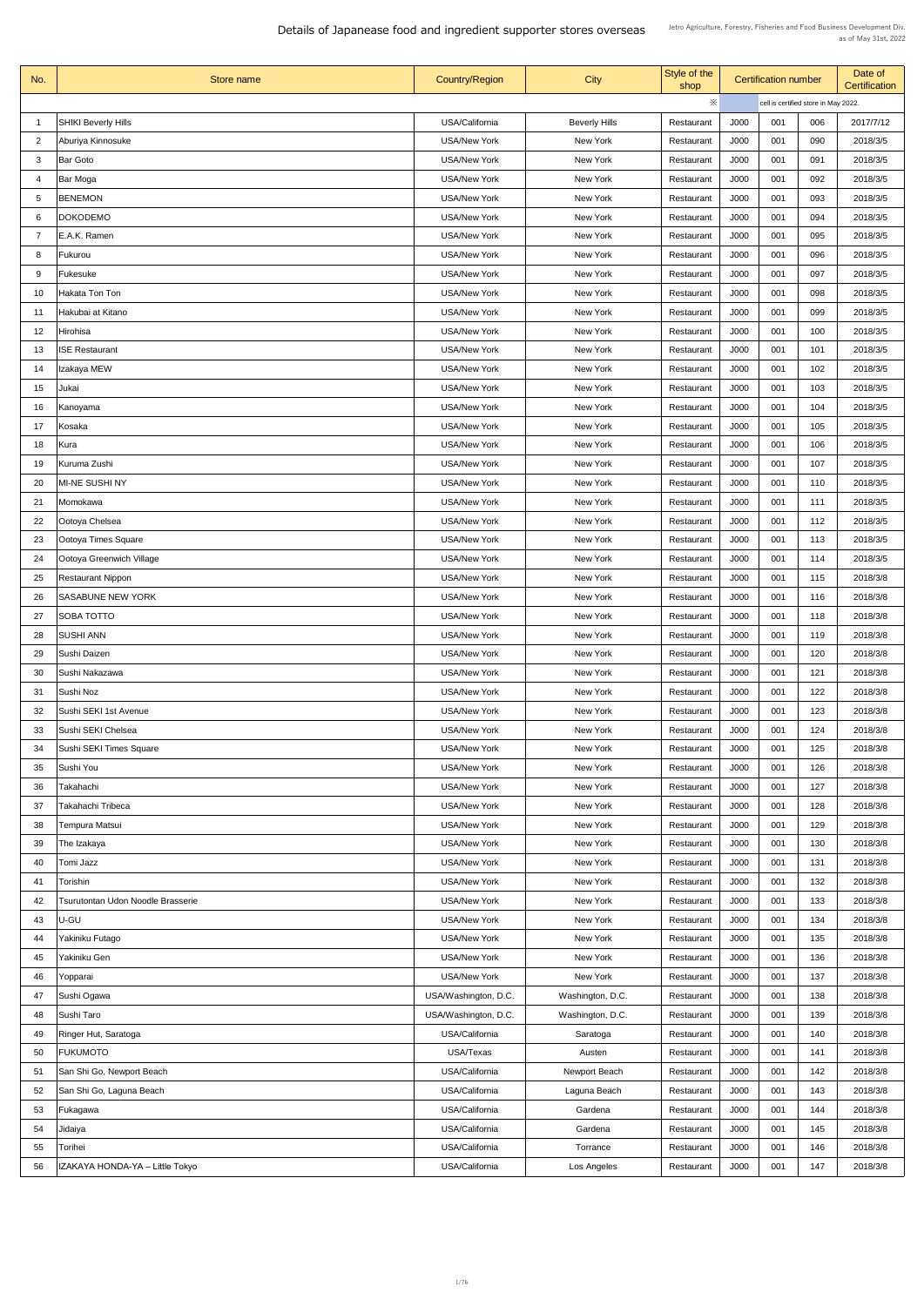| No.            | Store name                        | <b>Country/Region</b> | <b>City</b>          | Style of the<br>shop |             | <b>Certification number</b> |                                      | Date of<br><b>Certification</b> |
|----------------|-----------------------------------|-----------------------|----------------------|----------------------|-------------|-----------------------------|--------------------------------------|---------------------------------|
|                |                                   |                       |                      | ※                    |             |                             | cell is certified store in May 2022. |                                 |
|                | <b>SHIKI Beverly Hills</b>        | USA/California        | <b>Beverly Hills</b> | Restaurant           | J000        | 001                         | 006                                  | 2017/7/12                       |
| $\overline{2}$ | Aburiya Kinnosuke                 | <b>USA/New York</b>   | New York             | Restaurant           | J000        | 001                         | 090                                  | 2018/3/5                        |
| 3              | <b>Bar Goto</b>                   | <b>USA/New York</b>   | New York             | Restaurant           | J000        | 001                         | 091                                  | 2018/3/5                        |
| -4             | Bar Moga                          | <b>USA/New York</b>   | New York             | Restaurant           | J000        | 001                         | 092                                  | 2018/3/5                        |
| 5              | <b>BENEMON</b>                    | <b>USA/New York</b>   | <b>New York</b>      | Restaurant           | J000        | 001                         | 093                                  | 2018/3/5                        |
| 6              | <b>DOKODEMO</b>                   | <b>USA/New York</b>   | New York             | Restaurant           | J000        | 001                         | 094                                  | 2018/3/5                        |
|                | E.A.K. Ramen                      | <b>USA/New York</b>   | <b>New York</b>      | Restaurant           | J000        | 001                         | 095                                  | 2018/3/5                        |
| 8              | Fukurou                           | <b>USA/New York</b>   | <b>New York</b>      | Restaurant           | J000        | 001                         | 096                                  | 2018/3/5                        |
| 9              | Fukesuke                          | <b>USA/New York</b>   | New York             | Restaurant           | J000        | 001                         | 097                                  | 2018/3/5                        |
| 10             | Hakata Ton Ton                    | <b>USA/New York</b>   | <b>New York</b>      | Restaurant           | J000        | 001                         | 098                                  | 2018/3/5                        |
| 11             | Hakubai at Kitano                 | <b>USA/New York</b>   | New York             | Restaurant           | J000        | 001                         | 099                                  | 2018/3/5                        |
| 12             | Hirohisa                          | <b>USA/New York</b>   | New York             | Restaurant           | J000        | 001                         | 100                                  | 2018/3/5                        |
| 13             | <b>ISE Restaurant</b>             | <b>USA/New York</b>   | <b>New York</b>      | Restaurant           | <b>J000</b> | 001                         | 101                                  | 2018/3/5                        |
| 14             | Izakaya MEW                       | <b>USA/New York</b>   | New York             | Restaurant           | J000        | 001                         | 102                                  | 2018/3/5                        |
| 15             | Jukai                             | <b>USA/New York</b>   | New York             | Restaurant           | J000        | 001                         | 103                                  | 2018/3/5                        |
| 16             | Kanoyama                          | <b>USA/New York</b>   | New York             | Restaurant           | J000        | 001                         | 104                                  | 2018/3/5                        |
| 17             | Kosaka                            | <b>USA/New York</b>   | New York             | Restaurant           | J000        | 001                         | 105                                  | 2018/3/5                        |
| 18             | Kura                              | <b>USA/New York</b>   | New York             | Restaurant           | J000        | 001                         | 106                                  | 2018/3/5                        |
| 19             | Kuruma Zushi                      | <b>USA/New York</b>   | New York             | Restaurant           | J000        | 001                         | 107                                  | 2018/3/5                        |
| 20             | <b>MI-NE SUSHI NY</b>             | <b>USA/New York</b>   | New York             | Restaurant           | J000        | 001                         | 110                                  | 2018/3/5                        |
| 21             |                                   | <b>USA/New York</b>   | New York             | Restaurant           | J000        | 001                         | 111                                  | 2018/3/5                        |
|                | Momokawa                          |                       |                      |                      | J000        | 001                         | 112                                  | 2018/3/5                        |
| 22             | Ootoya Chelsea                    | <b>USA/New York</b>   | New York             | Restaurant           |             |                             |                                      |                                 |
| 23             | Ootoya Times Square               | <b>USA/New York</b>   | New York             | Restaurant           | J000        | 001                         | 113                                  | 2018/3/5                        |
| 24             | Ootoya Greenwich Village          | <b>USA/New York</b>   | New York             | Restaurant           | J000        | 001                         | 114                                  | 2018/3/5                        |
| 25             | <b>Restaurant Nippon</b>          | <b>USA/New York</b>   | New York             | Restaurant           | J000        | 001                         | 115                                  | 2018/3/8                        |
| 26             | <b>SASABUNE NEW YORK</b>          | <b>USA/New York</b>   | <b>New York</b>      | Restaurant           | J000        | 001                         | 116                                  | 2018/3/8                        |
| 27             | <b>SOBA TOTTO</b>                 | <b>USA/New York</b>   | <b>New York</b>      | Restaurant           | J000        | 001                         | 118                                  | 2018/3/8                        |
| 28             | <b>SUSHI ANN</b>                  | <b>USA/New York</b>   | <b>New York</b>      | Restaurant           | <b>J000</b> | 001                         | 119                                  | 2018/3/8                        |
| 29             | Sushi Daizen                      | <b>USA/New York</b>   | <b>New York</b>      | Restaurant           | J000        | 001                         | 120                                  | 2018/3/8                        |
| 30             | Sushi Nakazawa                    | <b>USA/New York</b>   | <b>New York</b>      | Restaurant           | J000        | 001                         | 121                                  | 2018/3/8                        |
| 31             | Sushi Noz                         | <b>USA/New York</b>   | New York             | Restaurant           | J000        | 001                         | 122                                  | 2018/3/8                        |
| 32             | Sushi SEKI 1st Avenue             | <b>USA/New York</b>   | New York             | Restaurant           | J000        | 001                         | 123                                  | 2018/3/8                        |
| 33             | Sushi SEKI Chelsea                | <b>USA/New York</b>   | New York             | Restaurant           | J000        | 001                         | 124                                  | 2018/3/8                        |
| 34             | Sushi SEKI Times Square           | <b>USA/New York</b>   | <b>New York</b>      | Restaurant           | J000        | 001                         | 125                                  | 2018/3/8                        |
| 35             | Sushi You                         | <b>USA/New York</b>   | <b>New York</b>      | Restaurant           | J000        | 001                         | 126                                  | 2018/3/8                        |
| 36             | Takahachi                         | <b>USA/New York</b>   | <b>New York</b>      | Restaurant           | J000        | 001                         | 127                                  | 2018/3/8                        |
| 37             | Takahachi Tribeca                 | <b>USA/New York</b>   | <b>New York</b>      | Restaurant           | J000        | 001                         | 128                                  | 2018/3/8                        |
| 38             | Tempura Matsui                    | <b>USA/New York</b>   | <b>New York</b>      | Restaurant           | J000        | 001                         | 129                                  | 2018/3/8                        |
| 39             | The Izakaya                       | <b>USA/New York</b>   | New York             | Restaurant           | J000        | 001                         | 130                                  | 2018/3/8                        |
| 40             | Tomi Jazz                         | <b>USA/New York</b>   | <b>New York</b>      | Restaurant           | J000        | 001                         | 131                                  | 2018/3/8                        |
| 41             | Torishin                          | <b>USA/New York</b>   | New York             | Restaurant           | J000        | 001                         | 132                                  | 2018/3/8                        |
| 42             | Tsurutontan Udon Noodle Brasserie | <b>USA/New York</b>   | New York             | Restaurant           | J000        | 001                         | 133                                  | 2018/3/8                        |
| 43             | U-GU                              | <b>USA/New York</b>   | New York             | Restaurant           | J000        | 001                         | 134                                  | 2018/3/8                        |
| 44             | Yakiniku Futago                   | <b>USA/New York</b>   | New York             | Restaurant           | J000        | 001                         | 135                                  | 2018/3/8                        |
| 45             | Yakiniku Gen                      | <b>USA/New York</b>   | New York             | Restaurant           | J000        | 001                         | 136                                  | 2018/3/8                        |
| 46             | Yopparai                          | <b>USA/New York</b>   | New York             | Restaurant           | J000        | 001                         | 137                                  | 2018/3/8                        |
| 47             | Sushi Ogawa                       | USA/Washington, D.C.  | Washington, D.C.     | Restaurant           | J000        | 001                         | 138                                  | 2018/3/8                        |
| 48             | Sushi Taro                        | USA/Washington, D.C.  | Washington, D.C.     | Restaurant           | J000        | 001                         | 139                                  | 2018/3/8                        |
| 49             | <b>Ringer Hut, Saratoga</b>       | USA/California        | Saratoga             | Restaurant           | J000        | 001                         | 140                                  | 2018/3/8                        |
| 50             | <b>FUKUMOTO</b>                   | USA/Texas             | Austen               | Restaurant           | J000        | 001                         | 141                                  | 2018/3/8                        |
| 51             | San Shi Go, Newport Beach         | USA/California        | <b>Newport Beach</b> | Restaurant           | J000        | 001                         | 142                                  | 2018/3/8                        |
| 52             | San Shi Go, Laguna Beach          | USA/California        | Laguna Beach         | Restaurant           | J000        | 001                         | 143                                  | 2018/3/8                        |
| 53             | Fukagawa                          | USA/California        | Gardena              | Restaurant           | J000        | 001                         | 144                                  | 2018/3/8                        |
| 54             | Jidaiya                           | USA/California        | Gardena              | Restaurant           | J000        | 001                         | 145                                  | 2018/3/8                        |
| 55             | Torihei                           | USA/California        | Torrance             | Restaurant           | J000        | 001                         | 146                                  | 2018/3/8                        |
| 56             | IZAKAYA HONDA-YA - Little Tokyo   | USA/California        | Los Angeles          | Restaurant           | J000        | 001                         | 147                                  | 2018/3/8                        |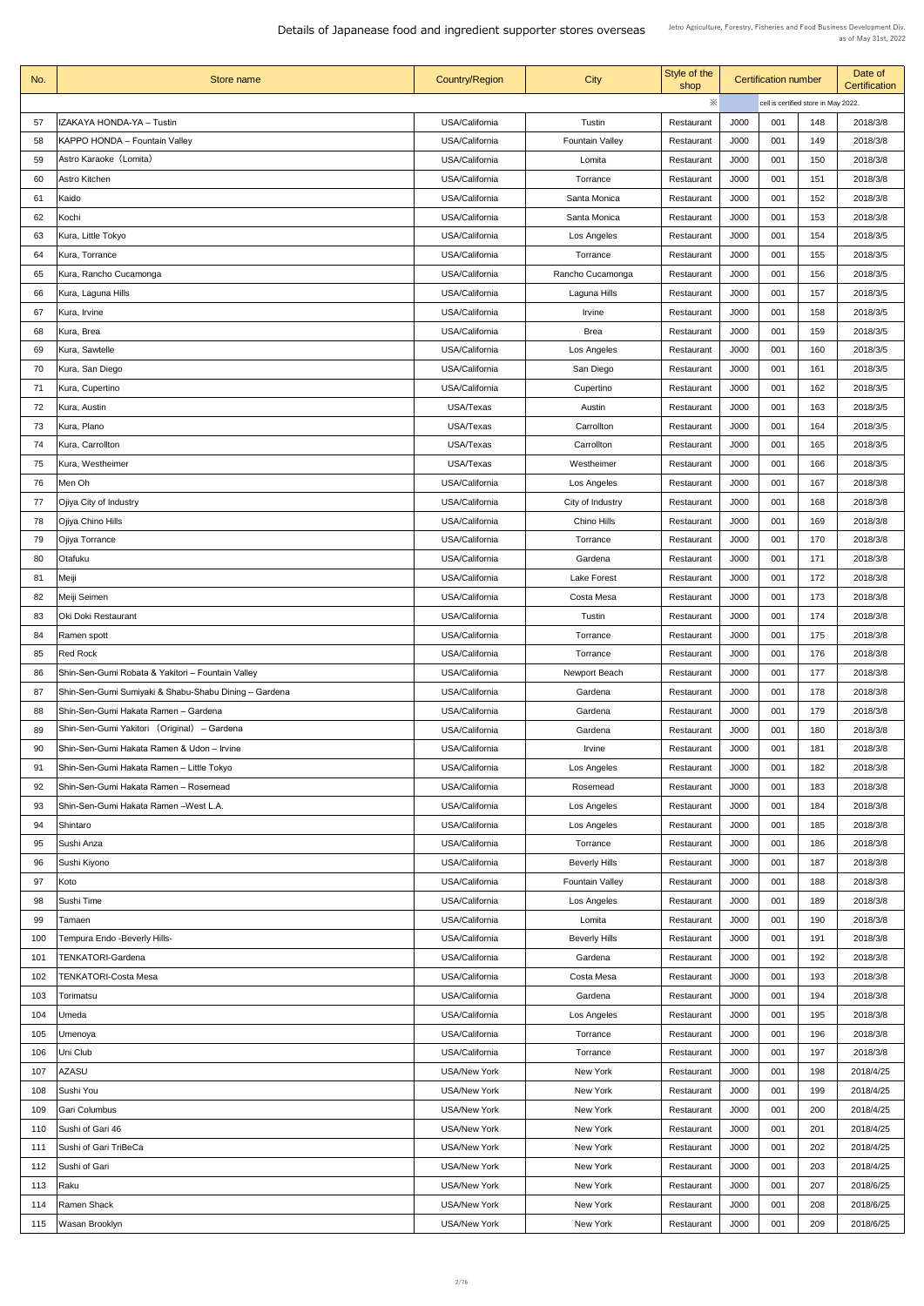| No.        | Store name                                                                                    | <b>Country/Region</b>                      | <b>City</b>            | Style of the<br>shop     |              | <b>Certification number</b> |                                      | Date of<br><b>Certification</b> |
|------------|-----------------------------------------------------------------------------------------------|--------------------------------------------|------------------------|--------------------------|--------------|-----------------------------|--------------------------------------|---------------------------------|
|            |                                                                                               |                                            |                        | $\ddot{\times}$          |              |                             | cell is certified store in May 2022. |                                 |
| 57         | IZAKAYA HONDA-YA - Tustin                                                                     | USA/California                             | Tustin                 | Restaurant               | J000         | 001                         | 148                                  | 2018/3/8                        |
| 58         | <b>KAPPO HONDA - Fountain Valley</b>                                                          | USA/California                             | <b>Fountain Valley</b> | Restaurant               | J000         | 001                         | 149                                  | 2018/3/8                        |
| 59         | Astro Karaoke (Lomita)                                                                        | USA/California                             | Lomita                 | Restaurant               | J000         | 001                         | 150                                  | 2018/3/8                        |
| 60         | <b>Astro Kitchen</b>                                                                          | USA/California                             | Torrance               | Restaurant               | J000         | 001                         | 151                                  | 2018/3/8                        |
| 61         | Kaido                                                                                         | USA/California                             | Santa Monica           | Restaurant               | J000         | 001                         | 152                                  | 2018/3/8                        |
| 62         | Kochi                                                                                         | USA/California                             | Santa Monica           | Restaurant               | J000         | 001                         | 153                                  | 2018/3/8                        |
| 63         | Kura, Little Tokyo                                                                            | USA/California                             | Los Angeles            | Restaurant               | J000         | 001                         | 154                                  | 2018/3/5                        |
| 64         | Kura, Torrance                                                                                | USA/California                             | Torrance               | Restaurant               | J000         | 001                         | 155                                  | 2018/3/5                        |
| 65         | Kura, Rancho Cucamonga                                                                        | USA/California                             | Rancho Cucamonga       | Restaurant               | J000         | 001                         | 156                                  | 2018/3/5                        |
| 66         | Kura, Laguna Hills                                                                            | USA/California                             | Laguna Hills           | Restaurant               | J000         | 001                         | 157                                  | 2018/3/5                        |
| 67         | Kura, Irvine                                                                                  | USA/California                             | <b>Irvine</b>          | Restaurant               | J000         | 001                         | 158                                  | 2018/3/5                        |
| 68         | Kura, Brea                                                                                    | USA/California                             | <b>Brea</b>            | Restaurant               | J000         | 001                         | 159                                  | 2018/3/5                        |
| 69         | Kura, Sawtelle                                                                                | USA/California                             | Los Angeles            | Restaurant               | J000         | 001                         | 160                                  | 2018/3/5                        |
| 70         | Kura, San Diego                                                                               | USA/California                             | San Diego              | Restaurant               | J000         | 001                         | 161                                  | 2018/3/5                        |
| 71         | Kura, Cupertino                                                                               | USA/California                             | Cupertino              | Restaurant               | J000         | 001                         | 162                                  | 2018/3/5                        |
| 72         | Kura, Austin                                                                                  | <b>USA/Texas</b>                           | Austin                 | Restaurant               | J000         | 001                         | 163                                  | 2018/3/5                        |
| 73         | Kura, Plano                                                                                   | USA/Texas                                  | Carrollton             | Restaurant               | J000         | 001                         | 164                                  | 2018/3/5                        |
| 74         | Kura, Carrollton                                                                              | USA/Texas                                  | Carrollton             | Restaurant               | J000         | 001                         | 165                                  | 2018/3/5                        |
| 75         | Kura, Westheimer                                                                              | USA/Texas                                  | Westheimer             | Restaurant               | J000         | 001                         | 166                                  | 2018/3/5                        |
| 76         | Men Oh                                                                                        | USA/California                             | Los Angeles            | Restaurant               | J000         | 001                         | 167                                  | 2018/3/8                        |
| 77         | Ojiya City of Industry                                                                        | USA/California                             | City of Industry       | Restaurant               | J000         | 001                         | 168                                  | 2018/3/8                        |
| 78         | Ojiya Chino Hills                                                                             | USA/California                             | Chino Hills            | Restaurant               | J000         | 001                         | 169                                  | 2018/3/8                        |
| 79         | Ojiya Torrance                                                                                | USA/California                             | Torrance               | Restaurant               | J000         | 001                         | 170                                  | 2018/3/8                        |
| 80         | Otafuku                                                                                       | USA/California                             | Gardena                | Restaurant               | J000         | 001                         | 171                                  | 2018/3/8                        |
| 81         | Meiji                                                                                         | USA/California                             | <b>Lake Forest</b>     | Restaurant               | J000         | 001                         | 172                                  | 2018/3/8                        |
| 82         | Meiji Seimen                                                                                  | USA/California                             | Costa Mesa             | Restaurant               | J000         | 001                         | 173                                  | 2018/3/8                        |
| 83         | Oki Doki Restaurant                                                                           | USA/California                             | Tustin                 | Restaurant               | J000         | 001                         | 174                                  | 2018/3/8                        |
| 84         | Ramen spott                                                                                   | USA/California                             | Torrance               | Restaurant               | J000         | 001                         | 175                                  | 2018/3/8                        |
| 85         | <b>Red Rock</b>                                                                               | USA/California                             | Torrance               | Restaurant               | J000         | 001                         | 176                                  | 2018/3/8                        |
| 86         | Shin-Sen-Gumi Robata & Yakitori - Fountain Valley                                             | USA/California                             | Newport Beach          | Restaurant               | J000         | 001                         | 177                                  | 2018/3/8                        |
| 87<br>88   | Shin-Sen-Gumi Sumiyaki & Shabu-Shabu Dining - Gardena<br>Shin-Sen-Gumi Hakata Ramen - Gardena | USA/California<br>USA/California           | Gardena<br>Gardena     | Restaurant<br>Restaurant | J000<br>J000 | 001<br>001                  | 178<br>179                           | 2018/3/8<br>2018/3/8            |
| 89         | Shin-Sen-Gumi Yakitori (Original) – Gardena                                                   | USA/California                             | Gardena                | Restaurant               | J000         | 001                         | 180                                  | 2018/3/8                        |
| 90         | Shin-Sen-Gumi Hakata Ramen & Udon - Irvine                                                    | USA/California                             | Irvine                 | Restaurant               | J000         | 001                         | 181                                  | 2018/3/8                        |
| 91         | Shin-Sen-Gumi Hakata Ramen – Little Tokyo                                                     | USA/California                             | Los Angeles            | Restaurant               | J000         | 001                         | 182                                  | 2018/3/8                        |
| 92         | Shin-Sen-Gumi Hakata Ramen - Rosemead                                                         | USA/California                             | Rosemead               | Restaurant               | J000         | 001                         | 183                                  | 2018/3/8                        |
| 93         | Shin-Sen-Gumi Hakata Ramen - West L.A.                                                        | USA/California                             | Los Angeles            | Restaurant               | J000         | 001                         | 184                                  | 2018/3/8                        |
| 94         | Shintaro                                                                                      | USA/California                             | Los Angeles            | Restaurant               | J000         | 001                         | 185                                  | 2018/3/8                        |
| 95         | Sushi Anza                                                                                    | USA/California                             | Torrance               | Restaurant               | J000         | 001                         | 186                                  | 2018/3/8                        |
| 96         | Sushi Kiyono                                                                                  | USA/California                             | <b>Beverly Hills</b>   | Restaurant               | J000         | 001                         | 187                                  | 2018/3/8                        |
| 97         | Koto                                                                                          | USA/California                             | <b>Fountain Valley</b> | Restaurant               | J000         | 001                         | 188                                  | 2018/3/8                        |
| 98         | Sushi Time                                                                                    | USA/California                             | Los Angeles            | Restaurant               | J000         | 001                         | 189                                  | 2018/3/8                        |
| 99         | Tamaen                                                                                        | USA/California                             | Lomita                 | Restaurant               | J000         | 001                         | 190                                  | 2018/3/8                        |
| 100        | Tempura Endo - Beverly Hills-                                                                 | USA/California                             | <b>Beverly Hills</b>   | Restaurant               | J000         | 001                         | 191                                  | 2018/3/8                        |
| 101        | <b>TENKATORI-Gardena</b>                                                                      | USA/California                             | Gardena                | Restaurant               | J000         | 001                         | 192                                  | 2018/3/8                        |
| 102        | <b>TENKATORI-Costa Mesa</b>                                                                   | USA/California                             | Costa Mesa             | Restaurant               | J000         | 001                         | 193                                  | 2018/3/8                        |
| 103        | Torimatsu                                                                                     | USA/California                             | Gardena                | Restaurant               | J000         | 001                         | 194                                  | 2018/3/8                        |
| 104        | Umeda                                                                                         | USA/California                             | Los Angeles            | Restaurant               | J000         | 001                         | 195                                  | 2018/3/8                        |
| 105        | Umenoya                                                                                       | USA/California                             | Torrance               | Restaurant               | J000         | 001                         | 196                                  | 2018/3/8                        |
| 106        | Uni Club                                                                                      | USA/California                             | Torrance               | Restaurant               | J000         | 001                         | 197                                  | 2018/3/8                        |
| 107        | <b>AZASU</b>                                                                                  | <b>USA/New York</b>                        | New York               | Restaurant               | J000         | 001                         | 198                                  | 2018/4/25                       |
| 108        | Sushi You                                                                                     | <b>USA/New York</b>                        | New York               | Restaurant               | J000         | 001                         | 199                                  | 2018/4/25                       |
| 109        | <b>Gari Columbus</b>                                                                          | <b>USA/New York</b>                        | New York               | Restaurant               | J000         | 001                         | 200                                  | 2018/4/25                       |
| 110        | Sushi of Gari 46                                                                              | <b>USA/New York</b>                        | New York               | Restaurant               | J000         | 001                         | 201                                  | 2018/4/25                       |
| 111        | Sushi of Gari TriBeCa                                                                         | <b>USA/New York</b>                        | New York               | Restaurant               | J000         | 001                         | 202                                  | 2018/4/25                       |
| 112        | Sushi of Gari                                                                                 | <b>USA/New York</b>                        | New York               | Restaurant               | J000         | 001                         | 203                                  | 2018/4/25                       |
| 113<br>114 | Raku<br><b>Ramen Shack</b>                                                                    | <b>USA/New York</b><br><b>USA/New York</b> | New York<br>New York   | Restaurant               | J000<br>J000 | 001<br>001                  | 207<br>208                           | 2018/6/25<br>2018/6/25          |
| 115        | Wasan Brooklyn                                                                                | <b>USA/New York</b>                        | New York               | Restaurant<br>Restaurant | J000         | 001                         | 209                                  | 2018/6/25                       |
|            |                                                                                               |                                            |                        |                          |              |                             |                                      |                                 |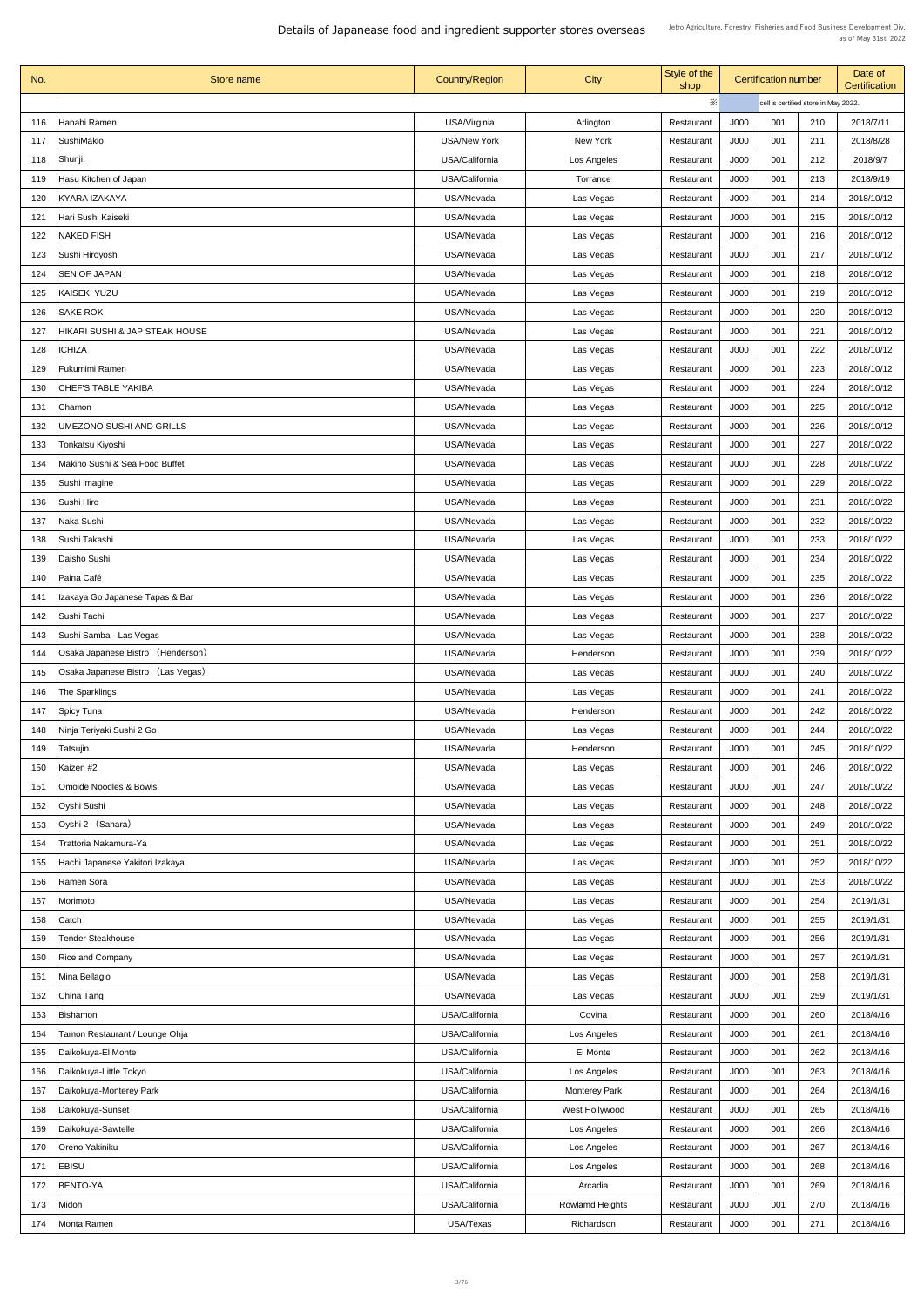| No.        | Store name                        | <b>Country/Region</b>    | City                   | Style of the<br>shop     | <b>Certification number</b> |            | Date of<br><b>Certification</b>      |                          |
|------------|-----------------------------------|--------------------------|------------------------|--------------------------|-----------------------------|------------|--------------------------------------|--------------------------|
|            |                                   |                          |                        | ※                        |                             |            | cell is certified store in May 2022. |                          |
| 116        | Hanabi Ramen                      | USA/Virginia             | Arlington              | Restaurant               | J000                        | 001        | 210                                  | 2018/7/11                |
| 117        | <b>SushiMakio</b>                 | <b>USA/New York</b>      | New York               | Restaurant               | J000                        | 001        | 211                                  | 2018/8/28                |
| 118        | Shunji.                           | USA/California           | Los Angeles            | Restaurant               | <b>J000</b>                 | 001        | 212                                  | 2018/9/7                 |
| 119        | Hasu Kitchen of Japan             | USA/California           | Torrance               | Restaurant               | <b>J000</b>                 | 001        | 213                                  | 2018/9/19                |
| 120        | KYARA IZAKAYA                     | USA/Nevada               | Las Vegas              | Restaurant               | <b>J000</b>                 | 001        | 214                                  | 2018/10/12               |
| 121        | Hari Sushi Kaiseki                | USA/Nevada               | Las Vegas              | Restaurant               | J000                        | 001        | 215                                  | 2018/10/12               |
| 122        | <b>NAKED FISH</b>                 | USA/Nevada               | Las Vegas              | Restaurant               | J000                        | 001        | 216                                  | 2018/10/12               |
| 123        | Sushi Hiroyoshi                   | USA/Nevada               | Las Vegas              | Restaurant               | J000                        | 001        | 217                                  | 2018/10/12               |
| 124        | <b>SEN OF JAPAN</b>               | USA/Nevada               | Las Vegas              | Restaurant               | J000                        | 001        | 218                                  | 2018/10/12               |
| 125        | <b>KAISEKI YUZU</b>               | USA/Nevada               | Las Vegas              | Restaurant               | <b>J000</b>                 | 001        | 219                                  | 2018/10/12               |
| 126        | <b>SAKE ROK</b>                   | USA/Nevada               | Las Vegas              | Restaurant               | J000                        | 001        | 220                                  | 2018/10/12               |
| 127        | HIKARI SUSHI & JAP STEAK HOUSE    | USA/Nevada               | Las Vegas              | Restaurant               | J000                        | 001        | 221                                  | 2018/10/12               |
| 128        | <b>ICHIZA</b>                     | USA/Nevada               | Las Vegas              | Restaurant               | <b>J000</b>                 | 001        | 222                                  | 2018/10/12               |
| 129        | Fukumimi Ramen                    | USA/Nevada               | Las Vegas              | Restaurant               | J000                        | 001        | 223                                  | 2018/10/12               |
| 130        | <b>CHEF'S TABLE YAKIBA</b>        | USA/Nevada               | Las Vegas              | Restaurant               | J000                        | 001        | 224                                  | 2018/10/12               |
| 131        | Chamon                            | USA/Nevada               | Las Vegas              | Restaurant               | J000                        | 001        | 225                                  | 2018/10/12               |
| 132        | UMEZONO SUSHI AND GRILLS          | USA/Nevada               | Las Vegas              | Restaurant               | J000                        | 001        | 226                                  | 2018/10/12               |
| 133        | Tonkatsu Kiyoshi                  | USA/Nevada               | Las Vegas              | Restaurant               | J000                        | 001        | 227                                  | 2018/10/22               |
| 134        | Makino Sushi & Sea Food Buffet    | USA/Nevada               | Las Vegas              | Restaurant               | J000                        | 001        | 228                                  | 2018/10/22               |
| 135        | Sushi Imagine                     | USA/Nevada               | Las Vegas              | Restaurant               | J000                        | 001        | 229                                  | 2018/10/22               |
| 136        | Sushi Hiro                        | USA/Nevada               | Las Vegas              | Restaurant               | J000                        | 001        | 231                                  | 2018/10/22               |
| 137        | Naka Sushi                        | USA/Nevada               | Las Vegas              | Restaurant               | J000                        | 001        | 232                                  | 2018/10/22               |
| 138        | Sushi Takashi                     | USA/Nevada               | Las Vegas              | Restaurant               | J000                        | 001        | 233                                  | 2018/10/22               |
| 139        | Daisho Sushi                      | USA/Nevada               | Las Vegas              | Restaurant               | <b>J000</b>                 | 001        | 234                                  | 2018/10/22               |
| 140        | Paina Café                        | USA/Nevada               | Las Vegas              | Restaurant               | J000                        | 001        | 235                                  | 2018/10/22               |
| 141        | Izakaya Go Japanese Tapas & Bar   | USA/Nevada               | Las Vegas              | Restaurant               | J000                        | 001        | 236                                  | 2018/10/22               |
| 142        | Sushi Tachi                       | USA/Nevada               | Las Vegas              | Restaurant               | J000                        | 001        | 237                                  | 2018/10/22               |
| 143        | Sushi Samba - Las Vegas           | USA/Nevada               | Las Vegas              | Restaurant               | J000                        | 001        | 238                                  | 2018/10/22               |
| 144        | Osaka Japanese Bistro (Henderson) | USA/Nevada               | Henderson              | Restaurant               | J000                        | 001        | 239                                  | 2018/10/22               |
| 145        | Osaka Japanese Bistro (Las Vegas) | USA/Nevada               | Las Vegas              | Restaurant               | J000                        | 001        | 240                                  | 2018/10/22               |
| 146        | The Sparklings                    | USA/Nevada               | Las Vegas              | Restaurant               | J000                        | 001        | 241                                  | 2018/10/22               |
| 147        | <b>Spicy Tuna</b>                 | USA/Nevada               | Henderson              | Restaurant               | J000                        | 001        | 242                                  | 2018/10/22               |
| 148        | Ninja Teriyaki Sushi 2 Go         | USA/Nevada<br>USA/Nevada | Las Vegas<br>Henderson | Restaurant               | J000<br>J000                | 001<br>001 | 244<br>245                           | 2018/10/22<br>2018/10/22 |
| 149<br>150 | Tatsujin<br>Kaizen #2             | USA/Nevada               | Las Vegas              | Restaurant<br>Restaurant | J000                        | 001        | 246                                  | 2018/10/22               |
| 151        | <b>Omoide Noodles &amp; Bowls</b> | USA/Nevada               | Las Vegas              | Restaurant               | J000                        | 001        | 247                                  | 2018/10/22               |
| 152        | <b>Oyshi Sushi</b>                | USA/Nevada               | Las Vegas              | Restaurant               | J000                        | 001        | 248                                  | 2018/10/22               |
| 153        | Oyshi 2 (Sahara)                  | USA/Nevada               | Las Vegas              | Restaurant               | J000                        | 001        | 249                                  | 2018/10/22               |
| 154        | Trattoria Nakamura-Ya             | USA/Nevada               | Las Vegas              | Restaurant               | J000                        | 001        | 251                                  | 2018/10/22               |
| 155        | Hachi Japanese Yakitori Izakaya   | USA/Nevada               | Las Vegas              | Restaurant               | J000                        | 001        | 252                                  | 2018/10/22               |
| 156        | Ramen Sora                        | USA/Nevada               | Las Vegas              | Restaurant               | J000                        | 001        | 253                                  | 2018/10/22               |
| 157        | Morimoto                          | USA/Nevada               | Las Vegas              | Restaurant               | J000                        | 001        | 254                                  | 2019/1/31                |
| 158        | Catch                             | USA/Nevada               | Las Vegas              | Restaurant               | J000                        | 001        | 255                                  | 2019/1/31                |
| 159        | <b>Tender Steakhouse</b>          | USA/Nevada               | Las Vegas              | Restaurant               | J000                        | 001        | 256                                  | 2019/1/31                |
| 160        | <b>Rice and Company</b>           | USA/Nevada               | Las Vegas              | Restaurant               | J000                        | 001        | 257                                  | 2019/1/31                |
| 161        | Mina Bellagio                     | USA/Nevada               | Las Vegas              | Restaurant               | J000                        | 001        | 258                                  | 2019/1/31                |
| 162        | China Tang                        | USA/Nevada               | Las Vegas              | Restaurant               | J000                        | 001        | 259                                  | 2019/1/31                |
| 163        | Bishamon                          | USA/California           | Covina                 | Restaurant               | J000                        | 001        | 260                                  | 2018/4/16                |
| 164        | Tamon Restaurant / Lounge Ohja    | USA/California           | Los Angeles            | Restaurant               | J000                        | 001        | 261                                  | 2018/4/16                |
| 165        | Daikokuya-El Monte                | USA/California           | El Monte               | Restaurant               | J000                        | 001        | 262                                  | 2018/4/16                |
| 166        | Daikokuya-Little Tokyo            | USA/California           | Los Angeles            | Restaurant               | J000                        | 001        | 263                                  | 2018/4/16                |
| 167        | Daikokuya-Monterey Park           | USA/California           | <b>Monterey Park</b>   | Restaurant               | J000                        | 001        | 264                                  | 2018/4/16                |
| 168        | Daikokuya-Sunset                  | USA/California           | West Hollywood         | Restaurant               | J000                        | 001        | 265                                  | 2018/4/16                |
| 169        | Daikokuya-Sawtelle                | USA/California           | Los Angeles            | Restaurant               | J000                        | 001        | 266                                  | 2018/4/16                |
| 170        | Oreno Yakiniku                    | USA/California           | Los Angeles            | Restaurant               | J000                        | 001        | 267                                  | 2018/4/16                |
| 171        | <b>EBISU</b>                      | USA/California           | Los Angeles            | Restaurant               | J000                        | 001        | 268                                  | 2018/4/16                |
| 172        | BENTO-YA                          | USA/California           | Arcadia                | Restaurant               | J000                        | 001        | 269                                  | 2018/4/16                |
| 173        | Midoh                             | USA/California           | <b>Rowlamd Heights</b> | Restaurant               | J000                        | 001        | 270                                  | 2018/4/16                |
| 174        | Monta Ramen                       | USA/Texas                | Richardson             | Restaurant               | J000                        | 001        | 271                                  | 2018/4/16                |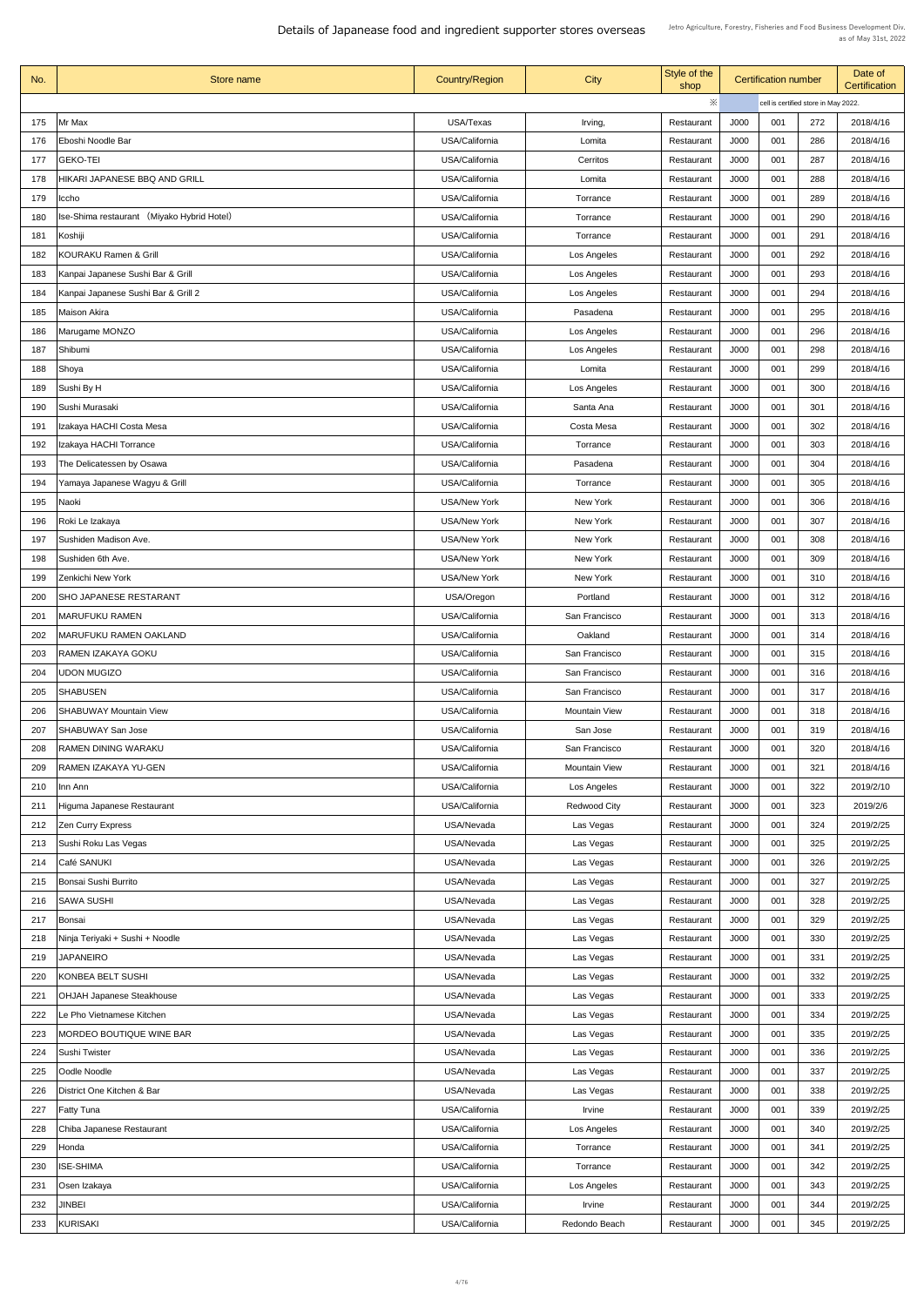| No. | Store name                                    | <b>Country/Region</b> | <b>City</b>          | Style of the<br>shop |                                      | <b>Certification number</b> |     | Date of<br><b>Certification</b> |
|-----|-----------------------------------------------|-----------------------|----------------------|----------------------|--------------------------------------|-----------------------------|-----|---------------------------------|
|     |                                               |                       |                      | ※                    | cell is certified store in May 2022. |                             |     |                                 |
| 175 | Mr Max                                        | USA/Texas             | Irving,              | Restaurant           | J000                                 | 001                         | 272 | 2018/4/16                       |
| 176 | Eboshi Noodle Bar                             | USA/California        | Lomita               | Restaurant           | J000                                 | 001                         | 286 | 2018/4/16                       |
| 177 | <b>GEKO-TEI</b>                               | USA/California        | Cerritos             | Restaurant           | J000                                 | 001                         | 287 | 2018/4/16                       |
| 178 | <b>HIKARI JAPANESE BBQ AND GRILL</b>          | USA/California        | Lomita               | Restaurant           | J000                                 | 001                         | 288 | 2018/4/16                       |
| 179 | Iccho                                         | USA/California        | Torrance             | Restaurant           | J000                                 | 001                         | 289 | 2018/4/16                       |
| 180 | (Miyako Hybrid Hotel)<br>Ise-Shima restaurant | USA/California        | Torrance             | Restaurant           | J000                                 | 001                         | 290 | 2018/4/16                       |
| 181 | Koshiji                                       | USA/California        | Torrance             | Restaurant           | J000                                 | 001                         | 291 | 2018/4/16                       |
| 182 | <b>KOURAKU Ramen &amp; Grill</b>              | USA/California        | Los Angeles          | Restaurant           | J000                                 | 001                         | 292 | 2018/4/16                       |
| 183 | Kanpai Japanese Sushi Bar & Grill             | USA/California        | Los Angeles          | Restaurant           | J000                                 | 001                         | 293 | 2018/4/16                       |
| 184 | Kanpai Japanese Sushi Bar & Grill 2           | USA/California        | Los Angeles          | Restaurant           | J000                                 | 001                         | 294 | 2018/4/16                       |
| 185 | <b>Maison Akira</b>                           | USA/California        | Pasadena             | Restaurant           | J000                                 | 001                         | 295 | 2018/4/16                       |
|     |                                               | USA/California        |                      |                      | J000                                 | 001                         | 296 | 2018/4/16                       |
| 186 | Marugame MONZO                                |                       | Los Angeles          | Restaurant           |                                      |                             |     |                                 |
| 187 | Shibumi                                       | USA/California        | Los Angeles          | Restaurant           | J000                                 | 001                         | 298 | 2018/4/16                       |
| 188 | Shoya                                         | USA/California        | Lomita               | Restaurant           | J000                                 | 001                         | 299 | 2018/4/16                       |
| 189 | Sushi By H                                    | USA/California        | Los Angeles          | Restaurant           | J000                                 | 001                         | 300 | 2018/4/16                       |
| 190 | Sushi Murasaki                                | USA/California        | Santa Ana            | Restaurant           | J000                                 | 001                         | 301 | 2018/4/16                       |
| 191 | Izakaya HACHI Costa Mesa                      | USA/California        | Costa Mesa           | Restaurant           | J000                                 | 001                         | 302 | 2018/4/16                       |
| 192 | Izakaya HACHI Torrance                        | USA/California        | Torrance             | Restaurant           | J000                                 | 001                         | 303 | 2018/4/16                       |
| 193 | The Delicatessen by Osawa                     | USA/California        | Pasadena             | Restaurant           | J000                                 | 001                         | 304 | 2018/4/16                       |
| 194 | Yamaya Japanese Wagyu & Grill                 | USA/California        | Torrance             | Restaurant           | J000                                 | 001                         | 305 | 2018/4/16                       |
| 195 | Naoki                                         | <b>USA/New York</b>   | New York             | Restaurant           | J000                                 | 001                         | 306 | 2018/4/16                       |
| 196 | Roki Le Izakaya                               | <b>USA/New York</b>   | New York             | Restaurant           | J000                                 | 001                         | 307 | 2018/4/16                       |
| 197 | Sushiden Madison Ave.                         | <b>USA/New York</b>   | New York             | Restaurant           | J000                                 | 001                         | 308 | 2018/4/16                       |
| 198 | Sushiden 6th Ave.                             | <b>USA/New York</b>   | New York             | Restaurant           | J000                                 | 001                         | 309 | 2018/4/16                       |
| 199 | Zenkichi New York                             | <b>USA/New York</b>   | New York             | Restaurant           | J000                                 | 001                         | 310 | 2018/4/16                       |
| 200 | <b>SHO JAPANESE RESTARANT</b>                 | USA/Oregon            | Portland             | Restaurant           | J000                                 | 001                         | 312 | 2018/4/16                       |
| 201 | <b>MARUFUKU RAMEN</b>                         | USA/California        | San Francisco        | Restaurant           | J000                                 | 001                         | 313 | 2018/4/16                       |
| 202 | <b>MARUFUKU RAMEN OAKLAND</b>                 | USA/California        | Oakland              | Restaurant           | J000                                 | 001                         | 314 | 2018/4/16                       |
| 203 | <b>RAMEN IZAKAYA GOKU</b>                     | USA/California        | San Francisco        | Restaurant           | J000                                 | 001                         | 315 | 2018/4/16                       |
| 204 | <b>UDON MUGIZO</b>                            | USA/California        | San Francisco        | Restaurant           | J000                                 | 001                         | 316 | 2018/4/16                       |
| 205 | <b>SHABUSEN</b>                               | USA/California        | San Francisco        | Restaurant           | J000                                 | 001                         | 317 | 2018/4/16                       |
| 206 | <b>SHABUWAY Mountain View</b>                 | USA/California        | <b>Mountain View</b> | Restaurant           | J000                                 | 001                         | 318 | 2018/4/16                       |
| 207 | <b>SHABUWAY San Jose</b>                      | USA/California        | San Jose             | Restaurant           | J000                                 | 001                         | 319 | 2018/4/16                       |
| 208 | <b>RAMEN DINING WARAKU</b>                    | USA/California        | San Francisco        | Restaurant           | J000                                 | 001                         | 320 | 2018/4/16                       |
| 209 | RAMEN IZAKAYA YU-GEN                          | USA/California        | <b>Mountain View</b> | Restaurant           | J000                                 | 001                         | 321 | 2018/4/16                       |
| 210 | Inn Ann                                       | USA/California        | Los Angeles          | Restaurant           | J000                                 | 001                         | 322 | 2019/2/10                       |
| 211 | Higuma Japanese Restaurant                    | USA/California        | <b>Redwood City</b>  | Restaurant           | J000                                 | 001                         | 323 | 2019/2/6                        |
| 212 | <b>Zen Curry Express</b>                      | USA/Nevada            | Las Vegas            | Restaurant           | J000                                 | 001                         | 324 | 2019/2/25                       |
| 213 | Sushi Roku Las Vegas                          | USA/Nevada            | Las Vegas            | Restaurant           | J000                                 | 001                         | 325 | 2019/2/25                       |
| 214 | Café SANUKI                                   | USA/Nevada            | Las Vegas            | Restaurant           | J000                                 | 001                         | 326 | 2019/2/25                       |
| 215 | Bonsai Sushi Burrito                          | USA/Nevada            | Las Vegas            | Restaurant           | J000                                 | 001                         | 327 | 2019/2/25                       |
| 216 | <b>SAWA SUSHI</b>                             | USA/Nevada            | Las Vegas            | Restaurant           | J000                                 | 001                         | 328 | 2019/2/25                       |
| 217 | Bonsai                                        | USA/Nevada            | Las Vegas            | Restaurant           | J000                                 | 001                         | 329 | 2019/2/25                       |
| 218 | Ninja Teriyaki + Sushi + Noodle               | USA/Nevada            | Las Vegas            | Restaurant           | J000                                 | 001                         | 330 | 2019/2/25                       |
| 219 | <b>JAPANEIRO</b>                              | USA/Nevada            | Las Vegas            | Restaurant           | J000                                 | 001                         | 331 | 2019/2/25                       |
| 220 | <b>KONBEA BELT SUSHI</b>                      | USA/Nevada            | Las Vegas            | Restaurant           | J000                                 | 001                         | 332 | 2019/2/25                       |
| 221 | <b>OHJAH Japanese Steakhouse</b>              | USA/Nevada            | Las Vegas            | Restaurant           | J000                                 | 001                         | 333 | 2019/2/25                       |
| 222 | Le Pho Vietnamese Kitchen                     | USA/Nevada            | Las Vegas            | Restaurant           | J000                                 | 001                         | 334 | 2019/2/25                       |
| 223 | MORDEO BOUTIQUE WINE BAR                      | USA/Nevada            | Las Vegas            | Restaurant           | J000                                 | 001                         | 335 | 2019/2/25                       |
| 224 | <b>Sushi Twister</b>                          | USA/Nevada            | Las Vegas            | Restaurant           | J000                                 | 001                         | 336 | 2019/2/25                       |
| 225 | Oodle Noodle                                  | USA/Nevada            | Las Vegas            | Restaurant           | J000                                 | 001                         | 337 | 2019/2/25                       |
| 226 | District One Kitchen & Bar                    | USA/Nevada            | Las Vegas            | Restaurant           | J000                                 | 001                         | 338 | 2019/2/25                       |
| 227 |                                               | USA/California        |                      |                      | J000                                 | 001                         | 339 | 2019/2/25                       |
|     | <b>Fatty Tuna</b>                             |                       | Irvine               | Restaurant           |                                      |                             |     |                                 |
| 228 | Chiba Japanese Restaurant                     | USA/California        | Los Angeles          | Restaurant           | J000                                 | 001                         | 340 | 2019/2/25                       |
| 229 | Honda                                         | USA/California        | Torrance             | Restaurant           | J000                                 | 001                         | 341 | 2019/2/25                       |
| 230 | <b>ISE-SHIMA</b>                              | USA/California        | Torrance             | Restaurant           | J000                                 | 001                         | 342 | 2019/2/25                       |
| 231 | Osen Izakaya                                  | USA/California        | Los Angeles          | Restaurant           | J000                                 | 001                         | 343 | 2019/2/25                       |
| 232 | JINBEI                                        | USA/California        | Irvine               | Restaurant           | J000                                 | 001                         | 344 | 2019/2/25                       |
| 233 | KURISAKI                                      | USA/California        | Redondo Beach        | Restaurant           | J000                                 | 001                         | 345 | 2019/2/25                       |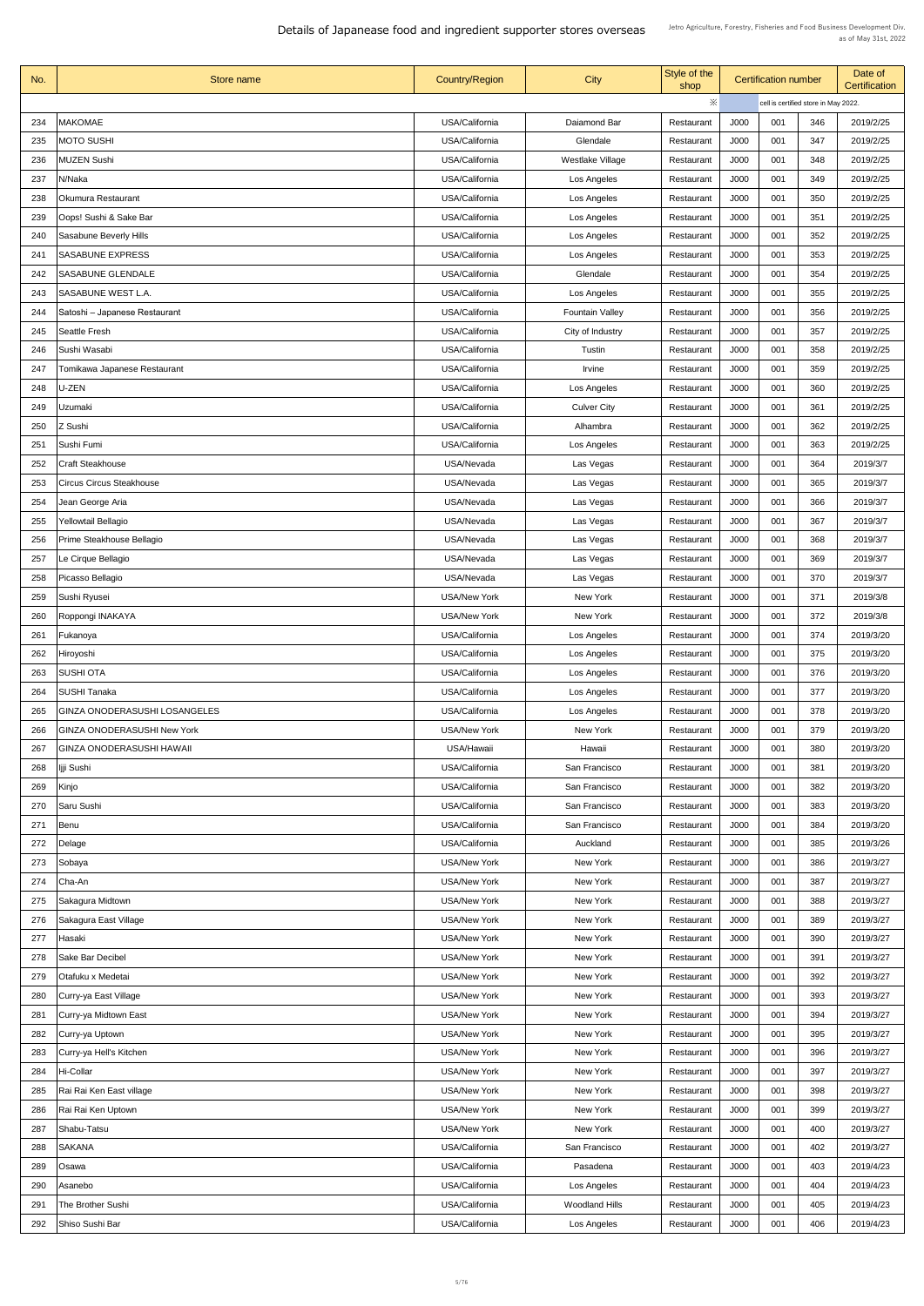| No. | Store name                           | <b>Country/Region</b> | <b>City</b>             | Style of the<br>shop |      | <b>Certification number</b> |                                      | Date of<br><b>Certification</b> |  |
|-----|--------------------------------------|-----------------------|-------------------------|----------------------|------|-----------------------------|--------------------------------------|---------------------------------|--|
|     |                                      |                       |                         | $\ddot{\times}$      |      |                             | cell is certified store in May 2022. |                                 |  |
| 234 | <b>MAKOMAE</b>                       | USA/California        | Daiamond Bar            | Restaurant           | J000 | 001                         | 346                                  | 2019/2/25                       |  |
| 235 | <b>MOTO SUSHI</b>                    | USA/California        | Glendale                | Restaurant           | J000 | 001                         | 347                                  | 2019/2/25                       |  |
| 236 | MUZEN Sushi                          | USA/California        | <b>Westlake Village</b> | Restaurant           | J000 | 001                         | 348                                  | 2019/2/25                       |  |
| 237 | N/Naka                               | USA/California        | Los Angeles             | Restaurant           | J000 | 001                         | 349                                  | 2019/2/25                       |  |
| 238 | <b>Okumura Restaurant</b>            | USA/California        | Los Angeles             | Restaurant           | J000 | 001                         | 350                                  | 2019/2/25                       |  |
| 239 | Oops! Sushi & Sake Bar               | USA/California        | Los Angeles             | Restaurant           | J000 | 001                         | 351                                  | 2019/2/25                       |  |
| 240 | <b>Sasabune Beverly Hills</b>        | USA/California        | Los Angeles             | Restaurant           | J000 | 001                         | 352                                  | 2019/2/25                       |  |
|     |                                      |                       |                         |                      |      |                             |                                      |                                 |  |
| 241 | <b>SASABUNE EXPRESS</b>              | USA/California        | Los Angeles             | Restaurant           | J000 | 001                         | 353                                  | 2019/2/25                       |  |
| 242 | <b>SASABUNE GLENDALE</b>             | USA/California        | Glendale                | Restaurant           | J000 | 001                         | 354                                  | 2019/2/25                       |  |
| 243 | <b>SASABUNE WEST L.A.</b>            | USA/California        | Los Angeles             | Restaurant           | J000 | 001                         | 355                                  | 2019/2/25                       |  |
| 244 | Satoshi - Japanese Restaurant        | USA/California        | <b>Fountain Valley</b>  | Restaurant           | J000 | 001                         | 356                                  | 2019/2/25                       |  |
| 245 | <b>Seattle Fresh</b>                 | USA/California        | City of Industry        | Restaurant           | J000 | 001                         | 357                                  | 2019/2/25                       |  |
| 246 | Sushi Wasabi                         | USA/California        | Tustin                  | Restaurant           | J000 | 001                         | 358                                  | 2019/2/25                       |  |
| 247 | Tomikawa Japanese Restaurant         | USA/California        | <b>Irvine</b>           | Restaurant           | J000 | 001                         | 359                                  | 2019/2/25                       |  |
| 248 | U-ZEN                                | USA/California        | Los Angeles             | Restaurant           | J000 | 001                         | 360                                  | 2019/2/25                       |  |
| 249 | <b>Uzumaki</b>                       | USA/California        | <b>Culver City</b>      | Restaurant           | J000 | 001                         | 361                                  | 2019/2/25                       |  |
| 250 | Z Sushi                              | USA/California        | Alhambra                | Restaurant           | J000 | 001                         | 362                                  | 2019/2/25                       |  |
| 251 | Sushi Fumi                           | USA/California        | Los Angeles             | Restaurant           | J000 | 001                         | 363                                  | 2019/2/25                       |  |
| 252 | <b>Craft Steakhouse</b>              | USA/Nevada            | Las Vegas               | Restaurant           | J000 | 001                         | 364                                  | 2019/3/7                        |  |
| 253 | <b>Circus Circus Steakhouse</b>      | USA/Nevada            | Las Vegas               | Restaurant           | J000 | 001                         | 365                                  | 2019/3/7                        |  |
| 254 | Jean George Aria                     | USA/Nevada            | Las Vegas               | Restaurant           | J000 | 001                         | 366                                  | 2019/3/7                        |  |
| 255 | Yellowtail Bellagio                  | USA/Nevada            | Las Vegas               | Restaurant           | J000 | 001                         | 367                                  | 2019/3/7                        |  |
| 256 | Prime Steakhouse Bellagio            | USA/Nevada            | Las Vegas               | Restaurant           | J000 | 001                         | 368                                  | 2019/3/7                        |  |
| 257 | Le Cirque Bellagio                   | USA/Nevada            | Las Vegas               | Restaurant           | J000 | 001                         | 369                                  | 2019/3/7                        |  |
| 258 | Picasso Bellagio                     | USA/Nevada            | Las Vegas               | Restaurant           | J000 | 001                         | 370                                  | 2019/3/7                        |  |
| 259 | Sushi Ryusei                         | <b>USA/New York</b>   | New York                | Restaurant           | J000 | 001                         | 371                                  | 2019/3/8                        |  |
| 260 | Roppongi INAKAYA                     | <b>USA/New York</b>   | New York                | Restaurant           | J000 | 001                         | 372                                  | 2019/3/8                        |  |
| 261 | Fukanoya                             | USA/California        | Los Angeles             | Restaurant           | J000 | 001                         | 374                                  | 2019/3/20                       |  |
| 262 | Hiroyoshi                            | USA/California        | Los Angeles             | Restaurant           | J000 | 001                         | 375                                  | 2019/3/20                       |  |
| 263 | SUSHI OTA                            | USA/California        | Los Angeles             | Restaurant           | J000 | 001                         | 376                                  | 2019/3/20                       |  |
| 264 | <b>SUSHI Tanaka</b>                  | USA/California        | Los Angeles             | Restaurant           | J000 | 001                         | 377                                  | 2019/3/20                       |  |
| 265 | <b>GINZA ONODERASUSHI LOSANGELES</b> | USA/California        | Los Angeles             | Restaurant           | J000 | 001                         | 378                                  | 2019/3/20                       |  |
| 266 | <b>GINZA ONODERASUSHI New York</b>   | <b>USA/New York</b>   | New York                | Restaurant           | J000 | 001                         | 379                                  | 2019/3/20                       |  |
| 267 | <b>GINZA ONODERASUSHI HAWAII</b>     | USA/Hawaii            | Hawaii                  | Restaurant           | J000 | 001                         | 380                                  | 2019/3/20                       |  |
| 268 | jji Sushi                            | USA/California        | San Francisco           | Restaurant           | J000 | 001                         | 381                                  | 2019/3/20                       |  |
| 269 | Kinjo                                | USA/California        | San Francisco           | Restaurant           | J000 | 001                         | 382                                  | 2019/3/20                       |  |
| 270 | <b>Saru Sushi</b>                    | USA/California        | San Francisco           | Restaurant           | J000 | 001                         | 383                                  | 2019/3/20                       |  |
| 271 |                                      | USA/California        | San Francisco           |                      | J000 | 001                         | 384                                  | 2019/3/20                       |  |
|     | Benu                                 |                       |                         | Restaurant           |      |                             |                                      |                                 |  |
| 272 | Delage                               | USA/California        | Auckland                | Restaurant           | J000 | 001                         | 385                                  | 2019/3/26                       |  |
| 273 | Sobaya                               | <b>USA/New York</b>   | New York                | Restaurant           | J000 | 001                         | 386                                  | 2019/3/27                       |  |
| 274 | Cha-An                               | <b>USA/New York</b>   | New York                | Restaurant           | J000 | 001                         | 387                                  | 2019/3/27                       |  |
|     | 275   Sakagura Midtown               | <b>USA/New York</b>   | New York                | Restaurant           | J000 | 001                         | 388                                  | 2019/3/27                       |  |
| 276 | Sakagura East Village                | <b>USA/New York</b>   | New York                | Restaurant           | J000 | 001                         | 389                                  | 2019/3/27                       |  |
| 277 | Hasaki                               | <b>USA/New York</b>   | New York                | Restaurant           | J000 | 001                         | 390                                  | 2019/3/27                       |  |
| 278 | <b>Sake Bar Decibel</b>              | <b>USA/New York</b>   | New York                | Restaurant           | J000 | 001                         | 391                                  | 2019/3/27                       |  |
| 279 | Otafuku x Medetai                    | <b>USA/New York</b>   | New York                | Restaurant           | J000 | 001                         | 392                                  | 2019/3/27                       |  |
| 280 | Curry-ya East Village                | <b>USA/New York</b>   | New York                | Restaurant           | J000 | 001                         | 393                                  | 2019/3/27                       |  |
| 281 | Curry-ya Midtown East                | <b>USA/New York</b>   | New York                | Restaurant           | J000 | 001                         | 394                                  | 2019/3/27                       |  |
| 282 | Curry-ya Uptown                      | <b>USA/New York</b>   | New York                | Restaurant           | J000 | 001                         | 395                                  | 2019/3/27                       |  |
| 283 | Curry-ya Hell's Kitchen              | <b>USA/New York</b>   | New York                | Restaurant           | J000 | 001                         | 396                                  | 2019/3/27                       |  |
| 284 | <b>Hi-Collar</b>                     | <b>USA/New York</b>   | New York                | Restaurant           | J000 | 001                         | 397                                  | 2019/3/27                       |  |
| 285 | Rai Rai Ken East village             | <b>USA/New York</b>   | New York                | Restaurant           | J000 | 001                         | 398                                  | 2019/3/27                       |  |
| 286 | Rai Rai Ken Uptown                   | <b>USA/New York</b>   | New York                | Restaurant           | J000 | 001                         | 399                                  | 2019/3/27                       |  |
| 287 | Shabu-Tatsu                          | <b>USA/New York</b>   | New York                | Restaurant           | J000 | 001                         | 400                                  | 2019/3/27                       |  |
| 288 | <b>SAKANA</b>                        | USA/California        | San Francisco           | Restaurant           | J000 | 001                         | 402                                  | 2019/3/27                       |  |
| 289 | Osawa                                | USA/California        | Pasadena                | Restaurant           | J000 | 001                         | 403                                  | 2019/4/23                       |  |
| 290 | Asanebo                              | USA/California        | Los Angeles             | Restaurant           | J000 | 001                         | 404                                  | 2019/4/23                       |  |
| 291 | The Brother Sushi                    | USA/California        | <b>Woodland Hills</b>   | Restaurant           | J000 | 001                         | 405                                  | 2019/4/23                       |  |
| 292 | Shiso Sushi Bar                      | USA/California        | Los Angeles             | Restaurant           | J000 | 001                         | 406                                  | 2019/4/23                       |  |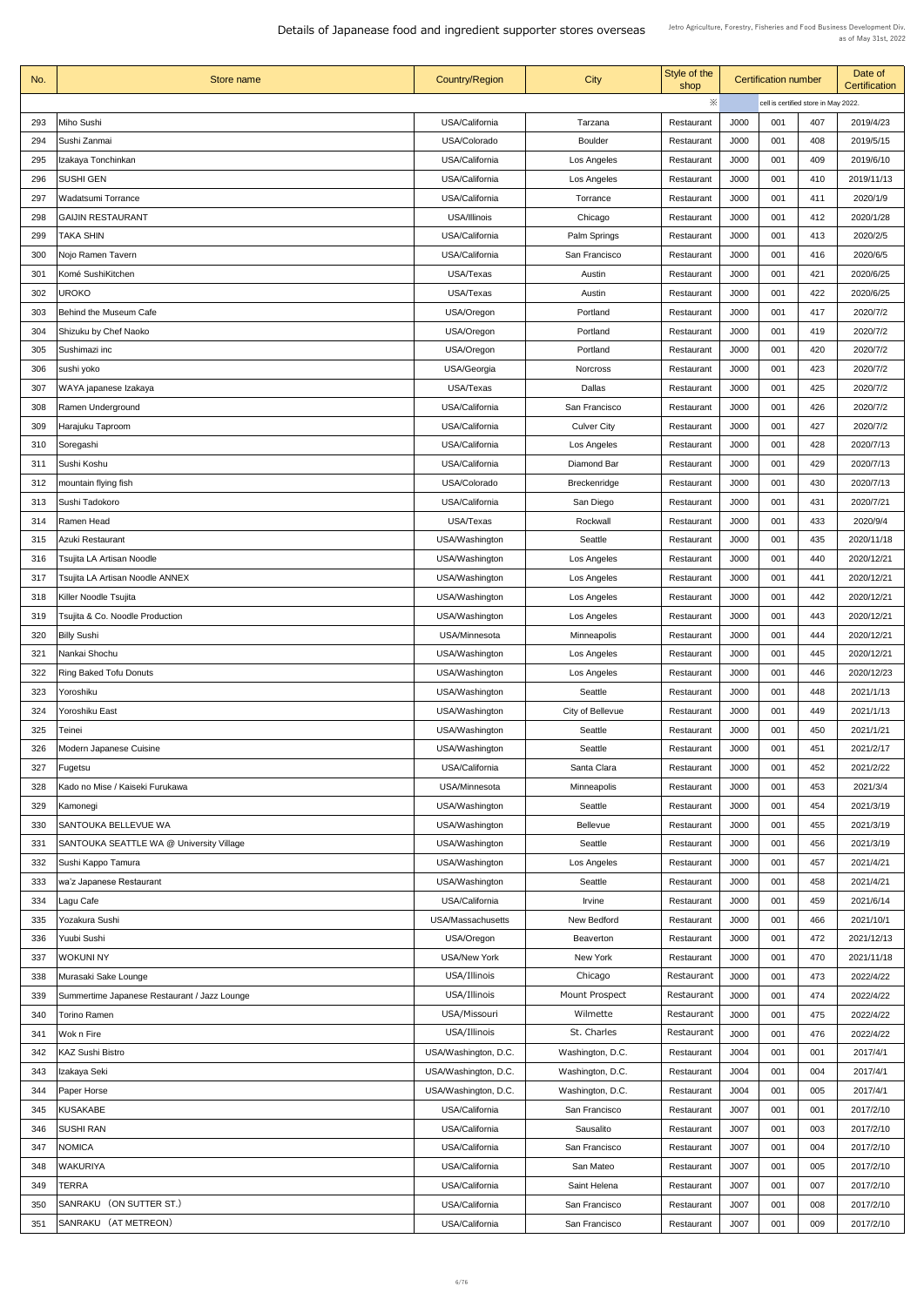| No.        | Store name                                   | <b>Country/Region</b>            | City                       | Style of the<br>shop |                                      | <b>Certification number</b> |            | Date of<br><b>Certification</b> |
|------------|----------------------------------------------|----------------------------------|----------------------------|----------------------|--------------------------------------|-----------------------------|------------|---------------------------------|
|            |                                              |                                  |                            | $\times$             | cell is certified store in May 2022. |                             |            |                                 |
| 293        | Miho Sushi                                   | USA/California                   | Tarzana                    | Restaurant           | J000                                 | 001                         | 407        | 2019/4/23                       |
| 294        | Sushi Zanmai                                 | USA/Colorado                     | <b>Boulder</b>             | Restaurant           | J000                                 | 001                         | 408        | 2019/5/15                       |
| 295        | Izakaya Tonchinkan                           | USA/California                   | Los Angeles                | Restaurant           | J000                                 | 001                         | 409        | 2019/6/10                       |
| 296        | <b>SUSHI GEN</b>                             | USA/California                   | Los Angeles                | Restaurant           | J000                                 | 001                         | 410        | 2019/11/13                      |
| 297        | Wadatsumi Torrance                           | USA/California                   | Torrance                   | Restaurant           | J000                                 | 001                         | 411        | 2020/1/9                        |
| 298        | <b>GAIJIN RESTAURANT</b>                     | <b>USA/Illinois</b>              | Chicago                    | Restaurant           | J000                                 | 001                         | 412        | 2020/1/28                       |
| 299        | TAKA SHIN                                    | USA/California                   | <b>Palm Springs</b>        | Restaurant           | J000                                 | 001                         | 413        | 2020/2/5                        |
| 300        | Nojo Ramen Tavern                            | USA/California                   | San Francisco              | Restaurant           | J000                                 | 001                         | 416        | 2020/6/5                        |
| 301        | Komé SushiKitchen                            | USA/Texas                        | Austin                     | Restaurant           | J000                                 | 001                         | 421        | 2020/6/25                       |
| 302        | <b>UROKO</b>                                 | <b>USA/Texas</b>                 | Austin                     | Restaurant           | J000                                 | 001                         | 422        | 2020/6/25                       |
| 303        | Behind the Museum Cafe                       | USA/Oregon                       | Portland                   | Restaurant           | J000                                 | 001                         | 417        | 2020/7/2                        |
| 304        | Shizuku by Chef Naoko                        | USA/Oregon                       | Portland                   | Restaurant           | J000                                 | 001                         | 419        | 2020/7/2                        |
| 305        | Sushimazi inc                                | USA/Oregon                       | Portland                   | Restaurant           | <b>J000</b>                          | 001                         | 420        | 2020/7/2                        |
| 306        | sushi yoko                                   | USA/Georgia                      | <b>Norcross</b>            | Restaurant           | J000                                 | 001                         | 423        | 2020/7/2                        |
| 307        | WAYA japanese Izakaya                        | USA/Texas                        | <b>Dallas</b>              | Restaurant           | J000                                 | 001                         | 425        | 2020/7/2                        |
|            |                                              |                                  |                            |                      |                                      |                             |            |                                 |
| 308        | <b>Ramen Underground</b>                     | USA/California<br>USA/California | San Francisco              | Restaurant           | J000                                 | 001<br>001                  | 426        | 2020/7/2                        |
| 309        | Harajuku Taproom                             |                                  | <b>Culver City</b>         | Restaurant           | J000                                 |                             | 427        | 2020/7/2                        |
| 310<br>311 | Soregashi<br>Sushi Koshu                     | USA/California<br>USA/California | Los Angeles<br>Diamond Bar | Restaurant           | J000<br>J000                         | 001<br>001                  | 428<br>429 | 2020/7/13<br>2020/7/13          |
|            |                                              |                                  |                            | Restaurant           |                                      |                             |            |                                 |
| 312        | mountain flying fish                         | USA/Colorado                     | <b>Breckenridge</b>        | Restaurant           | J000                                 | 001                         | 430        | 2020/7/13                       |
| 313        | Sushi Tadokoro                               | USA/California                   | San Diego                  | Restaurant           | J000                                 | 001                         | 431        | 2020/7/21                       |
| 314        | <b>Ramen Head</b>                            | USA/Texas                        | Rockwall                   | Restaurant           | J000                                 | 001                         | 433        | 2020/9/4                        |
| 315        | Azuki Restaurant                             | USA/Washington                   | Seattle                    | Restaurant           | J000                                 | 001                         | 435        | 2020/11/18                      |
| 316        | Tsujita LA Artisan Noodle                    | USA/Washington                   | Los Angeles                | Restaurant           | J000                                 | 001                         | 440        | 2020/12/21                      |
| 317        | Tsujita LA Artisan Noodle ANNEX              | USA/Washington                   | Los Angeles                | Restaurant           | J000                                 | 001                         | 441        | 2020/12/21                      |
| 318        | Killer Noodle Tsujita                        | USA/Washington                   | Los Angeles                | Restaurant           | J000                                 | 001                         | 442        | 2020/12/21                      |
| 319        | Tsujita & Co. Noodle Production              | USA/Washington                   | Los Angeles                | Restaurant           | J000                                 | 001                         | 443        | 2020/12/21                      |
| 320        | <b>Billy Sushi</b>                           | <b>USA/Minnesota</b>             | <b>Minneapolis</b>         | Restaurant           | <b>J000</b>                          | 001                         | 444        | 2020/12/21                      |
| 321        | Nankai Shochu                                | USA/Washington                   | Los Angeles                | Restaurant           | J000                                 | 001                         | 445        | 2020/12/21                      |
| 322        | <b>Ring Baked Tofu Donuts</b>                | USA/Washington                   | Los Angeles                | Restaurant           | J000                                 | 001                         | 446        | 2020/12/23                      |
| 323        | Yoroshiku                                    | USA/Washington                   | Seattle                    | Restaurant           | J000                                 | 001                         | 448        | 2021/1/13                       |
| 324        | Yoroshiku East                               | USA/Washington                   | City of Bellevue           | Restaurant           | J000                                 | 001                         | 449        | 2021/1/13                       |
| 325        | Teinei                                       | USA/Washington                   | <b>Seattle</b>             | Restaurant           | J000                                 | 001                         | 450        | 2021/1/21                       |
| 326        | <b>Modern Japanese Cuisine</b>               | USA/Washington                   | Seattle                    | Restaurant           | J000                                 | 001                         | 451        | 2021/2/17                       |
| 327        | Fugetsu                                      | USA/California                   | Santa Clara                | Restaurant           | J000                                 | 001                         | 452        | 2021/2/22                       |
| 328        | Kado no Mise / Kaiseki Furukawa              | USA/Minnesota                    | Minneapolis                | Restaurant           | J000                                 | 001                         | 453        | 2021/3/4                        |
| 329        | Kamonegi                                     | USA/Washington                   | Seattle                    | Restaurant           | J000                                 | 001                         | 454        | 2021/3/19                       |
| 330        | SANTOUKA BELLEVUE WA                         | USA/Washington                   | <b>Bellevue</b>            | Restaurant           | J000                                 | 001                         | 455        | 2021/3/19                       |
| 331        | SANTOUKA SEATTLE WA @ University Village     | USA/Washington                   | Seattle                    | Restaurant           | J000                                 | 001                         | 456        | 2021/3/19                       |
| 332        | Sushi Kappo Tamura                           | USA/Washington                   | Los Angeles                | Restaurant           | J000                                 | 001                         | 457        | 2021/4/21                       |
| 333        | wa'z Japanese Restaurant                     | USA/Washington                   | Seattle                    | Restaurant           | J000                                 | 001                         | 458        | 2021/4/21                       |
| 334        | Lagu Cafe                                    | USA/California                   | Irvine                     | Restaurant           | J000                                 | 001                         | 459        | 2021/6/14                       |
| 335        | Yozakura Sushi                               | <b>USA/Massachusetts</b>         | New Bedford                | Restaurant           | J000                                 | 001                         | 466        | 2021/10/1                       |
| 336        | Yuubi Sushi                                  | USA/Oregon                       | <b>Beaverton</b>           | Restaurant           | J000                                 | 001                         | 472        | 2021/12/13                      |
| 337        | <b>WOKUNI NY</b>                             | <b>USA/New York</b>              | New York                   | Restaurant           | J000                                 | 001                         | 470        | 2021/11/18                      |
| 338        | Murasaki Sake Lounge                         | USA/Illinois                     | Chicago                    | Restaurant           | J000                                 | 001                         | 473        | 2022/4/22                       |
| 339        | Summertime Japanese Restaurant / Jazz Lounge | USA/Illinois                     | <b>Mount Prospect</b>      | Restaurant           | J000                                 | 001                         | 474        | 2022/4/22                       |
| 340        | <b>Torino Ramen</b>                          | USA/Missouri                     | Wilmette                   | Restaurant           | J000                                 | 001                         | 475        | 2022/4/22                       |
| 341        | Wok n Fire                                   | USA/Illinois                     | St. Charles                | Restaurant           | J000                                 | 001                         | 476        | 2022/4/22                       |
| 342        | <b>KAZ Sushi Bistro</b>                      | USA/Washington, D.C.             | Washington, D.C.           | Restaurant           | J004                                 | 001                         | 001        | 2017/4/1                        |
| 343        | Izakaya Seki                                 | USA/Washington, D.C.             | Washington, D.C.           | Restaurant           | J004                                 | 001                         | 004        | 2017/4/1                        |
| 344        | <b>Paper Horse</b>                           | USA/Washington, D.C.             | Washington, D.C.           | Restaurant           | J004                                 | 001                         | 005        | 2017/4/1                        |
| 345        | KUSAKABE                                     | USA/California                   | San Francisco              | Restaurant           | J007                                 | 001                         | 001        | 2017/2/10                       |
| 346        | <b>SUSHI RAN</b>                             | USA/California                   | Sausalito                  | Restaurant           | J007                                 | 001                         | 003        | 2017/2/10                       |
| 347        | <b>NOMICA</b>                                | USA/California                   | San Francisco              | Restaurant           | J007                                 | 001                         | 004        | 2017/2/10                       |
| 348        | <b>WAKURIYA</b>                              | USA/California                   | San Mateo                  | Restaurant           | J007                                 | 001                         | 005        | 2017/2/10                       |
| 349        | <b>TERRA</b>                                 | USA/California                   | Saint Helena               | Restaurant           | J007                                 | 001                         | 007        | 2017/2/10                       |
| 350        | SANRAKU (ON SUTTER ST.)                      | USA/California                   | San Francisco              | Restaurant           | J007                                 | 001                         | 008        | 2017/2/10                       |
| 351        | SANRAKU (AT METREON)                         | USA/California                   | San Francisco              | Restaurant           | J007                                 | 001                         | 009        | 2017/2/10                       |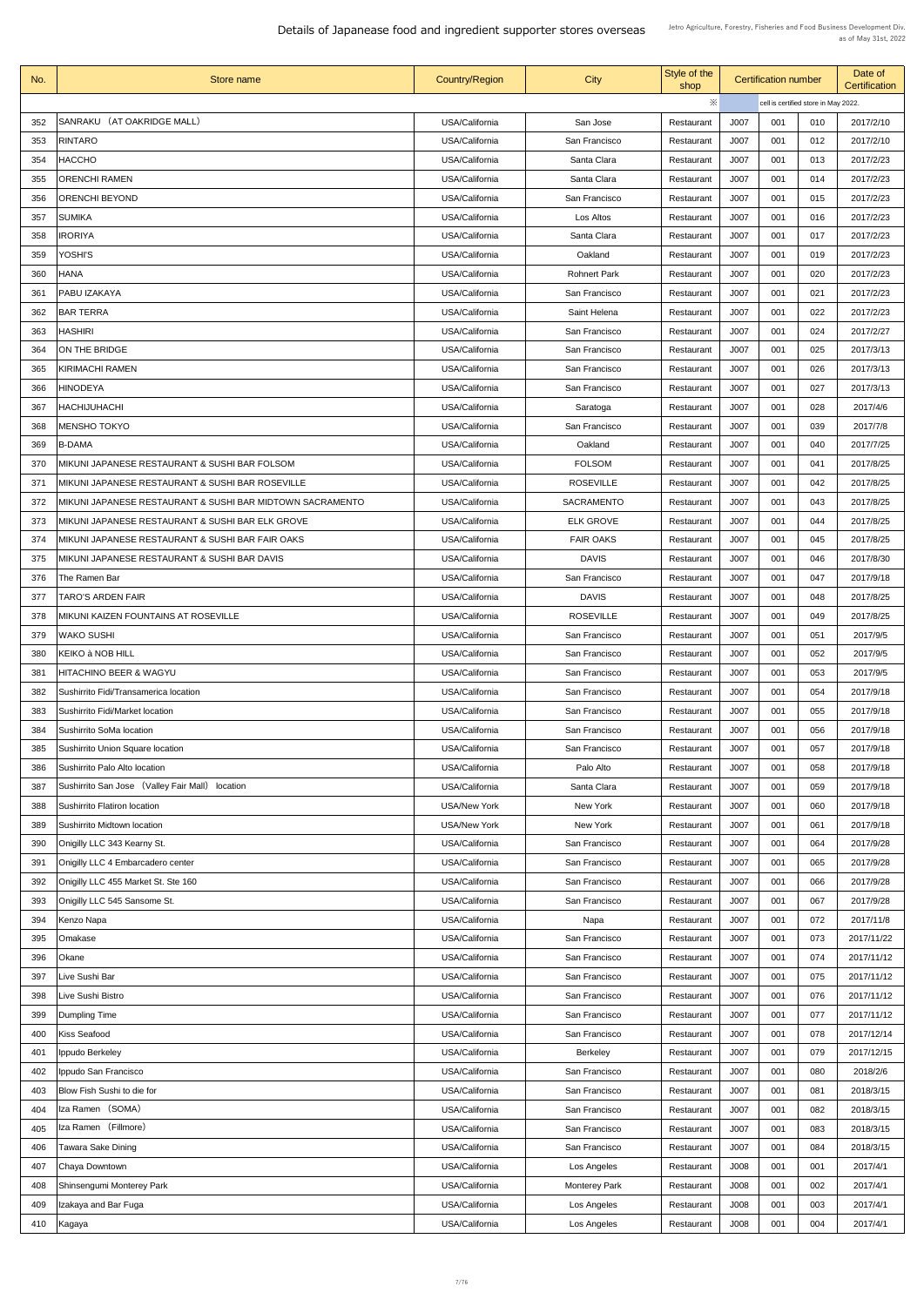| No. | Store name                                                | <b>Country/Region</b> | City                 | Style of the<br>shop | <b>Certification number</b> |                                      |     | Date of<br><b>Certification</b> |  |
|-----|-----------------------------------------------------------|-----------------------|----------------------|----------------------|-----------------------------|--------------------------------------|-----|---------------------------------|--|
|     |                                                           |                       |                      | ※                    |                             | cell is certified store in May 2022. |     |                                 |  |
| 352 | SANRAKU (AT OAKRIDGE MALL)                                | USA/California        | San Jose             | Restaurant           | J007                        | 001                                  | 010 | 2017/2/10                       |  |
| 353 | <b>RINTARO</b>                                            | USA/California        | San Francisco        | Restaurant           | J007                        | 001                                  | 012 | 2017/2/10                       |  |
| 354 | HACCHO                                                    | USA/California        | Santa Clara          | Restaurant           | J007                        | 001                                  | 013 | 2017/2/23                       |  |
| 355 | <b>ORENCHI RAMEN</b>                                      | USA/California        | Santa Clara          | Restaurant           | J007                        | 001                                  | 014 | 2017/2/23                       |  |
| 356 | <b>ORENCHI BEYOND</b>                                     | USA/California        | San Francisco        | Restaurant           | J007                        | 001                                  | 015 | 2017/2/23                       |  |
| 357 | <b>SUMIKA</b>                                             | USA/California        | Los Altos            | Restaurant           | J007                        | 001                                  | 016 | 2017/2/23                       |  |
| 358 | <b>IRORIYA</b>                                            | USA/California        | Santa Clara          | Restaurant           | J007                        | 001                                  | 017 | 2017/2/23                       |  |
| 359 | YOSHI'S                                                   | USA/California        | Oakland              | Restaurant           | J007                        | 001                                  | 019 | 2017/2/23                       |  |
| 360 | <b>HANA</b>                                               | USA/California        | <b>Rohnert Park</b>  | Restaurant           | J007                        | 001                                  | 020 | 2017/2/23                       |  |
| 361 | <b>PABU IZAKAYA</b>                                       | USA/California        | San Francisco        | Restaurant           | J007                        | 001                                  | 021 | 2017/2/23                       |  |
| 362 | <b>BAR TERRA</b>                                          | USA/California        | Saint Helena         | Restaurant           | J007                        | 001                                  | 022 | 2017/2/23                       |  |
| 363 | <b>HASHIRI</b>                                            | USA/California        | San Francisco        | Restaurant           | J007                        | 001                                  | 024 | 2017/2/27                       |  |
| 364 | ON THE BRIDGE                                             | USA/California        | San Francisco        | Restaurant           | J007                        | 001                                  | 025 | 2017/3/13                       |  |
| 365 | <b>KIRIMACHI RAMEN</b>                                    | USA/California        | San Francisco        | Restaurant           | J007                        | 001                                  | 026 | 2017/3/13                       |  |
| 366 | <b>HINODEYA</b>                                           | USA/California        | San Francisco        | Restaurant           | J007                        | 001                                  | 027 | 2017/3/13                       |  |
| 367 | <b>HACHIJUHACHI</b>                                       | USA/California        | Saratoga             | Restaurant           | J007                        | 001                                  | 028 | 2017/4/6                        |  |
| 368 | <b>MENSHO TOKYO</b>                                       | USA/California        | San Francisco        | Restaurant           | J007                        | 001                                  | 039 | 2017/7/8                        |  |
| 369 | B-DAMA                                                    | USA/California        | Oakland              | Restaurant           | J007                        | 001                                  | 040 | 2017/7/25                       |  |
| 370 | MIKUNI JAPANESE RESTAURANT & SUSHI BAR FOLSOM             | USA/California        | <b>FOLSOM</b>        | Restaurant           | J007                        | 001                                  | 041 | 2017/8/25                       |  |
| 371 | MIKUNI JAPANESE RESTAURANT & SUSHI BAR ROSEVILLE          | USA/California        | <b>ROSEVILLE</b>     | Restaurant           | J007                        | 001                                  | 042 | 2017/8/25                       |  |
| 372 | MIKUNI JAPANESE RESTAURANT & SUSHI BAR MIDTOWN SACRAMENTO | USA/California        | <b>SACRAMENTO</b>    | Restaurant           | J007                        | 001                                  | 043 | 2017/8/25                       |  |
| 373 | MIKUNI JAPANESE RESTAURANT & SUSHI BAR ELK GROVE          | USA/California        | <b>ELK GROVE</b>     | Restaurant           | J007                        | 001                                  | 044 | 2017/8/25                       |  |
| 374 | MIKUNI JAPANESE RESTAURANT & SUSHI BAR FAIR OAKS          | USA/California        | <b>FAIR OAKS</b>     | Restaurant           | J007                        | 001                                  | 045 | 2017/8/25                       |  |
| 375 | MIKUNI JAPANESE RESTAURANT & SUSHI BAR DAVIS              | USA/California        | <b>DAVIS</b>         | Restaurant           | J007                        | 001                                  | 046 | 2017/8/30                       |  |
| 376 | The Ramen Bar                                             | USA/California        | San Francisco        | Restaurant           | J007                        | 001                                  | 047 | 2017/9/18                       |  |
| 377 | <b>TARO'S ARDEN FAIR</b>                                  | USA/California        | <b>DAVIS</b>         | Restaurant           | J007                        | 001                                  | 048 | 2017/8/25                       |  |
| 378 | <b>IMIKUNI KAIZEN FOUNTAINS AT ROSEVILLE</b>              | USA/California        | <b>ROSEVILLE</b>     | Restaurant           | J007                        | 001                                  | 049 | 2017/8/25                       |  |
| 379 | <b>WAKO SUSHI</b>                                         | USA/California        | San Francisco        | Restaurant           | <b>J007</b>                 | 001                                  | 051 | 2017/9/5                        |  |
| 380 | <b>KEIKO à NOB HILL</b>                                   | USA/California        | San Francisco        | Restaurant           | J007                        | 001                                  | 052 | 2017/9/5                        |  |
| 381 | <b>HITACHINO BEER &amp; WAGYU</b>                         | USA/California        | San Francisco        | Restaurant           | <b>J007</b>                 | 001                                  | 053 | 2017/9/5                        |  |
| 382 | Sushirrito Fidi/Transamerica location                     | USA/California        | San Francisco        | Restaurant           | J007                        | 001                                  | 054 | 2017/9/18                       |  |
| 383 | Sushirrito Fidi/Market location                           | USA/California        | San Francisco        | Restaurant           | <b>J007</b>                 | 001                                  | 055 | 2017/9/18                       |  |
| 384 | Sushirrito SoMa location                                  | USA/California        | San Francisco        | Restaurant           | J007                        | 001                                  | 056 | 2017/9/18                       |  |
| 385 | Sushirrito Union Square location                          | USA/California        | San Francisco        | Restaurant           | J007                        | 001                                  | 057 | 2017/9/18                       |  |
| 386 | Sushirrito Palo Alto location                             | USA/California        | Palo Alto            | Restaurant           | J007                        | 001                                  | 058 | 2017/9/18                       |  |
| 387 | Sushirrito San Jose (Valley Fair Mall) location           | USA/California        | Santa Clara          | Restaurant           | <b>J007</b>                 | 001                                  | 059 | 2017/9/18                       |  |
| 388 | Sushirrito Flatiron location                              | <b>USA/New York</b>   | New York             | Restaurant           | J007                        | 001                                  | 060 | 2017/9/18                       |  |
| 389 | Sushirrito Midtown location                               | <b>USA/New York</b>   | New York             | Restaurant           | J007                        | 001                                  | 061 | 2017/9/18                       |  |
| 390 | Onigilly LLC 343 Kearny St.                               | USA/California        | San Francisco        | Restaurant           | J007                        | 001                                  | 064 | 2017/9/28                       |  |
| 391 | Onigilly LLC 4 Embarcadero center                         | USA/California        | San Francisco        | Restaurant           | J007                        | 001                                  | 065 | 2017/9/28                       |  |
| 392 | Onigilly LLC 455 Market St. Ste 160                       | USA/California        | San Francisco        | Restaurant           | <b>J007</b>                 | 001                                  | 066 | 2017/9/28                       |  |
| 393 | Onigilly LLC 545 Sansome St.                              | USA/California        | San Francisco        | Restaurant           | J <sub>007</sub>            | 001                                  | 067 | 2017/9/28                       |  |
| 394 | Kenzo Napa                                                | USA/California        | Napa                 | Restaurant           | J007                        | 001                                  | 072 | 2017/11/8                       |  |
| 395 | Omakase                                                   | USA/California        | San Francisco        | Restaurant           | J007                        | 001                                  | 073 | 2017/11/22                      |  |
| 396 | <b>Okane</b>                                              | USA/California        | San Francisco        | Restaurant           | J007                        | 001                                  | 074 | 2017/11/12                      |  |
| 397 | Live Sushi Bar                                            | USA/California        | San Francisco        | Restaurant           | J007                        | 001                                  | 075 | 2017/11/12                      |  |
| 398 | Live Sushi Bistro                                         | USA/California        | San Francisco        | Restaurant           | J007                        | 001                                  | 076 | 2017/11/12                      |  |
| 399 | Dumpling Time                                             | USA/California        | San Francisco        | Restaurant           | J007                        | 001                                  | 077 | 2017/11/12                      |  |
| 400 | Kiss Seafood                                              | USA/California        | San Francisco        | Restaurant           | J007                        | 001                                  | 078 | 2017/12/14                      |  |
| 401 | Ippudo Berkeley                                           | USA/California        | <b>Berkeley</b>      | Restaurant           | J007                        | 001                                  | 079 | 2017/12/15                      |  |
| 402 | Ippudo San Francisco                                      | USA/California        | San Francisco        | Restaurant           | J007                        | 001                                  | 080 | 2018/2/6                        |  |
| 403 | <b>Blow Fish Sushi to die for</b>                         | USA/California        | San Francisco        | Restaurant           | J007                        | 001                                  | 081 | 2018/3/15                       |  |
| 404 | Iza Ramen (SOMA)                                          | USA/California        | San Francisco        | Restaurant           | J007                        | 001                                  | 082 | 2018/3/15                       |  |
| 405 | Iza Ramen (Fillmore)                                      | USA/California        | San Francisco        | Restaurant           | J007                        | 001                                  | 083 | 2018/3/15                       |  |
| 406 | Tawara Sake Dining                                        | USA/California        | San Francisco        | Restaurant           | J007                        | 001                                  | 084 | 2018/3/15                       |  |
| 407 | Chaya Downtown                                            | USA/California        | Los Angeles          | Restaurant           | J008                        | 001                                  | 001 | 2017/4/1                        |  |
| 408 | Shinsengumi Monterey Park                                 | USA/California        | <b>Monterey Park</b> | Restaurant           | J008                        | 001                                  | 002 | 2017/4/1                        |  |
| 409 | Izakaya and Bar Fuga                                      | USA/California        | Los Angeles          | Restaurant           | J008                        | 001                                  | 003 | 2017/4/1                        |  |
| 410 | Kagaya                                                    | USA/California        | Los Angeles          | Restaurant           | J008                        | 001                                  | 004 | 2017/4/1                        |  |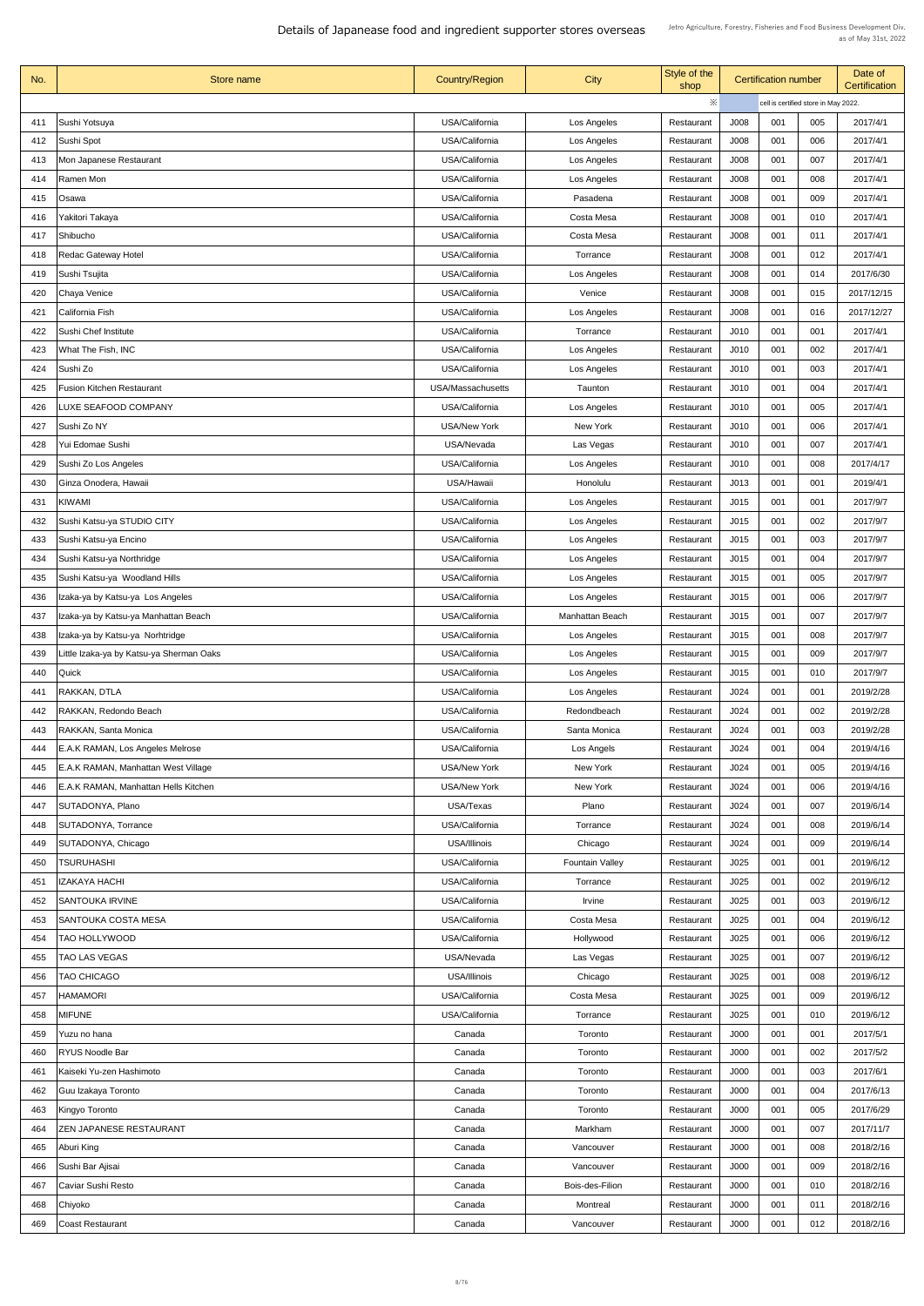| No. | <b>Store name</b>                       | <b>Country/Region</b>    | <b>City</b>            | Style of the<br>shop |                  | <b>Certification number</b>          |     | Date of<br>Certification |
|-----|-----------------------------------------|--------------------------|------------------------|----------------------|------------------|--------------------------------------|-----|--------------------------|
|     |                                         |                          |                        | ※                    |                  | cell is certified store in May 2022. |     |                          |
| 411 | Sushi Yotsuya                           | USA/California           | Los Angeles            | Restaurant           | J008             | 001                                  | 005 | 2017/4/1                 |
| 412 | Sushi Spot                              | USA/California           | Los Angeles            | Restaurant           | J008             | 001                                  | 006 | 2017/4/1                 |
| 413 | Mon Japanese Restaurant                 | USA/California           | Los Angeles            | Restaurant           | J008             | 001                                  | 007 | 2017/4/1                 |
| 414 | Ramen Mon                               | USA/California           | Los Angeles            | Restaurant           | J008             | 001                                  | 008 | 2017/4/1                 |
| 415 | Osawa                                   | USA/California           | Pasadena               | Restaurant           | J008             | 001                                  | 009 | 2017/4/1                 |
| 416 | Yakitori Takaya                         | USA/California           | <b>Costa Mesa</b>      | Restaurant           | J008             | 001                                  | 010 | 2017/4/1                 |
| 417 | Shibucho                                | USA/California           | Costa Mesa             | Restaurant           | J008             | 001                                  | 011 | 2017/4/1                 |
| 418 | <b>Redac Gateway Hotel</b>              | USA/California           | Torrance               | Restaurant           | J008             | 001                                  | 012 | 2017/4/1                 |
| 419 | Sushi Tsujita                           | USA/California           | Los Angeles            | Restaurant           | J008             | 001                                  | 014 | 2017/6/30                |
| 420 | Chaya Venice                            | USA/California           | Venice                 | Restaurant           | J008             | 001                                  | 015 | 2017/12/15               |
| 421 | California Fish                         | USA/California           | Los Angeles            | Restaurant           | J008             | 001                                  | 016 | 2017/12/27               |
| 422 | Sushi Chef Institute                    | USA/California           | Torrance               | Restaurant           | J <sub>010</sub> | 001                                  | 001 | 2017/4/1                 |
| 423 | What The Fish, INC                      | USA/California           | Los Angeles            | Restaurant           | J010             | 001                                  | 002 | 2017/4/1                 |
| 424 | Sushi Zo                                | USA/California           | Los Angeles            | Restaurant           | J <sub>010</sub> | 001                                  | 003 | 2017/4/1                 |
| 425 | <b>Fusion Kitchen Restaurant</b>        | <b>USA/Massachusetts</b> | Taunton                | Restaurant           | J <sub>010</sub> | 001                                  | 004 | 2017/4/1                 |
| 426 | LUXE SEAFOOD COMPANY                    | USA/California           | Los Angeles            | Restaurant           | J <sub>010</sub> | 001                                  | 005 | 2017/4/1                 |
| 427 | Sushi Zo NY                             | <b>USA/New York</b>      | New York               | Restaurant           | J010             | 001                                  | 006 | 2017/4/1                 |
| 428 | Yui Edomae Sushi                        | USA/Nevada               | Las Vegas              | Restaurant           | J <sub>010</sub> | 001                                  | 007 | 2017/4/1                 |
| 429 | Sushi Zo Los Angeles                    | USA/California           | Los Angeles            | Restaurant           | J010             | 001                                  | 008 | 2017/4/17                |
| 430 | Ginza Onodera, Hawaii                   | USA/Hawaii               | Honolulu               | Restaurant           | J013             | 001                                  | 001 | 2019/4/1                 |
| 431 | <b>KIWAMI</b>                           | USA/California           | Los Angeles            | Restaurant           | J015             | 001                                  | 001 | 2017/9/7                 |
| 432 | Sushi Katsu-ya STUDIO CITY              | USA/California           | Los Angeles            | Restaurant           | J015             | 001                                  | 002 | 2017/9/7                 |
| 433 | Sushi Katsu-ya Encino                   | USA/California           | Los Angeles            | Restaurant           | J015             | 001                                  | 003 | 2017/9/7                 |
| 434 | Sushi Katsu-ya Northridge               | USA/California           | Los Angeles            | Restaurant           | J015             | 001                                  | 004 | 2017/9/7                 |
| 435 | Sushi Katsu-ya Woodland Hills           | USA/California           | Los Angeles            | Restaurant           | J015             | 001                                  | 005 | 2017/9/7                 |
| 436 | Izaka-ya by Katsu-ya Los Angeles        | USA/California           | Los Angeles            | Restaurant           | J015             | 001                                  | 006 | 2017/9/7                 |
| 437 | Izaka-ya by Katsu-ya Manhattan Beach    | USA/California           | <b>Manhattan Beach</b> | Restaurant           | J015             | 001                                  | 007 | 2017/9/7                 |
| 438 | Izaka-ya by Katsu-ya Norhtridge         | USA/California           | Los Angeles            | Restaurant           | J015             | 001                                  | 008 | 2017/9/7                 |
| 439 | ittle Izaka-ya by Katsu-ya Sherman Oaks | USA/California           | Los Angeles            | Restaurant           | J015             | 001                                  | 009 | 2017/9/7                 |
| 440 | Quick                                   | USA/California           | Los Angeles            | Restaurant           | J015             | 001                                  | 010 | 2017/9/7                 |
| 441 | RAKKAN, DTLA                            | USA/California           | Los Angeles            | Restaurant           | J024             | 001                                  | 001 | 2019/2/28                |
| 442 | RAKKAN, Redondo Beach                   | USA/California           | Redondbeach            | Restaurant           | J024             | 001                                  | 002 | 2019/2/28                |
| 443 | RAKKAN, Santa Monica                    | USA/California           | Santa Monica           | Restaurant           | J024             | 001                                  | 003 | 2019/2/28                |
| 444 | E.A.K RAMAN, Los Angeles Melrose        | USA/California           | Los Angels             | Restaurant           | J024             | 001                                  | 004 | 2019/4/16                |
| 445 | E.A.K RAMAN, Manhattan West Village     | <b>USA/New York</b>      | New York               | Restaurant           | J <sub>024</sub> | 001                                  | 005 | 2019/4/16                |
| 446 | E.A.K RAMAN, Manhattan Hells Kitchen    | <b>USA/New York</b>      | New York               | Restaurant           | J024             | 001                                  | 006 | 2019/4/16                |
| 447 | SUTADONYA, Plano                        | USA/Texas                | Plano                  | Restaurant           | J024             | 001                                  | 007 | 2019/6/14                |
| 448 | SUTADONYA, Torrance                     | USA/California           | Torrance               | Restaurant           | J024             | 001                                  | 008 | 2019/6/14                |
| 449 | SUTADONYA, Chicago                      | USA/Illinois             | Chicago                | Restaurant           | J024             | 001                                  | 009 | 2019/6/14                |
| 450 | <b>TSURUHASHI</b>                       | USA/California           | <b>Fountain Valley</b> | Restaurant           | J025             | 001                                  | 001 | 2019/6/12                |
| 451 | <b>IZAKAYA HACHI</b>                    | USA/California           | Torrance               | Restaurant           | J025             | 001                                  | 002 | 2019/6/12                |
| 452 | <b>SANTOUKA IRVINE</b>                  | USA/California           | <b>Irvine</b>          | Restaurant           | J025             | 001                                  | 003 | 2019/6/12                |
| 453 | <b>SANTOUKA COSTA MESA</b>              | USA/California           | Costa Mesa             | Restaurant           | J025             | 001                                  | 004 | 2019/6/12                |
| 454 | <b>TAO HOLLYWOOD</b>                    | USA/California           | Hollywood              | Restaurant           | J025             | 001                                  | 006 | 2019/6/12                |
| 455 | <b>TAO LAS VEGAS</b>                    | USA/Nevada               | Las Vegas              | Restaurant           | J025             | 001                                  | 007 | 2019/6/12                |
| 456 | <b>TAO CHICAGO</b>                      | USA/Illinois             | Chicago                | Restaurant           | J025             | 001                                  | 008 | 2019/6/12                |
| 457 | <b>HAMAMORI</b>                         | USA/California           | Costa Mesa             | Restaurant           | J025             | 001                                  | 009 | 2019/6/12                |
| 458 | <b>MIFUNE</b>                           | USA/California           | Torrance               | Restaurant           | J025             | 001                                  | 010 | 2019/6/12                |
| 459 | Yuzu no hana                            | Canada                   | Toronto                | Restaurant           | J000             | 001                                  | 001 | 2017/5/1                 |
| 460 | <b>RYUS Noodle Bar</b>                  | Canada                   | Toronto                | Restaurant           | J000             | 001                                  | 002 | 2017/5/2                 |
| 461 | Kaiseki Yu-zen Hashimoto                | Canada                   | Toronto                | Restaurant           | J000             | 001                                  | 003 | 2017/6/1                 |
| 462 | Guu Izakaya Toronto                     | Canada                   | Toronto                | Restaurant           | J000             | 001                                  | 004 | 2017/6/13                |
| 463 | Kingyo Toronto                          | Canada                   | Toronto                | Restaurant           | J000             | 001                                  | 005 | 2017/6/29                |
| 464 | <b>ZEN JAPANESE RESTAURANT</b>          | Canada                   | Markham                | Restaurant           | J000             | 001                                  | 007 | 2017/11/7                |
| 465 | Aburi King                              | Canada                   | Vancouver              | Restaurant           | J000             | 001                                  | 008 | 2018/2/16                |
| 466 | Sushi Bar Ajisai                        | Canada                   | Vancouver              | Restaurant           | J000             | 001                                  | 009 | 2018/2/16                |
| 467 | Caviar Sushi Resto                      | Canada                   | Bois-des-Filion        | Restaurant           | J000             | 001                                  | 010 | 2018/2/16                |
| 468 | Chiyoko                                 | Canada                   | Montreal               | Restaurant           | J000             | 001                                  | 011 | 2018/2/16                |
| 469 | <b>Coast Restaurant</b>                 | Canada                   | Vancouver              | Restaurant           | J000             | 001                                  | 012 | 2018/2/16                |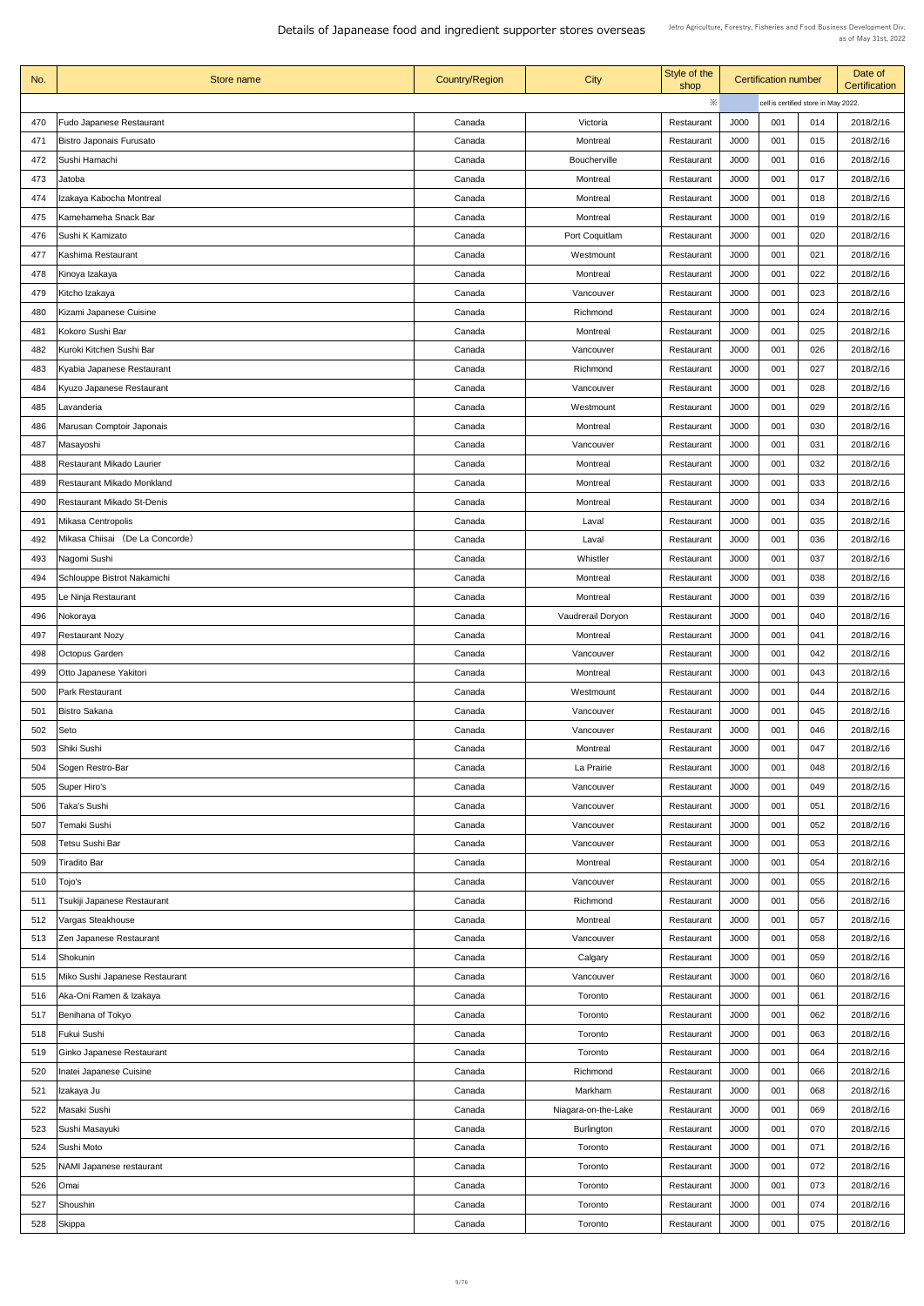| No. | Store name                        | <b>Country/Region</b> | <b>City</b>              | Style of the<br>shop |      | <b>Certification number</b> |                                      | Date of<br><b>Certification</b> |
|-----|-----------------------------------|-----------------------|--------------------------|----------------------|------|-----------------------------|--------------------------------------|---------------------------------|
|     |                                   |                       |                          | $\ddot{\times}$      |      |                             | cell is certified store in May 2022. |                                 |
| 470 | <b>Fudo Japanese Restaurant</b>   | Canada                | Victoria                 | Restaurant           | J000 | 001                         | 014                                  | 2018/2/16                       |
| 471 | <b>Bistro Japonais Furusato</b>   | Canada                | <b>Montreal</b>          | Restaurant           | J000 | 001                         | 015                                  | 2018/2/16                       |
| 472 | Sushi Hamachi                     | Canada                | <b>Boucherville</b>      | Restaurant           | J000 | 001                         | 016                                  | 2018/2/16                       |
| 473 | Jatoba                            | Canada                | <b>Montreal</b>          | Restaurant           | J000 | 001                         | 017                                  | 2018/2/16                       |
| 474 | Izakaya Kabocha Montreal          | Canada                | <b>Montreal</b>          | Restaurant           | J000 | 001                         | 018                                  | 2018/2/16                       |
| 475 | Kamehameha Snack Bar              | Canada                | <b>Montreal</b>          | Restaurant           | J000 | 001                         | 019                                  | 2018/2/16                       |
| 476 | Sushi K Kamizato                  | Canada                | Port Coquitlam           | Restaurant           | J000 | 001                         | 020                                  | 2018/2/16                       |
| 477 | Kashima Restaurant                | Canada                | Westmount                | Restaurant           | J000 | 001                         | 021                                  | 2018/2/16                       |
| 478 | Kinoya Izakaya                    | Canada                | Montreal                 | Restaurant           | J000 | 001                         | 022                                  | 2018/2/16                       |
| 479 | Kitcho Izakaya                    | Canada                | Vancouver                | Restaurant           | J000 | 001                         | 023                                  | 2018/2/16                       |
| 480 | Kizami Japanese Cuisine           | Canada                | Richmond                 | Restaurant           | J000 | 001                         | 024                                  | 2018/2/16                       |
| 481 | Kokoro Sushi Bar                  | Canada                | Montreal                 | Restaurant           | J000 | 001                         | 025                                  | 2018/2/16                       |
| 482 | Kuroki Kitchen Sushi Bar          | Canada                | Vancouver                | Restaurant           | J000 | 001                         | 026                                  | 2018/2/16                       |
| 483 | Kyabia Japanese Restaurant        | Canada                | Richmond                 | Restaurant           | J000 | 001                         | 027                                  | 2018/2/16                       |
|     |                                   |                       |                          |                      |      |                             |                                      |                                 |
| 484 | Kyuzo Japanese Restaurant         | Canada                | Vancouver                | Restaurant           | J000 | 001                         | 028                                  | 2018/2/16                       |
| 485 | Lavanderia                        | Canada                | Westmount                | Restaurant           | J000 | 001                         | 029                                  | 2018/2/16                       |
| 486 | Marusan Comptoir Japonais         | Canada                | <b>Montreal</b>          | Restaurant           | J000 | 001                         | 030                                  | 2018/2/16                       |
| 487 | Masayoshi                         | Canada                | Vancouver                | Restaurant           | J000 | 001                         | 031                                  | 2018/2/16                       |
| 488 | <b>Restaurant Mikado Laurier</b>  | Canada                | Montreal                 | Restaurant           | J000 | 001                         | 032                                  | 2018/2/16                       |
| 489 | <b>Restaurant Mikado Monkland</b> | Canada                | <b>Montreal</b>          | Restaurant           | J000 | 001                         | 033                                  | 2018/2/16                       |
| 490 | <b>Restaurant Mikado St-Denis</b> | Canada                | <b>Montreal</b>          | Restaurant           | J000 | 001                         | 034                                  | 2018/2/16                       |
| 491 | <b>Mikasa Centropolis</b>         | Canada                | Laval                    | Restaurant           | J000 | 001                         | 035                                  | 2018/2/16                       |
| 492 | Mikasa Chiisai (De La Concorde)   | Canada                | Laval                    | Restaurant           | J000 | 001                         | 036                                  | 2018/2/16                       |
| 493 | Nagomi Sushi                      | Canada                | Whistler                 | Restaurant           | J000 | 001                         | 037                                  | 2018/2/16                       |
| 494 | Schlouppe Bistrot Nakamichi       | Canada                | <b>Montreal</b>          | Restaurant           | J000 | 001                         | 038                                  | 2018/2/16                       |
| 495 | Le Ninja Restaurant               | Canada                | <b>Montreal</b>          | Restaurant           | J000 | 001                         | 039                                  | 2018/2/16                       |
| 496 | Nokoraya                          | Canada                | <b>Vaudrerail Doryon</b> | Restaurant           | J000 | 001                         | 040                                  | 2018/2/16                       |
| 497 | <b>Restaurant Nozy</b>            | Canada                | <b>Montreal</b>          | Restaurant           | J000 | 001                         | 041                                  | 2018/2/16                       |
| 498 | Octopus Garden                    | Canada                | Vancouver                | Restaurant           | J000 | 001                         | 042                                  | 2018/2/16                       |
| 499 | Otto Japanese Yakitori            | Canada                | Montreal                 | Restaurant           | J000 | 001                         | 043                                  | 2018/2/16                       |
| 500 | <b>Park Restaurant</b>            | Canada                | Westmount                | Restaurant           | J000 | 001                         | 044                                  | 2018/2/16                       |
| 501 | <b>Bistro Sakana</b>              | Canada                | Vancouver                | Restaurant           | J000 | 001                         | 045                                  | 2018/2/16                       |
| 502 | Seto                              | Canada                | Vancouver                | Restaurant           | J000 | 001                         | 046                                  | 2018/2/16                       |
| 503 | Shiki Sushi                       | Canada                | Montreal                 | Restaurant           | J000 | 001                         | 047                                  | 2018/2/16                       |
| 504 | Sogen Restro-Bar                  | Canada                | La Prairie               | Restaurant           | J000 | 001                         | 048                                  | 2018/2/16                       |
| 505 | Super Hiro's                      | Canada                | Vancouver                | Restaurant           | J000 | 001                         | 049                                  | 2018/2/16                       |
| 506 | Taka's Sushi                      | Canada                | Vancouver                | Restaurant           | J000 | 001                         | 051                                  | 2018/2/16                       |
| 507 | Temaki Sushi                      | Canada                | Vancouver                | Restaurant           | J000 | 001                         | 052                                  | 2018/2/16                       |
| 508 | Tetsu Sushi Bar                   | Canada                | Vancouver                | Restaurant           | J000 | 001                         | 053                                  | 2018/2/16                       |
| 509 | <b>Tiradito Bar</b>               | Canada                | Montreal                 | Restaurant           | J000 | 001                         | 054                                  | 2018/2/16                       |
| 510 | Tojo's                            | Canada                | Vancouver                | Restaurant           | J000 | 001                         | 055                                  | 2018/2/16                       |
| 511 | Tsukiji Japanese Restaurant       | Canada                | Richmond                 | Restaurant           | J000 | 001                         | 056                                  | 2018/2/16                       |
| 512 | Vargas Steakhouse                 | Canada                | <b>Montreal</b>          | Restaurant           | J000 | 001                         | 057                                  | 2018/2/16                       |
| 513 | Zen Japanese Restaurant           | Canada                | Vancouver                | Restaurant           | J000 | 001                         | 058                                  | 2018/2/16                       |
| 514 | Shokunin                          | Canada                | Calgary                  | Restaurant           | J000 | 001                         | 059                                  | 2018/2/16                       |
| 515 | Miko Sushi Japanese Restaurant    | Canada                | Vancouver                | Restaurant           | J000 | 001                         | 060                                  | 2018/2/16                       |
| 516 | Aka-Oni Ramen & Izakaya           | Canada                | Toronto                  | Restaurant           | J000 | 001                         | 061                                  | 2018/2/16                       |
|     |                                   | Canada                |                          |                      | J000 | 001                         | 062                                  | 2018/2/16                       |
| 517 | Benihana of Tokyo                 |                       | Toronto                  | Restaurant           |      |                             |                                      |                                 |
| 518 | Fukui Sushi                       | Canada                | Toronto                  | Restaurant           | J000 | 001                         | 063                                  | 2018/2/16                       |
| 519 | Ginko Japanese Restaurant         | Canada                | Toronto                  | Restaurant           | J000 | 001                         | 064                                  | 2018/2/16                       |
| 520 | Inatei Japanese Cuisine           | Canada                | Richmond                 | Restaurant           | J000 | 001                         | 066                                  | 2018/2/16                       |
| 521 | Izakaya Ju                        | Canada                | Markham                  | Restaurant           | J000 | 001                         | 068                                  | 2018/2/16                       |
| 522 | Masaki Sushi                      | Canada                | Niagara-on-the-Lake      | Restaurant           | J000 | 001                         | 069                                  | 2018/2/16                       |
| 523 | Sushi Masayuki                    | Canada                | <b>Burlington</b>        | Restaurant           | J000 | 001                         | 070                                  | 2018/2/16                       |
| 524 | Sushi Moto                        | Canada                | Toronto                  | Restaurant           | J000 | 001                         | 071                                  | 2018/2/16                       |
| 525 | <b>NAMI Japanese restaurant</b>   | Canada                | Toronto                  | Restaurant           | J000 | 001                         | 072                                  | 2018/2/16                       |
| 526 | Omai                              | Canada                | Toronto                  | Restaurant           | J000 | 001                         | 073                                  | 2018/2/16                       |
| 527 | Shoushin                          | Canada                | Toronto                  | Restaurant           | J000 | 001                         | 074                                  | 2018/2/16                       |
| 528 | Skippa                            | Canada                | Toronto                  | Restaurant           | J000 | 001                         | 075                                  | 2018/2/16                       |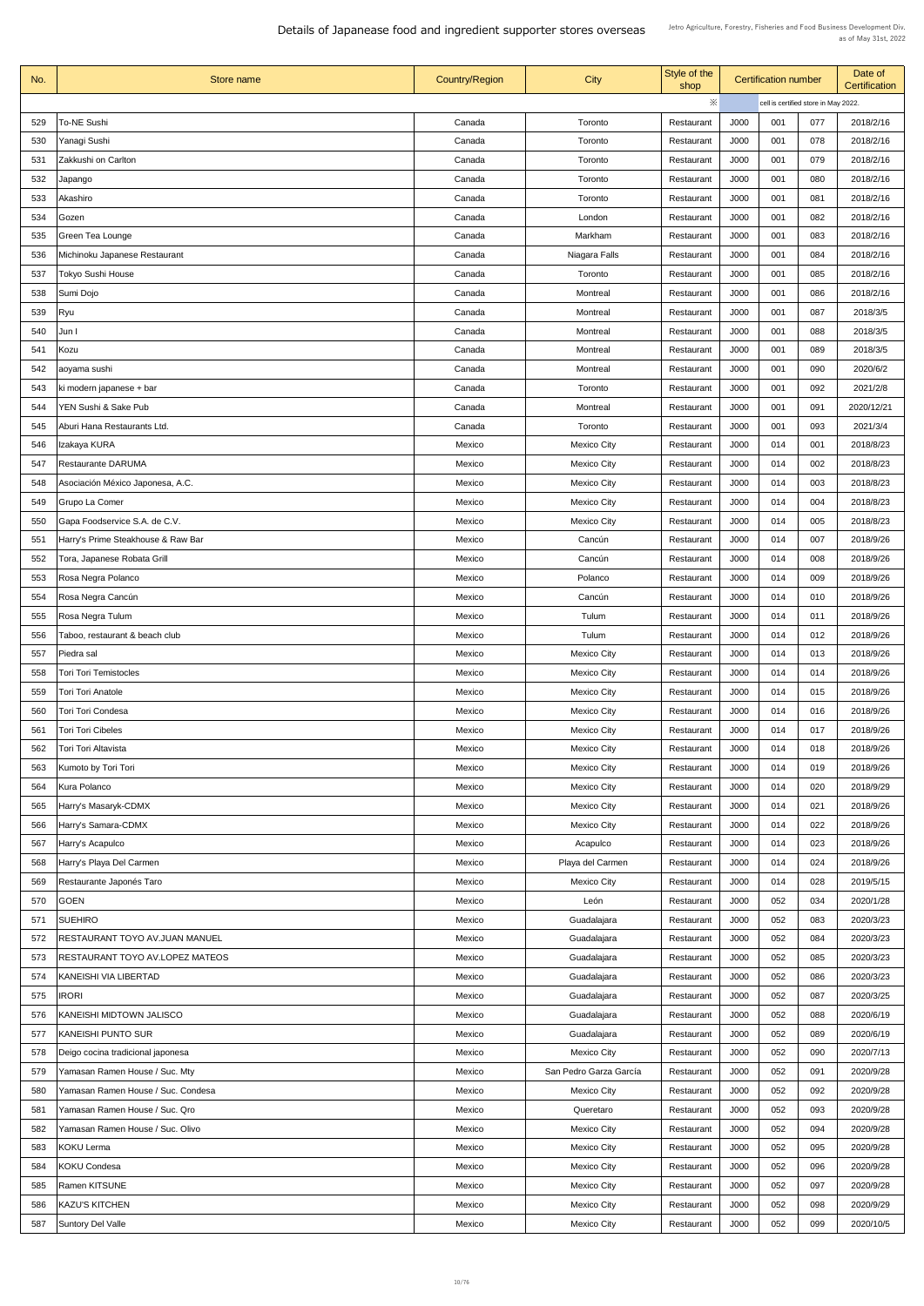| No. | Store name                             | <b>Country/Region</b> | <b>City</b>            | Style of the<br>shop | <b>Certification number</b> |                                      | Date of<br><b>Certification</b> |            |
|-----|----------------------------------------|-----------------------|------------------------|----------------------|-----------------------------|--------------------------------------|---------------------------------|------------|
|     |                                        |                       |                        | ※                    |                             | cell is certified store in May 2022. |                                 |            |
| 529 | <b>To-NE Sushi</b>                     | Canada                | Toronto                | Restaurant           | J000                        | 001                                  | 077                             | 2018/2/16  |
| 530 | Yanagi Sushi                           | Canada                | Toronto                | Restaurant           | J000                        | 001                                  | 078                             | 2018/2/16  |
| 531 | Zakkushi on Carlton                    | Canada                | Toronto                | Restaurant           | J000                        | 001                                  | 079                             | 2018/2/16  |
| 532 | Japango                                | Canada                | Toronto                | Restaurant           | J000                        | 001                                  | 080                             | 2018/2/16  |
| 533 | Akashiro                               | Canada                | Toronto                | Restaurant           | J000                        | 001                                  | 081                             | 2018/2/16  |
| 534 | Gozen                                  | Canada                | London                 | Restaurant           | J000                        | 001                                  | 082                             | 2018/2/16  |
| 535 | <b>Green Tea Lounge</b>                | Canada                | Markham                | Restaurant           | J000                        | 001                                  | 083                             | 2018/2/16  |
| 536 | Michinoku Japanese Restaurant          | Canada                | Niagara Falls          | Restaurant           | J000                        | 001                                  | 084                             | 2018/2/16  |
| 537 | Tokyo Sushi House                      | Canada                | Toronto                | Restaurant           | J000                        | 001                                  | 085                             | 2018/2/16  |
| 538 | Sumi Dojo                              | Canada                | Montreal               | Restaurant           | J000                        | 001                                  | 086                             | 2018/2/16  |
| 539 | <b>Ryu</b>                             | Canada                | Montreal               | Restaurant           | J000                        | 001                                  | 087                             | 2018/3/5   |
| 540 | Jun I                                  | Canada                | <b>Montreal</b>        | Restaurant           | J000                        | 001                                  | 088                             | 2018/3/5   |
| 541 | Kozu                                   | Canada                | <b>Montreal</b>        | Restaurant           | <b>J000</b>                 | 001                                  | 089                             | 2018/3/5   |
| 542 | aoyama sushi                           | Canada                | Montreal               | Restaurant           | J000                        | 001                                  | 090                             | 2020/6/2   |
| 543 | ki modern japanese + bar               | Canada                | Toronto                | Restaurant           | J000                        | 001                                  | 092                             | 2021/2/8   |
|     | YEN Sushi & Sake Pub                   |                       |                        |                      |                             |                                      |                                 |            |
| 544 |                                        | Canada                | Montreal               | Restaurant           | J000                        | 001                                  | 091                             | 2020/12/21 |
| 545 | Aburi Hana Restaurants Ltd.            | Canada                | Toronto                | Restaurant           | J000                        | 001                                  | 093                             | 2021/3/4   |
| 546 | Izakaya KURA                           | Mexico                | <b>Mexico City</b>     | Restaurant           | J000                        | 014                                  | 001                             | 2018/8/23  |
| 547 | <b>Restaurante DARUMA</b>              | Mexico                | <b>Mexico City</b>     | Restaurant           | J000                        | 014                                  | 002                             | 2018/8/23  |
| 548 | Asociación México Japonesa, A.C.       | Mexico                | <b>Mexico City</b>     | Restaurant           | J000                        | 014                                  | 003                             | 2018/8/23  |
| 549 | <b>Grupo La Comer</b>                  | Mexico                | <b>Mexico City</b>     | Restaurant           | J000                        | 014                                  | 004                             | 2018/8/23  |
| 550 | Gapa Foodservice S.A. de C.V.          | Mexico                | <b>Mexico City</b>     | Restaurant           | J000                        | 014                                  | 005                             | 2018/8/23  |
| 551 | Harry's Prime Steakhouse & Raw Bar     | Mexico                | Cancún                 | Restaurant           | J000                        | 014                                  | 007                             | 2018/9/26  |
| 552 | Tora, Japanese Robata Grill            | Mexico                | Cancún                 | Restaurant           | J000                        | 014                                  | 008                             | 2018/9/26  |
| 553 | Rosa Negra Polanco                     | Mexico                | Polanco                | Restaurant           | J000                        | 014                                  | 009                             | 2018/9/26  |
| 554 | Rosa Negra Cancún                      | Mexico                | Cancún                 | Restaurant           | J000                        | 014                                  | 010                             | 2018/9/26  |
| 555 | Rosa Negra Tulum                       | Mexico                | Tulum                  | Restaurant           | J000                        | 014                                  | 011                             | 2018/9/26  |
| 556 | Taboo, restaurant & beach club         | Mexico                | Tulum                  | Restaurant           | J000                        | 014                                  | 012                             | 2018/9/26  |
| 557 | Piedra sal                             | Mexico                | <b>Mexico City</b>     | Restaurant           | J000                        | 014                                  | 013                             | 2018/9/26  |
| 558 | <b>Tori Tori Temistocles</b>           | Mexico                | <b>Mexico City</b>     | Restaurant           | J000                        | 014                                  | 014                             | 2018/9/26  |
| 559 | Tori Tori Anatole                      | Mexico                | <b>Mexico City</b>     | Restaurant           | J000                        | 014                                  | 015                             | 2018/9/26  |
| 560 | Tori Tori Condesa                      | Mexico                | <b>Mexico City</b>     | Restaurant           | J000                        | 014                                  | 016                             | 2018/9/26  |
| 561 | Tori Tori Cibeles                      | Mexico                | <b>Mexico City</b>     | Restaurant           | J000                        | 014                                  | 017                             | 2018/9/26  |
| 562 | Tori Tori Altavista                    | Mexico                | <b>Mexico City</b>     | Restaurant           | J000                        | 014                                  | 018                             | 2018/9/26  |
| 563 | Kumoto by Tori Tori                    | Mexico                | <b>Mexico City</b>     | Restaurant           | J000                        | 014                                  | 019                             | 2018/9/26  |
| 564 | Kura Polanco                           | Mexico                | <b>Mexico City</b>     | Restaurant           | J000                        | 014                                  | 020                             | 2018/9/29  |
| 565 | Harry's Masaryk-CDMX                   | Mexico                | <b>Mexico City</b>     | Restaurant           | J000                        | 014                                  | 021                             | 2018/9/26  |
| 566 | Harry's Samara-CDMX                    | Mexico                | <b>Mexico City</b>     | Restaurant           | J000                        | 014                                  | 022                             | 2018/9/26  |
| 567 | Harry's Acapulco                       | Mexico                | Acapulco               | Restaurant           | J000                        | 014                                  | 023                             | 2018/9/26  |
| 568 | Harry's Playa Del Carmen               | Mexico                | Playa del Carmen       | Restaurant           | J000                        | 014                                  | 024                             | 2018/9/26  |
| 569 | Restaurante Japonés Taro               | Mexico                | <b>Mexico City</b>     | Restaurant           | J000                        | 014                                  | 028                             | 2019/5/15  |
| 570 | <b>GOEN</b>                            | Mexico                | León                   | Restaurant           | J000                        | 052                                  | 034                             | 2020/1/28  |
| 571 | <b>SUEHIRO</b>                         | Mexico                | Guadalajara            | Restaurant           | J000                        | 052                                  | 083                             | 2020/3/23  |
| 572 | RESTAURANT TOYO AV.JUAN MANUEL         | Mexico                | Guadalajara            | Restaurant           | J000                        | 052                                  | 084                             | 2020/3/23  |
|     |                                        |                       |                        |                      |                             |                                      |                                 |            |
| 573 | <b>RESTAURANT TOYO AV.LOPEZ MATEOS</b> | Mexico                | Guadalajara            | Restaurant           | J000                        | 052                                  | 085                             | 2020/3/23  |
| 574 | <b>KANEISHI VIA LIBERTAD</b>           | Mexico                | Guadalajara            | Restaurant           | J000                        | 052                                  | 086                             | 2020/3/23  |
| 575 | <b>IRORI</b>                           | Mexico                | Guadalajara            | Restaurant           | J000                        | 052                                  | 087                             | 2020/3/25  |
| 576 | KANEISHI MIDTOWN JALISCO               | Mexico                | Guadalajara            | Restaurant           | J000                        | 052                                  | 088                             | 2020/6/19  |
| 577 | <b>KANEISHI PUNTO SUR</b>              | Mexico                | Guadalajara            | Restaurant           | J000                        | 052                                  | 089                             | 2020/6/19  |
| 578 | Deigo cocina tradicional japonesa      | Mexico                | <b>Mexico City</b>     | Restaurant           | J000                        | 052                                  | 090                             | 2020/7/13  |
| 579 | Yamasan Ramen House / Suc. Mty         | Mexico                | San Pedro Garza García | Restaurant           | J000                        | 052                                  | 091                             | 2020/9/28  |
| 580 | Yamasan Ramen House / Suc. Condesa     | Mexico                | <b>Mexico City</b>     | Restaurant           | J000                        | 052                                  | 092                             | 2020/9/28  |
| 581 | Yamasan Ramen House / Suc. Qro         | Mexico                | Queretaro              | Restaurant           | J000                        | 052                                  | 093                             | 2020/9/28  |
| 582 | Yamasan Ramen House / Suc. Olivo       | Mexico                | <b>Mexico City</b>     | Restaurant           | J000                        | 052                                  | 094                             | 2020/9/28  |
| 583 | <b>KOKU Lerma</b>                      | Mexico                | <b>Mexico City</b>     | Restaurant           | J000                        | 052                                  | 095                             | 2020/9/28  |
| 584 | <b>KOKU Condesa</b>                    | Mexico                | <b>Mexico City</b>     | Restaurant           | J000                        | 052                                  | 096                             | 2020/9/28  |
| 585 | Ramen KITSUNE                          | Mexico                | <b>Mexico City</b>     | Restaurant           | J000                        | 052                                  | 097                             | 2020/9/28  |
| 586 | <b>KAZU'S KITCHEN</b>                  | Mexico                | <b>Mexico City</b>     | Restaurant           | J000                        | 052                                  | 098                             | 2020/9/29  |
| 587 | Suntory Del Valle                      | Mexico                | <b>Mexico City</b>     | Restaurant           | J000                        | 052                                  | 099                             | 2020/10/5  |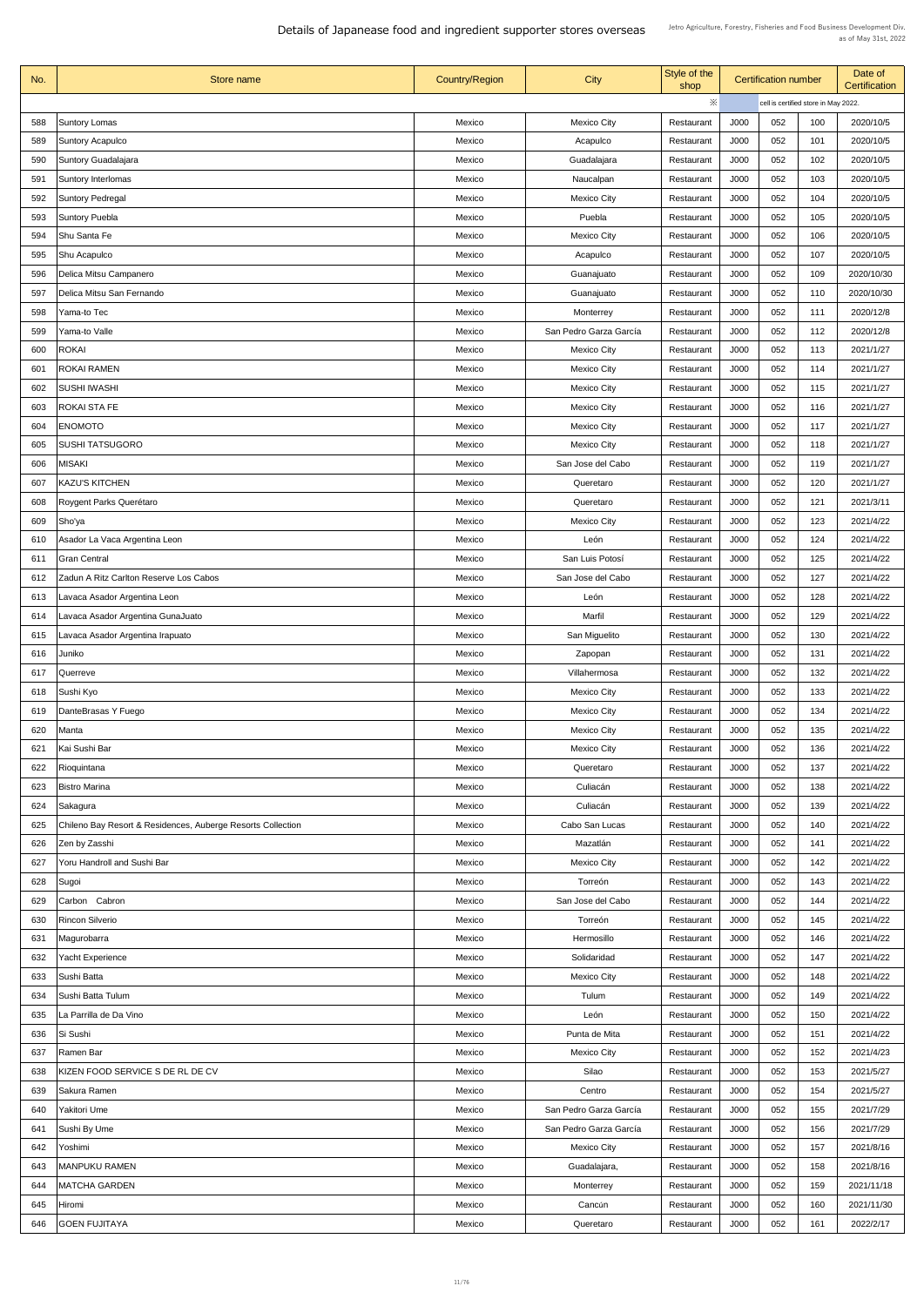| No. | Store name                                                  | <b>Country/Region</b> | <b>City</b>            | Style of the<br>shop |      | <b>Certification number</b> |                                      | Date of<br><b>Certification</b> |  |
|-----|-------------------------------------------------------------|-----------------------|------------------------|----------------------|------|-----------------------------|--------------------------------------|---------------------------------|--|
|     |                                                             |                       |                        | $\ddot{\times}$      |      |                             | cell is certified store in May 2022. |                                 |  |
| 588 | <b>Suntory Lomas</b>                                        | Mexico                | <b>Mexico City</b>     | Restaurant           | J000 | 052                         | 100                                  | 2020/10/5                       |  |
| 589 | <b>Suntory Acapulco</b>                                     | Mexico                | Acapulco               | Restaurant           | J000 | 052                         | 101                                  | 2020/10/5                       |  |
| 590 | Suntory Guadalajara                                         | Mexico                | Guadalajara            | Restaurant           | J000 | 052                         | 102                                  | 2020/10/5                       |  |
| 591 | <b>Suntory Interlomas</b>                                   | Mexico                | Naucalpan              | Restaurant           | J000 | 052                         | 103                                  | 2020/10/5                       |  |
| 592 | <b>Suntory Pedregal</b>                                     | Mexico                | <b>Mexico City</b>     | Restaurant           | J000 | 052                         | 104                                  | 2020/10/5                       |  |
| 593 | <b>Suntory Puebla</b>                                       | Mexico                | Puebla                 | Restaurant           | J000 | 052                         | 105                                  | 2020/10/5                       |  |
| 594 | Shu Santa Fe                                                | Mexico                | <b>Mexico City</b>     | Restaurant           | J000 | 052                         | 106                                  | 2020/10/5                       |  |
| 595 | <b>Shu Acapulco</b>                                         | Mexico                | Acapulco               | Restaurant           | J000 | 052                         | 107                                  | 2020/10/5                       |  |
| 596 | Delica Mitsu Campanero                                      | Mexico                | Guanajuato             | Restaurant           | J000 | 052                         | 109                                  | 2020/10/30                      |  |
| 597 | Delica Mitsu San Fernando                                   | Mexico                | Guanajuato             | Restaurant           | J000 | 052                         | 110                                  | 2020/10/30                      |  |
| 598 | Yama-to Tec                                                 | Mexico                | Monterrey              | Restaurant           | J000 | 052                         | 111                                  | 2020/12/8                       |  |
| 599 | Yama-to Valle                                               | Mexico                | San Pedro Garza García | Restaurant           | J000 | 052                         | 112                                  | 2020/12/8                       |  |
| 600 | <b>ROKAI</b>                                                | Mexico                | <b>Mexico City</b>     | Restaurant           | J000 | 052                         | 113                                  | 2021/1/27                       |  |
| 601 | <b>ROKAI RAMEN</b>                                          | Mexico                | <b>Mexico City</b>     | Restaurant           | J000 | 052                         | 114                                  | 2021/1/27                       |  |
| 602 | <b>SUSHI IWASHI</b>                                         | Mexico                | <b>Mexico City</b>     |                      | J000 | 052                         | 115                                  | 2021/1/27                       |  |
|     |                                                             |                       |                        | Restaurant           |      | 052                         | 116                                  | 2021/1/27                       |  |
| 603 | <b>ROKAI STA FE</b>                                         | Mexico                | <b>Mexico City</b>     | Restaurant           | J000 |                             |                                      |                                 |  |
| 604 | <b>ENOMOTO</b>                                              | Mexico                | <b>Mexico City</b>     | Restaurant           | J000 | 052                         | 117                                  | 2021/1/27                       |  |
| 605 | <b>SUSHI TATSUGORO</b>                                      | Mexico                | <b>Mexico City</b>     | Restaurant           | J000 | 052                         | 118                                  | 2021/1/27                       |  |
| 606 | VISAKI                                                      | Mexico                | San Jose del Cabo      | Restaurant           | J000 | 052                         | 119                                  | 2021/1/27                       |  |
| 607 | <b>KAZU'S KITCHEN</b>                                       | Mexico                | Queretaro              | Restaurant           | J000 | 052                         | 120                                  | 2021/1/27                       |  |
| 608 | Roygent Parks Querétaro                                     | Mexico                | Queretaro              | Restaurant           | J000 | 052                         | 121                                  | 2021/3/11                       |  |
| 609 | Sho'ya                                                      | Mexico                | <b>Mexico City</b>     | Restaurant           | J000 | 052                         | 123                                  | 2021/4/22                       |  |
| 610 | Asador La Vaca Argentina Leon                               | Mexico                | León                   | Restaurant           | J000 | 052                         | 124                                  | 2021/4/22                       |  |
| 611 | <b>Gran Central</b>                                         | Mexico                | San Luis Potosí        | Restaurant           | J000 | 052                         | 125                                  | 2021/4/22                       |  |
| 612 | Zadun A Ritz Carlton Reserve Los Cabos                      | Mexico                | San Jose del Cabo      | Restaurant           | J000 | 052                         | 127                                  | 2021/4/22                       |  |
| 613 | Lavaca Asador Argentina Leon                                | Mexico                | León                   | Restaurant           | J000 | 052                         | 128                                  | 2021/4/22                       |  |
| 614 | Lavaca Asador Argentina GunaJuato                           | Mexico                | Marfil                 | Restaurant           | J000 | 052                         | 129                                  | 2021/4/22                       |  |
| 615 | Lavaca Asador Argentina Irapuato                            | Mexico                | San Miguelito          | Restaurant           | J000 | 052                         | 130                                  | 2021/4/22                       |  |
| 616 | Juniko                                                      | Mexico                | Zapopan                | Restaurant           | J000 | 052                         | 131                                  | 2021/4/22                       |  |
| 617 | Querreve                                                    | Mexico                | Villahermosa           | Restaurant           | J000 | 052                         | 132                                  | 2021/4/22                       |  |
| 618 | Sushi Kyo                                                   | Mexico                | <b>Mexico City</b>     | Restaurant           | J000 | 052                         | 133                                  | 2021/4/22                       |  |
| 619 | DanteBrasas Y Fuego                                         | Mexico                | <b>Mexico City</b>     | Restaurant           | J000 | 052                         | 134                                  | 2021/4/22                       |  |
| 620 | Manta                                                       | Mexico                | <b>Mexico City</b>     | Restaurant           | J000 | 052                         | 135                                  | 2021/4/22                       |  |
| 621 | Kai Sushi Bar                                               | Mexico                | <b>Mexico City</b>     | Restaurant           | J000 | 052                         | 136                                  | 2021/4/22                       |  |
| 622 | Rioquintana                                                 | Mexico                | Queretaro              | Restaurant           | J000 | 052                         | 137                                  | 2021/4/22                       |  |
| 623 | <b>Bistro Marina</b>                                        | Mexico                | Culiacán               | Restaurant           | J000 | 052                         | 138                                  | 2021/4/22                       |  |
| 624 | Sakagura                                                    | Mexico                | Culiacán               | Restaurant           | J000 | 052                         | 139                                  | 2021/4/22                       |  |
| 625 | Chileno Bay Resort & Residences, Auberge Resorts Collection | Mexico                | Cabo San Lucas         | Restaurant           | J000 | 052                         | 140                                  | 2021/4/22                       |  |
| 626 | Zen by Zasshi                                               | Mexico                | Mazatlán               | Restaurant           | J000 | 052                         | 141                                  | 2021/4/22                       |  |
| 627 | <b>Yoru Handroll and Sushi Bar</b>                          | Mexico                | <b>Mexico City</b>     | Restaurant           | J000 | 052                         | 142                                  | 2021/4/22                       |  |
| 628 | Sugoi                                                       | Mexico                | Torreón                | Restaurant           | J000 | 052                         | 143                                  | 2021/4/22                       |  |
| 629 | Carbon Cabron                                               | Mexico                | San Jose del Cabo      | Restaurant           | J000 | 052                         | 144                                  | 2021/4/22                       |  |
| 630 | <b>Rincon Silverio</b>                                      | Mexico                | Torreón                | Restaurant           | J000 | 052                         | 145                                  | 2021/4/22                       |  |
| 631 | Magurobarra                                                 | Mexico                | Hermosillo             | Restaurant           | J000 | 052                         | 146                                  | 2021/4/22                       |  |
| 632 | <b>Yacht Experience</b>                                     | Mexico                | Solidaridad            | Restaurant           | J000 | 052                         | 147                                  | 2021/4/22                       |  |
| 633 | Sushi Batta                                                 | Mexico                | <b>Mexico City</b>     | Restaurant           | J000 | 052                         | 148                                  | 2021/4/22                       |  |
| 634 | Sushi Batta Tulum                                           | Mexico                | Tulum                  | Restaurant           | J000 | 052                         | 149                                  | 2021/4/22                       |  |
| 635 | La Parrilla de Da Vino                                      | Mexico                | León                   | Restaurant           | J000 | 052                         | 150                                  | 2021/4/22                       |  |
| 636 | Si Sushi                                                    | Mexico                | Punta de Mita          | Restaurant           | J000 | 052                         | 151                                  | 2021/4/22                       |  |
| 637 | Ramen Bar                                                   | Mexico                | <b>Mexico City</b>     | Restaurant           | J000 | 052                         | 152                                  | 2021/4/23                       |  |
| 638 | KIZEN FOOD SERVICE S DE RL DE CV                            | Mexico                | Silao                  | Restaurant           | J000 | 052                         | 153                                  | 2021/5/27                       |  |
| 639 | Sakura Ramen                                                | Mexico                | Centro                 | Restaurant           | J000 | 052                         | 154                                  | 2021/5/27                       |  |
| 640 | Yakitori Ume                                                | Mexico                | San Pedro Garza García | Restaurant           | J000 | 052                         | 155                                  | 2021/7/29                       |  |
| 641 | Sushi By Ume                                                | Mexico                | San Pedro Garza García | Restaurant           | J000 | 052                         | 156                                  | 2021/7/29                       |  |
| 642 | Yoshimi                                                     | Mexico                | <b>Mexico City</b>     | Restaurant           | J000 | 052                         | 157                                  | 2021/8/16                       |  |
| 643 | <b>MANPUKU RAMEN</b>                                        | Mexico                | Guadalajara,           | Restaurant           | J000 | 052                         | 158                                  | 2021/8/16                       |  |
| 644 | <b>MATCHA GARDEN</b>                                        | Mexico                | Monterrey              | Restaurant           | J000 | 052                         | 159                                  | 2021/11/18                      |  |
| 645 | Hiromi                                                      | Mexico                | Cancún                 | Restaurant           | J000 | 052                         | 160                                  | 2021/11/30                      |  |
| 646 | <b>GOEN FUJITAYA</b>                                        | Mexico                | Queretaro              | Restaurant           | J000 | 052                         | 161                                  | 2022/2/17                       |  |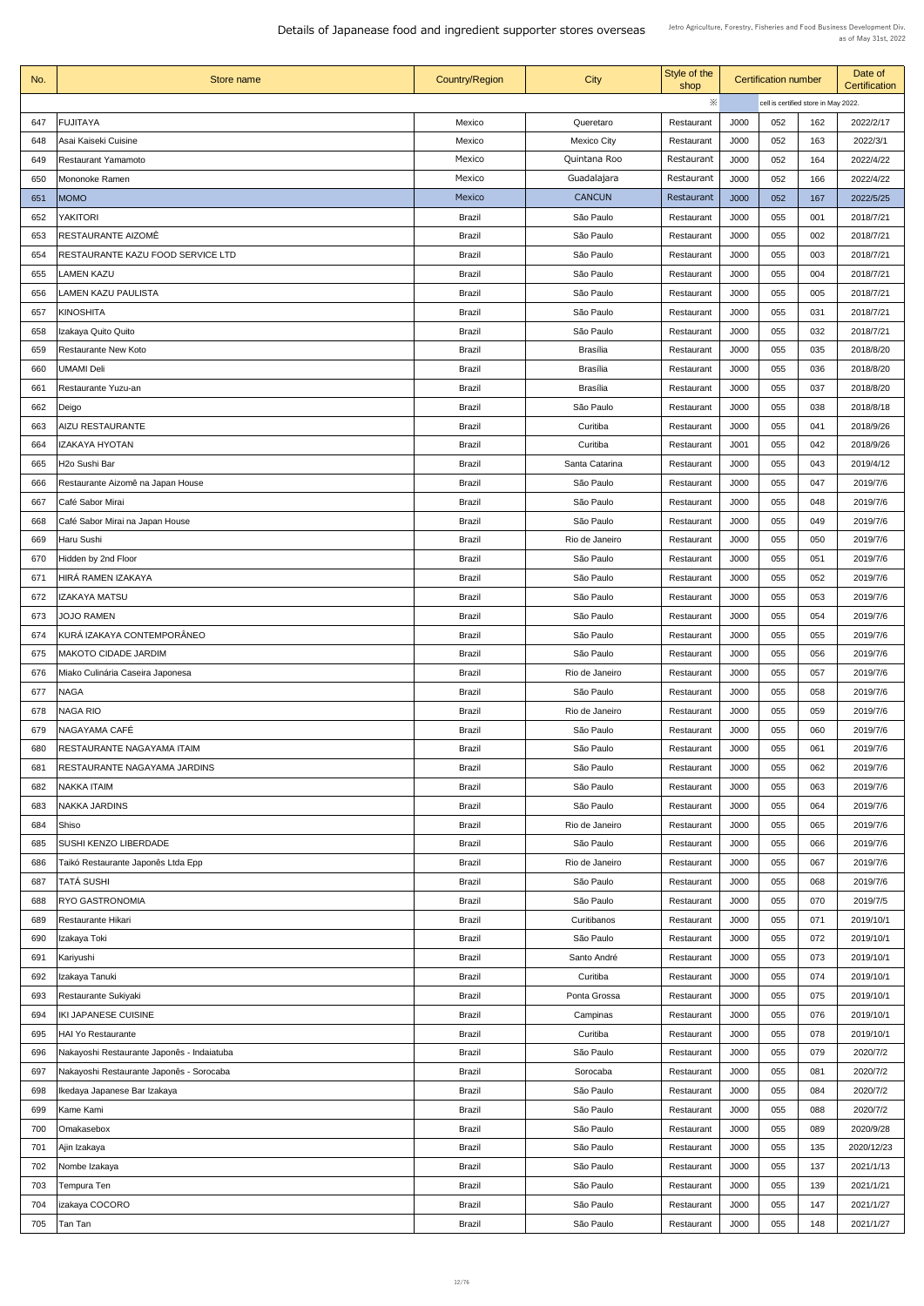| No.        | Store name                                                     | <b>Country/Region</b>          | City                        | Style of the<br>shop     |              | <b>Certification number</b> |                                      | Date of<br><b>Certification</b> |
|------------|----------------------------------------------------------------|--------------------------------|-----------------------------|--------------------------|--------------|-----------------------------|--------------------------------------|---------------------------------|
|            |                                                                |                                |                             | $\ddot{\times}$          |              |                             | cell is certified store in May 2022. |                                 |
| 647        | <b>FUJITAYA</b>                                                | Mexico                         | Queretaro                   | Restaurant               | J000         | 052                         | 162                                  | 2022/2/17                       |
| 648        | Asai Kaiseki Cuisine                                           | Mexico                         | <b>Mexico City</b>          | Restaurant               | J000         | 052                         | 163                                  | 2022/3/1                        |
| 649        | <b>Restaurant Yamamoto</b>                                     | Mexico                         | Quintana Roo                | Restaurant               | J000         | 052                         | 164                                  | 2022/4/22                       |
| 650        | Mononoke Ramen                                                 | Mexico                         | Guadalajara                 | Restaurant               | J000         | 052                         | 166                                  | 2022/4/22                       |
| 651        | <b>MOMO</b>                                                    | Mexico                         | <b>CANCUN</b>               | Restaurant               | J000         | 052                         | 167                                  | 2022/5/25                       |
| 652        | <b>YAKITORI</b>                                                | <b>Brazil</b>                  | São Paulo                   | Restaurant               | J000         | 055                         | 001                                  | 2018/7/21                       |
| 653        | <b>RESTAURANTE AIZOMÊ</b>                                      | <b>Brazil</b>                  | São Paulo                   | Restaurant               | J000         | 055                         | 002                                  | 2018/7/21                       |
| 654        | <b>RESTAURANTE KAZU FOOD SERVICE LTD</b>                       | <b>Brazil</b>                  | São Paulo                   | Restaurant               | J000         | 055                         | 003                                  | 2018/7/21                       |
| 655        | <b>LAMEN KAZU</b>                                              | <b>Brazil</b>                  | São Paulo                   | Restaurant               | J000         | 055                         | 004                                  | 2018/7/21                       |
| 656        | <b>LAMEN KAZU PAULISTA</b>                                     | <b>Brazil</b>                  | São Paulo                   | Restaurant               | J000         | 055                         | 005                                  | 2018/7/21                       |
| 657        | KINOSHITA                                                      | <b>Brazil</b>                  | São Paulo                   | Restaurant               | J000         | 055                         | 031                                  | 2018/7/21                       |
| 658        | Izakaya Quito Quito                                            | <b>Brazil</b>                  | São Paulo                   | Restaurant               | J000         | 055                         | 032                                  | 2018/7/21                       |
| 659        | <b>Restaurante New Koto</b>                                    | <b>Brazil</b>                  | <b>Brasília</b>             | Restaurant               | J000         | 055                         | 035                                  | 2018/8/20                       |
| 660        | UMAMI Deli                                                     | <b>Brazil</b>                  | <b>Brasília</b>             | Restaurant               | J000         | 055                         | 036                                  | 2018/8/20                       |
| 661        | Restaurante Yuzu-an                                            | <b>Brazil</b>                  | <b>Brasília</b>             | Restaurant               | J000         | 055                         | 037                                  | 2018/8/20                       |
| 662        | Deigo                                                          | <b>Brazil</b>                  | São Paulo                   | Restaurant               | J000         | 055                         | 038                                  | 2018/8/18                       |
| 663        | <b>AIZU RESTAURANTE</b>                                        | <b>Brazil</b>                  | Curitiba                    | Restaurant               | J000         | 055                         | 041                                  | 2018/9/26                       |
| 664        | <b>IZAKAYA HYOTAN</b>                                          | <b>Brazil</b>                  | Curitiba                    | Restaurant               | J001         | 055                         | 042                                  | 2018/9/26                       |
|            |                                                                |                                |                             |                          |              | 055                         |                                      |                                 |
| 665<br>666 | H <sub>20</sub> Sushi Bar<br>Restaurante Aizomê na Japan House | <b>Brazil</b><br><b>Brazil</b> | Santa Catarina<br>São Paulo | Restaurant<br>Restaurant | J000<br>J000 | 055                         | 043<br>047                           | 2019/4/12<br>2019/7/6           |
| 667        | Café Sabor Mirai                                               | <b>Brazil</b>                  | São Paulo                   |                          | J000         | 055                         | 048                                  | 2019/7/6                        |
|            |                                                                |                                |                             | Restaurant               |              |                             |                                      |                                 |
| 668        | Café Sabor Mirai na Japan House                                | <b>Brazil</b>                  | São Paulo                   | Restaurant               | J000         | 055                         | 049                                  | 2019/7/6                        |
| 669        | Haru Sushi                                                     | <b>Brazil</b>                  | Rio de Janeiro              | Restaurant               | J000         | 055                         | 050                                  | 2019/7/6                        |
| 670        | Hidden by 2nd Floor                                            | <b>Brazil</b>                  | São Paulo                   | Restaurant               | J000         | 055                         | 051                                  | 2019/7/6                        |
| 671        | HIRÁ RAMEN IZAKAYA                                             | <b>Brazil</b>                  | São Paulo                   | Restaurant               | J000         | 055                         | 052                                  | 2019/7/6                        |
| 672        | <b>IZAKAYA MATSU</b>                                           | <b>Brazil</b>                  | São Paulo                   | Restaurant               | J000         | 055                         | 053                                  | 2019/7/6                        |
| 673        | <b>JOJO RAMEN</b>                                              | <b>Brazil</b>                  | São Paulo                   | Restaurant               | J000         | 055                         | 054                                  | 2019/7/6                        |
| 674        | KURÁ IZAKAYA CONTEMPORÂNEO                                     | <b>Brazil</b>                  | São Paulo                   | Restaurant               | J000         | 055                         | 055                                  | 2019/7/6                        |
| 675        | <b>IMAKOTO CIDADE JARDIM</b>                                   | <b>Brazil</b>                  | São Paulo                   | Restaurant               | J000         | 055                         | 056                                  | 2019/7/6                        |
| 676        | Miako Culinária Caseira Japonesa                               | <b>Brazil</b>                  | Rio de Janeiro              | Restaurant               | J000         | 055                         | 057                                  | 2019/7/6                        |
| 677        | <b>NAGA</b>                                                    | <b>Brazil</b>                  | São Paulo                   | Restaurant               | J000         | 055                         | 058                                  | 2019/7/6                        |
| 678        | NAGA RIO                                                       | <b>Brazil</b>                  | Rio de Janeiro              | Restaurant               | J000         | 055                         | 059                                  | 2019/7/6                        |
| 679        | NAGAYAMA CAFÉ                                                  | <b>Brazil</b>                  | São Paulo                   | Restaurant               | J000         | 055                         | 060                                  | 2019/7/6                        |
| 680        | <b>RESTAURANTE NAGAYAMA ITAIM</b>                              | <b>Brazil</b>                  | São Paulo                   | Restaurant               | J000         | 055                         | 061                                  | 2019/7/6                        |
| 681        | <b>RESTAURANTE NAGAYAMA JARDINS</b>                            | <b>Brazil</b>                  | São Paulo                   | Restaurant               | J000         | 055                         | 062                                  | 2019/7/6                        |
| 682        | NAKKA ITAIM                                                    | <b>Brazil</b>                  | São Paulo                   | Restaurant               | J000         | 055                         | 063                                  | 2019/7/6                        |
| 683        | NAKKA JARDINS                                                  | <b>Brazil</b>                  | São Paulo                   | Restaurant               | J000         | 055                         | 064                                  | 2019/7/6                        |
| 684        | Shiso                                                          | <b>Brazil</b>                  | Rio de Janeiro              | Restaurant               | J000         | 055                         | 065                                  | 2019/7/6                        |
| 685        | <b>SUSHI KENZO LIBERDADE</b>                                   | <b>Brazil</b>                  | São Paulo                   | Restaurant               | J000         | 055                         | 066                                  | 2019/7/6                        |
| 686        | Taikó Restaurante Japonês Ltda Epp                             | <b>Brazil</b>                  | Rio de Janeiro              | Restaurant               | J000         | 055                         | 067                                  | 2019/7/6                        |
| 687        | TATÁ SUSHI                                                     | <b>Brazil</b>                  | São Paulo                   | Restaurant               | J000         | 055                         | 068                                  | 2019/7/6                        |
| 688        | <b>RYO GASTRONOMIA</b>                                         | <b>Brazil</b>                  | São Paulo                   | Restaurant               | J000         | 055                         | 070                                  | 2019/7/5                        |
| 689        | <b>Restaurante Hikari</b>                                      | <b>Brazil</b>                  | Curitibanos                 | Restaurant               | J000         | 055                         | 071                                  | 2019/10/1                       |
| 690        | Izakaya Toki                                                   | <b>Brazil</b>                  | São Paulo                   | Restaurant               | J000         | 055                         | 072                                  | 2019/10/1                       |
| 691        | Kariyushi                                                      | <b>Brazil</b>                  | Santo André                 | Restaurant               | J000         | 055                         | 073                                  | 2019/10/1                       |
| 692        | Izakaya Tanuki                                                 | <b>Brazil</b>                  | Curitiba                    | Restaurant               | J000         | 055                         | 074                                  | 2019/10/1                       |
| 693        | <b>Restaurante Sukiyaki</b>                                    | <b>Brazil</b>                  | Ponta Grossa                | Restaurant               | J000         | 055                         | 075                                  | 2019/10/1                       |
| 694        | <b>IKI JAPANESE CUISINE</b>                                    | <b>Brazil</b>                  | Campinas                    | Restaurant               | J000         | 055                         | 076                                  | 2019/10/1                       |
| 695        | <b>HAI Yo Restaurante</b>                                      | <b>Brazil</b>                  | Curitiba                    | Restaurant               | J000         | 055                         | 078                                  | 2019/10/1                       |
| 696        | Nakayoshi Restaurante Japonês - Indaiatuba                     | <b>Brazil</b>                  | São Paulo                   | Restaurant               | J000         | 055                         | 079                                  | 2020/7/2                        |
| 697        | Nakayoshi Restaurante Japonês - Sorocaba                       | <b>Brazil</b>                  | Sorocaba                    | Restaurant               | J000         | 055                         | 081                                  | 2020/7/2                        |
| 698        | Ikedaya Japanese Bar Izakaya                                   | <b>Brazil</b>                  | São Paulo                   | Restaurant               | J000         | 055                         | 084                                  | 2020/7/2                        |
| 699        | Kame Kami                                                      | <b>Brazil</b>                  | São Paulo                   | Restaurant               | J000         | 055                         | 088                                  | 2020/7/2                        |
| 700        | <b>Omakasebox</b>                                              | <b>Brazil</b>                  | São Paulo                   | Restaurant               | J000         | 055                         | 089                                  | 2020/9/28                       |
| 701        | Ajin Izakaya                                                   | <b>Brazil</b>                  | São Paulo                   | Restaurant               | J000         | 055                         | 135                                  | 2020/12/23                      |
| 702        | Nombe Izakaya                                                  | <b>Brazil</b>                  | São Paulo                   | Restaurant               | J000         | 055                         | 137                                  | 2021/1/13                       |
| 703        | Tempura Ten                                                    | <b>Brazil</b>                  | São Paulo                   | Restaurant               | J000         | 055                         | 139                                  | 2021/1/21                       |
| 704        | izakaya COCORO                                                 | <b>Brazil</b>                  | São Paulo                   | Restaurant               | J000         | 055                         | 147                                  | 2021/1/27                       |
| 705        | Tan Tan                                                        | <b>Brazil</b>                  | São Paulo                   | Restaurant               | J000         | 055                         | 148                                  | 2021/1/27                       |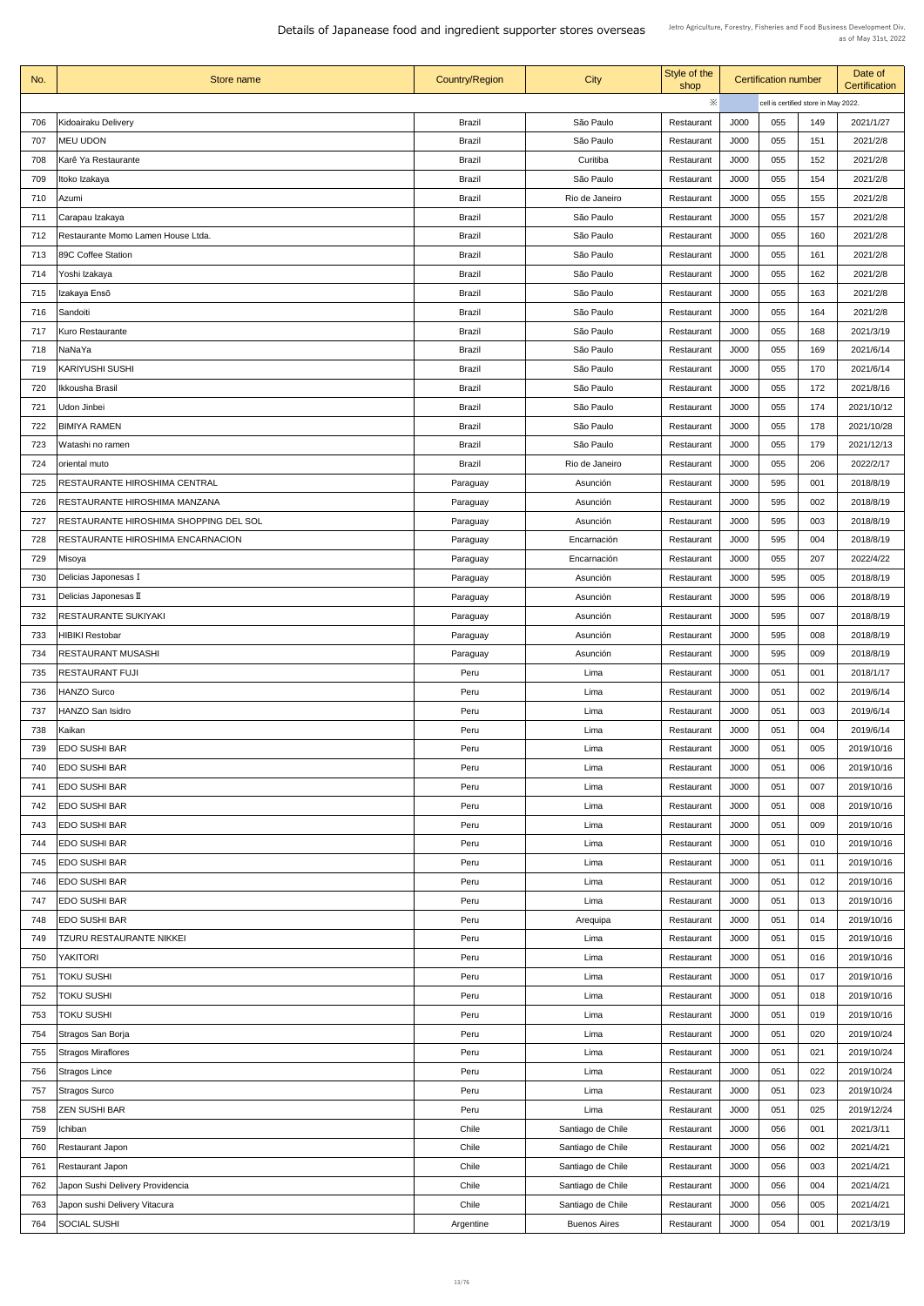| No. | Store name                             | <b>Country/Region</b> | City                | Style of the<br>shop |             | <b>Certification number</b> |                                      | Date of<br><b>Certification</b> |
|-----|----------------------------------------|-----------------------|---------------------|----------------------|-------------|-----------------------------|--------------------------------------|---------------------------------|
|     |                                        |                       |                     | ※                    |             |                             | cell is certified store in May 2022. |                                 |
| 706 | Kidoairaku Delivery                    | <b>Brazil</b>         | São Paulo           | Restaurant           | J000        | 055                         | 149                                  | 2021/1/27                       |
| 707 | <b>MEU UDON</b>                        | <b>Brazil</b>         | São Paulo           | Restaurant           | J000        | 055                         | 151                                  | 2021/2/8                        |
| 708 | Karê Ya Restaurante                    | <b>Brazil</b>         | Curitiba            | Restaurant           | J000        | 055                         | 152                                  | 2021/2/8                        |
| 709 | Itoko Izakaya                          | <b>Brazil</b>         | São Paulo           | Restaurant           | J000        | 055                         | 154                                  | 2021/2/8                        |
| 710 | Azumi                                  | <b>Brazil</b>         | Rio de Janeiro      | Restaurant           | J000        | 055                         | 155                                  | 2021/2/8                        |
| 711 | Carapau Izakaya                        | <b>Brazil</b>         | São Paulo           | Restaurant           | J000        | 055                         | 157                                  | 2021/2/8                        |
| 712 | Restaurante Momo Lamen House Ltda.     | <b>Brazil</b>         | São Paulo           | Restaurant           | J000        | 055                         | 160                                  | 2021/2/8                        |
| 713 | 89C Coffee Station                     | <b>Brazil</b>         | São Paulo           | Restaurant           | J000        | 055                         | 161                                  | 2021/2/8                        |
| 714 | Yoshi Izakaya                          | <b>Brazil</b>         | São Paulo           | Restaurant           | J000        | 055                         | 162                                  | 2021/2/8                        |
| 715 | Izakaya Ensō                           | <b>Brazil</b>         | São Paulo           | Restaurant           | J000        | 055                         | 163                                  | 2021/2/8                        |
| 716 | Sandoiti                               | <b>Brazil</b>         | São Paulo           | Restaurant           | J000        | 055                         | 164                                  | 2021/2/8                        |
| 717 | Kuro Restaurante                       | <b>Brazil</b>         | São Paulo           | Restaurant           | J000        | 055                         | 168                                  | 2021/3/19                       |
| 718 | NaNaYa                                 | <b>Brazil</b>         | São Paulo           | Restaurant           | J000        | 055                         | 169                                  | 2021/6/14                       |
| 719 | <b>KARIYUSHI SUSHI</b>                 | <b>Brazil</b>         | São Paulo           | Restaurant           | J000        | 055                         | 170                                  | 2021/6/14                       |
| 720 | Ikkousha Brasil                        | <b>Brazil</b>         | São Paulo           | Restaurant           | J000        | 055                         | 172                                  | 2021/8/16                       |
| 721 | Udon Jinbei                            | <b>Brazil</b>         | São Paulo           | Restaurant           | J000        | 055                         | 174                                  | 2021/10/12                      |
| 722 | <b>BIMIYA RAMEN</b>                    | <b>Brazil</b>         | São Paulo           | Restaurant           | J000        | 055                         | 178                                  | 2021/10/28                      |
| 723 | Watashi no ramen                       | <b>Brazil</b>         | São Paulo           | Restaurant           | J000        | 055                         | 179                                  | 2021/12/13                      |
| 724 | oriental muto                          | <b>Brazil</b>         | Rio de Janeiro      | Restaurant           | J000        | 055                         | 206                                  | 2022/2/17                       |
| 725 | RESTAURANTE HIROSHIMA CENTRAL          | Paraguay              | Asunción            | Restaurant           | J000        | 595                         | 001                                  | 2018/8/19                       |
| 726 | RESTAURANTE HIROSHIMA MANZANA          | Paraguay              | Asunción            | Restaurant           | J000        | 595                         | 002                                  | 2018/8/19                       |
| 727 | RESTAURANTE HIROSHIMA SHOPPING DEL SOL |                       | Asunción            | Restaurant           | J000        | 595                         | 003                                  | 2018/8/19                       |
|     | RESTAURANTE HIROSHIMA ENCARNACION      | Paraguay              |                     |                      | J000        | 595                         | 004                                  | 2018/8/19                       |
| 728 |                                        | Paraguay              | Encarnación         | Restaurant           |             |                             |                                      |                                 |
| 729 | Misoya                                 | Paraguay              | Encarnación         | Restaurant           | J000        | 055                         | 207                                  | 2022/4/22                       |
| 730 | Delicias Japonesas I                   | Paraguay              | Asunción            | Restaurant           | J000        | 595                         | 005                                  | 2018/8/19                       |
| 731 | Delicias Japonesas II                  | Paraguay              | Asunción            | Restaurant           | J000        | 595                         | 006                                  | 2018/8/19                       |
| 732 | <b>RESTAURANTE SUKIYAKI</b>            | Paraguay              | Asunción            | Restaurant           | J000        | 595                         | 007                                  | 2018/8/19                       |
| 733 | <b>HIBIKI Restobar</b>                 | Paraguay              | Asunción            | Restaurant           | J000        | 595                         | 008                                  | 2018/8/19                       |
| 734 | <b>RESTAURANT MUSASHI</b>              | Paraguay              | Asunción            | Restaurant           | J000        | 595                         | 009                                  | 2018/8/19                       |
| 735 | <b>RESTAURANT FUJI</b>                 | Peru                  | Lima                | Restaurant           | J000        | 051                         | 001                                  | 2018/1/17                       |
| 736 | <b>HANZO Surco</b>                     | Peru                  | Lima                | Restaurant           | J000        | 051                         | 002                                  | 2019/6/14                       |
| 737 | <b>HANZO San Isidro</b>                | Peru                  | Lima                | Restaurant           | J000        | 051                         | 003                                  | 2019/6/14                       |
| 738 | Kaikan                                 | Peru                  | Lima                | Restaurant           | J000        | 051                         | 004                                  | 2019/6/14                       |
| 739 | <b>EDO SUSHI BAR</b>                   | Peru                  | Lima                | Restaurant           | J000        | 051                         | 005                                  | 2019/10/16                      |
| 740 | <b>EDO SUSHI BAR</b>                   | Peru                  | Lima                | Restaurant           | J000        | 051                         | 006                                  | 2019/10/16                      |
| 741 | <b>EDO SUSHI BAR</b>                   | Peru                  | Lima                | Restaurant           | J000        | 051                         | 007                                  | 2019/10/16                      |
| 742 | <b>EDO SUSHI BAR</b>                   | Peru                  | Lima                | Restaurant           | J000        | 051                         | 008                                  | 2019/10/16                      |
| 743 | <b>EDO SUSHI BAR</b>                   | Peru                  | Lima                | Restaurant           | J000        | 051                         | 009                                  | 2019/10/16                      |
| 744 | <b>EDO SUSHI BAR</b>                   | Peru                  | Lima                | Restaurant           | J000        | 051                         | 010                                  | 2019/10/16                      |
| 745 | <b>EDO SUSHI BAR</b>                   | Peru                  | Lima                | Restaurant           | J000        | 051                         | 011                                  | 2019/10/16                      |
| 746 | <b>EDO SUSHI BAR</b>                   | Peru                  | Lima                | Restaurant           | J000        | 051                         | 012                                  | 2019/10/16                      |
| 747 | <b>EDO SUSHI BAR</b>                   | Peru                  | Lima                | Restaurant           | J000        | 051                         | 013                                  | 2019/10/16                      |
| 748 | <b>EDO SUSHI BAR</b>                   | Peru                  | Arequipa            | Restaurant           | J000        | 051                         | 014                                  | 2019/10/16                      |
| 749 | <b>TZURU RESTAURANTE NIKKEI</b>        | Peru                  | Lima                | Restaurant           | <b>J000</b> | 051                         | 015                                  | 2019/10/16                      |
| 750 | <b>YAKITORI</b>                        | Peru                  | Lima                | Restaurant           | J000        | 051                         | 016                                  | 2019/10/16                      |
| 751 | <b>TOKU SUSHI</b>                      | Peru                  | Lima                | Restaurant           | J000        | 051                         | 017                                  | 2019/10/16                      |
| 752 | <b>TOKU SUSHI</b>                      | Peru                  | Lima                | Restaurant           | J000        | 051                         | 018                                  | 2019/10/16                      |
| 753 | <b>TOKU SUSHI</b>                      | Peru                  | Lima                | Restaurant           | J000        | 051                         | 019                                  | 2019/10/16                      |
| 754 | Stragos San Borja                      | Peru                  | Lima                | Restaurant           | J000        | 051                         | 020                                  | 2019/10/24                      |
| 755 | <b>Stragos Miraflores</b>              | Peru                  | Lima                | Restaurant           | J000        | 051                         | 021                                  | 2019/10/24                      |
| 756 | <b>Stragos Lince</b>                   | Peru                  | Lima                | Restaurant           | J000        | 051                         | 022                                  | 2019/10/24                      |
| 757 | <b>Stragos Surco</b>                   | Peru                  | Lima                | Restaurant           | J000        | 051                         | 023                                  | 2019/10/24                      |
| 758 | <b>ZEN SUSHI BAR</b>                   | Peru                  | Lima                | Restaurant           | J000        | 051                         | 025                                  | 2019/12/24                      |
| 759 | Ichiban                                | Chile                 | Santiago de Chile   | Restaurant           | J000        | 056                         | 001                                  | 2021/3/11                       |
| 760 | <b>Restaurant Japon</b>                | Chile                 | Santiago de Chile   | Restaurant           | J000        | 056                         | 002                                  | 2021/4/21                       |
| 761 | <b>Restaurant Japon</b>                | Chile                 | Santiago de Chile   | Restaurant           | J000        | 056                         | 003                                  | 2021/4/21                       |
| 762 | Japon Sushi Delivery Providencia       | Chile                 | Santiago de Chile   | Restaurant           | J000        | 056                         | 004                                  | 2021/4/21                       |
| 763 | Japon sushi Delivery Vitacura          | Chile                 | Santiago de Chile   | Restaurant           | J000        | 056                         | 005                                  | 2021/4/21                       |
| 764 | <b>SOCIAL SUSHI</b>                    | Argentine             | <b>Buenos Aires</b> | Restaurant           | J000        | 054                         | 001                                  | 2021/3/19                       |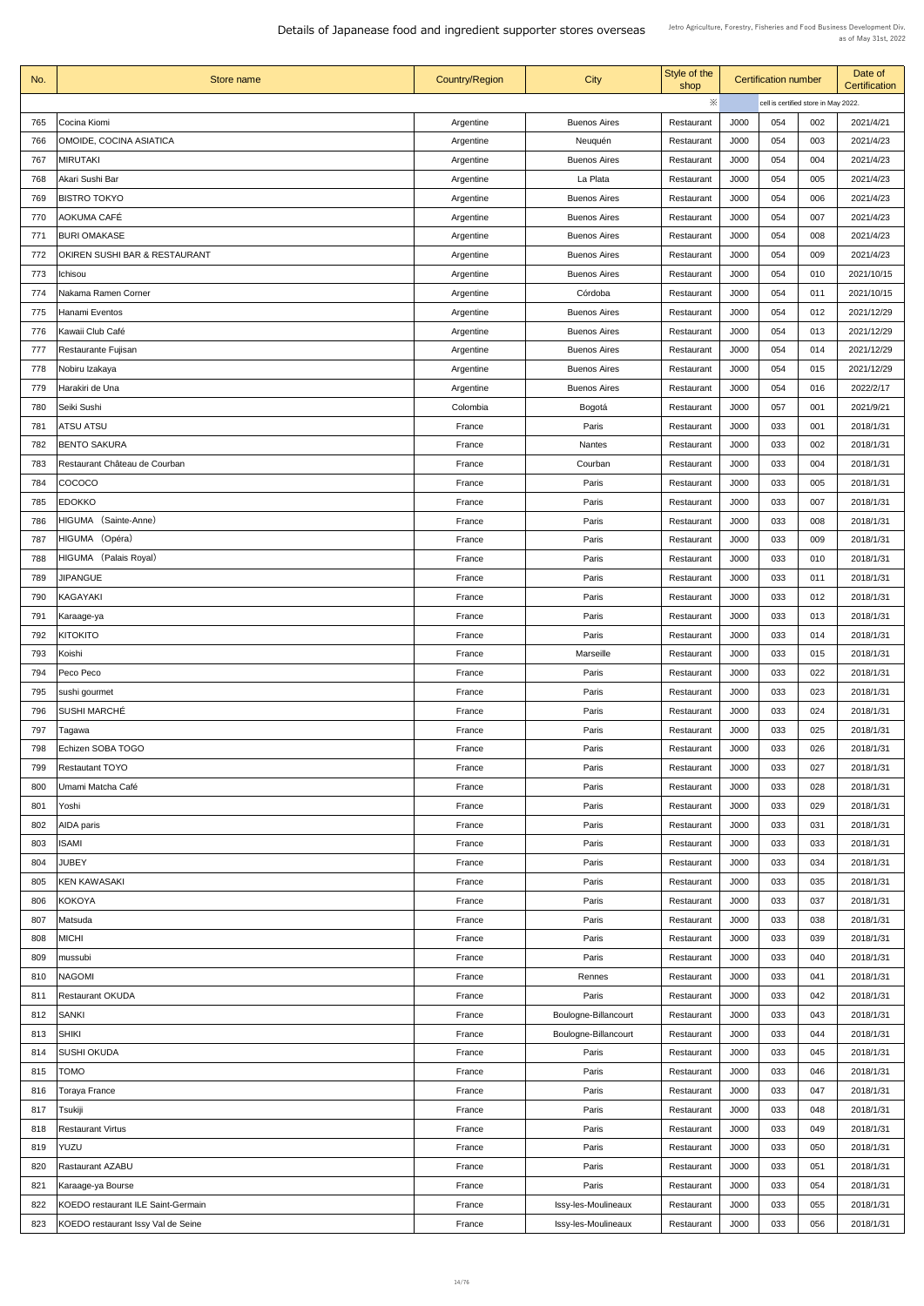| No. | Store name                                | <b>Country/Region</b> | <b>City</b>          | Style of the<br>shop     | <b>Certification number</b> |                                      |     | Date of<br>Certification |
|-----|-------------------------------------------|-----------------------|----------------------|--------------------------|-----------------------------|--------------------------------------|-----|--------------------------|
|     |                                           |                       |                      | ※                        |                             | cell is certified store in May 2022. |     |                          |
| 765 | Cocina Kiomi                              | Argentine             | <b>Buenos Aires</b>  | Restaurant               | <b>J000</b>                 | 054                                  | 002 | 2021/4/21                |
| 766 | <b>OMOIDE, COCINA ASIATICA</b>            | Argentine             | Neuquén              | Restaurant               | J000                        | 054                                  | 003 | 2021/4/23                |
| 767 | <b>MIRUTAKI</b>                           | Argentine             | <b>Buenos Aires</b>  | Restaurant               | J000                        | 054                                  | 004 | 2021/4/23                |
| 768 | Akari Sushi Bar                           | Argentine             | La Plata             | Restaurant               | J000                        | 054                                  | 005 | 2021/4/23                |
| 769 | <b>BISTRO TOKYO</b>                       | Argentine             | <b>Buenos Aires</b>  | Restaurant               | J000                        | 054                                  | 006 | 2021/4/23                |
| 770 | AOKUMA CAFÉ                               | Argentine             | <b>Buenos Aires</b>  | Restaurant               | J000                        | 054                                  | 007 | 2021/4/23                |
| 771 | <b>BURI OMAKASE</b>                       | Argentine             | <b>Buenos Aires</b>  | Restaurant               | <b>J000</b>                 | 054                                  | 008 | 2021/4/23                |
| 772 | <b>OKIREN SUSHI BAR &amp; RESTAURANT</b>  | Argentine             | <b>Buenos Aires</b>  | Restaurant               | J000                        | 054                                  | 009 | 2021/4/23                |
| 773 | Ichisou                                   | Argentine             | <b>Buenos Aires</b>  | Restaurant               | <b>J000</b>                 | 054                                  | 010 | 2021/10/15               |
| 774 | Nakama Ramen Corner                       | Argentine             | Córdoba              | Restaurant               | J000                        | 054                                  | 011 | 2021/10/15               |
| 775 | Hanami Eventos                            | Argentine             | <b>Buenos Aires</b>  | Restaurant               | J000                        | 054                                  | 012 | 2021/12/29               |
| 776 | Kawaii Club Café                          | Argentine             | <b>Buenos Aires</b>  | Restaurant               | <b>J000</b>                 | 054                                  | 013 | 2021/12/29               |
| 777 | Restaurante Fujisan                       | Argentine             | <b>Buenos Aires</b>  | Restaurant               | <b>J000</b>                 | 054                                  | 014 | 2021/12/29               |
| 778 | Nobiru Izakaya                            | Argentine             | <b>Buenos Aires</b>  | Restaurant               | J000                        | 054                                  | 015 | 2021/12/29               |
| 779 | Harakiri de Una                           | Argentine             | <b>Buenos Aires</b>  | Restaurant               | J000                        | 054                                  | 016 | 2022/2/17                |
| 780 | Seiki Sushi                               | Colombia              | Bogotá               | Restaurant               | J000                        | 057                                  | 001 | 2021/9/21                |
| 781 | <b>ATSU ATSU</b>                          | France                | Paris                | Restaurant               | J000                        | 033                                  | 001 | 2018/1/31                |
| 782 | <b>BENTO SAKURA</b>                       | France                | <b>Nantes</b>        | Restaurant               | J000                        | 033                                  | 002 | 2018/1/31                |
| 783 | Restaurant Château de Courban             | France                | Courban              |                          | J000                        | 033                                  | 004 | 2018/1/31                |
| 784 | <b>COCOCO</b>                             | France                | Paris                | Restaurant<br>Restaurant | J000                        | 033                                  | 005 | 2018/1/31                |
| 785 | <b>EDOKKO</b>                             | France                | Paris                | Restaurant               | J000                        | 033                                  | 007 | 2018/1/31                |
| 786 | HIGUMA (Sainte-Anne)                      | France                | Paris                |                          | J000                        | 033                                  | 008 | 2018/1/31                |
|     | HIGUMA (Opéra)                            |                       |                      | Restaurant               |                             |                                      |     |                          |
| 787 | HIGUMA (Palais Royal)                     | France                | Paris                | Restaurant               | J000                        | 033                                  | 009 | 2018/1/31                |
| 788 |                                           | France                | Paris                | Restaurant               | J000                        | 033                                  | 010 | 2018/1/31                |
| 789 | <b>JIPANGUE</b>                           | France                | Paris                | Restaurant               | J000                        | 033                                  | 011 | 2018/1/31                |
| 790 | KAGAYAKI                                  | France                | Paris                | Restaurant               | J000                        | 033                                  | 012 | 2018/1/31                |
| 791 | Karaage-ya                                | France                | Paris                | Restaurant               | J000                        | 033                                  | 013 | 2018/1/31                |
| 792 | <b>KITOKITO</b>                           | France                | Paris                | Restaurant               | <b>J000</b>                 | 033                                  | 014 | 2018/1/31                |
| 793 | Koishi                                    | France                | Marseille            | Restaurant               | J000                        | 033                                  | 015 | 2018/1/31                |
| 794 | Peco Peco                                 | France                | Paris                | Restaurant               | J000                        | 033                                  | 022 | 2018/1/31                |
| 795 | sushi gourmet                             | France                | Paris                | Restaurant               | J000                        | 033                                  | 023 | 2018/1/31                |
| 796 | <b>SUSHI MARCHÉ</b>                       | France                | Paris                | Restaurant               | J000                        | 033                                  | 024 | 2018/1/31                |
| 797 | Tagawa                                    | France                | Paris                | Restaurant               | J000                        | 033                                  | 025 | 2018/1/31                |
| 798 | Echizen SOBA TOGO                         | France                | Paris                | Restaurant               | J000                        | 033                                  | 026 | 2018/1/31                |
| 799 | <b>Restautant TOYO</b>                    | France                | Paris                | Restaurant               | J000                        | 033                                  | 027 | 2018/1/31                |
| 800 | Umami Matcha Café                         | France                | Paris                | Restaurant               | J000                        | 033                                  | 028 | 2018/1/31                |
| 801 | Yoshi                                     | France                | Paris                | Restaurant               | J000                        | 033                                  | 029 | 2018/1/31                |
| 802 | <b>AIDA</b> paris                         | France                | Paris                | Restaurant               | J000                        | 033                                  | 031 | 2018/1/31                |
| 803 | <b>ISAMI</b>                              | France                | Paris                | Restaurant               | J000                        | 033                                  | 033 | 2018/1/31                |
| 804 | <b>JUBEY</b>                              | France                | Paris                | Restaurant               | J000                        | 033                                  | 034 | 2018/1/31                |
| 805 | <b>KEN KAWASAKI</b>                       | France                | Paris                | Restaurant               | J000                        | 033                                  | 035 | 2018/1/31                |
|     | 806 KOKOYA                                | France                | Paris                | Restaurant               | J000                        | 033                                  | 037 | 2018/1/31                |
| 807 | Matsuda                                   | France                | Paris                | Restaurant               | J000                        | 033                                  | 038 | 2018/1/31                |
| 808 | <b>MICHI</b>                              | France                | Paris                | Restaurant               | J000                        | 033                                  | 039 | 2018/1/31                |
| 809 | mussubi                                   | France                | Paris                | Restaurant               | J000                        | 033                                  | 040 | 2018/1/31                |
| 810 | <b>NAGOMI</b>                             | France                | Rennes               | Restaurant               | J000                        | 033                                  | 041 | 2018/1/31                |
| 811 | <b>Restaurant OKUDA</b>                   | France                | Paris                | Restaurant               | J000                        | 033                                  | 042 | 2018/1/31                |
| 812 | <b>SANKI</b>                              | France                | Boulogne-Billancourt | Restaurant               | J000                        | 033                                  | 043 | 2018/1/31                |
| 813 | <b>SHIKI</b>                              | France                | Boulogne-Billancourt | Restaurant               | J000                        | 033                                  | 044 | 2018/1/31                |
| 814 | <b>SUSHI OKUDA</b>                        | France                | Paris                | Restaurant               | J000                        | 033                                  | 045 | 2018/1/31                |
| 815 | <b>TOMO</b>                               | France                | Paris                | Restaurant               | <b>J000</b>                 | 033                                  | 046 | 2018/1/31                |
| 816 | Toraya France                             | France                | Paris                | Restaurant               | J000                        | 033                                  | 047 | 2018/1/31                |
| 817 | Tsukiji                                   | France                | Paris                | Restaurant               | J000                        | 033                                  | 048 | 2018/1/31                |
| 818 | <b>Restaurant Virtus</b>                  | France                | Paris                | Restaurant               | J000                        | 033                                  | 049 | 2018/1/31                |
| 819 | YUZU                                      | France                | Paris                | Restaurant               | J000                        | 033                                  | 050 | 2018/1/31                |
| 820 | <b>Rastaurant AZABU</b>                   | France                | Paris                | Restaurant               | J000                        | 033                                  | 051 | 2018/1/31                |
| 821 | Karaage-ya Bourse                         | France                | Paris                | Restaurant               | J000                        | 033                                  | 054 | 2018/1/31                |
| 822 | <b>KOEDO restaurant ILE Saint-Germain</b> | France                | Issy-les-Moulineaux  | Restaurant               | J000                        | 033                                  | 055 | 2018/1/31                |
| 823 | KOEDO restaurant Issy Val de Seine        | France                | Issy-les-Moulineaux  | Restaurant               | J000                        | 033                                  | 056 | 2018/1/31                |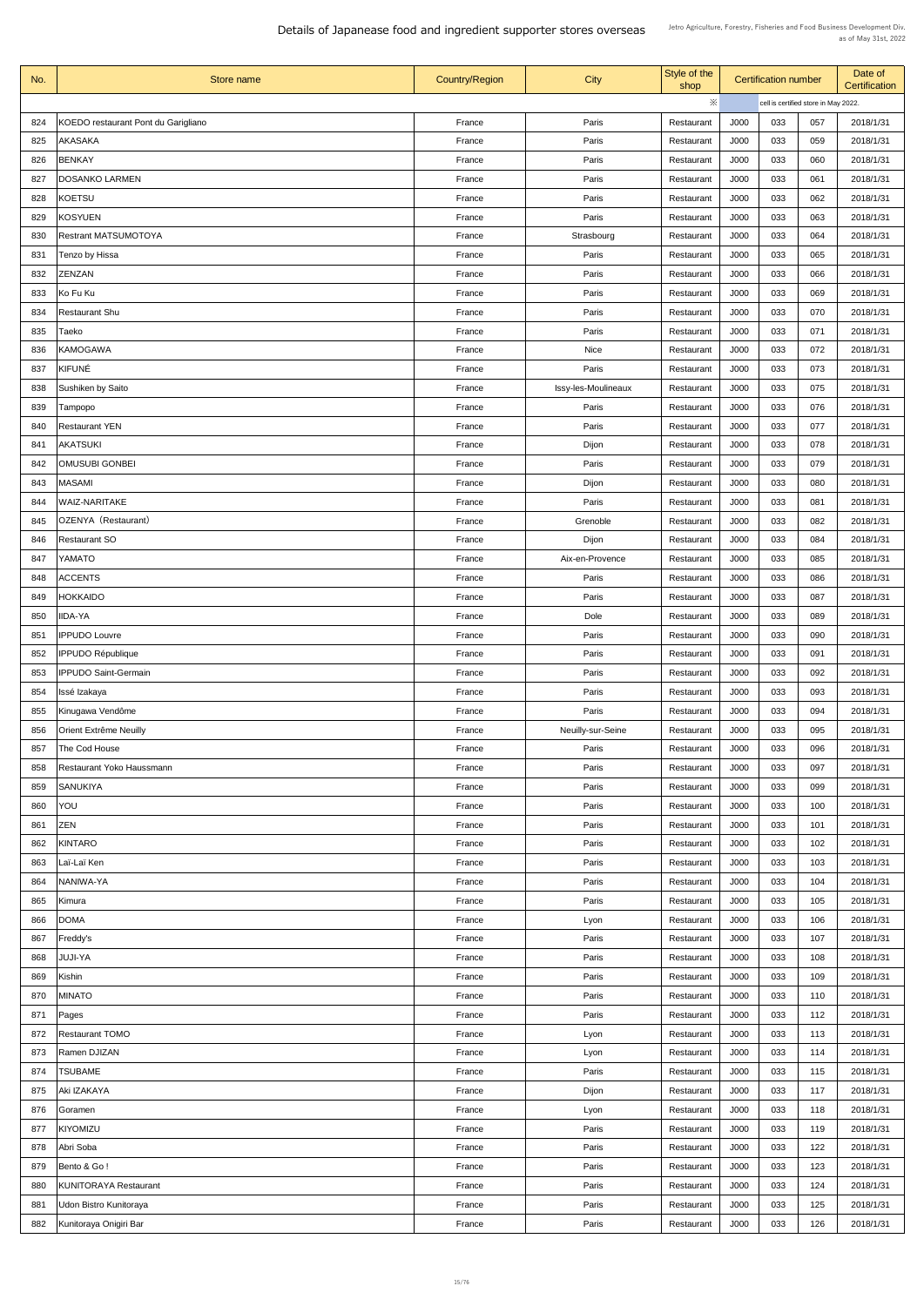| No. | Store name                          | <b>Country/Region</b> | <b>City</b>         | Style of the<br>shop |      | <b>Certification number</b> |                                      | Date of<br><b>Certification</b> |
|-----|-------------------------------------|-----------------------|---------------------|----------------------|------|-----------------------------|--------------------------------------|---------------------------------|
|     |                                     |                       |                     | ※                    |      |                             | cell is certified store in May 2022. |                                 |
| 824 | KOEDO restaurant Pont du Garigliano | France                | Paris               | Restaurant           | J000 | 033                         | 057                                  | 2018/1/31                       |
| 825 | <b>AKASAKA</b>                      | France                | Paris               | Restaurant           | J000 | 033                         | 059                                  | 2018/1/31                       |
| 826 | <b>BENKAY</b>                       | France                | Paris               | Restaurant           | J000 | 033                         | 060                                  | 2018/1/31                       |
| 827 | <b>DOSANKO LARMEN</b>               | France                | Paris               | Restaurant           | J000 | 033                         | 061                                  | 2018/1/31                       |
| 828 | KOETSU                              | France                | Paris               | Restaurant           | J000 | 033                         | 062                                  | 2018/1/31                       |
| 829 | <b>KOSYUEN</b>                      | France                | Paris               | Restaurant           | J000 | 033                         | 063                                  | 2018/1/31                       |
| 830 | <b>Restrant MATSUMOTOYA</b>         | France                | Strasbourg          | Restaurant           | J000 | 033                         | 064                                  | 2018/1/31                       |
| 831 | Tenzo by Hissa                      | France                | Paris               | Restaurant           | J000 | 033                         | 065                                  | 2018/1/31                       |
| 832 | <b>ZENZAN</b>                       | France                | Paris               | Restaurant           | J000 | 033                         | 066                                  | 2018/1/31                       |
| 833 | Ko Fu Ku                            | France                | Paris               | Restaurant           | J000 | 033                         | 069                                  | 2018/1/31                       |
| 834 | <b>Restaurant Shu</b>               | France                | Paris               | Restaurant           | J000 | 033                         | 070                                  | 2018/1/31                       |
| 835 | Taeko                               | France                | Paris               | Restaurant           | J000 | 033                         | 071                                  | 2018/1/31                       |
| 836 | <b>KAMOGAWA</b>                     | France                | Nice                | Restaurant           | J000 | 033                         | 072                                  | 2018/1/31                       |
| 837 | KIFUNÉ                              | France                | Paris               | Restaurant           | J000 | 033                         | 073                                  | 2018/1/31                       |
| 838 | <b>Sushiken by Saito</b>            | France                |                     |                      | J000 | 033                         | 075                                  | 2018/1/31                       |
|     |                                     |                       | Issy-les-Moulineaux | Restaurant           |      |                             |                                      |                                 |
| 839 | Tampopo                             | France                | Paris               | Restaurant           | J000 | 033                         | 076                                  | 2018/1/31                       |
| 840 | <b>Restaurant YEN</b>               | France                | Paris               | Restaurant           | J000 | 033                         | 077                                  | 2018/1/31                       |
| 841 | <b>AKATSUKI</b>                     | France                | Dijon               | Restaurant           | J000 | 033                         | 078                                  | 2018/1/31                       |
| 842 | <b>OMUSUBI GONBEI</b>               | France                | Paris               | Restaurant           | J000 | 033                         | 079                                  | 2018/1/31                       |
| 843 | <b>MASAMI</b>                       | France                | Dijon               | Restaurant           | J000 | 033                         | 080                                  | 2018/1/31                       |
| 844 | <b>WAIZ-NARITAKE</b>                | France                | Paris               | Restaurant           | J000 | 033                         | 081                                  | 2018/1/31                       |
| 845 | OZENYA (Restaurant)                 | France                | Grenoble            | Restaurant           | J000 | 033                         | 082                                  | 2018/1/31                       |
| 846 | <b>Restaurant SO</b>                | France                | Dijon               | Restaurant           | J000 | 033                         | 084                                  | 2018/1/31                       |
| 847 | YAMATO                              | France                | Aix-en-Provence     | Restaurant           | J000 | 033                         | 085                                  | 2018/1/31                       |
| 848 | <b>ACCENTS</b>                      | France                | Paris               | Restaurant           | J000 | 033                         | 086                                  | 2018/1/31                       |
| 849 | <b>HOKKAIDO</b>                     | France                | Paris               | Restaurant           | J000 | 033                         | 087                                  | 2018/1/31                       |
| 850 | <b>IIDA-YA</b>                      | France                | Dole                | Restaurant           | J000 | 033                         | 089                                  | 2018/1/31                       |
| 851 | <b>IPPUDO Louvre</b>                | France                | Paris               | Restaurant           | J000 | 033                         | 090                                  | 2018/1/31                       |
| 852 | <b>IPPUDO République</b>            | France                | Paris               | Restaurant           | J000 | 033                         | 091                                  | 2018/1/31                       |
| 853 | <b>IPPUDO Saint-Germain</b>         | France                | Paris               | Restaurant           | J000 | 033                         | 092                                  | 2018/1/31                       |
| 854 | Issé Izakaya                        | France                | Paris               | Restaurant           | J000 | 033                         | 093                                  | 2018/1/31                       |
| 855 | Kinugawa Vendôme                    | France                | Paris               | Restaurant           | J000 | 033                         | 094                                  | 2018/1/31                       |
| 856 | <b>Orient Extrême Neuilly</b>       | France                | Neuilly-sur-Seine   | Restaurant           | J000 | 033                         | 095                                  | 2018/1/31                       |
| 857 | The Cod House                       | France                | Paris               | Restaurant           | J000 | 033                         | 096                                  | 2018/1/31                       |
| 858 | <b>Restaurant Yoko Haussmann</b>    | France                | Paris               | Restaurant           | J000 | 033                         | 097                                  | 2018/1/31                       |
| 859 | <b>SANUKIYA</b>                     | France                | Paris               | Restaurant           | J000 | 033                         | 099                                  | 2018/1/31                       |
| 860 | YOU                                 | France                | Paris               | Restaurant           | J000 | 033                         | 100                                  | 2018/1/31                       |
| 861 | <b>ZEN</b>                          | France                | Paris               | Restaurant           | J000 | 033                         | 101                                  | 2018/1/31                       |
| 862 | <b>KINTARO</b>                      | France                | Paris               | Restaurant           | J000 | 033                         | 102                                  | 2018/1/31                       |
| 863 | Laï-Laï Ken                         | France                | Paris               | Restaurant           | J000 | 033                         | 103                                  | 2018/1/31                       |
| 864 | NANIWA-YA                           | France                | Paris               | Restaurant           | J000 | 033                         | 104                                  | 2018/1/31                       |
| 865 | Kimura                              | France                | Paris               | Restaurant           | J000 | 033                         | 105                                  | 2018/1/31                       |
| 866 | <b>DOMA</b>                         | France                | Lyon                | Restaurant           | J000 | 033                         | 106                                  | 2018/1/31                       |
| 867 | Freddy's                            | France                | Paris               | Restaurant           | J000 | 033                         | 107                                  | 2018/1/31                       |
| 868 | JUJI-YA                             | France                | Paris               | Restaurant           | J000 | 033                         | 108                                  | 2018/1/31                       |
| 869 | Kishin                              | France                | Paris               | Restaurant           | J000 | 033                         | 109                                  | 2018/1/31                       |
| 870 | <b>MINATO</b>                       | France                | Paris               | Restaurant           | J000 | 033                         | 110                                  | 2018/1/31                       |
| 871 | Pages                               | France                | Paris               | Restaurant           | J000 | 033                         | 112                                  | 2018/1/31                       |
| 872 | <b>Restaurant TOMO</b>              | France                | Lyon                | Restaurant           | J000 | 033                         | 113                                  | 2018/1/31                       |
| 873 | Ramen DJIZAN                        | France                | Lyon                | Restaurant           | J000 | 033                         | 114                                  | 2018/1/31                       |
| 874 | <b>TSUBAME</b>                      | France                | Paris               | Restaurant           | J000 | 033                         | 115                                  | 2018/1/31                       |
| 875 | Aki IZAKAYA                         | France                | Dijon               | Restaurant           | J000 | 033                         | 117                                  | 2018/1/31                       |
| 876 |                                     | France                |                     |                      | J000 | 033                         | 118                                  | 2018/1/31                       |
|     | Goramen                             |                       | Lyon                | Restaurant           |      |                             |                                      |                                 |
| 877 | <b>KIYOMIZU</b>                     | France                | Paris               | Restaurant           | J000 | 033                         | 119                                  | 2018/1/31                       |
| 878 | Abri Soba                           | France                | Paris               | Restaurant           | J000 | 033                         | 122                                  | 2018/1/31                       |
| 879 | Bento & Go!                         | France                | Paris               | Restaurant           | J000 | 033                         | 123                                  | 2018/1/31                       |
| 880 | <b>KUNITORAYA Restaurant</b>        | France                | Paris               | Restaurant           | J000 | 033                         | 124                                  | 2018/1/31                       |
| 881 | Udon Bistro Kunitoraya              | France                | Paris               | Restaurant           | J000 | 033                         | 125                                  | 2018/1/31                       |
| 882 | Kunitoraya Onigiri Bar              | France                | Paris               | Restaurant           | J000 | 033                         | 126                                  | 2018/1/31                       |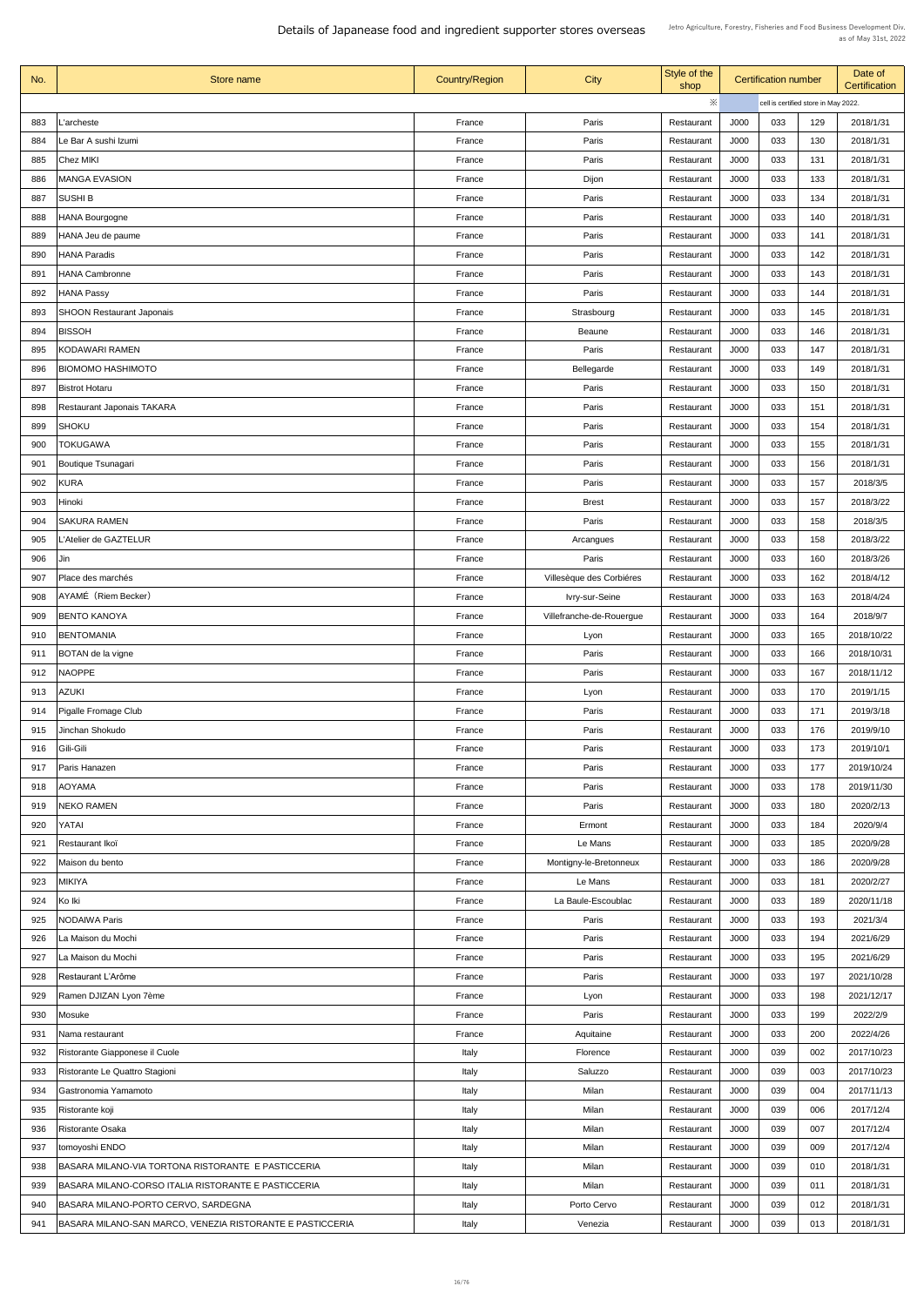| No. | Store name                                                | <b>Country/Region</b> | <b>City</b>              | Style of the<br>shop | <b>Certification number</b>          |     |     | Date of<br><b>Certification</b> |  |
|-----|-----------------------------------------------------------|-----------------------|--------------------------|----------------------|--------------------------------------|-----|-----|---------------------------------|--|
|     |                                                           |                       |                          | $\ddot{\times}$      | cell is certified store in May 2022. |     |     |                                 |  |
| 883 | L'archeste                                                | France                | Paris                    | Restaurant           | J000                                 | 033 | 129 | 2018/1/31                       |  |
| 884 | Le Bar A sushi Izumi                                      | France                | Paris                    | Restaurant           | J000                                 | 033 | 130 | 2018/1/31                       |  |
| 885 | Chez MIKI                                                 | France                | Paris                    | Restaurant           | J000                                 | 033 | 131 | 2018/1/31                       |  |
| 886 | <b>MANGA EVASION</b>                                      | France                | Dijon                    | Restaurant           | J000                                 | 033 | 133 | 2018/1/31                       |  |
| 887 | <b>SUSHI B</b>                                            | France                | Paris                    | Restaurant           | J000                                 | 033 | 134 | 2018/1/31                       |  |
| 888 | HANA Bourgogne                                            | France                | Paris                    | Restaurant           | J000                                 | 033 | 140 | 2018/1/31                       |  |
| 889 | HANA Jeu de paume                                         | France                | Paris                    | Restaurant           | J000                                 | 033 | 141 | 2018/1/31                       |  |
| 890 | HANA Paradis                                              | France                | Paris                    | Restaurant           | J000                                 | 033 | 142 | 2018/1/31                       |  |
| 891 | <b>HANA Cambronne</b>                                     | France                | Paris                    | Restaurant           | J000                                 | 033 | 143 | 2018/1/31                       |  |
| 892 | <b>HANA Passy</b>                                         | France                | Paris                    | Restaurant           | J000                                 | 033 | 144 | 2018/1/31                       |  |
| 893 | <b>SHOON Restaurant Japonais</b>                          | France                | Strasbourg               | Restaurant           | J000                                 | 033 | 145 | 2018/1/31                       |  |
| 894 | <b>BISSOH</b>                                             | France                | <b>Beaune</b>            | Restaurant           | J000                                 | 033 | 146 | 2018/1/31                       |  |
| 895 | KODAWARI RAMEN                                            | France                | Paris                    | Restaurant           | J000                                 | 033 | 147 | 2018/1/31                       |  |
| 896 | <b>BIOMOMO HASHIMOTO</b>                                  | France                | Bellegarde               | Restaurant           | J000                                 | 033 | 149 | 2018/1/31                       |  |
| 897 | <b>Bistrot Hotaru</b>                                     | France                | Paris                    | Restaurant           | J000                                 | 033 | 150 | 2018/1/31                       |  |
| 898 | <b>Restaurant Japonais TAKARA</b>                         | France                | Paris                    |                      | J000                                 | 033 | 151 | 2018/1/31                       |  |
| 899 | SHOKU                                                     | France                | Paris                    | Restaurant           | J000                                 | 033 | 154 | 2018/1/31                       |  |
|     |                                                           |                       |                          | Restaurant           |                                      |     |     |                                 |  |
| 900 | <b>TOKUGAWA</b>                                           | France                | Paris                    | Restaurant           | J000                                 | 033 | 155 | 2018/1/31                       |  |
| 901 | <b>Boutique Tsunagari</b>                                 | France                | Paris                    | Restaurant           | J000                                 | 033 | 156 | 2018/1/31                       |  |
| 902 | <b>KURA</b>                                               | France                | Paris                    | Restaurant           | J000                                 | 033 | 157 | 2018/3/5                        |  |
| 903 | Hinoki                                                    | France                | <b>Brest</b>             | Restaurant           | J000                                 | 033 | 157 | 2018/3/22                       |  |
| 904 | <b>SAKURA RAMEN</b>                                       | France                | Paris                    | Restaurant           | J000                                 | 033 | 158 | 2018/3/5                        |  |
| 905 | L'Atelier de GAZTELUR                                     | France                | Arcangues                | Restaurant           | J000                                 | 033 | 158 | 2018/3/22                       |  |
| 906 | Jin                                                       | France                | Paris                    | Restaurant           | J000                                 | 033 | 160 | 2018/3/26                       |  |
| 907 | Place des marchés                                         | France                | Villesèque des Corbiéres | Restaurant           | J000                                 | 033 | 162 | 2018/4/12                       |  |
| 908 | AYAMÉ (Riem Becker)                                       | France                | <b>Ivry-sur-Seine</b>    | Restaurant           | J000                                 | 033 | 163 | 2018/4/24                       |  |
| 909 | <b>BENTO KANOYA</b>                                       | France                | Villefranche-de-Rouergue | Restaurant           | J000                                 | 033 | 164 | 2018/9/7                        |  |
| 910 | <b>BENTOMANIA</b>                                         | France                | Lyon                     | Restaurant           | J000                                 | 033 | 165 | 2018/10/22                      |  |
| 911 | <b>BOTAN de la vigne</b>                                  | France                | Paris                    | Restaurant           | J000                                 | 033 | 166 | 2018/10/31                      |  |
| 912 | <b>NAOPPE</b>                                             | France                | Paris                    | Restaurant           | J000                                 | 033 | 167 | 2018/11/12                      |  |
| 913 | <b>AZUKI</b>                                              | France                | Lyon                     | Restaurant           | J000                                 | 033 | 170 | 2019/1/15                       |  |
| 914 | <b>Pigalle Fromage Club</b>                               | France                | Paris                    | Restaurant           | J000                                 | 033 | 171 | 2019/3/18                       |  |
| 915 | Jinchan Shokudo                                           | France                | Paris                    | Restaurant           | J000                                 | 033 | 176 | 2019/9/10                       |  |
| 916 | Gili-Gili                                                 | France                | Paris                    | Restaurant           | J000                                 | 033 | 173 | 2019/10/1                       |  |
| 917 | Paris Hanazen                                             | France                | Paris                    | Restaurant           | J000                                 | 033 | 177 | 2019/10/24                      |  |
| 918 | <b>AOYAMA</b>                                             | France                | Paris                    | Restaurant           | J000                                 | 033 | 178 | 2019/11/30                      |  |
| 919 | <b>NEKO RAMEN</b>                                         | France                | Paris                    | Restaurant           | J000                                 | 033 | 180 | 2020/2/13                       |  |
| 920 | YATAI                                                     | France                | Ermont                   | Restaurant           | J000                                 | 033 | 184 | 2020/9/4                        |  |
| 921 | Restaurant Ikoï                                           | France                | Le Mans                  | Restaurant           | J000                                 | 033 | 185 | 2020/9/28                       |  |
| 922 | Maison du bento                                           | France                | Montigny-le-Bretonneux   | Restaurant           | J000                                 | 033 | 186 | 2020/9/28                       |  |
| 923 | <b>MIKIYA</b>                                             | France                | Le Mans                  | Restaurant           | J000                                 | 033 | 181 | 2020/2/27                       |  |
| 924 | Ko Iki                                                    | France                | La Baule-Escoublac       | Restaurant           | J000                                 | 033 | 189 | 2020/11/18                      |  |
| 925 | <b>NODAIWA Paris</b>                                      | France                | Paris                    | Restaurant           | J000                                 | 033 | 193 | 2021/3/4                        |  |
| 926 | La Maison du Mochi                                        | France                | Paris                    | Restaurant           | J000                                 | 033 | 194 | 2021/6/29                       |  |
| 927 | La Maison du Mochi                                        | France                | Paris                    | Restaurant           | J000                                 | 033 | 195 | 2021/6/29                       |  |
| 928 | Restaurant L'Arôme                                        | France                | Paris                    | Restaurant           | J000                                 | 033 | 197 | 2021/10/28                      |  |
| 929 | Ramen DJIZAN Lyon 7ème                                    | France                | Lyon                     | Restaurant           | J000                                 | 033 | 198 | 2021/12/17                      |  |
| 930 | Mosuke                                                    | France                | Paris                    | Restaurant           | J000                                 | 033 | 199 | 2022/2/9                        |  |
| 931 | Nama restaurant                                           | France                | Aquitaine                | Restaurant           | J000                                 | 033 | 200 | 2022/4/26                       |  |
| 932 | Ristorante Giapponese il Cuole                            | Italy                 | Florence                 | Restaurant           | J000                                 | 039 | 002 | 2017/10/23                      |  |
| 933 | Ristorante Le Quattro Stagioni                            | Italy                 | Saluzzo                  | Restaurant           | J000                                 | 039 | 003 | 2017/10/23                      |  |
| 934 | Gastronomia Yamamoto                                      | Italy                 | Milan                    | Restaurant           | J000                                 | 039 | 004 | 2017/11/13                      |  |
| 935 | Ristorante koji                                           | Italy                 | Milan                    | Restaurant           | J000                                 | 039 | 006 | 2017/12/4                       |  |
| 936 | <b>Ristorante Osaka</b>                                   | Italy                 | Milan                    | Restaurant           | J000                                 | 039 | 007 | 2017/12/4                       |  |
| 937 | tomoyoshi ENDO                                            | Italy                 | Milan                    | Restaurant           | J000                                 | 039 | 009 | 2017/12/4                       |  |
| 938 | BASARA MILANO-VIA TORTONA RISTORANTE E PASTICCERIA        | Italy                 | Milan                    | Restaurant           | J000                                 | 039 | 010 | 2018/1/31                       |  |
| 939 | BASARA MILANO-CORSO ITALIA RISTORANTE E PASTICCERIA       | Italy                 | Milan                    | Restaurant           | J000                                 | 039 | 011 | 2018/1/31                       |  |
| 940 | BASARA MILANO-PORTO CERVO, SARDEGNA                       | Italy                 | Porto Cervo              | Restaurant           | J000                                 | 039 | 012 | 2018/1/31                       |  |
| 941 | BASARA MILANO-SAN MARCO, VENEZIA RISTORANTE E PASTICCERIA | Italy                 | Venezia                  | Restaurant           | J000                                 | 039 | 013 | 2018/1/31                       |  |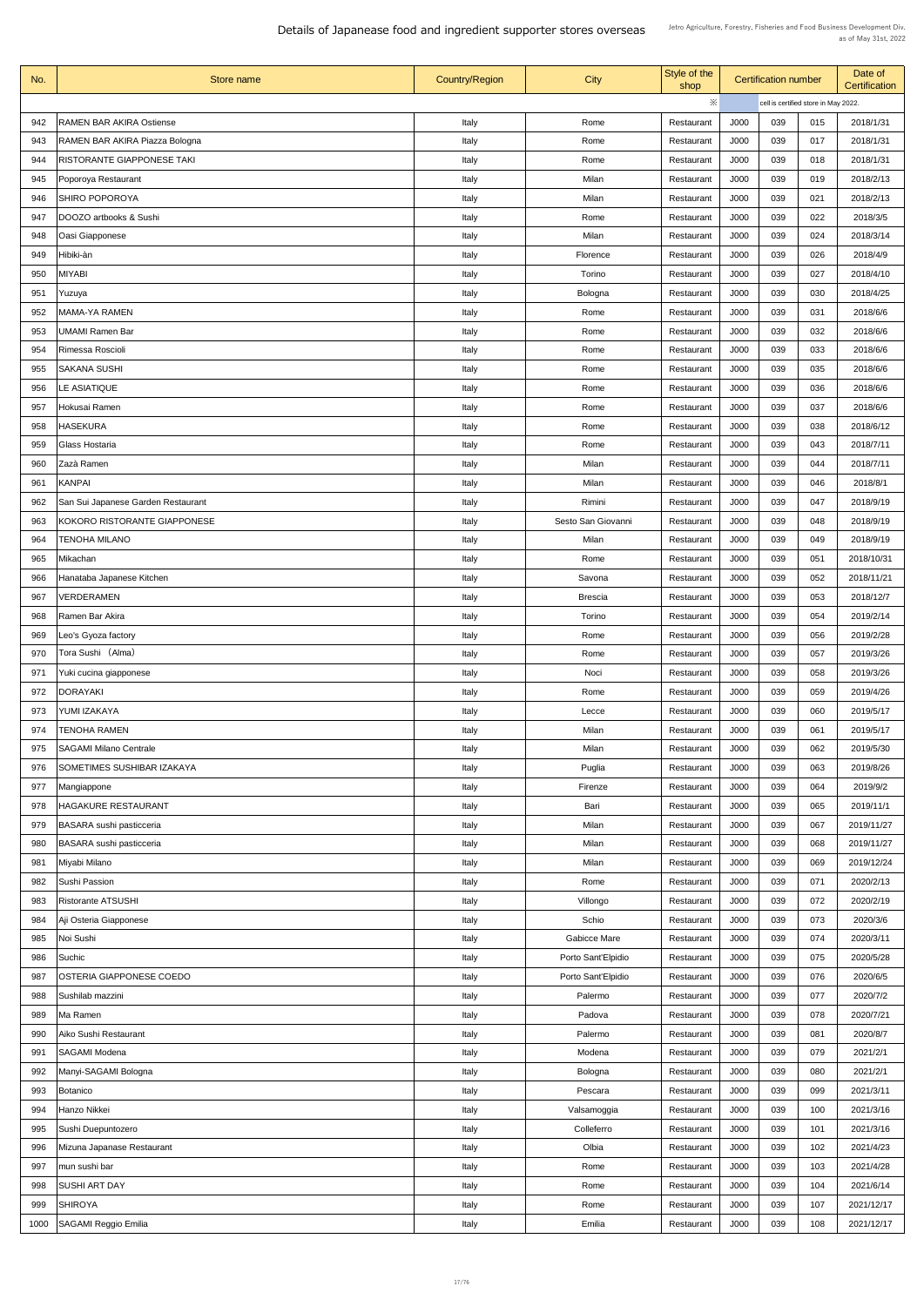| No.  | Store name                         | <b>Country/Region</b> | <b>City</b>         | Style of the<br>shop |      | <b>Certification number</b>          |     | Date of<br><b>Certification</b> |
|------|------------------------------------|-----------------------|---------------------|----------------------|------|--------------------------------------|-----|---------------------------------|
|      |                                    |                       |                     | ※                    |      | cell is certified store in May 2022. |     |                                 |
| 942  | <b>RAMEN BAR AKIRA Ostiense</b>    | Italy                 | Rome                | Restaurant           | J000 | 039                                  | 015 | 2018/1/31                       |
| 943  | RAMEN BAR AKIRA Piazza Bologna     | Italy                 | Rome                | Restaurant           | J000 | 039                                  | 017 | 2018/1/31                       |
| 944  | RISTORANTE GIAPPONESE TAKI         | Italy                 | Rome                | Restaurant           | J000 | 039                                  | 018 | 2018/1/31                       |
| 945  | Poporoya Restaurant                | Italy                 | Milan               | Restaurant           | J000 | 039                                  | 019 | 2018/2/13                       |
| 946  | <b>SHIRO POPOROYA</b>              | Italy                 | Milan               | Restaurant           | J000 | 039                                  | 021 | 2018/2/13                       |
| 947  | DOOZO artbooks & Sushi             | Italy                 | Rome                | Restaurant           | J000 | 039                                  | 022 | 2018/3/5                        |
| 948  | Oasi Giapponese                    | Italy                 | Milan               | Restaurant           | J000 | 039                                  | 024 | 2018/3/14                       |
| 949  | Hibiki-àn                          | Italy                 | Florence            | Restaurant           | J000 | 039                                  | 026 | 2018/4/9                        |
| 950  | <b>MIYABI</b>                      | Italy                 | Torino              | Restaurant           | J000 | 039                                  | 027 | 2018/4/10                       |
| 951  | Yuzuya                             | Italy                 | Bologna             | Restaurant           | J000 | 039                                  | 030 | 2018/4/25                       |
| 952  | <b>MAMA-YA RAMEN</b>               | Italy                 | Rome                | Restaurant           | J000 | 039                                  | 031 | 2018/6/6                        |
| 953  | UMAMI Ramen Bar                    | Italy                 | Rome                | Restaurant           | J000 | 039                                  | 032 | 2018/6/6                        |
| 954  | Rimessa Roscioli                   | Italy                 | Rome                | Restaurant           | J000 | 039                                  | 033 | 2018/6/6                        |
| 955  | <b>SAKANA SUSHI</b>                | Italy                 | Rome                | Restaurant           | J000 | 039                                  | 035 | 2018/6/6                        |
| 956  | LE ASIATIQUE                       | Italy                 | Rome                | Restaurant           | J000 | 039                                  | 036 | 2018/6/6                        |
| 957  | Hokusai Ramen                      | Italy                 | Rome                | Restaurant           | J000 | 039                                  | 037 | 2018/6/6                        |
| 958  | <b>HASEKURA</b>                    |                       | Rome                | Restaurant           | J000 | 039                                  | 038 | 2018/6/12                       |
| 959  | Glass Hostaria                     | Italy                 | Rome                |                      | J000 | 039                                  | 043 | 2018/7/11                       |
|      |                                    | Italy                 |                     | Restaurant           |      |                                      |     |                                 |
| 960  | Zazà Ramen                         | Italy                 | Milan               | Restaurant           | J000 | 039                                  | 044 | 2018/7/11                       |
| 961  | KANPAI                             | Italy                 | Milan               | Restaurant           | J000 | 039                                  | 046 | 2018/8/1                        |
| 962  | San Sui Japanese Garden Restaurant | Italy                 | Rimini              | Restaurant           | J000 | 039                                  | 047 | 2018/9/19                       |
| 963  | KOKORO RISTORANTE GIAPPONESE       | Italy                 | Sesto San Giovanni  | Restaurant           | J000 | 039                                  | 048 | 2018/9/19                       |
| 964  | <b>TENOHA MILANO</b>               | Italy                 | Milan               | Restaurant           | J000 | 039                                  | 049 | 2018/9/19                       |
| 965  | Mikachan                           | Italy                 | Rome                | Restaurant           | J000 | 039                                  | 051 | 2018/10/31                      |
| 966  | Hanataba Japanese Kitchen          | Italy                 | Savona              | Restaurant           | J000 | 039                                  | 052 | 2018/11/21                      |
| 967  | <b>VERDERAMEN</b>                  | Italy                 | <b>Brescia</b>      | Restaurant           | J000 | 039                                  | 053 | 2018/12/7                       |
| 968  | Ramen Bar Akira                    | Italy                 | Torino              | Restaurant           | J000 | 039                                  | 054 | 2019/2/14                       |
| 969  | Leo's Gyoza factory                | Italy                 | Rome                | Restaurant           | J000 | 039                                  | 056 | 2019/2/28                       |
| 970  | Tora Sushi (Alma)                  | Italy                 | Rome                | Restaurant           | J000 | 039                                  | 057 | 2019/3/26                       |
| 971  | Yuki cucina giapponese             | Italy                 | Noci                | Restaurant           | J000 | 039                                  | 058 | 2019/3/26                       |
| 972  | <b>DORAYAKI</b>                    | Italy                 | Rome                | Restaurant           | J000 | 039                                  | 059 | 2019/4/26                       |
| 973  | YUMI IZAKAYA                       | Italy                 | Lecce               | Restaurant           | J000 | 039                                  | 060 | 2019/5/17                       |
| 974  | <b>TENOHA RAMEN</b>                | Italy                 | Milan               | Restaurant           | J000 | 039                                  | 061 | 2019/5/17                       |
| 975  | <b>SAGAMI Milano Centrale</b>      | Italy                 | Milan               | Restaurant           | J000 | 039                                  | 062 | 2019/5/30                       |
| 976  | <b>SOMETIMES SUSHIBAR IZAKAYA</b>  | Italy                 | Puglia              | Restaurant           | J000 | 039                                  | 063 | 2019/8/26                       |
| 977  | Mangiappone                        | Italy                 | Firenze             | Restaurant           | J000 | 039                                  | 064 | 2019/9/2                        |
| 978  | <b>HAGAKURE RESTAURANT</b>         | Italy                 | Bari                | Restaurant           | J000 | 039                                  | 065 | 2019/11/1                       |
| 979  | <b>BASARA</b> sushi pasticceria    | Italy                 | Milan               | Restaurant           | J000 | 039                                  | 067 | 2019/11/27                      |
| 980  | <b>BASARA</b> sushi pasticceria    | Italy                 | Milan               | Restaurant           | J000 | 039                                  | 068 | 2019/11/27                      |
| 981  | Miyabi Milano                      | Italy                 | Milan               | Restaurant           | J000 | 039                                  | 069 | 2019/12/24                      |
| 982  | <b>Sushi Passion</b>               | Italy                 | Rome                | Restaurant           | J000 | 039                                  | 071 | 2020/2/13                       |
| 983  | <b>Ristorante ATSUSHI</b>          | Italy                 | Villongo            | Restaurant           | J000 | 039                                  | 072 | 2020/2/19                       |
| 984  | Aji Osteria Giapponese             | Italy                 | Schio               | Restaurant           | J000 | 039                                  | 073 | 2020/3/6                        |
| 985  | Noi Sushi                          | Italy                 | <b>Gabicce Mare</b> | Restaurant           | J000 | 039                                  | 074 | 2020/3/11                       |
| 986  | Suchic                             | Italy                 | Porto Sant'Elpidio  | Restaurant           | J000 | 039                                  | 075 | 2020/5/28                       |
| 987  | OSTERIA GIAPPONESE COEDO           | Italy                 | Porto Sant'Elpidio  | Restaurant           | J000 | 039                                  | 076 | 2020/6/5                        |
| 988  | Sushilab mazzini                   | Italy                 | Palermo             | Restaurant           | J000 | 039                                  | 077 | 2020/7/2                        |
| 989  | Ma Ramen                           | Italy                 | Padova              | Restaurant           | J000 | 039                                  | 078 | 2020/7/21                       |
| 990  | Aiko Sushi Restaurant              | Italy                 | Palermo             | Restaurant           | J000 | 039                                  | 081 | 2020/8/7                        |
| 991  | <b>SAGAMI Modena</b>               | Italy                 | Modena              | Restaurant           | J000 | 039                                  | 079 | 2021/2/1                        |
| 992  | Manyi-SAGAMI Bologna               | Italy                 | Bologna             | Restaurant           | J000 | 039                                  | 080 | 2021/2/1                        |
| 993  | Botanico                           | Italy                 | Pescara             | Restaurant           | J000 | 039                                  | 099 | 2021/3/11                       |
| 994  | Hanzo Nikkei                       | Italy                 | Valsamoggia         | Restaurant           | J000 | 039                                  | 100 | 2021/3/16                       |
| 995  | Sushi Duepuntozero                 | Italy                 | Colleferro          | Restaurant           | J000 | 039                                  | 101 | 2021/3/16                       |
| 996  | Mizuna Japanase Restaurant         | Italy                 | Olbia               | Restaurant           | J000 | 039                                  | 102 | 2021/4/23                       |
| 997  | mun sushi bar                      | Italy                 | Rome                | Restaurant           | J000 | 039                                  | 103 | 2021/4/28                       |
| 998  | <b>SUSHI ART DAY</b>               | Italy                 | Rome                | Restaurant           | J000 | 039                                  | 104 | 2021/6/14                       |
| 999  | <b>SHIROYA</b>                     | Italy                 | Rome                | Restaurant           | J000 | 039                                  | 107 | 2021/12/17                      |
| 1000 | SAGAMI Reggio Emilia               | Italy                 | Emilia              | Restaurant           | J000 | 039                                  | 108 | 2021/12/17                      |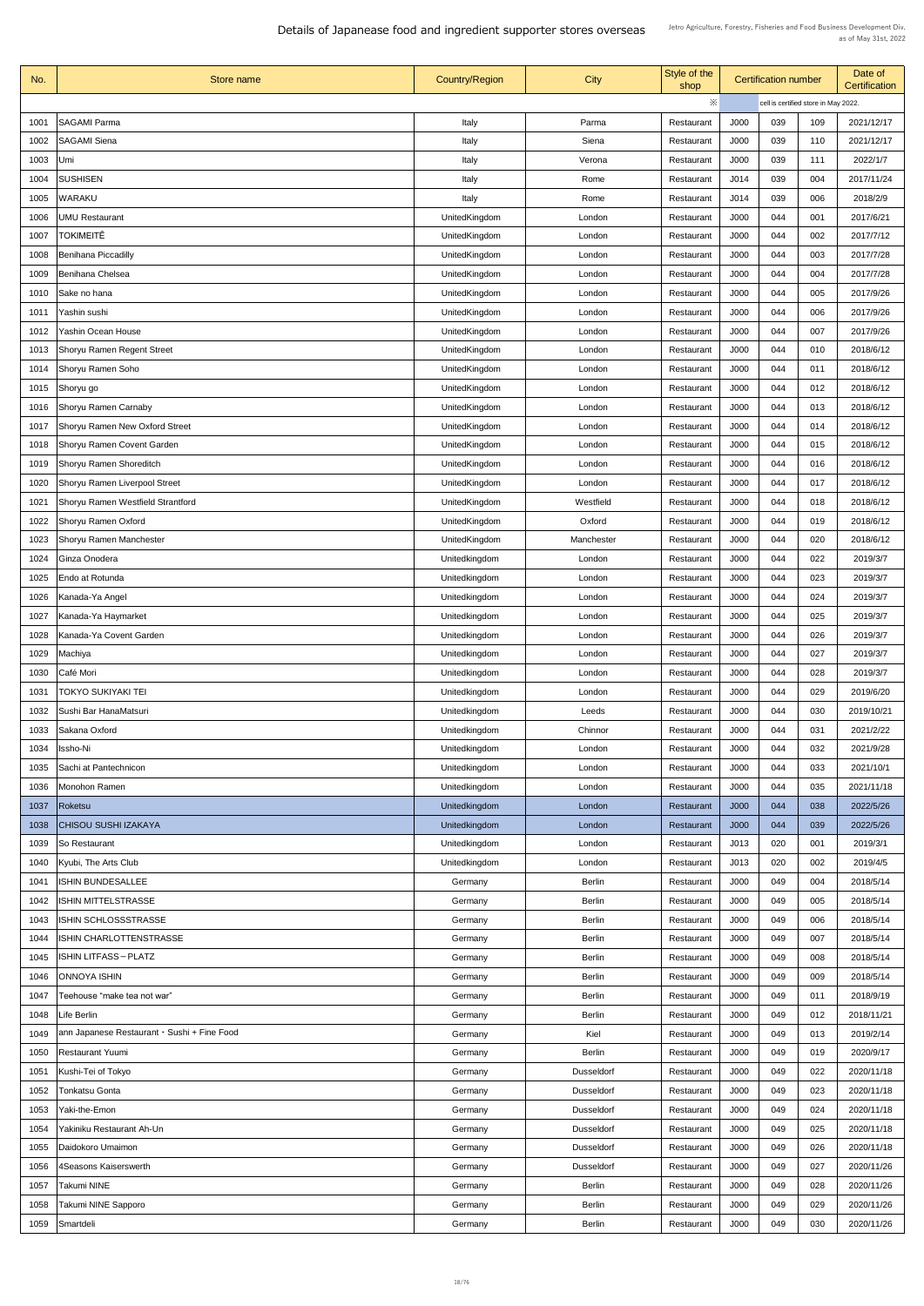| No.  | Store name                                            | <b>Country/Region</b> | <b>City</b>       | Style of the<br>shop | <b>Certification number</b>          |     | Date of<br><b>Certification</b> |            |
|------|-------------------------------------------------------|-----------------------|-------------------|----------------------|--------------------------------------|-----|---------------------------------|------------|
|      |                                                       |                       |                   | ※                    | cell is certified store in May 2022. |     |                                 |            |
| 1001 | <b>SAGAMI Parma</b>                                   | Italy                 | Parma             | Restaurant           | J000                                 | 039 | 109                             | 2021/12/17 |
| 1002 | <b>SAGAMI Siena</b>                                   | Italy                 | Siena             | Restaurant           | J000                                 | 039 | 110                             | 2021/12/17 |
| 1003 | Umi                                                   | Italy                 | Verona            | Restaurant           | J000                                 | 039 | 111                             | 2022/1/7   |
| 1004 | <b>SUSHISEN</b>                                       | Italy                 | Rome              | Restaurant           | J014                                 | 039 | 004                             | 2017/11/24 |
| 1005 | <b>WARAKU</b>                                         | Italy                 | Rome              | Restaurant           | J014                                 | 039 | 006                             | 2018/2/9   |
| 1006 | <b>UMU Restaurant</b>                                 | UnitedKingdom         | London            | Restaurant           | <b>J000</b>                          | 044 | 001                             | 2017/6/21  |
| 1007 | TOKIMEITĒ                                             | UnitedKingdom         | London            | Restaurant           | J000                                 | 044 | 002                             | 2017/7/12  |
| 1008 | Benihana Piccadilly                                   | UnitedKingdom         | London            | Restaurant           | J000                                 | 044 | 003                             | 2017/7/28  |
| 1009 | Benihana Chelsea                                      | UnitedKingdom         | London            | Restaurant           | J000                                 | 044 | 004                             | 2017/7/28  |
| 1010 | Sake no hana                                          | UnitedKingdom         | London            | Restaurant           | J000                                 | 044 | 005                             | 2017/9/26  |
| 1011 | Yashin sushi                                          | UnitedKingdom         | London            | Restaurant           | <b>J000</b>                          | 044 | 006                             | 2017/9/26  |
| 1012 | <b>Yashin Ocean House</b>                             | UnitedKingdom         | London            | Restaurant           | J000                                 | 044 | 007                             | 2017/9/26  |
| 1013 | <b>Shoryu Ramen Regent Street</b>                     | UnitedKingdom         | London            | Restaurant           | <b>J000</b>                          | 044 | 010                             | 2018/6/12  |
| 1014 | Shoryu Ramen Soho                                     | UnitedKingdom         | London            | Restaurant           | J000                                 | 044 | 011                             | 2018/6/12  |
| 1015 | Shoryu go                                             | UnitedKingdom         | London            | Restaurant           | <b>J000</b>                          | 044 | 012                             | 2018/6/12  |
| 1016 | Shoryu Ramen Carnaby                                  | UnitedKingdom         | London            | Restaurant           | <b>J000</b>                          | 044 | 013                             | 2018/6/12  |
| 1017 | <b>Shoryu Ramen New Oxford Street</b>                 | UnitedKingdom         | London            | Restaurant           | <b>J000</b>                          | 044 | 014                             | 2018/6/12  |
| 1018 | Shoryu Ramen Covent Garden                            | UnitedKingdom         | London            | Restaurant           | <b>J000</b>                          | 044 | 015                             | 2018/6/12  |
| 1019 | <b>Shoryu Ramen Shoreditch</b>                        | UnitedKingdom         | London            | Restaurant           | <b>J000</b>                          | 044 | 016                             | 2018/6/12  |
| 1020 | <b>Shoryu Ramen Liverpool Street</b>                  | UnitedKingdom         | London            | Restaurant           | <b>J000</b>                          | 044 | 017                             | 2018/6/12  |
| 1021 | <b>Shoryu Ramen Westfield Strantford</b>              | UnitedKingdom         | Westfield         | Restaurant           | J000                                 | 044 | 018                             | 2018/6/12  |
| 1022 | Shoryu Ramen Oxford                                   | UnitedKingdom         | Oxford            | Restaurant           | J000                                 | 044 | 019                             | 2018/6/12  |
|      | <b>Shoryu Ramen Manchester</b>                        | UnitedKingdom         | Manchester        |                      | <b>J000</b>                          | 044 | 020                             | 2018/6/12  |
| 1023 | Ginza Onodera                                         |                       |                   | Restaurant           | J000                                 | 044 | 022                             |            |
| 1024 |                                                       | Unitedkingdom         | London            | Restaurant           |                                      |     |                                 | 2019/3/7   |
| 1025 | Endo at Rotunda                                       | Unitedkingdom         | London            | Restaurant           | <b>J000</b>                          | 044 | 023                             | 2019/3/7   |
| 1026 | Kanada-Ya Angel                                       | Unitedkingdom         | London            | Restaurant           | J000                                 | 044 | 024                             | 2019/3/7   |
| 1027 | Kanada-Ya Haymarket                                   | Unitedkingdom         | London            | Restaurant           | J000                                 | 044 | 025                             | 2019/3/7   |
| 1028 | Kanada-Ya Covent Garden                               | Unitedkingdom         | London            | Restaurant           | <b>J000</b>                          | 044 | 026                             | 2019/3/7   |
| 1029 | Machiya                                               | Unitedkingdom         | London            | Restaurant           | <b>J000</b>                          | 044 | 027                             | 2019/3/7   |
| 1030 | Café Mori                                             | Unitedkingdom         | London            | Restaurant           | <b>J000</b>                          | 044 | 028                             | 2019/3/7   |
| 1031 | TOKYO SUKIYAKI TEI                                    | Unitedkingdom         | London            | Restaurant           | <b>J000</b>                          | 044 | 029                             | 2019/6/20  |
| 1032 | Sushi Bar HanaMatsuri                                 | Unitedkingdom         | Leeds             | Restaurant           | <b>J000</b>                          | 044 | 030                             | 2019/10/21 |
| 1033 | Sakana Oxford                                         | Unitedkingdom         | Chinnor           | Restaurant           | J000                                 | 044 | 031                             | 2021/2/22  |
| 1034 | Issho-Ni                                              | Unitedkingdom         | London            | Restaurant           | J000                                 | 044 | 032                             | 2021/9/28  |
| 1035 | Sachi at Pantechnicon                                 | Unitedkingdom         | London            | Restaurant           | J000                                 | 044 | 033                             | 2021/10/1  |
| 1036 | Monohon Ramen                                         | Unitedkingdom         | London            | Restaurant           | <b>J000</b>                          | 044 | 035                             | 2021/11/18 |
| 1037 | Roketsu                                               | Unitedkingdom         | London            | Restaurant           | <b>J000</b>                          | 044 | 038                             | 2022/5/26  |
| 1038 | <b>CHISOU SUSHI IZAKAYA</b>                           | Unitedkingdom         | London            | Restaurant           | <b>J000</b>                          | 044 | 039                             | 2022/5/26  |
| 1039 | <b>So Restaurant</b>                                  | Unitedkingdom         | London            | Restaurant           | J013                                 | 020 | 001                             | 2019/3/1   |
| 1040 | Kyubi, The Arts Club                                  | Unitedkingdom         | London            | Restaurant           | J013                                 | 020 | 002                             | 2019/4/5   |
| 1041 | <b>ISHIN BUNDESALLEE</b>                              | Germany               | <b>Berlin</b>     | Restaurant           | J000                                 | 049 | 004                             | 2018/5/14  |
|      | 1042   ISHIN MITTELSTRASSE                            | Germany               | <b>Berlin</b>     | Restaurant           | <b>J000</b>                          | 049 | 005                             | 2018/5/14  |
| 1043 | <b>ISHIN SCHLOSSSTRASSE</b>                           | Germany               | <b>Berlin</b>     | Restaurant           | J000                                 | 049 | 006                             | 2018/5/14  |
| 1044 | <b>ISHIN CHARLOTTENSTRASSE</b>                        | Germany               | <b>Berlin</b>     | Restaurant           | J000                                 | 049 | 007                             | 2018/5/14  |
| 1045 | <b>ISHIN LITFASS-PLATZ</b>                            | Germany               | <b>Berlin</b>     | Restaurant           | J000                                 | 049 | 008                             | 2018/5/14  |
| 1046 | <b>ONNOYA ISHIN</b>                                   | Germany               | <b>Berlin</b>     | Restaurant           | J000                                 | 049 | 009                             | 2018/5/14  |
| 1047 | Teehouse "make tea not war"                           | Germany               | <b>Berlin</b>     | Restaurant           | J000                                 | 049 | 011                             | 2018/9/19  |
| 1048 | Life Berlin                                           | Germany               | <b>Berlin</b>     | Restaurant           | J000                                 | 049 | 012                             | 2018/11/21 |
| 1049 | $ $ ann Japanese Restaurant $\cdot$ Sushi + Fine Food | Germany               | Kiel              | Restaurant           | J000                                 | 049 | 013                             | 2019/2/14  |
| 1050 | <b>Restaurant Yuumi</b>                               | Germany               | <b>Berlin</b>     | Restaurant           | J000                                 | 049 | 019                             | 2020/9/17  |
| 1051 | Kushi-Tei of Tokyo                                    | Germany               | <b>Dusseldorf</b> | Restaurant           | J000                                 | 049 | 022                             | 2020/11/18 |
| 1052 | <b>Tonkatsu Gonta</b>                                 | Germany               | <b>Dusseldorf</b> | Restaurant           | J000                                 | 049 | 023                             | 2020/11/18 |
| 1053 | Yaki-the-Emon                                         | Germany               | <b>Dusseldorf</b> | Restaurant           | J000                                 | 049 | 024                             | 2020/11/18 |
| 1054 | Yakiniku Restaurant Ah-Un                             | Germany               | <b>Dusseldorf</b> | Restaurant           | J000                                 | 049 | 025                             | 2020/11/18 |
| 1055 | Daidokoro Umaimon                                     | Germany               | <b>Dusseldorf</b> | Restaurant           | J000                                 | 049 | 026                             | 2020/11/18 |
| 1056 | 4Seasons Kaiserswerth                                 | Germany               | <b>Dusseldorf</b> | Restaurant           | J000                                 | 049 | 027                             | 2020/11/26 |
| 1057 | Takumi NINE                                           | Germany               | <b>Berlin</b>     | Restaurant           | J000                                 | 049 | 028                             | 2020/11/26 |
| 1058 | Takumi NINE Sapporo                                   | Germany               | <b>Berlin</b>     | Restaurant           | J000                                 | 049 | 029                             | 2020/11/26 |
| 1059 | Smartdeli                                             | Germany               | <b>Berlin</b>     | Restaurant           | J000                                 | 049 | 030                             | 2020/11/26 |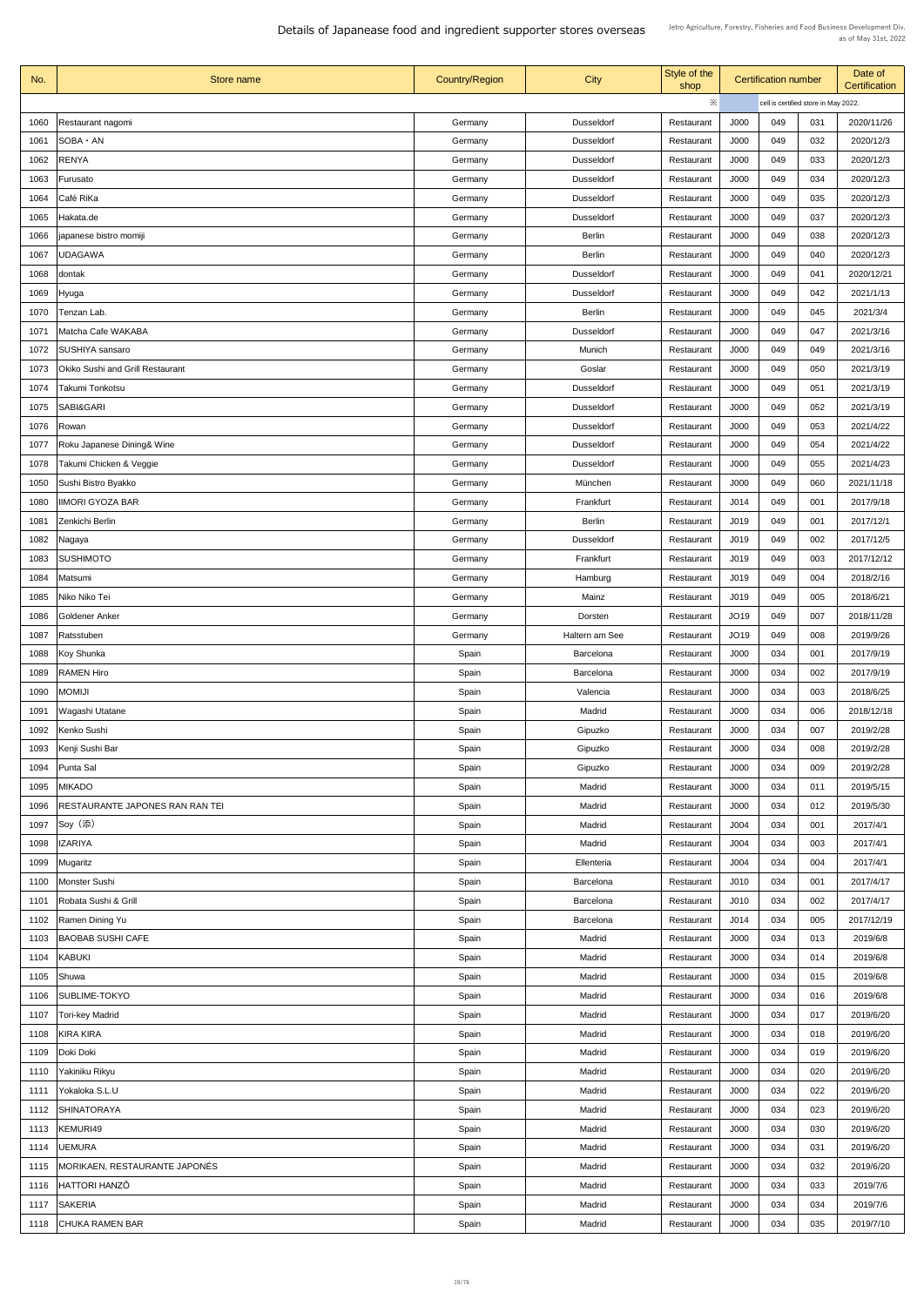| No.  | Store name                              | <b>Country/Region</b> | <b>City</b>       | Style of the<br>shop |                  | <b>Certification number</b>          |     | Date of<br><b>Certification</b> |
|------|-----------------------------------------|-----------------------|-------------------|----------------------|------------------|--------------------------------------|-----|---------------------------------|
|      |                                         |                       |                   | ※                    |                  | cell is certified store in May 2022. |     |                                 |
| 1060 | Restaurant nagomi                       | Germany               | <b>Dusseldorf</b> | Restaurant           | J000             | 049                                  | 031 | 2020/11/26                      |
| 1061 | SOBA · AN                               | Germany               | <b>Dusseldorf</b> | Restaurant           | J000             | 049                                  | 032 | 2020/12/3                       |
| 1062 | <b>RENYA</b>                            | Germany               | <b>Dusseldorf</b> | Restaurant           | J000             | 049                                  | 033 | 2020/12/3                       |
| 1063 | Furusato                                | Germany               | <b>Dusseldorf</b> | Restaurant           | J000             | 049                                  | 034 | 2020/12/3                       |
| 1064 | Café RiKa                               | Germany               | <b>Dusseldorf</b> | Restaurant           | J000             | 049                                  | 035 | 2020/12/3                       |
| 1065 | Hakata.de                               | Germany               | <b>Dusseldorf</b> | Restaurant           | J000             | 049                                  | 037 | 2020/12/3                       |
| 1066 | japanese bistro momiji                  | Germany               | <b>Berlin</b>     | Restaurant           | J000             | 049                                  | 038 | 2020/12/3                       |
| 1067 | <b>UDAGAWA</b>                          | Germany               | <b>Berlin</b>     | Restaurant           | J000             | 049                                  | 040 | 2020/12/3                       |
| 1068 |                                         | Germany               | <b>Dusseldorf</b> | Restaurant           | J000             | 049                                  | 041 | 2020/12/21                      |
|      | dontak                                  |                       |                   |                      |                  |                                      |     |                                 |
| 1069 | Hyuga                                   | Germany               | <b>Dusseldorf</b> | Restaurant           | J000             | 049                                  | 042 | 2021/1/13                       |
| 1070 | Tenzan Lab.                             | Germany               | <b>Berlin</b>     | Restaurant           | J000             | 049                                  | 045 | 2021/3/4                        |
| 1071 | Matcha Cafe WAKABA                      | Germany               | <b>Dusseldorf</b> | Restaurant           | J000             | 049                                  | 047 | 2021/3/16                       |
| 1072 | SUSHIYA sansaro                         | Germany               | Munich            | Restaurant           | <b>J000</b>      | 049                                  | 049 | 2021/3/16                       |
| 1073 | <b>Okiko Sushi and Grill Restaurant</b> | Germany               | Goslar            | Restaurant           | J000             | 049                                  | 050 | 2021/3/19                       |
| 1074 | Takumi Tonkotsu                         | Germany               | <b>Dusseldorf</b> | Restaurant           | J000             | 049                                  | 051 | 2021/3/19                       |
| 1075 | <b>SABI&amp;GARI</b>                    | Germany               | <b>Dusseldorf</b> | Restaurant           | J000             | 049                                  | 052 | 2021/3/19                       |
| 1076 | Rowan                                   | Germany               | <b>Dusseldorf</b> | Restaurant           | J000             | 049                                  | 053 | 2021/4/22                       |
| 1077 | Roku Japanese Dining& Wine              | Germany               | <b>Dusseldorf</b> | Restaurant           | J000             | 049                                  | 054 | 2021/4/22                       |
| 1078 | Takumi Chicken & Veggie                 | Germany               | <b>Dusseldorf</b> | Restaurant           | J000             | 049                                  | 055 | 2021/4/23                       |
| 1050 | Sushi Bistro Byakko                     | Germany               | München           | Restaurant           | J000             | 049                                  | 060 | 2021/11/18                      |
| 1080 | <b>IIMORI GYOZA BAR</b>                 | Germany               | Frankfurt         | Restaurant           | J014             | 049                                  | 001 | 2017/9/18                       |
| 1081 | Zenkichi Berlin                         | Germany               | <b>Berlin</b>     | Restaurant           | J019             | 049                                  | 001 | 2017/12/1                       |
| 1082 | Nagaya                                  | Germany               | <b>Dusseldorf</b> | Restaurant           | J019             | 049                                  | 002 | 2017/12/5                       |
| 1083 | <b>SUSHIMOTO</b>                        | Germany               | Frankfurt         | Restaurant           | J019             | 049                                  | 003 | 2017/12/12                      |
| 1084 | Matsumi                                 | Germany               | Hamburg           | Restaurant           | J019             | 049                                  | 004 | 2018/2/16                       |
| 1085 | Niko Niko Tei                           | Germany               | Mainz             | Restaurant           | J019             | 049                                  | 005 | 2018/6/21                       |
| 1086 | Goldener Anker                          | Germany               | Dorsten           | Restaurant           | JO19             | 049                                  | 007 | 2018/11/28                      |
| 1087 | Ratsstuben                              | Germany               | Haltern am See    | Restaurant           | JO19             | 049                                  | 008 | 2019/9/26                       |
| 1088 | Koy Shunka                              | Spain                 | <b>Barcelona</b>  | Restaurant           | J000             | 034                                  | 001 | 2017/9/19                       |
| 1089 | <b>RAMEN Hiro</b>                       | Spain                 | <b>Barcelona</b>  | Restaurant           | J000             | 034                                  | 002 | 2017/9/19                       |
| 1090 | <b>MOMIJI</b>                           | Spain                 | Valencia          | Restaurant           | J000             | 034                                  | 003 | 2018/6/25                       |
|      |                                         |                       |                   |                      | J000             | 034                                  | 006 | 2018/12/18                      |
| 1091 | <b>Wagashi Utatane</b>                  | Spain                 | Madrid            | Restaurant           |                  |                                      |     |                                 |
| 1092 | Kenko Sushi                             | Spain                 | Gipuzko           | Restaurant           | J000             | 034                                  | 007 | 2019/2/28                       |
| 1093 | Kenji Sushi Bar                         | Spain                 | Gipuzko           | Restaurant           | J000             | 034                                  | 008 | 2019/2/28                       |
| 1094 | Punta Sal                               | Spain                 | Gipuzko           | Restaurant           | J000             | 034                                  | 009 | 2019/2/28                       |
| 1095 | <b>MIKADO</b>                           | Spain                 | Madrid            | Restaurant           | J000             | 034                                  | 011 | 2019/5/15                       |
| 1096 | <b>RESTAURANTE JAPONES RAN RAN TEI</b>  | Spain                 | Madrid            | Restaurant           | J000             | 034                                  | 012 | 2019/5/30                       |
| 1097 | Soy (添)                                 | Spain                 | Madrid            | Restaurant           | J004             | 034                                  | 001 | 2017/4/1                        |
| 1098 | <b>IZARIYA</b>                          | Spain                 | Madrid            | Restaurant           | J004             | 034                                  | 003 | 2017/4/1                        |
| 1099 | Mugaritz                                | Spain                 | Ellenteria        | Restaurant           | J004             | 034                                  | 004 | 2017/4/1                        |
| 1100 | Monster Sushi                           | Spain                 | <b>Barcelona</b>  | Restaurant           | J010             | 034                                  | 001 | 2017/4/17                       |
|      | 1101   Robata Sushi & Grill             | Spain                 | <b>Barcelona</b>  | Restaurant           | J010             | 034                                  | 002 | 2017/4/17                       |
| 1102 | Ramen Dining Yu                         | Spain                 | <b>Barcelona</b>  | Restaurant           | J <sub>014</sub> | 034                                  | 005 | 2017/12/19                      |
| 1103 | <b>BAOBAB SUSHI CAFE</b>                | Spain                 | Madrid            | Restaurant           | J000             | 034                                  | 013 | 2019/6/8                        |
| 1104 | <b>KABUKI</b>                           | Spain                 | Madrid            | Restaurant           | J000             | 034                                  | 014 | 2019/6/8                        |
| 1105 | Shuwa                                   | Spain                 | Madrid            | Restaurant           | J000             | 034                                  | 015 | 2019/6/8                        |
| 1106 | SUBLIME-TOKYO                           | Spain                 | Madrid            | Restaurant           | J000             | 034                                  | 016 | 2019/6/8                        |
| 1107 | Tori-key Madrid                         | Spain                 | Madrid            | Restaurant           | J000             | 034                                  | 017 | 2019/6/20                       |
| 1108 | <b>KIRA KIRA</b>                        | Spain                 | Madrid            | Restaurant           | J000             | 034                                  | 018 | 2019/6/20                       |
| 1109 | Doki Doki                               | Spain                 | Madrid            | Restaurant           | J000             | 034                                  | 019 | 2019/6/20                       |
| 1110 | Yakiniku Rikyu                          | Spain                 | Madrid            | Restaurant           | J000             | 034                                  | 020 | 2019/6/20                       |
| 1111 | Yokaloka S.L.U                          | Spain                 | Madrid            | Restaurant           | J000             | 034                                  | 022 | 2019/6/20                       |
| 1112 | <b>SHINATORAYA</b>                      | Spain                 | Madrid            | Restaurant           | J000             | 034                                  | 023 | 2019/6/20                       |
| 1113 | KEMURI49                                | Spain                 | Madrid            | Restaurant           | J000             | 034                                  | 030 | 2019/6/20                       |
|      |                                         |                       |                   |                      |                  | 034                                  | 031 | 2019/6/20                       |
| 1114 | <b>UEMURA</b>                           | Spain                 | Madrid            | Restaurant           | J000             |                                      |     |                                 |
| 1115 | MORIKAEN, RESTAURANTE JAPONÉS           | Spain                 | Madrid            | Restaurant           | J000             | 034                                  | 032 | 2019/6/20                       |
| 1116 | HATTORI HANZŌ                           | Spain                 | Madrid            | Restaurant           | J000             | 034                                  | 033 | 2019/7/6                        |
| 1117 | <b>SAKERIA</b>                          | Spain                 | Madrid            | Restaurant           | J000             | 034                                  | 034 | 2019/7/6                        |
| 1118 | <b>CHUKA RAMEN BAR</b>                  | Spain                 | Madrid            | Restaurant           | J000             | 034                                  | 035 | 2019/7/10                       |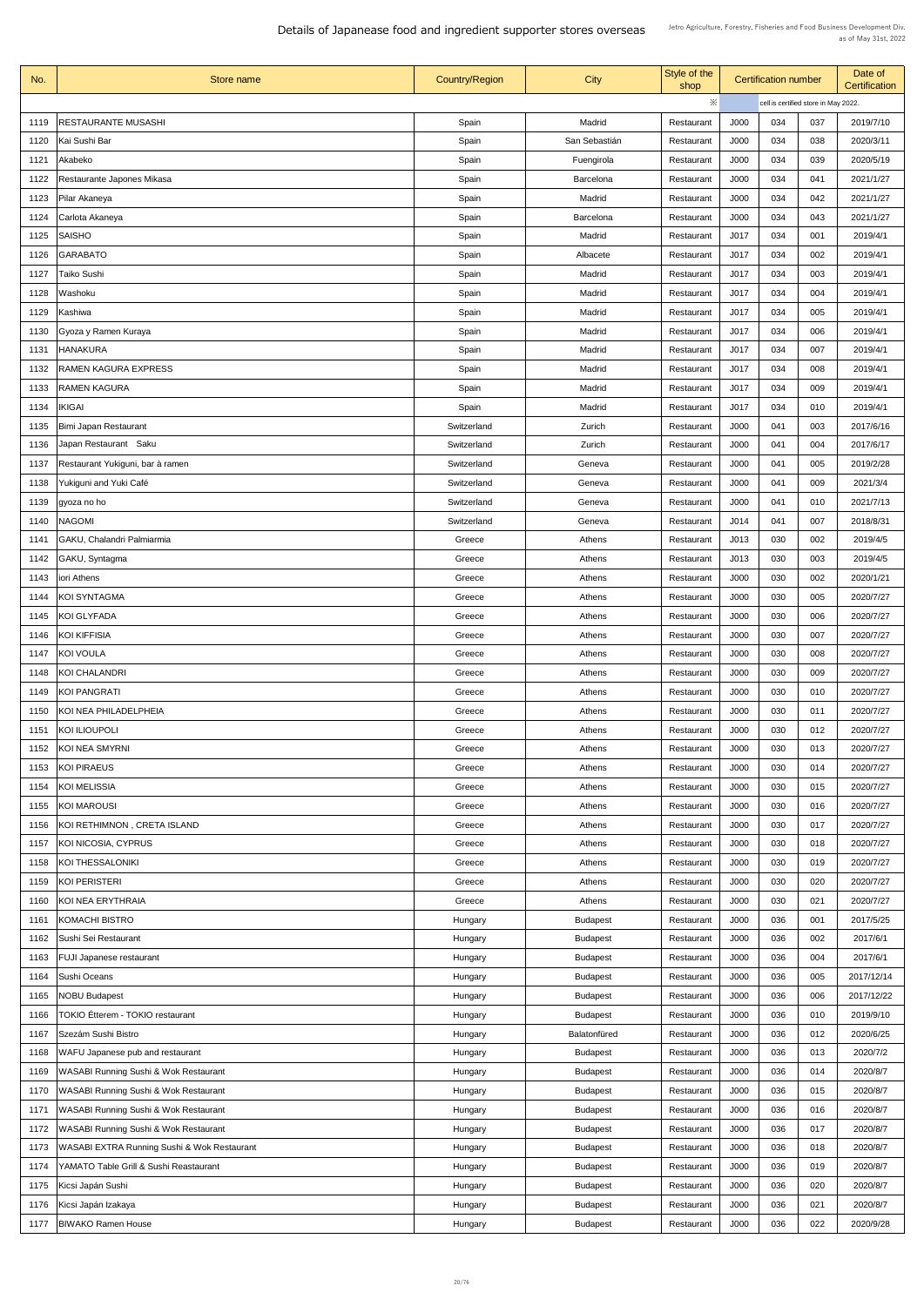| ※<br>cell is certified store in May 2022.<br><b>RESTAURANTE MUSASHI</b><br>Spain<br>J000<br>037<br>2019/7/10<br>Madrid<br>034<br>1119<br>Restaurant<br>2020/3/11<br>Kai Sushi Bar<br>Spain<br>San Sebastián<br>J000<br>034<br>038<br>1120<br>Restaurant<br>Spain<br>J000<br>034<br>039<br>2020/5/19<br>Akabeko<br>Fuengirola<br>1121<br>Restaurant<br>034<br>2021/1/27<br>Restaurante Japones Mikasa<br>Spain<br>J000<br>041<br><b>Barcelona</b><br>1122<br>Restaurant<br>J000<br>2021/1/27<br>Spain<br>034<br>042<br>1123<br>Pilar Akaneya<br>Madrid<br>Restaurant<br>Spain<br>J000<br>034<br>043<br>2021/1/27<br>Carlota Akaneya<br><b>Barcelona</b><br>1124<br>Restaurant<br>J017<br>034<br>1125<br><b>SAISHO</b><br>Spain<br>001<br>2019/4/1<br>Madrid<br>Restaurant<br>J017<br>034<br>Spain<br>002<br>2019/4/1<br>1126<br><b>GARABATO</b><br>Albacete<br>Restaurant<br>Spain<br>J017<br>034<br><b>Taiko Sushi</b><br>Madrid<br>2019/4/1<br>1127<br>003<br>Restaurant<br>J017<br>034<br>2019/4/1<br>1128<br>Washoku<br>Spain<br>Madrid<br>004<br>Restaurant<br>J017<br>Kashiwa<br>Spain<br>Madrid<br>034<br>005<br>2019/4/1<br>1129<br>Restaurant<br>J017<br>Spain<br>034<br>006<br>2019/4/1<br>1130<br>Gyoza y Ramen Kuraya<br>Madrid<br>Restaurant<br><b>HANAKURA</b><br>Spain<br>2019/4/1<br>Madrid<br>J017<br>034<br>007<br>1131<br>Restaurant<br><b>RAMEN KAGURA EXPRESS</b><br>Spain<br>J017<br>034<br>2019/4/1<br>008<br>1132<br>Madrid<br>Restaurant<br>J017<br><b>RAMEN KAGURA</b><br>Spain<br>034<br>009<br>2019/4/1<br>1133<br>Madrid<br>Restaurant<br>J017<br><b>IKIGAI</b><br>Spain<br>034<br>2019/4/1<br>Madrid<br>010<br>1134<br>Restaurant<br>J000<br>2017/6/16<br>Bimi Japan Restaurant<br>Zurich<br>041<br>003<br>Switzerland<br>1135<br>Restaurant<br>Japan Restaurant Saku<br>J000<br>041<br>2017/6/17<br>1136<br>Switzerland<br>Zurich<br>004<br>Restaurant<br>Restaurant Yukiguni, bar à ramen<br>2019/2/28<br>J000<br>041<br>Switzerland<br>Geneva<br>1137<br>005<br>Restaurant<br>2021/3/4<br>Yukiguni and Yuki Café<br>Switzerland<br>J000<br>041<br>009<br>1138<br>Geneva<br>Restaurant<br>2021/7/13<br>J000<br>Switzerland<br>041<br>010<br>1139<br>Geneva<br>gyoza no ho<br>Restaurant<br><b>NAGOMI</b><br>2018/8/31<br>J014<br>041<br>007<br>1140<br>Switzerland<br>Geneva<br>Restaurant<br>2019/4/5<br><b>GAKU, Chalandri Palmiarmia</b><br>J013<br>030<br>002<br>Greece<br>Athens<br>1141<br>Restaurant<br>J013<br>030<br><b>GAKU, Syntagma</b><br>003<br>2019/4/5<br>1142<br>Greece<br>Athens<br>Restaurant<br>J000<br>030<br>002<br>2020/1/21<br>1143<br>iori Athens<br>Greece<br>Athens<br>Restaurant<br>J000<br><b>KOI SYNTAGMA</b><br>030<br>2020/7/27<br>Greece<br>005<br>1144<br>Athens<br>Restaurant<br><b>J000</b><br>030<br>2020/7/27<br><b>KOI GLYFADA</b><br>006<br>1145<br>Greece<br><b>Athens</b><br>Restaurant<br>2020/7/27<br>J000<br>030<br>007<br>KOI KIFFISIA<br>Greece<br>Athens<br>1146<br>Restaurant<br>2020/7/27<br>KOI VOULA<br>J000<br>030<br>1147<br>Greece<br>Athens<br>008<br>Restaurant<br>2020/7/27<br>J000<br>030<br>KOI CHALANDRI<br>Greece<br>009<br>Athens<br>1148<br>Restaurant<br>2020/7/27<br>J000<br>KOI PANGRATI<br>Athens<br>030<br>010<br>Greece<br>1149<br>Restaurant<br>J000<br>030<br>2020/7/27<br>KOI NEA PHILADELPHEIA<br>Greece<br>011<br>Athens<br>1150<br>Restaurant<br>2020/7/27<br><b>KOI ILIOUPOLI</b><br>Greece<br>J000<br>030<br>012<br>Athens<br>1151<br>Restaurant<br><b>KOI NEA SMYRNI</b><br>J000<br>030<br>013<br>2020/7/27<br>1152<br>Greece<br>Athens<br>Restaurant<br>J000<br>030<br>2020/7/27<br>KOI PIRAEUS<br>014<br>1153<br>Greece<br>Athens<br>Restaurant<br>J000<br>2020/7/27<br>KOI MELISSIA<br>030<br>015<br>1154<br>Greece<br>Athens<br>Restaurant<br>J000<br>030<br>2020/7/27<br><b>KOI MAROUSI</b><br>016<br>1155<br>Greece<br>Athens<br>Restaurant<br>2020/7/27<br>KOI RETHIMNON , CRETA ISLAND<br>J000<br>030<br>017<br>1156<br>Greece<br>Athens<br>Restaurant<br>J000<br>030<br>2020/7/27<br>KOI NICOSIA, CYPRUS<br>018<br>1157<br>Greece<br>Athens<br>Restaurant<br>2020/7/27<br><b>KOI THESSALONIKI</b><br>J000<br>030<br>019<br>Greece<br>Athens<br>1158<br>Restaurant<br>J000<br>030<br>020<br>2020/7/27<br>KOI PERISTERI<br>1159<br>Greece<br>Athens<br>Restaurant<br>2020/7/27<br>021<br>1160 KOI NEA ERYTHRAIA<br>J000<br>030<br>Greece<br>Athens<br>Restaurant<br>036<br><b>KOMACHI BISTRO</b><br><b>Budapest</b><br>J000<br>2017/5/25<br>Hungary<br>001<br>1161<br>Restaurant<br><b>J000</b><br>036<br>2017/6/1<br>Sushi Sei Restaurant<br>002<br>1162<br><b>Budapest</b><br>Hungary<br>Restaurant<br>J000<br>036<br>004<br>2017/6/1<br><b>FUJI Japanese restaurant</b><br>1163<br>Hungary<br><b>Budapest</b><br>Restaurant<br>J000<br>Sushi Oceans<br>036<br>005<br>2017/12/14<br>1164<br><b>Budapest</b><br>Hungary<br>Restaurant<br><b>NOBU Budapest</b><br>J000<br>036<br>006<br>2017/12/22<br>1165<br><b>Budapest</b><br>Hungary<br>Restaurant<br><b>TOKIO Étterem - TOKIO restaurant</b><br>J000<br>036<br>2019/9/10<br>1166<br><b>Budapest</b><br>010<br>Hungary<br>Restaurant<br>Szezám Sushi Bistro<br>J000<br>036<br>2020/6/25<br>1167<br>012<br>Hungary<br>Balatonfüred<br>Restaurant<br>2020/7/2<br>WAFU Japanese pub and restaurant<br>J000<br>036<br>Hungary<br><b>Budapest</b><br>013<br>1168<br>Restaurant<br><b>WASABI Running Sushi &amp; Wok Restaurant</b><br><b>J000</b><br>036<br><b>Budapest</b><br>014<br>2020/8/7<br>1169<br>Hungary<br>Restaurant<br><b>WASABI Running Sushi &amp; Wok Restaurant</b><br><b>J000</b><br>036<br>2020/8/7<br>015<br>1170<br>Hungary<br><b>Budapest</b><br>Restaurant<br><b>WASABI Running Sushi &amp; Wok Restaurant</b><br>J000<br>036<br>016<br>2020/8/7<br>1171<br><b>Budapest</b><br>Hungary<br>Restaurant<br><b>WASABI Running Sushi &amp; Wok Restaurant</b><br>J000<br>036<br>017<br>2020/8/7<br>1172<br><b>Budapest</b><br>Hungary<br>Restaurant<br><b>WASABI EXTRA Running Sushi &amp; Wok Restaurant</b><br><b>J000</b><br>036<br>018<br>2020/8/7<br>1173<br><b>Budapest</b><br>Hungary<br>Restaurant<br>YAMATO Table Grill & Sushi Reastaurant<br>J000<br>036<br>019<br>1174<br>2020/8/7<br><b>Budapest</b><br>Hungary<br>Restaurant<br>Kicsi Japán Sushi<br>1175<br>Hungary<br><b>Budapest</b><br>Restaurant<br>2020/8/7<br>J000<br>020<br>036<br>J000<br>036<br>021<br>Kicsi Japán Izakaya<br>2020/8/7<br>1176<br>Hungary<br><b>Budapest</b><br>Restaurant<br>J000<br>036<br>2020/9/28<br><b>BIWAKO Ramen House</b><br>022<br>1177<br>Hungary<br><b>Budapest</b><br>Restaurant | No. | Store name | <b>Country/Region</b> | City | Style of the<br>shop | <b>Certification number</b> |  | Date of<br><b>Certification</b> |  |
|-----------------------------------------------------------------------------------------------------------------------------------------------------------------------------------------------------------------------------------------------------------------------------------------------------------------------------------------------------------------------------------------------------------------------------------------------------------------------------------------------------------------------------------------------------------------------------------------------------------------------------------------------------------------------------------------------------------------------------------------------------------------------------------------------------------------------------------------------------------------------------------------------------------------------------------------------------------------------------------------------------------------------------------------------------------------------------------------------------------------------------------------------------------------------------------------------------------------------------------------------------------------------------------------------------------------------------------------------------------------------------------------------------------------------------------------------------------------------------------------------------------------------------------------------------------------------------------------------------------------------------------------------------------------------------------------------------------------------------------------------------------------------------------------------------------------------------------------------------------------------------------------------------------------------------------------------------------------------------------------------------------------------------------------------------------------------------------------------------------------------------------------------------------------------------------------------------------------------------------------------------------------------------------------------------------------------------------------------------------------------------------------------------------------------------------------------------------------------------------------------------------------------------------------------------------------------------------------------------------------------------------------------------------------------------------------------------------------------------------------------------------------------------------------------------------------------------------------------------------------------------------------------------------------------------------------------------------------------------------------------------------------------------------------------------------------------------------------------------------------------------------------------------------------------------------------------------------------------------------------------------------------------------------------------------------------------------------------------------------------------------------------------------------------------------------------------------------------------------------------------------------------------------------------------------------------------------------------------------------------------------------------------------------------------------------------------------------------------------------------------------------------------------------------------------------------------------------------------------------------------------------------------------------------------------------------------------------------------------------------------------------------------------------------------------------------------------------------------------------------------------------------------------------------------------------------------------------------------------------------------------------------------------------------------------------------------------------------------------------------------------------------------------------------------------------------------------------------------------------------------------------------------------------------------------------------------------------------------------------------------------------------------------------------------------------------------------------------------------------------------------------------------------------------------------------------------------------------------------------------------------------------------------------------------------------------------------------------------------------------------------------------------------------------------------------------------------------------------------------------------------------------------------------------------------------------------------------------------------------------------------------------------------------------------------------------------------------------------------------------------------------------------------------------------------------------------------------------------------------------------------------------------------------------------------------------------------------------------------------------------------------------------------------------------------------------------------------------------------------------------------------------------------------------------------------------------------------------------------------------------------------------------------------------------------------------------------------------------------------------------------------------------------------------------------------------------------------------------------------------------------------------------------------------------------------------------------------------------------------------------------------------------------------------------------------------------------------------------------------------------------------------------------------------------------------------------------------------------------------------------------------------------------------------------------------------------------|-----|------------|-----------------------|------|----------------------|-----------------------------|--|---------------------------------|--|
|                                                                                                                                                                                                                                                                                                                                                                                                                                                                                                                                                                                                                                                                                                                                                                                                                                                                                                                                                                                                                                                                                                                                                                                                                                                                                                                                                                                                                                                                                                                                                                                                                                                                                                                                                                                                                                                                                                                                                                                                                                                                                                                                                                                                                                                                                                                                                                                                                                                                                                                                                                                                                                                                                                                                                                                                                                                                                                                                                                                                                                                                                                                                                                                                                                                                                                                                                                                                                                                                                                                                                                                                                                                                                                                                                                                                                                                                                                                                                                                                                                                                                                                                                                                                                                                                                                                                                                                                                                                                                                                                                                                                                                                                                                                                                                                                                                                                                                                                                                                                                                                                                                                                                                                                                                                                                                                                                                                                                                                                                                                                                                                                                                                                                                                                                                                                                                                                                                                                                                                                                                                                                                                                                                                                                                                                                                                                                                                                                                                                                                                                                                             |     |            |                       |      |                      |                             |  |                                 |  |
|                                                                                                                                                                                                                                                                                                                                                                                                                                                                                                                                                                                                                                                                                                                                                                                                                                                                                                                                                                                                                                                                                                                                                                                                                                                                                                                                                                                                                                                                                                                                                                                                                                                                                                                                                                                                                                                                                                                                                                                                                                                                                                                                                                                                                                                                                                                                                                                                                                                                                                                                                                                                                                                                                                                                                                                                                                                                                                                                                                                                                                                                                                                                                                                                                                                                                                                                                                                                                                                                                                                                                                                                                                                                                                                                                                                                                                                                                                                                                                                                                                                                                                                                                                                                                                                                                                                                                                                                                                                                                                                                                                                                                                                                                                                                                                                                                                                                                                                                                                                                                                                                                                                                                                                                                                                                                                                                                                                                                                                                                                                                                                                                                                                                                                                                                                                                                                                                                                                                                                                                                                                                                                                                                                                                                                                                                                                                                                                                                                                                                                                                                                             |     |            |                       |      |                      |                             |  |                                 |  |
|                                                                                                                                                                                                                                                                                                                                                                                                                                                                                                                                                                                                                                                                                                                                                                                                                                                                                                                                                                                                                                                                                                                                                                                                                                                                                                                                                                                                                                                                                                                                                                                                                                                                                                                                                                                                                                                                                                                                                                                                                                                                                                                                                                                                                                                                                                                                                                                                                                                                                                                                                                                                                                                                                                                                                                                                                                                                                                                                                                                                                                                                                                                                                                                                                                                                                                                                                                                                                                                                                                                                                                                                                                                                                                                                                                                                                                                                                                                                                                                                                                                                                                                                                                                                                                                                                                                                                                                                                                                                                                                                                                                                                                                                                                                                                                                                                                                                                                                                                                                                                                                                                                                                                                                                                                                                                                                                                                                                                                                                                                                                                                                                                                                                                                                                                                                                                                                                                                                                                                                                                                                                                                                                                                                                                                                                                                                                                                                                                                                                                                                                                                             |     |            |                       |      |                      |                             |  |                                 |  |
|                                                                                                                                                                                                                                                                                                                                                                                                                                                                                                                                                                                                                                                                                                                                                                                                                                                                                                                                                                                                                                                                                                                                                                                                                                                                                                                                                                                                                                                                                                                                                                                                                                                                                                                                                                                                                                                                                                                                                                                                                                                                                                                                                                                                                                                                                                                                                                                                                                                                                                                                                                                                                                                                                                                                                                                                                                                                                                                                                                                                                                                                                                                                                                                                                                                                                                                                                                                                                                                                                                                                                                                                                                                                                                                                                                                                                                                                                                                                                                                                                                                                                                                                                                                                                                                                                                                                                                                                                                                                                                                                                                                                                                                                                                                                                                                                                                                                                                                                                                                                                                                                                                                                                                                                                                                                                                                                                                                                                                                                                                                                                                                                                                                                                                                                                                                                                                                                                                                                                                                                                                                                                                                                                                                                                                                                                                                                                                                                                                                                                                                                                                             |     |            |                       |      |                      |                             |  |                                 |  |
|                                                                                                                                                                                                                                                                                                                                                                                                                                                                                                                                                                                                                                                                                                                                                                                                                                                                                                                                                                                                                                                                                                                                                                                                                                                                                                                                                                                                                                                                                                                                                                                                                                                                                                                                                                                                                                                                                                                                                                                                                                                                                                                                                                                                                                                                                                                                                                                                                                                                                                                                                                                                                                                                                                                                                                                                                                                                                                                                                                                                                                                                                                                                                                                                                                                                                                                                                                                                                                                                                                                                                                                                                                                                                                                                                                                                                                                                                                                                                                                                                                                                                                                                                                                                                                                                                                                                                                                                                                                                                                                                                                                                                                                                                                                                                                                                                                                                                                                                                                                                                                                                                                                                                                                                                                                                                                                                                                                                                                                                                                                                                                                                                                                                                                                                                                                                                                                                                                                                                                                                                                                                                                                                                                                                                                                                                                                                                                                                                                                                                                                                                                             |     |            |                       |      |                      |                             |  |                                 |  |
|                                                                                                                                                                                                                                                                                                                                                                                                                                                                                                                                                                                                                                                                                                                                                                                                                                                                                                                                                                                                                                                                                                                                                                                                                                                                                                                                                                                                                                                                                                                                                                                                                                                                                                                                                                                                                                                                                                                                                                                                                                                                                                                                                                                                                                                                                                                                                                                                                                                                                                                                                                                                                                                                                                                                                                                                                                                                                                                                                                                                                                                                                                                                                                                                                                                                                                                                                                                                                                                                                                                                                                                                                                                                                                                                                                                                                                                                                                                                                                                                                                                                                                                                                                                                                                                                                                                                                                                                                                                                                                                                                                                                                                                                                                                                                                                                                                                                                                                                                                                                                                                                                                                                                                                                                                                                                                                                                                                                                                                                                                                                                                                                                                                                                                                                                                                                                                                                                                                                                                                                                                                                                                                                                                                                                                                                                                                                                                                                                                                                                                                                                                             |     |            |                       |      |                      |                             |  |                                 |  |
|                                                                                                                                                                                                                                                                                                                                                                                                                                                                                                                                                                                                                                                                                                                                                                                                                                                                                                                                                                                                                                                                                                                                                                                                                                                                                                                                                                                                                                                                                                                                                                                                                                                                                                                                                                                                                                                                                                                                                                                                                                                                                                                                                                                                                                                                                                                                                                                                                                                                                                                                                                                                                                                                                                                                                                                                                                                                                                                                                                                                                                                                                                                                                                                                                                                                                                                                                                                                                                                                                                                                                                                                                                                                                                                                                                                                                                                                                                                                                                                                                                                                                                                                                                                                                                                                                                                                                                                                                                                                                                                                                                                                                                                                                                                                                                                                                                                                                                                                                                                                                                                                                                                                                                                                                                                                                                                                                                                                                                                                                                                                                                                                                                                                                                                                                                                                                                                                                                                                                                                                                                                                                                                                                                                                                                                                                                                                                                                                                                                                                                                                                                             |     |            |                       |      |                      |                             |  |                                 |  |
|                                                                                                                                                                                                                                                                                                                                                                                                                                                                                                                                                                                                                                                                                                                                                                                                                                                                                                                                                                                                                                                                                                                                                                                                                                                                                                                                                                                                                                                                                                                                                                                                                                                                                                                                                                                                                                                                                                                                                                                                                                                                                                                                                                                                                                                                                                                                                                                                                                                                                                                                                                                                                                                                                                                                                                                                                                                                                                                                                                                                                                                                                                                                                                                                                                                                                                                                                                                                                                                                                                                                                                                                                                                                                                                                                                                                                                                                                                                                                                                                                                                                                                                                                                                                                                                                                                                                                                                                                                                                                                                                                                                                                                                                                                                                                                                                                                                                                                                                                                                                                                                                                                                                                                                                                                                                                                                                                                                                                                                                                                                                                                                                                                                                                                                                                                                                                                                                                                                                                                                                                                                                                                                                                                                                                                                                                                                                                                                                                                                                                                                                                                             |     |            |                       |      |                      |                             |  |                                 |  |
|                                                                                                                                                                                                                                                                                                                                                                                                                                                                                                                                                                                                                                                                                                                                                                                                                                                                                                                                                                                                                                                                                                                                                                                                                                                                                                                                                                                                                                                                                                                                                                                                                                                                                                                                                                                                                                                                                                                                                                                                                                                                                                                                                                                                                                                                                                                                                                                                                                                                                                                                                                                                                                                                                                                                                                                                                                                                                                                                                                                                                                                                                                                                                                                                                                                                                                                                                                                                                                                                                                                                                                                                                                                                                                                                                                                                                                                                                                                                                                                                                                                                                                                                                                                                                                                                                                                                                                                                                                                                                                                                                                                                                                                                                                                                                                                                                                                                                                                                                                                                                                                                                                                                                                                                                                                                                                                                                                                                                                                                                                                                                                                                                                                                                                                                                                                                                                                                                                                                                                                                                                                                                                                                                                                                                                                                                                                                                                                                                                                                                                                                                                             |     |            |                       |      |                      |                             |  |                                 |  |
|                                                                                                                                                                                                                                                                                                                                                                                                                                                                                                                                                                                                                                                                                                                                                                                                                                                                                                                                                                                                                                                                                                                                                                                                                                                                                                                                                                                                                                                                                                                                                                                                                                                                                                                                                                                                                                                                                                                                                                                                                                                                                                                                                                                                                                                                                                                                                                                                                                                                                                                                                                                                                                                                                                                                                                                                                                                                                                                                                                                                                                                                                                                                                                                                                                                                                                                                                                                                                                                                                                                                                                                                                                                                                                                                                                                                                                                                                                                                                                                                                                                                                                                                                                                                                                                                                                                                                                                                                                                                                                                                                                                                                                                                                                                                                                                                                                                                                                                                                                                                                                                                                                                                                                                                                                                                                                                                                                                                                                                                                                                                                                                                                                                                                                                                                                                                                                                                                                                                                                                                                                                                                                                                                                                                                                                                                                                                                                                                                                                                                                                                                                             |     |            |                       |      |                      |                             |  |                                 |  |
|                                                                                                                                                                                                                                                                                                                                                                                                                                                                                                                                                                                                                                                                                                                                                                                                                                                                                                                                                                                                                                                                                                                                                                                                                                                                                                                                                                                                                                                                                                                                                                                                                                                                                                                                                                                                                                                                                                                                                                                                                                                                                                                                                                                                                                                                                                                                                                                                                                                                                                                                                                                                                                                                                                                                                                                                                                                                                                                                                                                                                                                                                                                                                                                                                                                                                                                                                                                                                                                                                                                                                                                                                                                                                                                                                                                                                                                                                                                                                                                                                                                                                                                                                                                                                                                                                                                                                                                                                                                                                                                                                                                                                                                                                                                                                                                                                                                                                                                                                                                                                                                                                                                                                                                                                                                                                                                                                                                                                                                                                                                                                                                                                                                                                                                                                                                                                                                                                                                                                                                                                                                                                                                                                                                                                                                                                                                                                                                                                                                                                                                                                                             |     |            |                       |      |                      |                             |  |                                 |  |
|                                                                                                                                                                                                                                                                                                                                                                                                                                                                                                                                                                                                                                                                                                                                                                                                                                                                                                                                                                                                                                                                                                                                                                                                                                                                                                                                                                                                                                                                                                                                                                                                                                                                                                                                                                                                                                                                                                                                                                                                                                                                                                                                                                                                                                                                                                                                                                                                                                                                                                                                                                                                                                                                                                                                                                                                                                                                                                                                                                                                                                                                                                                                                                                                                                                                                                                                                                                                                                                                                                                                                                                                                                                                                                                                                                                                                                                                                                                                                                                                                                                                                                                                                                                                                                                                                                                                                                                                                                                                                                                                                                                                                                                                                                                                                                                                                                                                                                                                                                                                                                                                                                                                                                                                                                                                                                                                                                                                                                                                                                                                                                                                                                                                                                                                                                                                                                                                                                                                                                                                                                                                                                                                                                                                                                                                                                                                                                                                                                                                                                                                                                             |     |            |                       |      |                      |                             |  |                                 |  |
|                                                                                                                                                                                                                                                                                                                                                                                                                                                                                                                                                                                                                                                                                                                                                                                                                                                                                                                                                                                                                                                                                                                                                                                                                                                                                                                                                                                                                                                                                                                                                                                                                                                                                                                                                                                                                                                                                                                                                                                                                                                                                                                                                                                                                                                                                                                                                                                                                                                                                                                                                                                                                                                                                                                                                                                                                                                                                                                                                                                                                                                                                                                                                                                                                                                                                                                                                                                                                                                                                                                                                                                                                                                                                                                                                                                                                                                                                                                                                                                                                                                                                                                                                                                                                                                                                                                                                                                                                                                                                                                                                                                                                                                                                                                                                                                                                                                                                                                                                                                                                                                                                                                                                                                                                                                                                                                                                                                                                                                                                                                                                                                                                                                                                                                                                                                                                                                                                                                                                                                                                                                                                                                                                                                                                                                                                                                                                                                                                                                                                                                                                                             |     |            |                       |      |                      |                             |  |                                 |  |
|                                                                                                                                                                                                                                                                                                                                                                                                                                                                                                                                                                                                                                                                                                                                                                                                                                                                                                                                                                                                                                                                                                                                                                                                                                                                                                                                                                                                                                                                                                                                                                                                                                                                                                                                                                                                                                                                                                                                                                                                                                                                                                                                                                                                                                                                                                                                                                                                                                                                                                                                                                                                                                                                                                                                                                                                                                                                                                                                                                                                                                                                                                                                                                                                                                                                                                                                                                                                                                                                                                                                                                                                                                                                                                                                                                                                                                                                                                                                                                                                                                                                                                                                                                                                                                                                                                                                                                                                                                                                                                                                                                                                                                                                                                                                                                                                                                                                                                                                                                                                                                                                                                                                                                                                                                                                                                                                                                                                                                                                                                                                                                                                                                                                                                                                                                                                                                                                                                                                                                                                                                                                                                                                                                                                                                                                                                                                                                                                                                                                                                                                                                             |     |            |                       |      |                      |                             |  |                                 |  |
|                                                                                                                                                                                                                                                                                                                                                                                                                                                                                                                                                                                                                                                                                                                                                                                                                                                                                                                                                                                                                                                                                                                                                                                                                                                                                                                                                                                                                                                                                                                                                                                                                                                                                                                                                                                                                                                                                                                                                                                                                                                                                                                                                                                                                                                                                                                                                                                                                                                                                                                                                                                                                                                                                                                                                                                                                                                                                                                                                                                                                                                                                                                                                                                                                                                                                                                                                                                                                                                                                                                                                                                                                                                                                                                                                                                                                                                                                                                                                                                                                                                                                                                                                                                                                                                                                                                                                                                                                                                                                                                                                                                                                                                                                                                                                                                                                                                                                                                                                                                                                                                                                                                                                                                                                                                                                                                                                                                                                                                                                                                                                                                                                                                                                                                                                                                                                                                                                                                                                                                                                                                                                                                                                                                                                                                                                                                                                                                                                                                                                                                                                                             |     |            |                       |      |                      |                             |  |                                 |  |
|                                                                                                                                                                                                                                                                                                                                                                                                                                                                                                                                                                                                                                                                                                                                                                                                                                                                                                                                                                                                                                                                                                                                                                                                                                                                                                                                                                                                                                                                                                                                                                                                                                                                                                                                                                                                                                                                                                                                                                                                                                                                                                                                                                                                                                                                                                                                                                                                                                                                                                                                                                                                                                                                                                                                                                                                                                                                                                                                                                                                                                                                                                                                                                                                                                                                                                                                                                                                                                                                                                                                                                                                                                                                                                                                                                                                                                                                                                                                                                                                                                                                                                                                                                                                                                                                                                                                                                                                                                                                                                                                                                                                                                                                                                                                                                                                                                                                                                                                                                                                                                                                                                                                                                                                                                                                                                                                                                                                                                                                                                                                                                                                                                                                                                                                                                                                                                                                                                                                                                                                                                                                                                                                                                                                                                                                                                                                                                                                                                                                                                                                                                             |     |            |                       |      |                      |                             |  |                                 |  |
|                                                                                                                                                                                                                                                                                                                                                                                                                                                                                                                                                                                                                                                                                                                                                                                                                                                                                                                                                                                                                                                                                                                                                                                                                                                                                                                                                                                                                                                                                                                                                                                                                                                                                                                                                                                                                                                                                                                                                                                                                                                                                                                                                                                                                                                                                                                                                                                                                                                                                                                                                                                                                                                                                                                                                                                                                                                                                                                                                                                                                                                                                                                                                                                                                                                                                                                                                                                                                                                                                                                                                                                                                                                                                                                                                                                                                                                                                                                                                                                                                                                                                                                                                                                                                                                                                                                                                                                                                                                                                                                                                                                                                                                                                                                                                                                                                                                                                                                                                                                                                                                                                                                                                                                                                                                                                                                                                                                                                                                                                                                                                                                                                                                                                                                                                                                                                                                                                                                                                                                                                                                                                                                                                                                                                                                                                                                                                                                                                                                                                                                                                                             |     |            |                       |      |                      |                             |  |                                 |  |
|                                                                                                                                                                                                                                                                                                                                                                                                                                                                                                                                                                                                                                                                                                                                                                                                                                                                                                                                                                                                                                                                                                                                                                                                                                                                                                                                                                                                                                                                                                                                                                                                                                                                                                                                                                                                                                                                                                                                                                                                                                                                                                                                                                                                                                                                                                                                                                                                                                                                                                                                                                                                                                                                                                                                                                                                                                                                                                                                                                                                                                                                                                                                                                                                                                                                                                                                                                                                                                                                                                                                                                                                                                                                                                                                                                                                                                                                                                                                                                                                                                                                                                                                                                                                                                                                                                                                                                                                                                                                                                                                                                                                                                                                                                                                                                                                                                                                                                                                                                                                                                                                                                                                                                                                                                                                                                                                                                                                                                                                                                                                                                                                                                                                                                                                                                                                                                                                                                                                                                                                                                                                                                                                                                                                                                                                                                                                                                                                                                                                                                                                                                             |     |            |                       |      |                      |                             |  |                                 |  |
|                                                                                                                                                                                                                                                                                                                                                                                                                                                                                                                                                                                                                                                                                                                                                                                                                                                                                                                                                                                                                                                                                                                                                                                                                                                                                                                                                                                                                                                                                                                                                                                                                                                                                                                                                                                                                                                                                                                                                                                                                                                                                                                                                                                                                                                                                                                                                                                                                                                                                                                                                                                                                                                                                                                                                                                                                                                                                                                                                                                                                                                                                                                                                                                                                                                                                                                                                                                                                                                                                                                                                                                                                                                                                                                                                                                                                                                                                                                                                                                                                                                                                                                                                                                                                                                                                                                                                                                                                                                                                                                                                                                                                                                                                                                                                                                                                                                                                                                                                                                                                                                                                                                                                                                                                                                                                                                                                                                                                                                                                                                                                                                                                                                                                                                                                                                                                                                                                                                                                                                                                                                                                                                                                                                                                                                                                                                                                                                                                                                                                                                                                                             |     |            |                       |      |                      |                             |  |                                 |  |
|                                                                                                                                                                                                                                                                                                                                                                                                                                                                                                                                                                                                                                                                                                                                                                                                                                                                                                                                                                                                                                                                                                                                                                                                                                                                                                                                                                                                                                                                                                                                                                                                                                                                                                                                                                                                                                                                                                                                                                                                                                                                                                                                                                                                                                                                                                                                                                                                                                                                                                                                                                                                                                                                                                                                                                                                                                                                                                                                                                                                                                                                                                                                                                                                                                                                                                                                                                                                                                                                                                                                                                                                                                                                                                                                                                                                                                                                                                                                                                                                                                                                                                                                                                                                                                                                                                                                                                                                                                                                                                                                                                                                                                                                                                                                                                                                                                                                                                                                                                                                                                                                                                                                                                                                                                                                                                                                                                                                                                                                                                                                                                                                                                                                                                                                                                                                                                                                                                                                                                                                                                                                                                                                                                                                                                                                                                                                                                                                                                                                                                                                                                             |     |            |                       |      |                      |                             |  |                                 |  |
|                                                                                                                                                                                                                                                                                                                                                                                                                                                                                                                                                                                                                                                                                                                                                                                                                                                                                                                                                                                                                                                                                                                                                                                                                                                                                                                                                                                                                                                                                                                                                                                                                                                                                                                                                                                                                                                                                                                                                                                                                                                                                                                                                                                                                                                                                                                                                                                                                                                                                                                                                                                                                                                                                                                                                                                                                                                                                                                                                                                                                                                                                                                                                                                                                                                                                                                                                                                                                                                                                                                                                                                                                                                                                                                                                                                                                                                                                                                                                                                                                                                                                                                                                                                                                                                                                                                                                                                                                                                                                                                                                                                                                                                                                                                                                                                                                                                                                                                                                                                                                                                                                                                                                                                                                                                                                                                                                                                                                                                                                                                                                                                                                                                                                                                                                                                                                                                                                                                                                                                                                                                                                                                                                                                                                                                                                                                                                                                                                                                                                                                                                                             |     |            |                       |      |                      |                             |  |                                 |  |
|                                                                                                                                                                                                                                                                                                                                                                                                                                                                                                                                                                                                                                                                                                                                                                                                                                                                                                                                                                                                                                                                                                                                                                                                                                                                                                                                                                                                                                                                                                                                                                                                                                                                                                                                                                                                                                                                                                                                                                                                                                                                                                                                                                                                                                                                                                                                                                                                                                                                                                                                                                                                                                                                                                                                                                                                                                                                                                                                                                                                                                                                                                                                                                                                                                                                                                                                                                                                                                                                                                                                                                                                                                                                                                                                                                                                                                                                                                                                                                                                                                                                                                                                                                                                                                                                                                                                                                                                                                                                                                                                                                                                                                                                                                                                                                                                                                                                                                                                                                                                                                                                                                                                                                                                                                                                                                                                                                                                                                                                                                                                                                                                                                                                                                                                                                                                                                                                                                                                                                                                                                                                                                                                                                                                                                                                                                                                                                                                                                                                                                                                                                             |     |            |                       |      |                      |                             |  |                                 |  |
|                                                                                                                                                                                                                                                                                                                                                                                                                                                                                                                                                                                                                                                                                                                                                                                                                                                                                                                                                                                                                                                                                                                                                                                                                                                                                                                                                                                                                                                                                                                                                                                                                                                                                                                                                                                                                                                                                                                                                                                                                                                                                                                                                                                                                                                                                                                                                                                                                                                                                                                                                                                                                                                                                                                                                                                                                                                                                                                                                                                                                                                                                                                                                                                                                                                                                                                                                                                                                                                                                                                                                                                                                                                                                                                                                                                                                                                                                                                                                                                                                                                                                                                                                                                                                                                                                                                                                                                                                                                                                                                                                                                                                                                                                                                                                                                                                                                                                                                                                                                                                                                                                                                                                                                                                                                                                                                                                                                                                                                                                                                                                                                                                                                                                                                                                                                                                                                                                                                                                                                                                                                                                                                                                                                                                                                                                                                                                                                                                                                                                                                                                                             |     |            |                       |      |                      |                             |  |                                 |  |
|                                                                                                                                                                                                                                                                                                                                                                                                                                                                                                                                                                                                                                                                                                                                                                                                                                                                                                                                                                                                                                                                                                                                                                                                                                                                                                                                                                                                                                                                                                                                                                                                                                                                                                                                                                                                                                                                                                                                                                                                                                                                                                                                                                                                                                                                                                                                                                                                                                                                                                                                                                                                                                                                                                                                                                                                                                                                                                                                                                                                                                                                                                                                                                                                                                                                                                                                                                                                                                                                                                                                                                                                                                                                                                                                                                                                                                                                                                                                                                                                                                                                                                                                                                                                                                                                                                                                                                                                                                                                                                                                                                                                                                                                                                                                                                                                                                                                                                                                                                                                                                                                                                                                                                                                                                                                                                                                                                                                                                                                                                                                                                                                                                                                                                                                                                                                                                                                                                                                                                                                                                                                                                                                                                                                                                                                                                                                                                                                                                                                                                                                                                             |     |            |                       |      |                      |                             |  |                                 |  |
|                                                                                                                                                                                                                                                                                                                                                                                                                                                                                                                                                                                                                                                                                                                                                                                                                                                                                                                                                                                                                                                                                                                                                                                                                                                                                                                                                                                                                                                                                                                                                                                                                                                                                                                                                                                                                                                                                                                                                                                                                                                                                                                                                                                                                                                                                                                                                                                                                                                                                                                                                                                                                                                                                                                                                                                                                                                                                                                                                                                                                                                                                                                                                                                                                                                                                                                                                                                                                                                                                                                                                                                                                                                                                                                                                                                                                                                                                                                                                                                                                                                                                                                                                                                                                                                                                                                                                                                                                                                                                                                                                                                                                                                                                                                                                                                                                                                                                                                                                                                                                                                                                                                                                                                                                                                                                                                                                                                                                                                                                                                                                                                                                                                                                                                                                                                                                                                                                                                                                                                                                                                                                                                                                                                                                                                                                                                                                                                                                                                                                                                                                                             |     |            |                       |      |                      |                             |  |                                 |  |
|                                                                                                                                                                                                                                                                                                                                                                                                                                                                                                                                                                                                                                                                                                                                                                                                                                                                                                                                                                                                                                                                                                                                                                                                                                                                                                                                                                                                                                                                                                                                                                                                                                                                                                                                                                                                                                                                                                                                                                                                                                                                                                                                                                                                                                                                                                                                                                                                                                                                                                                                                                                                                                                                                                                                                                                                                                                                                                                                                                                                                                                                                                                                                                                                                                                                                                                                                                                                                                                                                                                                                                                                                                                                                                                                                                                                                                                                                                                                                                                                                                                                                                                                                                                                                                                                                                                                                                                                                                                                                                                                                                                                                                                                                                                                                                                                                                                                                                                                                                                                                                                                                                                                                                                                                                                                                                                                                                                                                                                                                                                                                                                                                                                                                                                                                                                                                                                                                                                                                                                                                                                                                                                                                                                                                                                                                                                                                                                                                                                                                                                                                                             |     |            |                       |      |                      |                             |  |                                 |  |
|                                                                                                                                                                                                                                                                                                                                                                                                                                                                                                                                                                                                                                                                                                                                                                                                                                                                                                                                                                                                                                                                                                                                                                                                                                                                                                                                                                                                                                                                                                                                                                                                                                                                                                                                                                                                                                                                                                                                                                                                                                                                                                                                                                                                                                                                                                                                                                                                                                                                                                                                                                                                                                                                                                                                                                                                                                                                                                                                                                                                                                                                                                                                                                                                                                                                                                                                                                                                                                                                                                                                                                                                                                                                                                                                                                                                                                                                                                                                                                                                                                                                                                                                                                                                                                                                                                                                                                                                                                                                                                                                                                                                                                                                                                                                                                                                                                                                                                                                                                                                                                                                                                                                                                                                                                                                                                                                                                                                                                                                                                                                                                                                                                                                                                                                                                                                                                                                                                                                                                                                                                                                                                                                                                                                                                                                                                                                                                                                                                                                                                                                                                             |     |            |                       |      |                      |                             |  |                                 |  |
|                                                                                                                                                                                                                                                                                                                                                                                                                                                                                                                                                                                                                                                                                                                                                                                                                                                                                                                                                                                                                                                                                                                                                                                                                                                                                                                                                                                                                                                                                                                                                                                                                                                                                                                                                                                                                                                                                                                                                                                                                                                                                                                                                                                                                                                                                                                                                                                                                                                                                                                                                                                                                                                                                                                                                                                                                                                                                                                                                                                                                                                                                                                                                                                                                                                                                                                                                                                                                                                                                                                                                                                                                                                                                                                                                                                                                                                                                                                                                                                                                                                                                                                                                                                                                                                                                                                                                                                                                                                                                                                                                                                                                                                                                                                                                                                                                                                                                                                                                                                                                                                                                                                                                                                                                                                                                                                                                                                                                                                                                                                                                                                                                                                                                                                                                                                                                                                                                                                                                                                                                                                                                                                                                                                                                                                                                                                                                                                                                                                                                                                                                                             |     |            |                       |      |                      |                             |  |                                 |  |
|                                                                                                                                                                                                                                                                                                                                                                                                                                                                                                                                                                                                                                                                                                                                                                                                                                                                                                                                                                                                                                                                                                                                                                                                                                                                                                                                                                                                                                                                                                                                                                                                                                                                                                                                                                                                                                                                                                                                                                                                                                                                                                                                                                                                                                                                                                                                                                                                                                                                                                                                                                                                                                                                                                                                                                                                                                                                                                                                                                                                                                                                                                                                                                                                                                                                                                                                                                                                                                                                                                                                                                                                                                                                                                                                                                                                                                                                                                                                                                                                                                                                                                                                                                                                                                                                                                                                                                                                                                                                                                                                                                                                                                                                                                                                                                                                                                                                                                                                                                                                                                                                                                                                                                                                                                                                                                                                                                                                                                                                                                                                                                                                                                                                                                                                                                                                                                                                                                                                                                                                                                                                                                                                                                                                                                                                                                                                                                                                                                                                                                                                                                             |     |            |                       |      |                      |                             |  |                                 |  |
|                                                                                                                                                                                                                                                                                                                                                                                                                                                                                                                                                                                                                                                                                                                                                                                                                                                                                                                                                                                                                                                                                                                                                                                                                                                                                                                                                                                                                                                                                                                                                                                                                                                                                                                                                                                                                                                                                                                                                                                                                                                                                                                                                                                                                                                                                                                                                                                                                                                                                                                                                                                                                                                                                                                                                                                                                                                                                                                                                                                                                                                                                                                                                                                                                                                                                                                                                                                                                                                                                                                                                                                                                                                                                                                                                                                                                                                                                                                                                                                                                                                                                                                                                                                                                                                                                                                                                                                                                                                                                                                                                                                                                                                                                                                                                                                                                                                                                                                                                                                                                                                                                                                                                                                                                                                                                                                                                                                                                                                                                                                                                                                                                                                                                                                                                                                                                                                                                                                                                                                                                                                                                                                                                                                                                                                                                                                                                                                                                                                                                                                                                                             |     |            |                       |      |                      |                             |  |                                 |  |
|                                                                                                                                                                                                                                                                                                                                                                                                                                                                                                                                                                                                                                                                                                                                                                                                                                                                                                                                                                                                                                                                                                                                                                                                                                                                                                                                                                                                                                                                                                                                                                                                                                                                                                                                                                                                                                                                                                                                                                                                                                                                                                                                                                                                                                                                                                                                                                                                                                                                                                                                                                                                                                                                                                                                                                                                                                                                                                                                                                                                                                                                                                                                                                                                                                                                                                                                                                                                                                                                                                                                                                                                                                                                                                                                                                                                                                                                                                                                                                                                                                                                                                                                                                                                                                                                                                                                                                                                                                                                                                                                                                                                                                                                                                                                                                                                                                                                                                                                                                                                                                                                                                                                                                                                                                                                                                                                                                                                                                                                                                                                                                                                                                                                                                                                                                                                                                                                                                                                                                                                                                                                                                                                                                                                                                                                                                                                                                                                                                                                                                                                                                             |     |            |                       |      |                      |                             |  |                                 |  |
|                                                                                                                                                                                                                                                                                                                                                                                                                                                                                                                                                                                                                                                                                                                                                                                                                                                                                                                                                                                                                                                                                                                                                                                                                                                                                                                                                                                                                                                                                                                                                                                                                                                                                                                                                                                                                                                                                                                                                                                                                                                                                                                                                                                                                                                                                                                                                                                                                                                                                                                                                                                                                                                                                                                                                                                                                                                                                                                                                                                                                                                                                                                                                                                                                                                                                                                                                                                                                                                                                                                                                                                                                                                                                                                                                                                                                                                                                                                                                                                                                                                                                                                                                                                                                                                                                                                                                                                                                                                                                                                                                                                                                                                                                                                                                                                                                                                                                                                                                                                                                                                                                                                                                                                                                                                                                                                                                                                                                                                                                                                                                                                                                                                                                                                                                                                                                                                                                                                                                                                                                                                                                                                                                                                                                                                                                                                                                                                                                                                                                                                                                                             |     |            |                       |      |                      |                             |  |                                 |  |
|                                                                                                                                                                                                                                                                                                                                                                                                                                                                                                                                                                                                                                                                                                                                                                                                                                                                                                                                                                                                                                                                                                                                                                                                                                                                                                                                                                                                                                                                                                                                                                                                                                                                                                                                                                                                                                                                                                                                                                                                                                                                                                                                                                                                                                                                                                                                                                                                                                                                                                                                                                                                                                                                                                                                                                                                                                                                                                                                                                                                                                                                                                                                                                                                                                                                                                                                                                                                                                                                                                                                                                                                                                                                                                                                                                                                                                                                                                                                                                                                                                                                                                                                                                                                                                                                                                                                                                                                                                                                                                                                                                                                                                                                                                                                                                                                                                                                                                                                                                                                                                                                                                                                                                                                                                                                                                                                                                                                                                                                                                                                                                                                                                                                                                                                                                                                                                                                                                                                                                                                                                                                                                                                                                                                                                                                                                                                                                                                                                                                                                                                                                             |     |            |                       |      |                      |                             |  |                                 |  |
|                                                                                                                                                                                                                                                                                                                                                                                                                                                                                                                                                                                                                                                                                                                                                                                                                                                                                                                                                                                                                                                                                                                                                                                                                                                                                                                                                                                                                                                                                                                                                                                                                                                                                                                                                                                                                                                                                                                                                                                                                                                                                                                                                                                                                                                                                                                                                                                                                                                                                                                                                                                                                                                                                                                                                                                                                                                                                                                                                                                                                                                                                                                                                                                                                                                                                                                                                                                                                                                                                                                                                                                                                                                                                                                                                                                                                                                                                                                                                                                                                                                                                                                                                                                                                                                                                                                                                                                                                                                                                                                                                                                                                                                                                                                                                                                                                                                                                                                                                                                                                                                                                                                                                                                                                                                                                                                                                                                                                                                                                                                                                                                                                                                                                                                                                                                                                                                                                                                                                                                                                                                                                                                                                                                                                                                                                                                                                                                                                                                                                                                                                                             |     |            |                       |      |                      |                             |  |                                 |  |
|                                                                                                                                                                                                                                                                                                                                                                                                                                                                                                                                                                                                                                                                                                                                                                                                                                                                                                                                                                                                                                                                                                                                                                                                                                                                                                                                                                                                                                                                                                                                                                                                                                                                                                                                                                                                                                                                                                                                                                                                                                                                                                                                                                                                                                                                                                                                                                                                                                                                                                                                                                                                                                                                                                                                                                                                                                                                                                                                                                                                                                                                                                                                                                                                                                                                                                                                                                                                                                                                                                                                                                                                                                                                                                                                                                                                                                                                                                                                                                                                                                                                                                                                                                                                                                                                                                                                                                                                                                                                                                                                                                                                                                                                                                                                                                                                                                                                                                                                                                                                                                                                                                                                                                                                                                                                                                                                                                                                                                                                                                                                                                                                                                                                                                                                                                                                                                                                                                                                                                                                                                                                                                                                                                                                                                                                                                                                                                                                                                                                                                                                                                             |     |            |                       |      |                      |                             |  |                                 |  |
|                                                                                                                                                                                                                                                                                                                                                                                                                                                                                                                                                                                                                                                                                                                                                                                                                                                                                                                                                                                                                                                                                                                                                                                                                                                                                                                                                                                                                                                                                                                                                                                                                                                                                                                                                                                                                                                                                                                                                                                                                                                                                                                                                                                                                                                                                                                                                                                                                                                                                                                                                                                                                                                                                                                                                                                                                                                                                                                                                                                                                                                                                                                                                                                                                                                                                                                                                                                                                                                                                                                                                                                                                                                                                                                                                                                                                                                                                                                                                                                                                                                                                                                                                                                                                                                                                                                                                                                                                                                                                                                                                                                                                                                                                                                                                                                                                                                                                                                                                                                                                                                                                                                                                                                                                                                                                                                                                                                                                                                                                                                                                                                                                                                                                                                                                                                                                                                                                                                                                                                                                                                                                                                                                                                                                                                                                                                                                                                                                                                                                                                                                                             |     |            |                       |      |                      |                             |  |                                 |  |
|                                                                                                                                                                                                                                                                                                                                                                                                                                                                                                                                                                                                                                                                                                                                                                                                                                                                                                                                                                                                                                                                                                                                                                                                                                                                                                                                                                                                                                                                                                                                                                                                                                                                                                                                                                                                                                                                                                                                                                                                                                                                                                                                                                                                                                                                                                                                                                                                                                                                                                                                                                                                                                                                                                                                                                                                                                                                                                                                                                                                                                                                                                                                                                                                                                                                                                                                                                                                                                                                                                                                                                                                                                                                                                                                                                                                                                                                                                                                                                                                                                                                                                                                                                                                                                                                                                                                                                                                                                                                                                                                                                                                                                                                                                                                                                                                                                                                                                                                                                                                                                                                                                                                                                                                                                                                                                                                                                                                                                                                                                                                                                                                                                                                                                                                                                                                                                                                                                                                                                                                                                                                                                                                                                                                                                                                                                                                                                                                                                                                                                                                                                             |     |            |                       |      |                      |                             |  |                                 |  |
|                                                                                                                                                                                                                                                                                                                                                                                                                                                                                                                                                                                                                                                                                                                                                                                                                                                                                                                                                                                                                                                                                                                                                                                                                                                                                                                                                                                                                                                                                                                                                                                                                                                                                                                                                                                                                                                                                                                                                                                                                                                                                                                                                                                                                                                                                                                                                                                                                                                                                                                                                                                                                                                                                                                                                                                                                                                                                                                                                                                                                                                                                                                                                                                                                                                                                                                                                                                                                                                                                                                                                                                                                                                                                                                                                                                                                                                                                                                                                                                                                                                                                                                                                                                                                                                                                                                                                                                                                                                                                                                                                                                                                                                                                                                                                                                                                                                                                                                                                                                                                                                                                                                                                                                                                                                                                                                                                                                                                                                                                                                                                                                                                                                                                                                                                                                                                                                                                                                                                                                                                                                                                                                                                                                                                                                                                                                                                                                                                                                                                                                                                                             |     |            |                       |      |                      |                             |  |                                 |  |
|                                                                                                                                                                                                                                                                                                                                                                                                                                                                                                                                                                                                                                                                                                                                                                                                                                                                                                                                                                                                                                                                                                                                                                                                                                                                                                                                                                                                                                                                                                                                                                                                                                                                                                                                                                                                                                                                                                                                                                                                                                                                                                                                                                                                                                                                                                                                                                                                                                                                                                                                                                                                                                                                                                                                                                                                                                                                                                                                                                                                                                                                                                                                                                                                                                                                                                                                                                                                                                                                                                                                                                                                                                                                                                                                                                                                                                                                                                                                                                                                                                                                                                                                                                                                                                                                                                                                                                                                                                                                                                                                                                                                                                                                                                                                                                                                                                                                                                                                                                                                                                                                                                                                                                                                                                                                                                                                                                                                                                                                                                                                                                                                                                                                                                                                                                                                                                                                                                                                                                                                                                                                                                                                                                                                                                                                                                                                                                                                                                                                                                                                                                             |     |            |                       |      |                      |                             |  |                                 |  |
|                                                                                                                                                                                                                                                                                                                                                                                                                                                                                                                                                                                                                                                                                                                                                                                                                                                                                                                                                                                                                                                                                                                                                                                                                                                                                                                                                                                                                                                                                                                                                                                                                                                                                                                                                                                                                                                                                                                                                                                                                                                                                                                                                                                                                                                                                                                                                                                                                                                                                                                                                                                                                                                                                                                                                                                                                                                                                                                                                                                                                                                                                                                                                                                                                                                                                                                                                                                                                                                                                                                                                                                                                                                                                                                                                                                                                                                                                                                                                                                                                                                                                                                                                                                                                                                                                                                                                                                                                                                                                                                                                                                                                                                                                                                                                                                                                                                                                                                                                                                                                                                                                                                                                                                                                                                                                                                                                                                                                                                                                                                                                                                                                                                                                                                                                                                                                                                                                                                                                                                                                                                                                                                                                                                                                                                                                                                                                                                                                                                                                                                                                                             |     |            |                       |      |                      |                             |  |                                 |  |
|                                                                                                                                                                                                                                                                                                                                                                                                                                                                                                                                                                                                                                                                                                                                                                                                                                                                                                                                                                                                                                                                                                                                                                                                                                                                                                                                                                                                                                                                                                                                                                                                                                                                                                                                                                                                                                                                                                                                                                                                                                                                                                                                                                                                                                                                                                                                                                                                                                                                                                                                                                                                                                                                                                                                                                                                                                                                                                                                                                                                                                                                                                                                                                                                                                                                                                                                                                                                                                                                                                                                                                                                                                                                                                                                                                                                                                                                                                                                                                                                                                                                                                                                                                                                                                                                                                                                                                                                                                                                                                                                                                                                                                                                                                                                                                                                                                                                                                                                                                                                                                                                                                                                                                                                                                                                                                                                                                                                                                                                                                                                                                                                                                                                                                                                                                                                                                                                                                                                                                                                                                                                                                                                                                                                                                                                                                                                                                                                                                                                                                                                                                             |     |            |                       |      |                      |                             |  |                                 |  |
|                                                                                                                                                                                                                                                                                                                                                                                                                                                                                                                                                                                                                                                                                                                                                                                                                                                                                                                                                                                                                                                                                                                                                                                                                                                                                                                                                                                                                                                                                                                                                                                                                                                                                                                                                                                                                                                                                                                                                                                                                                                                                                                                                                                                                                                                                                                                                                                                                                                                                                                                                                                                                                                                                                                                                                                                                                                                                                                                                                                                                                                                                                                                                                                                                                                                                                                                                                                                                                                                                                                                                                                                                                                                                                                                                                                                                                                                                                                                                                                                                                                                                                                                                                                                                                                                                                                                                                                                                                                                                                                                                                                                                                                                                                                                                                                                                                                                                                                                                                                                                                                                                                                                                                                                                                                                                                                                                                                                                                                                                                                                                                                                                                                                                                                                                                                                                                                                                                                                                                                                                                                                                                                                                                                                                                                                                                                                                                                                                                                                                                                                                                             |     |            |                       |      |                      |                             |  |                                 |  |
|                                                                                                                                                                                                                                                                                                                                                                                                                                                                                                                                                                                                                                                                                                                                                                                                                                                                                                                                                                                                                                                                                                                                                                                                                                                                                                                                                                                                                                                                                                                                                                                                                                                                                                                                                                                                                                                                                                                                                                                                                                                                                                                                                                                                                                                                                                                                                                                                                                                                                                                                                                                                                                                                                                                                                                                                                                                                                                                                                                                                                                                                                                                                                                                                                                                                                                                                                                                                                                                                                                                                                                                                                                                                                                                                                                                                                                                                                                                                                                                                                                                                                                                                                                                                                                                                                                                                                                                                                                                                                                                                                                                                                                                                                                                                                                                                                                                                                                                                                                                                                                                                                                                                                                                                                                                                                                                                                                                                                                                                                                                                                                                                                                                                                                                                                                                                                                                                                                                                                                                                                                                                                                                                                                                                                                                                                                                                                                                                                                                                                                                                                                             |     |            |                       |      |                      |                             |  |                                 |  |
|                                                                                                                                                                                                                                                                                                                                                                                                                                                                                                                                                                                                                                                                                                                                                                                                                                                                                                                                                                                                                                                                                                                                                                                                                                                                                                                                                                                                                                                                                                                                                                                                                                                                                                                                                                                                                                                                                                                                                                                                                                                                                                                                                                                                                                                                                                                                                                                                                                                                                                                                                                                                                                                                                                                                                                                                                                                                                                                                                                                                                                                                                                                                                                                                                                                                                                                                                                                                                                                                                                                                                                                                                                                                                                                                                                                                                                                                                                                                                                                                                                                                                                                                                                                                                                                                                                                                                                                                                                                                                                                                                                                                                                                                                                                                                                                                                                                                                                                                                                                                                                                                                                                                                                                                                                                                                                                                                                                                                                                                                                                                                                                                                                                                                                                                                                                                                                                                                                                                                                                                                                                                                                                                                                                                                                                                                                                                                                                                                                                                                                                                                                             |     |            |                       |      |                      |                             |  |                                 |  |
|                                                                                                                                                                                                                                                                                                                                                                                                                                                                                                                                                                                                                                                                                                                                                                                                                                                                                                                                                                                                                                                                                                                                                                                                                                                                                                                                                                                                                                                                                                                                                                                                                                                                                                                                                                                                                                                                                                                                                                                                                                                                                                                                                                                                                                                                                                                                                                                                                                                                                                                                                                                                                                                                                                                                                                                                                                                                                                                                                                                                                                                                                                                                                                                                                                                                                                                                                                                                                                                                                                                                                                                                                                                                                                                                                                                                                                                                                                                                                                                                                                                                                                                                                                                                                                                                                                                                                                                                                                                                                                                                                                                                                                                                                                                                                                                                                                                                                                                                                                                                                                                                                                                                                                                                                                                                                                                                                                                                                                                                                                                                                                                                                                                                                                                                                                                                                                                                                                                                                                                                                                                                                                                                                                                                                                                                                                                                                                                                                                                                                                                                                                             |     |            |                       |      |                      |                             |  |                                 |  |
|                                                                                                                                                                                                                                                                                                                                                                                                                                                                                                                                                                                                                                                                                                                                                                                                                                                                                                                                                                                                                                                                                                                                                                                                                                                                                                                                                                                                                                                                                                                                                                                                                                                                                                                                                                                                                                                                                                                                                                                                                                                                                                                                                                                                                                                                                                                                                                                                                                                                                                                                                                                                                                                                                                                                                                                                                                                                                                                                                                                                                                                                                                                                                                                                                                                                                                                                                                                                                                                                                                                                                                                                                                                                                                                                                                                                                                                                                                                                                                                                                                                                                                                                                                                                                                                                                                                                                                                                                                                                                                                                                                                                                                                                                                                                                                                                                                                                                                                                                                                                                                                                                                                                                                                                                                                                                                                                                                                                                                                                                                                                                                                                                                                                                                                                                                                                                                                                                                                                                                                                                                                                                                                                                                                                                                                                                                                                                                                                                                                                                                                                                                             |     |            |                       |      |                      |                             |  |                                 |  |
|                                                                                                                                                                                                                                                                                                                                                                                                                                                                                                                                                                                                                                                                                                                                                                                                                                                                                                                                                                                                                                                                                                                                                                                                                                                                                                                                                                                                                                                                                                                                                                                                                                                                                                                                                                                                                                                                                                                                                                                                                                                                                                                                                                                                                                                                                                                                                                                                                                                                                                                                                                                                                                                                                                                                                                                                                                                                                                                                                                                                                                                                                                                                                                                                                                                                                                                                                                                                                                                                                                                                                                                                                                                                                                                                                                                                                                                                                                                                                                                                                                                                                                                                                                                                                                                                                                                                                                                                                                                                                                                                                                                                                                                                                                                                                                                                                                                                                                                                                                                                                                                                                                                                                                                                                                                                                                                                                                                                                                                                                                                                                                                                                                                                                                                                                                                                                                                                                                                                                                                                                                                                                                                                                                                                                                                                                                                                                                                                                                                                                                                                                                             |     |            |                       |      |                      |                             |  |                                 |  |
|                                                                                                                                                                                                                                                                                                                                                                                                                                                                                                                                                                                                                                                                                                                                                                                                                                                                                                                                                                                                                                                                                                                                                                                                                                                                                                                                                                                                                                                                                                                                                                                                                                                                                                                                                                                                                                                                                                                                                                                                                                                                                                                                                                                                                                                                                                                                                                                                                                                                                                                                                                                                                                                                                                                                                                                                                                                                                                                                                                                                                                                                                                                                                                                                                                                                                                                                                                                                                                                                                                                                                                                                                                                                                                                                                                                                                                                                                                                                                                                                                                                                                                                                                                                                                                                                                                                                                                                                                                                                                                                                                                                                                                                                                                                                                                                                                                                                                                                                                                                                                                                                                                                                                                                                                                                                                                                                                                                                                                                                                                                                                                                                                                                                                                                                                                                                                                                                                                                                                                                                                                                                                                                                                                                                                                                                                                                                                                                                                                                                                                                                                                             |     |            |                       |      |                      |                             |  |                                 |  |
|                                                                                                                                                                                                                                                                                                                                                                                                                                                                                                                                                                                                                                                                                                                                                                                                                                                                                                                                                                                                                                                                                                                                                                                                                                                                                                                                                                                                                                                                                                                                                                                                                                                                                                                                                                                                                                                                                                                                                                                                                                                                                                                                                                                                                                                                                                                                                                                                                                                                                                                                                                                                                                                                                                                                                                                                                                                                                                                                                                                                                                                                                                                                                                                                                                                                                                                                                                                                                                                                                                                                                                                                                                                                                                                                                                                                                                                                                                                                                                                                                                                                                                                                                                                                                                                                                                                                                                                                                                                                                                                                                                                                                                                                                                                                                                                                                                                                                                                                                                                                                                                                                                                                                                                                                                                                                                                                                                                                                                                                                                                                                                                                                                                                                                                                                                                                                                                                                                                                                                                                                                                                                                                                                                                                                                                                                                                                                                                                                                                                                                                                                                             |     |            |                       |      |                      |                             |  |                                 |  |
|                                                                                                                                                                                                                                                                                                                                                                                                                                                                                                                                                                                                                                                                                                                                                                                                                                                                                                                                                                                                                                                                                                                                                                                                                                                                                                                                                                                                                                                                                                                                                                                                                                                                                                                                                                                                                                                                                                                                                                                                                                                                                                                                                                                                                                                                                                                                                                                                                                                                                                                                                                                                                                                                                                                                                                                                                                                                                                                                                                                                                                                                                                                                                                                                                                                                                                                                                                                                                                                                                                                                                                                                                                                                                                                                                                                                                                                                                                                                                                                                                                                                                                                                                                                                                                                                                                                                                                                                                                                                                                                                                                                                                                                                                                                                                                                                                                                                                                                                                                                                                                                                                                                                                                                                                                                                                                                                                                                                                                                                                                                                                                                                                                                                                                                                                                                                                                                                                                                                                                                                                                                                                                                                                                                                                                                                                                                                                                                                                                                                                                                                                                             |     |            |                       |      |                      |                             |  |                                 |  |
|                                                                                                                                                                                                                                                                                                                                                                                                                                                                                                                                                                                                                                                                                                                                                                                                                                                                                                                                                                                                                                                                                                                                                                                                                                                                                                                                                                                                                                                                                                                                                                                                                                                                                                                                                                                                                                                                                                                                                                                                                                                                                                                                                                                                                                                                                                                                                                                                                                                                                                                                                                                                                                                                                                                                                                                                                                                                                                                                                                                                                                                                                                                                                                                                                                                                                                                                                                                                                                                                                                                                                                                                                                                                                                                                                                                                                                                                                                                                                                                                                                                                                                                                                                                                                                                                                                                                                                                                                                                                                                                                                                                                                                                                                                                                                                                                                                                                                                                                                                                                                                                                                                                                                                                                                                                                                                                                                                                                                                                                                                                                                                                                                                                                                                                                                                                                                                                                                                                                                                                                                                                                                                                                                                                                                                                                                                                                                                                                                                                                                                                                                                             |     |            |                       |      |                      |                             |  |                                 |  |
|                                                                                                                                                                                                                                                                                                                                                                                                                                                                                                                                                                                                                                                                                                                                                                                                                                                                                                                                                                                                                                                                                                                                                                                                                                                                                                                                                                                                                                                                                                                                                                                                                                                                                                                                                                                                                                                                                                                                                                                                                                                                                                                                                                                                                                                                                                                                                                                                                                                                                                                                                                                                                                                                                                                                                                                                                                                                                                                                                                                                                                                                                                                                                                                                                                                                                                                                                                                                                                                                                                                                                                                                                                                                                                                                                                                                                                                                                                                                                                                                                                                                                                                                                                                                                                                                                                                                                                                                                                                                                                                                                                                                                                                                                                                                                                                                                                                                                                                                                                                                                                                                                                                                                                                                                                                                                                                                                                                                                                                                                                                                                                                                                                                                                                                                                                                                                                                                                                                                                                                                                                                                                                                                                                                                                                                                                                                                                                                                                                                                                                                                                                             |     |            |                       |      |                      |                             |  |                                 |  |
|                                                                                                                                                                                                                                                                                                                                                                                                                                                                                                                                                                                                                                                                                                                                                                                                                                                                                                                                                                                                                                                                                                                                                                                                                                                                                                                                                                                                                                                                                                                                                                                                                                                                                                                                                                                                                                                                                                                                                                                                                                                                                                                                                                                                                                                                                                                                                                                                                                                                                                                                                                                                                                                                                                                                                                                                                                                                                                                                                                                                                                                                                                                                                                                                                                                                                                                                                                                                                                                                                                                                                                                                                                                                                                                                                                                                                                                                                                                                                                                                                                                                                                                                                                                                                                                                                                                                                                                                                                                                                                                                                                                                                                                                                                                                                                                                                                                                                                                                                                                                                                                                                                                                                                                                                                                                                                                                                                                                                                                                                                                                                                                                                                                                                                                                                                                                                                                                                                                                                                                                                                                                                                                                                                                                                                                                                                                                                                                                                                                                                                                                                                             |     |            |                       |      |                      |                             |  |                                 |  |
|                                                                                                                                                                                                                                                                                                                                                                                                                                                                                                                                                                                                                                                                                                                                                                                                                                                                                                                                                                                                                                                                                                                                                                                                                                                                                                                                                                                                                                                                                                                                                                                                                                                                                                                                                                                                                                                                                                                                                                                                                                                                                                                                                                                                                                                                                                                                                                                                                                                                                                                                                                                                                                                                                                                                                                                                                                                                                                                                                                                                                                                                                                                                                                                                                                                                                                                                                                                                                                                                                                                                                                                                                                                                                                                                                                                                                                                                                                                                                                                                                                                                                                                                                                                                                                                                                                                                                                                                                                                                                                                                                                                                                                                                                                                                                                                                                                                                                                                                                                                                                                                                                                                                                                                                                                                                                                                                                                                                                                                                                                                                                                                                                                                                                                                                                                                                                                                                                                                                                                                                                                                                                                                                                                                                                                                                                                                                                                                                                                                                                                                                                                             |     |            |                       |      |                      |                             |  |                                 |  |
|                                                                                                                                                                                                                                                                                                                                                                                                                                                                                                                                                                                                                                                                                                                                                                                                                                                                                                                                                                                                                                                                                                                                                                                                                                                                                                                                                                                                                                                                                                                                                                                                                                                                                                                                                                                                                                                                                                                                                                                                                                                                                                                                                                                                                                                                                                                                                                                                                                                                                                                                                                                                                                                                                                                                                                                                                                                                                                                                                                                                                                                                                                                                                                                                                                                                                                                                                                                                                                                                                                                                                                                                                                                                                                                                                                                                                                                                                                                                                                                                                                                                                                                                                                                                                                                                                                                                                                                                                                                                                                                                                                                                                                                                                                                                                                                                                                                                                                                                                                                                                                                                                                                                                                                                                                                                                                                                                                                                                                                                                                                                                                                                                                                                                                                                                                                                                                                                                                                                                                                                                                                                                                                                                                                                                                                                                                                                                                                                                                                                                                                                                                             |     |            |                       |      |                      |                             |  |                                 |  |
|                                                                                                                                                                                                                                                                                                                                                                                                                                                                                                                                                                                                                                                                                                                                                                                                                                                                                                                                                                                                                                                                                                                                                                                                                                                                                                                                                                                                                                                                                                                                                                                                                                                                                                                                                                                                                                                                                                                                                                                                                                                                                                                                                                                                                                                                                                                                                                                                                                                                                                                                                                                                                                                                                                                                                                                                                                                                                                                                                                                                                                                                                                                                                                                                                                                                                                                                                                                                                                                                                                                                                                                                                                                                                                                                                                                                                                                                                                                                                                                                                                                                                                                                                                                                                                                                                                                                                                                                                                                                                                                                                                                                                                                                                                                                                                                                                                                                                                                                                                                                                                                                                                                                                                                                                                                                                                                                                                                                                                                                                                                                                                                                                                                                                                                                                                                                                                                                                                                                                                                                                                                                                                                                                                                                                                                                                                                                                                                                                                                                                                                                                                             |     |            |                       |      |                      |                             |  |                                 |  |
|                                                                                                                                                                                                                                                                                                                                                                                                                                                                                                                                                                                                                                                                                                                                                                                                                                                                                                                                                                                                                                                                                                                                                                                                                                                                                                                                                                                                                                                                                                                                                                                                                                                                                                                                                                                                                                                                                                                                                                                                                                                                                                                                                                                                                                                                                                                                                                                                                                                                                                                                                                                                                                                                                                                                                                                                                                                                                                                                                                                                                                                                                                                                                                                                                                                                                                                                                                                                                                                                                                                                                                                                                                                                                                                                                                                                                                                                                                                                                                                                                                                                                                                                                                                                                                                                                                                                                                                                                                                                                                                                                                                                                                                                                                                                                                                                                                                                                                                                                                                                                                                                                                                                                                                                                                                                                                                                                                                                                                                                                                                                                                                                                                                                                                                                                                                                                                                                                                                                                                                                                                                                                                                                                                                                                                                                                                                                                                                                                                                                                                                                                                             |     |            |                       |      |                      |                             |  |                                 |  |
|                                                                                                                                                                                                                                                                                                                                                                                                                                                                                                                                                                                                                                                                                                                                                                                                                                                                                                                                                                                                                                                                                                                                                                                                                                                                                                                                                                                                                                                                                                                                                                                                                                                                                                                                                                                                                                                                                                                                                                                                                                                                                                                                                                                                                                                                                                                                                                                                                                                                                                                                                                                                                                                                                                                                                                                                                                                                                                                                                                                                                                                                                                                                                                                                                                                                                                                                                                                                                                                                                                                                                                                                                                                                                                                                                                                                                                                                                                                                                                                                                                                                                                                                                                                                                                                                                                                                                                                                                                                                                                                                                                                                                                                                                                                                                                                                                                                                                                                                                                                                                                                                                                                                                                                                                                                                                                                                                                                                                                                                                                                                                                                                                                                                                                                                                                                                                                                                                                                                                                                                                                                                                                                                                                                                                                                                                                                                                                                                                                                                                                                                                                             |     |            |                       |      |                      |                             |  |                                 |  |
|                                                                                                                                                                                                                                                                                                                                                                                                                                                                                                                                                                                                                                                                                                                                                                                                                                                                                                                                                                                                                                                                                                                                                                                                                                                                                                                                                                                                                                                                                                                                                                                                                                                                                                                                                                                                                                                                                                                                                                                                                                                                                                                                                                                                                                                                                                                                                                                                                                                                                                                                                                                                                                                                                                                                                                                                                                                                                                                                                                                                                                                                                                                                                                                                                                                                                                                                                                                                                                                                                                                                                                                                                                                                                                                                                                                                                                                                                                                                                                                                                                                                                                                                                                                                                                                                                                                                                                                                                                                                                                                                                                                                                                                                                                                                                                                                                                                                                                                                                                                                                                                                                                                                                                                                                                                                                                                                                                                                                                                                                                                                                                                                                                                                                                                                                                                                                                                                                                                                                                                                                                                                                                                                                                                                                                                                                                                                                                                                                                                                                                                                                                             |     |            |                       |      |                      |                             |  |                                 |  |
|                                                                                                                                                                                                                                                                                                                                                                                                                                                                                                                                                                                                                                                                                                                                                                                                                                                                                                                                                                                                                                                                                                                                                                                                                                                                                                                                                                                                                                                                                                                                                                                                                                                                                                                                                                                                                                                                                                                                                                                                                                                                                                                                                                                                                                                                                                                                                                                                                                                                                                                                                                                                                                                                                                                                                                                                                                                                                                                                                                                                                                                                                                                                                                                                                                                                                                                                                                                                                                                                                                                                                                                                                                                                                                                                                                                                                                                                                                                                                                                                                                                                                                                                                                                                                                                                                                                                                                                                                                                                                                                                                                                                                                                                                                                                                                                                                                                                                                                                                                                                                                                                                                                                                                                                                                                                                                                                                                                                                                                                                                                                                                                                                                                                                                                                                                                                                                                                                                                                                                                                                                                                                                                                                                                                                                                                                                                                                                                                                                                                                                                                                                             |     |            |                       |      |                      |                             |  |                                 |  |
|                                                                                                                                                                                                                                                                                                                                                                                                                                                                                                                                                                                                                                                                                                                                                                                                                                                                                                                                                                                                                                                                                                                                                                                                                                                                                                                                                                                                                                                                                                                                                                                                                                                                                                                                                                                                                                                                                                                                                                                                                                                                                                                                                                                                                                                                                                                                                                                                                                                                                                                                                                                                                                                                                                                                                                                                                                                                                                                                                                                                                                                                                                                                                                                                                                                                                                                                                                                                                                                                                                                                                                                                                                                                                                                                                                                                                                                                                                                                                                                                                                                                                                                                                                                                                                                                                                                                                                                                                                                                                                                                                                                                                                                                                                                                                                                                                                                                                                                                                                                                                                                                                                                                                                                                                                                                                                                                                                                                                                                                                                                                                                                                                                                                                                                                                                                                                                                                                                                                                                                                                                                                                                                                                                                                                                                                                                                                                                                                                                                                                                                                                                             |     |            |                       |      |                      |                             |  |                                 |  |
|                                                                                                                                                                                                                                                                                                                                                                                                                                                                                                                                                                                                                                                                                                                                                                                                                                                                                                                                                                                                                                                                                                                                                                                                                                                                                                                                                                                                                                                                                                                                                                                                                                                                                                                                                                                                                                                                                                                                                                                                                                                                                                                                                                                                                                                                                                                                                                                                                                                                                                                                                                                                                                                                                                                                                                                                                                                                                                                                                                                                                                                                                                                                                                                                                                                                                                                                                                                                                                                                                                                                                                                                                                                                                                                                                                                                                                                                                                                                                                                                                                                                                                                                                                                                                                                                                                                                                                                                                                                                                                                                                                                                                                                                                                                                                                                                                                                                                                                                                                                                                                                                                                                                                                                                                                                                                                                                                                                                                                                                                                                                                                                                                                                                                                                                                                                                                                                                                                                                                                                                                                                                                                                                                                                                                                                                                                                                                                                                                                                                                                                                                                             |     |            |                       |      |                      |                             |  |                                 |  |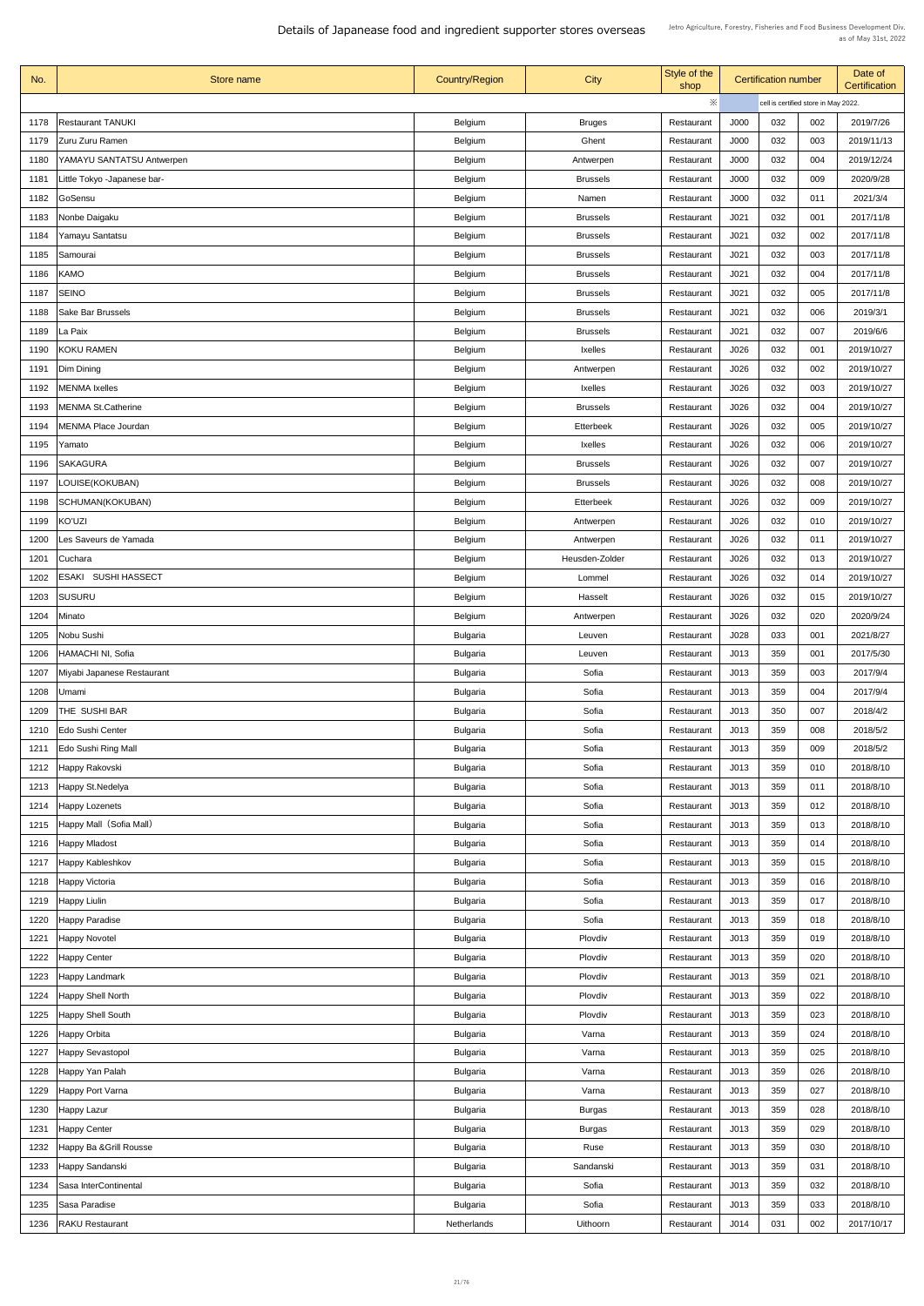| No.          | Store name                  | <b>Country/Region</b> | <b>City</b>      | Style of the<br>shop |                  | <b>Certification number</b> |                                      | Date of<br><b>Certification</b> |
|--------------|-----------------------------|-----------------------|------------------|----------------------|------------------|-----------------------------|--------------------------------------|---------------------------------|
|              |                             |                       |                  | $\times$             |                  |                             | cell is certified store in May 2022. |                                 |
| 1178         | <b>Restaurant TANUKI</b>    | <b>Belgium</b>        | <b>Bruges</b>    | Restaurant           | J000             | 032                         | 002                                  | 2019/7/26                       |
| 1179         | Zuru Zuru Ramen             | <b>Belgium</b>        | Ghent            | Restaurant           | J000             | 032                         | 003                                  | 2019/11/13                      |
| 1180         | YAMAYU SANTATSU Antwerpen   | <b>Belgium</b>        | Antwerpen        | Restaurant           | J000             | 032                         | 004                                  | 2019/12/24                      |
| 1181         | Little Tokyo -Japanese bar- | <b>Belgium</b>        | <b>Brussels</b>  | Restaurant           | J000             | 032                         | 009                                  | 2020/9/28                       |
| 1182         | GoSensu                     | <b>Belgium</b>        | Namen            | Restaurant           | J000             | 032                         | 011                                  | 2021/3/4                        |
| 1183         | Nonbe Daigaku               | <b>Belgium</b>        | <b>Brussels</b>  | Restaurant           | J <sub>021</sub> | 032                         | 001                                  | 2017/11/8                       |
|              |                             |                       |                  |                      |                  | 032                         |                                      | 2017/11/8                       |
| 1184         | Yamayu Santatsu             | <b>Belgium</b>        | <b>Brussels</b>  | Restaurant           | J <sub>021</sub> |                             | 002                                  |                                 |
| 1185         | Samourai                    | <b>Belgium</b>        | <b>Brussels</b>  | Restaurant           | J <sub>021</sub> | 032                         | 003                                  | 2017/11/8                       |
| 1186         | <b>KAMO</b>                 | <b>Belgium</b>        | <b>Brussels</b>  | Restaurant           | J <sub>021</sub> | 032                         | 004                                  | 2017/11/8                       |
| 1187         | <b>SEINO</b>                | <b>Belgium</b>        | <b>Brussels</b>  | Restaurant           | J <sub>021</sub> | 032                         | 005                                  | 2017/11/8                       |
| 1188         | <b>Sake Bar Brussels</b>    | <b>Belgium</b>        | <b>Brussels</b>  | Restaurant           | J <sub>021</sub> | 032                         | 006                                  | 2019/3/1                        |
| 1189         | La Paix                     | <b>Belgium</b>        | <b>Brussels</b>  | Restaurant           | J <sub>021</sub> | 032                         | 007                                  | 2019/6/6                        |
| 1190         | <b>KOKU RAMEN</b>           | <b>Belgium</b>        | <b>Ixelles</b>   | Restaurant           | J026             | 032                         | 001                                  | 2019/10/27                      |
| 1191         | Dim Dining                  | <b>Belgium</b>        | Antwerpen        | Restaurant           | J026             | 032                         | 002                                  | 2019/10/27                      |
| 1192         | <b>MENMA Ixelles</b>        | <b>Belgium</b>        | <b>Ixelles</b>   | Restaurant           | J026             | 032                         | 003                                  | 2019/10/27                      |
| 1193         | <b>MENMA St.Catherine</b>   | <b>Belgium</b>        | <b>Brussels</b>  | Restaurant           | J026             | 032                         | 004                                  | 2019/10/27                      |
| 1194         | <b>MENMA Place Jourdan</b>  | <b>Belgium</b>        | <b>Etterbeek</b> | Restaurant           | J026             | 032                         | 005                                  | 2019/10/27                      |
| 1195         | Yamato                      | <b>Belgium</b>        | <b>Ixelles</b>   | Restaurant           | J026             | 032                         | 006                                  | 2019/10/27                      |
| 1196         | <b>SAKAGURA</b>             | <b>Belgium</b>        | <b>Brussels</b>  | Restaurant           | J026             | 032                         | 007                                  | 2019/10/27                      |
| 1197         | LOUISE(KOKUBAN)             | <b>Belgium</b>        | <b>Brussels</b>  | Restaurant           | J026             | 032                         | 008                                  | 2019/10/27                      |
| 1198         | SCHUMAN(KOKUBAN)            | <b>Belgium</b>        | <b>Etterbeek</b> | Restaurant           | J026             | 032                         | 009                                  | 2019/10/27                      |
| 1199         | <b>KO'UZI</b>               | <b>Belgium</b>        | Antwerpen        | Restaurant           | J026             | 032                         | 010                                  | 2019/10/27                      |
| 1200         | Les Saveurs de Yamada       | <b>Belgium</b>        | Antwerpen        | Restaurant           | J026             | 032                         | 011                                  | 2019/10/27                      |
| 1201         | Cuchara                     | <b>Belgium</b>        | Heusden-Zolder   | Restaurant           | J026             | 032                         | 013                                  | 2019/10/27                      |
| 1202         | <b>ESAKI SUSHI HASSECT</b>  | <b>Belgium</b>        | Lommel           | Restaurant           | J026             | 032                         | 014                                  | 2019/10/27                      |
| 1203         | <b>SUSURU</b>               | <b>Belgium</b>        | Hasselt          | Restaurant           | J026             | 032                         | 015                                  | 2019/10/27                      |
| 1204         | Minato                      | <b>Belgium</b>        | Antwerpen        | Restaurant           | J026             | 032                         | 020                                  | 2020/9/24                       |
| 1205         | Nobu Sushi                  | <b>Bulgaria</b>       | Leuven           | Restaurant           | J028             | 033                         | 001                                  | 2021/8/27                       |
| 1206         | <b>HAMACHI NI, Sofia</b>    | <b>Bulgaria</b>       | Leuven           | Restaurant           | J013             | 359                         | 001                                  | 2017/5/30                       |
| 1207         | Miyabi Japanese Restaurant  | <b>Bulgaria</b>       | Sofia            | Restaurant           | J013             | 359                         | 003                                  | 2017/9/4                        |
| 1208         | Umami                       | <b>Bulgaria</b>       | Sofia            | Restaurant           | J013             | 359                         | 004                                  | 2017/9/4                        |
| 1209         | THE SUSHI BAR               | <b>Bulgaria</b>       | Sofia            | Restaurant           | J013             | 350                         | 007                                  | 2018/4/2                        |
| 1210         | Edo Sushi Center            | <b>Bulgaria</b>       | Sofia            | Restaurant           | J013             | 359                         | 008                                  | 2018/5/2                        |
| 1211         | <b>Edo Sushi Ring Mall</b>  | <b>Bulgaria</b>       | Sofia            | Restaurant           | J013             | 359                         | 009                                  | 2018/5/2                        |
| 1212         | Happy Rakovski              | <b>Bulgaria</b>       | Sofia            | Restaurant           | J013             | 359                         | 010                                  | 2018/8/10                       |
| 1213         | Happy St. Nedelya           | <b>Bulgaria</b>       | Sofia            | Restaurant           | J013             | 359                         | 011                                  | 2018/8/10                       |
| 1214         | <b>Happy Lozenets</b>       | <b>Bulgaria</b>       | Sofia            | Restaurant           | J013             | 359                         | 012                                  | 2018/8/10                       |
| 1215         | Happy Mall (Sofia Mall)     | <b>Bulgaria</b>       | Sofia            | Restaurant           | J013             | 359                         | 013                                  | 2018/8/10                       |
| 1216         | <b>Happy Mladost</b>        | <b>Bulgaria</b>       | Sofia            | Restaurant           | J013             | 359                         | 014                                  | 2018/8/10                       |
| 1217         | Happy Kableshkov            | <b>Bulgaria</b>       | Sofia            | Restaurant           | J013             | 359                         | 015                                  | 2018/8/10                       |
| 1218         | <b>Happy Victoria</b>       | <b>Bulgaria</b>       | Sofia            | Restaurant           | J013             | 359                         | 016                                  | 2018/8/10                       |
|              | 1219   Happy Liulin         | <b>Bulgaria</b>       | Sofia            | Restaurant           | J013             | 359                         | 017                                  | 2018/8/10                       |
|              |                             |                       | Sofia            |                      | J013             | 359                         | 018                                  | 2018/8/10                       |
| 1220<br>1221 | Happy Paradise              | <b>Bulgaria</b>       | Plovdiv          | Restaurant           | J013             | 359                         | 019                                  | 2018/8/10                       |
|              | <b>Happy Novotel</b>        | <b>Bulgaria</b>       |                  | Restaurant           |                  | 359                         |                                      |                                 |
| 1222         | Happy Center                | <b>Bulgaria</b>       | Plovdiv          | Restaurant           | J013             |                             | 020                                  | 2018/8/10                       |
| 1223         | Happy Landmark              | <b>Bulgaria</b>       | Plovdiv          | Restaurant           | J013             | 359                         | 021                                  | 2018/8/10                       |
| 1224         | Happy Shell North           | <b>Bulgaria</b>       | Plovdiv          | Restaurant           | J013             | 359                         | 022                                  | 2018/8/10                       |
| 1225         | <b>Happy Shell South</b>    | <b>Bulgaria</b>       | Plovdiv          | Restaurant           | J013             | 359                         | 023                                  | 2018/8/10                       |
| 1226         | Happy Orbita                | <b>Bulgaria</b>       | Varna            | Restaurant           | J013             | 359                         | 024                                  | 2018/8/10                       |
| 1227         | Happy Sevastopol            | <b>Bulgaria</b>       | Varna            | Restaurant           | J013             | 359                         | 025                                  | 2018/8/10                       |
| 1228         | Happy Yan Palah             | <b>Bulgaria</b>       | Varna            | Restaurant           | J013             | 359                         | 026                                  | 2018/8/10                       |
| 1229         | Happy Port Varna            | <b>Bulgaria</b>       | Varna            | Restaurant           | J013             | 359                         | 027                                  | 2018/8/10                       |
| 1230         | Happy Lazur                 | <b>Bulgaria</b>       | <b>Burgas</b>    | Restaurant           | J013             | 359                         | 028                                  | 2018/8/10                       |
| 1231         | Happy Center                | <b>Bulgaria</b>       | <b>Burgas</b>    | Restaurant           | J013             | 359                         | 029                                  | 2018/8/10                       |
| 1232         | Happy Ba & Grill Rousse     | <b>Bulgaria</b>       | Ruse             | Restaurant           | J013             | 359                         | 030                                  | 2018/8/10                       |
| 1233         | Happy Sandanski             | <b>Bulgaria</b>       | Sandanski        | Restaurant           | J013             | 359                         | 031                                  | 2018/8/10                       |
| 1234         | Sasa InterContinental       | <b>Bulgaria</b>       | Sofia            | Restaurant           | J013             | 359                         | 032                                  | 2018/8/10                       |
| 1235         | Sasa Paradise               | <b>Bulgaria</b>       | Sofia            | Restaurant           | J013             | 359                         | 033                                  | 2018/8/10                       |
| 1236         | <b>RAKU Restaurant</b>      | Netherlands           | Uithoorn         | Restaurant           | J014             | 031                         | 002                                  | 2017/10/17                      |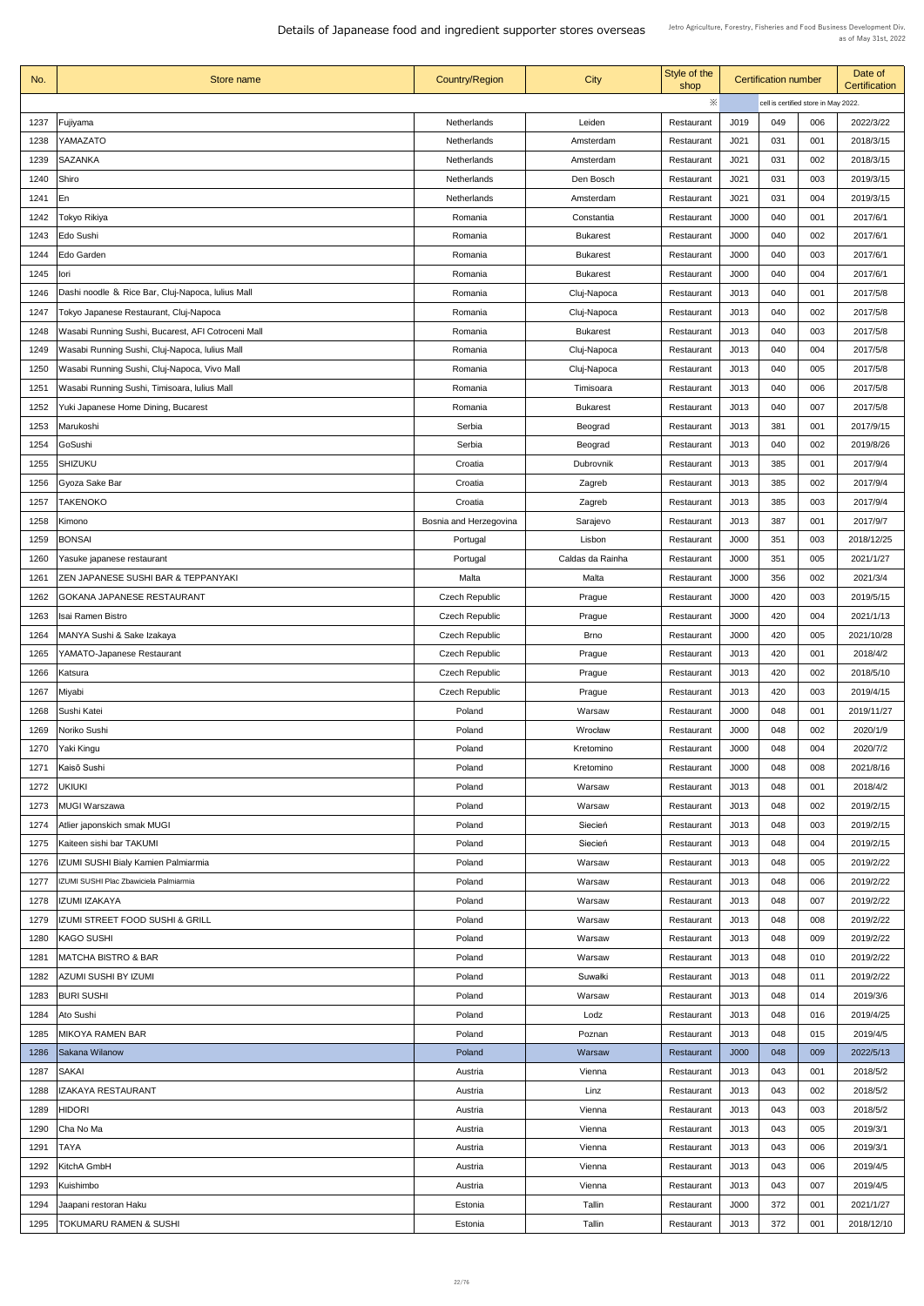| No.  | Store name                                         | <b>Country/Region</b>  | <b>City</b>                | Style of the<br>shop | <b>Certification number</b>          |     |     | Date of<br><b>Certification</b> |  |
|------|----------------------------------------------------|------------------------|----------------------------|----------------------|--------------------------------------|-----|-----|---------------------------------|--|
|      |                                                    |                        |                            | ※                    | cell is certified store in May 2022. |     |     |                                 |  |
| 1237 | Fujiyama                                           | <b>Netherlands</b>     | Leiden                     | Restaurant           | J019                                 | 049 | 006 | 2022/3/22                       |  |
| 1238 | YAMAZATO                                           | Netherlands            | Amsterdam                  | Restaurant           | J <sub>021</sub>                     | 031 | 001 | 2018/3/15                       |  |
| 1239 | <b>SAZANKA</b>                                     | <b>Netherlands</b>     | Amsterdam                  | Restaurant           | J <sub>021</sub>                     | 031 | 002 | 2018/3/15                       |  |
| 1240 | Shiro                                              | Netherlands            | Den Bosch                  | Restaurant           | J021                                 | 031 | 003 | 2019/3/15                       |  |
| 1241 | En                                                 | Netherlands            | Amsterdam                  | Restaurant           | J <sub>021</sub>                     | 031 | 004 | 2019/3/15                       |  |
| 1242 | Tokyo Rikiya                                       | Romania                | Constantia                 | Restaurant           | J000                                 | 040 | 001 | 2017/6/1                        |  |
| 1243 | Edo Sushi                                          | Romania                | <b>Bukarest</b>            | Restaurant           | J000                                 | 040 | 002 | 2017/6/1                        |  |
| 1244 | Edo Garden                                         | Romania                | <b>Bukarest</b>            | Restaurant           | J000                                 | 040 | 003 | 2017/6/1                        |  |
| 1245 | lori                                               | Romania                | <b>Bukarest</b>            | Restaurant           | J000                                 | 040 | 004 | 2017/6/1                        |  |
| 1246 | Dashi noodle & Rice Bar, Cluj-Napoca, Iulius Mall  | Romania                | Cluj-Napoca                | Restaurant           | J013                                 | 040 | 001 | 2017/5/8                        |  |
| 1247 | Tokyo Japanese Restaurant, Cluj-Napoca             | Romania                | Cluj-Napoca                | Restaurant           | J013                                 | 040 | 002 | 2017/5/8                        |  |
| 1248 | Wasabi Running Sushi, Bucarest, AFI Cotroceni Mall | Romania                | <b>Bukarest</b>            | Restaurant           | J013                                 | 040 | 003 | 2017/5/8                        |  |
| 1249 |                                                    | Romania                |                            | Restaurant           | J013                                 | 040 | 004 | 2017/5/8                        |  |
|      | Wasabi Running Sushi, Cluj-Napoca, Iulius Mall     |                        | Cluj-Napoca<br>Cluj-Napoca |                      | J013                                 | 040 | 005 | 2017/5/8                        |  |
| 1250 | Wasabi Running Sushi, Cluj-Napoca, Vivo Mall       | Romania                |                            | Restaurant           |                                      |     |     |                                 |  |
| 1251 | Wasabi Running Sushi, Timisoara, Iulius Mall       | Romania                | Timisoara                  | Restaurant           | J013                                 | 040 | 006 | 2017/5/8                        |  |
| 1252 | Yuki Japanese Home Dining, Bucarest                | Romania                | <b>Bukarest</b>            | Restaurant           | J013                                 | 040 | 007 | 2017/5/8                        |  |
| 1253 | Marukoshi                                          | Serbia                 | <b>Beograd</b>             | Restaurant           | J013                                 | 381 | 001 | 2017/9/15                       |  |
| 1254 | GoSushi                                            | Serbia                 | <b>Beograd</b>             | Restaurant           | J013                                 | 040 | 002 | 2019/8/26                       |  |
| 1255 | <b>SHIZUKU</b>                                     | Croatia                | <b>Dubrovnik</b>           | Restaurant           | J013                                 | 385 | 001 | 2017/9/4                        |  |
| 1256 | <b>Gyoza Sake Bar</b>                              | Croatia                | Zagreb                     | Restaurant           | J013                                 | 385 | 002 | 2017/9/4                        |  |
| 1257 | <b>TAKENOKO</b>                                    | Croatia                | Zagreb                     | Restaurant           | J013                                 | 385 | 003 | 2017/9/4                        |  |
| 1258 | Kimono                                             | Bosnia and Herzegovina | Sarajevo                   | Restaurant           | J013                                 | 387 | 001 | 2017/9/7                        |  |
| 1259 | <b>BONSAI</b>                                      | Portugal               | Lisbon                     | Restaurant           | J000                                 | 351 | 003 | 2018/12/25                      |  |
| 1260 | Yasuke japanese restaurant                         | Portugal               | Caldas da Rainha           | Restaurant           | J000                                 | 351 | 005 | 2021/1/27                       |  |
| 1261 | <b>ZEN JAPANESE SUSHI BAR &amp; TEPPANYAKI</b>     | Malta                  | Malta                      | Restaurant           | J000                                 | 356 | 002 | 2021/3/4                        |  |
| 1262 | <b>GOKANA JAPANESE RESTAURANT</b>                  | <b>Czech Republic</b>  | Prague                     | Restaurant           | J000                                 | 420 | 003 | 2019/5/15                       |  |
| 1263 | Isai Ramen Bistro                                  | <b>Czech Republic</b>  | Prague                     | Restaurant           | J000                                 | 420 | 004 | 2021/1/13                       |  |
| 1264 | MANYA Sushi & Sake Izakaya                         | <b>Czech Republic</b>  | <b>Brno</b>                | Restaurant           | J000                                 | 420 | 005 | 2021/10/28                      |  |
| 1265 | YAMATO-Japanese Restaurant                         | <b>Czech Republic</b>  | Prague                     | Restaurant           | J013                                 | 420 | 001 | 2018/4/2                        |  |
| 1266 | Katsura                                            | <b>Czech Republic</b>  | Prague                     | Restaurant           | J013                                 | 420 | 002 | 2018/5/10                       |  |
| 1267 | Miyabi                                             | <b>Czech Republic</b>  | Prague                     | Restaurant           | J013                                 | 420 | 003 | 2019/4/15                       |  |
| 1268 | Sushi Katei                                        | Poland                 | Warsaw                     | Restaurant           | J000                                 | 048 | 001 | 2019/11/27                      |  |
| 1269 | Noriko Sushi                                       | Poland                 | Wrocław                    | Restaurant           | J000                                 | 048 | 002 | 2020/1/9                        |  |
| 1270 | Yaki Kingu                                         | Poland                 | Kretomino                  | Restaurant           | J000                                 | 048 | 004 | 2020/7/2                        |  |
| 1271 | Kaisō Sushi                                        | Poland                 | Kretomino                  | Restaurant           | J000                                 | 048 | 008 | 2021/8/16                       |  |
| 1272 | <b>UKIUKI</b>                                      | Poland                 | Warsaw                     | Restaurant           | J013                                 | 048 | 001 | 2018/4/2                        |  |
| 1273 | MUGI Warszawa                                      | Poland                 | Warsaw                     | Restaurant           | J013                                 | 048 | 002 | 2019/2/15                       |  |
| 1274 | Atlier japonskich smak MUGI                        | Poland                 | Siecień                    | Restaurant           | J013                                 | 048 | 003 | 2019/2/15                       |  |
| 1275 | Kaiteen sishi bar TAKUMI                           | Poland                 | Siecień                    | Restaurant           | J013                                 | 048 | 004 | 2019/2/15                       |  |
| 1276 | IZUMI SUSHI Bialy Kamien Palmiarmia                | Poland                 | Warsaw                     | Restaurant           | J013                                 | 048 | 005 | 2019/2/22                       |  |
| 1277 | IZUMI SUSHI Plac Zbawiciela Palmiarmia             | Poland                 | Warsaw                     | Restaurant           | J013                                 | 048 | 006 | 2019/2/22                       |  |
|      | 1278   IZUMI IZAKAYA                               | Poland                 | Warsaw                     | Restaurant           | J013                                 | 048 | 007 | 2019/2/22                       |  |
| 1279 | <b>IZUMI STREET FOOD SUSHI &amp; GRILL</b>         | Poland                 | Warsaw                     | Restaurant           | J013                                 | 048 | 008 | 2019/2/22                       |  |
| 1280 | <b>KAGO SUSHI</b>                                  | Poland                 | Warsaw                     | Restaurant           | J013                                 | 048 | 009 | 2019/2/22                       |  |
| 1281 | <b>MATCHA BISTRO &amp; BAR</b>                     | Poland                 | Warsaw                     | Restaurant           | J013                                 | 048 | 010 | 2019/2/22                       |  |
|      | 1282   AZUMI SUSHI BY IZUMI                        | Poland                 | Suwałki                    | Restaurant           | J013                                 | 048 | 011 | 2019/2/22                       |  |
| 1283 | <b>BURI SUSHI</b>                                  | Poland                 | Warsaw                     | Restaurant           | J013                                 | 048 | 014 | 2019/3/6                        |  |
| 1284 | Ato Sushi                                          | Poland                 | Lodz                       | Restaurant           | J013                                 | 048 | 016 | 2019/4/25                       |  |
| 1285 | MIKOYA RAMEN BAR                                   | Poland                 | Poznan                     | Restaurant           | J013                                 | 048 | 015 | 2019/4/5                        |  |
| 1286 | Sakana Wilanow                                     | Poland                 | Warsaw                     | Restaurant           | J000                                 | 048 | 009 | 2022/5/13                       |  |
| 1287 | SAKAI                                              | Austria                | Vienna                     | Restaurant           | J013                                 | 043 | 001 | 2018/5/2                        |  |
| 1288 | <b>IZAKAYA RESTAURANT</b>                          | Austria                | Linz                       | Restaurant           | J013                                 | 043 | 002 | 2018/5/2                        |  |
| 1289 | <b>HIDORI</b>                                      | Austria                | Vienna                     | Restaurant           | J013                                 | 043 | 003 | 2018/5/2                        |  |
| 1290 | Cha No Ma                                          | Austria                | Vienna                     | Restaurant           | J013                                 | 043 | 005 | 2019/3/1                        |  |
| 1291 | <b>TAYA</b>                                        | Austria                | Vienna                     | Restaurant           | J013                                 | 043 | 006 | 2019/3/1                        |  |
| 1292 | KitchA GmbH                                        | Austria                | Vienna                     | Restaurant           | J013                                 | 043 | 006 | 2019/4/5                        |  |
| 1293 | Kuishimbo                                          | Austria                | Vienna                     | Restaurant           | J013                                 | 043 | 007 | 2019/4/5                        |  |
| 1294 | Jaapani restoran Haku                              | Estonia                | Tallin                     | Restaurant           | J000                                 | 372 | 001 | 2021/1/27                       |  |
| 1295 | <b>TOKUMARU RAMEN &amp; SUSHI</b>                  | Estonia                | Tallin                     | Restaurant           | J013                                 | 372 | 001 | 2018/12/10                      |  |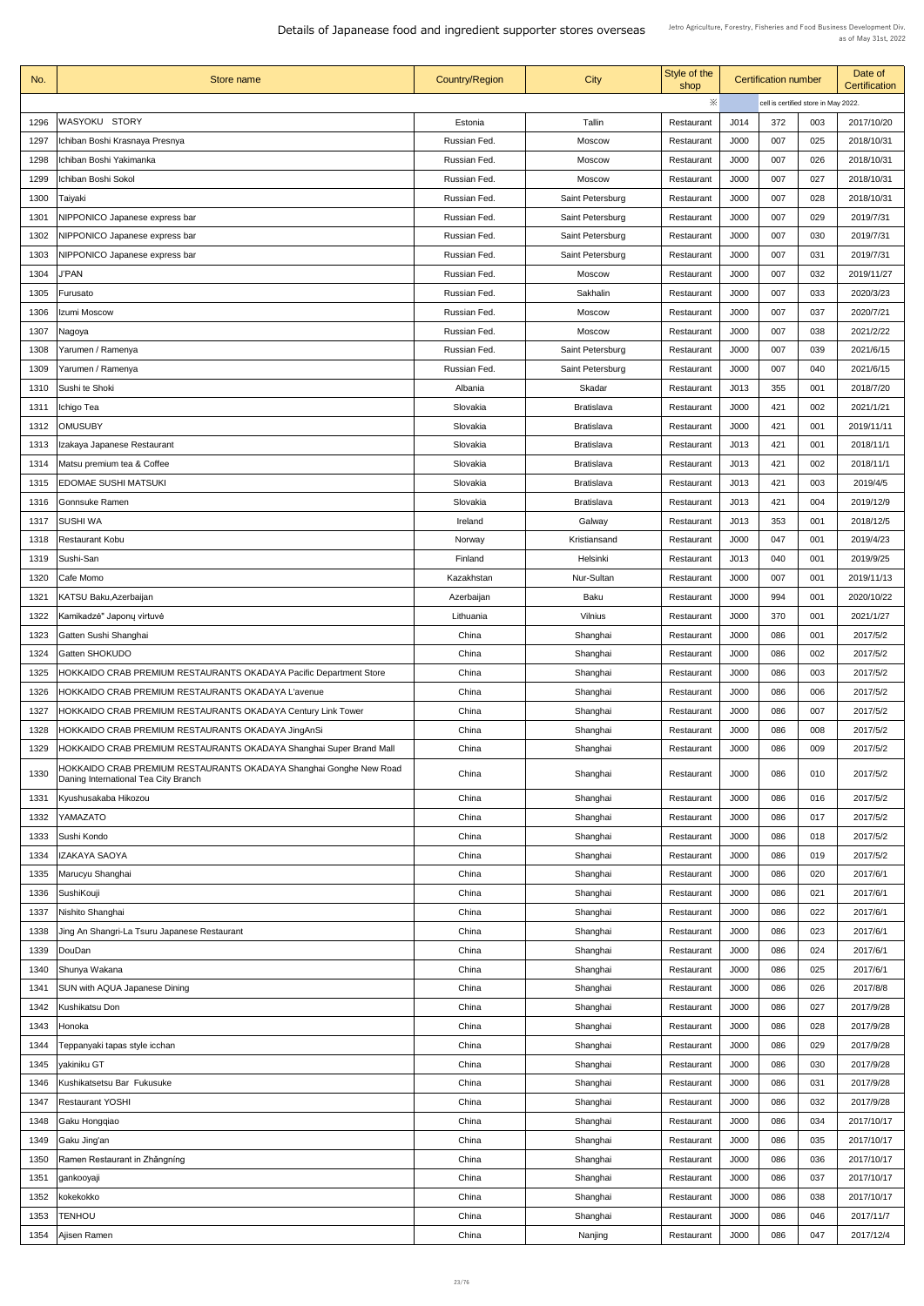| No.          | Store name                                                          | <b>Country/Region</b> | <b>City</b>                            | Style of the<br>shop     | <b>Certification number</b> |            | Date of<br><b>Certification</b>      |                       |
|--------------|---------------------------------------------------------------------|-----------------------|----------------------------------------|--------------------------|-----------------------------|------------|--------------------------------------|-----------------------|
|              |                                                                     |                       |                                        | ※                        |                             |            | cell is certified store in May 2022. |                       |
| 1296         | WASYOKU STORY                                                       | Estonia               | Tallin                                 | Restaurant               | J014                        | 372        | 003                                  | 2017/10/20            |
| 1297         | Ichiban Boshi Krasnaya Presnya                                      | Russian Fed.          | <b>Moscow</b>                          | Restaurant               | J000                        | 007        | 025                                  | 2018/10/31            |
| 1298         | Ichiban Boshi Yakimanka                                             | Russian Fed.          | <b>Moscow</b>                          | Restaurant               | J000                        | 007        | 026                                  | 2018/10/31            |
| 1299         | Ichiban Boshi Sokol                                                 | Russian Fed.          | <b>Moscow</b>                          | Restaurant               | J000                        | 007        | 027                                  | 2018/10/31            |
| 1300         | Taiyaki                                                             | Russian Fed.          | Saint Petersburg                       | Restaurant               | J000                        | 007        | 028                                  | 2018/10/31            |
| 1301         | NIPPONICO Japanese express bar                                      | Russian Fed.          | Saint Petersburg                       | Restaurant               | J000                        | 007        | 029                                  | 2019/7/31             |
| 1302         | NIPPONICO Japanese express bar                                      | Russian Fed.          | Saint Petersburg                       | Restaurant               | J000                        | 007        | 030                                  | 2019/7/31             |
| 1303         | <b>NIPPONICO Japanese express bar</b>                               | Russian Fed.          | Saint Petersburg                       | Restaurant               | J000                        | 007        | 031                                  | 2019/7/31             |
| 1304         | <b>J'PAN</b>                                                        | Russian Fed.          | <b>Moscow</b>                          | Restaurant               | J000                        | 007        | 032                                  | 2019/11/27            |
| 1305         | Furusato                                                            | Russian Fed.          | Sakhalin                               | Restaurant               | J000                        | 007        | 033                                  | 2020/3/23             |
| 1306         | Izumi Moscow                                                        | Russian Fed.          | <b>Moscow</b>                          | Restaurant               | J000                        | 007        | 037                                  | 2020/7/21             |
| 1307         | Nagoya                                                              | Russian Fed.          | <b>Moscow</b>                          | Restaurant               | J000                        | 007        | 038                                  | 2021/2/22             |
| 1308         | Yarumen / Ramenya                                                   | Russian Fed.          | Saint Petersburg                       | Restaurant               | J000                        | 007        | 039                                  | 2021/6/15             |
| 1309         | Yarumen / Ramenya                                                   | Russian Fed.          | Saint Petersburg                       | Restaurant               | J000                        | 007        | 040                                  | 2021/6/15             |
| 1310         | Sushi te Shoki                                                      | Albania               | Skadar                                 | Restaurant               | J013                        | 355        | 001                                  | 2018/7/20             |
| 1311         | Ichigo Tea                                                          | Slovakia              | <b>Bratislava</b>                      | Restaurant               | J000                        | 421        | 002                                  | 2021/1/21             |
| 1312         | <b>OMUSUBY</b>                                                      | Slovakia              | <b>Bratislava</b>                      | Restaurant               | J000                        | 421        | 001                                  | 2019/11/11            |
| 1313         | Izakaya Japanese Restaurant                                         | Slovakia              | <b>Bratislava</b>                      | Restaurant               | J013                        | 421        | 001                                  | 2018/11/1             |
| 1314         | Matsu premium tea & Coffee                                          | Slovakia              | <b>Bratislava</b>                      | Restaurant               | J013                        | 421<br>421 | 002                                  | 2018/11/1             |
| 1315<br>1316 | <b>EDOMAE SUSHI MATSUKI</b><br><b>Gonnsuke Ramen</b>                | Slovakia<br>Slovakia  | <b>Bratislava</b><br><b>Bratislava</b> | Restaurant               | J013<br>J013                | 421        | 003<br>004                           | 2019/4/5<br>2019/12/9 |
| 1317         | <b>SUSHI WA</b>                                                     | Ireland               | Galway                                 | Restaurant<br>Restaurant | J013                        | 353        | 001                                  | 2018/12/5             |
| 1318         | <b>Restaurant Kobu</b>                                              | Norway                | Kristiansand                           | Restaurant               | J000                        | 047        | 001                                  | 2019/4/23             |
| 1319         | Sushi-San                                                           | Finland               | Helsinki                               | Restaurant               | J013                        | 040        | 001                                  | 2019/9/25             |
| 1320         | Cafe Momo                                                           | Kazakhstan            | Nur-Sultan                             | Restaurant               | J000                        | 007        | 001                                  | 2019/11/13            |
| 1321         | KATSU Baku,Azerbaijan                                               | Azerbaijan            | <b>Baku</b>                            | Restaurant               | J000                        | 994        | 001                                  | 2020/10/22            |
| 1322         | Kamikadzė" Japonų virtuvė                                           | Lithuania             | <b>Vilnius</b>                         | Restaurant               | J000                        | 370        | 001                                  | 2021/1/27             |
| 1323         | Gatten Sushi Shanghai                                               | China                 | Shanghai                               | Restaurant               | J000                        | 086        | 001                                  | 2017/5/2              |
| 1324         | Gatten SHOKUDO                                                      | China                 | Shanghai                               | Restaurant               | J000                        | 086        | 002                                  | 2017/5/2              |
| 1325         | HOKKAIDO CRAB PREMIUM RESTAURANTS OKADAYA Pacific Department Store  | China                 | Shanghai                               | Restaurant               | J000                        | 086        | 003                                  | 2017/5/2              |
| 1326         | HOKKAIDO CRAB PREMIUM RESTAURANTS OKADAYA L'avenue                  | China                 | Shanghai                               | Restaurant               | J000                        | 086        | 006                                  | 2017/5/2              |
| 1327         | HOKKAIDO CRAB PREMIUM RESTAURANTS OKADAYA Century Link Tower        | China                 | Shanghai                               | Restaurant               | J000                        | 086        | 007                                  | 2017/5/2              |
| 1328         | HOKKAIDO CRAB PREMIUM RESTAURANTS OKADAYA JingAnSi                  | China                 | Shanghai                               | Restaurant               | J000                        | 086        | 008                                  | 2017/5/2              |
| 1329         | HOKKAIDO CRAB PREMIUM RESTAURANTS OKADAYA Shanghai Super Brand Mall | China                 | Shanghai                               | Restaurant               | J000                        | 086        | 009                                  | 2017/5/2              |
| 1330         | HOKKAIDO CRAB PREMIUM RESTAURANTS OKADAYA Shanghai Gonghe New Road  | China                 | Shanghai                               | Restaurant               | J000                        | 086        | 010                                  | 2017/5/2              |
|              | Daning International Tea City Branch                                | China                 |                                        |                          |                             | 086        | 016                                  |                       |
| 1331<br>1332 | Kyushusakaba Hikozou<br>YAMAZATO                                    | China                 | Shanghai<br>Shanghai                   | Restaurant<br>Restaurant | J000<br>J000                | 086        | 017                                  | 2017/5/2<br>2017/5/2  |
| 1333         | Sushi Kondo                                                         | China                 | Shanghai                               | Restaurant               | J000                        | 086        | 018                                  | 2017/5/2              |
| 1334         | <b>IZAKAYA SAOYA</b>                                                | China                 | Shanghai                               | Restaurant               | J000                        | 086        | 019                                  | 2017/5/2              |
| 1335         | Marucyu Shanghai                                                    | China                 | Shanghai                               | Restaurant               | J000                        | 086        | 020                                  | 2017/6/1              |
| 1336         | SushiKouji                                                          | China                 | Shanghai                               | Restaurant               | J000                        | 086        | 021                                  | 2017/6/1              |
| 1337         | Nishito Shanghai                                                    | China                 | Shanghai                               | Restaurant               | J000                        | 086        | 022                                  | 2017/6/1              |
| 1338         | Jing An Shangri-La Tsuru Japanese Restaurant                        | China                 | Shanghai                               | Restaurant               | J000                        | 086        | 023                                  | 2017/6/1              |
| 1339         | DouDan                                                              | China                 | Shanghai                               | Restaurant               | J000                        | 086        | 024                                  | 2017/6/1              |
| 1340         | Shunya Wakana                                                       | China                 | Shanghai                               | Restaurant               | J000                        | 086        | 025                                  | 2017/6/1              |
| 1341         | <b>SUN with AQUA Japanese Dining</b>                                | China                 | Shanghai                               | Restaurant               | J000                        | 086        | 026                                  | 2017/8/8              |
| 1342         | Kushikatsu Don                                                      | China                 | Shanghai                               | Restaurant               | J000                        | 086        | 027                                  | 2017/9/28             |
| 1343         | Honoka                                                              | China                 | Shanghai                               | Restaurant               | J000                        | 086        | 028                                  | 2017/9/28             |
| 1344         | Teppanyaki tapas style icchan                                       | China                 | Shanghai                               | Restaurant               | J000                        | 086        | 029                                  | 2017/9/28             |
| 1345         | yakiniku GT                                                         | China                 | Shanghai                               | Restaurant               | J000                        | 086        | 030                                  | 2017/9/28             |
| 1346         | Kushikatsetsu Bar Fukusuke                                          | China                 | Shanghai                               | Restaurant               | J000                        | 086        | 031                                  | 2017/9/28             |
| 1347         | <b>Restaurant YOSHI</b>                                             | China                 | Shanghai                               | Restaurant               | J000                        | 086        | 032                                  | 2017/9/28             |
| 1348         | Gaku Hongqiao                                                       | China                 | Shanghai                               | Restaurant               | J000                        | 086        | 034                                  | 2017/10/17            |
| 1349         | Gaku Jing'an                                                        | China                 | Shanghai                               | Restaurant               | J000                        | 086        | 035                                  | 2017/10/17            |
| 1350         | Ramen Restaurant in Zhǎngníng                                       | China                 | Shanghai                               | Restaurant               | J000                        | 086        | 036                                  | 2017/10/17            |
| 1351         | gankooyaji                                                          | China                 | Shanghai                               | Restaurant               | J000                        | 086        | 037                                  | 2017/10/17            |
| 1352         | kokekokko                                                           | China                 | Shanghai                               | Restaurant               | J000                        | 086        | 038                                  | 2017/10/17            |
| 1353         | <b>TENHOU</b>                                                       | China                 | Shanghai                               | Restaurant               | J000                        | 086        | 046                                  | 2017/11/7             |
| 1354         | Ajisen Ramen                                                        | China                 | Nanjing                                | Restaurant               | J000                        | 086        | 047                                  | 2017/12/4             |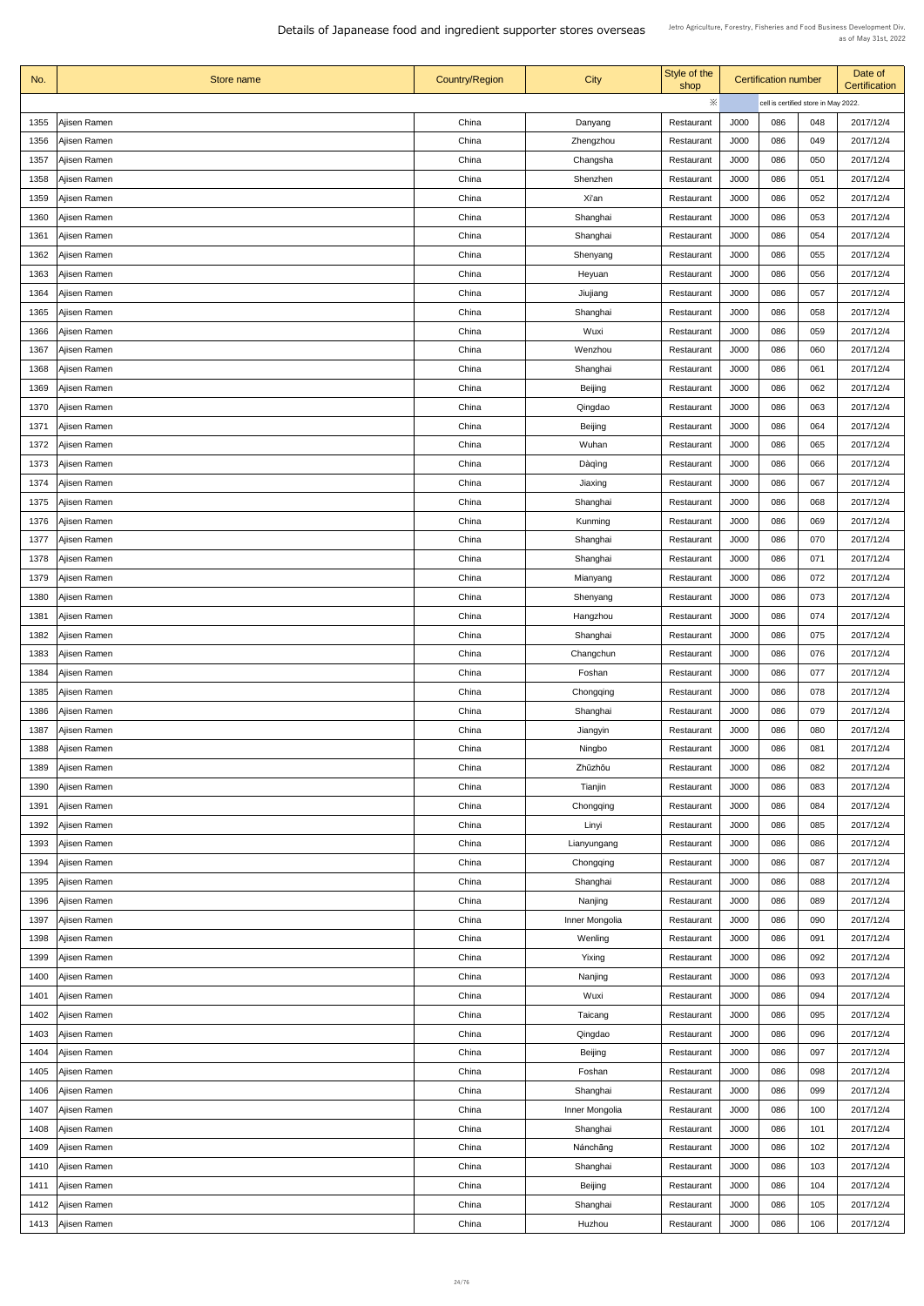| No.  | Store name          | <b>Country/Region</b> | <b>City</b>    | Style of the<br>shop |             | <b>Certification number</b>          |     | Date of<br>Certification |
|------|---------------------|-----------------------|----------------|----------------------|-------------|--------------------------------------|-----|--------------------------|
|      |                     |                       |                | ※                    |             | cell is certified store in May 2022. |     |                          |
| 1355 | Ajisen Ramen        | China                 | Danyang        | Restaurant           | J000        | 086                                  | 048 | 2017/12/4                |
| 1356 | Ajisen Ramen        | China                 | Zhengzhou      | Restaurant           | J000        | 086                                  | 049 | 2017/12/4                |
| 1357 | Ajisen Ramen        | China                 | Changsha       | Restaurant           | J000        | 086                                  | 050 | 2017/12/4                |
| 1358 | Ajisen Ramen        | China                 | Shenzhen       | Restaurant           | J000        | 086                                  | 051 | 2017/12/4                |
| 1359 | Ajisen Ramen        | China                 | Xi'an          | Restaurant           | <b>J000</b> | 086                                  | 052 | 2017/12/4                |
| 1360 | Ajisen Ramen        | China                 | Shanghai       | Restaurant           | J000        | 086                                  | 053 | 2017/12/4                |
| 1361 | Ajisen Ramen        | China                 | Shanghai       | Restaurant           | J000        | 086                                  | 054 | 2017/12/4                |
| 1362 | Ajisen Ramen        | China                 | Shenyang       | Restaurant           | J000        | 086                                  | 055 | 2017/12/4                |
| 1363 | Ajisen Ramen        | China                 | Heyuan         | Restaurant           | J000        | 086                                  | 056 | 2017/12/4                |
| 1364 | Ajisen Ramen        | China                 | Jiujiang       | Restaurant           | J000        | 086                                  | 057 | 2017/12/4                |
| 1365 | Ajisen Ramen        | China                 | Shanghai       | Restaurant           | J000        | 086                                  | 058 | 2017/12/4                |
| 1366 | Ajisen Ramen        | China                 | Wuxi           | Restaurant           | J000        | 086                                  | 059 | 2017/12/4                |
| 1367 | Ajisen Ramen        | China                 | Wenzhou        | Restaurant           | <b>J000</b> | 086                                  | 060 | 2017/12/4                |
| 1368 | Ajisen Ramen        | China                 | Shanghai       | Restaurant           | J000        | 086                                  | 061 | 2017/12/4                |
| 1369 | Ajisen Ramen        | China                 | <b>Beijing</b> | Restaurant           | J000        | 086                                  | 062 | 2017/12/4                |
| 1370 | Ajisen Ramen        | China                 | Qingdao        | Restaurant           | J000        | 086                                  | 063 | 2017/12/4                |
| 1371 | Ajisen Ramen        | China                 | <b>Beijing</b> | Restaurant           | J000        | 086                                  | 064 | 2017/12/4                |
| 1372 | Ajisen Ramen        | China                 | Wuhan          | Restaurant           | J000        | 086                                  | 065 | 2017/12/4                |
| 1373 | Ajisen Ramen        | China                 | Dàqìng         | Restaurant           | J000        | 086                                  | 066 | 2017/12/4                |
| 1374 | Ajisen Ramen        | China                 | Jiaxing        | Restaurant           | J000        | 086                                  | 067 | 2017/12/4                |
| 1375 | Ajisen Ramen        | China                 | Shanghai       | Restaurant           | J000        | 086                                  | 068 | 2017/12/4                |
| 1376 | Ajisen Ramen        | China                 | Kunming        | Restaurant           | J000        | 086                                  | 069 | 2017/12/4                |
| 1377 | Ajisen Ramen        | China                 | Shanghai       | Restaurant           | J000        | 086                                  | 070 | 2017/12/4                |
| 1378 | Ajisen Ramen        | China                 | Shanghai       | Restaurant           | J000        | 086                                  | 071 | 2017/12/4                |
| 1379 | Ajisen Ramen        | China                 | Mianyang       | Restaurant           | J000        | 086                                  | 072 | 2017/12/4                |
| 1380 | Ajisen Ramen        | China                 | Shenyang       | Restaurant           | J000        | 086                                  | 073 | 2017/12/4                |
| 1381 | Ajisen Ramen        | China                 | Hangzhou       | Restaurant           | J000        | 086                                  | 074 | 2017/12/4                |
| 1382 | Ajisen Ramen        | China                 | Shanghai       | Restaurant           | J000        | 086                                  | 075 | 2017/12/4                |
| 1383 | Ajisen Ramen        | China                 | Changchun      | Restaurant           | J000        | 086                                  | 076 | 2017/12/4                |
| 1384 | Ajisen Ramen        | China                 | Foshan         | Restaurant           | J000        | 086                                  | 077 | 2017/12/4                |
| 1385 | Ajisen Ramen        | China                 | Chongqing      | Restaurant           | J000        | 086                                  | 078 | 2017/12/4                |
| 1386 | Ajisen Ramen        | China                 | Shanghai       | Restaurant           | J000        | 086                                  | 079 | 2017/12/4                |
| 1387 | Ajisen Ramen        | China                 | Jiangyin       | Restaurant           | J000        | 086                                  | 080 | 2017/12/4                |
| 1388 | Ajisen Ramen        | China                 | Ningbo         | Restaurant           | J000        | 086                                  | 081 | 2017/12/4                |
| 1389 | Ajisen Ramen        | China                 | Zhūzhōu        | Restaurant           | J000        | 086                                  | 082 | 2017/12/4                |
| 1390 | Ajisen Ramen        | China                 | Tianjin        | Restaurant           | J000        | 086                                  | 083 | 2017/12/4                |
| 1391 | Ajisen Ramen        | China                 | Chongqing      | Restaurant           | J000        | 086                                  | 084 | 2017/12/4                |
| 1392 | Ajisen Ramen        | China                 | Linyi          | Restaurant           | J000        | 086                                  | 085 | 2017/12/4                |
| 1393 | Ajisen Ramen        | China                 | Lianyungang    | Restaurant           | J000        | 086                                  | 086 | 2017/12/4                |
| 1394 | Ajisen Ramen        | China                 | Chongqing      | Restaurant           | J000        | 086                                  | 087 | 2017/12/4                |
| 1395 | Ajisen Ramen        | China                 | Shanghai       | Restaurant           | J000        | 086                                  | 088 | 2017/12/4                |
|      | 1396   Ajisen Ramen | China                 | Nanjing        | Restaurant           | J000        | 086                                  | 089 | 2017/12/4                |
| 1397 | Ajisen Ramen        | China                 | Inner Mongolia | Restaurant           | J000        | 086                                  | 090 | 2017/12/4                |
| 1398 | Ajisen Ramen        | China                 | Wenling        | Restaurant           | J000        | 086                                  | 091 | 2017/12/4                |
| 1399 | Ajisen Ramen        | China                 | Yixing         | Restaurant           | J000        | 086                                  | 092 | 2017/12/4                |
| 1400 | Ajisen Ramen        | China                 | Nanjing        | Restaurant           | J000        | 086                                  | 093 | 2017/12/4                |
| 1401 | Ajisen Ramen        | China                 | Wuxi           | Restaurant           | J000        | 086                                  | 094 | 2017/12/4                |
| 1402 | Ajisen Ramen        | China                 | Taicang        | Restaurant           | J000        | 086                                  | 095 | 2017/12/4                |
| 1403 | Ajisen Ramen        | China                 | Qingdao        | Restaurant           | J000        | 086                                  | 096 | 2017/12/4                |
| 1404 | Ajisen Ramen        | China                 | <b>Beijing</b> | Restaurant           | J000        | 086                                  | 097 | 2017/12/4                |
| 1405 | Ajisen Ramen        | China                 | Foshan         | Restaurant           | J000        | 086                                  | 098 | 2017/12/4                |
| 1406 | Ajisen Ramen        | China                 | Shanghai       | Restaurant           | J000        | 086                                  | 099 | 2017/12/4                |
| 1407 | Ajisen Ramen        | China                 | Inner Mongolia | Restaurant           | J000        | 086                                  | 100 | 2017/12/4                |
| 1408 | Ajisen Ramen        | China                 | Shanghai       | Restaurant           | J000        | 086                                  | 101 | 2017/12/4                |
| 1409 | Ajisen Ramen        | China                 | Nánchāng       | Restaurant           | J000        | 086                                  | 102 | 2017/12/4                |
|      | 1410   Ajisen Ramen | China                 | Shanghai       | Restaurant           | J000        | 086                                  | 103 | 2017/12/4                |
|      | 1411   Ajisen Ramen | China                 | <b>Beijing</b> | Restaurant           | J000        | 086                                  | 104 | 2017/12/4                |
| 1412 | Ajisen Ramen        | China                 | Shanghai       | Restaurant           | J000        | 086                                  | 105 | 2017/12/4                |
|      | 1413   Ajisen Ramen | China                 | Huzhou         | Restaurant           | J000        | 086                                  | 106 | 2017/12/4                |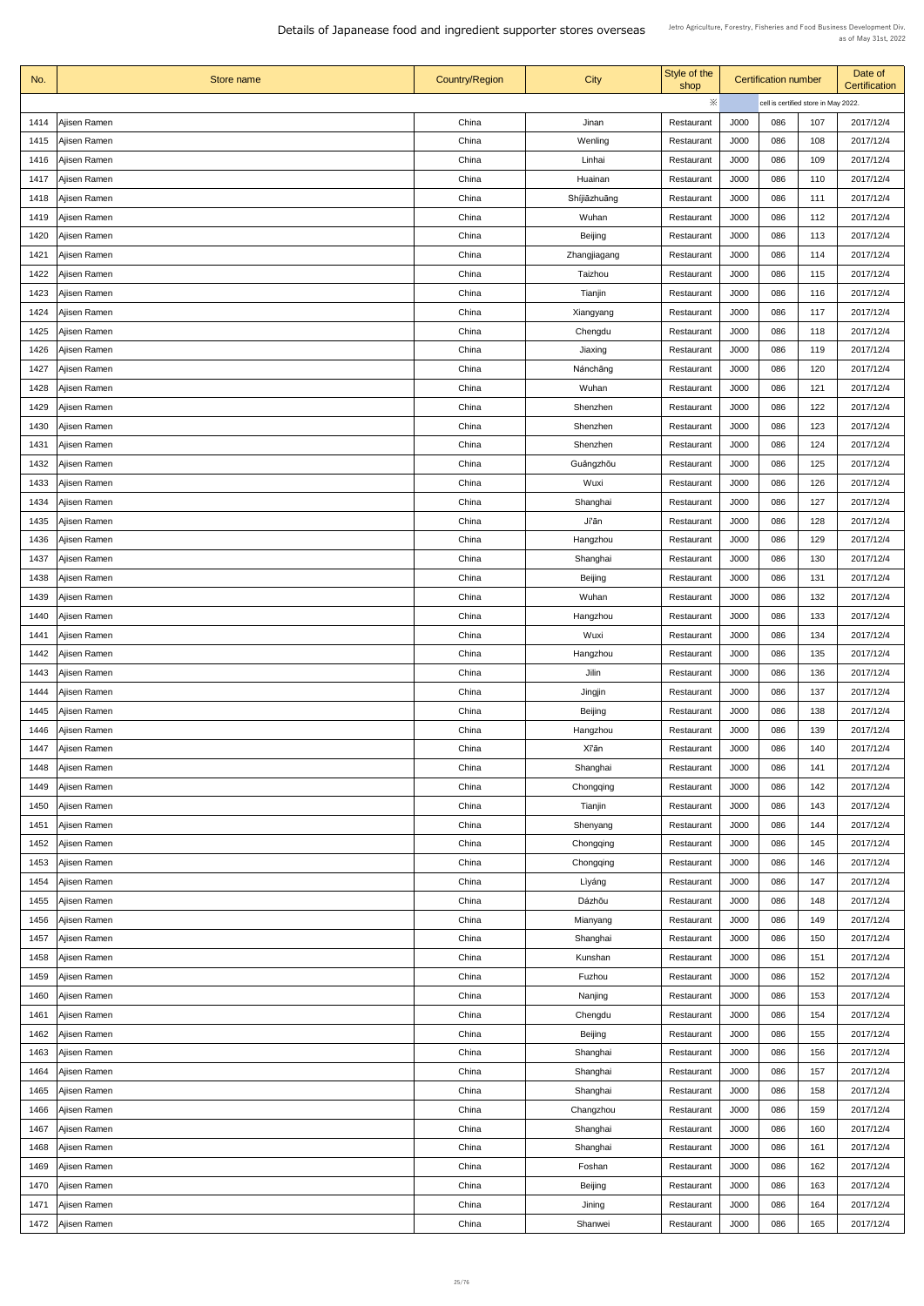| No.  | Store name          | <b>Country/Region</b> | <b>City</b>    | Style of the<br>shop |             | <b>Certification number</b>          |     | Date of<br>Certification |
|------|---------------------|-----------------------|----------------|----------------------|-------------|--------------------------------------|-----|--------------------------|
|      |                     |                       |                | ※                    |             | cell is certified store in May 2022. |     |                          |
| 1414 | Ajisen Ramen        | China                 | Jinan          | Restaurant           | J000        | 086                                  | 107 | 2017/12/4                |
| 1415 | Ajisen Ramen        | China                 | Wenling        | Restaurant           | J000        | 086                                  | 108 | 2017/12/4                |
| 1416 | Ajisen Ramen        | China                 | Linhai         | Restaurant           | J000        | 086                                  | 109 | 2017/12/4                |
| 1417 | Ajisen Ramen        | China                 | Huainan        | Restaurant           | J000        | 086                                  | 110 | 2017/12/4                |
| 1418 | Ajisen Ramen        | China                 | Shíjiāzhuāng   | Restaurant           | <b>J000</b> | 086                                  | 111 | 2017/12/4                |
| 1419 | Ajisen Ramen        | China                 | Wuhan          | Restaurant           | J000        | 086                                  | 112 | 2017/12/4                |
| 1420 | Ajisen Ramen        | China                 | <b>Beijing</b> | Restaurant           | J000        | 086                                  | 113 | 2017/12/4                |
| 1421 | Ajisen Ramen        | China                 | Zhangjiagang   | Restaurant           | J000        | 086                                  | 114 | 2017/12/4                |
| 1422 | Ajisen Ramen        | China                 | Taizhou        | Restaurant           | J000        | 086                                  | 115 | 2017/12/4                |
| 1423 | Ajisen Ramen        | China                 | Tianjin        | Restaurant           | J000        | 086                                  | 116 | 2017/12/4                |
| 1424 | Ajisen Ramen        | China                 | Xiangyang      | Restaurant           | J000        | 086                                  | 117 | 2017/12/4                |
| 1425 | Ajisen Ramen        | China                 | Chengdu        | Restaurant           | J000        | 086                                  | 118 | 2017/12/4                |
| 1426 | Ajisen Ramen        | China                 | Jiaxing        | Restaurant           | <b>J000</b> | 086                                  | 119 | 2017/12/4                |
| 1427 | Ajisen Ramen        | China                 | Nánchāng       | Restaurant           | J000        | 086                                  | 120 | 2017/12/4                |
| 1428 | Ajisen Ramen        | China                 | Wuhan          | Restaurant           | J000        | 086                                  | 121 | 2017/12/4                |
| 1429 | Ajisen Ramen        | China                 | Shenzhen       | Restaurant           | J000        | 086                                  | 122 | 2017/12/4                |
| 1430 | Ajisen Ramen        | China                 | Shenzhen       | Restaurant           | J000        | 086                                  | 123 | 2017/12/4                |
| 1431 | Ajisen Ramen        | China                 | Shenzhen       | Restaurant           | J000        | 086                                  | 124 | 2017/12/4                |
| 1432 | Ajisen Ramen        | China                 | Guǎngzhōu      | Restaurant           | J000        | 086                                  | 125 | 2017/12/4                |
| 1433 | Ajisen Ramen        | China                 | Wuxi           | Restaurant           | J000        | 086                                  | 126 | 2017/12/4                |
| 1434 | Ajisen Ramen        | China                 | Shanghai       | Restaurant           | J000        | 086                                  | 127 | 2017/12/4                |
| 1435 | Ajisen Ramen        | China                 | Jí'ān          | Restaurant           | J000        | 086                                  | 128 | 2017/12/4                |
|      |                     | China                 |                |                      |             | 086                                  | 129 | 2017/12/4                |
| 1436 | Ajisen Ramen        |                       | Hangzhou       | Restaurant           | J000        |                                      |     |                          |
| 1437 | Ajisen Ramen        | China                 | Shanghai       | Restaurant           | J000        | 086                                  | 130 | 2017/12/4                |
| 1438 | Ajisen Ramen        | China                 | <b>Beijing</b> | Restaurant           | J000        | 086                                  | 131 | 2017/12/4                |
| 1439 | Ajisen Ramen        | China                 | Wuhan          | Restaurant           | J000        | 086                                  | 132 | 2017/12/4                |
| 1440 | Ajisen Ramen        | China                 | Hangzhou       | Restaurant           | J000        | 086                                  | 133 | 2017/12/4                |
| 1441 | Ajisen Ramen        | China                 | Wuxi           | Restaurant           | J000        | 086                                  | 134 | 2017/12/4                |
| 1442 | Ajisen Ramen        | China                 | Hangzhou       | Restaurant           | J000        | 086                                  | 135 | 2017/12/4                |
| 1443 | Ajisen Ramen        | China                 | Jilin          | Restaurant           | J000        | 086                                  | 136 | 2017/12/4                |
| 1444 | Ajisen Ramen        | China                 | Jingjin        | Restaurant           | J000        | 086                                  | 137 | 2017/12/4                |
| 1445 | Ajisen Ramen        | China                 | <b>Beijing</b> | Restaurant           | J000        | 086                                  | 138 | 2017/12/4                |
| 1446 | Ajisen Ramen        | China                 | Hangzhou       | Restaurant           | J000        | 086                                  | 139 | 2017/12/4                |
| 1447 | Ajisen Ramen        | China                 | Xī'ān          | Restaurant           | J000        | 086                                  | 140 | 2017/12/4                |
| 1448 | Ajisen Ramen        | China                 | Shanghai       | Restaurant           | J000        | 086                                  | 141 | 2017/12/4                |
| 1449 | Ajisen Ramen        | China                 | Chongqing      | Restaurant           | J000        | 086                                  | 142 | 2017/12/4                |
| 1450 | Ajisen Ramen        | China                 | Tianjin        | Restaurant           | J000        | 086                                  | 143 | 2017/12/4                |
| 1451 | Ajisen Ramen        | China                 | Shenyang       | Restaurant           | J000        | 086                                  | 144 | 2017/12/4                |
| 1452 | Ajisen Ramen        | China                 | Chongqing      | Restaurant           | J000        | 086                                  | 145 | 2017/12/4                |
| 1453 | Ajisen Ramen        | China                 | Chongqing      | Restaurant           | J000        | 086                                  | 146 | 2017/12/4                |
| 1454 | Ajisen Ramen        | China                 | Lìyáng         | Restaurant           | J000        | 086                                  | 147 | 2017/12/4                |
|      | 1455   Ajisen Ramen | China                 | Dázhōu         | Restaurant           | J000        | 086                                  | 148 | 2017/12/4                |
| 1456 | Ajisen Ramen        | China                 | Mianyang       | Restaurant           | J000        | 086                                  | 149 | 2017/12/4                |
| 1457 | Ajisen Ramen        | China                 | Shanghai       | Restaurant           | J000        | 086                                  | 150 | 2017/12/4                |
| 1458 | Ajisen Ramen        | China                 | Kunshan        | Restaurant           | J000        | 086                                  | 151 | 2017/12/4                |
| 1459 | Ajisen Ramen        | China                 | Fuzhou         | Restaurant           | J000        | 086                                  | 152 | 2017/12/4                |
| 1460 | Ajisen Ramen        | China                 | Nanjing        | Restaurant           | J000        | 086                                  | 153 | 2017/12/4                |
| 1461 | Ajisen Ramen        | China                 | Chengdu        | Restaurant           | J000        | 086                                  | 154 | 2017/12/4                |
| 1462 | Ajisen Ramen        | China                 | <b>Beijing</b> | Restaurant           | J000        | 086                                  | 155 | 2017/12/4                |
| 1463 | Ajisen Ramen        | China                 | Shanghai       | Restaurant           | J000        | 086                                  | 156 | 2017/12/4                |
| 1464 | Ajisen Ramen        | China                 | Shanghai       | Restaurant           | J000        | 086                                  | 157 | 2017/12/4                |
| 1465 | Ajisen Ramen        | China                 | Shanghai       | Restaurant           | J000        | 086                                  | 158 | 2017/12/4                |
| 1466 | Ajisen Ramen        | China                 | Changzhou      | Restaurant           | J000        | 086                                  | 159 | 2017/12/4                |
| 1467 | Ajisen Ramen        | China                 | Shanghai       | Restaurant           | J000        | 086                                  | 160 | 2017/12/4                |
| 1468 | Ajisen Ramen        | China                 | Shanghai       | Restaurant           | J000        | 086                                  | 161 | 2017/12/4                |
| 1469 | Ajisen Ramen        | China                 | Foshan         | Restaurant           | J000        | 086                                  | 162 | 2017/12/4                |
|      | 1470   Ajisen Ramen | China                 | <b>Beijing</b> | Restaurant           | J000        | 086                                  | 163 | 2017/12/4                |
| 1471 | Ajisen Ramen        | China                 | Jining         | Restaurant           | J000        | 086                                  | 164 | 2017/12/4                |
| 1472 | Ajisen Ramen        | China                 | Shanwei        | Restaurant           | J000        | 086                                  | 165 | 2017/12/4                |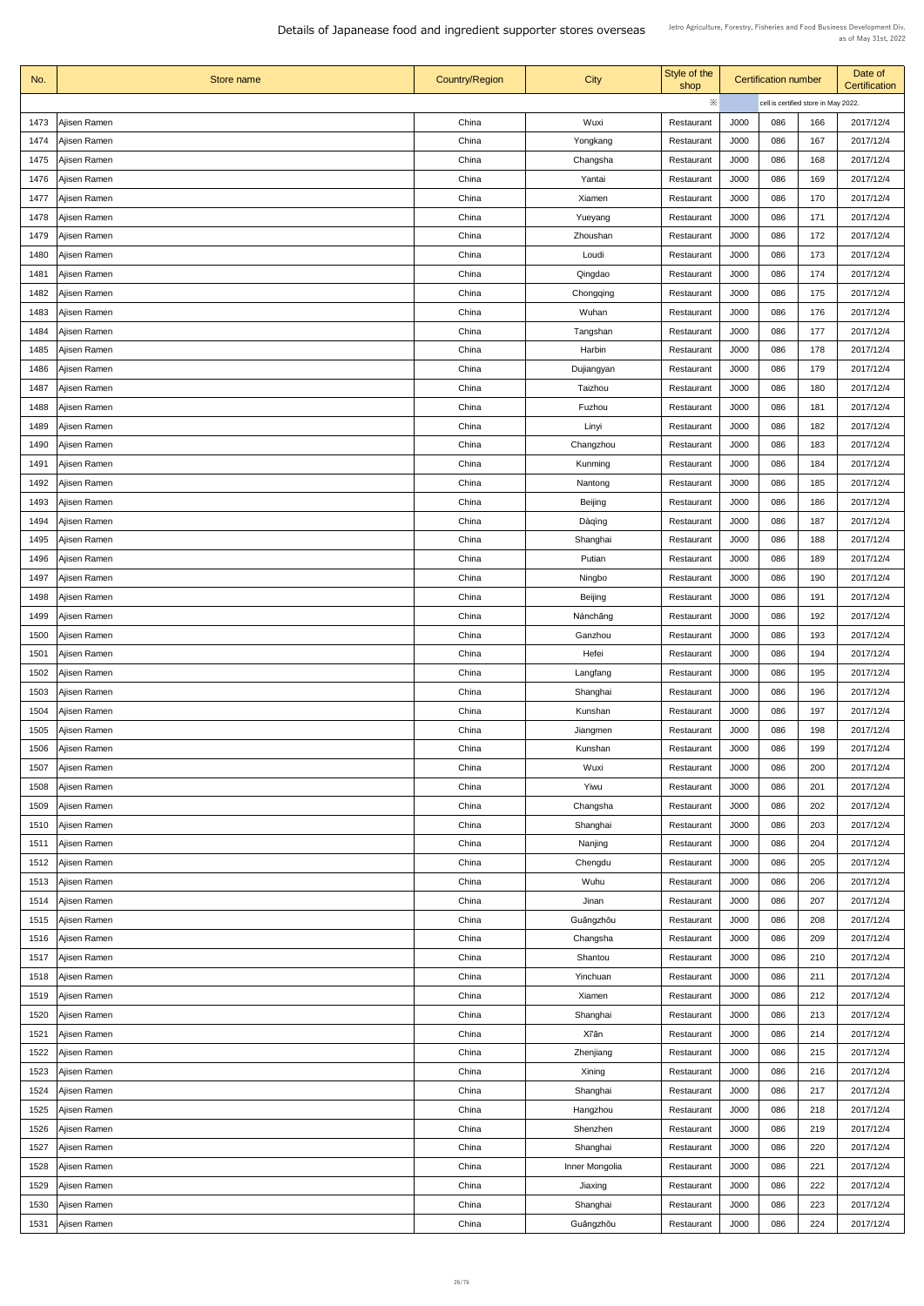| No.  | Store name          | <b>Country/Region</b> | <b>City</b>    | Style of the<br>shop | <b>Certification number</b> |                                      | Date of<br>Certification |           |
|------|---------------------|-----------------------|----------------|----------------------|-----------------------------|--------------------------------------|--------------------------|-----------|
|      |                     |                       |                | $\ddot{\times}$      |                             | cell is certified store in May 2022. |                          |           |
| 1473 | Ajisen Ramen        | China                 | Wuxi           | Restaurant           | J000                        | 086                                  | 166                      | 2017/12/4 |
| 1474 | Ajisen Ramen        | China                 | Yongkang       | Restaurant           | J000                        | 086                                  | 167                      | 2017/12/4 |
| 1475 | Ajisen Ramen        | China                 | Changsha       | Restaurant           | J000                        | 086                                  | 168                      | 2017/12/4 |
| 1476 | Ajisen Ramen        | China                 | Yantai         | Restaurant           | J000                        | 086                                  | 169                      | 2017/12/4 |
| 1477 | Ajisen Ramen        | China                 | Xiamen         | Restaurant           | J000                        | 086                                  | 170                      | 2017/12/4 |
| 1478 | Ajisen Ramen        | China                 | Yueyang        | Restaurant           | J000                        | 086                                  | 171                      | 2017/12/4 |
| 1479 | Ajisen Ramen        | China                 | Zhoushan       | Restaurant           | J000                        | 086                                  | 172                      | 2017/12/4 |
| 1480 | Ajisen Ramen        | China                 | Loudi          | Restaurant           | J000                        | 086                                  | 173                      | 2017/12/4 |
| 1481 | Ajisen Ramen        | China                 | Qingdao        | Restaurant           | J000                        | 086                                  | 174                      | 2017/12/4 |
| 1482 | Ajisen Ramen        | China                 | Chongqing      | Restaurant           | J000                        | 086                                  | 175                      | 2017/12/4 |
| 1483 | Ajisen Ramen        | China                 | Wuhan          | Restaurant           | J000                        | 086                                  | 176                      | 2017/12/4 |
| 1484 | Ajisen Ramen        | China                 | Tangshan       | Restaurant           | J000                        | 086                                  | 177                      | 2017/12/4 |
| 1485 | Ajisen Ramen        | China                 | Harbin         | Restaurant           | <b>J000</b>                 | 086                                  | 178                      | 2017/12/4 |
| 1486 | Ajisen Ramen        | China                 | Dujiangyan     | Restaurant           | J000                        | 086                                  | 179                      | 2017/12/4 |
| 1487 | Ajisen Ramen        | China                 | Taizhou        | Restaurant           | J000                        | 086                                  | 180                      | 2017/12/4 |
| 1488 | Ajisen Ramen        | China                 | Fuzhou         | Restaurant           | J000                        | 086                                  | 181                      | 2017/12/4 |
| 1489 | Ajisen Ramen        | China                 | Linyi          | Restaurant           | J000                        | 086                                  | 182                      | 2017/12/4 |
| 1490 | Ajisen Ramen        | China                 | Changzhou      | Restaurant           | J000                        | 086                                  | 183                      | 2017/12/4 |
| 1491 | Ajisen Ramen        | China                 | Kunming        | Restaurant           | J000                        | 086                                  | 184                      | 2017/12/4 |
| 1492 | Ajisen Ramen        | China                 | Nantong        | Restaurant           | J000                        | 086                                  | 185                      | 2017/12/4 |
| 1493 | Ajisen Ramen        | China                 | <b>Beijing</b> | Restaurant           | J000                        | 086                                  | 186                      | 2017/12/4 |
| 1494 | Ajisen Ramen        | China                 | Dàqìng         | Restaurant           | J000                        | 086                                  | 187                      | 2017/12/4 |
| 1495 | Ajisen Ramen        | China                 | Shanghai       | Restaurant           | J000                        | 086                                  | 188                      | 2017/12/4 |
| 1496 | Ajisen Ramen        | China                 | Putian         | Restaurant           | J000                        | 086                                  | 189                      | 2017/12/4 |
| 1497 | Ajisen Ramen        | China                 | Ningbo         | Restaurant           | J000                        | 086                                  | 190                      | 2017/12/4 |
| 1498 | Ajisen Ramen        | China                 | <b>Beijing</b> | Restaurant           | J000                        | 086                                  | 191                      | 2017/12/4 |
| 1499 | Ajisen Ramen        | China                 | Nánchāng       | Restaurant           | J000                        | 086                                  | 192                      | 2017/12/4 |
| 1500 | Ajisen Ramen        | China                 | Ganzhou        | Restaurant           | J000                        | 086                                  | 193                      | 2017/12/4 |
| 1501 | Ajisen Ramen        | China                 | Hefei          | Restaurant           | J000                        | 086                                  | 194                      | 2017/12/4 |
| 1502 | Ajisen Ramen        | China                 | Langfang       | Restaurant           | J000                        | 086                                  | 195                      | 2017/12/4 |
| 1503 | Ajisen Ramen        | China                 | Shanghai       | Restaurant           | J000                        | 086                                  | 196                      | 2017/12/4 |
| 1504 | Ajisen Ramen        | China                 | Kunshan        | Restaurant           | J000                        | 086                                  | 197                      | 2017/12/4 |
| 1505 | Ajisen Ramen        | China                 | Jiangmen       | Restaurant           | J000                        | 086                                  | 198                      | 2017/12/4 |
| 1506 | Ajisen Ramen        | China                 | Kunshan        | Restaurant           | J000                        | 086                                  | 199                      | 2017/12/4 |
| 1507 | Ajisen Ramen        | China                 | Wuxi           | Restaurant           | J000                        | 086                                  | 200                      | 2017/12/4 |
| 1508 | Ajisen Ramen        | China                 | Yiwu           | Restaurant           | J000                        | 086                                  | 201                      | 2017/12/4 |
| 1509 | Ajisen Ramen        | China                 | Changsha       | Restaurant           | J000                        | 086                                  | 202                      | 2017/12/4 |
| 1510 | Ajisen Ramen        | China                 | Shanghai       | Restaurant           | J000                        | 086                                  | 203                      | 2017/12/4 |
| 1511 | Ajisen Ramen        | China                 | Nanjing        | Restaurant           | J000                        | 086                                  | 204                      | 2017/12/4 |
| 1512 | Ajisen Ramen        | China                 | Chengdu        | Restaurant           | J000                        | 086                                  | 205                      | 2017/12/4 |
| 1513 | Ajisen Ramen        | China                 | Wuhu           | Restaurant           | J000                        | 086                                  | 206                      | 2017/12/4 |
|      | 1514   Ajisen Ramen | China                 | Jinan          | Restaurant           | J000                        | 086                                  | 207                      | 2017/12/4 |
| 1515 | Ajisen Ramen        | China                 | Guǎngzhōu      | Restaurant           | J000                        | 086                                  | 208                      | 2017/12/4 |
| 1516 | Ajisen Ramen        | China                 | Changsha       | Restaurant           | J000                        | 086                                  | 209                      | 2017/12/4 |
| 1517 | Ajisen Ramen        | China                 | Shantou        | Restaurant           | J000                        | 086                                  | 210                      | 2017/12/4 |
| 1518 | Ajisen Ramen        | China                 | Yinchuan       | Restaurant           | J000                        | 086                                  | 211                      | 2017/12/4 |
| 1519 | Ajisen Ramen        | China                 | Xiamen         | Restaurant           | J000                        | 086                                  | 212                      | 2017/12/4 |
| 1520 | Ajisen Ramen        | China                 | Shanghai       | Restaurant           | J000                        | 086                                  | 213                      | 2017/12/4 |
| 1521 | Ajisen Ramen        | China                 | Xī'ān          | Restaurant           | J000                        | 086                                  | 214                      | 2017/12/4 |
| 1522 | Ajisen Ramen        | China                 | Zhenjiang      | Restaurant           | J000                        | 086                                  | 215                      | 2017/12/4 |
| 1523 | Ajisen Ramen        | China                 | Xining         | Restaurant           | J000                        | 086                                  | 216                      | 2017/12/4 |
| 1524 | Ajisen Ramen        | China                 | Shanghai       | Restaurant           | J000                        | 086                                  | 217                      | 2017/12/4 |
| 1525 | Ajisen Ramen        | China                 |                |                      | J000                        | 086                                  | 218                      | 2017/12/4 |
|      |                     |                       | Hangzhou       | Restaurant           |                             |                                      |                          |           |
| 1526 | Ajisen Ramen        | China                 | Shenzhen       | Restaurant           | J000                        | 086                                  | 219                      | 2017/12/4 |
| 1527 | Ajisen Ramen        | China                 | Shanghai       | Restaurant           | J000                        | 086                                  | 220                      | 2017/12/4 |
| 1528 | Ajisen Ramen        | China                 | Inner Mongolia | Restaurant           | J000                        | 086                                  | 221                      | 2017/12/4 |
| 1529 | Ajisen Ramen        | China                 | Jiaxing        | Restaurant           | J000                        | 086                                  | 222                      | 2017/12/4 |
| 1530 | Ajisen Ramen        | China                 | Shanghai       | Restaurant           | J000                        | 086                                  | 223                      | 2017/12/4 |
| 1531 | Ajisen Ramen        | China                 | Guǎngzhōu      | Restaurant           | J000                        | 086                                  | 224                      | 2017/12/4 |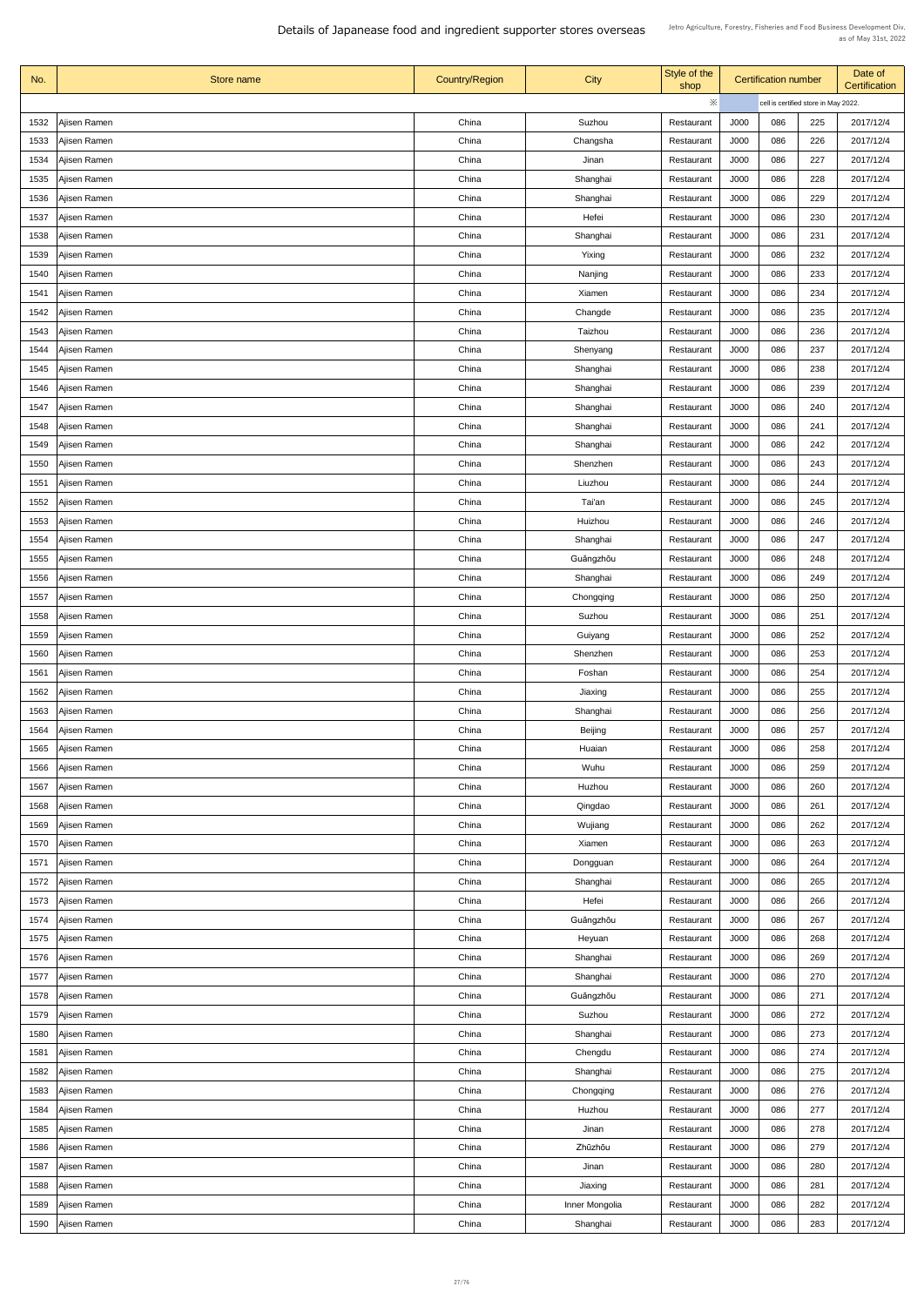| No.  | Store name          | <b>Country/Region</b> | <b>City</b>    | Style of the<br>shop |             | <b>Certification number</b>          |     | Date of<br>Certification |
|------|---------------------|-----------------------|----------------|----------------------|-------------|--------------------------------------|-----|--------------------------|
|      |                     |                       |                | ※                    |             | cell is certified store in May 2022. |     |                          |
| 1532 | Ajisen Ramen        | China                 | Suzhou         | Restaurant           | J000        | 086                                  | 225 | 2017/12/4                |
| 1533 | Ajisen Ramen        | China                 | Changsha       | Restaurant           | J000        | 086                                  | 226 | 2017/12/4                |
| 1534 | Ajisen Ramen        | China                 | Jinan          | Restaurant           | J000        | 086                                  | 227 | 2017/12/4                |
| 1535 | Ajisen Ramen        | China                 | Shanghai       | Restaurant           | J000        | 086                                  | 228 | 2017/12/4                |
| 1536 | Ajisen Ramen        | China                 | Shanghai       | Restaurant           | <b>J000</b> | 086                                  | 229 | 2017/12/4                |
| 1537 | Ajisen Ramen        | China                 | Hefei          | Restaurant           | J000        | 086                                  | 230 | 2017/12/4                |
| 1538 | Ajisen Ramen        | China                 | Shanghai       | Restaurant           | J000        | 086                                  | 231 | 2017/12/4                |
| 1539 | Ajisen Ramen        | China                 | Yixing         | Restaurant           | J000        | 086                                  | 232 | 2017/12/4                |
| 1540 | Ajisen Ramen        | China                 | Nanjing        | Restaurant           | J000        | 086                                  | 233 | 2017/12/4                |
| 1541 | Ajisen Ramen        | China                 | Xiamen         | Restaurant           | J000        | 086                                  | 234 | 2017/12/4                |
| 1542 | Ajisen Ramen        | China                 | Changde        | Restaurant           | J000        | 086                                  | 235 | 2017/12/4                |
| 1543 | Ajisen Ramen        | China                 | Taizhou        | Restaurant           | J000        | 086                                  | 236 | 2017/12/4                |
| 1544 | Ajisen Ramen        | China                 | Shenyang       | Restaurant           | <b>J000</b> | 086                                  | 237 | 2017/12/4                |
| 1545 | Ajisen Ramen        | China                 | Shanghai       | Restaurant           | J000        | 086                                  | 238 | 2017/12/4                |
| 1546 | Ajisen Ramen        | China                 | Shanghai       | Restaurant           | J000        | 086                                  | 239 | 2017/12/4                |
| 1547 | Ajisen Ramen        | China                 | Shanghai       | Restaurant           | J000        | 086                                  | 240 | 2017/12/4                |
| 1548 | Ajisen Ramen        | China                 | Shanghai       | Restaurant           | J000        | 086                                  | 241 | 2017/12/4                |
| 1549 | Ajisen Ramen        | China                 | Shanghai       | Restaurant           | J000        | 086                                  | 242 | 2017/12/4                |
| 1550 | Ajisen Ramen        | China                 | Shenzhen       | Restaurant           | J000        | 086                                  | 243 | 2017/12/4                |
| 1551 | Ajisen Ramen        | China                 | Liuzhou        | Restaurant           | J000        | 086                                  | 244 | 2017/12/4                |
| 1552 | Ajisen Ramen        | China                 | Tai'an         | Restaurant           | J000        | 086                                  | 245 | 2017/12/4                |
| 1553 | Ajisen Ramen        | China                 | Huizhou        | Restaurant           | J000        | 086                                  | 246 | 2017/12/4                |
| 1554 | Ajisen Ramen        | China                 | Shanghai       | Restaurant           | J000        | 086                                  | 247 | 2017/12/4                |
| 1555 | Ajisen Ramen        | China                 | Guǎngzhōu      | Restaurant           | J000        | 086                                  | 248 | 2017/12/4                |
| 1556 | Ajisen Ramen        | China                 | Shanghai       | Restaurant           | J000        | 086                                  | 249 | 2017/12/4                |
| 1557 | Ajisen Ramen        | China                 | Chongqing      | Restaurant           | J000        | 086                                  | 250 | 2017/12/4                |
| 1558 | Ajisen Ramen        | China                 | Suzhou         | Restaurant           | J000        | 086                                  | 251 | 2017/12/4                |
| 1559 | Ajisen Ramen        | China                 | Guiyang        | Restaurant           | J000        | 086                                  | 252 | 2017/12/4                |
| 1560 | Ajisen Ramen        | China                 | Shenzhen       | Restaurant           | J000        | 086                                  | 253 | 2017/12/4                |
| 1561 | Ajisen Ramen        | China                 | Foshan         | Restaurant           | J000        | 086                                  | 254 | 2017/12/4                |
| 1562 | Ajisen Ramen        | China                 | Jiaxing        | Restaurant           | J000        | 086                                  | 255 | 2017/12/4                |
| 1563 | Ajisen Ramen        | China                 | Shanghai       | Restaurant           | J000        | 086                                  | 256 | 2017/12/4                |
| 1564 | Ajisen Ramen        | China                 | <b>Beijing</b> | Restaurant           | J000        | 086                                  | 257 | 2017/12/4                |
| 1565 | Ajisen Ramen        | China                 | Huaian         | Restaurant           | J000        | 086                                  | 258 | 2017/12/4                |
| 1566 | Ajisen Ramen        | China                 | Wuhu           | Restaurant           | J000        | 086                                  | 259 | 2017/12/4                |
| 1567 | Ajisen Ramen        | China                 | Huzhou         | Restaurant           | J000        | 086                                  | 260 | 2017/12/4                |
| 1568 | Ajisen Ramen        | China                 | Qingdao        | Restaurant           | J000        | 086                                  | 261 | 2017/12/4                |
| 1569 | Ajisen Ramen        | China                 | Wujiang        | Restaurant           | J000        | 086                                  | 262 | 2017/12/4                |
| 1570 | Ajisen Ramen        | China                 | Xiamen         | Restaurant           | J000        | 086                                  | 263 | 2017/12/4                |
| 1571 | Ajisen Ramen        | China                 | Dongguan       | Restaurant           | J000        | 086                                  | 264 | 2017/12/4                |
| 1572 | Ajisen Ramen        | China                 | Shanghai       | Restaurant           | J000        | 086                                  | 265 | 2017/12/4                |
|      | 1573   Ajisen Ramen | China                 | Hefei          | Restaurant           | J000        | 086                                  | 266 | 2017/12/4                |
| 1574 | Ajisen Ramen        | China                 | Guǎngzhōu      | Restaurant           | J000        | 086                                  | 267 | 2017/12/4                |
| 1575 | Ajisen Ramen        | China                 | Heyuan         | Restaurant           | J000        | 086                                  | 268 | 2017/12/4                |
| 1576 | Ajisen Ramen        | China                 | Shanghai       | Restaurant           | J000        | 086                                  | 269 | 2017/12/4                |
| 1577 | Ajisen Ramen        | China                 | Shanghai       | Restaurant           | J000        | 086                                  | 270 | 2017/12/4                |
| 1578 | Ajisen Ramen        | China                 | Guǎngzhōu      | Restaurant           | J000        | 086                                  | 271 | 2017/12/4                |
| 1579 | Ajisen Ramen        | China                 | Suzhou         | Restaurant           | J000        | 086                                  | 272 | 2017/12/4                |
| 1580 | Ajisen Ramen        | China                 | Shanghai       | Restaurant           | J000        | 086                                  | 273 | 2017/12/4                |
| 1581 | Ajisen Ramen        | China                 | Chengdu        | Restaurant           | J000        | 086                                  | 274 | 2017/12/4                |
| 1582 | Ajisen Ramen        | China                 | Shanghai       | Restaurant           | J000        | 086                                  | 275 | 2017/12/4                |
| 1583 | Ajisen Ramen        | China                 | Chongqing      | Restaurant           | J000        | 086                                  | 276 | 2017/12/4                |
| 1584 | Ajisen Ramen        | China                 | Huzhou         | Restaurant           | J000        | 086                                  | 277 | 2017/12/4                |
| 1585 | Ajisen Ramen        | China                 | Jinan          | Restaurant           | J000        | 086                                  | 278 | 2017/12/4                |
| 1586 | Ajisen Ramen        | China                 | Zhūzhōu        | Restaurant           | J000        | 086                                  | 279 | 2017/12/4                |
| 1587 | Ajisen Ramen        | China                 | Jinan          | Restaurant           | J000        | 086                                  | 280 | 2017/12/4                |
| 1588 | Ajisen Ramen        | China                 | Jiaxing        | Restaurant           | J000        | 086                                  | 281 | 2017/12/4                |
| 1589 | Ajisen Ramen        | China                 | Inner Mongolia | Restaurant           | J000        | 086                                  | 282 | 2017/12/4                |
| 1590 | Ajisen Ramen        | China                 | Shanghai       | Restaurant           | J000        | 086                                  | 283 | 2017/12/4                |
|      |                     |                       |                |                      |             |                                      |     |                          |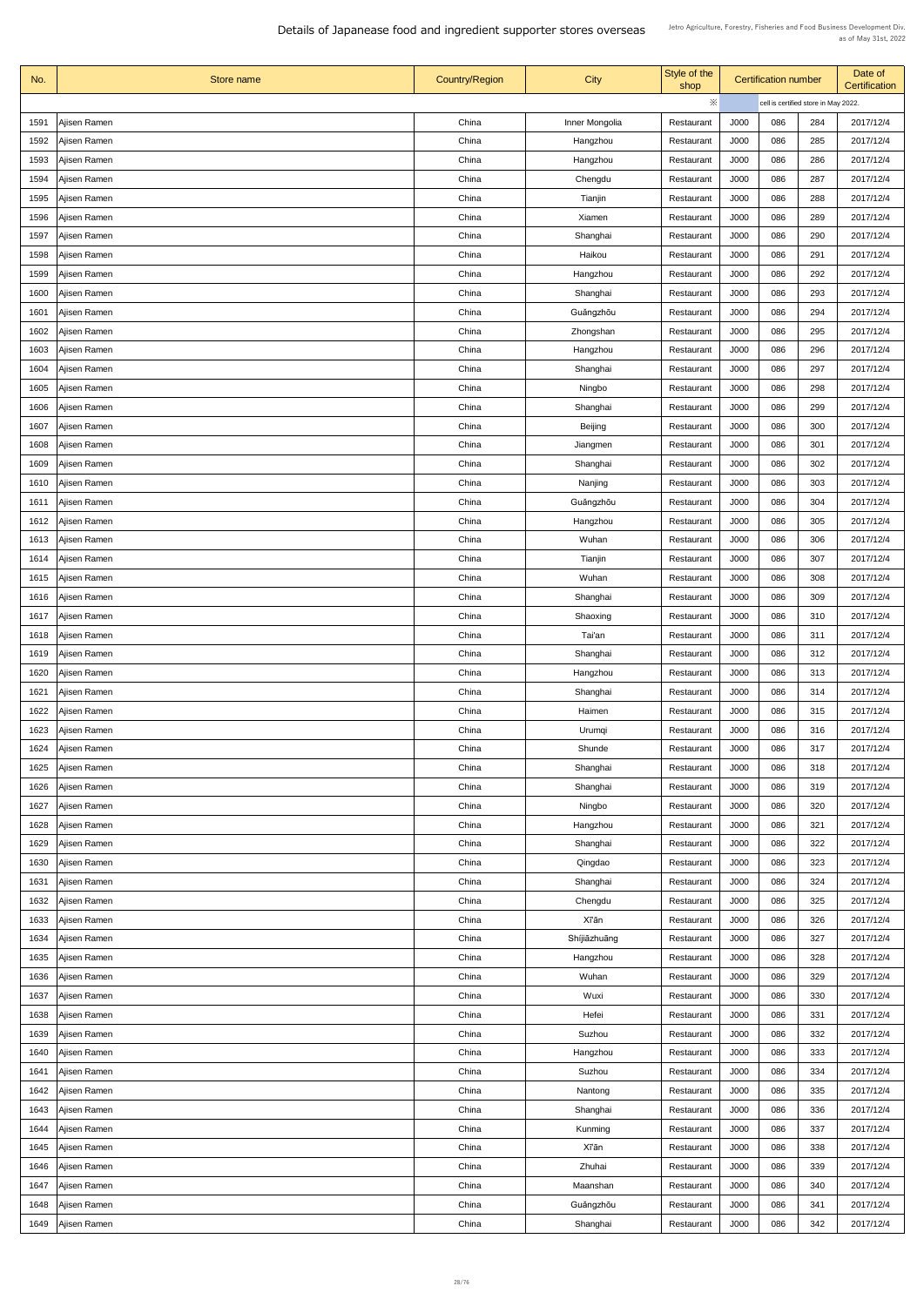| No.          | Store name                   | <b>Country/Region</b> | <b>City</b>          | Style of the<br>shop     |                                      | <b>Certification number</b> |     | Date of<br>Certification |
|--------------|------------------------------|-----------------------|----------------------|--------------------------|--------------------------------------|-----------------------------|-----|--------------------------|
|              |                              |                       |                      | $\ddot{\times}$          | cell is certified store in May 2022. |                             |     |                          |
| 1591         | Ajisen Ramen                 | China                 | Inner Mongolia       | Restaurant               | J000                                 | 086                         | 284 | 2017/12/4                |
| 1592         | Ajisen Ramen                 | China                 | Hangzhou             | Restaurant               | J000                                 | 086                         | 285 | 2017/12/4                |
| 1593         | Ajisen Ramen                 | China                 | Hangzhou             | Restaurant               | <b>J000</b>                          | 086                         | 286 | 2017/12/4                |
| 1594         | Ajisen Ramen                 | China                 | Chengdu              | Restaurant               | J000                                 | 086                         | 287 | 2017/12/4                |
| 1595         | Ajisen Ramen                 | China                 | Tianjin              | Restaurant               | J000                                 | 086                         | 288 | 2017/12/4                |
| 1596         | Ajisen Ramen                 | China                 | Xiamen               | Restaurant               | J000                                 | 086                         | 289 | 2017/12/4                |
| 1597         | Ajisen Ramen                 | China                 | Shanghai             | Restaurant               | J000                                 | 086                         | 290 | 2017/12/4                |
| 1598         | Ajisen Ramen                 | China                 | Haikou               | Restaurant               | J000                                 | 086                         | 291 | 2017/12/4                |
| 1599         | Ajisen Ramen                 | China                 | Hangzhou             | Restaurant               | J000                                 | 086                         | 292 | 2017/12/4                |
| 1600         | Ajisen Ramen                 | China                 | Shanghai             | Restaurant               | J000                                 | 086                         | 293 | 2017/12/4                |
| 1601         | Ajisen Ramen                 | China                 | Guǎngzhōu            | Restaurant               | J000                                 | 086                         | 294 | 2017/12/4                |
| 1602         | Ajisen Ramen                 | China                 | Zhongshan            | Restaurant               | J000                                 | 086                         | 295 | 2017/12/4                |
| 1603         | Ajisen Ramen                 | China                 | Hangzhou             | Restaurant               | J000                                 | 086                         | 296 | 2017/12/4                |
| 1604         | Ajisen Ramen                 | China                 | Shanghai             | Restaurant               | J000                                 | 086                         | 297 | 2017/12/4                |
| 1605         | Ajisen Ramen                 | China                 | Ningbo               | Restaurant               | J000                                 | 086                         | 298 | 2017/12/4                |
| 1606         | Ajisen Ramen                 | China                 | Shanghai             | Restaurant               | J000                                 | 086                         | 299 | 2017/12/4                |
| 1607         | Ajisen Ramen                 | China                 | <b>Beijing</b>       | Restaurant               | J000                                 | 086                         | 300 | 2017/12/4                |
| 1608         | Ajisen Ramen                 | China                 | Jiangmen             | Restaurant               | J000                                 | 086                         | 301 | 2017/12/4                |
| 1609         | Ajisen Ramen                 | China                 | Shanghai             | Restaurant               | J000                                 | 086                         | 302 | 2017/12/4                |
| 1610         | Ajisen Ramen                 | China                 | Nanjing              | Restaurant               | J000                                 | 086                         | 303 | 2017/12/4                |
| 1611         | Ajisen Ramen                 | China                 | Guǎngzhōu            | Restaurant               | J000                                 | 086                         | 304 | 2017/12/4                |
| 1612         | Ajisen Ramen                 | China                 | Hangzhou             | Restaurant               | J000                                 | 086                         | 305 | 2017/12/4                |
| 1613         | Ajisen Ramen                 | China                 | Wuhan                | Restaurant               | J000                                 | 086                         | 306 | 2017/12/4                |
| 1614         | Ajisen Ramen                 | China                 | Tianjin              | Restaurant               | J000                                 | 086                         | 307 | 2017/12/4                |
| 1615         | Ajisen Ramen                 | China                 | Wuhan                | Restaurant               | J000                                 | 086                         | 308 | 2017/12/4                |
| 1616         | Ajisen Ramen                 | China                 | Shanghai             | Restaurant               | J000                                 | 086                         | 309 | 2017/12/4                |
| 1617         | Ajisen Ramen                 | China                 | Shaoxing             | Restaurant               | J000                                 | 086                         | 310 | 2017/12/4                |
| 1618         | Ajisen Ramen                 | China                 | Tai'an               | Restaurant               | J000                                 | 086                         | 311 | 2017/12/4                |
|              |                              | China                 |                      |                          |                                      | 086                         | 312 | 2017/12/4                |
| 1619         | Ajisen Ramen                 | China                 | Shanghai             | Restaurant               | J000<br>J000                         | 086                         | 313 | 2017/12/4                |
| 1620<br>1621 | Ajisen Ramen                 | China                 | Hangzhou<br>Shanghai | Restaurant               | J000                                 | 086                         | 314 | 2017/12/4                |
|              | Ajisen Ramen<br>Ajisen Ramen | China                 | Haimen               | Restaurant               | J000                                 | 086                         | 315 | 2017/12/4                |
| 1622         |                              | China                 |                      | Restaurant               | J000                                 | 086                         | 316 | 2017/12/4                |
| 1623<br>1624 | Ajisen Ramen<br>Ajisen Ramen | China                 | Urumqi<br>Shunde     | Restaurant<br>Restaurant | J000                                 | 086                         | 317 | 2017/12/4                |
| 1625         | Ajisen Ramen                 | China                 | Shanghai             | Restaurant               | J000                                 | 086                         | 318 | 2017/12/4                |
| 1626         | Ajisen Ramen                 | China                 | Shanghai             | Restaurant               | J000                                 | 086                         | 319 | 2017/12/4                |
| 1627         | Ajisen Ramen                 | China                 | Ningbo               | Restaurant               | J000                                 | 086                         | 320 | 2017/12/4                |
| 1628         | Ajisen Ramen                 | China                 | Hangzhou             | Restaurant               | J000                                 | 086                         | 321 | 2017/12/4                |
| 1629         | Ajisen Ramen                 | China                 | Shanghai             | Restaurant               | J000                                 | 086                         | 322 | 2017/12/4                |
| 1630         | Ajisen Ramen                 | China                 | Qingdao              | Restaurant               | J000                                 | 086                         | 323 | 2017/12/4                |
| 1631         | Ajisen Ramen                 | China                 | Shanghai             | Restaurant               | J000                                 | 086                         | 324 | 2017/12/4                |
|              | 1632   Ajisen Ramen          | China                 | Chengdu              | Restaurant               | J000                                 | 086                         | 325 | 2017/12/4                |
| 1633         | Ajisen Ramen                 | China                 | <b>X</b> Tan         | Restaurant               | J000                                 | 086                         | 326 | 2017/12/4                |
| 1634         | Ajisen Ramen                 | China                 | Shíjiāzhuāng         | Restaurant               | J000                                 | 086                         | 327 | 2017/12/4                |
| 1635         | Ajisen Ramen                 | China                 | Hangzhou             | Restaurant               | J000                                 | 086                         | 328 | 2017/12/4                |
| 1636         | Ajisen Ramen                 | China                 | Wuhan                | Restaurant               | J000                                 | 086                         | 329 | 2017/12/4                |
| 1637         | Ajisen Ramen                 | China                 | Wuxi                 | Restaurant               | J000                                 | 086                         | 330 | 2017/12/4                |
| 1638         | Ajisen Ramen                 | China                 | Hefei                | Restaurant               | J000                                 | 086                         | 331 | 2017/12/4                |
| 1639         | Ajisen Ramen                 | China                 | Suzhou               | Restaurant               | J000                                 | 086                         | 332 | 2017/12/4                |
|              | 1640   Ajisen Ramen          | China                 | Hangzhou             | Restaurant               | J000                                 | 086                         | 333 | 2017/12/4                |
| 1641         | Ajisen Ramen                 | China                 | Suzhou               | Restaurant               | J000                                 | 086                         | 334 | 2017/12/4                |
|              | 1642   Ajisen Ramen          | China                 | Nantong              | Restaurant               | J000                                 | 086                         | 335 | 2017/12/4                |
| 1643         | Ajisen Ramen                 | China                 | Shanghai             | Restaurant               | J000                                 | 086                         | 336 | 2017/12/4                |
| 1644         |                              | China                 | Kunming              |                          | J000                                 | 086                         | 337 | 2017/12/4                |
| 1645         | Ajisen Ramen                 | China                 | Xī'ān                | Restaurant               | J000                                 | 086                         | 338 | 2017/12/4                |
|              | Ajisen Ramen                 | China                 |                      | Restaurant               |                                      | 086                         |     | 2017/12/4                |
|              | 1646   Ajisen Ramen          |                       | Zhuhai               | Restaurant               | J000                                 |                             | 339 |                          |
| 1647         | Ajisen Ramen                 | China                 | Maanshan             | Restaurant               | J000                                 | 086                         | 340 | 2017/12/4                |
| 1648         | Ajisen Ramen                 | China                 | Guǎngzhōu            | Restaurant               | J000                                 | 086                         | 341 | 2017/12/4                |
| 1649         | Ajisen Ramen                 | China                 | Shanghai             | Restaurant               | J000                                 | 086                         | 342 | 2017/12/4                |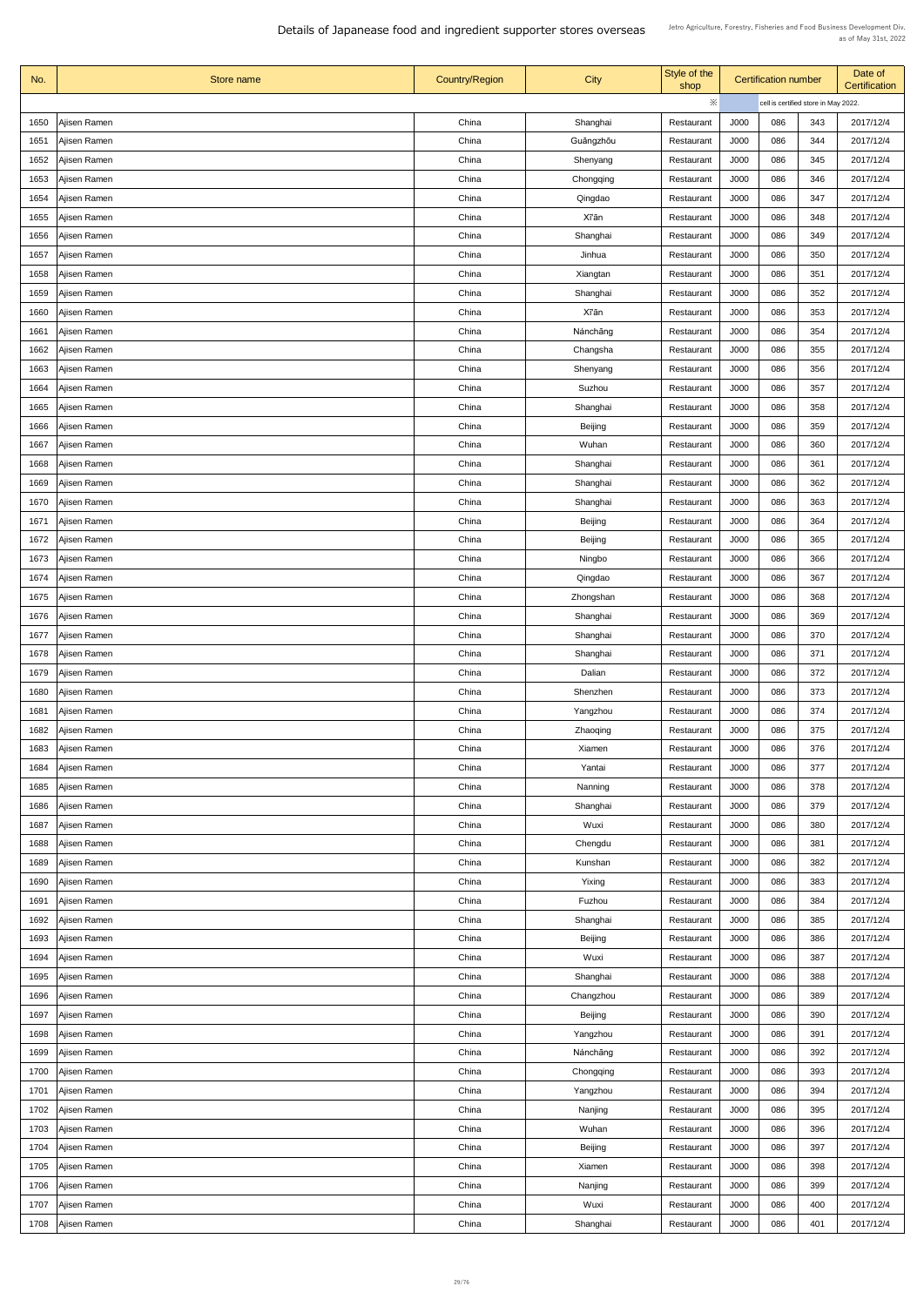| No.  | Store name          | <b>Country/Region</b> | <b>City</b>    | Style of the<br>shop |             | <b>Certification number</b>          |     | Date of<br>Certification |
|------|---------------------|-----------------------|----------------|----------------------|-------------|--------------------------------------|-----|--------------------------|
|      |                     |                       |                | ※                    |             | cell is certified store in May 2022. |     |                          |
| 1650 | Ajisen Ramen        | China                 | Shanghai       | Restaurant           | J000        | 086                                  | 343 | 2017/12/4                |
| 1651 | Ajisen Ramen        | China                 | Guǎngzhōu      | Restaurant           | J000        | 086                                  | 344 | 2017/12/4                |
| 1652 | Ajisen Ramen        | China                 | Shenyang       | Restaurant           | J000        | 086                                  | 345 | 2017/12/4                |
| 1653 | Ajisen Ramen        | China                 | Chongqing      | Restaurant           | J000        | 086                                  | 346 | 2017/12/4                |
| 1654 | Ajisen Ramen        | China                 | Qingdao        | Restaurant           | <b>J000</b> | 086                                  | 347 | 2017/12/4                |
| 1655 | Ajisen Ramen        | China                 | <b>Xī'ān</b>   | Restaurant           | J000        | 086                                  | 348 | 2017/12/4                |
| 1656 | Ajisen Ramen        | China                 | Shanghai       | Restaurant           | J000        | 086                                  | 349 | 2017/12/4                |
| 1657 | Ajisen Ramen        | China                 | Jinhua         | Restaurant           | J000        | 086                                  | 350 | 2017/12/4                |
| 1658 | Ajisen Ramen        | China                 | Xiangtan       | Restaurant           | J000        | 086                                  | 351 | 2017/12/4                |
| 1659 | Ajisen Ramen        | China                 | Shanghai       | Restaurant           | J000        | 086                                  | 352 | 2017/12/4                |
| 1660 | Ajisen Ramen        | China                 | <b>Xī'ān</b>   | Restaurant           | J000        | 086                                  | 353 | 2017/12/4                |
| 1661 | Ajisen Ramen        | China                 | Nánchāng       | Restaurant           | J000        | 086                                  | 354 | 2017/12/4                |
| 1662 | Ajisen Ramen        | China                 | Changsha       | Restaurant           | <b>J000</b> | 086                                  | 355 | 2017/12/4                |
| 1663 | Ajisen Ramen        | China                 | Shenyang       | Restaurant           | J000        | 086                                  | 356 | 2017/12/4                |
| 1664 | Ajisen Ramen        | China                 | Suzhou         | Restaurant           | J000        | 086                                  | 357 | 2017/12/4                |
| 1665 | Ajisen Ramen        | China                 | Shanghai       | Restaurant           | J000        | 086                                  | 358 | 2017/12/4                |
| 1666 | Ajisen Ramen        | China                 | <b>Beijing</b> | Restaurant           | J000        | 086                                  | 359 | 2017/12/4                |
| 1667 | Ajisen Ramen        | China                 | Wuhan          | Restaurant           | J000        | 086                                  | 360 | 2017/12/4                |
| 1668 | Ajisen Ramen        | China                 | Shanghai       | Restaurant           | J000        | 086                                  | 361 | 2017/12/4                |
| 1669 | Ajisen Ramen        | China                 | Shanghai       | Restaurant           | J000        | 086                                  | 362 | 2017/12/4                |
| 1670 | Ajisen Ramen        | China                 | Shanghai       | Restaurant           | J000        | 086                                  | 363 | 2017/12/4                |
| 1671 | Ajisen Ramen        | China                 | <b>Beijing</b> | Restaurant           | J000        | 086                                  | 364 | 2017/12/4                |
| 1672 | Ajisen Ramen        | China                 | <b>Beijing</b> | Restaurant           | J000        | 086                                  | 365 | 2017/12/4                |
| 1673 | Ajisen Ramen        | China                 | Ningbo         | Restaurant           | J000        | 086                                  | 366 | 2017/12/4                |
| 1674 | Ajisen Ramen        | China                 | Qingdao        | Restaurant           | J000        | 086                                  | 367 | 2017/12/4                |
| 1675 | Ajisen Ramen        | China                 | Zhongshan      | Restaurant           | J000        | 086                                  | 368 | 2017/12/4                |
| 1676 | Ajisen Ramen        | China                 | Shanghai       | Restaurant           | J000        | 086                                  | 369 | 2017/12/4                |
| 1677 | Ajisen Ramen        | China                 | Shanghai       | Restaurant           | J000        | 086                                  | 370 | 2017/12/4                |
| 1678 | Ajisen Ramen        | China                 | Shanghai       | Restaurant           | J000        | 086                                  | 371 | 2017/12/4                |
| 1679 | Ajisen Ramen        | China                 | Dalian         | Restaurant           | J000        | 086                                  | 372 | 2017/12/4                |
| 1680 | Ajisen Ramen        | China                 | Shenzhen       | Restaurant           | J000        | 086                                  | 373 | 2017/12/4                |
| 1681 | Ajisen Ramen        | China                 | Yangzhou       | Restaurant           | J000        | 086                                  | 374 | 2017/12/4                |
| 1682 | Ajisen Ramen        | China                 | Zhaoqing       | Restaurant           | J000        | 086                                  | 375 | 2017/12/4                |
| 1683 | Ajisen Ramen        | China                 | Xiamen         | Restaurant           | J000        | 086                                  | 376 | 2017/12/4                |
| 1684 | Ajisen Ramen        | China                 | Yantai         | Restaurant           | J000        | 086                                  | 377 | 2017/12/4                |
| 1685 | Ajisen Ramen        | China                 | Nanning        | Restaurant           | J000        | 086                                  | 378 | 2017/12/4                |
| 1686 | Ajisen Ramen        | China                 | Shanghai       | Restaurant           | J000        | 086                                  | 379 | 2017/12/4                |
| 1687 | Ajisen Ramen        | China                 | Wuxi           | Restaurant           | J000        | 086                                  | 380 | 2017/12/4                |
| 1688 | Ajisen Ramen        | China                 | Chengdu        | Restaurant           | J000        | 086                                  | 381 | 2017/12/4                |
| 1689 | Ajisen Ramen        | China                 | Kunshan        | Restaurant           | J000        | 086                                  | 382 | 2017/12/4                |
| 1690 | Ajisen Ramen        | China                 | Yixing         | Restaurant           | J000        | 086                                  | 383 | 2017/12/4                |
|      | 1691   Ajisen Ramen | China                 | Fuzhou         | Restaurant           | J000        | 086                                  | 384 | 2017/12/4                |
| 1692 | Ajisen Ramen        | China                 | Shanghai       | Restaurant           | J000        | 086                                  | 385 | 2017/12/4                |
| 1693 | Ajisen Ramen        | China                 | <b>Beijing</b> | Restaurant           | J000        | 086                                  | 386 | 2017/12/4                |
| 1694 | Ajisen Ramen        | China                 | Wuxi           | Restaurant           | J000        | 086                                  | 387 | 2017/12/4                |
| 1695 | Ajisen Ramen        | China                 | Shanghai       | Restaurant           | J000        | 086                                  | 388 | 2017/12/4                |
| 1696 | Ajisen Ramen        | China                 | Changzhou      | Restaurant           | J000        | 086                                  | 389 | 2017/12/4                |
| 1697 | Ajisen Ramen        | China                 | <b>Beijing</b> | Restaurant           | J000        | 086                                  | 390 | 2017/12/4                |
| 1698 | Ajisen Ramen        | China                 | Yangzhou       | Restaurant           | J000        | 086                                  | 391 | 2017/12/4                |
| 1699 | Ajisen Ramen        | China                 | Nánchāng       | Restaurant           | J000        | 086                                  | 392 | 2017/12/4                |
| 1700 | Ajisen Ramen        | China                 | Chongqing      | Restaurant           | J000        | 086                                  | 393 | 2017/12/4                |
| 1701 | Ajisen Ramen        | China                 | Yangzhou       | Restaurant           | J000        | 086                                  | 394 | 2017/12/4                |
| 1702 | Ajisen Ramen        | China                 | Nanjing        | Restaurant           | J000        | 086                                  | 395 | 2017/12/4                |
| 1703 | Ajisen Ramen        | China                 | Wuhan          | Restaurant           | J000        | 086                                  | 396 | 2017/12/4                |
| 1704 | Ajisen Ramen        | China                 | <b>Beijing</b> | Restaurant           | J000        | 086                                  | 397 | 2017/12/4                |
| 1705 | Ajisen Ramen        | China                 | Xiamen         | Restaurant           | J000        | 086                                  | 398 | 2017/12/4                |
| 1706 | Ajisen Ramen        | China                 | Nanjing        | Restaurant           | J000        | 086                                  | 399 | 2017/12/4                |
| 1707 | Ajisen Ramen        | China                 | Wuxi           | Restaurant           | J000        | 086                                  | 400 | 2017/12/4                |
| 1708 | Ajisen Ramen        | China                 | Shanghai       | Restaurant           | J000        | 086                                  | 401 | 2017/12/4                |
|      |                     |                       |                |                      |             |                                      |     |                          |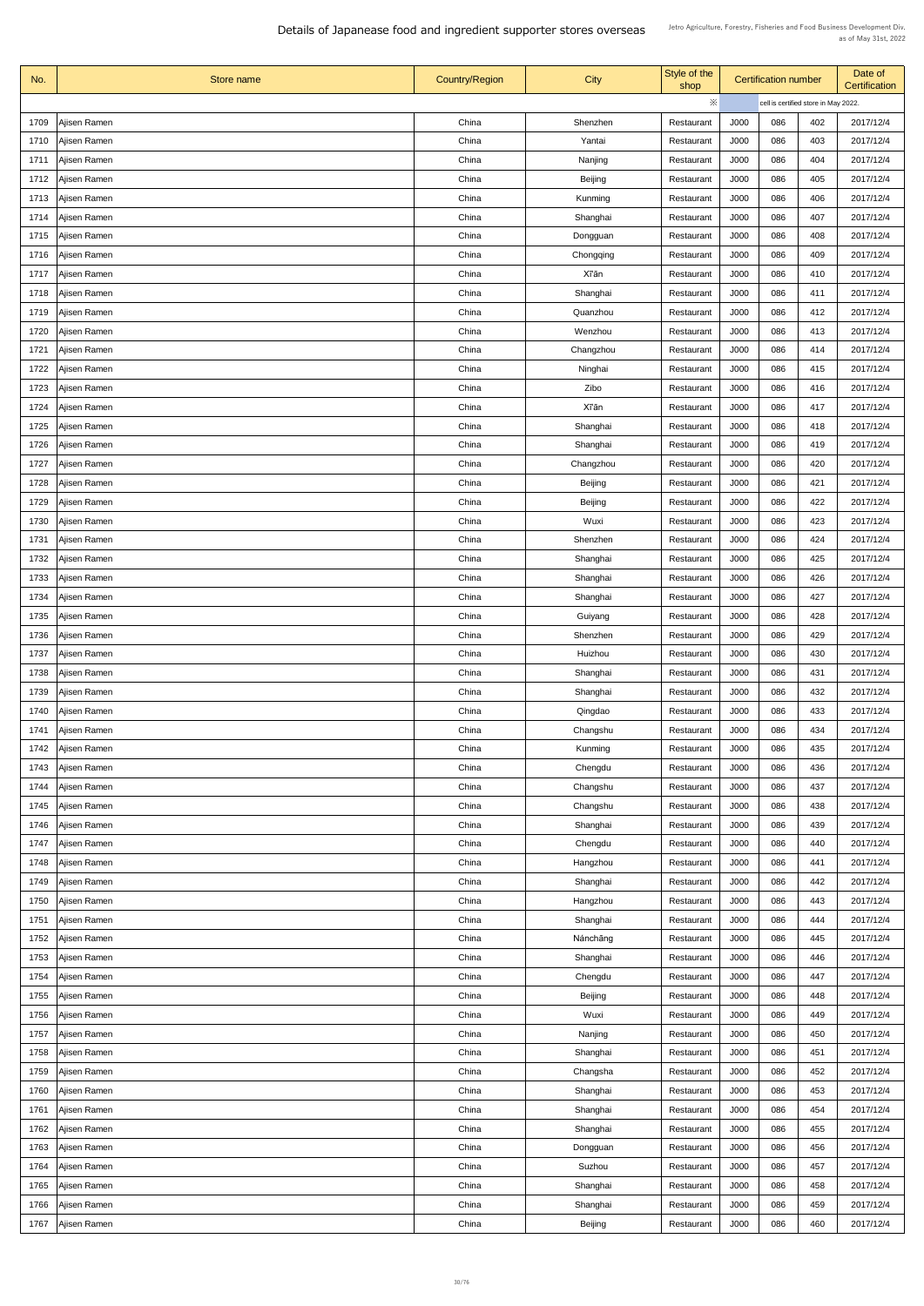| No.  | Store name          | <b>Country/Region</b> | <b>City</b>    | Style of the<br>shop |      | <b>Certification number</b>          |     | Date of<br>Certification |
|------|---------------------|-----------------------|----------------|----------------------|------|--------------------------------------|-----|--------------------------|
|      |                     |                       |                | ※                    |      | cell is certified store in May 2022. |     |                          |
| 1709 | Ajisen Ramen        | China                 | Shenzhen       | Restaurant           | J000 | 086                                  | 402 | 2017/12/4                |
| 1710 | Ajisen Ramen        | China                 | Yantai         | Restaurant           | J000 | 086                                  | 403 | 2017/12/4                |
| 1711 | Ajisen Ramen        | China                 | Nanjing        | Restaurant           | J000 | 086                                  | 404 | 2017/12/4                |
| 1712 | Ajisen Ramen        | China                 | <b>Beijing</b> | Restaurant           | J000 | 086                                  | 405 | 2017/12/4                |
| 1713 | Ajisen Ramen        | China                 | Kunming        | Restaurant           | J000 | 086                                  | 406 | 2017/12/4                |
| 1714 | Ajisen Ramen        | China                 | Shanghai       | Restaurant           | J000 | 086                                  | 407 | 2017/12/4                |
| 1715 | Ajisen Ramen        | China                 | Dongguan       | Restaurant           | J000 | 086                                  | 408 | 2017/12/4                |
| 1716 | Ajisen Ramen        | China                 | Chongqing      | Restaurant           | J000 | 086                                  | 409 | 2017/12/4                |
| 1717 | Ajisen Ramen        | China                 | Xī'ān          | Restaurant           | J000 | 086                                  | 410 | 2017/12/4                |
| 1718 | Ajisen Ramen        | China                 | Shanghai       | Restaurant           | J000 | 086                                  | 411 | 2017/12/4                |
| 1719 | Ajisen Ramen        | China                 | Quanzhou       | Restaurant           | J000 | 086                                  | 412 | 2017/12/4                |
| 1720 | Ajisen Ramen        | China                 | Wenzhou        | Restaurant           | J000 | 086                                  | 413 | 2017/12/4                |
| 1721 | Ajisen Ramen        | China                 | Changzhou      | Restaurant           | J000 | 086                                  | 414 | 2017/12/4                |
|      |                     | China                 | Ninghai        |                      | J000 | 086                                  | 415 | 2017/12/4                |
| 1722 | Ajisen Ramen        |                       |                | Restaurant           |      |                                      |     |                          |
| 1723 | Ajisen Ramen        | China                 | Zibo           | Restaurant           | J000 | 086                                  | 416 | 2017/12/4                |
| 1724 | Ajisen Ramen        | China                 | <b>X</b> Tan   | Restaurant           | J000 | 086                                  | 417 | 2017/12/4                |
| 1725 | Ajisen Ramen        | China                 | Shanghai       | Restaurant           | J000 | 086                                  | 418 | 2017/12/4                |
| 1726 | Ajisen Ramen        | China                 | Shanghai       | Restaurant           | J000 | 086                                  | 419 | 2017/12/4                |
| 1727 | Ajisen Ramen        | China                 | Changzhou      | Restaurant           | J000 | 086                                  | 420 | 2017/12/4                |
| 1728 | Ajisen Ramen        | China                 | <b>Beijing</b> | Restaurant           | J000 | 086                                  | 421 | 2017/12/4                |
| 1729 | Ajisen Ramen        | China                 | <b>Beijing</b> | Restaurant           | J000 | 086                                  | 422 | 2017/12/4                |
| 1730 | Ajisen Ramen        | China                 | Wuxi           | Restaurant           | J000 | 086                                  | 423 | 2017/12/4                |
| 1731 | Ajisen Ramen        | China                 | Shenzhen       | Restaurant           | J000 | 086                                  | 424 | 2017/12/4                |
| 1732 | Ajisen Ramen        | China                 | Shanghai       | Restaurant           | J000 | 086                                  | 425 | 2017/12/4                |
| 1733 | Ajisen Ramen        | China                 | Shanghai       | Restaurant           | J000 | 086                                  | 426 | 2017/12/4                |
| 1734 | Ajisen Ramen        | China                 | Shanghai       | Restaurant           | J000 | 086                                  | 427 | 2017/12/4                |
| 1735 | Ajisen Ramen        | China                 | Guiyang        | Restaurant           | J000 | 086                                  | 428 | 2017/12/4                |
| 1736 | Ajisen Ramen        | China                 | Shenzhen       | Restaurant           | J000 | 086                                  | 429 | 2017/12/4                |
| 1737 | Ajisen Ramen        | China                 | Huizhou        | Restaurant           | J000 | 086                                  | 430 | 2017/12/4                |
| 1738 | Ajisen Ramen        | China                 | Shanghai       | Restaurant           | J000 | 086                                  | 431 | 2017/12/4                |
| 1739 | Ajisen Ramen        | China                 | Shanghai       | Restaurant           | J000 | 086                                  | 432 | 2017/12/4                |
| 1740 | Ajisen Ramen        | China                 | Qingdao        | Restaurant           | J000 | 086                                  | 433 | 2017/12/4                |
| 1741 | Ajisen Ramen        | China                 | Changshu       | Restaurant           | J000 | 086                                  | 434 | 2017/12/4                |
| 1742 | Ajisen Ramen        | China                 | <b>Kunming</b> | Restaurant           | J000 | 086                                  | 435 | 2017/12/4                |
| 1743 | Ajisen Ramen        | China                 | Chengdu        | Restaurant           | J000 | 086                                  | 436 | 2017/12/4                |
| 1744 | Ajisen Ramen        | China                 | Changshu       | Restaurant           | J000 | 086                                  | 437 | 2017/12/4                |
| 1745 | Ajisen Ramen        | China                 | Changshu       | Restaurant           | J000 | 086                                  | 438 | 2017/12/4                |
| 1746 | Ajisen Ramen        | China                 | Shanghai       | Restaurant           | J000 | 086                                  | 439 | 2017/12/4                |
| 1747 | Ajisen Ramen        | China                 | Chengdu        | Restaurant           | J000 | 086                                  | 440 | 2017/12/4                |
| 1748 | Ajisen Ramen        | China                 | Hangzhou       | Restaurant           | J000 | 086                                  | 441 | 2017/12/4                |
| 1749 | Ajisen Ramen        | China                 | Shanghai       | Restaurant           | J000 | 086                                  | 442 | 2017/12/4                |
|      | 1750 Ajisen Ramen   | China                 | Hangzhou       | Restaurant           | J000 | 086                                  | 443 | 2017/12/4                |
| 1751 | Ajisen Ramen        | China                 | Shanghai       | Restaurant           | J000 | 086                                  | 444 | 2017/12/4                |
| 1752 | Ajisen Ramen        | China                 | Nánchāng       | Restaurant           | J000 | 086                                  | 445 | 2017/12/4                |
| 1753 | Ajisen Ramen        | China                 | Shanghai       | Restaurant           | J000 | 086                                  | 446 | 2017/12/4                |
| 1754 | Ajisen Ramen        | China                 | Chengdu        | Restaurant           | J000 | 086                                  | 447 | 2017/12/4                |
|      | 1755   Ajisen Ramen | China                 | <b>Beijing</b> | Restaurant           | J000 | 086                                  | 448 | 2017/12/4                |
| 1756 | Ajisen Ramen        | China                 | Wuxi           | Restaurant           | J000 | 086                                  | 449 | 2017/12/4                |
| 1757 | Ajisen Ramen        | China                 | Nanjing        | Restaurant           | J000 | 086                                  | 450 | 2017/12/4                |
| 1758 | Ajisen Ramen        | China                 | Shanghai       | Restaurant           | J000 | 086                                  | 451 | 2017/12/4                |
| 1759 | Ajisen Ramen        | China                 | Changsha       | Restaurant           | J000 | 086                                  | 452 | 2017/12/4                |
|      |                     |                       |                |                      |      |                                      |     |                          |
| 1760 | Ajisen Ramen        | China                 | Shanghai       | Restaurant           | J000 | 086                                  | 453 | 2017/12/4                |
| 1761 | Ajisen Ramen        | China                 | Shanghai       | Restaurant           | J000 | 086                                  | 454 | 2017/12/4                |
|      | 1762   Ajisen Ramen | China                 | Shanghai       | Restaurant           | J000 | 086                                  | 455 | 2017/12/4                |
| 1763 | Ajisen Ramen        | China                 | Dongguan       | Restaurant           | J000 | 086                                  | 456 | 2017/12/4                |
|      | 1764   Ajisen Ramen | China                 | Suzhou         | Restaurant           | J000 | 086                                  | 457 | 2017/12/4                |
| 1765 | Ajisen Ramen        | China                 | Shanghai       | Restaurant           | J000 | 086                                  | 458 | 2017/12/4                |
| 1766 | Ajisen Ramen        | China                 | Shanghai       | Restaurant           | J000 | 086                                  | 459 | 2017/12/4                |
| 1767 | Ajisen Ramen        | China                 | <b>Beijing</b> | Restaurant           | J000 | 086                                  | 460 | 2017/12/4                |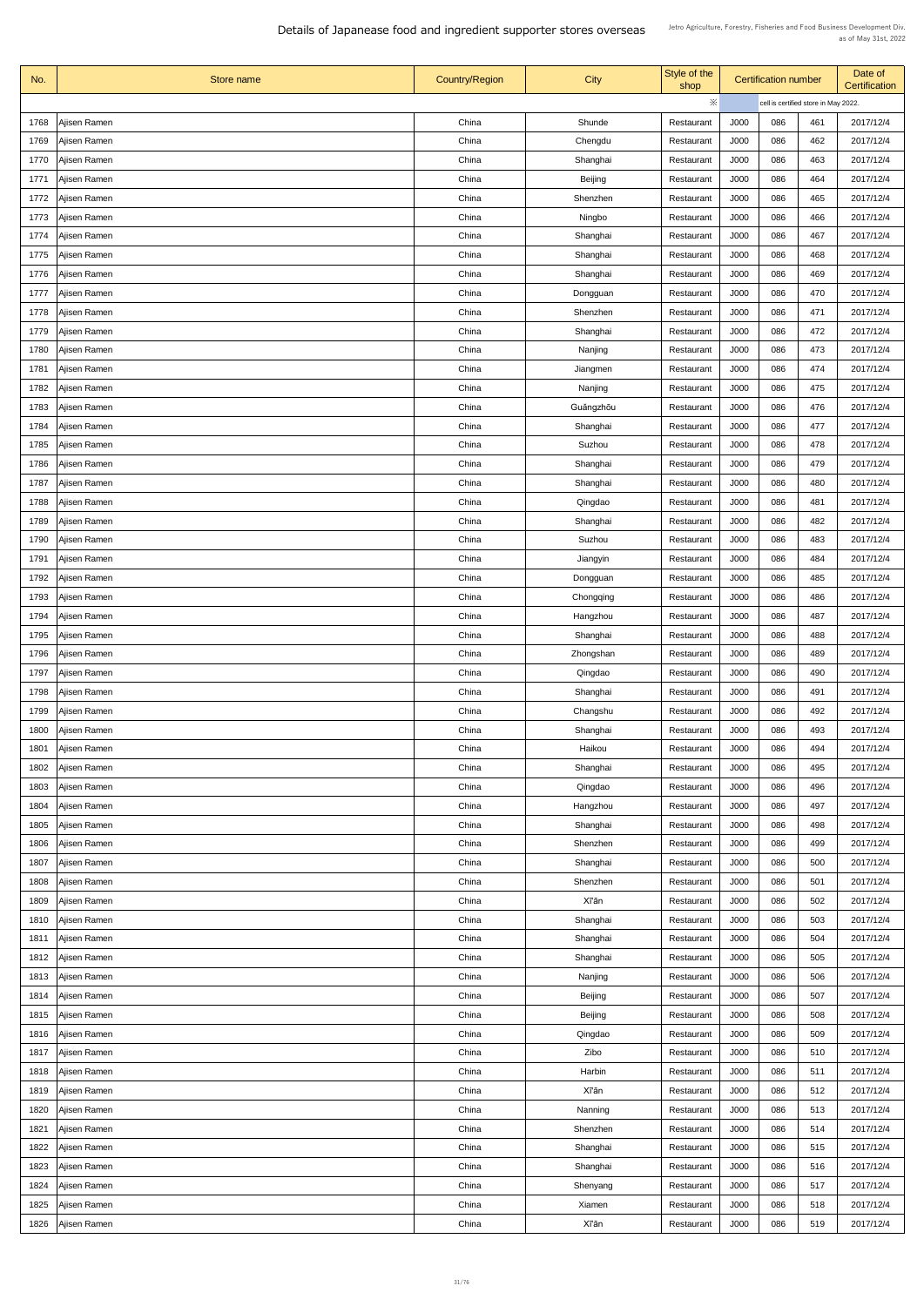| No.  | Store name          | <b>Country/Region</b> | <b>City</b>    | Style of the<br>shop |             | <b>Certification number</b>          |     | Date of<br>Certification |
|------|---------------------|-----------------------|----------------|----------------------|-------------|--------------------------------------|-----|--------------------------|
|      |                     |                       |                | ※                    |             | cell is certified store in May 2022. |     |                          |
| 1768 | Ajisen Ramen        | China                 | Shunde         | Restaurant           | J000        | 086                                  | 461 | 2017/12/4                |
| 1769 | Ajisen Ramen        | China                 | Chengdu        | Restaurant           | J000        | 086                                  | 462 | 2017/12/4                |
| 1770 | Ajisen Ramen        | China                 | Shanghai       | Restaurant           | J000        | 086                                  | 463 | 2017/12/4                |
| 1771 | Ajisen Ramen        | China                 | <b>Beijing</b> | Restaurant           | J000        | 086                                  | 464 | 2017/12/4                |
| 1772 | Ajisen Ramen        | China                 | Shenzhen       | Restaurant           | J000        | 086                                  | 465 | 2017/12/4                |
| 1773 | Ajisen Ramen        | China                 | Ningbo         | Restaurant           | J000        | 086                                  | 466 | 2017/12/4                |
| 1774 | Ajisen Ramen        | China                 | Shanghai       | Restaurant           | J000        | 086                                  | 467 | 2017/12/4                |
| 1775 | Ajisen Ramen        | China                 | Shanghai       | Restaurant           | J000        | 086                                  | 468 | 2017/12/4                |
| 1776 | Ajisen Ramen        | China                 | Shanghai       | Restaurant           | J000        | 086                                  | 469 | 2017/12/4                |
| 1777 | Ajisen Ramen        | China                 | Dongguan       | Restaurant           | J000        | 086                                  | 470 | 2017/12/4                |
| 1778 | Ajisen Ramen        | China                 | Shenzhen       | Restaurant           | J000        | 086                                  | 471 | 2017/12/4                |
| 1779 | Ajisen Ramen        | China                 | Shanghai       | Restaurant           | J000        | 086                                  | 472 | 2017/12/4                |
| 1780 | Ajisen Ramen        | China                 | Nanjing        | Restaurant           | <b>J000</b> | 086                                  | 473 | 2017/12/4                |
| 1781 | Ajisen Ramen        | China                 | Jiangmen       | Restaurant           | J000        | 086                                  | 474 | 2017/12/4                |
| 1782 | Ajisen Ramen        | China                 | Nanjing        | Restaurant           | J000        | 086                                  | 475 | 2017/12/4                |
| 1783 | Ajisen Ramen        | China                 | Guǎngzhōu      | Restaurant           | J000        | 086                                  | 476 | 2017/12/4                |
| 1784 | Ajisen Ramen        | China                 | Shanghai       | Restaurant           | J000        | 086                                  | 477 | 2017/12/4                |
| 1785 | Ajisen Ramen        | China                 | Suzhou         | Restaurant           | J000        | 086                                  | 478 | 2017/12/4                |
| 1786 | Ajisen Ramen        | China                 | Shanghai       | Restaurant           | J000        | 086                                  | 479 | 2017/12/4                |
| 1787 | Ajisen Ramen        | China                 | Shanghai       | Restaurant           | J000        | 086                                  | 480 | 2017/12/4                |
| 1788 | Ajisen Ramen        | China                 | Qingdao        | Restaurant           | J000        | 086                                  | 481 | 2017/12/4                |
| 1789 | Ajisen Ramen        | China                 | Shanghai       | Restaurant           | J000        | 086                                  | 482 | 2017/12/4                |
| 1790 | Ajisen Ramen        | China                 | Suzhou         | Restaurant           | J000        | 086                                  | 483 | 2017/12/4                |
| 1791 | Ajisen Ramen        | China                 | Jiangyin       | Restaurant           | J000        | 086                                  | 484 | 2017/12/4                |
| 1792 | Ajisen Ramen        | China                 | Dongguan       | Restaurant           | J000        | 086                                  | 485 | 2017/12/4                |
| 1793 | Ajisen Ramen        | China                 | Chongqing      | Restaurant           | J000        | 086                                  | 486 | 2017/12/4                |
| 1794 | Ajisen Ramen        | China                 | Hangzhou       | Restaurant           | J000        | 086                                  | 487 | 2017/12/4                |
| 1795 | Ajisen Ramen        | China                 | Shanghai       | Restaurant           | J000        | 086                                  | 488 | 2017/12/4                |
| 1796 | Ajisen Ramen        | China                 | Zhongshan      | Restaurant           | J000        | 086                                  | 489 | 2017/12/4                |
| 1797 | Ajisen Ramen        | China                 | Qingdao        | Restaurant           | J000        | 086                                  | 490 | 2017/12/4                |
| 1798 | Ajisen Ramen        | China                 | Shanghai       | Restaurant           | J000        | 086                                  | 491 | 2017/12/4                |
| 1799 | Ajisen Ramen        | China                 | Changshu       | Restaurant           | J000        | 086                                  | 492 | 2017/12/4                |
| 1800 | Ajisen Ramen        | China                 | Shanghai       | Restaurant           | J000        | 086                                  | 493 | 2017/12/4                |
| 1801 | Ajisen Ramen        | China                 | Haikou         | Restaurant           | J000        | 086                                  | 494 | 2017/12/4                |
| 1802 | Ajisen Ramen        | China                 | Shanghai       | Restaurant           | J000        | 086                                  | 495 | 2017/12/4                |
| 1803 | Ajisen Ramen        | China                 | Qingdao        | Restaurant           | J000        | 086                                  | 496 | 2017/12/4                |
| 1804 | Ajisen Ramen        | China                 | Hangzhou       | Restaurant           | J000        | 086                                  | 497 | 2017/12/4                |
| 1805 | Ajisen Ramen        | China                 | Shanghai       | Restaurant           | J000        | 086                                  | 498 | 2017/12/4                |
| 1806 | Ajisen Ramen        | China                 | Shenzhen       | Restaurant           | J000        | 086                                  | 499 | 2017/12/4                |
| 1807 | Ajisen Ramen        | China                 | Shanghai       | Restaurant           | J000        | 086                                  | 500 | 2017/12/4                |
| 1808 | Ajisen Ramen        | China                 | Shenzhen       | Restaurant           | J000        | 086                                  | 501 | 2017/12/4                |
|      | 1809   Ajisen Ramen | China                 | <b>Xī'ān</b>   | Restaurant           | J000        | 086                                  | 502 | 2017/12/4                |
| 1810 | Ajisen Ramen        | China                 | Shanghai       | Restaurant           | J000        | 086                                  | 503 | 2017/12/4                |
| 1811 | Ajisen Ramen        | China                 | Shanghai       | Restaurant           | J000        | 086                                  | 504 | 2017/12/4                |
| 1812 | Ajisen Ramen        | China                 | Shanghai       | Restaurant           | J000        | 086                                  | 505 | 2017/12/4                |
| 1813 | Ajisen Ramen        | China                 | Nanjing        | Restaurant           | J000        | 086                                  | 506 | 2017/12/4                |
| 1814 | Ajisen Ramen        | China                 | <b>Beijing</b> | Restaurant           | J000        | 086                                  | 507 | 2017/12/4                |
| 1815 | Ajisen Ramen        | China                 | <b>Beijing</b> | Restaurant           | J000        | 086                                  | 508 | 2017/12/4                |
| 1816 | Ajisen Ramen        | China                 | Qingdao        | Restaurant           | J000        | 086                                  | 509 | 2017/12/4                |
| 1817 | Ajisen Ramen        | China                 | Zibo           | Restaurant           | J000        | 086                                  | 510 | 2017/12/4                |
| 1818 | Ajisen Ramen        | China                 | Harbin         | Restaurant           | J000        | 086                                  | 511 | 2017/12/4                |
| 1819 | Ajisen Ramen        | China                 | <b>Xī'ān</b>   | Restaurant           | J000        | 086                                  | 512 | 2017/12/4                |
| 1820 | Ajisen Ramen        | China                 | Nanning        | Restaurant           | J000        | 086                                  | 513 | 2017/12/4                |
| 1821 | Ajisen Ramen        | China                 | Shenzhen       | Restaurant           | J000        | 086                                  | 514 | 2017/12/4                |
| 1822 | Ajisen Ramen        | China                 | Shanghai       | Restaurant           | J000        | 086                                  | 515 | 2017/12/4                |
| 1823 | Ajisen Ramen        | China                 | Shanghai       | Restaurant           | J000        | 086                                  | 516 | 2017/12/4                |
| 1824 | Ajisen Ramen        | China                 | Shenyang       | Restaurant           | J000        | 086                                  | 517 | 2017/12/4                |
| 1825 | Ajisen Ramen        | China                 | Xiamen         | Restaurant           | J000        | 086                                  | 518 | 2017/12/4                |
| 1826 | Ajisen Ramen        | China                 | <b>Xī'ān</b>   | Restaurant           | J000        | 086                                  | 519 | 2017/12/4                |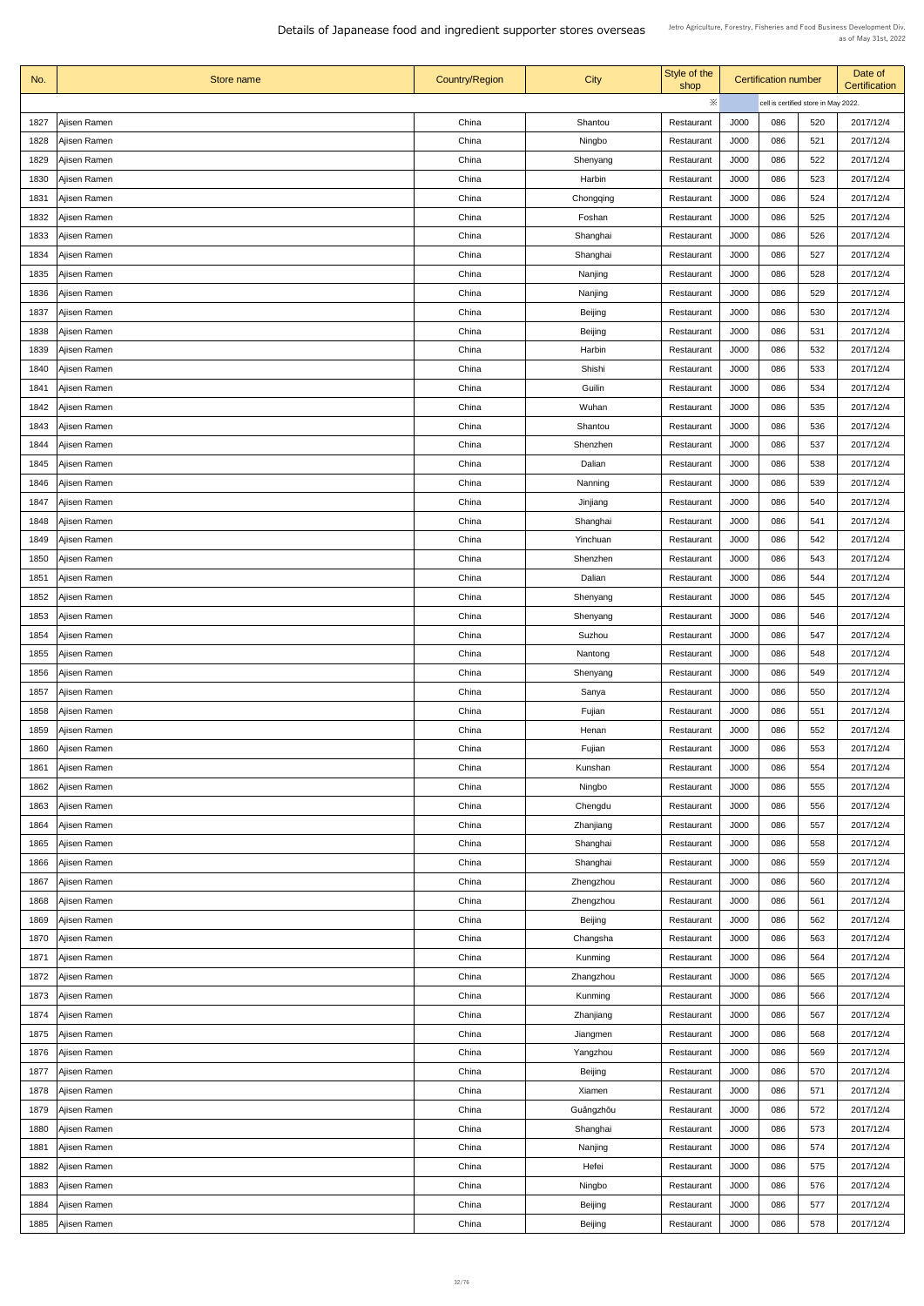| No.  | Store name          | <b>Country/Region</b> | <b>City</b>    | Style of the<br>shop     |             | <b>Certification number</b>          |     | Date of<br>Certification |
|------|---------------------|-----------------------|----------------|--------------------------|-------------|--------------------------------------|-----|--------------------------|
|      |                     |                       |                | ※                        |             | cell is certified store in May 2022. |     |                          |
| 1827 | Ajisen Ramen        | China                 | Shantou        | Restaurant               | J000        | 086                                  | 520 | 2017/12/4                |
| 1828 | Ajisen Ramen        | China                 | Ningbo         | Restaurant               | J000        | 086                                  | 521 | 2017/12/4                |
| 1829 | Ajisen Ramen        | China                 | Shenyang       | Restaurant               | J000        | 086                                  | 522 | 2017/12/4                |
| 1830 | Ajisen Ramen        | China                 | Harbin         | Restaurant               | J000        | 086                                  | 523 | 2017/12/4                |
| 1831 | Ajisen Ramen        | China                 | Chongqing      | Restaurant               | J000        | 086                                  | 524 | 2017/12/4                |
| 1832 | Ajisen Ramen        | China                 | Foshan         | Restaurant               | J000        | 086                                  | 525 | 2017/12/4                |
| 1833 | Ajisen Ramen        | China                 | Shanghai       | Restaurant               | J000        | 086                                  | 526 | 2017/12/4                |
| 1834 | Ajisen Ramen        | China                 | Shanghai       | Restaurant               | J000        | 086                                  | 527 | 2017/12/4                |
| 1835 | Ajisen Ramen        | China                 | Nanjing        | Restaurant               | J000        | 086                                  | 528 | 2017/12/4                |
| 1836 | Ajisen Ramen        | China                 | Nanjing        | Restaurant               | J000        | 086                                  | 529 | 2017/12/4                |
| 1837 | Ajisen Ramen        | China                 | <b>Beijing</b> | Restaurant               | J000        | 086                                  | 530 | 2017/12/4                |
| 1838 | Ajisen Ramen        | China                 | <b>Beijing</b> | Restaurant               | J000        | 086                                  | 531 | 2017/12/4                |
| 1839 | Ajisen Ramen        | China                 | Harbin         | Restaurant               | <b>J000</b> | 086                                  | 532 | 2017/12/4                |
| 1840 | Ajisen Ramen        | China                 | Shishi         | Restaurant               | J000        | 086                                  | 533 | 2017/12/4                |
|      |                     |                       |                |                          |             |                                      |     |                          |
| 1841 | Ajisen Ramen        | China                 | Guilin         | Restaurant               | J000        | 086                                  | 534 | 2017/12/4                |
| 1842 | Ajisen Ramen        | China                 | Wuhan          | Restaurant               | J000        | 086                                  | 535 | 2017/12/4                |
| 1843 | Ajisen Ramen        | China                 | Shantou        | Restaurant               | J000        | 086                                  | 536 | 2017/12/4                |
| 1844 | Ajisen Ramen        | China                 | Shenzhen       | Restaurant               | J000        | 086                                  | 537 | 2017/12/4                |
| 1845 | Ajisen Ramen        | China                 | Dalian         | Restaurant               | J000        | 086                                  | 538 | 2017/12/4                |
| 1846 | Ajisen Ramen        | China                 | Nanning        | Restaurant               | J000        | 086                                  | 539 | 2017/12/4                |
| 1847 | Ajisen Ramen        | China                 | Jinjiang       | Restaurant               | J000        | 086                                  | 540 | 2017/12/4                |
| 1848 | Ajisen Ramen        | China                 | Shanghai       | Restaurant               | J000        | 086                                  | 541 | 2017/12/4                |
| 1849 | Ajisen Ramen        | China                 | Yinchuan       | Restaurant               | J000        | 086                                  | 542 | 2017/12/4                |
| 1850 | Ajisen Ramen        | China                 | Shenzhen       | Restaurant               | J000        | 086                                  | 543 | 2017/12/4                |
| 1851 | Ajisen Ramen        | China                 | Dalian         | Restaurant               | J000        | 086                                  | 544 | 2017/12/4                |
| 1852 | Ajisen Ramen        | China                 | Shenyang       | Restaurant               | J000        | 086                                  | 545 | 2017/12/4                |
| 1853 | Ajisen Ramen        | China                 | Shenyang       | Restaurant               | J000        | 086                                  | 546 | 2017/12/4                |
| 1854 | Ajisen Ramen        | China                 | Suzhou         | Restaurant               | J000        | 086                                  | 547 | 2017/12/4                |
| 1855 | Ajisen Ramen        | China                 | Nantong        | Restaurant               | J000        | 086                                  | 548 | 2017/12/4                |
| 1856 | Ajisen Ramen        | China                 | Shenyang       | Restaurant               | J000        | 086                                  | 549 | 2017/12/4                |
| 1857 | Ajisen Ramen        | China                 | Sanya          | Restaurant               | J000        | 086                                  | 550 | 2017/12/4                |
| 1858 | Ajisen Ramen        | China                 | Fujian         | Restaurant               | J000        | 086                                  | 551 | 2017/12/4                |
| 1859 | Ajisen Ramen        | China                 | Henan          | Restaurant               | J000        | 086                                  | 552 | 2017/12/4                |
| 1860 | Ajisen Ramen        | China                 | Fujian         | Restaurant               | J000        | 086                                  | 553 | 2017/12/4                |
| 1861 | Ajisen Ramen        | China                 | Kunshan        | Restaurant               | J000        | 086                                  | 554 | 2017/12/4                |
| 1862 | Ajisen Ramen        | China                 | Ningbo         | Restaurant               | J000        | 086                                  | 555 | 2017/12/4                |
| 1863 | Ajisen Ramen        | China                 | Chengdu        | Restaurant               | J000        | 086                                  | 556 | 2017/12/4                |
| 1864 | Ajisen Ramen        | China                 | Zhanjiang      | Restaurant               | J000        | 086                                  | 557 | 2017/12/4                |
| 1865 | Ajisen Ramen        | China                 | Shanghai       | Restaurant               | J000        | 086                                  | 558 | 2017/12/4                |
| 1866 | Ajisen Ramen        | China                 | Shanghai       | Restaurant               | J000        | 086                                  | 559 | 2017/12/4                |
| 1867 | Ajisen Ramen        | China                 | Zhengzhou      |                          | J000        | 086                                  | 560 | 2017/12/4                |
|      |                     | China                 |                | Restaurant<br>Restaurant | J000        | 086                                  | 561 | 2017/12/4                |
|      | 1868   Ajisen Ramen |                       | Zhengzhou      |                          |             |                                      |     |                          |
| 1869 | Ajisen Ramen        | China                 | Beijing        | Restaurant               | J000        | 086                                  | 562 | 2017/12/4                |
| 1870 | Ajisen Ramen        | China                 | Changsha       | Restaurant               | J000        | 086                                  | 563 | 2017/12/4                |
| 1871 | Ajisen Ramen        | China                 | Kunming        | Restaurant               | J000        | 086                                  | 564 | 2017/12/4                |
| 1872 | Ajisen Ramen        | China                 | Zhangzhou      | Restaurant               | J000        | 086                                  | 565 | 2017/12/4                |
| 1873 | Ajisen Ramen        | China                 | Kunming        | Restaurant               | J000        | 086                                  | 566 | 2017/12/4                |
| 1874 | Ajisen Ramen        | China                 | Zhanjiang      | Restaurant               | J000        | 086                                  | 567 | 2017/12/4                |
| 1875 | Ajisen Ramen        | China                 | Jiangmen       | Restaurant               | J000        | 086                                  | 568 | 2017/12/4                |
| 1876 | Ajisen Ramen        | China                 | Yangzhou       | Restaurant               | J000        | 086                                  | 569 | 2017/12/4                |
| 1877 | Ajisen Ramen        | China                 | <b>Beijing</b> | Restaurant               | J000        | 086                                  | 570 | 2017/12/4                |
| 1878 | Ajisen Ramen        | China                 | Xiamen         | Restaurant               | J000        | 086                                  | 571 | 2017/12/4                |
| 1879 | Ajisen Ramen        | China                 | Guǎngzhōu      | Restaurant               | J000        | 086                                  | 572 | 2017/12/4                |
| 1880 | Ajisen Ramen        | China                 | Shanghai       | Restaurant               | J000        | 086                                  | 573 | 2017/12/4                |
| 1881 | Ajisen Ramen        | China                 | Nanjing        | Restaurant               | J000        | 086                                  | 574 | 2017/12/4                |
| 1882 | Ajisen Ramen        | China                 | Hefei          | Restaurant               | J000        | 086                                  | 575 | 2017/12/4                |
| 1883 | Ajisen Ramen        | China                 | Ningbo         | Restaurant               | J000        | 086                                  | 576 | 2017/12/4                |
| 1884 | Ajisen Ramen        | China                 | <b>Beijing</b> | Restaurant               | J000        | 086                                  | 577 | 2017/12/4                |
| 1885 | Ajisen Ramen        | China                 | <b>Beijing</b> | Restaurant               | J000        | 086                                  | 578 | 2017/12/4                |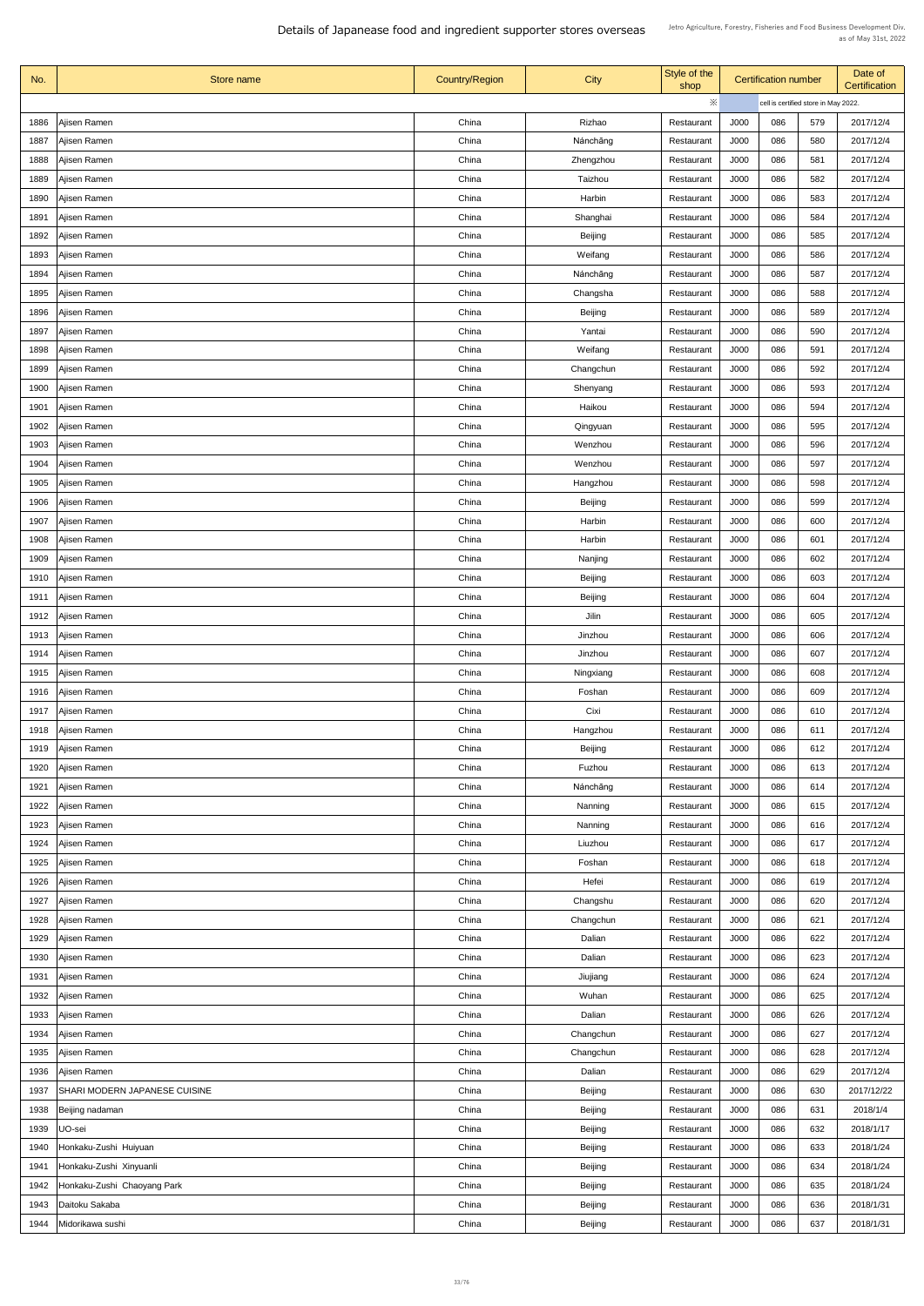| No.  | Store name                           | <b>Country/Region</b> | <b>City</b>    | Style of the<br>shop |             | <b>Certification number</b>          |     | Date of<br>Certification |
|------|--------------------------------------|-----------------------|----------------|----------------------|-------------|--------------------------------------|-----|--------------------------|
|      |                                      |                       |                | ※                    |             | cell is certified store in May 2022. |     |                          |
| 1886 | Ajisen Ramen                         | China                 | Rizhao         | Restaurant           | J000        | 086                                  | 579 | 2017/12/4                |
| 1887 | Ajisen Ramen                         | China                 | Nánchāng       | Restaurant           | J000        | 086                                  | 580 | 2017/12/4                |
| 1888 | Ajisen Ramen                         | China                 | Zhengzhou      | Restaurant           | J000        | 086                                  | 581 | 2017/12/4                |
| 1889 | Ajisen Ramen                         | China                 | Taizhou        | Restaurant           | J000        | 086                                  | 582 | 2017/12/4                |
| 1890 | Ajisen Ramen                         | China                 | Harbin         | Restaurant           | J000        | 086                                  | 583 | 2017/12/4                |
| 1891 | Ajisen Ramen                         | China                 | Shanghai       | Restaurant           | J000        | 086                                  | 584 | 2017/12/4                |
| 1892 | Ajisen Ramen                         | China                 | <b>Beijing</b> | Restaurant           | J000        | 086                                  | 585 | 2017/12/4                |
| 1893 | Ajisen Ramen                         | China                 | Weifang        | Restaurant           | J000        | 086                                  | 586 | 2017/12/4                |
| 1894 | Ajisen Ramen                         | China                 | Nánchāng       | Restaurant           | J000        | 086                                  | 587 | 2017/12/4                |
| 1895 | Ajisen Ramen                         | China                 | Changsha       | Restaurant           | J000        | 086                                  | 588 | 2017/12/4                |
| 1896 | Ajisen Ramen                         | China                 | <b>Beijing</b> | Restaurant           | J000        | 086                                  | 589 | 2017/12/4                |
| 1897 | Ajisen Ramen                         | China                 | Yantai         | Restaurant           | J000        | 086                                  | 590 | 2017/12/4                |
| 1898 | Ajisen Ramen                         | China                 | Weifang        | Restaurant           | <b>J000</b> | 086                                  | 591 | 2017/12/4                |
| 1899 | Ajisen Ramen                         | China                 | Changchun      | Restaurant           | J000        | 086                                  | 592 | 2017/12/4                |
| 1900 | Ajisen Ramen                         | China                 | Shenyang       | Restaurant           | J000        | 086                                  | 593 | 2017/12/4                |
| 1901 | Ajisen Ramen                         | China                 | Haikou         | Restaurant           | J000        | 086                                  | 594 | 2017/12/4                |
| 1902 | Ajisen Ramen                         | China                 | Qingyuan       | Restaurant           | J000        | 086                                  | 595 | 2017/12/4                |
|      |                                      | China                 |                |                      |             |                                      |     |                          |
| 1903 | Ajisen Ramen                         |                       | Wenzhou        | Restaurant           | J000        | 086                                  | 596 | 2017/12/4                |
| 1904 | Ajisen Ramen                         | China                 | Wenzhou        | Restaurant           | J000        | 086                                  | 597 | 2017/12/4                |
| 1905 | Ajisen Ramen                         | China                 | Hangzhou       | Restaurant           | J000        | 086                                  | 598 | 2017/12/4                |
| 1906 | Ajisen Ramen                         | China                 | <b>Beijing</b> | Restaurant           | J000        | 086                                  | 599 | 2017/12/4                |
| 1907 | Ajisen Ramen                         | China                 | Harbin         | Restaurant           | J000        | 086                                  | 600 | 2017/12/4                |
| 1908 | Ajisen Ramen                         | China                 | Harbin         | Restaurant           | J000        | 086                                  | 601 | 2017/12/4                |
| 1909 | Ajisen Ramen                         | China                 | Nanjing        | Restaurant           | J000        | 086                                  | 602 | 2017/12/4                |
| 1910 | Ajisen Ramen                         | China                 | <b>Beijing</b> | Restaurant           | J000        | 086                                  | 603 | 2017/12/4                |
| 1911 | Ajisen Ramen                         | China                 | <b>Beijing</b> | Restaurant           | J000        | 086                                  | 604 | 2017/12/4                |
| 1912 | Ajisen Ramen                         | China                 | Jilin          | Restaurant           | J000        | 086                                  | 605 | 2017/12/4                |
| 1913 | Ajisen Ramen                         | China                 | Jinzhou        | Restaurant           | J000        | 086                                  | 606 | 2017/12/4                |
| 1914 | Ajisen Ramen                         | China                 | Jinzhou        | Restaurant           | J000        | 086                                  | 607 | 2017/12/4                |
| 1915 | Ajisen Ramen                         | China                 | Ningxiang      | Restaurant           | J000        | 086                                  | 608 | 2017/12/4                |
| 1916 | Ajisen Ramen                         | China                 | Foshan         | Restaurant           | J000        | 086                                  | 609 | 2017/12/4                |
| 1917 | Ajisen Ramen                         | China                 | Cixi           | Restaurant           | J000        | 086                                  | 610 | 2017/12/4                |
| 1918 | Ajisen Ramen                         | China                 | Hangzhou       | Restaurant           | J000        | 086                                  | 611 | 2017/12/4                |
| 1919 | Ajisen Ramen                         | China                 | <b>Beijing</b> | Restaurant           | J000        | 086                                  | 612 | 2017/12/4                |
| 1920 | Ajisen Ramen                         | China                 | Fuzhou         | Restaurant           | J000        | 086                                  | 613 | 2017/12/4                |
| 1921 | Ajisen Ramen                         | China                 | Nánchāng       | Restaurant           | J000        | 086                                  | 614 | 2017/12/4                |
| 1922 | Ajisen Ramen                         | China                 | Nanning        | Restaurant           | J000        | 086                                  | 615 | 2017/12/4                |
| 1923 | Ajisen Ramen                         | China                 | Nanning        | Restaurant           | J000        | 086                                  | 616 | 2017/12/4                |
| 1924 | Ajisen Ramen                         | China                 | Liuzhou        | Restaurant           | J000        | 086                                  | 617 | 2017/12/4                |
| 1925 | Ajisen Ramen                         | China                 | Foshan         | Restaurant           | J000        | 086                                  | 618 | 2017/12/4                |
| 1926 | Ajisen Ramen                         | China                 | Hefei          | Restaurant           | J000        | 086                                  | 619 | 2017/12/4                |
|      | 1927   Ajisen Ramen                  | China                 | Changshu       | Restaurant           | J000        | 086                                  | 620 | 2017/12/4                |
| 1928 | Ajisen Ramen                         | China                 | Changchun      | Restaurant           | J000        | 086                                  | 621 | 2017/12/4                |
| 1929 | Ajisen Ramen                         | China                 | Dalian         | Restaurant           | J000        | 086                                  | 622 | 2017/12/4                |
| 1930 | Ajisen Ramen                         | China                 | Dalian         | Restaurant           | J000        | 086                                  | 623 | 2017/12/4                |
| 1931 | Ajisen Ramen                         | China                 | Jiujiang       | Restaurant           | J000        | 086                                  | 624 | 2017/12/4                |
| 1932 | Ajisen Ramen                         | China                 | Wuhan          | Restaurant           | J000        | 086                                  | 625 | 2017/12/4                |
| 1933 | Ajisen Ramen                         | China                 | Dalian         | Restaurant           | J000        | 086                                  | 626 | 2017/12/4                |
| 1934 | Ajisen Ramen                         | China                 | Changchun      | Restaurant           | J000        | 086                                  | 627 | 2017/12/4                |
| 1935 | Ajisen Ramen                         | China                 | Changchun      | Restaurant           | J000        | 086                                  | 628 | 2017/12/4                |
| 1936 | Ajisen Ramen                         | China                 | Dalian         | Restaurant           | J000        | 086                                  | 629 | 2017/12/4                |
| 1937 | <b>SHARI MODERN JAPANESE CUISINE</b> | China                 | <b>Beijing</b> | Restaurant           | J000        | 086                                  | 630 | 2017/12/22               |
| 1938 |                                      | China                 |                |                      | J000        | 086                                  | 631 | 2018/1/4                 |
|      | Beijing nadaman                      |                       | <b>Beijing</b> | Restaurant           |             |                                      |     |                          |
| 1939 | UO-sei                               | China                 | <b>Beijing</b> | Restaurant           | J000        | 086                                  | 632 | 2018/1/17                |
| 1940 | Honkaku-Zushi Huiyuan                | China                 | <b>Beijing</b> | Restaurant           | J000        | 086                                  | 633 | 2018/1/24                |
| 1941 | Honkaku-Zushi Xinyuanli              | China                 | <b>Beijing</b> | Restaurant           | J000        | 086                                  | 634 | 2018/1/24                |
| 1942 | Honkaku-Zushi Chaoyang Park          | China                 | <b>Beijing</b> | Restaurant           | J000        | 086                                  | 635 | 2018/1/24                |
| 1943 | Daitoku Sakaba                       | China                 | <b>Beijing</b> | Restaurant           | J000        | 086                                  | 636 | 2018/1/31                |
| 1944 | Midorikawa sushi                     | China                 | <b>Beijing</b> | Restaurant           | J000        | 086                                  | 637 | 2018/1/31                |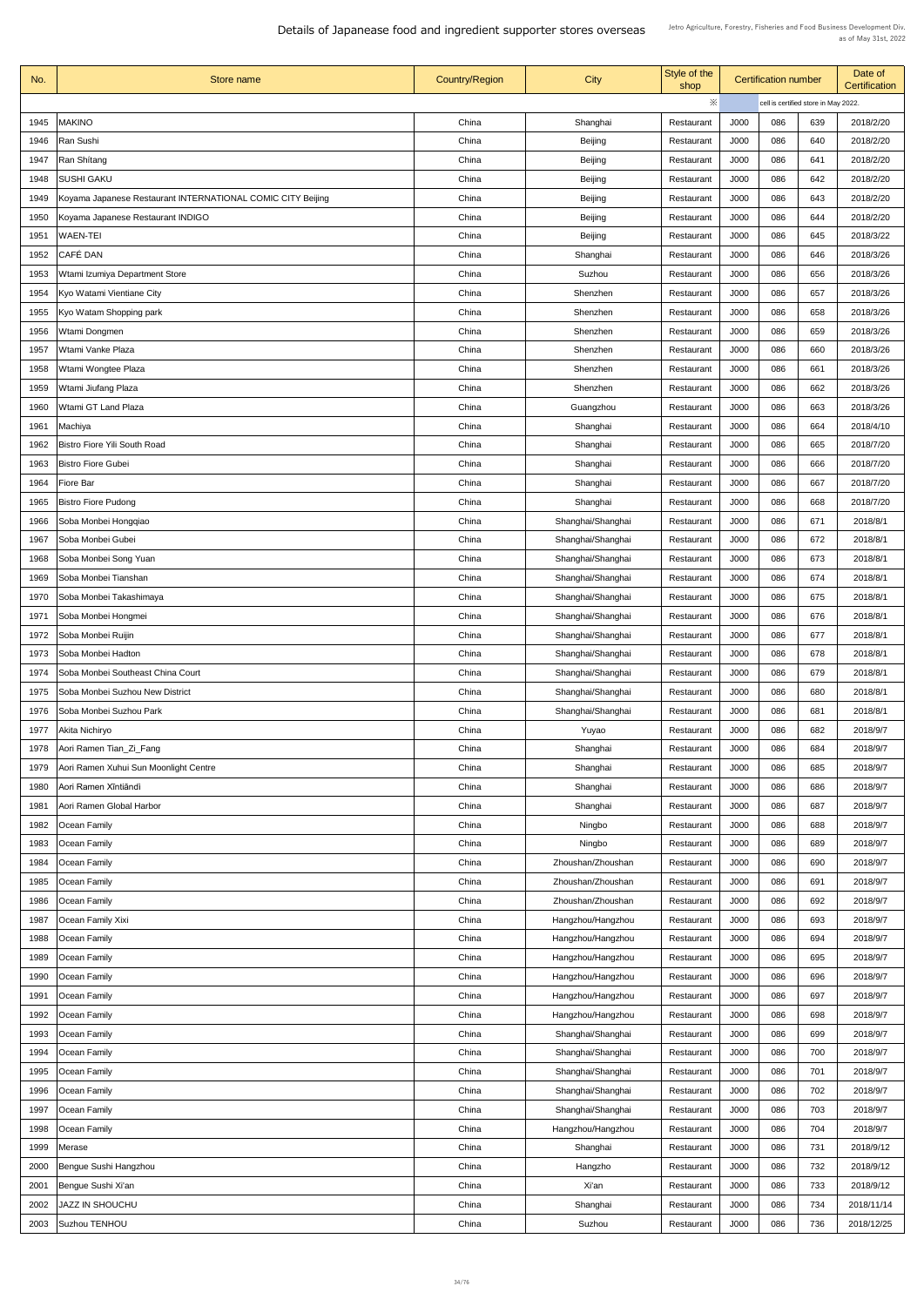| No.  | Store name                                                  | <b>Country/Region</b> | City              | Style of the<br>shop |             | <b>Certification number</b>          |     | Date of<br><b>Certification</b> |
|------|-------------------------------------------------------------|-----------------------|-------------------|----------------------|-------------|--------------------------------------|-----|---------------------------------|
|      |                                                             |                       |                   | ※                    |             | cell is certified store in May 2022. |     |                                 |
| 1945 | <b>MAKINO</b>                                               | China                 | Shanghai          | Restaurant           | J000        | 086                                  | 639 | 2018/2/20                       |
| 1946 | Ran Sushi                                                   | China                 | <b>Beijing</b>    | Restaurant           | J000        | 086                                  | 640 | 2018/2/20                       |
| 1947 | Ran Shitang                                                 | China                 | <b>Beijing</b>    | Restaurant           | J000        | 086                                  | 641 | 2018/2/20                       |
|      | <b>SUSHI GAKU</b>                                           | China                 |                   | Restaurant           | J000        | 086                                  | 642 | 2018/2/20                       |
| 1948 |                                                             |                       | <b>Beijing</b>    |                      |             |                                      |     |                                 |
| 1949 | Koyama Japanese Restaurant INTERNATIONAL COMIC CITY Beijing | China                 | <b>Beijing</b>    | Restaurant           | J000        | 086                                  | 643 | 2018/2/20                       |
| 1950 | Koyama Japanese Restaurant INDIGO                           | China                 | Beijing           | Restaurant           | J000        | 086                                  | 644 | 2018/2/20                       |
| 1951 | <b>WAEN-TEI</b>                                             | China                 | <b>Beijing</b>    | Restaurant           | J000        | 086                                  | 645 | 2018/3/22                       |
| 1952 | CAFÉ DAN                                                    | China                 | Shanghai          | Restaurant           | J000        | 086                                  | 646 | 2018/3/26                       |
| 1953 | Wtami Izumiya Department Store                              | China                 | Suzhou            | Restaurant           | J000        | 086                                  | 656 | 2018/3/26                       |
| 1954 | Kyo Watami Vientiane City                                   | China                 | Shenzhen          | Restaurant           | J000        | 086                                  | 657 | 2018/3/26                       |
| 1955 | Kyo Watam Shopping park                                     | China                 | Shenzhen          | Restaurant           | J000        | 086                                  | 658 | 2018/3/26                       |
| 1956 | Wtami Dongmen                                               | China                 | Shenzhen          | Restaurant           | J000        | 086                                  | 659 | 2018/3/26                       |
| 1957 | Wtami Vanke Plaza                                           | China                 | Shenzhen          | Restaurant           | <b>J000</b> | 086                                  | 660 | 2018/3/26                       |
| 1958 | Wtami Wongtee Plaza                                         | China                 | Shenzhen          | Restaurant           | J000        | 086                                  | 661 | 2018/3/26                       |
| 1959 | Wtami Jiufang Plaza                                         | China                 | Shenzhen          | Restaurant           | J000        | 086                                  | 662 | 2018/3/26                       |
| 1960 | Wtami GT Land Plaza                                         | China                 | Guangzhou         | Restaurant           | J000        | 086                                  | 663 | 2018/3/26                       |
| 1961 | Machiya                                                     | China                 | Shanghai          | Restaurant           | J000        | 086                                  | 664 | 2018/4/10                       |
| 1962 | Bistro Fiore Yili South Road                                | China                 | Shanghai          | Restaurant           | J000        | 086                                  | 665 | 2018/7/20                       |
| 1963 | <b>Bistro Fiore Gubei</b>                                   | China                 | Shanghai          | Restaurant           | J000        | 086                                  | 666 | 2018/7/20                       |
| 1964 | <b>Fiore Bar</b>                                            | China                 | Shanghai          | Restaurant           | J000        | 086                                  | 667 | 2018/7/20                       |
| 1965 | <b>Bistro Fiore Pudong</b>                                  | China                 | Shanghai          | Restaurant           | J000        | 086                                  | 668 | 2018/7/20                       |
| 1966 | Soba Monbei Hongqiao                                        | China                 | Shanghai/Shanghai | Restaurant           | J000        | 086                                  | 671 | 2018/8/1                        |
| 1967 | Soba Monbei Gubei                                           | China                 | Shanghai/Shanghai | Restaurant           | J000        | 086                                  | 672 | 2018/8/1                        |
| 1968 | Soba Monbei Song Yuan                                       | China                 | Shanghai/Shanghai | Restaurant           | J000        | 086                                  | 673 | 2018/8/1                        |
| 1969 | Soba Monbei Tianshan                                        | China                 | Shanghai/Shanghai | Restaurant           | J000        | 086                                  | 674 | 2018/8/1                        |
| 1970 | Soba Monbei Takashimaya                                     | China                 | Shanghai/Shanghai | Restaurant           | J000        | 086                                  | 675 | 2018/8/1                        |
| 1971 | Soba Monbei Hongmei                                         | China                 | Shanghai/Shanghai | Restaurant           | J000        | 086                                  | 676 | 2018/8/1                        |
| 1972 | Soba Monbei Ruijin                                          | China                 | Shanghai/Shanghai | Restaurant           | J000        | 086                                  | 677 | 2018/8/1                        |
| 1973 | Soba Monbei Hadton                                          | China                 | Shanghai/Shanghai |                      | J000        | 086                                  | 678 | 2018/8/1                        |
|      |                                                             |                       |                   | Restaurant           |             |                                      |     |                                 |
| 1974 | Soba Monbei Southeast China Court                           | China                 | Shanghai/Shanghai | Restaurant           | J000        | 086                                  | 679 | 2018/8/1                        |
| 1975 | Soba Monbei Suzhou New District                             | China                 | Shanghai/Shanghai | Restaurant           | J000        | 086                                  | 680 | 2018/8/1                        |
| 1976 | Soba Monbei Suzhou Park                                     | China                 | Shanghai/Shanghai | Restaurant           | J000        | 086                                  | 681 | 2018/8/1                        |
| 1977 | Akita Nichiryo                                              | China                 | Yuyao             | Restaurant           | J000        | 086                                  | 682 | 2018/9/7                        |
| 1978 | Aori Ramen Tian_Zi_Fang                                     | China                 | Shanghai          | Restaurant           | J000        | 086                                  | 684 | 2018/9/7                        |
| 1979 | Aori Ramen Xuhui Sun Moonlight Centre                       | China                 | Shanghai          | Restaurant           | J000        | 086                                  | 685 | 2018/9/7                        |
| 1980 | Aori Ramen Xīntiāndì                                        | China                 | Shanghai          | Restaurant           | J000        | 086                                  | 686 | 2018/9/7                        |
| 1981 | Aori Ramen Global Harbor                                    | China                 | Shanghai          | Restaurant           | J000        | 086                                  | 687 | 2018/9/7                        |
| 1982 | <b>Ocean Family</b>                                         | China                 | Ningbo            | Restaurant           | J000        | 086                                  | 688 | 2018/9/7                        |
| 1983 | <b>Ocean Family</b>                                         | China                 | Ningbo            | Restaurant           | J000        | 086                                  | 689 | 2018/9/7                        |
| 1984 | Ocean Family                                                | China                 | Zhoushan/Zhoushan | Restaurant           | J000        | 086                                  | 690 | 2018/9/7                        |
| 1985 | <b>Ocean Family</b>                                         | China                 | Zhoushan/Zhoushan | Restaurant           | J000        | 086                                  | 691 | 2018/9/7                        |
| 1986 | <b>Ocean Family</b>                                         | China                 | Zhoushan/Zhoushan | Restaurant           | J000        | 086                                  | 692 | 2018/9/7                        |
| 1987 | Ocean Family Xixi                                           | China                 | Hangzhou/Hangzhou | Restaurant           | J000        | 086                                  | 693 | 2018/9/7                        |
| 1988 | <b>Ocean Family</b>                                         | China                 | Hangzhou/Hangzhou | Restaurant           | J000        | 086                                  | 694 | 2018/9/7                        |
| 1989 | Ocean Family                                                | China                 | Hangzhou/Hangzhou | Restaurant           | J000        | 086                                  | 695 | 2018/9/7                        |
| 1990 | <b>Ocean Family</b>                                         | China                 | Hangzhou/Hangzhou | Restaurant           | J000        | 086                                  | 696 | 2018/9/7                        |
| 1991 | <b>Ocean Family</b>                                         | China                 | Hangzhou/Hangzhou | Restaurant           | J000        | 086                                  | 697 | 2018/9/7                        |
| 1992 | <b>Ocean Family</b>                                         | China                 | Hangzhou/Hangzhou | Restaurant           | J000        | 086                                  | 698 | 2018/9/7                        |
| 1993 | <b>Ocean Family</b>                                         | China                 | Shanghai/Shanghai | Restaurant           | J000        | 086                                  | 699 | 2018/9/7                        |
| 1994 | Ocean Family                                                | China                 | Shanghai/Shanghai | Restaurant           | J000        | 086                                  | 700 | 2018/9/7                        |
| 1995 | Ocean Family                                                | China                 | Shanghai/Shanghai | Restaurant           | J000        | 086                                  | 701 | 2018/9/7                        |
| 1996 | <b>Ocean Family</b>                                         | China                 | Shanghai/Shanghai | Restaurant           | J000        | 086                                  | 702 | 2018/9/7                        |
| 1997 | <b>Ocean Family</b>                                         | China                 | Shanghai/Shanghai | Restaurant           | J000        | 086                                  | 703 | 2018/9/7                        |
| 1998 | <b>Ocean Family</b>                                         | China                 | Hangzhou/Hangzhou | Restaurant           | J000        | 086                                  | 704 | 2018/9/7                        |
| 1999 | Merase                                                      | China                 | Shanghai          | Restaurant           | J000        | 086                                  | 731 | 2018/9/12                       |
|      |                                                             |                       |                   |                      |             |                                      |     |                                 |
| 2000 | Bengue Sushi Hangzhou                                       | China                 | Hangzho           | Restaurant           | J000        | 086                                  | 732 | 2018/9/12                       |
| 2001 | Bengue Sushi Xi'an                                          | China                 | Xi'an             | Restaurant           | J000        | 086                                  | 733 | 2018/9/12                       |
| 2002 | <b>JAZZ IN SHOUCHU</b>                                      | China                 | Shanghai          | Restaurant           | J000        | 086                                  | 734 | 2018/11/14                      |
| 2003 | Suzhou TENHOU                                               | China                 | Suzhou            | Restaurant           | J000        | 086                                  | 736 | 2018/12/25                      |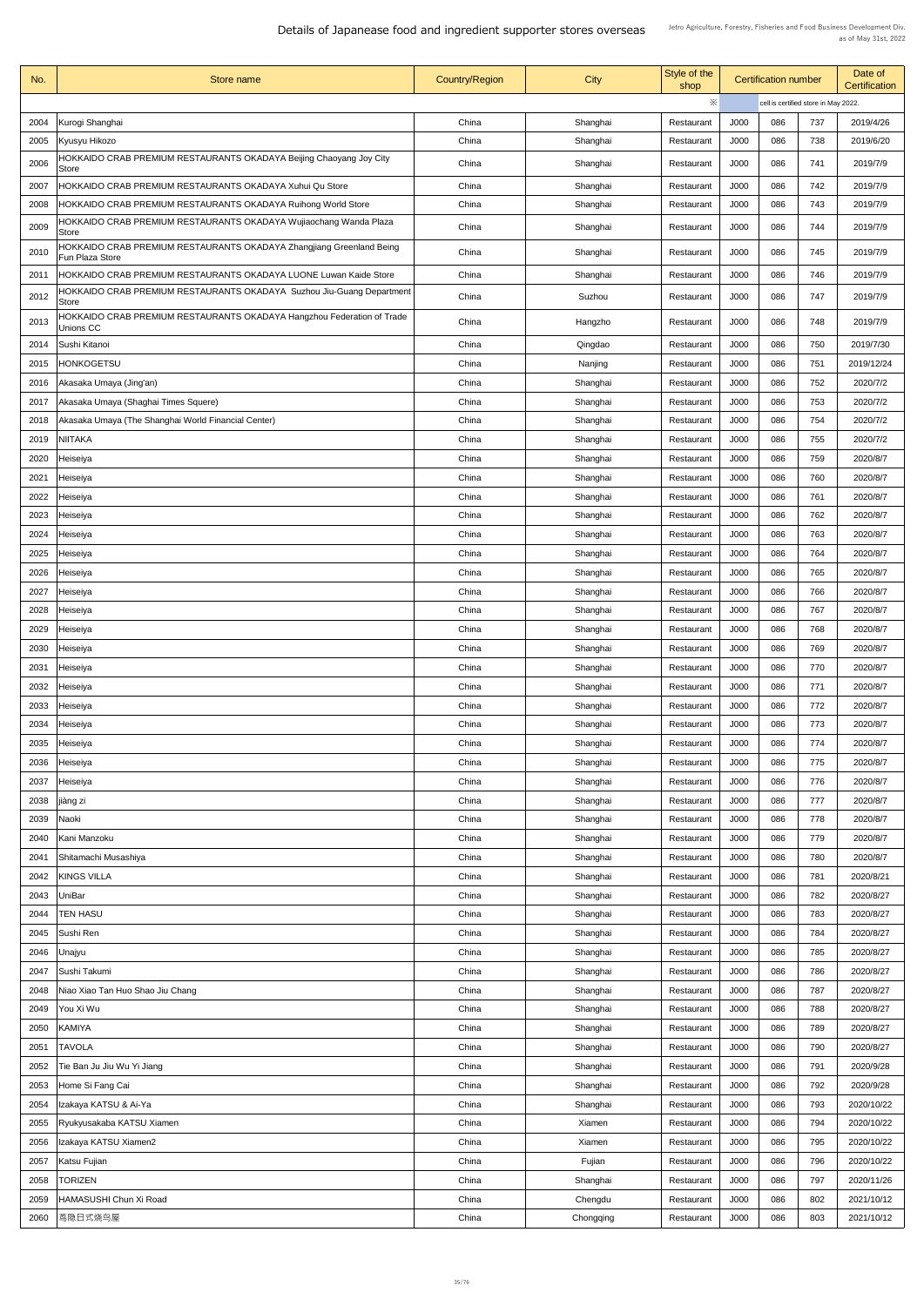| No.  | <b>Store name</b>                                                                       | <b>Country/Region</b> | <b>City</b> | Style of the<br>shop |                                      | <b>Certification number</b> | Date of<br><b>Certification</b> |            |
|------|-----------------------------------------------------------------------------------------|-----------------------|-------------|----------------------|--------------------------------------|-----------------------------|---------------------------------|------------|
|      |                                                                                         |                       |             | ※                    | cell is certified store in May 2022. |                             |                                 |            |
| 2004 | Kurogi Shanghai                                                                         | China                 | Shanghai    | Restaurant           | J000                                 | 086                         | 737                             | 2019/4/26  |
| 2005 | Kyusyu Hikozo                                                                           | China                 | Shanghai    | Restaurant           | J000                                 | 086                         | 738                             | 2019/6/20  |
| 2006 | HOKKAIDO CRAB PREMIUM RESTAURANTS OKADAYA Beijing Chaoyang Joy City<br><b>Store</b>     | China                 | Shanghai    | Restaurant           | J000                                 | 086                         | 741                             | 2019/7/9   |
| 2007 | HOKKAIDO CRAB PREMIUM RESTAURANTS OKADAYA Xuhui Qu Store                                | China                 | Shanghai    | Restaurant           | J000                                 | 086                         | 742                             | 2019/7/9   |
| 2008 | HOKKAIDO CRAB PREMIUM RESTAURANTS OKADAYA Ruihong World Store                           | China                 | Shanghai    | Restaurant           | J000                                 | 086                         | 743                             | 2019/7/9   |
| 2009 | HOKKAIDO CRAB PREMIUM RESTAURANTS OKADAYA Wujiaochang Wanda Plaza<br><b>Store</b>       | China                 | Shanghai    | Restaurant           | J000                                 | 086                         | 744                             | 2019/7/9   |
| 2010 | HOKKAIDO CRAB PREMIUM RESTAURANTS OKADAYA Zhangjiang Greenland Being<br>Fun Plaza Store | China                 | Shanghai    | Restaurant           | J000                                 | 086                         | 745                             | 2019/7/9   |
| 2011 | <b>HOKKAIDO CRAB PREMIUM RESTAURANTS OKADAYA LUONE Luwan Kaide Store</b>                | China                 | Shanghai    | Restaurant           | J000                                 | 086                         | 746                             | 2019/7/9   |
| 2012 | HOKKAIDO CRAB PREMIUM RESTAURANTS OKADAYA Suzhou Jiu-Guang Department<br><b>Store</b>   | China                 | Suzhou      | Restaurant           | J000                                 | 086                         | 747                             | 2019/7/9   |
| 2013 | HOKKAIDO CRAB PREMIUM RESTAURANTS OKADAYA Hangzhou Federation of Trade<br>Unions CC     | China                 | Hangzho     | Restaurant           | J000                                 | 086                         | 748                             | 2019/7/9   |
| 2014 | Sushi Kitanoi                                                                           | China                 | Qingdao     | Restaurant           | J000                                 | 086                         | 750                             | 2019/7/30  |
| 2015 | <b>HONKOGETSU</b>                                                                       | China                 | Nanjing     | Restaurant           | J000                                 | 086                         | 751                             | 2019/12/24 |
| 2016 | Akasaka Umaya (Jing'an)                                                                 | China                 | Shanghai    | Restaurant           | J000                                 | 086                         | 752                             | 2020/7/2   |
| 2017 | Akasaka Umaya (Shaghai Times Squere)                                                    | China                 | Shanghai    | Restaurant           | J000                                 | 086                         | 753                             | 2020/7/2   |
| 2018 | Akasaka Umaya (The Shanghai World Financial Center)                                     | China                 | Shanghai    | Restaurant           | J000                                 | 086                         | 754                             | 2020/7/2   |
| 2019 | <b>NIITAKA</b>                                                                          | China                 | Shanghai    | Restaurant           | J000                                 | 086                         | 755                             | 2020/7/2   |
| 2020 | Heiseiya                                                                                | China                 | Shanghai    | Restaurant           | J000                                 | 086                         | 759                             | 2020/8/7   |
| 2021 | Heiseiya                                                                                | China                 | Shanghai    | Restaurant           | J000                                 | 086                         | 760                             | 2020/8/7   |
| 2022 | Heiseiya                                                                                | China                 | Shanghai    | Restaurant           | J000                                 | 086                         | 761                             | 2020/8/7   |
| 2023 | Heiseiya                                                                                | China                 | Shanghai    | Restaurant           | J000                                 | 086                         | 762                             | 2020/8/7   |
| 2024 | Heiseiya                                                                                | China                 | Shanghai    | Restaurant           | J000                                 | 086                         | 763                             | 2020/8/7   |
| 2025 | Heiseiya                                                                                | China                 | Shanghai    | Restaurant           | J000                                 | 086                         | 764                             | 2020/8/7   |
| 2026 | Heiseiya                                                                                | China                 | Shanghai    | Restaurant           | J000                                 | 086                         | 765                             | 2020/8/7   |
| 2027 | Heiseiya                                                                                | China                 | Shanghai    | Restaurant           | J000                                 | 086                         | 766                             | 2020/8/7   |
| 2028 | Heiseiya                                                                                | China                 | Shanghai    | Restaurant           | J000                                 | 086                         | 767                             | 2020/8/7   |
| 2029 | Heiseiya                                                                                | China                 | Shanghai    | Restaurant           | J000                                 | 086                         | 768                             | 2020/8/7   |
| 2030 | Heiseiya                                                                                | China                 | Shanghai    | Restaurant           | J000                                 | 086                         | 769                             | 2020/8/7   |
| 2031 | Heiseiya                                                                                | China                 | Shanghai    | Restaurant           | J000                                 | 086                         | 770                             | 2020/8/7   |
| 2032 | Heiseiya                                                                                | China                 | Shanghai    | Restaurant           | J000                                 | 086                         | 771                             | 2020/8/7   |
| 2033 | Heiseiya                                                                                | China                 | Shanghai    | Restaurant           | J000                                 | 086                         | 772                             | 2020/8/7   |
| 2034 | Heiseiya                                                                                | China                 | Shanghai    | Restaurant           | J000                                 | 086                         | 773                             | 2020/8/7   |
| 2035 | Heiseiya                                                                                | China                 | Shanghai    | Restaurant           | J000                                 | 086                         | 774                             | 2020/8/7   |
| 2036 | Heiseiya                                                                                | China                 | Shanghai    | Restaurant           | J000                                 | 086                         | 775                             | 2020/8/7   |
| 2037 | Heiseiya                                                                                | China                 | Shanghai    | Restaurant           | J000                                 | 086                         | 776                             | 2020/8/7   |
| 2038 | jiàng zi                                                                                | China                 | Shanghai    | Restaurant           | J000                                 | 086                         | 777                             | 2020/8/7   |
| 2039 | Naoki                                                                                   | China                 | Shanghai    | Restaurant           | J000                                 | 086                         | 778                             | 2020/8/7   |
| 2040 | Kani Manzoku                                                                            | China                 | Shanghai    | Restaurant           | J000                                 | 086                         | 779                             | 2020/8/7   |
| 2041 | Shitamachi Musashiya                                                                    | China                 | Shanghai    | Restaurant           | J000                                 | 086                         | 780                             | 2020/8/7   |
| 2042 | <b>KINGS VILLA</b>                                                                      | China                 | Shanghai    | Restaurant           | J000                                 | 086                         | 781                             | 2020/8/21  |
| 2043 | <b>UniBar</b>                                                                           | China                 | Shanghai    | Restaurant           | J000                                 | 086                         | 782                             | 2020/8/27  |
| 2044 | <b>TEN HASU</b>                                                                         | China                 | Shanghai    | Restaurant           | J000                                 | 086                         | 783                             | 2020/8/27  |
| 2045 | Sushi Ren                                                                               | China                 | Shanghai    | Restaurant           | J000                                 | 086                         | 784                             | 2020/8/27  |
| 2046 | Unajyu                                                                                  | China                 | Shanghai    | Restaurant           | J000                                 | 086                         | 785                             | 2020/8/27  |
| 2047 | Sushi Takumi                                                                            | China                 | Shanghai    | Restaurant           | J000                                 | 086                         | 786                             | 2020/8/27  |
| 2048 | Niao Xiao Tan Huo Shao Jiu Chang                                                        | China                 | Shanghai    | Restaurant           | J000                                 | 086                         | 787                             | 2020/8/27  |
| 2049 | You Xi Wu                                                                               | China                 | Shanghai    | Restaurant           | J000                                 | 086                         | 788                             | 2020/8/27  |
| 2050 | KAMIYA                                                                                  | China                 | Shanghai    | Restaurant           | J000                                 | 086                         | 789                             | 2020/8/27  |
| 2051 | <b>TAVOLA</b>                                                                           | China                 | Shanghai    | Restaurant           | J000                                 | 086                         | 790                             | 2020/8/27  |
| 2052 | Tie Ban Ju Jiu Wu Yi Jiang                                                              | China                 | Shanghai    | Restaurant           | J000                                 | 086                         | 791                             | 2020/9/28  |
| 2053 | Home Si Fang Cai                                                                        | China                 | Shanghai    | Restaurant           | J000                                 | 086                         | 792                             | 2020/9/28  |
| 2054 | Izakaya KATSU & Ai-Ya                                                                   | China                 | Shanghai    | Restaurant           | J000                                 | 086                         | 793                             | 2020/10/22 |
| 2055 | Ryukyusakaba KATSU Xiamen                                                               | China                 | Xiamen      | Restaurant           | J000                                 | 086                         | 794                             | 2020/10/22 |
| 2056 | Izakaya KATSU Xiamen2                                                                   | China                 | Xiamen      | Restaurant           | J000                                 | 086                         | 795                             | 2020/10/22 |
| 2057 | Katsu Fujian                                                                            | China                 | Fujian      | Restaurant           | J000                                 | 086                         | 796                             | 2020/10/22 |
|      | 2058   TORIZEN                                                                          | China                 | Shanghai    | Restaurant           | J000                                 | 086                         | 797                             | 2020/11/26 |
| 2059 | HAMASUSHI Chun Xi Road                                                                  | China                 | Chengdu     | Restaurant           | J000                                 | 086                         | 802                             | 2021/10/12 |
| 2060 | 茑隐日式烧鸟屋                                                                                 | China                 | Chongqing   | Restaurant           | J000                                 | 086                         | 803                             | 2021/10/12 |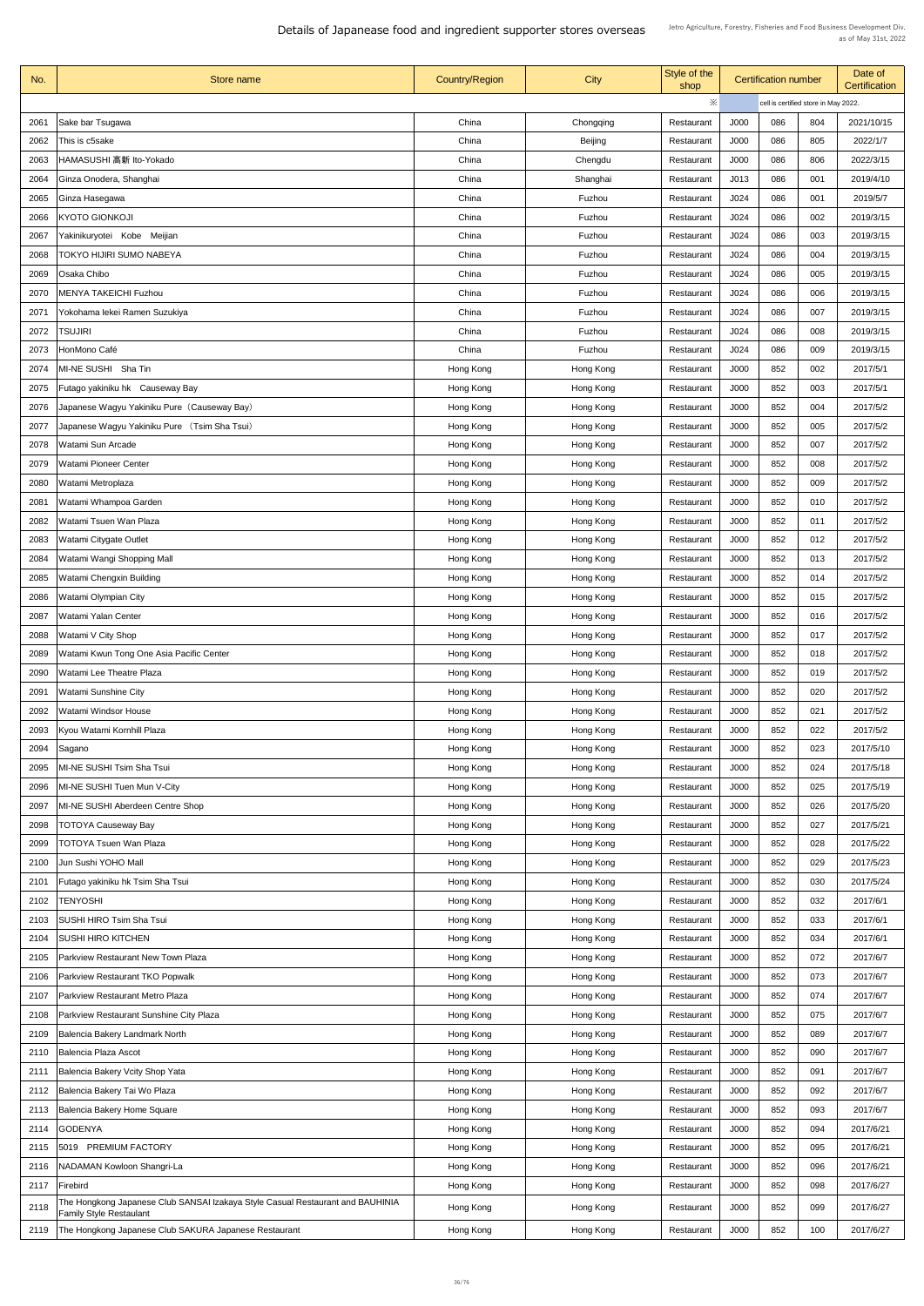| No.  | Store name                                                                     | <b>Country/Region</b> | <b>City</b>    | Style of the<br>shop | <b>Certification number</b>          |     |     | Date of<br><b>Certification</b> |
|------|--------------------------------------------------------------------------------|-----------------------|----------------|----------------------|--------------------------------------|-----|-----|---------------------------------|
|      |                                                                                |                       |                | ※                    | cell is certified store in May 2022. |     |     |                                 |
| 2061 | Sake bar Tsugawa                                                               | China                 | Chongqing      | Restaurant           | J000                                 | 086 | 804 | 2021/10/15                      |
| 2062 | This is c5sake                                                                 | China                 | <b>Beijing</b> | Restaurant           | J000                                 | 086 | 805 | 2022/1/7                        |
| 2063 | HAMASUSHI 高新 Ito-Yokado                                                        | China                 | Chengdu        | Restaurant           | J000                                 | 086 | 806 | 2022/3/15                       |
| 2064 | Ginza Onodera, Shanghai                                                        | China                 | Shanghai       | Restaurant           | J013                                 | 086 | 001 | 2019/4/10                       |
| 2065 | Ginza Hasegawa                                                                 | China                 | Fuzhou         | Restaurant           | J024                                 | 086 | 001 | 2019/5/7                        |
| 2066 | <b>KYOTO GIONKOJI</b>                                                          | China                 | Fuzhou         | Restaurant           | J024                                 | 086 | 002 | 2019/3/15                       |
| 2067 | Yakinikuryotei Kobe Meijian                                                    | China                 | Fuzhou         | Restaurant           | J024                                 | 086 | 003 | 2019/3/15                       |
| 2068 | <b>TOKYO HIJIRI SUMO NABEYA</b>                                                | China                 | Fuzhou         | Restaurant           | J024                                 | 086 | 004 | 2019/3/15                       |
| 2069 | Osaka Chibo                                                                    | China                 | Fuzhou         | Restaurant           | J024                                 | 086 | 005 | 2019/3/15                       |
| 2070 | <b>MENYA TAKEICHI Fuzhou</b>                                                   | China                 | Fuzhou         | Restaurant           | J024                                 | 086 | 006 | 2019/3/15                       |
| 2071 | Yokohama lekei Ramen Suzukiya                                                  | China                 | Fuzhou         | Restaurant           | J024                                 | 086 | 007 | 2019/3/15                       |
| 2072 | <b>TSUJIRI</b>                                                                 | China                 | Fuzhou         | Restaurant           | J024                                 | 086 | 008 | 2019/3/15                       |
| 2073 | HonMono Café                                                                   | China                 | Fuzhou         | Restaurant           | J <sub>024</sub>                     | 086 | 009 | 2019/3/15                       |
| 2074 | MI-NE SUSHI Sha Tin                                                            | Hong Kong             | Hong Kong      | Restaurant           | <b>J000</b>                          | 852 | 002 | 2017/5/1                        |
| 2075 | Futago yakiniku hk Causeway Bay                                                |                       | Hong Kong      | Restaurant           | <b>J000</b>                          | 852 | 003 | 2017/5/1                        |
|      |                                                                                | Hong Kong             |                |                      |                                      | 852 |     |                                 |
| 2076 | Japanese Wagyu Yakiniku Pure (Causeway Bay)                                    | Hong Kong             | Hong Kong      | Restaurant           | J000                                 |     | 004 | 2017/5/2                        |
| 2077 | Japanese Wagyu Yakiniku Pure (Tsim Sha Tsui)                                   | Hong Kong             | Hong Kong      | Restaurant           | <b>J000</b>                          | 852 | 005 | 2017/5/2                        |
| 2078 | <b>Watami Sun Arcade</b>                                                       | Hong Kong             | Hong Kong      | Restaurant           | J000                                 | 852 | 007 | 2017/5/2                        |
| 2079 | <b>Watami Pioneer Center</b>                                                   | Hong Kong             | Hong Kong      | Restaurant           | J000                                 | 852 | 008 | 2017/5/2                        |
| 2080 | Watami Metroplaza                                                              | Hong Kong             | Hong Kong      | Restaurant           | J000                                 | 852 | 009 | 2017/5/2                        |
| 2081 | Watami Whampoa Garden                                                          | Hong Kong             | Hong Kong      | Restaurant           | J000                                 | 852 | 010 | 2017/5/2                        |
| 2082 | Watami Tsuen Wan Plaza                                                         | Hong Kong             | Hong Kong      | Restaurant           | J000                                 | 852 | 011 | 2017/5/2                        |
| 2083 | <b>Watami Citygate Outlet</b>                                                  | Hong Kong             | Hong Kong      | Restaurant           | J000                                 | 852 | 012 | 2017/5/2                        |
| 2084 | Watami Wangi Shopping Mall                                                     | Hong Kong             | Hong Kong      | Restaurant           | J000                                 | 852 | 013 | 2017/5/2                        |
| 2085 | <b>Watami Chengxin Building</b>                                                | Hong Kong             | Hong Kong      | Restaurant           | J000                                 | 852 | 014 | 2017/5/2                        |
| 2086 | <b>Watami Olympian City</b>                                                    | Hong Kong             | Hong Kong      | Restaurant           | <b>J000</b>                          | 852 | 015 | 2017/5/2                        |
| 2087 | <b>Watami Yalan Center</b>                                                     | Hong Kong             | Hong Kong      | Restaurant           | J000                                 | 852 | 016 | 2017/5/2                        |
| 2088 | <b>Watami V City Shop</b>                                                      | Hong Kong             | Hong Kong      | Restaurant           | J000                                 | 852 | 017 | 2017/5/2                        |
| 2089 | Watami Kwun Tong One Asia Pacific Center                                       | Hong Kong             | Hong Kong      | Restaurant           | J000                                 | 852 | 018 | 2017/5/2                        |
| 2090 | <b>Watami Lee Theatre Plaza</b>                                                | Hong Kong             | Hong Kong      | Restaurant           | J000                                 | 852 | 019 | 2017/5/2                        |
| 2091 | <b>Watami Sunshine City</b>                                                    | Hong Kong             | Hong Kong      | Restaurant           | J000                                 | 852 | 020 | 2017/5/2                        |
| 2092 | <b>Watami Windsor House</b>                                                    | Hong Kong             | Hong Kong      | Restaurant           | J000                                 | 852 | 021 | 2017/5/2                        |
| 2093 | Kyou Watami Kornhill Plaza                                                     | Hong Kong             | Hong Kong      | Restaurant           | J000                                 | 852 | 022 | 2017/5/2                        |
| 2094 | Sagano                                                                         | Hong Kong             | Hong Kong      | Restaurant           | J000                                 | 852 | 023 | 2017/5/10                       |
| 2095 | MI-NE SUSHI Tsim Sha Tsui                                                      | Hong Kong             | Hong Kong      | Restaurant           | J000                                 | 852 | 024 | 2017/5/18                       |
| 2096 | MI-NE SUSHI Tuen Mun V-City                                                    | Hong Kong             | Hong Kong      | Restaurant           | J000                                 | 852 | 025 | 2017/5/19                       |
| 2097 | <b>MI-NE SUSHI Aberdeen Centre Shop</b>                                        | Hong Kong             | Hong Kong      | Restaurant           | J000                                 | 852 | 026 | 2017/5/20                       |
| 2098 | <b>TOTOYA Causeway Bay</b>                                                     | Hong Kong             | Hong Kong      | Restaurant           | J000                                 | 852 | 027 | 2017/5/21                       |
| 2099 | <b>TOTOYA Tsuen Wan Plaza</b>                                                  | Hong Kong             | Hong Kong      | Restaurant           | J000                                 | 852 | 028 | 2017/5/22                       |
| 2100 | Jun Sushi YOHO Mall                                                            | Hong Kong             | Hong Kong      | Restaurant           | J000                                 | 852 | 029 | 2017/5/23                       |
| 2101 | Futago yakiniku hk Tsim Sha Tsui                                               | Hong Kong             | Hong Kong      | Restaurant           | J000                                 | 852 | 030 | 2017/5/24                       |
|      | 2102  TENYOSHI                                                                 | Hong Kong             | Hong Kong      | Restaurant           | J000                                 | 852 | 032 | 2017/6/1                        |
| 2103 | <b>SUSHI HIRO Tsim Sha Tsui</b>                                                | Hong Kong             | Hong Kong      | Restaurant           | J000                                 | 852 | 033 | 2017/6/1                        |
| 2104 | <b>SUSHI HIRO KITCHEN</b>                                                      | Hong Kong             | Hong Kong      | Restaurant           | J000                                 | 852 | 034 | 2017/6/1                        |
| 2105 | <b>Parkview Restaurant New Town Plaza</b>                                      | Hong Kong             | Hong Kong      | Restaurant           | J000                                 | 852 | 072 | 2017/6/7                        |
| 2106 | <b>Parkview Restaurant TKO Popwalk</b>                                         | Hong Kong             | Hong Kong      | Restaurant           | J000                                 | 852 | 073 | 2017/6/7                        |
| 2107 | Parkview Restaurant Metro Plaza                                                | Hong Kong             | Hong Kong      | Restaurant           | J000                                 | 852 | 074 | 2017/6/7                        |
| 2108 | <b>Parkview Restaurant Sunshine City Plaza</b>                                 | Hong Kong             | Hong Kong      | Restaurant           | J000                                 | 852 | 075 | 2017/6/7                        |
| 2109 | Balencia Bakery Landmark North                                                 | Hong Kong             | Hong Kong      | Restaurant           | J000                                 | 852 | 089 | 2017/6/7                        |
| 2110 | <b>Balencia Plaza Ascot</b>                                                    | Hong Kong             | Hong Kong      | Restaurant           | J000                                 | 852 | 090 | 2017/6/7                        |
| 2111 | Balencia Bakery Vcity Shop Yata                                                | Hong Kong             | Hong Kong      | Restaurant           | J000                                 | 852 | 091 | 2017/6/7                        |
| 2112 | Balencia Bakery Tai Wo Plaza                                                   | Hong Kong             | Hong Kong      | Restaurant           | J000                                 | 852 | 092 | 2017/6/7                        |
| 2113 | Balencia Bakery Home Square                                                    | Hong Kong             | Hong Kong      | Restaurant           | J000                                 | 852 | 093 | 2017/6/7                        |
| 2114 | <b>GODENYA</b>                                                                 | Hong Kong             | Hong Kong      | Restaurant           | J000                                 | 852 | 094 | 2017/6/21                       |
| 2115 | <b>PREMIUM FACTORY</b><br>5019                                                 | Hong Kong             | Hong Kong      | Restaurant           | J000                                 | 852 | 095 | 2017/6/21                       |
| 2116 | NADAMAN Kowloon Shangri-La                                                     | Hong Kong             | Hong Kong      | Restaurant           | <b>J000</b>                          | 852 | 096 | 2017/6/21                       |
| 2117 | Firebird                                                                       | Hong Kong             | Hong Kong      | Restaurant           | J000                                 | 852 | 098 | 2017/6/27                       |
| 2118 | The Hongkong Japanese Club SANSAI Izakaya Style Casual Restaurant and BAUHINIA | Hong Kong             | Hong Kong      | Restaurant           | J000                                 | 852 | 099 | 2017/6/27                       |
|      | <b>Family Style Restaulant</b>                                                 |                       |                |                      |                                      | 852 | 100 | 2017/6/27                       |
| 2119 | The Hongkong Japanese Club SAKURA Japanese Restaurant                          | Hong Kong             | Hong Kong      | Restaurant           | J000                                 |     |     |                                 |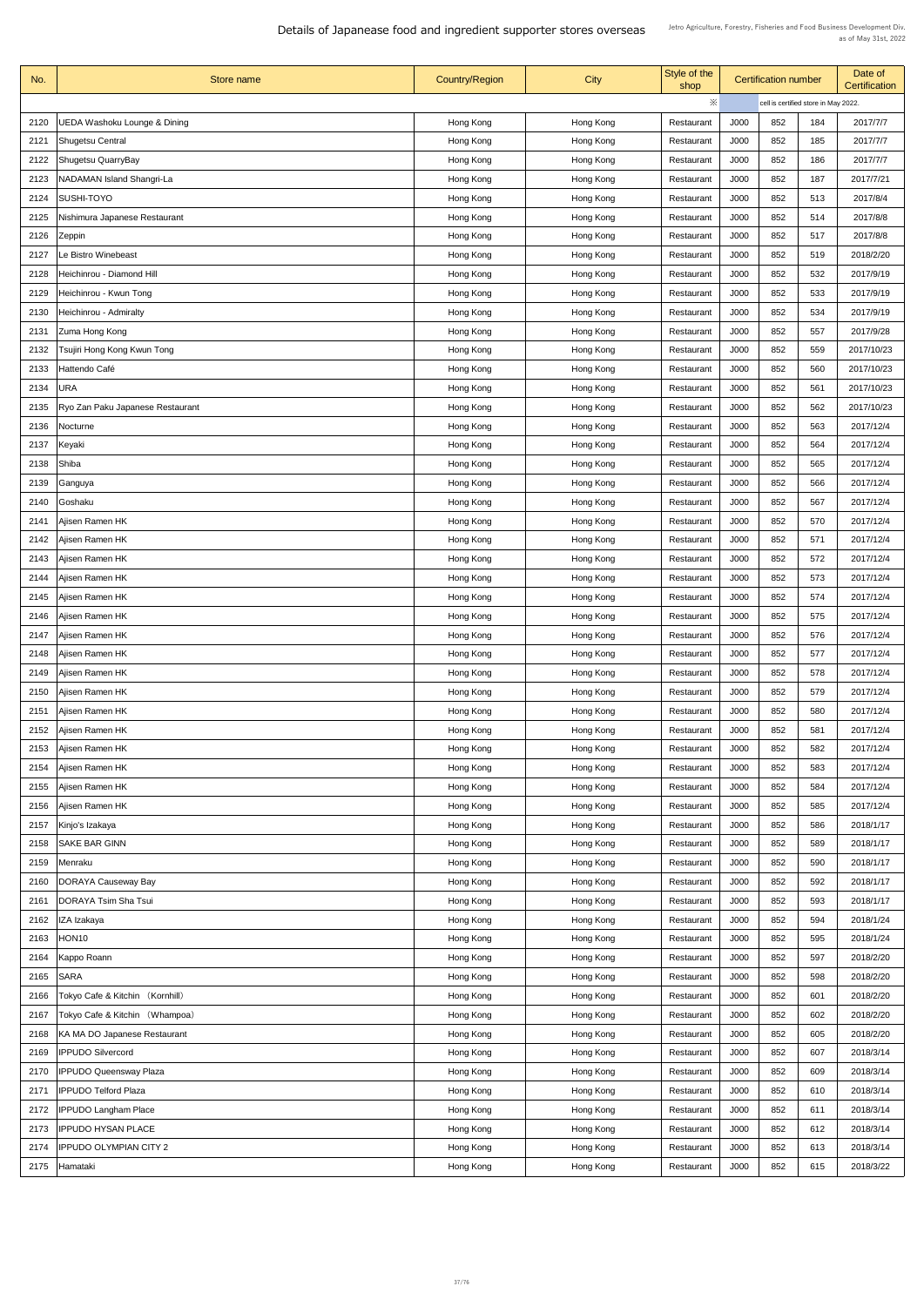| No.  | Store name                       | <b>Country/Region</b>  | <b>City</b>            | Style of the<br>shop | <b>Certification number</b>          |     | Date of<br><b>Certification</b> |            |
|------|----------------------------------|------------------------|------------------------|----------------------|--------------------------------------|-----|---------------------------------|------------|
|      |                                  |                        |                        | $\times$             | cell is certified store in May 2022. |     |                                 |            |
| 2120 | JEDA Washoku Lounge & Dining     | Hong Kong              | Hong Kong              | Restaurant           | <b>J000</b>                          | 852 | 184                             | 2017/7/7   |
| 2121 | <b>Shugetsu Central</b>          | Hong Kong              | Hong Kong              | Restaurant           | J000                                 | 852 | 185                             | 2017/7/7   |
| 2122 | Shugetsu QuarryBay               | Hong Kong              | Hong Kong              | Restaurant           | <b>J000</b>                          | 852 | 186                             | 2017/7/7   |
| 2123 | <b>NADAMAN Island Shangri-La</b> | Hong Kong              | Hong Kong              | Restaurant           | J000                                 | 852 | 187                             | 2017/7/21  |
| 2124 | <b>SUSHI-TOYO</b>                | Hong Kong              | Hong Kong              | Restaurant           | <b>J000</b>                          | 852 | 513                             | 2017/8/4   |
| 2125 | Nishimura Japanese Restaurant    | Hong Kong              | Hong Kong              | Restaurant           | J000                                 | 852 | 514                             | 2017/8/8   |
| 2126 | Zeppin                           | Hong Kong              | Hong Kong              | Restaurant           | J000                                 | 852 | 517                             | 2017/8/8   |
| 2127 | Le Bistro Winebeast              | Hong Kong              | Hong Kong              | Restaurant           | <b>J000</b>                          | 852 | 519                             | 2018/2/20  |
| 2128 | Heichinrou - Diamond Hill        | Hong Kong              | Hong Kong              | Restaurant           | J000                                 | 852 | 532                             | 2017/9/19  |
| 2129 | Heichinrou - Kwun Tong           | Hong Kong              | Hong Kong              | Restaurant           | <b>J000</b>                          | 852 | 533                             | 2017/9/19  |
| 2130 | Heichinrou - Admiralty           | Hong Kong              | Hong Kong              | Restaurant           | J000                                 | 852 | 534                             | 2017/9/19  |
| 2131 | Zuma Hong Kong                   | Hong Kong              |                        | Restaurant           | J000                                 | 852 | 557                             | 2017/9/28  |
|      |                                  |                        | Hong Kong              |                      |                                      |     |                                 |            |
| 2132 | Tsujiri Hong Kong Kwun Tong      | Hong Kong              | Hong Kong              | Restaurant           | <b>J000</b>                          | 852 | 559                             | 2017/10/23 |
| 2133 | Hattendo Café                    | Hong Kong              | Hong Kong              | Restaurant           | J000                                 | 852 | 560                             | 2017/10/23 |
| 2134 | <b>URA</b>                       | Hong Kong              | Hong Kong              | Restaurant           | J000                                 | 852 | 561                             | 2017/10/23 |
| 2135 | Ryo Zan Paku Japanese Restaurant | Hong Kong              | Hong Kong              | Restaurant           | J000                                 | 852 | 562                             | 2017/10/23 |
| 2136 | Nocturne                         | Hong Kong              | Hong Kong              | Restaurant           | J000                                 | 852 | 563                             | 2017/12/4  |
| 2137 | Keyaki                           | Hong Kong              | Hong Kong              | Restaurant           | J000                                 | 852 | 564                             | 2017/12/4  |
| 2138 | Shiba                            | Hong Kong              | Hong Kong              | Restaurant           | J000                                 | 852 | 565                             | 2017/12/4  |
| 2139 | Ganguya                          | Hong Kong              | Hong Kong              | Restaurant           | J000                                 | 852 | 566                             | 2017/12/4  |
| 2140 | Goshaku                          | Hong Kong              | Hong Kong              | Restaurant           | J000                                 | 852 | 567                             | 2017/12/4  |
| 2141 | Ajisen Ramen HK                  | Hong Kong              | Hong Kong              | Restaurant           | J000                                 | 852 | 570                             | 2017/12/4  |
| 2142 | Ajisen Ramen HK                  | Hong Kong              | Hong Kong              | Restaurant           | J000                                 | 852 | 571                             | 2017/12/4  |
| 2143 | Ajisen Ramen HK                  | Hong Kong              | Hong Kong              | Restaurant           | J000                                 | 852 | 572                             | 2017/12/4  |
| 2144 | Ajisen Ramen HK                  | Hong Kong              | Hong Kong              | Restaurant           | J000                                 | 852 | 573                             | 2017/12/4  |
| 2145 | Ajisen Ramen HK                  | Hong Kong              | Hong Kong              | Restaurant           | J000                                 | 852 | 574                             | 2017/12/4  |
| 2146 | Ajisen Ramen HK                  | Hong Kong              | Hong Kong              | Restaurant           | J000                                 | 852 | 575                             | 2017/12/4  |
| 2147 | Ajisen Ramen HK                  | Hong Kong              | Hong Kong              | Restaurant           | J000                                 | 852 | 576                             | 2017/12/4  |
| 2148 | Ajisen Ramen HK                  | Hong Kong              | Hong Kong              | Restaurant           | J000                                 | 852 | 577                             | 2017/12/4  |
| 2149 | Ajisen Ramen HK                  | Hong Kong              | Hong Kong              | Restaurant           | J000                                 | 852 | 578                             | 2017/12/4  |
| 2150 | Ajisen Ramen HK                  | Hong Kong              | Hong Kong              | Restaurant           | J000                                 | 852 | 579                             | 2017/12/4  |
| 2151 | Ajisen Ramen HK                  | Hong Kong              | Hong Kong              | Restaurant           | J000                                 | 852 | 580                             | 2017/12/4  |
| 2152 | Ajisen Ramen HK                  | Hong Kong              | Hong Kong              | Restaurant           | J000                                 | 852 | 581                             | 2017/12/4  |
| 2153 | Ajisen Ramen HK                  | Hong Kong              | Hong Kong              | Restaurant           | J000                                 | 852 | 582                             | 2017/12/4  |
| 2154 | Ajisen Ramen HK                  | Hong Kong              | Hong Kong              | Restaurant           | J000                                 | 852 | 583                             | 2017/12/4  |
| 2155 | Ajisen Ramen HK                  | Hong Kong              | Hong Kong              | Restaurant           | J000                                 | 852 | 584                             | 2017/12/4  |
| 2156 | Ajisen Ramen HK                  | Hong Kong              | Hong Kong              | Restaurant           | J000                                 | 852 | 585                             | 2017/12/4  |
| 2157 | Kinjo's Izakaya                  | Hong Kong              | Hong Kong              | Restaurant           | J000                                 | 852 | 586                             | 2018/1/17  |
| 2158 | <b>SAKE BAR GINN</b>             | Hong Kong              | Hong Kong              | Restaurant           | J000                                 | 852 | 589                             | 2018/1/17  |
| 2159 | Menraku                          | Hong Kong              | Hong Kong              | Restaurant           | J000                                 | 852 | 590                             | 2018/1/17  |
| 2160 | <b>DORAYA Causeway Bay</b>       | Hong Kong              | Hong Kong              | Restaurant           | J000                                 | 852 | 592                             | 2018/1/17  |
| 2161 | <b>DORAYA Tsim Sha Tsui</b>      |                        |                        | Restaurant           | J000                                 | 852 | 593                             | 2018/1/17  |
| 2162 | IZA Izakaya                      | Hong Kong<br>Hong Kong | Hong Kong<br>Hong Kong | Restaurant           | J000                                 | 852 | 594                             | 2018/1/24  |
| 2163 | <b>HON10</b>                     | Hong Kong              | Hong Kong              | Restaurant           | J000                                 | 852 | 595                             | 2018/1/24  |
|      |                                  |                        |                        |                      | J000                                 | 852 | 597                             |            |
| 2164 | Kappo Roann                      | Hong Kong              | Hong Kong              | Restaurant           |                                      |     |                                 | 2018/2/20  |
| 2165 | <b>SARA</b>                      | Hong Kong              | Hong Kong              | Restaurant           | J000                                 | 852 | 598                             | 2018/2/20  |
| 2166 | Tokyo Cafe & Kitchin (Kornhill)  | Hong Kong              | Hong Kong              | Restaurant           | J000                                 | 852 | 601                             | 2018/2/20  |
| 2167 | Tokyo Cafe & Kitchin (Whampoa)   | Hong Kong              | Hong Kong              | Restaurant           | J000                                 | 852 | 602                             | 2018/2/20  |
| 2168 | KA MA DO Japanese Restaurant     | Hong Kong              | Hong Kong              | Restaurant           | J000                                 | 852 | 605                             | 2018/2/20  |
| 2169 | <b>IPPUDO Silvercord</b>         | Hong Kong              | Hong Kong              | Restaurant           | J000                                 | 852 | 607                             | 2018/3/14  |
| 2170 | <b>IPPUDO Queensway Plaza</b>    | Hong Kong              | Hong Kong              | Restaurant           | J000                                 | 852 | 609                             | 2018/3/14  |
| 2171 | <b>IPPUDO Telford Plaza</b>      | Hong Kong              | Hong Kong              | Restaurant           | J000                                 | 852 | 610                             | 2018/3/14  |
| 2172 | <b>IPPUDO Langham Place</b>      | Hong Kong              | Hong Kong              | Restaurant           | J000                                 | 852 | 611                             | 2018/3/14  |
| 2173 | <b>IPPUDO HYSAN PLACE</b>        | Hong Kong              | Hong Kong              | Restaurant           | J000                                 | 852 | 612                             | 2018/3/14  |
| 2174 | <b>IPPUDO OLYMPIAN CITY 2</b>    | Hong Kong              | Hong Kong              | Restaurant           | J000                                 | 852 | 613                             | 2018/3/14  |
| 2175 | Hamataki                         | Hong Kong              | Hong Kong              | Restaurant           | J000                                 | 852 | 615                             | 2018/3/22  |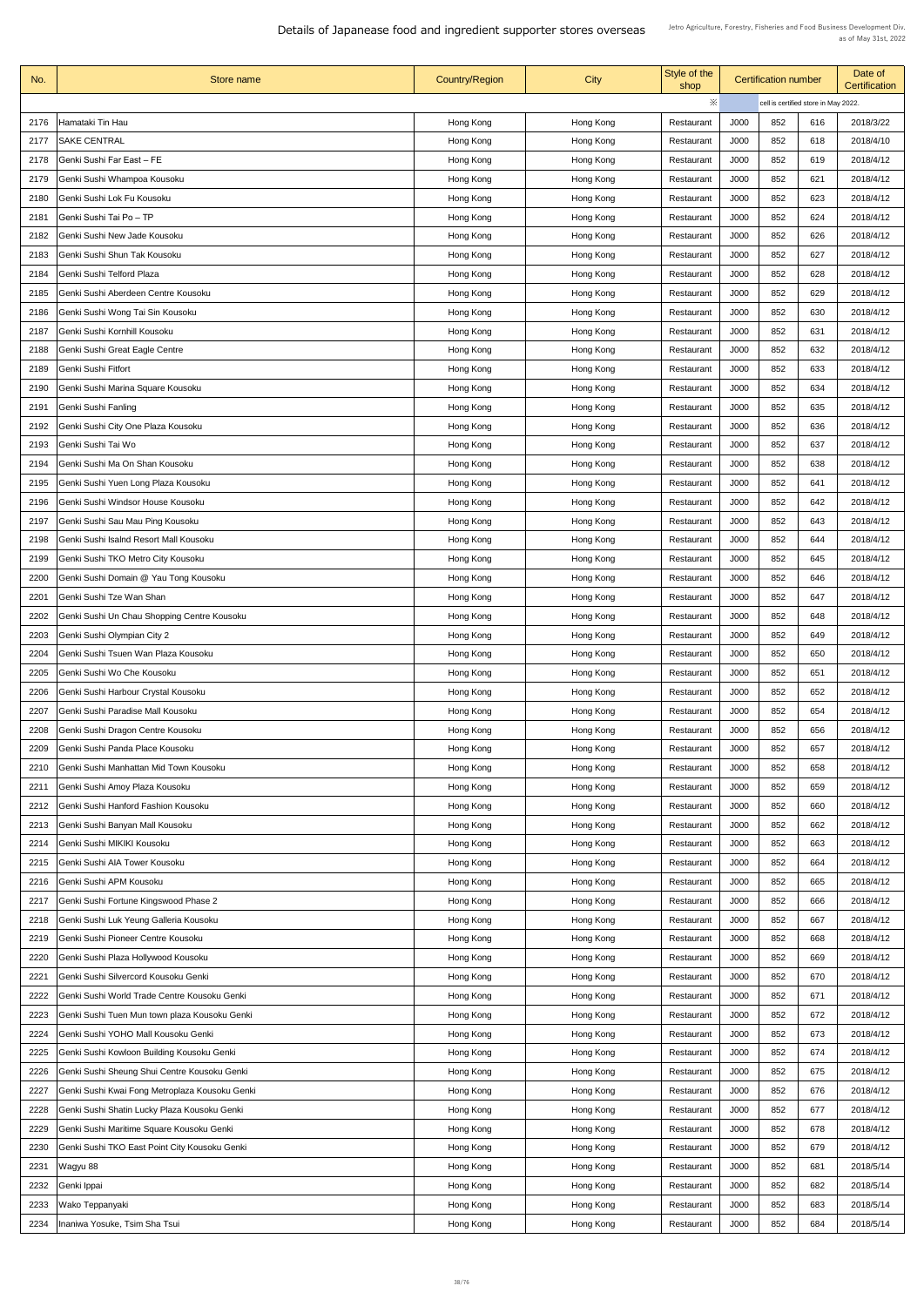| No.          | Store name                                                | <b>Country/Region</b>  | <b>City</b>            | Style of the<br>shop     | <b>Certification number</b> |            |                                      | Date of<br><b>Certification</b> |
|--------------|-----------------------------------------------------------|------------------------|------------------------|--------------------------|-----------------------------|------------|--------------------------------------|---------------------------------|
|              |                                                           |                        |                        | ※                        |                             |            | cell is certified store in May 2022. |                                 |
| 2176         | Hamataki Tin Hau                                          | Hong Kong              | Hong Kong              | Restaurant               | J000                        | 852        | 616                                  | 2018/3/22                       |
| 2177         | <b>SAKE CENTRAL</b>                                       | Hong Kong              | Hong Kong              | Restaurant               | J000                        | 852        | 618                                  | 2018/4/10                       |
| 2178         | Genki Sushi Far East - FE                                 | Hong Kong              | Hong Kong              | Restaurant               | J000                        | 852        | 619                                  | 2018/4/12                       |
| 2179         | Genki Sushi Whampoa Kousoku                               | Hong Kong              | Hong Kong              | Restaurant               | J000                        | 852        | 621                                  | 2018/4/12                       |
| 2180         | Genki Sushi Lok Fu Kousoku                                | Hong Kong              | Hong Kong              | Restaurant               | J000                        | 852        | 623                                  | 2018/4/12                       |
| 2181         | Genki Sushi Tai Po – TP                                   | Hong Kong              | Hong Kong              | Restaurant               | J000                        | 852        | 624                                  | 2018/4/12                       |
| 2182         | Genki Sushi New Jade Kousoku                              | Hong Kong              | Hong Kong              | Restaurant               | J000                        | 852        | 626                                  | 2018/4/12                       |
| 2183         | <b>Genki Sushi Shun Tak Kousoku</b>                       | Hong Kong              | Hong Kong              | Restaurant               | J000                        | 852        | 627                                  | 2018/4/12                       |
| 2184         | Genki Sushi Telford Plaza                                 | Hong Kong              | Hong Kong              | Restaurant               | J000                        | 852        | 628                                  | 2018/4/12                       |
| 2185         | Genki Sushi Aberdeen Centre Kousoku                       | Hong Kong              | Hong Kong              | Restaurant               | J000                        | 852        | 629                                  | 2018/4/12                       |
| 2186         | Genki Sushi Wong Tai Sin Kousoku                          | Hong Kong              | Hong Kong              | Restaurant               | J000                        | 852        | 630                                  | 2018/4/12                       |
| 2187         | Genki Sushi Kornhill Kousoku                              | Hong Kong              | Hong Kong              | Restaurant               | J000                        | 852        | 631                                  | 2018/4/12                       |
| 2188         | <b>Genki Sushi Great Eagle Centre</b>                     | Hong Kong              | Hong Kong              | Restaurant               | J000                        | 852        | 632                                  | 2018/4/12                       |
| 2189         | <b>Genki Sushi Fitfort</b>                                | Hong Kong              | Hong Kong              | Restaurant               | J000                        | 852        | 633                                  | 2018/4/12                       |
| 2190         | Genki Sushi Marina Square Kousoku                         | Hong Kong              |                        | Restaurant               | J000                        | 852        | 634                                  | 2018/4/12                       |
|              |                                                           |                        | Hong Kong              |                          |                             |            |                                      |                                 |
| 2191<br>2192 | Genki Sushi Fanling<br>Genki Sushi City One Plaza Kousoku | Hong Kong<br>Hong Kong | Hong Kong<br>Hong Kong | Restaurant<br>Restaurant | J000<br>J000                | 852<br>852 | 635<br>636                           | 2018/4/12<br>2018/4/12          |
|              |                                                           |                        |                        |                          |                             |            |                                      |                                 |
| 2193         | Genki Sushi Tai Wo<br>Genki Sushi Ma On Shan Kousoku      | Hong Kong              | Hong Kong              | Restaurant               | J000<br>J000                | 852<br>852 | 637<br>638                           | 2018/4/12<br>2018/4/12          |
| 2194         |                                                           | Hong Kong              | Hong Kong              | Restaurant               |                             |            |                                      |                                 |
| 2195         | Genki Sushi Yuen Long Plaza Kousoku                       | Hong Kong              | Hong Kong              | Restaurant               | J000                        | 852        | 641                                  | 2018/4/12                       |
| 2196         | Genki Sushi Windsor House Kousoku                         | Hong Kong              | Hong Kong              | Restaurant               | J000                        | 852        | 642                                  | 2018/4/12                       |
| 2197         | Genki Sushi Sau Mau Ping Kousoku                          | Hong Kong              | Hong Kong              | Restaurant               | J000                        | 852        | 643                                  | 2018/4/12                       |
| 2198         | <b>Genki Sushi Isalnd Resort Mall Kousoku</b>             | Hong Kong              | Hong Kong              | Restaurant               | J000                        | 852        | 644                                  | 2018/4/12                       |
| 2199         | Genki Sushi TKO Metro City Kousoku                        | Hong Kong              | Hong Kong              | Restaurant               | J000                        | 852        | 645                                  | 2018/4/12                       |
| 2200         | Genki Sushi Domain @ Yau Tong Kousoku                     | Hong Kong              | Hong Kong              | Restaurant               | J000                        | 852        | 646                                  | 2018/4/12                       |
| 2201         | Genki Sushi Tze Wan Shan                                  | Hong Kong              | Hong Kong              | Restaurant               | J000                        | 852        | 647                                  | 2018/4/12                       |
| 2202         | Genki Sushi Un Chau Shopping Centre Kousoku               | Hong Kong              | Hong Kong              | Restaurant               | J000                        | 852        | 648                                  | 2018/4/12                       |
| 2203         | <b>Genki Sushi Olympian City 2</b>                        | Hong Kong              | Hong Kong              | Restaurant               | <b>J000</b>                 | 852        | 649                                  | 2018/4/12                       |
| 2204         | Genki Sushi Tsuen Wan Plaza Kousoku                       | Hong Kong              | Hong Kong              | Restaurant               | J000                        | 852        | 650                                  | 2018/4/12                       |
| 2205         | Genki Sushi Wo Che Kousoku                                | Hong Kong              | Hong Kong              | Restaurant               | J000                        | 852        | 651                                  | 2018/4/12                       |
| 2206         | Genki Sushi Harbour Crystal Kousoku                       | Hong Kong              | Hong Kong              | Restaurant               | J000                        | 852        | 652                                  | 2018/4/12                       |
| 2207         | Genki Sushi Paradise Mall Kousoku                         | Hong Kong              | Hong Kong              | Restaurant               | J000                        | 852        | 654                                  | 2018/4/12                       |
| 2208         | Genki Sushi Dragon Centre Kousoku                         | Hong Kong              | Hong Kong              | Restaurant               | J000                        | 852        | 656                                  | 2018/4/12                       |
| 2209         | Genki Sushi Panda Place Kousoku                           | Hong Kong              | Hong Kong              | Restaurant               | J000                        | 852        | 657                                  | 2018/4/12                       |
| 2210         | Genki Sushi Manhattan Mid Town Kousoku                    | Hong Kong              | Hong Kong              | Restaurant               | J000                        | 852        | 658                                  | 2018/4/12                       |
| 221'         | Genki Sushi Amoy Plaza Kousoku                            | Hong Kong              | Hong Kong              | Restaurant               | J000                        | 852        | 659                                  | 2018/4/12                       |
| 2212         | <b>Genki Sushi Hanford Fashion Kousoku</b>                | Hong Kong              | Hong Kong              | Restaurant               | J000                        | 852        | 660                                  | 2018/4/12                       |
| 2213         | Genki Sushi Banyan Mall Kousoku                           | Hong Kong              | Hong Kong              | Restaurant               | J000                        | 852        | 662                                  | 2018/4/12                       |
| 2214         | Genki Sushi MIKIKI Kousoku                                | Hong Kong              | Hong Kong              | Restaurant               | J000                        | 852        | 663                                  | 2018/4/12                       |
| 2215         | Genki Sushi AIA Tower Kousoku                             | Hong Kong              | Hong Kong              | Restaurant               | J000                        | 852        | 664                                  | 2018/4/12                       |
| 2216         | Genki Sushi APM Kousoku                                   | Hong Kong              | Hong Kong              | Restaurant               | J000                        | 852        | 665                                  | 2018/4/12                       |
| 2217         | Genki Sushi Fortune Kingswood Phase 2                     | Hong Kong              | Hong Kong              | Restaurant               | J <sub>000</sub>            | 852        | 666                                  | 2018/4/12                       |
| 2218         | Genki Sushi Luk Yeung Galleria Kousoku                    | Hong Kong              | Hong Kong              | Restaurant               | J000                        | 852        | 667                                  | 2018/4/12                       |
| 2219         | Genki Sushi Pioneer Centre Kousoku                        | Hong Kong              | Hong Kong              | Restaurant               | J000                        | 852        | 668                                  | 2018/4/12                       |
| 2220         | Genki Sushi Plaza Hollywood Kousoku                       | Hong Kong              | Hong Kong              | Restaurant               | J000                        | 852        | 669                                  | 2018/4/12                       |
| 2221         | Genki Sushi Silvercord Kousoku Genki                      | Hong Kong              | Hong Kong              | Restaurant               | J000                        | 852        | 670                                  | 2018/4/12                       |
| 2222         | Genki Sushi World Trade Centre Kousoku Genki              | Hong Kong              | Hong Kong              | Restaurant               | J000                        | 852        | 671                                  | 2018/4/12                       |
| 2223         | Genki Sushi Tuen Mun town plaza Kousoku Genki             | Hong Kong              | Hong Kong              | Restaurant               | J000                        | 852        | 672                                  | 2018/4/12                       |
| 2224         | Genki Sushi YOHO Mall Kousoku Genki                       | Hong Kong              | Hong Kong              | Restaurant               | J000                        | 852        | 673                                  | 2018/4/12                       |
| 2225         | Genki Sushi Kowloon Building Kousoku Genki                | Hong Kong              | Hong Kong              | Restaurant               | J000                        | 852        | 674                                  | 2018/4/12                       |
| 2226         | Genki Sushi Sheung Shui Centre Kousoku Genki              | Hong Kong              | Hong Kong              | Restaurant               | J000                        | 852        | 675                                  | 2018/4/12                       |
| 2227         | Genki Sushi Kwai Fong Metroplaza Kousoku Genki            | Hong Kong              | Hong Kong              | Restaurant               | J000                        | 852        | 676                                  | 2018/4/12                       |
| 2228         | Genki Sushi Shatin Lucky Plaza Kousoku Genki              | Hong Kong              | Hong Kong              | Restaurant               | J000                        | 852        | 677                                  | 2018/4/12                       |
| 2229         | Genki Sushi Maritime Square Kousoku Genki                 | Hong Kong              | Hong Kong              | Restaurant               | J000                        | 852        | 678                                  | 2018/4/12                       |
| 2230         | Genki Sushi TKO East Point City Kousoku Genki             | Hong Kong              | Hong Kong              | Restaurant               | J000                        | 852        | 679                                  | 2018/4/12                       |
| 2231         | Wagyu 88                                                  | Hong Kong              | Hong Kong              | Restaurant               | J000                        | 852        | 681                                  | 2018/5/14                       |
| 2232         | Genki Ippai                                               | Hong Kong              | Hong Kong              | Restaurant               | J000                        | 852        | 682                                  | 2018/5/14                       |
| 2233         | Wako Teppanyaki                                           | Hong Kong              | Hong Kong              | Restaurant               | J000                        | 852        | 683                                  | 2018/5/14                       |
| 2234         | Inaniwa Yosuke, Tsim Sha Tsui                             | Hong Kong              | Hong Kong              | Restaurant               | J000                        | 852        | 684                                  | 2018/5/14                       |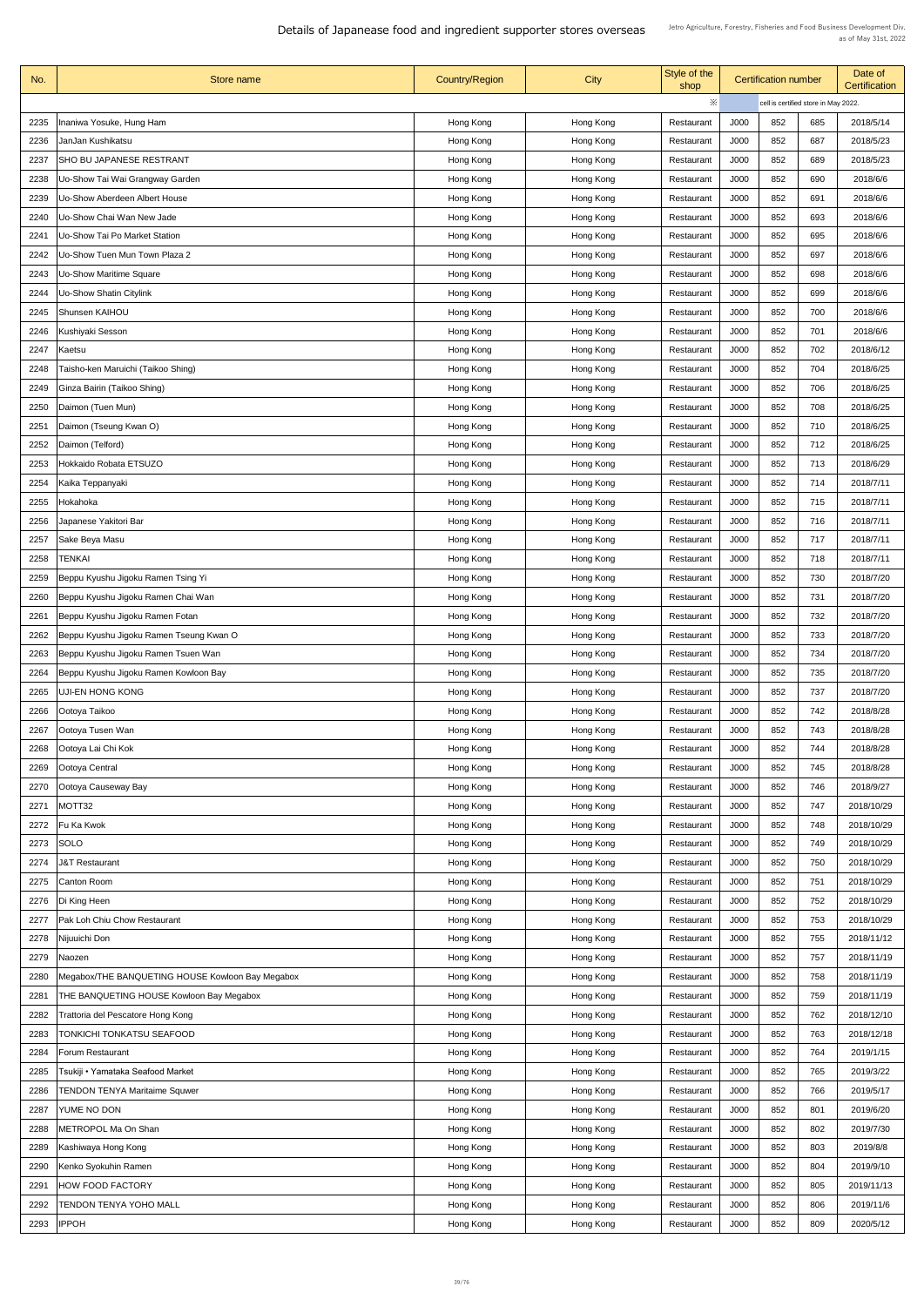| No.  | Store name                                       | <b>Country/Region</b> | <b>City</b>            | Style of the<br>shop | <b>Certification number</b> |     | Date of<br><b>Certification</b>      |            |
|------|--------------------------------------------------|-----------------------|------------------------|----------------------|-----------------------------|-----|--------------------------------------|------------|
|      |                                                  |                       |                        | ※                    |                             |     | cell is certified store in May 2022. |            |
| 2235 | Inaniwa Yosuke, Hung Ham                         | Hong Kong             | Hong Kong              | Restaurant           | J000                        | 852 | 685                                  | 2018/5/14  |
| 2236 | JanJan Kushikatsu                                | Hong Kong             | Hong Kong              | Restaurant           | J000                        | 852 | 687                                  | 2018/5/23  |
| 2237 | <b>SHO BU JAPANESE RESTRANT</b>                  | Hong Kong             | Hong Kong              | Restaurant           | J000                        | 852 | 689                                  | 2018/5/23  |
| 2238 | Uo-Show Tai Wai Grangway Garden                  | Hong Kong             | Hong Kong              | Restaurant           | J000                        | 852 | 690                                  | 2018/6/6   |
| 2239 | <b>Uo-Show Aberdeen Albert House</b>             | Hong Kong             | Hong Kong              | Restaurant           | J000                        | 852 | 691                                  | 2018/6/6   |
| 2240 | Uo-Show Chai Wan New Jade                        | Hong Kong             | Hong Kong              | Restaurant           | J000                        | 852 | 693                                  | 2018/6/6   |
| 224' | Uo-Show Tai Po Market Station                    | Hong Kong             | Hong Kong              | Restaurant           | J000                        | 852 | 695                                  | 2018/6/6   |
| 2242 | Uo-Show Tuen Mun Town Plaza 2                    | Hong Kong             | Hong Kong              | Restaurant           | J000                        | 852 | 697                                  | 2018/6/6   |
| 2243 | <b>Uo-Show Maritime Square</b>                   | Hong Kong             | Hong Kong              | Restaurant           | J000                        | 852 | 698                                  | 2018/6/6   |
| 2244 | <b>Uo-Show Shatin Citylink</b>                   | Hong Kong             | Hong Kong              | Restaurant           | J000                        | 852 | 699                                  | 2018/6/6   |
| 2245 | <b>Shunsen KAIHOU</b>                            | Hong Kong             | Hong Kong              | Restaurant           | J000                        | 852 | 700                                  | 2018/6/6   |
| 2246 | Kushiyaki Sesson                                 | Hong Kong             | Hong Kong              | Restaurant           | J000                        | 852 | 701                                  | 2018/6/6   |
| 2247 | Kaetsu                                           | Hong Kong             | Hong Kong              | Restaurant           | J000                        | 852 | 702                                  | 2018/6/12  |
| 2248 | Taisho-ken Maruichi (Taikoo Shing)               | Hong Kong             | Hong Kong              | Restaurant           | J000                        | 852 | 704                                  | 2018/6/25  |
| 2249 | Ginza Bairin (Taikoo Shing)                      | Hong Kong             | Hong Kong              | Restaurant           | J000                        | 852 | 706                                  | 2018/6/25  |
| 2250 | Daimon (Tuen Mun)                                | Hong Kong             | Hong Kong              | Restaurant           | J000                        | 852 | 708                                  | 2018/6/25  |
| 225  | Daimon (Tseung Kwan O)                           | Hong Kong             | Hong Kong              | Restaurant           | J000                        | 852 | 710                                  | 2018/6/25  |
| 2252 | Daimon (Telford)                                 | Hong Kong             | Hong Kong              | Restaurant           | J000                        | 852 | 712                                  | 2018/6/25  |
| 2253 | Hokkaido Robata ETSUZO                           | Hong Kong             | Hong Kong              | Restaurant           | J000                        | 852 | 713                                  | 2018/6/29  |
| 2254 | Kaika Teppanyaki                                 | Hong Kong             | Hong Kong              | Restaurant           | J000                        | 852 | 714                                  | 2018/7/11  |
| 2255 | Hokahoka                                         | Hong Kong             | Hong Kong              | Restaurant           | J000                        | 852 | 715                                  | 2018/7/11  |
| 2256 | Japanese Yakitori Bar                            | Hong Kong             | Hong Kong              | Restaurant           | J000                        | 852 | 716                                  | 2018/7/11  |
| 2257 | Sake Beya Masu                                   | Hong Kong             | Hong Kong              | Restaurant           | J000                        | 852 | 717                                  | 2018/7/11  |
| 2258 | <b>TENKAI</b>                                    | Hong Kong             | Hong Kong              | Restaurant           | J000                        | 852 | 718                                  | 2018/7/11  |
| 2259 | Beppu Kyushu Jigoku Ramen Tsing Yi               | Hong Kong             | Hong Kong              | Restaurant           | J000                        | 852 | 730                                  | 2018/7/20  |
| 2260 | Beppu Kyushu Jigoku Ramen Chai Wan               | Hong Kong             | Hong Kong              | Restaurant           | J000                        | 852 | 731                                  | 2018/7/20  |
| 2261 | Beppu Kyushu Jigoku Ramen Fotan                  | Hong Kong             | Hong Kong              | Restaurant           | J000                        | 852 | 732                                  | 2018/7/20  |
| 2262 | Beppu Kyushu Jigoku Ramen Tseung Kwan O          | Hong Kong             | Hong Kong              | Restaurant           | J000                        | 852 | 733                                  | 2018/7/20  |
| 2263 | Beppu Kyushu Jigoku Ramen Tsuen Wan              | Hong Kong             | Hong Kong              | Restaurant           | J000                        | 852 | 734                                  | 2018/7/20  |
| 2264 | Beppu Kyushu Jigoku Ramen Kowloon Bay            | Hong Kong             | Hong Kong              | Restaurant           | J000                        | 852 | 735                                  | 2018/7/20  |
| 2265 | <b>UJI-EN HONG KONG</b>                          | Hong Kong             | Hong Kong              | Restaurant           | J000                        | 852 | 737                                  | 2018/7/20  |
| 2266 | Ootoya Taikoo                                    | Hong Kong             | Hong Kong              | Restaurant           | J000                        | 852 | 742                                  | 2018/8/28  |
| 2267 | Ootoya Tusen Wan                                 | Hong Kong             | Hong Kong              | Restaurant           | J000                        | 852 | 743                                  | 2018/8/28  |
| 2268 | Ootoya Lai Chi Kok                               | Hong Kong             | Hong Kong              | Restaurant           | J000                        | 852 | 744                                  | 2018/8/28  |
| 2269 | Ootoya Central                                   | Hong Kong             | Hong Kong              | Restaurant           | J000                        | 852 | 745                                  | 2018/8/28  |
| 2270 | Ootoya Causeway Bay                              | Hong Kong             | Hong Kong              | Restaurant           | J000                        | 852 | 746                                  | 2018/9/27  |
| 2271 | MOTT32                                           | Hong Kong             | Hong Kong              | Restaurant           | J000                        | 852 | 747                                  | 2018/10/29 |
| 2272 | Fu Ka Kwok                                       | Hong Kong             | Hong Kong              | Restaurant           | J000                        | 852 | 748                                  | 2018/10/29 |
| 2273 | <b>SOLO</b>                                      | Hong Kong             | Hong Kong              | Restaurant           | J000                        | 852 | 749                                  | 2018/10/29 |
| 2274 | <b>J&amp;T Restaurant</b>                        | Hong Kong             | Hong Kong              | Restaurant           | J000                        | 852 | 750                                  | 2018/10/29 |
| 2275 | Canton Room                                      | Hong Kong             | Hong Kong              | Restaurant           | J000                        | 852 | 751                                  | 2018/10/29 |
|      | 2276   Di King Heen                              | Hong Kong             | Hong Kong              | Restaurant           | <b>000L</b>                 | 852 | 752                                  | 2018/10/29 |
| 2277 | <b>Pak Loh Chiu Chow Restaurant</b>              | Hong Kong             | Hong Kong              | Restaurant           | J000                        | 852 | 753                                  | 2018/10/29 |
| 2278 | Nijuuichi Don                                    | Hong Kong             | Hong Kong              | Restaurant           | J000                        | 852 | 755                                  | 2018/11/12 |
| 2279 | Naozen                                           | Hong Kong             | Hong Kong              | Restaurant           | J000                        | 852 | 757                                  | 2018/11/19 |
| 2280 | Megabox/THE BANQUETING HOUSE Kowloon Bay Megabox | Hong Kong             | Hong Kong              | Restaurant           | J000                        | 852 | 758                                  | 2018/11/19 |
| 2281 | <b>THE BANQUETING HOUSE Kowloon Bay Megabox</b>  | Hong Kong             | Hong Kong              | Restaurant           | J000                        | 852 | 759                                  | 2018/11/19 |
| 2282 | Trattoria del Pescatore Hong Kong                | Hong Kong             | Hong Kong              | Restaurant           | J000                        | 852 | 762                                  | 2018/12/10 |
| 2283 | <b>TONKICHI TONKATSU SEAFOOD</b>                 | Hong Kong             | Hong Kong              | Restaurant           | J000                        | 852 | 763                                  | 2018/12/18 |
| 2284 | <b>Forum Restaurant</b>                          | Hong Kong             | Hong Kong              | Restaurant           | J000                        | 852 | 764                                  | 2019/1/15  |
| 2285 | Tsukiji • Yamataka Seafood Market                | Hong Kong             | Hong Kong              | Restaurant           | J000                        | 852 | 765                                  | 2019/3/22  |
| 2286 | <b>TENDON TENYA Maritaime Squwer</b>             | Hong Kong             | Hong Kong              | Restaurant           | J000                        | 852 | 766                                  | 2019/5/17  |
| 2287 | YUME NO DON                                      | Hong Kong             | Hong Kong              | Restaurant           | J000                        | 852 | 801                                  | 2019/6/20  |
| 2288 | METROPOL Ma On Shan                              | Hong Kong             | Hong Kong              | Restaurant           | J000                        | 852 | 802                                  | 2019/7/30  |
| 2289 | Kashiwaya Hong Kong                              | Hong Kong             | Hong Kong              | Restaurant           | J000                        | 852 | 803                                  | 2019/8/8   |
| 2290 | Kenko Syokuhin Ramen                             | Hong Kong             | Hong Kong              | Restaurant           | J000                        | 852 | 804                                  | 2019/9/10  |
| 2291 | HOW FOOD FACTORY                                 | Hong Kong             |                        | Restaurant           | J000                        | 852 | 805                                  | 2019/11/13 |
| 2292 | <b>TENDON TENYA YOHO MALL</b>                    | Hong Kong             | Hong Kong<br>Hong Kong | Restaurant           | J000                        | 852 | 806                                  | 2019/11/6  |
| 2293 | <b>IPPOH</b>                                     |                       |                        |                      | J000                        | 852 | 809                                  | 2020/5/12  |
|      |                                                  | Hong Kong             | Hong Kong              | Restaurant           |                             |     |                                      |            |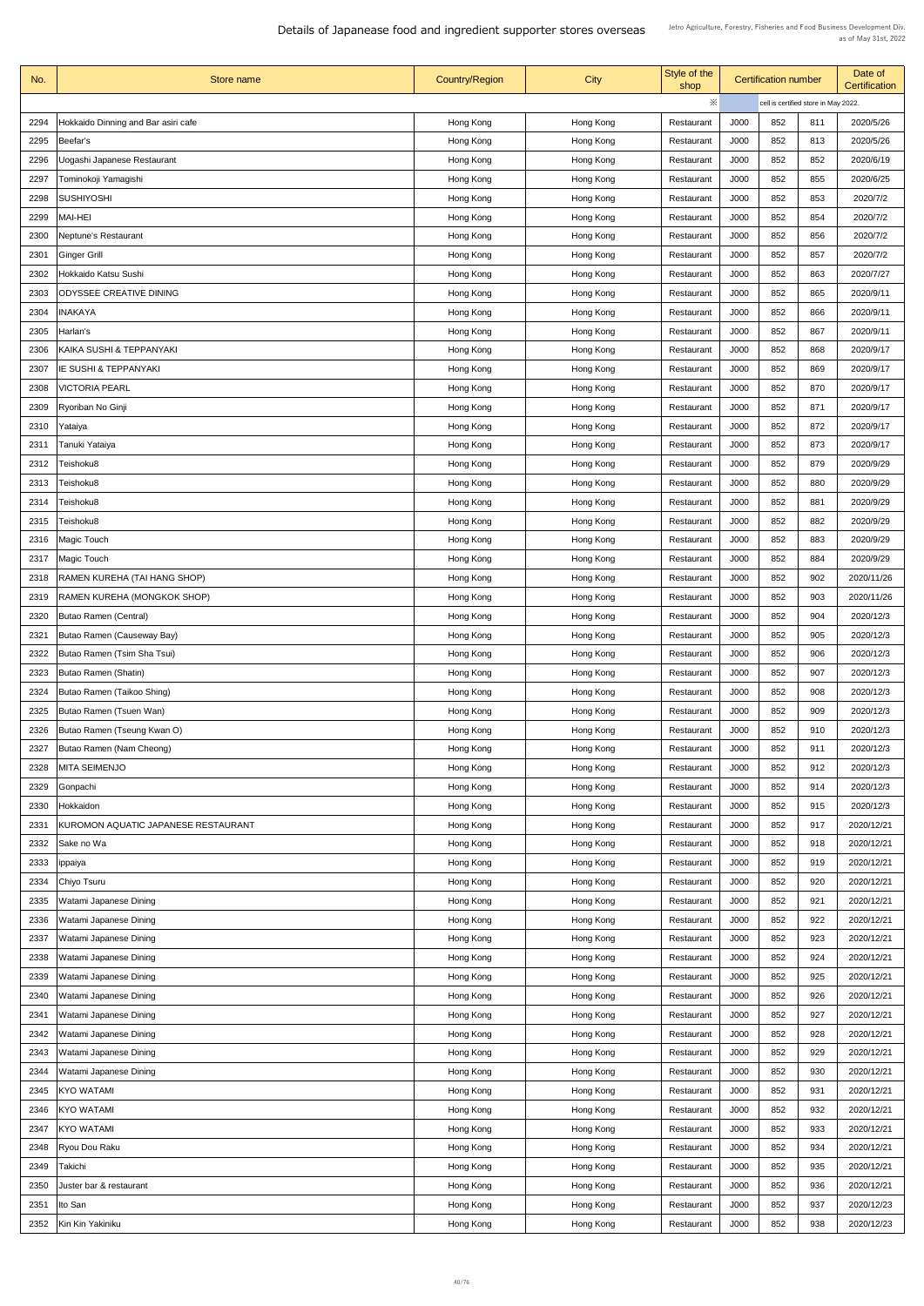| No.  | Store name                          | <b>Country/Region</b> | <b>City</b> | Style of the<br>shop | <b>Certification number</b> |     |                                      | Date of<br><b>Certification</b> |
|------|-------------------------------------|-----------------------|-------------|----------------------|-----------------------------|-----|--------------------------------------|---------------------------------|
|      |                                     |                       |             | ※                    |                             |     | cell is certified store in May 2022. |                                 |
| 2294 | Hokkaido Dinning and Bar asiri cafe | Hong Kong             | Hong Kong   | Restaurant           | J000                        | 852 | 811                                  | 2020/5/26                       |
| 2295 | Beefar's                            | Hong Kong             | Hong Kong   | Restaurant           | J000                        | 852 | 813                                  | 2020/5/26                       |
| 2296 | Uogashi Japanese Restaurant         | Hong Kong             | Hong Kong   | Restaurant           | J000                        | 852 | 852                                  | 2020/6/19                       |
| 2297 | Tominokoji Yamagishi                | Hong Kong             | Hong Kong   | Restaurant           | J000                        | 852 | 855                                  | 2020/6/25                       |
| 2298 | <b>SUSHIYOSHI</b>                   | Hong Kong             | Hong Kong   | Restaurant           | J000                        | 852 | 853                                  | 2020/7/2                        |
| 2299 | <b>MAI-HEI</b>                      | Hong Kong             | Hong Kong   | Restaurant           | J000                        | 852 | 854                                  | 2020/7/2                        |
| 2300 | <b>Neptune's Restaurant</b>         | Hong Kong             | Hong Kong   | Restaurant           | J000                        | 852 | 856                                  | 2020/7/2                        |
| 2301 | <b>Ginger Grill</b>                 | Hong Kong             | Hong Kong   | Restaurant           | J000                        | 852 | 857                                  | 2020/7/2                        |
| 2302 | Hokkaido Katsu Sushi                | Hong Kong             | Hong Kong   | Restaurant           | J000                        | 852 | 863                                  | 2020/7/27                       |
| 2303 | <b>ODYSSEE CREATIVE DINING</b>      | Hong Kong             | Hong Kong   | Restaurant           | J000                        | 852 | 865                                  | 2020/9/11                       |
| 2304 | <b>INAKAYA</b>                      | Hong Kong             | Hong Kong   | Restaurant           | J000                        | 852 | 866                                  | 2020/9/11                       |
| 2305 | Harlan's                            | Hong Kong             | Hong Kong   | Restaurant           | J000                        | 852 | 867                                  | 2020/9/11                       |
| 2306 | KAIKA SUSHI & TEPPANYAKI            | Hong Kong             | Hong Kong   | Restaurant           | J000                        | 852 | 868                                  | 2020/9/17                       |
| 2307 | <b>IE SUSHI &amp; TEPPANYAKI</b>    | Hong Kong             | Hong Kong   | Restaurant           | J000                        | 852 | 869                                  | 2020/9/17                       |
| 2308 | <b>VICTORIA PEARL</b>               | Hong Kong             | Hong Kong   | Restaurant           | J000                        | 852 | 870                                  | 2020/9/17                       |
| 2309 | <b>Ryoriban No Ginji</b>            | Hong Kong             | Hong Kong   | Restaurant           | J000                        | 852 | 871                                  | 2020/9/17                       |
| 2310 | Yataiya                             | Hong Kong             | Hong Kong   | Restaurant           | J000                        | 852 | 872                                  | 2020/9/17                       |
| 2311 | Tanuki Yataiya                      | Hong Kong             | Hong Kong   | Restaurant           | J000                        | 852 | 873                                  | 2020/9/17                       |
| 2312 | Teishoku8                           | Hong Kong             | Hong Kong   | Restaurant           | J000                        | 852 | 879                                  | 2020/9/29                       |
| 2313 | Teishoku8                           | Hong Kong             | Hong Kong   | Restaurant           | J000                        | 852 | 880                                  | 2020/9/29                       |
| 2314 | Teishoku8                           |                       |             | Restaurant           | J000                        | 852 | 881                                  | 2020/9/29                       |
| 2315 | Teishoku8                           | Hong Kong             | Hong Kong   |                      | J000                        | 852 | 882                                  | 2020/9/29                       |
|      |                                     | Hong Kong             | Hong Kong   | Restaurant           |                             | 852 |                                      |                                 |
| 2316 | <b>Magic Touch</b>                  | Hong Kong             | Hong Kong   | Restaurant           | J000                        |     | 883                                  | 2020/9/29                       |
| 2317 | <b>Magic Touch</b>                  | Hong Kong             | Hong Kong   | Restaurant           | J000                        | 852 | 884                                  | 2020/9/29                       |
| 2318 | <b>RAMEN KUREHA (TAI HANG SHOP)</b> | Hong Kong             | Hong Kong   | Restaurant           | J000                        | 852 | 902                                  | 2020/11/26                      |
| 2319 | <b>RAMEN KUREHA (MONGKOK SHOP)</b>  | Hong Kong             | Hong Kong   | Restaurant           | J000                        | 852 | 903                                  | 2020/11/26                      |
| 2320 | <b>Butao Ramen (Central)</b>        | Hong Kong             | Hong Kong   | Restaurant           | J000                        | 852 | 904                                  | 2020/12/3                       |
| 2321 | Butao Ramen (Causeway Bay)          | Hong Kong             | Hong Kong   | Restaurant           | J000                        | 852 | 905                                  | 2020/12/3                       |
| 2322 | Butao Ramen (Tsim Sha Tsui)         | Hong Kong             | Hong Kong   | Restaurant           | J000                        | 852 | 906                                  | 2020/12/3                       |
| 2323 | Butao Ramen (Shatin)                | Hong Kong             | Hong Kong   | Restaurant           | J000                        | 852 | 907                                  | 2020/12/3                       |
| 2324 | Butao Ramen (Taikoo Shing)          | Hong Kong             | Hong Kong   | Restaurant           | J000                        | 852 | 908                                  | 2020/12/3                       |
| 2325 | Butao Ramen (Tsuen Wan)             | Hong Kong             | Hong Kong   | Restaurant           | J000                        | 852 | 909                                  | 2020/12/3                       |
| 2326 | Butao Ramen (Tseung Kwan O)         | Hong Kong             | Hong Kong   | Restaurant           | J000                        | 852 | 910                                  | 2020/12/3                       |
| 2327 | Butao Ramen (Nam Cheong)            | Hong Kong             | Hong Kong   | Restaurant           | J000                        | 852 | 911                                  | 2020/12/3                       |
| 2328 | <b>MITA SEIMENJO</b>                | Hong Kong             | Hong Kong   | Restaurant           | J000                        | 852 | 912                                  | 2020/12/3                       |
| 2329 | Gonpachi                            | Hong Kong             | Hong Kong   | Restaurant           | J000                        | 852 | 914                                  | 2020/12/3                       |
| 2330 | Hokkaidon                           | Hong Kong             | Hong Kong   | Restaurant           | J000                        | 852 | 915                                  | 2020/12/3                       |
| 2331 | KUROMON AQUATIC JAPANESE RESTAURANT | Hong Kong             | Hong Kong   | Restaurant           | J000                        | 852 | 917                                  | 2020/12/21                      |
| 2332 | Sake no Wa                          | Hong Kong             | Hong Kong   | Restaurant           | J000                        | 852 | 918                                  | 2020/12/21                      |
| 2333 | ippaiya                             | Hong Kong             | Hong Kong   | Restaurant           | J000                        | 852 | 919                                  | 2020/12/21                      |
| 2334 | Chiyo Tsuru                         | Hong Kong             | Hong Kong   | Restaurant           | J000                        | 852 | 920                                  | 2020/12/21                      |
|      | 2335   Watami Japanese Dining       | Hong Kong             | Hong Kong   | Restaurant           | J000                        | 852 | 921                                  | 2020/12/21                      |
| 2336 | Watami Japanese Dining              | Hong Kong             | Hong Kong   | Restaurant           | J000                        | 852 | 922                                  | 2020/12/21                      |
| 2337 | Watami Japanese Dining              | Hong Kong             | Hong Kong   | Restaurant           | J000                        | 852 | 923                                  | 2020/12/21                      |
| 2338 | Watami Japanese Dining              | Hong Kong             | Hong Kong   | Restaurant           | J000                        | 852 | 924                                  | 2020/12/21                      |
| 2339 | Watami Japanese Dining              | Hong Kong             | Hong Kong   | Restaurant           | J000                        | 852 | 925                                  | 2020/12/21                      |
| 2340 | Watami Japanese Dining              | Hong Kong             | Hong Kong   | Restaurant           | J000                        | 852 | 926                                  | 2020/12/21                      |
| 2341 | <b>Watami Japanese Dining</b>       | Hong Kong             | Hong Kong   | Restaurant           | J000                        | 852 | 927                                  | 2020/12/21                      |
| 2342 | Watami Japanese Dining              | Hong Kong             | Hong Kong   | Restaurant           | J000                        | 852 | 928                                  | 2020/12/21                      |
| 2343 | Watami Japanese Dining              | Hong Kong             | Hong Kong   | Restaurant           | J000                        | 852 | 929                                  | 2020/12/21                      |
| 2344 | Watami Japanese Dining              | Hong Kong             | Hong Kong   | Restaurant           | J000                        | 852 | 930                                  | 2020/12/21                      |
| 2345 | KYO WATAMI                          | Hong Kong             | Hong Kong   | Restaurant           | J000                        | 852 | 931                                  | 2020/12/21                      |
| 2346 | KYO WATAMI                          | Hong Kong             | Hong Kong   | Restaurant           | J000                        | 852 | 932                                  | 2020/12/21                      |
| 2347 | <b>KYO WATAMI</b>                   | Hong Kong             | Hong Kong   | Restaurant           | J000                        | 852 | 933                                  | 2020/12/21                      |
| 2348 | Ryou Dou Raku                       | Hong Kong             | Hong Kong   | Restaurant           | J000                        | 852 | 934                                  | 2020/12/21                      |
| 2349 | Takichi                             | Hong Kong             | Hong Kong   | Restaurant           | J000                        | 852 | 935                                  | 2020/12/21                      |
| 2350 | Juster bar & restaurant             | Hong Kong             | Hong Kong   | Restaurant           | J000                        | 852 | 936                                  | 2020/12/21                      |
| 2351 | Ito San                             | Hong Kong             | Hong Kong   | Restaurant           | J000                        | 852 | 937                                  | 2020/12/23                      |
| 2352 | Kin Kin Yakiniku                    | Hong Kong             | Hong Kong   | Restaurant           | J000                        | 852 | 938                                  | 2020/12/23                      |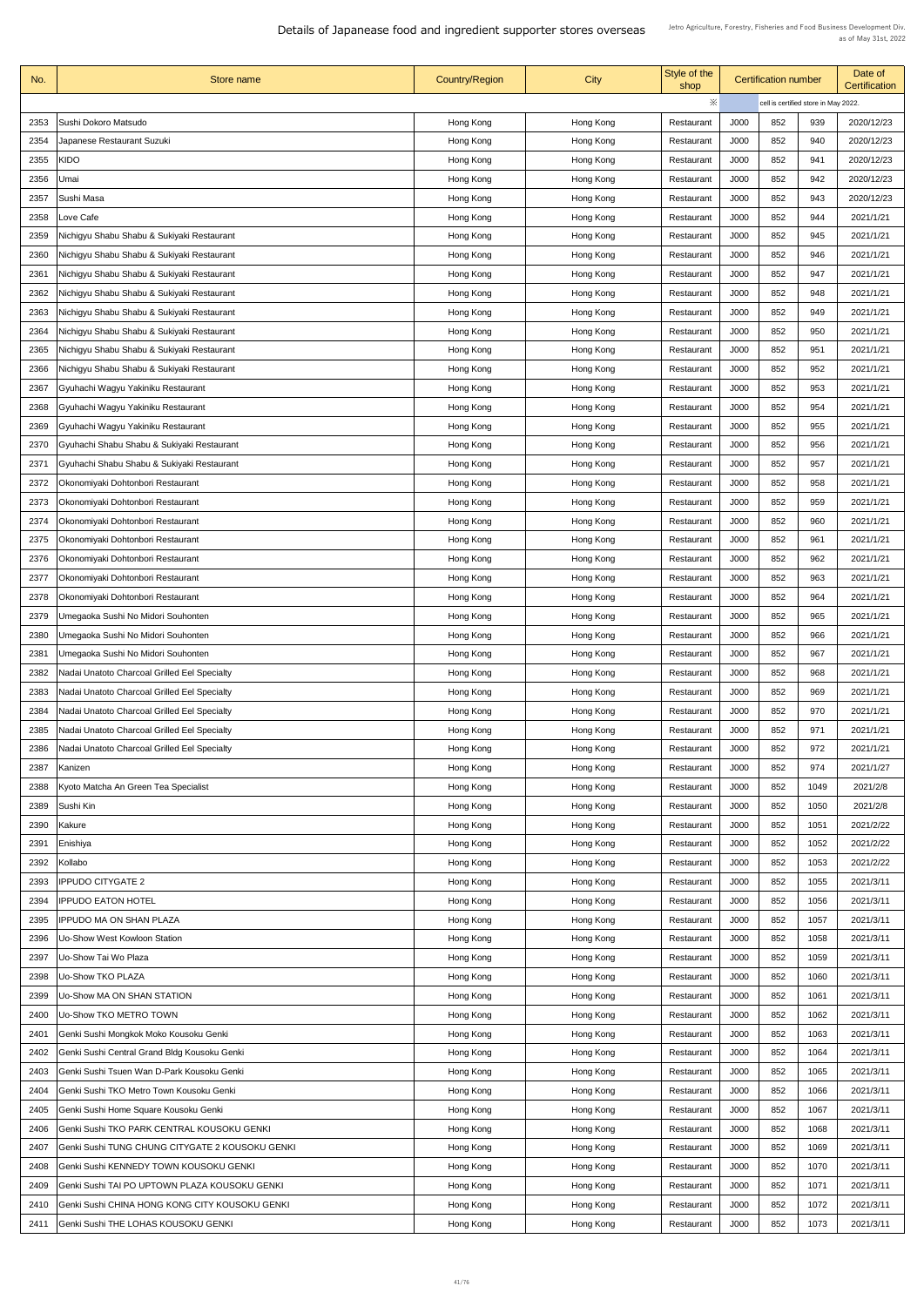| No.  | <b>Store name</b>                               | <b>Country/Region</b> | City      | Style of the<br>shop     | <b>Certification number</b>          |     |      | Date of<br><b>Certification</b> |
|------|-------------------------------------------------|-----------------------|-----------|--------------------------|--------------------------------------|-----|------|---------------------------------|
|      |                                                 |                       |           | ※                        | cell is certified store in May 2022. |     |      |                                 |
| 2353 | Sushi Dokoro Matsudo                            | Hong Kong             | Hong Kong | Restaurant               | J000                                 | 852 | 939  | 2020/12/23                      |
| 2354 | Japanese Restaurant Suzuki                      | Hong Kong             | Hong Kong | Restaurant               | J000                                 | 852 | 940  | 2020/12/23                      |
| 2355 | KIDO                                            | Hong Kong             | Hong Kong | Restaurant               | J000                                 | 852 | 941  | 2020/12/23                      |
| 2356 | Umai                                            | Hong Kong             | Hong Kong | Restaurant               | J000                                 | 852 | 942  | 2020/12/23                      |
| 2357 | Sushi Masa                                      | Hong Kong             | Hong Kong | Restaurant               | J000                                 | 852 | 943  | 2020/12/23                      |
| 2358 | Love Cafe                                       | Hong Kong             | Hong Kong | Restaurant               | J000                                 | 852 | 944  | 2021/1/21                       |
| 2359 | Nichigyu Shabu Shabu & Sukiyaki Restaurant      | Hong Kong             | Hong Kong | Restaurant               | J000                                 | 852 | 945  | 2021/1/21                       |
| 2360 | Nichigyu Shabu Shabu & Sukiyaki Restaurant      | Hong Kong             | Hong Kong | Restaurant               | J000                                 | 852 | 946  | 2021/1/21                       |
| 2361 | Nichigyu Shabu Shabu & Sukiyaki Restaurant      |                       |           |                          | J000                                 | 852 | 947  | 2021/1/21                       |
|      |                                                 | Hong Kong             | Hong Kong | Restaurant               |                                      |     |      |                                 |
| 2362 | Nichigyu Shabu Shabu & Sukiyaki Restaurant      | Hong Kong             | Hong Kong | Restaurant               | J000                                 | 852 | 948  | 2021/1/21                       |
| 2363 | Nichigyu Shabu Shabu & Sukiyaki Restaurant      | Hong Kong             | Hong Kong | Restaurant               | J000                                 | 852 | 949  | 2021/1/21                       |
| 2364 | Nichigyu Shabu Shabu & Sukiyaki Restaurant      | Hong Kong             | Hong Kong | Restaurant               | J000                                 | 852 | 950  | 2021/1/21                       |
| 2365 | Nichigyu Shabu Shabu & Sukiyaki Restaurant      | Hong Kong             | Hong Kong | Restaurant               | J000                                 | 852 | 951  | 2021/1/21                       |
| 2366 | Nichigyu Shabu Shabu & Sukiyaki Restaurant      | Hong Kong             | Hong Kong | Restaurant               | J000                                 | 852 | 952  | 2021/1/21                       |
| 2367 | Gyuhachi Wagyu Yakiniku Restaurant              | Hong Kong             | Hong Kong | Restaurant               | J000                                 | 852 | 953  | 2021/1/21                       |
| 2368 | Gyuhachi Wagyu Yakiniku Restaurant              | Hong Kong             | Hong Kong | Restaurant               | J000                                 | 852 | 954  | 2021/1/21                       |
| 2369 | Gyuhachi Wagyu Yakiniku Restaurant              | Hong Kong             | Hong Kong | Restaurant               | J000                                 | 852 | 955  | 2021/1/21                       |
| 2370 | Gyuhachi Shabu Shabu & Sukiyaki Restaurant      | Hong Kong             | Hong Kong | Restaurant               | J000                                 | 852 | 956  | 2021/1/21                       |
| 2371 | Gyuhachi Shabu Shabu & Sukiyaki Restaurant      | Hong Kong             | Hong Kong | Restaurant               | J000                                 | 852 | 957  | 2021/1/21                       |
| 2372 | Okonomiyaki Dohtonbori Restaurant               | Hong Kong             | Hong Kong | Restaurant               | J000                                 | 852 | 958  | 2021/1/21                       |
| 2373 | Okonomiyaki Dohtonbori Restaurant               | Hong Kong             | Hong Kong | Restaurant               | J000                                 | 852 | 959  | 2021/1/21                       |
| 2374 | Okonomiyaki Dohtonbori Restaurant               | Hong Kong             | Hong Kong | Restaurant               | J000                                 | 852 | 960  | 2021/1/21                       |
| 2375 | Okonomiyaki Dohtonbori Restaurant               | Hong Kong             | Hong Kong | Restaurant               | J000                                 | 852 | 961  | 2021/1/21                       |
| 2376 | Okonomiyaki Dohtonbori Restaurant               | Hong Kong             | Hong Kong | Restaurant               | J000                                 | 852 | 962  | 2021/1/21                       |
| 2377 | Okonomiyaki Dohtonbori Restaurant               | Hong Kong             | Hong Kong | Restaurant               | J000                                 | 852 | 963  | 2021/1/21                       |
| 2378 | Okonomiyaki Dohtonbori Restaurant               | Hong Kong             | Hong Kong | Restaurant               | J000                                 | 852 | 964  | 2021/1/21                       |
| 2379 | Umegaoka Sushi No Midori Souhonten              | Hong Kong             | Hong Kong | Restaurant               | J000                                 | 852 | 965  | 2021/1/21                       |
| 2380 | Umegaoka Sushi No Midori Souhonten              | Hong Kong             | Hong Kong | Restaurant               | <b>J000</b>                          | 852 | 966  | 2021/1/21                       |
| 2381 | Umegaoka Sushi No Midori Souhonten              | Hong Kong             | Hong Kong | Restaurant               | J000                                 | 852 | 967  | 2021/1/21                       |
| 2382 | Nadai Unatoto Charcoal Grilled Eel Specialty    | Hong Kong             | Hong Kong | Restaurant               | J000                                 | 852 | 968  | 2021/1/21                       |
| 2383 | Nadai Unatoto Charcoal Grilled Eel Specialty    | Hong Kong             | Hong Kong | Restaurant               | J000                                 | 852 | 969  | 2021/1/21                       |
| 2384 | Nadai Unatoto Charcoal Grilled Eel Specialty    | Hong Kong             | Hong Kong | Restaurant               | J000                                 | 852 | 970  | 2021/1/21                       |
| 2385 | Nadai Unatoto Charcoal Grilled Eel Specialty    | Hong Kong             | Hong Kong | Restaurant               | J000                                 | 852 | 971  | 2021/1/21                       |
| 2386 | Nadai Unatoto Charcoal Grilled Eel Specialty    | Hong Kong             | Hong Kong | Restaurant               | J000                                 | 852 | 972  | 2021/1/21                       |
| 2387 | Kanizen                                         | Hong Kong             | Hong Kong | Restaurant               | J000                                 | 852 | 974  | 2021/1/27                       |
| 2388 | Kyoto Matcha An Green Tea Specialist            | Hong Kong             | Hong Kong | Restaurant               | J000                                 | 852 | 1049 | 2021/2/8                        |
| 2389 | Sushi Kin                                       | Hong Kong             | Hong Kong | Restaurant               | J000                                 | 852 | 1050 | 2021/2/8                        |
| 2390 | Kakure                                          | Hong Kong             | Hong Kong | Restaurant               | J000                                 | 852 | 1051 | 2021/2/22                       |
| 2391 | Enishiya                                        | Hong Kong             | Hong Kong | Restaurant               | J000                                 | 852 | 1052 | 2021/2/22                       |
| 2392 | Kollabo                                         | Hong Kong             | Hong Kong | Restaurant               | J000                                 | 852 | 1053 | 2021/2/22                       |
| 2393 | <b>IPPUDO CITYGATE 2</b>                        |                       |           |                          | J000                                 | 852 | 1055 | 2021/3/11                       |
| 2394 | <b>IPPUDO EATON HOTEL</b>                       | Hong Kong             | Hong Kong | Restaurant<br>Restaurant | J000                                 | 852 | 1056 | 2021/3/11                       |
|      |                                                 | Hong Kong             | Hong Kong |                          |                                      |     |      |                                 |
| 2395 | <b>IPPUDO MA ON SHAN PLAZA</b>                  | Hong Kong             | Hong Kong | Restaurant               | J000                                 | 852 | 1057 | 2021/3/11                       |
| 2396 | Uo-Show West Kowloon Station                    | Hong Kong             | Hong Kong | Restaurant               | J000                                 | 852 | 1058 | 2021/3/11                       |
| 2397 | Uo-Show Tai Wo Plaza                            | Hong Kong             | Hong Kong | Restaurant               | J000                                 | 852 | 1059 | 2021/3/11                       |
| 2398 | Uo-Show TKO PLAZA                               | Hong Kong             | Hong Kong | Restaurant               | J000                                 | 852 | 1060 | 2021/3/11                       |
| 2399 | Uo-Show MA ON SHAN STATION                      | Hong Kong             | Hong Kong | Restaurant               | J000                                 | 852 | 1061 | 2021/3/11                       |
| 2400 | <b>Uo-Show TKO METRO TOWN</b>                   | Hong Kong             | Hong Kong | Restaurant               | J000                                 | 852 | 1062 | 2021/3/11                       |
| 2401 | Genki Sushi Mongkok Moko Kousoku Genki          | Hong Kong             | Hong Kong | Restaurant               | J000                                 | 852 | 1063 | 2021/3/11                       |
| 2402 | Genki Sushi Central Grand Bldg Kousoku Genki    | Hong Kong             | Hong Kong | Restaurant               | J000                                 | 852 | 1064 | 2021/3/11                       |
| 2403 | Genki Sushi Tsuen Wan D-Park Kousoku Genki      | Hong Kong             | Hong Kong | Restaurant               | J000                                 | 852 | 1065 | 2021/3/11                       |
| 2404 | Genki Sushi TKO Metro Town Kousoku Genki        | Hong Kong             | Hong Kong | Restaurant               | J000                                 | 852 | 1066 | 2021/3/11                       |
| 2405 | Genki Sushi Home Square Kousoku Genki           | Hong Kong             | Hong Kong | Restaurant               | J000                                 | 852 | 1067 | 2021/3/11                       |
| 2406 | Genki Sushi TKO PARK CENTRAL KOUSOKU GENKI      | Hong Kong             | Hong Kong | Restaurant               | J000                                 | 852 | 1068 | 2021/3/11                       |
| 2407 | Genki Sushi TUNG CHUNG CITYGATE 2 KOUSOKU GENKI | Hong Kong             | Hong Kong | Restaurant               | J000                                 | 852 | 1069 | 2021/3/11                       |
| 2408 | Genki Sushi KENNEDY TOWN KOUSOKU GENKI          | Hong Kong             | Hong Kong | Restaurant               | J000                                 | 852 | 1070 | 2021/3/11                       |
| 2409 | Genki Sushi TAI PO UPTOWN PLAZA KOUSOKU GENKI   | Hong Kong             | Hong Kong | Restaurant               | J000                                 | 852 | 1071 | 2021/3/11                       |
| 2410 | Genki Sushi CHINA HONG KONG CITY KOUSOKU GENKI  | Hong Kong             | Hong Kong | Restaurant               | J000                                 | 852 | 1072 | 2021/3/11                       |
| 2411 | Genki Sushi THE LOHAS KOUSOKU GENKI             | Hong Kong             | Hong Kong | Restaurant               | J000                                 | 852 | 1073 | 2021/3/11                       |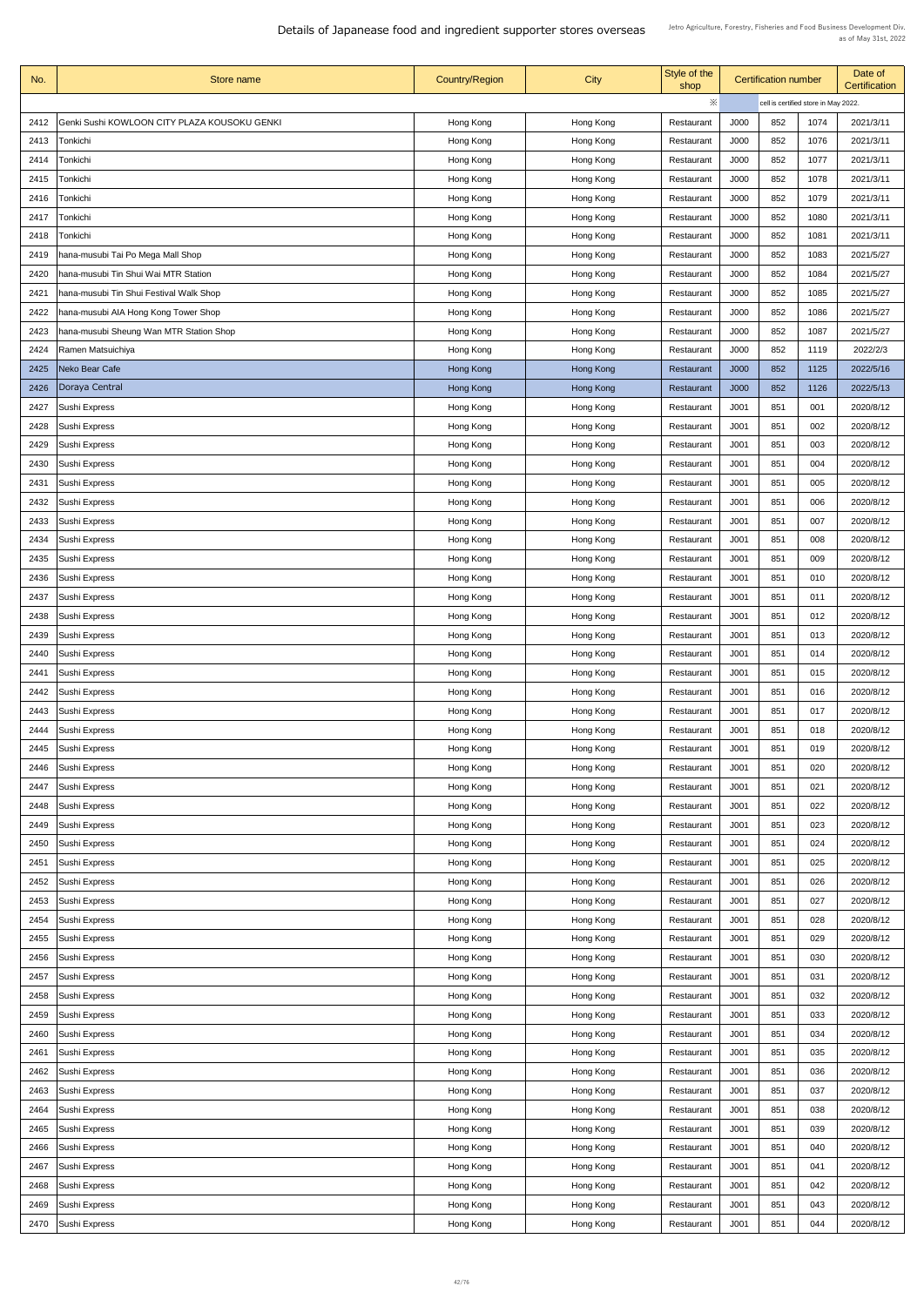| No.  | Store name                                   | <b>Country/Region</b> | <b>City</b> | Style of the<br>shop | <b>Certification number</b>          |     |      | Date of<br><b>Certification</b> |  |
|------|----------------------------------------------|-----------------------|-------------|----------------------|--------------------------------------|-----|------|---------------------------------|--|
|      |                                              |                       |             | ※                    | cell is certified store in May 2022. |     |      |                                 |  |
| 2412 | Genki Sushi KOWLOON CITY PLAZA KOUSOKU GENKI | Hong Kong             | Hong Kong   | Restaurant           | J000                                 | 852 | 1074 | 2021/3/11                       |  |
| 2413 | Tonkichi                                     | Hong Kong             | Hong Kong   | Restaurant           | J000                                 | 852 | 1076 | 2021/3/11                       |  |
| 2414 | Tonkichi                                     | Hong Kong             | Hong Kong   | Restaurant           | J000                                 | 852 | 1077 | 2021/3/11                       |  |
| 2415 | Tonkichi                                     | Hong Kong             | Hong Kong   | Restaurant           | J000                                 | 852 | 1078 | 2021/3/11                       |  |
| 2416 | Tonkichi                                     | Hong Kong             | Hong Kong   | Restaurant           | J000                                 | 852 | 1079 | 2021/3/11                       |  |
| 2417 | Tonkichi                                     | Hong Kong             | Hong Kong   | Restaurant           | J000                                 | 852 | 1080 | 2021/3/11                       |  |
| 2418 | Tonkichi                                     | Hong Kong             | Hong Kong   | Restaurant           | J000                                 | 852 | 1081 | 2021/3/11                       |  |
|      |                                              |                       |             |                      | J000                                 | 852 | 1083 | 2021/5/27                       |  |
| 2419 | hana-musubi Tai Po Mega Mall Shop            | Hong Kong             | Hong Kong   | Restaurant           |                                      |     |      |                                 |  |
| 2420 | hana-musubi Tin Shui Wai MTR Station         | Hong Kong             | Hong Kong   | Restaurant           | J000                                 | 852 | 1084 | 2021/5/27                       |  |
| 2421 | hana-musubi Tin Shui Festival Walk Shop      | Hong Kong             | Hong Kong   | Restaurant           | J000                                 | 852 | 1085 | 2021/5/27                       |  |
| 2422 | hana-musubi AIA Hong Kong Tower Shop         | Hong Kong             | Hong Kong   | Restaurant           | J000                                 | 852 | 1086 | 2021/5/27                       |  |
| 2423 | hana-musubi Sheung Wan MTR Station Shop      | Hong Kong             | Hong Kong   | Restaurant           | J000                                 | 852 | 1087 | 2021/5/27                       |  |
| 2424 | Ramen Matsuichiya                            | Hong Kong             | Hong Kong   | Restaurant           | J000                                 | 852 | 1119 | 2022/2/3                        |  |
| 2425 | Neko Bear Cafe                               | Hong Kong             | Hong Kong   | Restaurant           | J000                                 | 852 | 1125 | 2022/5/16                       |  |
| 2426 | Doraya Central                               | Hong Kong             | Hong Kong   | Restaurant           | J000                                 | 852 | 1126 | 2022/5/13                       |  |
| 2427 | Sushi Express                                | Hong Kong             | Hong Kong   | Restaurant           | J <sub>001</sub>                     | 851 | 001  | 2020/8/12                       |  |
| 2428 | Sushi Express                                | Hong Kong             | Hong Kong   | Restaurant           | J <sub>001</sub>                     | 851 | 002  | 2020/8/12                       |  |
| 2429 | <b>Sushi Express</b>                         | Hong Kong             | Hong Kong   | Restaurant           | J <sub>001</sub>                     | 851 | 003  | 2020/8/12                       |  |
| 2430 | <b>Sushi Express</b>                         | Hong Kong             | Hong Kong   | Restaurant           | J <sub>001</sub>                     | 851 | 004  | 2020/8/12                       |  |
| 2431 | Sushi Express                                | Hong Kong             | Hong Kong   | Restaurant           | J <sub>001</sub>                     | 851 | 005  | 2020/8/12                       |  |
| 2432 | Sushi Express                                | Hong Kong             | Hong Kong   | Restaurant           | J <sub>001</sub>                     | 851 | 006  | 2020/8/12                       |  |
| 2433 | Sushi Express                                | Hong Kong             | Hong Kong   | Restaurant           | J001                                 | 851 | 007  | 2020/8/12                       |  |
| 2434 | <b>Sushi Express</b>                         | Hong Kong             | Hong Kong   | Restaurant           | J <sub>001</sub>                     | 851 | 008  | 2020/8/12                       |  |
| 2435 | <b>Sushi Express</b>                         | Hong Kong             | Hong Kong   | Restaurant           | J <sub>001</sub>                     | 851 | 009  | 2020/8/12                       |  |
| 2436 | Sushi Express                                | Hong Kong             | Hong Kong   | Restaurant           | J <sub>001</sub>                     | 851 | 010  | 2020/8/12                       |  |
| 2437 | <b>Sushi Express</b>                         | Hong Kong             | Hong Kong   | Restaurant           | J <sub>001</sub>                     | 851 | 011  | 2020/8/12                       |  |
| 2438 | Sushi Express                                | Hong Kong             | Hong Kong   | Restaurant           | J001                                 | 851 | 012  | 2020/8/12                       |  |
| 2439 | Sushi Express                                | Hong Kong             | Hong Kong   | Restaurant           | J <sub>001</sub>                     | 851 | 013  | 2020/8/12                       |  |
| 2440 | <b>Sushi Express</b>                         | Hong Kong             | Hong Kong   | Restaurant           | J <sub>001</sub>                     | 851 | 014  | 2020/8/12                       |  |
| 2441 | Sushi Express                                | Hong Kong             | Hong Kong   | Restaurant           | J <sub>001</sub>                     | 851 | 015  | 2020/8/12                       |  |
| 2442 | Sushi Express                                | Hong Kong             | Hong Kong   | Restaurant           | J <sub>001</sub>                     | 851 | 016  | 2020/8/12                       |  |
| 2443 | Sushi Express                                | Hong Kong             | Hong Kong   | Restaurant           | J001                                 | 851 | 017  | 2020/8/12                       |  |
| 2444 | <b>Sushi Express</b>                         | Hong Kong             | Hong Kong   | Restaurant           | J <sub>001</sub>                     | 851 | 018  | 2020/8/12                       |  |
| 2445 | <b>Sushi Express</b>                         | Hong Kong             | Hong Kong   | Restaurant           | J <sub>001</sub>                     | 851 | 019  | 2020/8/12                       |  |
| 2446 | Sushi Express                                | Hong Kong             | Hong Kong   | Restaurant           | J <sub>001</sub>                     | 851 | 020  | 2020/8/12                       |  |
| 2447 | Sushi Express                                | Hong Kong             | Hong Kong   | Restaurant           | J <sub>001</sub>                     | 851 | 021  | 2020/8/12                       |  |
| 2448 | Sushi Express                                | Hong Kong             | Hong Kong   | Restaurant           | J <sub>001</sub>                     | 851 | 022  | 2020/8/12                       |  |
|      |                                              |                       |             |                      |                                      | 851 |      |                                 |  |
| 2449 | <b>Sushi Express</b>                         | Hong Kong             | Hong Kong   | Restaurant           | J <sub>001</sub>                     |     | 023  | 2020/8/12                       |  |
| 2450 | Sushi Express                                | Hong Kong             | Hong Kong   | Restaurant           | J <sub>001</sub>                     | 851 | 024  | 2020/8/12                       |  |
| 2451 | Sushi Express                                | Hong Kong             | Hong Kong   | Restaurant           | J <sub>001</sub>                     | 851 | 025  | 2020/8/12                       |  |
| 2452 | Sushi Express                                | Hong Kong             | Hong Kong   | Restaurant           | J <sub>001</sub>                     | 851 | 026  | 2020/8/12                       |  |
|      | 2453 Sushi Express                           | Hong Kong             | Hong Kong   | Restaurant           | J <sub>001</sub>                     | 851 | 027  | 2020/8/12                       |  |
| 2454 | Sushi Express                                | Hong Kong             | Hong Kong   | Restaurant           | J <sub>001</sub>                     | 851 | 028  | 2020/8/12                       |  |
| 2455 | Sushi Express                                | Hong Kong             | Hong Kong   | Restaurant           | J <sub>001</sub>                     | 851 | 029  | 2020/8/12                       |  |
| 2456 | Sushi Express                                | Hong Kong             | Hong Kong   | Restaurant           | J <sub>001</sub>                     | 851 | 030  | 2020/8/12                       |  |
| 2457 | Sushi Express                                | Hong Kong             | Hong Kong   | Restaurant           | J <sub>001</sub>                     | 851 | 031  | 2020/8/12                       |  |
| 2458 | Sushi Express                                | Hong Kong             | Hong Kong   | Restaurant           | J <sub>001</sub>                     | 851 | 032  | 2020/8/12                       |  |
| 2459 | Sushi Express                                | Hong Kong             | Hong Kong   | Restaurant           | J <sub>001</sub>                     | 851 | 033  | 2020/8/12                       |  |
| 2460 | Sushi Express                                | Hong Kong             | Hong Kong   | Restaurant           | J <sub>001</sub>                     | 851 | 034  | 2020/8/12                       |  |
| 2461 | Sushi Express                                | Hong Kong             | Hong Kong   | Restaurant           | J <sub>001</sub>                     | 851 | 035  | 2020/8/12                       |  |
| 2462 | Sushi Express                                | Hong Kong             | Hong Kong   | Restaurant           | J <sub>001</sub>                     | 851 | 036  | 2020/8/12                       |  |
| 2463 | Sushi Express                                | Hong Kong             | Hong Kong   | Restaurant           | J <sub>001</sub>                     | 851 | 037  | 2020/8/12                       |  |
| 2464 | Sushi Express                                | Hong Kong             | Hong Kong   | Restaurant           | J <sub>001</sub>                     | 851 | 038  | 2020/8/12                       |  |
| 2465 | Sushi Express                                | Hong Kong             | Hong Kong   | Restaurant           | J <sub>001</sub>                     | 851 | 039  | 2020/8/12                       |  |
| 2466 | Sushi Express                                | Hong Kong             | Hong Kong   | Restaurant           | J <sub>001</sub>                     | 851 | 040  | 2020/8/12                       |  |
| 2467 | Sushi Express                                | Hong Kong             | Hong Kong   | Restaurant           | J <sub>001</sub>                     | 851 | 041  | 2020/8/12                       |  |
| 2468 | Sushi Express                                | Hong Kong             | Hong Kong   | Restaurant           | J <sub>001</sub>                     | 851 | 042  | 2020/8/12                       |  |
| 2469 | Sushi Express                                | Hong Kong             | Hong Kong   | Restaurant           | J <sub>001</sub>                     | 851 | 043  | 2020/8/12                       |  |
| 2470 | Sushi Express                                | Hong Kong             | Hong Kong   | Restaurant           | J001                                 | 851 | 044  | 2020/8/12                       |  |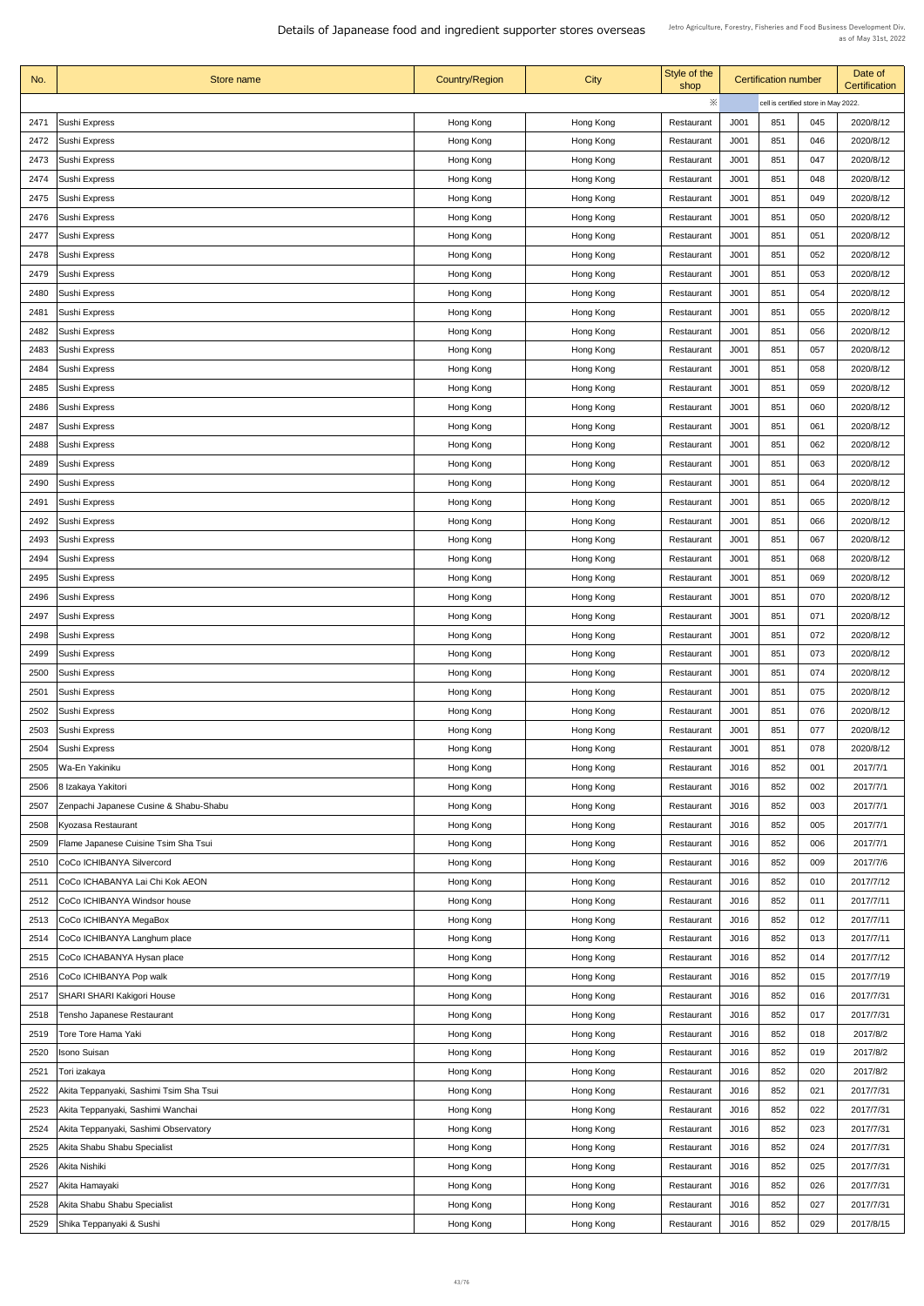| No.  | Store name                              | <b>Country/Region</b> | <b>City</b> | Style of the<br>shop | <b>Certification number</b> |     |                                      | Date of<br>Certification |
|------|-----------------------------------------|-----------------------|-------------|----------------------|-----------------------------|-----|--------------------------------------|--------------------------|
|      |                                         |                       |             | ※                    |                             |     | cell is certified store in May 2022. |                          |
| 2471 | Sushi Express                           | Hong Kong             | Hong Kong   | Restaurant           | J001                        | 851 | 045                                  | 2020/8/12                |
| 2472 | <b>Sushi Express</b>                    | Hong Kong             | Hong Kong   | Restaurant           | J001                        | 851 | 046                                  | 2020/8/12                |
| 2473 | <b>Sushi Express</b>                    | Hong Kong             | Hong Kong   | Restaurant           | J001                        | 851 | 047                                  | 2020/8/12                |
| 2474 | <b>Sushi Express</b>                    | Hong Kong             | Hong Kong   | Restaurant           | J001                        | 851 | 048                                  | 2020/8/12                |
| 2475 | Sushi Express                           | Hong Kong             | Hong Kong   | Restaurant           | J001                        | 851 | 049                                  | 2020/8/12                |
| 2476 | Sushi Express                           | Hong Kong             | Hong Kong   | Restaurant           | J001                        | 851 | 050                                  | 2020/8/12                |
| 2477 | Sushi Express                           | Hong Kong             | Hong Kong   | Restaurant           | J001                        | 851 | 051                                  | 2020/8/12                |
| 2478 | Sushi Express                           | Hong Kong             | Hong Kong   | Restaurant           | J001                        | 851 | 052                                  | 2020/8/12                |
| 2479 | Sushi Express                           | Hong Kong             | Hong Kong   | Restaurant           | J <sub>001</sub>            | 851 | 053                                  | 2020/8/12                |
| 2480 | Sushi Express                           | Hong Kong             | Hong Kong   | Restaurant           | J <sub>001</sub>            | 851 | 054                                  | 2020/8/12                |
| 2481 | <b>Sushi Express</b>                    | Hong Kong             | Hong Kong   | Restaurant           | J001                        | 851 | 055                                  | 2020/8/12                |
| 2482 | <b>Sushi Express</b>                    | Hong Kong             | Hong Kong   | Restaurant           | J001                        | 851 | 056                                  | 2020/8/12                |
| 2483 | Sushi Express                           | Hong Kong             | Hong Kong   | Restaurant           | J001                        | 851 | 057                                  | 2020/8/12                |
| 2484 | Sushi Express                           | Hong Kong             | Hong Kong   | Restaurant           | J001                        | 851 | 058                                  | 2020/8/12                |
| 2485 | Sushi Express                           | Hong Kong             | Hong Kong   | Restaurant           | J001                        | 851 | 059                                  | 2020/8/12                |
| 2486 | Sushi Express                           | Hong Kong             | Hong Kong   | Restaurant           | J001                        | 851 | 060                                  | 2020/8/12                |
| 2487 | Sushi Express                           |                       |             | Restaurant           | J001                        | 851 | 061                                  | 2020/8/12                |
|      |                                         | Hong Kong             | Hong Kong   |                      |                             |     | 062                                  |                          |
| 2488 | Sushi Express                           | Hong Kong             | Hong Kong   | Restaurant           | J <sub>001</sub>            | 851 |                                      | 2020/8/12                |
| 2489 | <b>Sushi Express</b>                    | Hong Kong             | Hong Kong   | Restaurant           | J <sub>001</sub>            | 851 | 063                                  | 2020/8/12                |
| 2490 | Sushi Express                           | Hong Kong             | Hong Kong   | Restaurant           | J <sub>001</sub>            | 851 | 064                                  | 2020/8/12                |
| 2491 | <b>Sushi Express</b>                    | Hong Kong             | Hong Kong   | Restaurant           | J <sub>001</sub>            | 851 | 065                                  | 2020/8/12                |
| 2492 | Sushi Express                           | Hong Kong             | Hong Kong   | Restaurant           | J <sub>001</sub>            | 851 | 066                                  | 2020/8/12                |
| 2493 | <b>Sushi Express</b>                    | Hong Kong             | Hong Kong   | Restaurant           | J001                        | 851 | 067                                  | 2020/8/12                |
| 2494 | Sushi Express                           | Hong Kong             | Hong Kong   | Restaurant           | J <sub>001</sub>            | 851 | 068                                  | 2020/8/12                |
| 2495 | Sushi Express                           | Hong Kong             | Hong Kong   | Restaurant           | J <sub>001</sub>            | 851 | 069                                  | 2020/8/12                |
| 2496 | <b>Sushi Express</b>                    | Hong Kong             | Hong Kong   | Restaurant           | J <sub>001</sub>            | 851 | 070                                  | 2020/8/12                |
| 2497 | Sushi Express                           | Hong Kong             | Hong Kong   | Restaurant           | J <sub>001</sub>            | 851 | 071                                  | 2020/8/12                |
| 2498 | Sushi Express                           | Hong Kong             | Hong Kong   | Restaurant           | J001                        | 851 | 072                                  | 2020/8/12                |
| 2499 | <b>Sushi Express</b>                    | Hong Kong             | Hong Kong   | Restaurant           | J <sub>001</sub>            | 851 | 073                                  | 2020/8/12                |
| 2500 | Sushi Express                           | Hong Kong             | Hong Kong   | Restaurant           | J <sub>001</sub>            | 851 | 074                                  | 2020/8/12                |
| 2501 | Sushi Express                           | Hong Kong             | Hong Kong   | Restaurant           | J001                        | 851 | 075                                  | 2020/8/12                |
| 2502 | Sushi Express                           | Hong Kong             | Hong Kong   | Restaurant           | J001                        | 851 | 076                                  | 2020/8/12                |
| 2503 | <b>Sushi Express</b>                    | Hong Kong             | Hong Kong   | Restaurant           | J001                        | 851 | 077                                  | 2020/8/12                |
| 2504 | Sushi Express                           | Hong Kong             | Hong Kong   | Restaurant           | J <sub>001</sub>            | 851 | 078                                  | 2020/8/12                |
| 2505 | Wa-En Yakiniku                          | Hong Kong             | Hong Kong   | Restaurant           | J016                        | 852 | 001                                  | 2017/7/1                 |
| 2506 | 8 Izakaya Yakitori                      | Hong Kong             | Hong Kong   | Restaurant           | J016                        | 852 | 002                                  | 2017/7/1                 |
| 2507 | Zenpachi Japanese Cusine & Shabu-Shabu  | Hong Kong             | Hong Kong   | Restaurant           | J016                        | 852 | 003                                  | 2017/7/1                 |
| 2508 | Kyozasa Restaurant                      | Hong Kong             | Hong Kong   | Restaurant           | J016                        | 852 | 005                                  | 2017/7/1                 |
| 2509 | Flame Japanese Cuisine Tsim Sha Tsui    | Hong Kong             | Hong Kong   | Restaurant           | J016                        | 852 | 006                                  | 2017/7/1                 |
| 2510 | CoCo ICHIBANYA Silvercord               | Hong Kong             | Hong Kong   | Restaurant           | J016                        | 852 | 009                                  | 2017/7/6                 |
| 2511 | CoCo ICHABANYA Lai Chi Kok AEON         | Hong Kong             | Hong Kong   | Restaurant           | J016                        | 852 | 010                                  | 2017/7/12                |
|      | 2512   CoCo ICHIBANYA Windsor house     | Hong Kong             | Hong Kong   | Restaurant           | J016                        | 852 | 011                                  | 2017/7/11                |
| 2513 | CoCo ICHIBANYA MegaBox                  | Hong Kong             | Hong Kong   | Restaurant           | J016                        | 852 | 012                                  | 2017/7/11                |
| 2514 | CoCo ICHIBANYA Langhum place            | Hong Kong             | Hong Kong   | Restaurant           | J016                        | 852 | 013                                  | 2017/7/11                |
| 2515 | CoCo ICHABANYA Hysan place              | Hong Kong             | Hong Kong   | Restaurant           | J016                        | 852 | 014                                  | 2017/7/12                |
| 2516 | CoCo ICHIBANYA Pop walk                 | Hong Kong             | Hong Kong   | Restaurant           | J016                        | 852 | 015                                  | 2017/7/19                |
| 2517 | <b>SHARI SHARI Kakigori House</b>       | Hong Kong             | Hong Kong   | Restaurant           | J016                        | 852 | 016                                  | 2017/7/31                |
| 2518 | Tensho Japanese Restaurant              | Hong Kong             | Hong Kong   | Restaurant           | J016                        | 852 | 017                                  | 2017/7/31                |
| 2519 | <b>Tore Tore Hama Yaki</b>              | Hong Kong             | Hong Kong   | Restaurant           | J016                        | 852 | 018                                  | 2017/8/2                 |
| 2520 | <b>Isono Suisan</b>                     | Hong Kong             | Hong Kong   | Restaurant           | J016                        | 852 | 019                                  | 2017/8/2                 |
| 2521 | Tori izakaya                            | Hong Kong             | Hong Kong   | Restaurant           | J016                        | 852 | 020                                  | 2017/8/2                 |
| 2522 | Akita Teppanyaki, Sashimi Tsim Sha Tsui | Hong Kong             | Hong Kong   | Restaurant           | J016                        | 852 | 021                                  | 2017/7/31                |
| 2523 | Akita Teppanyaki, Sashimi Wanchai       | Hong Kong             | Hong Kong   | Restaurant           | J016                        | 852 | 022                                  | 2017/7/31                |
| 2524 | Akita Teppanyaki, Sashimi Observatory   | Hong Kong             | Hong Kong   | Restaurant           | J016                        | 852 | 023                                  | 2017/7/31                |
| 2525 | Akita Shabu Shabu Specialist            | Hong Kong             | Hong Kong   | Restaurant           | J016                        | 852 | 024                                  | 2017/7/31                |
| 2526 | Akita Nishiki                           | Hong Kong             | Hong Kong   | Restaurant           | J016                        | 852 | 025                                  | 2017/7/31                |
| 2527 | Akita Hamayaki                          | Hong Kong             | Hong Kong   | Restaurant           | J016                        | 852 | 026                                  | 2017/7/31                |
| 2528 | Akita Shabu Shabu Specialist            | Hong Kong             | Hong Kong   | Restaurant           | J016                        | 852 | 027                                  | 2017/7/31                |
| 2529 | Shika Teppanyaki & Sushi                | Hong Kong             | Hong Kong   | Restaurant           | J016                        | 852 | 029                                  | 2017/8/15                |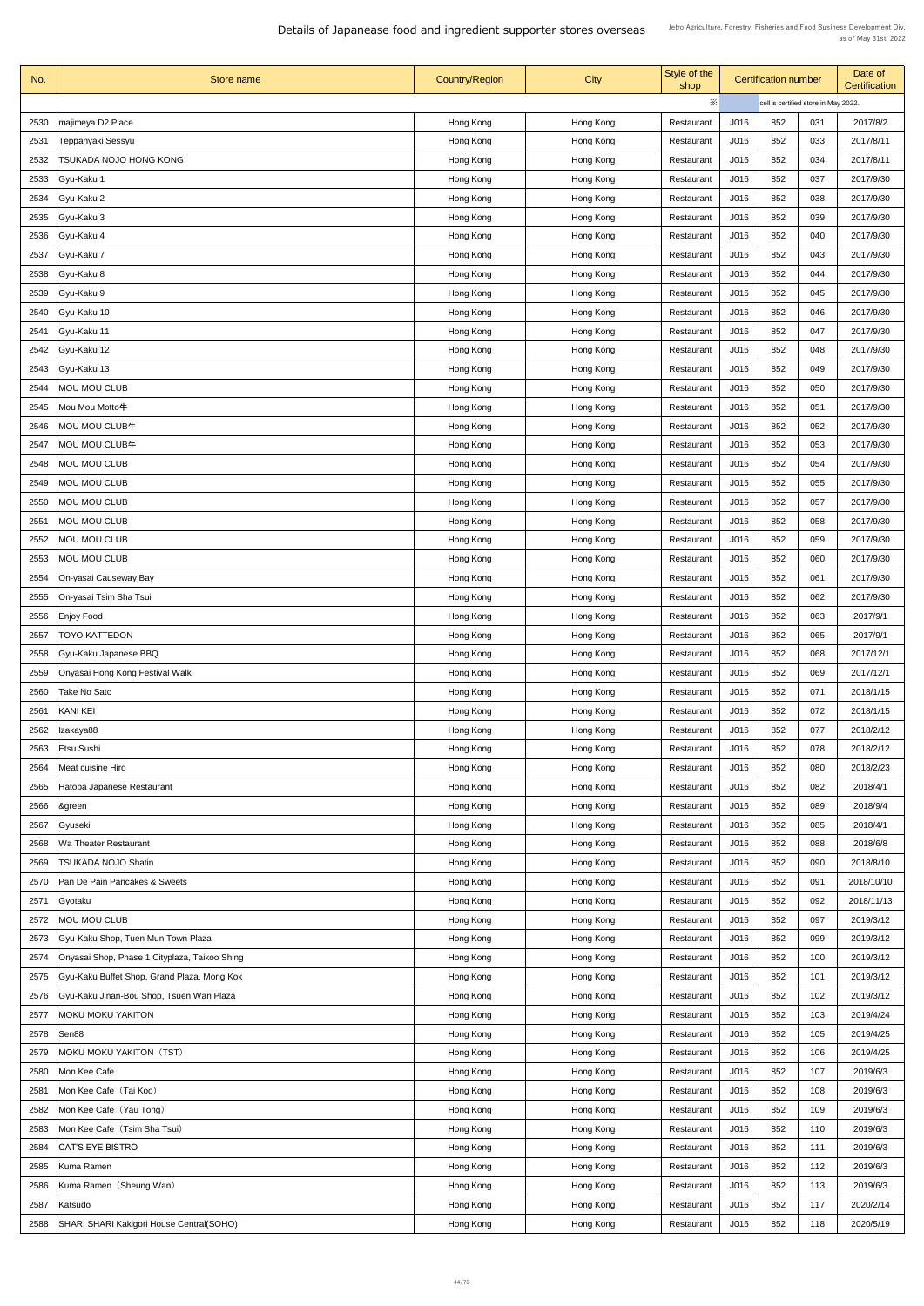| No.  | Store name                                    | <b>Country/Region</b> | <b>City</b> | Style of the<br>shop | <b>Certification number</b> |     |                                      | Date of<br><b>Certification</b> |
|------|-----------------------------------------------|-----------------------|-------------|----------------------|-----------------------------|-----|--------------------------------------|---------------------------------|
|      |                                               |                       |             | $\times$             |                             |     | cell is certified store in May 2022. |                                 |
| 2530 | majimeya D2 Place                             | Hong Kong             | Hong Kong   | Restaurant           | J016                        | 852 | 031                                  | 2017/8/2                        |
| 2531 | Teppanyaki Sessyu                             | Hong Kong             | Hong Kong   | Restaurant           | J016                        | 852 | 033                                  | 2017/8/11                       |
| 2532 | TSUKADA NOJO HONG KONG                        | Hong Kong             | Hong Kong   | Restaurant           | J016                        | 852 | 034                                  | 2017/8/11                       |
| 2533 | Gyu-Kaku 1                                    | Hong Kong             | Hong Kong   | Restaurant           | J016                        | 852 | 037                                  | 2017/9/30                       |
| 2534 | Gyu-Kaku 2                                    | Hong Kong             | Hong Kong   | Restaurant           | J016                        | 852 | 038                                  | 2017/9/30                       |
| 2535 | <b>Gyu-Kaku 3</b>                             | Hong Kong             | Hong Kong   | Restaurant           | J016                        | 852 | 039                                  | 2017/9/30                       |
| 2536 | Gyu-Kaku 4                                    | Hong Kong             | Hong Kong   | Restaurant           | J016                        | 852 | 040                                  | 2017/9/30                       |
| 2537 | Gyu-Kaku 7                                    | Hong Kong             | Hong Kong   | Restaurant           | J016                        | 852 | 043                                  | 2017/9/30                       |
| 2538 | Gyu-Kaku 8                                    | Hong Kong             | Hong Kong   | Restaurant           | J016                        | 852 | 044                                  | 2017/9/30                       |
| 2539 | Gyu-Kaku 9                                    | Hong Kong             | Hong Kong   | Restaurant           | J016                        | 852 | 045                                  | 2017/9/30                       |
| 2540 | Gyu-Kaku 10                                   | Hong Kong             | Hong Kong   | Restaurant           | J016                        | 852 | 046                                  | 2017/9/30                       |
| 2541 | Gyu-Kaku 11                                   | Hong Kong             | Hong Kong   | Restaurant           | J016                        | 852 | 047                                  | 2017/9/30                       |
| 2542 | Gyu-Kaku 12                                   | Hong Kong             | Hong Kong   | Restaurant           | J016                        | 852 | 048                                  | 2017/9/30                       |
| 2543 | Gyu-Kaku 13                                   | Hong Kong             | Hong Kong   | Restaurant           | J016                        | 852 | 049                                  | 2017/9/30                       |
|      | <b>MOU MOU CLUB</b>                           |                       |             |                      | J016                        | 852 | 050                                  | 2017/9/30                       |
| 2544 |                                               | Hong Kong             | Hong Kong   | Restaurant           |                             |     |                                      |                                 |
| 2545 | Mou Mou Motto牛                                | Hong Kong             | Hong Kong   | Restaurant           | J016                        | 852 | 051                                  | 2017/9/30                       |
| 2546 | <b>MOU MOU CLUB牛</b>                          | Hong Kong             | Hong Kong   | Restaurant           | J016                        | 852 | 052                                  | 2017/9/30                       |
| 2547 | <b>MOU MOU CLUB牛</b>                          | Hong Kong             | Hong Kong   | Restaurant           | J016                        | 852 | 053                                  | 2017/9/30                       |
| 2548 | <b>MOU MOU CLUB</b>                           | Hong Kong             | Hong Kong   | Restaurant           | J016                        | 852 | 054                                  | 2017/9/30                       |
| 2549 | <b>MOU MOU CLUB</b>                           | Hong Kong             | Hong Kong   | Restaurant           | J016                        | 852 | 055                                  | 2017/9/30                       |
| 2550 | <b>MOU MOU CLUB</b>                           | Hong Kong             | Hong Kong   | Restaurant           | J016                        | 852 | 057                                  | 2017/9/30                       |
| 2551 | <b>MOU MOU CLUB</b>                           | Hong Kong             | Hong Kong   | Restaurant           | J016                        | 852 | 058                                  | 2017/9/30                       |
| 2552 | <b>MOU MOU CLUB</b>                           | Hong Kong             | Hong Kong   | Restaurant           | J016                        | 852 | 059                                  | 2017/9/30                       |
| 2553 | <b>MOU MOU CLUB</b>                           | Hong Kong             | Hong Kong   | Restaurant           | J016                        | 852 | 060                                  | 2017/9/30                       |
| 2554 | On-yasai Causeway Bay                         | Hong Kong             | Hong Kong   | Restaurant           | J016                        | 852 | 061                                  | 2017/9/30                       |
| 2555 | On-yasai Tsim Sha Tsui                        | Hong Kong             | Hong Kong   | Restaurant           | J016                        | 852 | 062                                  | 2017/9/30                       |
| 2556 | <b>Enjoy Food</b>                             | Hong Kong             | Hong Kong   | Restaurant           | J016                        | 852 | 063                                  | 2017/9/1                        |
| 2557 | <b>TOYO KATTEDON</b>                          | Hong Kong             | Hong Kong   | Restaurant           | J016                        | 852 | 065                                  | 2017/9/1                        |
| 2558 | Gyu-Kaku Japanese BBQ                         | Hong Kong             | Hong Kong   | Restaurant           | J016                        | 852 | 068                                  | 2017/12/1                       |
| 2559 | Onyasai Hong Kong Festival Walk               | Hong Kong             | Hong Kong   | Restaurant           | J016                        | 852 | 069                                  | 2017/12/1                       |
| 2560 | Take No Sato                                  | Hong Kong             | Hong Kong   | Restaurant           | J016                        | 852 | 071                                  | 2018/1/15                       |
| 2561 | <b>KANI KEI</b>                               | Hong Kong             | Hong Kong   | Restaurant           | J016                        | 852 | 072                                  | 2018/1/15                       |
| 2562 | Izakaya88                                     | Hong Kong             | Hong Kong   | Restaurant           | J016                        | 852 | 077                                  | 2018/2/12                       |
| 2563 | <b>Etsu Sushi</b>                             | Hong Kong             | Hong Kong   | Restaurant           | J016                        | 852 | 078                                  | 2018/2/12                       |
| 2564 | Meat cuisine Hiro                             | Hong Kong             | Hong Kong   | Restaurant           | J016                        | 852 | 080                                  | 2018/2/23                       |
| 2565 | Hatoba Japanese Restaurant                    | Hong Kong             | Hong Kong   | Restaurant           | J016                        | 852 | 082                                  | 2018/4/1                        |
| 2566 | ∣&green                                       | Hong Kong             | Hong Kong   | Restaurant           | J016                        | 852 | 089                                  | 2018/9/4                        |
| 2567 | Gyuseki                                       | Hong Kong             | Hong Kong   | Restaurant           | J016                        | 852 | 085                                  | 2018/4/1                        |
| 2568 | <b>Wa Theater Restaurant</b>                  | Hong Kong             | Hong Kong   | Restaurant           | J016                        | 852 | 088                                  | 2018/6/8                        |
| 2569 | <b>TSUKADA NOJO Shatin</b>                    | Hong Kong             | Hong Kong   | Restaurant           | J016                        | 852 | 090                                  | 2018/8/10                       |
| 2570 | Pan De Pain Pancakes & Sweets                 | Hong Kong             | Hong Kong   | Restaurant           | J016                        | 852 | 091                                  | 2018/10/10                      |
| 2571 | Gyotaku                                       | Hong Kong             | Hong Kong   | Restaurant           | J016                        | 852 | 092                                  | 2018/11/13                      |
| 2572 | <b>MOU MOU CLUB</b>                           | Hong Kong             | Hong Kong   | Restaurant           | J016                        | 852 | 097                                  | 2019/3/12                       |
| 2573 | Gyu-Kaku Shop, Tuen Mun Town Plaza            | Hong Kong             | Hong Kong   | Restaurant           | J016                        | 852 | 099                                  | 2019/3/12                       |
| 2574 | Onyasai Shop, Phase 1 Cityplaza, Taikoo Shing | Hong Kong             | Hong Kong   | Restaurant           | J016                        | 852 | 100                                  | 2019/3/12                       |
| 2575 | Gyu-Kaku Buffet Shop, Grand Plaza, Mong Kok   | Hong Kong             | Hong Kong   | Restaurant           | J016                        | 852 | 101                                  | 2019/3/12                       |
| 2576 | Gyu-Kaku Jinan-Bou Shop, Tsuen Wan Plaza      | Hong Kong             | Hong Kong   | Restaurant           | J016                        | 852 | 102                                  | 2019/3/12                       |
| 2577 | <b>MOKU MOKU YAKITON</b>                      | Hong Kong             | Hong Kong   | Restaurant           | J016                        | 852 | 103                                  | 2019/4/24                       |
| 2578 | Sen88                                         | Hong Kong             | Hong Kong   | Restaurant           | J016                        | 852 | 105                                  | 2019/4/25                       |
| 2579 | <b>MOKU MOKU YAKITON (TST)</b>                | Hong Kong             | Hong Kong   | Restaurant           | J016                        | 852 | 106                                  | 2019/4/25                       |
| 2580 | Mon Kee Cafe                                  | Hong Kong             | Hong Kong   | Restaurant           | J016                        | 852 | 107                                  | 2019/6/3                        |
| 2581 | Mon Kee Cafe (Tai Koo)                        | Hong Kong             | Hong Kong   | Restaurant           | J016                        | 852 | 108                                  | 2019/6/3                        |
| 2582 | Mon Kee Cafe (Yau Tong)                       | Hong Kong             | Hong Kong   | Restaurant           | J016                        | 852 | 109                                  | 2019/6/3                        |
| 2583 | Mon Kee Cafe (Tsim Sha Tsui)                  | Hong Kong             | Hong Kong   | Restaurant           | J016                        | 852 | 110                                  | 2019/6/3                        |
| 2584 | <b>CAT'S EYE BISTRO</b>                       | Hong Kong             | Hong Kong   | Restaurant           | J016                        | 852 | 111                                  | 2019/6/3                        |
| 2585 | Kuma Ramen                                    | Hong Kong             | Hong Kong   | Restaurant           | J016                        | 852 | 112                                  | 2019/6/3                        |
| 2586 | Kuma Ramen (Sheung Wan)                       | Hong Kong             | Hong Kong   | Restaurant           | J016                        | 852 | 113                                  | 2019/6/3                        |
| 2587 | Katsudo                                       | Hong Kong             | Hong Kong   | Restaurant           | J016                        | 852 | 117                                  | 2020/2/14                       |
| 2588 | SHARI SHARI Kakigori House Central(SOHO)      | Hong Kong             | Hong Kong   | Restaurant           | J016                        | 852 | 118                                  | 2020/5/19                       |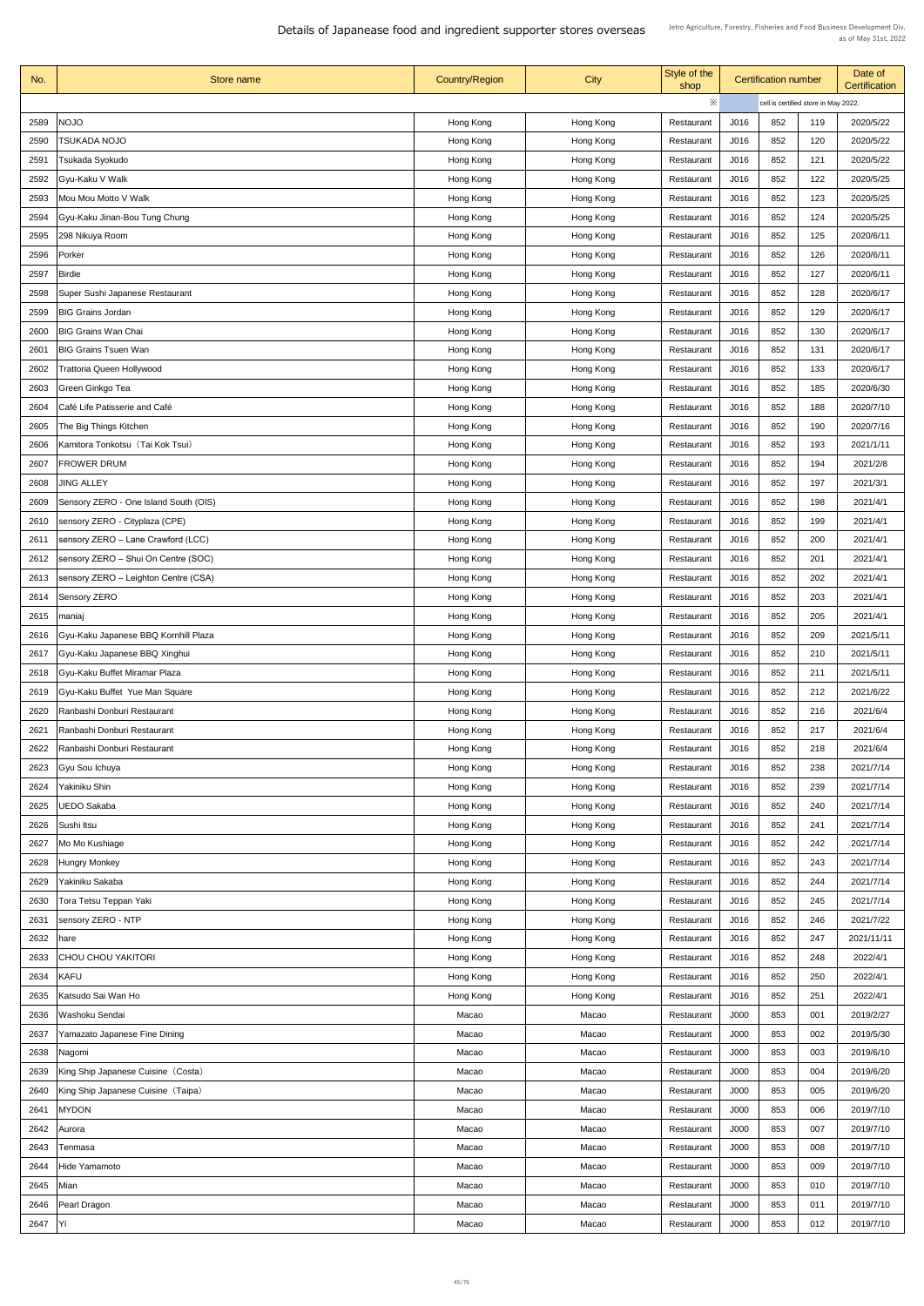| No.  | Store name                            | <b>Country/Region</b> | <b>City</b> | Style of the<br>shop | <b>Certification number</b> |                                      |     | Date of<br><b>Certification</b> |
|------|---------------------------------------|-----------------------|-------------|----------------------|-----------------------------|--------------------------------------|-----|---------------------------------|
|      |                                       |                       |             | ※                    |                             | cell is certified store in May 2022. |     |                                 |
| 2589 | <b>NOJO</b>                           | Hong Kong             | Hong Kong   | Restaurant           | J016                        | 852                                  | 119 | 2020/5/22                       |
| 2590 | <b>TSUKADA NOJO</b>                   | Hong Kong             | Hong Kong   | Restaurant           | J016                        | 852                                  | 120 | 2020/5/22                       |
| 2591 | Tsukada Syokudo                       | Hong Kong             | Hong Kong   | Restaurant           | J016                        | 852                                  | 121 | 2020/5/22                       |
| 2592 | Gyu-Kaku V Walk                       | Hong Kong             | Hong Kong   | Restaurant           | J016                        | 852                                  | 122 | 2020/5/25                       |
| 2593 | Mou Mou Motto V Walk                  | Hong Kong             | Hong Kong   | Restaurant           | J016                        | 852                                  | 123 | 2020/5/25                       |
| 2594 | Gyu-Kaku Jinan-Bou Tung Chung         | Hong Kong             | Hong Kong   | Restaurant           | J016                        | 852                                  | 124 | 2020/5/25                       |
| 2595 | 298 Nikuya Room                       | Hong Kong             | Hong Kong   | Restaurant           | J016                        | 852                                  | 125 | 2020/6/11                       |
| 2596 | Porker                                | Hong Kong             | Hong Kong   | Restaurant           | J016                        | 852                                  | 126 | 2020/6/11                       |
| 2597 | Birdie                                | Hong Kong             | Hong Kong   | Restaurant           | J016                        | 852                                  | 127 | 2020/6/11                       |
| 2598 | Super Sushi Japanese Restaurant       | Hong Kong             | Hong Kong   | Restaurant           | J016                        | 852                                  | 128 | 2020/6/17                       |
| 2599 | <b>BIG Grains Jordan</b>              | Hong Kong             | Hong Kong   | Restaurant           | J016                        | 852                                  | 129 | 2020/6/17                       |
| 2600 | <b>BIG Grains Wan Chai</b>            | Hong Kong             | Hong Kong   | Restaurant           | J016                        | 852                                  | 130 | 2020/6/17                       |
| 2601 | <b>BIG Grains Tsuen Wan</b>           | Hong Kong             | Hong Kong   | Restaurant           | J016                        | 852                                  | 131 | 2020/6/17                       |
| 2602 | <b>Trattoria Queen Hollywood</b>      | Hong Kong             | Hong Kong   | Restaurant           | J016                        | 852                                  | 133 | 2020/6/17                       |
| 2603 | Green Ginkgo Tea                      | Hong Kong             | Hong Kong   | Restaurant           | J016                        | 852                                  | 185 | 2020/6/30                       |
| 2604 | Café Life Patisserie and Café         | Hong Kong             | Hong Kong   | Restaurant           | J016                        | 852                                  | 188 | 2020/7/10                       |
| 2605 | The Big Things Kitchen                | Hong Kong             | Hong Kong   | Restaurant           | J016                        | 852                                  | 190 | 2020/7/16                       |
| 2606 | Kamitora Tonkotsu (Tai Kok Tsui)      | Hong Kong             | Hong Kong   | Restaurant           | J016                        | 852                                  | 193 | 2021/1/11                       |
| 2607 | <b>FROWER DRUM</b>                    | Hong Kong             | Hong Kong   | Restaurant           | J016                        | 852                                  | 194 | 2021/2/8                        |
|      |                                       |                       |             |                      |                             | 852                                  | 197 |                                 |
| 2608 | <b>JING ALLEY</b>                     | Hong Kong             | Hong Kong   | Restaurant           | J016                        |                                      |     | 2021/3/1                        |
| 2609 | Sensory ZERO - One Island South (OIS) | Hong Kong             | Hong Kong   | Restaurant           | J016                        | 852                                  | 198 | 2021/4/1                        |
| 2610 | sensory ZERO - Cityplaza (CPE)        | Hong Kong             | Hong Kong   | Restaurant           | J016                        | 852                                  | 199 | 2021/4/1                        |
| 2611 | sensory ZERO - Lane Crawford (LCC)    | Hong Kong             | Hong Kong   | Restaurant           | J016                        | 852                                  | 200 | 2021/4/1                        |
| 2612 | sensory ZERO - Shui On Centre (SOC)   | Hong Kong             | Hong Kong   | Restaurant           | J016                        | 852                                  | 201 | 2021/4/1                        |
| 2613 | sensory ZERO - Leighton Centre (CSA)  | Hong Kong             | Hong Kong   | Restaurant           | J016                        | 852                                  | 202 | 2021/4/1                        |
| 2614 | <b>Sensory ZERO</b>                   | Hong Kong             | Hong Kong   | Restaurant           | J016                        | 852                                  | 203 | 2021/4/1                        |
| 2615 | maniaj                                | Hong Kong             | Hong Kong   | Restaurant           | J016                        | 852                                  | 205 | 2021/4/1                        |
| 2616 | Gyu-Kaku Japanese BBQ Kornhill Plaza  | Hong Kong             | Hong Kong   | Restaurant           | J016                        | 852                                  | 209 | 2021/5/11                       |
| 2617 | Gyu-Kaku Japanese BBQ Xinghui         | Hong Kong             | Hong Kong   | Restaurant           | J016                        | 852                                  | 210 | 2021/5/11                       |
| 2618 | Gyu-Kaku Buffet Miramar Plaza         | Hong Kong             | Hong Kong   | Restaurant           | J016                        | 852                                  | 211 | 2021/5/11                       |
| 2619 | Gyu-Kaku Buffet Yue Man Square        | Hong Kong             | Hong Kong   | Restaurant           | J016                        | 852                                  | 212 | 2021/6/22                       |
| 2620 | Ranbashi Donburi Restaurant           | Hong Kong             | Hong Kong   | Restaurant           | J016                        | 852                                  | 216 | 2021/6/4                        |
| 2621 | Ranbashi Donburi Restaurant           | Hong Kong             | Hong Kong   | Restaurant           | J016                        | 852                                  | 217 | 2021/6/4                        |
| 2622 | Ranbashi Donburi Restaurant           | Hong Kong             | Hong Kong   | Restaurant           | J016                        | 852                                  | 218 | 2021/6/4                        |
| 2623 | <b>Gyu Sou Ichuya</b>                 | Hong Kong             | Hong Kong   | Restaurant           | J016                        | 852                                  | 238 | 2021/7/14                       |
| 2624 | Yakiniku Shin                         | Hong Kong             | Hong Kong   | Restaurant           | J016                        | 852                                  | 239 | 2021/7/14                       |
| 2625 | <b>UEDO Sakaba</b>                    | Hong Kong             | Hong Kong   | Restaurant           | J016                        | 852                                  | 240 | 2021/7/14                       |
| 2626 | Sushi Itsu                            | Hong Kong             | Hong Kong   | Restaurant           | J016                        | 852                                  | 241 | 2021/7/14                       |
| 2627 | Mo Mo Kushiage                        | Hong Kong             | Hong Kong   | Restaurant           | J016                        | 852                                  | 242 | 2021/7/14                       |
| 2628 | <b>Hungry Monkey</b>                  | Hong Kong             | Hong Kong   | Restaurant           | J016                        | 852                                  | 243 | 2021/7/14                       |
| 2629 | Yakiniku Sakaba                       | Hong Kong             | Hong Kong   | Restaurant           | J016                        | 852                                  | 244 | 2021/7/14                       |
|      | 2630   Tora Tetsu Teppan Yaki         | Hong Kong             | Hong Kong   | Restaurant           | J016                        | 852                                  | 245 | 2021/7/14                       |
| 2631 | sensory ZERO - NTP                    | Hong Kong             | Hong Kong   | Restaurant           | J016                        | 852                                  | 246 | 2021/7/22                       |
| 2632 | hare                                  | Hong Kong             | Hong Kong   | Restaurant           | J016                        | 852                                  | 247 | 2021/11/11                      |
| 2633 | <b>CHOU CHOU YAKITORI</b>             | Hong Kong             | Hong Kong   | Restaurant           | J016                        | 852                                  | 248 | 2022/4/1                        |
| 2634 | KAFU                                  | Hong Kong             | Hong Kong   | Restaurant           | J016                        | 852                                  | 250 | 2022/4/1                        |
| 2635 | Katsudo Sai Wan Ho                    | Hong Kong             | Hong Kong   | Restaurant           | J016                        | 852                                  | 251 | 2022/4/1                        |
| 2636 | Washoku Sendai                        | Macao                 | Macao       | Restaurant           | J000                        | 853                                  | 001 | 2019/2/27                       |
| 2637 | Yamazato Japanese Fine Dining         | Macao                 | Macao       | Restaurant           | J000                        | 853                                  | 002 | 2019/5/30                       |
| 2638 | Nagomi                                | Macao                 | Macao       | Restaurant           | J000                        | 853                                  | 003 | 2019/6/10                       |
| 2639 | King Ship Japanese Cuisine (Costa)    | Macao                 | Macao       | Restaurant           | J000                        | 853                                  | 004 | 2019/6/20                       |
| 2640 | King Ship Japanese Cuisine (Taipa)    | Macao                 | Macao       | Restaurant           | J000                        | 853                                  | 005 | 2019/6/20                       |
| 2641 | <b>MYDON</b>                          | Macao                 | Macao       | Restaurant           | J000                        | 853                                  | 006 | 2019/7/10                       |
| 2642 | Aurora                                | Macao                 | Macao       | Restaurant           | J000                        | 853                                  | 007 | 2019/7/10                       |
| 2643 | Tenmasa                               | Macao                 | Macao       | Restaurant           | J000                        | 853                                  | 008 | 2019/7/10                       |
| 2644 | Hide Yamamoto                         | Macao                 | Macao       | Restaurant           | J000                        | 853                                  | 009 | 2019/7/10                       |
| 2645 | Mian                                  | Macao                 | Macao       | Restaurant           | J000                        | 853                                  | 010 | 2019/7/10                       |
| 2646 | <b>Pearl Dragon</b>                   | Macao                 | Macao       | Restaurant           | J000                        | 853                                  | 011 | 2019/7/10                       |
| 2647 | Y                                     | Macao                 | Macao       | Restaurant           | J000                        | 853                                  | 012 | 2019/7/10                       |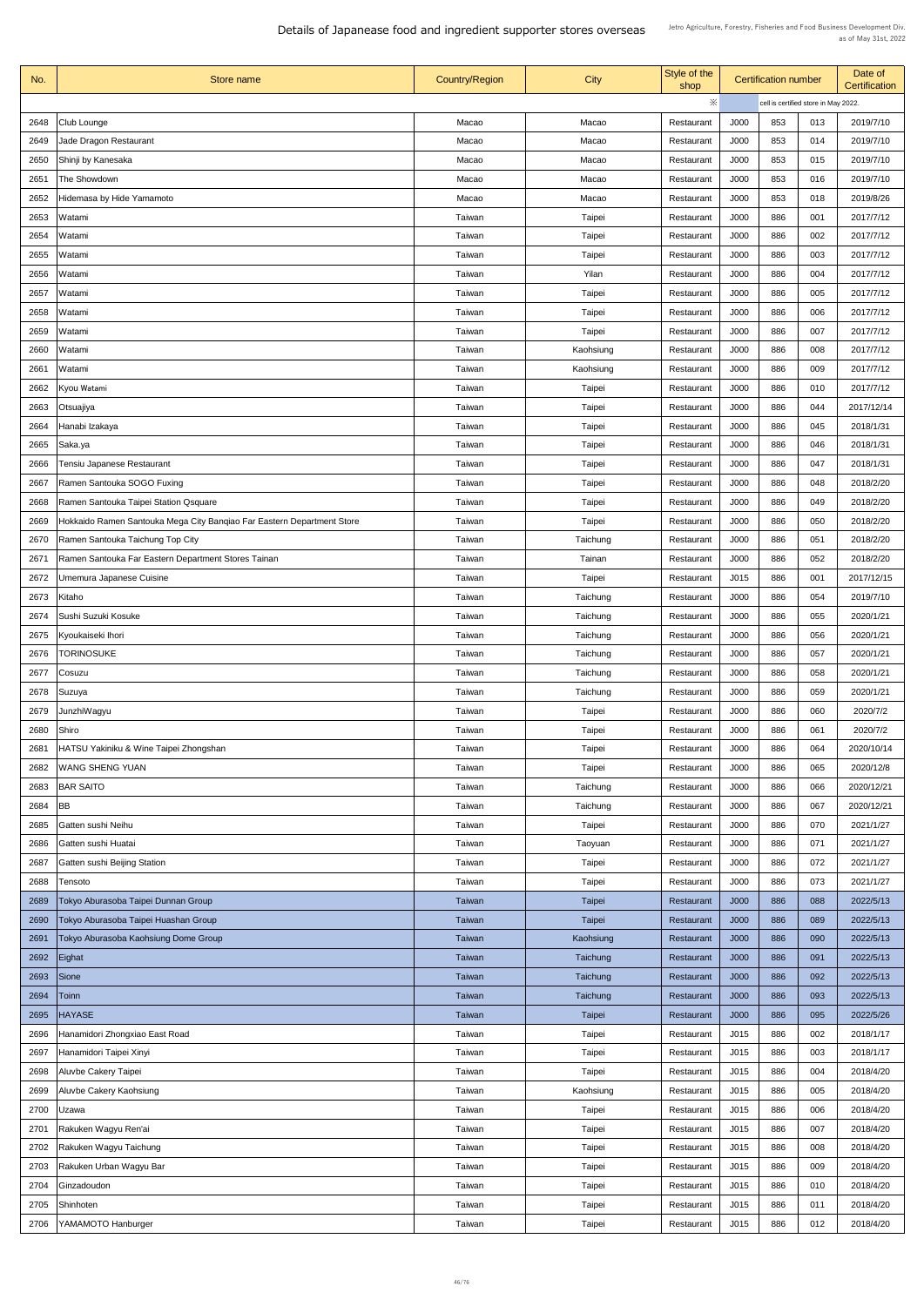| ※<br>cell is certified store in May 2022.<br>2648<br>J000<br>853<br>013<br>2019/7/10<br>Club Lounge<br>Macao<br>Macao<br>Restaurant<br><b>Jade Dragon Restaurant</b><br>2019/7/10<br>2649<br>Macao<br>J000<br>853<br>Macao<br>014<br>Restaurant<br>J000<br>853<br>2019/7/10<br>2650<br>Shinji by Kanesaka<br>Macao<br>015<br>Macao<br>Restaurant<br>853<br>2019/7/10<br>2651<br>The Showdown<br>J000<br>016<br>Macao<br>Macao<br>Restaurant<br>J000<br>853<br>2019/8/26<br>2652<br>Hidemasa by Hide Yamamoto<br>018<br>Macao<br>Macao<br>Restaurant<br>2017/7/12<br>2653<br>Taiwan<br>Taipei<br>J000<br>886<br>001<br>Watami<br>Restaurant<br>886<br>2654<br><b>Taipei</b><br>J000<br>002<br>2017/7/12<br>Taiwan<br>Watami<br>Restaurant<br>J000<br>886<br>003<br>2017/7/12<br>2655<br>Taiwan<br><b>Taipei</b><br>Watami<br>Restaurant<br>Taiwan<br>Yilan<br>J000<br>886<br>2017/7/12<br>2656<br>Watami<br>004<br>Restaurant<br>886<br>2657<br>Taiwan<br><b>Taipei</b><br>J000<br>2017/7/12<br>005<br>Watami<br>Restaurant<br>Taiwan<br>J000<br>886<br>2017/7/12<br>2658<br>Taipei<br>006<br>Watami<br>Restaurant<br>J000<br>886<br>2017/7/12<br>2659<br>Taiwan<br><b>Taipei</b><br>007<br>Watami<br>Restaurant<br>2660<br>Watami<br>2017/7/12<br>Taiwan<br>Kaohsiung<br>J000<br>886<br>008<br>Restaurant<br>2017/7/12<br>J000<br>886<br>009<br>2661<br>Watami<br>Taiwan<br>Kaohsiung<br>Restaurant<br>J000<br>2017/7/12<br>2662<br>Taiwan<br>886<br>010<br>Kyou Watami<br><b>Taipei</b><br>Restaurant<br><b>Taipei</b><br>J000<br>886<br>044<br>2017/12/14<br>2663<br>Taiwan<br> Otsuajiya<br>Restaurant<br>J000<br>886<br>2664<br>Taiwan<br>Taipei<br>045<br>2018/1/31<br>Hanabi Izakaya<br>Restaurant<br>J000<br>886<br>2665<br>046<br>2018/1/31<br>Saka.ya<br>Taiwan<br><b>Taipei</b><br>Restaurant<br>Taiwan<br><b>Taipei</b><br>J000<br>886<br>2018/1/31<br>2666<br>Tensiu Japanese Restaurant<br>047<br>Restaurant<br>J000<br>886<br>2667<br>Ramen Santouka SOGO Fuxing<br>Taiwan<br><b>Taipei</b><br>048<br>2018/2/20<br>Restaurant<br>Ramen Santouka Taipei Station Qsquare<br>J000<br>886<br>2668<br>Taiwan<br>Taipei<br>049<br>2018/2/20<br>Restaurant<br>2669<br>Hokkaido Ramen Santouka Mega City Banqiao Far Eastern Department Store<br><b>Taipei</b><br>J000<br>886<br>050<br>2018/2/20<br>Taiwan<br>Restaurant<br>2670<br>Ramen Santouka Taichung Top City<br>Taiwan<br>Taichung<br>J000<br>886<br>051<br>2018/2/20<br>Restaurant<br>J000<br>886<br>052<br>2671<br>Ramen Santouka Far Eastern Department Stores Tainan<br>Taiwan<br>Tainan<br>2018/2/20<br>Restaurant<br>2672<br>Umemura Japanese Cuisine<br>J015<br>886<br>001<br>2017/12/15<br>Taiwan<br>Taipei<br>Restaurant<br>2673<br>J000<br>Kitaho<br>Taiwan<br>886<br>054<br>2019/7/10<br>Taichung<br>Restaurant<br>J000<br>886<br>055<br>2674<br>Sushi Suzuki Kosuke<br>2020/1/21<br>Taiwan<br>Taichung<br>Restaurant<br>J000<br>886<br>056<br>2020/1/21<br>2675<br>Kyoukaiseki Ihori<br>Taiwan<br>Taichung<br>Restaurant<br><b>TORINOSUKE</b><br>Taichung<br>J000<br>886<br>2020/1/21<br>2676<br>Taiwan<br>057<br>Restaurant<br>886<br>2020/1/21<br>2677<br>Taiwan<br>Taichung<br>J000<br>058<br>Cosuzu<br>Restaurant<br>Taiwan<br>Taichung<br>J000<br>886<br>2020/1/21<br>2678<br>059<br> Suzuya<br>Restaurant<br>2679<br>JunzhiWagyu<br>Taiwan<br><b>Taipei</b><br>J000<br>886<br>060<br>2020/7/2<br>Restaurant<br>Shiro<br>2020/7/2<br>2680<br>Taiwan<br>Taipei<br>J000<br>886<br>061<br>Restaurant<br>Taiwan<br><b>Taipei</b><br>J000<br>886<br>2020/10/14<br>2681<br>HATSU Yakiniku & Wine Taipei Zhongshan<br>064<br>Restaurant<br>2682<br><b>WANG SHENG YUAN</b><br>J000<br>886<br>065<br>2020/12/8<br>Taiwan<br>Taipei<br>Restaurant<br>J000<br>2683<br><b>BAR SAITO</b><br>Taiwan<br>Taichung<br>886<br>066<br>2020/12/21<br>Restaurant<br>J000<br>886<br>067<br>2684<br>2020/12/21<br><b>BB</b><br>Taiwan<br>Taichung<br>Restaurant<br>J000<br>886<br>070<br>2685<br><b>Gatten sushi Neihu</b><br>Taiwan<br><b>Taipei</b><br>2021/1/27<br>Restaurant<br>2686<br>J000<br>886<br>071<br>2021/1/27<br>Gatten sushi Huatai<br>Taiwan<br>Taoyuan<br>Restaurant<br><b>Gatten sushi Beijing Station</b><br>Taipei<br>J000<br>886<br>2021/1/27<br>2687<br>Taiwan<br>072<br>Restaurant<br>Taiwan<br>J000<br>886<br>073<br>2021/1/27<br>2688<br><b>Taipei</b><br>Restaurant<br>Tensoto<br>2022/5/13<br>2689   Tokyo Aburasoba Taipei Dunnan Group<br><b>Taipei</b><br>J000<br>886<br>088<br><b>Taiwan</b><br>Restaurant<br>2690<br>Tokyo Aburasoba Taipei Huashan Group<br><b>J000</b><br>089<br>2022/5/13<br><b>Taiwan</b><br><b>Taipei</b><br>886<br>Restaurant<br>Tokyo Aburasoba Kaohsiung Dome Group<br>2691<br>J000<br>2022/5/13<br><b>Taiwan</b><br>Kaohsiung<br>886<br>090<br>Restaurant<br>2692<br>2022/5/13<br>Eighat<br>J000<br>886<br>091<br>Taiwan<br>Taichung<br>Restaurant<br>J000<br>2693<br>Sione<br><b>Taiwan</b><br>886<br>092<br>2022/5/13<br><b>Taichung</b><br>Restaurant<br>J000<br>2694<br>Toinn<br>Taichung<br>886<br>093<br>2022/5/13<br><b>Taiwan</b><br>Restaurant<br>2695<br><b>HAYASE</b><br>J000<br>886<br>095<br>2022/5/26<br><b>Taiwan</b><br><b>Taipei</b><br>Restaurant<br>2696<br>Hanamidori Zhongxiao East Road<br>J015<br>886<br>002<br>2018/1/17<br>Taiwan<br>Taipei<br>Restaurant<br>Hanamidori Taipei Xinyi<br>Taipei<br>2018/1/17<br>2697<br>Taiwan<br>J015<br>886<br>003<br>Restaurant<br>2698<br>Aluvbe Cakery Taipei<br>Taiwan<br>J015<br>886<br>Taipei<br>004<br>2018/4/20<br>Restaurant<br>J015<br>886<br>2018/4/20<br>2699<br>Aluvbe Cakery Kaohsiung<br>Taiwan<br>Kaohsiung<br>005<br>Restaurant<br>J015<br>886<br>2700<br>Taiwan<br>Taipei<br>006<br>2018/4/20<br>Uzawa<br>Restaurant<br>Rakuken Wagyu Ren'ai<br>2701<br>Taiwan<br>Taipei<br>J015<br>886<br>007<br>2018/4/20<br>Restaurant<br>2702<br>Rakuken Wagyu Taichung<br>J015<br>886<br>Taiwan<br><b>Taipei</b><br>008<br>2018/4/20<br>Restaurant<br>Rakuken Urban Wagyu Bar<br>J015<br>2703<br>886<br>009<br>2018/4/20<br>Taiwan<br><b>Taipei</b><br>Restaurant<br>Ginzadoudon<br>2018/4/20<br>Taiwan<br>Taipei<br>2704<br>J015<br>010<br>Restaurant<br>886<br>J015<br>886<br>2705<br>Shinhoten<br>Taiwan<br>Taipei<br>011<br>2018/4/20<br>Restaurant<br>J015<br>886<br>YAMAMOTO Hanburger<br>Taipei<br>012<br>2018/4/20<br>2706<br>Taiwan<br>Restaurant | No. | Store name | <b>Country/Region</b> | <b>City</b> | Style of the<br>shop | <b>Certification number</b> |  | Date of<br>Certification |  |
|-----------------------------------------------------------------------------------------------------------------------------------------------------------------------------------------------------------------------------------------------------------------------------------------------------------------------------------------------------------------------------------------------------------------------------------------------------------------------------------------------------------------------------------------------------------------------------------------------------------------------------------------------------------------------------------------------------------------------------------------------------------------------------------------------------------------------------------------------------------------------------------------------------------------------------------------------------------------------------------------------------------------------------------------------------------------------------------------------------------------------------------------------------------------------------------------------------------------------------------------------------------------------------------------------------------------------------------------------------------------------------------------------------------------------------------------------------------------------------------------------------------------------------------------------------------------------------------------------------------------------------------------------------------------------------------------------------------------------------------------------------------------------------------------------------------------------------------------------------------------------------------------------------------------------------------------------------------------------------------------------------------------------------------------------------------------------------------------------------------------------------------------------------------------------------------------------------------------------------------------------------------------------------------------------------------------------------------------------------------------------------------------------------------------------------------------------------------------------------------------------------------------------------------------------------------------------------------------------------------------------------------------------------------------------------------------------------------------------------------------------------------------------------------------------------------------------------------------------------------------------------------------------------------------------------------------------------------------------------------------------------------------------------------------------------------------------------------------------------------------------------------------------------------------------------------------------------------------------------------------------------------------------------------------------------------------------------------------------------------------------------------------------------------------------------------------------------------------------------------------------------------------------------------------------------------------------------------------------------------------------------------------------------------------------------------------------------------------------------------------------------------------------------------------------------------------------------------------------------------------------------------------------------------------------------------------------------------------------------------------------------------------------------------------------------------------------------------------------------------------------------------------------------------------------------------------------------------------------------------------------------------------------------------------------------------------------------------------------------------------------------------------------------------------------------------------------------------------------------------------------------------------------------------------------------------------------------------------------------------------------------------------------------------------------------------------------------------------------------------------------------------------------------------------------------------------------------------------------------------------------------------------------------------------------------------------------------------------------------------------------------------------------------------------------------------------------------------------------------------------------------------------------------------------------------------------------------------------------------------------------------------------------------------------------------------------------------------------------------------------------------------------------------------------------------------------------------------------------------------------------------------------------------------------------------------------------------------------------------------------------------------------------------------------------------------------------------------------------------------------------------------------------------------------------------------------------------------------------------------------------------------------------------------------------------------------------------------------------------------------------------------------------------------------------------------------------------------------------------------------------------------------------------------------------------------------------------------------------------------------------------------------------------------------------------------------------------------------------|-----|------------|-----------------------|-------------|----------------------|-----------------------------|--|--------------------------|--|
|                                                                                                                                                                                                                                                                                                                                                                                                                                                                                                                                                                                                                                                                                                                                                                                                                                                                                                                                                                                                                                                                                                                                                                                                                                                                                                                                                                                                                                                                                                                                                                                                                                                                                                                                                                                                                                                                                                                                                                                                                                                                                                                                                                                                                                                                                                                                                                                                                                                                                                                                                                                                                                                                                                                                                                                                                                                                                                                                                                                                                                                                                                                                                                                                                                                                                                                                                                                                                                                                                                                                                                                                                                                                                                                                                                                                                                                                                                                                                                                                                                                                                                                                                                                                                                                                                                                                                                                                                                                                                                                                                                                                                                                                                                                                                                                                                                                                                                                                                                                                                                                                                                                                                                                                                                                                                                                                                                                                                                                                                                                                                                                                                                                                                                                                                                                                                                                                                                                                                                                                                                                                                                                                                                                                                                                                                                                                               |     |            |                       |             |                      |                             |  |                          |  |
|                                                                                                                                                                                                                                                                                                                                                                                                                                                                                                                                                                                                                                                                                                                                                                                                                                                                                                                                                                                                                                                                                                                                                                                                                                                                                                                                                                                                                                                                                                                                                                                                                                                                                                                                                                                                                                                                                                                                                                                                                                                                                                                                                                                                                                                                                                                                                                                                                                                                                                                                                                                                                                                                                                                                                                                                                                                                                                                                                                                                                                                                                                                                                                                                                                                                                                                                                                                                                                                                                                                                                                                                                                                                                                                                                                                                                                                                                                                                                                                                                                                                                                                                                                                                                                                                                                                                                                                                                                                                                                                                                                                                                                                                                                                                                                                                                                                                                                                                                                                                                                                                                                                                                                                                                                                                                                                                                                                                                                                                                                                                                                                                                                                                                                                                                                                                                                                                                                                                                                                                                                                                                                                                                                                                                                                                                                                                               |     |            |                       |             |                      |                             |  |                          |  |
|                                                                                                                                                                                                                                                                                                                                                                                                                                                                                                                                                                                                                                                                                                                                                                                                                                                                                                                                                                                                                                                                                                                                                                                                                                                                                                                                                                                                                                                                                                                                                                                                                                                                                                                                                                                                                                                                                                                                                                                                                                                                                                                                                                                                                                                                                                                                                                                                                                                                                                                                                                                                                                                                                                                                                                                                                                                                                                                                                                                                                                                                                                                                                                                                                                                                                                                                                                                                                                                                                                                                                                                                                                                                                                                                                                                                                                                                                                                                                                                                                                                                                                                                                                                                                                                                                                                                                                                                                                                                                                                                                                                                                                                                                                                                                                                                                                                                                                                                                                                                                                                                                                                                                                                                                                                                                                                                                                                                                                                                                                                                                                                                                                                                                                                                                                                                                                                                                                                                                                                                                                                                                                                                                                                                                                                                                                                                               |     |            |                       |             |                      |                             |  |                          |  |
|                                                                                                                                                                                                                                                                                                                                                                                                                                                                                                                                                                                                                                                                                                                                                                                                                                                                                                                                                                                                                                                                                                                                                                                                                                                                                                                                                                                                                                                                                                                                                                                                                                                                                                                                                                                                                                                                                                                                                                                                                                                                                                                                                                                                                                                                                                                                                                                                                                                                                                                                                                                                                                                                                                                                                                                                                                                                                                                                                                                                                                                                                                                                                                                                                                                                                                                                                                                                                                                                                                                                                                                                                                                                                                                                                                                                                                                                                                                                                                                                                                                                                                                                                                                                                                                                                                                                                                                                                                                                                                                                                                                                                                                                                                                                                                                                                                                                                                                                                                                                                                                                                                                                                                                                                                                                                                                                                                                                                                                                                                                                                                                                                                                                                                                                                                                                                                                                                                                                                                                                                                                                                                                                                                                                                                                                                                                                               |     |            |                       |             |                      |                             |  |                          |  |
|                                                                                                                                                                                                                                                                                                                                                                                                                                                                                                                                                                                                                                                                                                                                                                                                                                                                                                                                                                                                                                                                                                                                                                                                                                                                                                                                                                                                                                                                                                                                                                                                                                                                                                                                                                                                                                                                                                                                                                                                                                                                                                                                                                                                                                                                                                                                                                                                                                                                                                                                                                                                                                                                                                                                                                                                                                                                                                                                                                                                                                                                                                                                                                                                                                                                                                                                                                                                                                                                                                                                                                                                                                                                                                                                                                                                                                                                                                                                                                                                                                                                                                                                                                                                                                                                                                                                                                                                                                                                                                                                                                                                                                                                                                                                                                                                                                                                                                                                                                                                                                                                                                                                                                                                                                                                                                                                                                                                                                                                                                                                                                                                                                                                                                                                                                                                                                                                                                                                                                                                                                                                                                                                                                                                                                                                                                                                               |     |            |                       |             |                      |                             |  |                          |  |
|                                                                                                                                                                                                                                                                                                                                                                                                                                                                                                                                                                                                                                                                                                                                                                                                                                                                                                                                                                                                                                                                                                                                                                                                                                                                                                                                                                                                                                                                                                                                                                                                                                                                                                                                                                                                                                                                                                                                                                                                                                                                                                                                                                                                                                                                                                                                                                                                                                                                                                                                                                                                                                                                                                                                                                                                                                                                                                                                                                                                                                                                                                                                                                                                                                                                                                                                                                                                                                                                                                                                                                                                                                                                                                                                                                                                                                                                                                                                                                                                                                                                                                                                                                                                                                                                                                                                                                                                                                                                                                                                                                                                                                                                                                                                                                                                                                                                                                                                                                                                                                                                                                                                                                                                                                                                                                                                                                                                                                                                                                                                                                                                                                                                                                                                                                                                                                                                                                                                                                                                                                                                                                                                                                                                                                                                                                                                               |     |            |                       |             |                      |                             |  |                          |  |
|                                                                                                                                                                                                                                                                                                                                                                                                                                                                                                                                                                                                                                                                                                                                                                                                                                                                                                                                                                                                                                                                                                                                                                                                                                                                                                                                                                                                                                                                                                                                                                                                                                                                                                                                                                                                                                                                                                                                                                                                                                                                                                                                                                                                                                                                                                                                                                                                                                                                                                                                                                                                                                                                                                                                                                                                                                                                                                                                                                                                                                                                                                                                                                                                                                                                                                                                                                                                                                                                                                                                                                                                                                                                                                                                                                                                                                                                                                                                                                                                                                                                                                                                                                                                                                                                                                                                                                                                                                                                                                                                                                                                                                                                                                                                                                                                                                                                                                                                                                                                                                                                                                                                                                                                                                                                                                                                                                                                                                                                                                                                                                                                                                                                                                                                                                                                                                                                                                                                                                                                                                                                                                                                                                                                                                                                                                                                               |     |            |                       |             |                      |                             |  |                          |  |
|                                                                                                                                                                                                                                                                                                                                                                                                                                                                                                                                                                                                                                                                                                                                                                                                                                                                                                                                                                                                                                                                                                                                                                                                                                                                                                                                                                                                                                                                                                                                                                                                                                                                                                                                                                                                                                                                                                                                                                                                                                                                                                                                                                                                                                                                                                                                                                                                                                                                                                                                                                                                                                                                                                                                                                                                                                                                                                                                                                                                                                                                                                                                                                                                                                                                                                                                                                                                                                                                                                                                                                                                                                                                                                                                                                                                                                                                                                                                                                                                                                                                                                                                                                                                                                                                                                                                                                                                                                                                                                                                                                                                                                                                                                                                                                                                                                                                                                                                                                                                                                                                                                                                                                                                                                                                                                                                                                                                                                                                                                                                                                                                                                                                                                                                                                                                                                                                                                                                                                                                                                                                                                                                                                                                                                                                                                                                               |     |            |                       |             |                      |                             |  |                          |  |
|                                                                                                                                                                                                                                                                                                                                                                                                                                                                                                                                                                                                                                                                                                                                                                                                                                                                                                                                                                                                                                                                                                                                                                                                                                                                                                                                                                                                                                                                                                                                                                                                                                                                                                                                                                                                                                                                                                                                                                                                                                                                                                                                                                                                                                                                                                                                                                                                                                                                                                                                                                                                                                                                                                                                                                                                                                                                                                                                                                                                                                                                                                                                                                                                                                                                                                                                                                                                                                                                                                                                                                                                                                                                                                                                                                                                                                                                                                                                                                                                                                                                                                                                                                                                                                                                                                                                                                                                                                                                                                                                                                                                                                                                                                                                                                                                                                                                                                                                                                                                                                                                                                                                                                                                                                                                                                                                                                                                                                                                                                                                                                                                                                                                                                                                                                                                                                                                                                                                                                                                                                                                                                                                                                                                                                                                                                                                               |     |            |                       |             |                      |                             |  |                          |  |
|                                                                                                                                                                                                                                                                                                                                                                                                                                                                                                                                                                                                                                                                                                                                                                                                                                                                                                                                                                                                                                                                                                                                                                                                                                                                                                                                                                                                                                                                                                                                                                                                                                                                                                                                                                                                                                                                                                                                                                                                                                                                                                                                                                                                                                                                                                                                                                                                                                                                                                                                                                                                                                                                                                                                                                                                                                                                                                                                                                                                                                                                                                                                                                                                                                                                                                                                                                                                                                                                                                                                                                                                                                                                                                                                                                                                                                                                                                                                                                                                                                                                                                                                                                                                                                                                                                                                                                                                                                                                                                                                                                                                                                                                                                                                                                                                                                                                                                                                                                                                                                                                                                                                                                                                                                                                                                                                                                                                                                                                                                                                                                                                                                                                                                                                                                                                                                                                                                                                                                                                                                                                                                                                                                                                                                                                                                                                               |     |            |                       |             |                      |                             |  |                          |  |
|                                                                                                                                                                                                                                                                                                                                                                                                                                                                                                                                                                                                                                                                                                                                                                                                                                                                                                                                                                                                                                                                                                                                                                                                                                                                                                                                                                                                                                                                                                                                                                                                                                                                                                                                                                                                                                                                                                                                                                                                                                                                                                                                                                                                                                                                                                                                                                                                                                                                                                                                                                                                                                                                                                                                                                                                                                                                                                                                                                                                                                                                                                                                                                                                                                                                                                                                                                                                                                                                                                                                                                                                                                                                                                                                                                                                                                                                                                                                                                                                                                                                                                                                                                                                                                                                                                                                                                                                                                                                                                                                                                                                                                                                                                                                                                                                                                                                                                                                                                                                                                                                                                                                                                                                                                                                                                                                                                                                                                                                                                                                                                                                                                                                                                                                                                                                                                                                                                                                                                                                                                                                                                                                                                                                                                                                                                                                               |     |            |                       |             |                      |                             |  |                          |  |
|                                                                                                                                                                                                                                                                                                                                                                                                                                                                                                                                                                                                                                                                                                                                                                                                                                                                                                                                                                                                                                                                                                                                                                                                                                                                                                                                                                                                                                                                                                                                                                                                                                                                                                                                                                                                                                                                                                                                                                                                                                                                                                                                                                                                                                                                                                                                                                                                                                                                                                                                                                                                                                                                                                                                                                                                                                                                                                                                                                                                                                                                                                                                                                                                                                                                                                                                                                                                                                                                                                                                                                                                                                                                                                                                                                                                                                                                                                                                                                                                                                                                                                                                                                                                                                                                                                                                                                                                                                                                                                                                                                                                                                                                                                                                                                                                                                                                                                                                                                                                                                                                                                                                                                                                                                                                                                                                                                                                                                                                                                                                                                                                                                                                                                                                                                                                                                                                                                                                                                                                                                                                                                                                                                                                                                                                                                                                               |     |            |                       |             |                      |                             |  |                          |  |
|                                                                                                                                                                                                                                                                                                                                                                                                                                                                                                                                                                                                                                                                                                                                                                                                                                                                                                                                                                                                                                                                                                                                                                                                                                                                                                                                                                                                                                                                                                                                                                                                                                                                                                                                                                                                                                                                                                                                                                                                                                                                                                                                                                                                                                                                                                                                                                                                                                                                                                                                                                                                                                                                                                                                                                                                                                                                                                                                                                                                                                                                                                                                                                                                                                                                                                                                                                                                                                                                                                                                                                                                                                                                                                                                                                                                                                                                                                                                                                                                                                                                                                                                                                                                                                                                                                                                                                                                                                                                                                                                                                                                                                                                                                                                                                                                                                                                                                                                                                                                                                                                                                                                                                                                                                                                                                                                                                                                                                                                                                                                                                                                                                                                                                                                                                                                                                                                                                                                                                                                                                                                                                                                                                                                                                                                                                                                               |     |            |                       |             |                      |                             |  |                          |  |
|                                                                                                                                                                                                                                                                                                                                                                                                                                                                                                                                                                                                                                                                                                                                                                                                                                                                                                                                                                                                                                                                                                                                                                                                                                                                                                                                                                                                                                                                                                                                                                                                                                                                                                                                                                                                                                                                                                                                                                                                                                                                                                                                                                                                                                                                                                                                                                                                                                                                                                                                                                                                                                                                                                                                                                                                                                                                                                                                                                                                                                                                                                                                                                                                                                                                                                                                                                                                                                                                                                                                                                                                                                                                                                                                                                                                                                                                                                                                                                                                                                                                                                                                                                                                                                                                                                                                                                                                                                                                                                                                                                                                                                                                                                                                                                                                                                                                                                                                                                                                                                                                                                                                                                                                                                                                                                                                                                                                                                                                                                                                                                                                                                                                                                                                                                                                                                                                                                                                                                                                                                                                                                                                                                                                                                                                                                                                               |     |            |                       |             |                      |                             |  |                          |  |
|                                                                                                                                                                                                                                                                                                                                                                                                                                                                                                                                                                                                                                                                                                                                                                                                                                                                                                                                                                                                                                                                                                                                                                                                                                                                                                                                                                                                                                                                                                                                                                                                                                                                                                                                                                                                                                                                                                                                                                                                                                                                                                                                                                                                                                                                                                                                                                                                                                                                                                                                                                                                                                                                                                                                                                                                                                                                                                                                                                                                                                                                                                                                                                                                                                                                                                                                                                                                                                                                                                                                                                                                                                                                                                                                                                                                                                                                                                                                                                                                                                                                                                                                                                                                                                                                                                                                                                                                                                                                                                                                                                                                                                                                                                                                                                                                                                                                                                                                                                                                                                                                                                                                                                                                                                                                                                                                                                                                                                                                                                                                                                                                                                                                                                                                                                                                                                                                                                                                                                                                                                                                                                                                                                                                                                                                                                                                               |     |            |                       |             |                      |                             |  |                          |  |
|                                                                                                                                                                                                                                                                                                                                                                                                                                                                                                                                                                                                                                                                                                                                                                                                                                                                                                                                                                                                                                                                                                                                                                                                                                                                                                                                                                                                                                                                                                                                                                                                                                                                                                                                                                                                                                                                                                                                                                                                                                                                                                                                                                                                                                                                                                                                                                                                                                                                                                                                                                                                                                                                                                                                                                                                                                                                                                                                                                                                                                                                                                                                                                                                                                                                                                                                                                                                                                                                                                                                                                                                                                                                                                                                                                                                                                                                                                                                                                                                                                                                                                                                                                                                                                                                                                                                                                                                                                                                                                                                                                                                                                                                                                                                                                                                                                                                                                                                                                                                                                                                                                                                                                                                                                                                                                                                                                                                                                                                                                                                                                                                                                                                                                                                                                                                                                                                                                                                                                                                                                                                                                                                                                                                                                                                                                                                               |     |            |                       |             |                      |                             |  |                          |  |
|                                                                                                                                                                                                                                                                                                                                                                                                                                                                                                                                                                                                                                                                                                                                                                                                                                                                                                                                                                                                                                                                                                                                                                                                                                                                                                                                                                                                                                                                                                                                                                                                                                                                                                                                                                                                                                                                                                                                                                                                                                                                                                                                                                                                                                                                                                                                                                                                                                                                                                                                                                                                                                                                                                                                                                                                                                                                                                                                                                                                                                                                                                                                                                                                                                                                                                                                                                                                                                                                                                                                                                                                                                                                                                                                                                                                                                                                                                                                                                                                                                                                                                                                                                                                                                                                                                                                                                                                                                                                                                                                                                                                                                                                                                                                                                                                                                                                                                                                                                                                                                                                                                                                                                                                                                                                                                                                                                                                                                                                                                                                                                                                                                                                                                                                                                                                                                                                                                                                                                                                                                                                                                                                                                                                                                                                                                                                               |     |            |                       |             |                      |                             |  |                          |  |
|                                                                                                                                                                                                                                                                                                                                                                                                                                                                                                                                                                                                                                                                                                                                                                                                                                                                                                                                                                                                                                                                                                                                                                                                                                                                                                                                                                                                                                                                                                                                                                                                                                                                                                                                                                                                                                                                                                                                                                                                                                                                                                                                                                                                                                                                                                                                                                                                                                                                                                                                                                                                                                                                                                                                                                                                                                                                                                                                                                                                                                                                                                                                                                                                                                                                                                                                                                                                                                                                                                                                                                                                                                                                                                                                                                                                                                                                                                                                                                                                                                                                                                                                                                                                                                                                                                                                                                                                                                                                                                                                                                                                                                                                                                                                                                                                                                                                                                                                                                                                                                                                                                                                                                                                                                                                                                                                                                                                                                                                                                                                                                                                                                                                                                                                                                                                                                                                                                                                                                                                                                                                                                                                                                                                                                                                                                                                               |     |            |                       |             |                      |                             |  |                          |  |
|                                                                                                                                                                                                                                                                                                                                                                                                                                                                                                                                                                                                                                                                                                                                                                                                                                                                                                                                                                                                                                                                                                                                                                                                                                                                                                                                                                                                                                                                                                                                                                                                                                                                                                                                                                                                                                                                                                                                                                                                                                                                                                                                                                                                                                                                                                                                                                                                                                                                                                                                                                                                                                                                                                                                                                                                                                                                                                                                                                                                                                                                                                                                                                                                                                                                                                                                                                                                                                                                                                                                                                                                                                                                                                                                                                                                                                                                                                                                                                                                                                                                                                                                                                                                                                                                                                                                                                                                                                                                                                                                                                                                                                                                                                                                                                                                                                                                                                                                                                                                                                                                                                                                                                                                                                                                                                                                                                                                                                                                                                                                                                                                                                                                                                                                                                                                                                                                                                                                                                                                                                                                                                                                                                                                                                                                                                                                               |     |            |                       |             |                      |                             |  |                          |  |
|                                                                                                                                                                                                                                                                                                                                                                                                                                                                                                                                                                                                                                                                                                                                                                                                                                                                                                                                                                                                                                                                                                                                                                                                                                                                                                                                                                                                                                                                                                                                                                                                                                                                                                                                                                                                                                                                                                                                                                                                                                                                                                                                                                                                                                                                                                                                                                                                                                                                                                                                                                                                                                                                                                                                                                                                                                                                                                                                                                                                                                                                                                                                                                                                                                                                                                                                                                                                                                                                                                                                                                                                                                                                                                                                                                                                                                                                                                                                                                                                                                                                                                                                                                                                                                                                                                                                                                                                                                                                                                                                                                                                                                                                                                                                                                                                                                                                                                                                                                                                                                                                                                                                                                                                                                                                                                                                                                                                                                                                                                                                                                                                                                                                                                                                                                                                                                                                                                                                                                                                                                                                                                                                                                                                                                                                                                                                               |     |            |                       |             |                      |                             |  |                          |  |
|                                                                                                                                                                                                                                                                                                                                                                                                                                                                                                                                                                                                                                                                                                                                                                                                                                                                                                                                                                                                                                                                                                                                                                                                                                                                                                                                                                                                                                                                                                                                                                                                                                                                                                                                                                                                                                                                                                                                                                                                                                                                                                                                                                                                                                                                                                                                                                                                                                                                                                                                                                                                                                                                                                                                                                                                                                                                                                                                                                                                                                                                                                                                                                                                                                                                                                                                                                                                                                                                                                                                                                                                                                                                                                                                                                                                                                                                                                                                                                                                                                                                                                                                                                                                                                                                                                                                                                                                                                                                                                                                                                                                                                                                                                                                                                                                                                                                                                                                                                                                                                                                                                                                                                                                                                                                                                                                                                                                                                                                                                                                                                                                                                                                                                                                                                                                                                                                                                                                                                                                                                                                                                                                                                                                                                                                                                                                               |     |            |                       |             |                      |                             |  |                          |  |
|                                                                                                                                                                                                                                                                                                                                                                                                                                                                                                                                                                                                                                                                                                                                                                                                                                                                                                                                                                                                                                                                                                                                                                                                                                                                                                                                                                                                                                                                                                                                                                                                                                                                                                                                                                                                                                                                                                                                                                                                                                                                                                                                                                                                                                                                                                                                                                                                                                                                                                                                                                                                                                                                                                                                                                                                                                                                                                                                                                                                                                                                                                                                                                                                                                                                                                                                                                                                                                                                                                                                                                                                                                                                                                                                                                                                                                                                                                                                                                                                                                                                                                                                                                                                                                                                                                                                                                                                                                                                                                                                                                                                                                                                                                                                                                                                                                                                                                                                                                                                                                                                                                                                                                                                                                                                                                                                                                                                                                                                                                                                                                                                                                                                                                                                                                                                                                                                                                                                                                                                                                                                                                                                                                                                                                                                                                                                               |     |            |                       |             |                      |                             |  |                          |  |
|                                                                                                                                                                                                                                                                                                                                                                                                                                                                                                                                                                                                                                                                                                                                                                                                                                                                                                                                                                                                                                                                                                                                                                                                                                                                                                                                                                                                                                                                                                                                                                                                                                                                                                                                                                                                                                                                                                                                                                                                                                                                                                                                                                                                                                                                                                                                                                                                                                                                                                                                                                                                                                                                                                                                                                                                                                                                                                                                                                                                                                                                                                                                                                                                                                                                                                                                                                                                                                                                                                                                                                                                                                                                                                                                                                                                                                                                                                                                                                                                                                                                                                                                                                                                                                                                                                                                                                                                                                                                                                                                                                                                                                                                                                                                                                                                                                                                                                                                                                                                                                                                                                                                                                                                                                                                                                                                                                                                                                                                                                                                                                                                                                                                                                                                                                                                                                                                                                                                                                                                                                                                                                                                                                                                                                                                                                                                               |     |            |                       |             |                      |                             |  |                          |  |
|                                                                                                                                                                                                                                                                                                                                                                                                                                                                                                                                                                                                                                                                                                                                                                                                                                                                                                                                                                                                                                                                                                                                                                                                                                                                                                                                                                                                                                                                                                                                                                                                                                                                                                                                                                                                                                                                                                                                                                                                                                                                                                                                                                                                                                                                                                                                                                                                                                                                                                                                                                                                                                                                                                                                                                                                                                                                                                                                                                                                                                                                                                                                                                                                                                                                                                                                                                                                                                                                                                                                                                                                                                                                                                                                                                                                                                                                                                                                                                                                                                                                                                                                                                                                                                                                                                                                                                                                                                                                                                                                                                                                                                                                                                                                                                                                                                                                                                                                                                                                                                                                                                                                                                                                                                                                                                                                                                                                                                                                                                                                                                                                                                                                                                                                                                                                                                                                                                                                                                                                                                                                                                                                                                                                                                                                                                                                               |     |            |                       |             |                      |                             |  |                          |  |
|                                                                                                                                                                                                                                                                                                                                                                                                                                                                                                                                                                                                                                                                                                                                                                                                                                                                                                                                                                                                                                                                                                                                                                                                                                                                                                                                                                                                                                                                                                                                                                                                                                                                                                                                                                                                                                                                                                                                                                                                                                                                                                                                                                                                                                                                                                                                                                                                                                                                                                                                                                                                                                                                                                                                                                                                                                                                                                                                                                                                                                                                                                                                                                                                                                                                                                                                                                                                                                                                                                                                                                                                                                                                                                                                                                                                                                                                                                                                                                                                                                                                                                                                                                                                                                                                                                                                                                                                                                                                                                                                                                                                                                                                                                                                                                                                                                                                                                                                                                                                                                                                                                                                                                                                                                                                                                                                                                                                                                                                                                                                                                                                                                                                                                                                                                                                                                                                                                                                                                                                                                                                                                                                                                                                                                                                                                                                               |     |            |                       |             |                      |                             |  |                          |  |
|                                                                                                                                                                                                                                                                                                                                                                                                                                                                                                                                                                                                                                                                                                                                                                                                                                                                                                                                                                                                                                                                                                                                                                                                                                                                                                                                                                                                                                                                                                                                                                                                                                                                                                                                                                                                                                                                                                                                                                                                                                                                                                                                                                                                                                                                                                                                                                                                                                                                                                                                                                                                                                                                                                                                                                                                                                                                                                                                                                                                                                                                                                                                                                                                                                                                                                                                                                                                                                                                                                                                                                                                                                                                                                                                                                                                                                                                                                                                                                                                                                                                                                                                                                                                                                                                                                                                                                                                                                                                                                                                                                                                                                                                                                                                                                                                                                                                                                                                                                                                                                                                                                                                                                                                                                                                                                                                                                                                                                                                                                                                                                                                                                                                                                                                                                                                                                                                                                                                                                                                                                                                                                                                                                                                                                                                                                                                               |     |            |                       |             |                      |                             |  |                          |  |
|                                                                                                                                                                                                                                                                                                                                                                                                                                                                                                                                                                                                                                                                                                                                                                                                                                                                                                                                                                                                                                                                                                                                                                                                                                                                                                                                                                                                                                                                                                                                                                                                                                                                                                                                                                                                                                                                                                                                                                                                                                                                                                                                                                                                                                                                                                                                                                                                                                                                                                                                                                                                                                                                                                                                                                                                                                                                                                                                                                                                                                                                                                                                                                                                                                                                                                                                                                                                                                                                                                                                                                                                                                                                                                                                                                                                                                                                                                                                                                                                                                                                                                                                                                                                                                                                                                                                                                                                                                                                                                                                                                                                                                                                                                                                                                                                                                                                                                                                                                                                                                                                                                                                                                                                                                                                                                                                                                                                                                                                                                                                                                                                                                                                                                                                                                                                                                                                                                                                                                                                                                                                                                                                                                                                                                                                                                                                               |     |            |                       |             |                      |                             |  |                          |  |
|                                                                                                                                                                                                                                                                                                                                                                                                                                                                                                                                                                                                                                                                                                                                                                                                                                                                                                                                                                                                                                                                                                                                                                                                                                                                                                                                                                                                                                                                                                                                                                                                                                                                                                                                                                                                                                                                                                                                                                                                                                                                                                                                                                                                                                                                                                                                                                                                                                                                                                                                                                                                                                                                                                                                                                                                                                                                                                                                                                                                                                                                                                                                                                                                                                                                                                                                                                                                                                                                                                                                                                                                                                                                                                                                                                                                                                                                                                                                                                                                                                                                                                                                                                                                                                                                                                                                                                                                                                                                                                                                                                                                                                                                                                                                                                                                                                                                                                                                                                                                                                                                                                                                                                                                                                                                                                                                                                                                                                                                                                                                                                                                                                                                                                                                                                                                                                                                                                                                                                                                                                                                                                                                                                                                                                                                                                                                               |     |            |                       |             |                      |                             |  |                          |  |
|                                                                                                                                                                                                                                                                                                                                                                                                                                                                                                                                                                                                                                                                                                                                                                                                                                                                                                                                                                                                                                                                                                                                                                                                                                                                                                                                                                                                                                                                                                                                                                                                                                                                                                                                                                                                                                                                                                                                                                                                                                                                                                                                                                                                                                                                                                                                                                                                                                                                                                                                                                                                                                                                                                                                                                                                                                                                                                                                                                                                                                                                                                                                                                                                                                                                                                                                                                                                                                                                                                                                                                                                                                                                                                                                                                                                                                                                                                                                                                                                                                                                                                                                                                                                                                                                                                                                                                                                                                                                                                                                                                                                                                                                                                                                                                                                                                                                                                                                                                                                                                                                                                                                                                                                                                                                                                                                                                                                                                                                                                                                                                                                                                                                                                                                                                                                                                                                                                                                                                                                                                                                                                                                                                                                                                                                                                                                               |     |            |                       |             |                      |                             |  |                          |  |
|                                                                                                                                                                                                                                                                                                                                                                                                                                                                                                                                                                                                                                                                                                                                                                                                                                                                                                                                                                                                                                                                                                                                                                                                                                                                                                                                                                                                                                                                                                                                                                                                                                                                                                                                                                                                                                                                                                                                                                                                                                                                                                                                                                                                                                                                                                                                                                                                                                                                                                                                                                                                                                                                                                                                                                                                                                                                                                                                                                                                                                                                                                                                                                                                                                                                                                                                                                                                                                                                                                                                                                                                                                                                                                                                                                                                                                                                                                                                                                                                                                                                                                                                                                                                                                                                                                                                                                                                                                                                                                                                                                                                                                                                                                                                                                                                                                                                                                                                                                                                                                                                                                                                                                                                                                                                                                                                                                                                                                                                                                                                                                                                                                                                                                                                                                                                                                                                                                                                                                                                                                                                                                                                                                                                                                                                                                                                               |     |            |                       |             |                      |                             |  |                          |  |
|                                                                                                                                                                                                                                                                                                                                                                                                                                                                                                                                                                                                                                                                                                                                                                                                                                                                                                                                                                                                                                                                                                                                                                                                                                                                                                                                                                                                                                                                                                                                                                                                                                                                                                                                                                                                                                                                                                                                                                                                                                                                                                                                                                                                                                                                                                                                                                                                                                                                                                                                                                                                                                                                                                                                                                                                                                                                                                                                                                                                                                                                                                                                                                                                                                                                                                                                                                                                                                                                                                                                                                                                                                                                                                                                                                                                                                                                                                                                                                                                                                                                                                                                                                                                                                                                                                                                                                                                                                                                                                                                                                                                                                                                                                                                                                                                                                                                                                                                                                                                                                                                                                                                                                                                                                                                                                                                                                                                                                                                                                                                                                                                                                                                                                                                                                                                                                                                                                                                                                                                                                                                                                                                                                                                                                                                                                                                               |     |            |                       |             |                      |                             |  |                          |  |
|                                                                                                                                                                                                                                                                                                                                                                                                                                                                                                                                                                                                                                                                                                                                                                                                                                                                                                                                                                                                                                                                                                                                                                                                                                                                                                                                                                                                                                                                                                                                                                                                                                                                                                                                                                                                                                                                                                                                                                                                                                                                                                                                                                                                                                                                                                                                                                                                                                                                                                                                                                                                                                                                                                                                                                                                                                                                                                                                                                                                                                                                                                                                                                                                                                                                                                                                                                                                                                                                                                                                                                                                                                                                                                                                                                                                                                                                                                                                                                                                                                                                                                                                                                                                                                                                                                                                                                                                                                                                                                                                                                                                                                                                                                                                                                                                                                                                                                                                                                                                                                                                                                                                                                                                                                                                                                                                                                                                                                                                                                                                                                                                                                                                                                                                                                                                                                                                                                                                                                                                                                                                                                                                                                                                                                                                                                                                               |     |            |                       |             |                      |                             |  |                          |  |
|                                                                                                                                                                                                                                                                                                                                                                                                                                                                                                                                                                                                                                                                                                                                                                                                                                                                                                                                                                                                                                                                                                                                                                                                                                                                                                                                                                                                                                                                                                                                                                                                                                                                                                                                                                                                                                                                                                                                                                                                                                                                                                                                                                                                                                                                                                                                                                                                                                                                                                                                                                                                                                                                                                                                                                                                                                                                                                                                                                                                                                                                                                                                                                                                                                                                                                                                                                                                                                                                                                                                                                                                                                                                                                                                                                                                                                                                                                                                                                                                                                                                                                                                                                                                                                                                                                                                                                                                                                                                                                                                                                                                                                                                                                                                                                                                                                                                                                                                                                                                                                                                                                                                                                                                                                                                                                                                                                                                                                                                                                                                                                                                                                                                                                                                                                                                                                                                                                                                                                                                                                                                                                                                                                                                                                                                                                                                               |     |            |                       |             |                      |                             |  |                          |  |
|                                                                                                                                                                                                                                                                                                                                                                                                                                                                                                                                                                                                                                                                                                                                                                                                                                                                                                                                                                                                                                                                                                                                                                                                                                                                                                                                                                                                                                                                                                                                                                                                                                                                                                                                                                                                                                                                                                                                                                                                                                                                                                                                                                                                                                                                                                                                                                                                                                                                                                                                                                                                                                                                                                                                                                                                                                                                                                                                                                                                                                                                                                                                                                                                                                                                                                                                                                                                                                                                                                                                                                                                                                                                                                                                                                                                                                                                                                                                                                                                                                                                                                                                                                                                                                                                                                                                                                                                                                                                                                                                                                                                                                                                                                                                                                                                                                                                                                                                                                                                                                                                                                                                                                                                                                                                                                                                                                                                                                                                                                                                                                                                                                                                                                                                                                                                                                                                                                                                                                                                                                                                                                                                                                                                                                                                                                                                               |     |            |                       |             |                      |                             |  |                          |  |
|                                                                                                                                                                                                                                                                                                                                                                                                                                                                                                                                                                                                                                                                                                                                                                                                                                                                                                                                                                                                                                                                                                                                                                                                                                                                                                                                                                                                                                                                                                                                                                                                                                                                                                                                                                                                                                                                                                                                                                                                                                                                                                                                                                                                                                                                                                                                                                                                                                                                                                                                                                                                                                                                                                                                                                                                                                                                                                                                                                                                                                                                                                                                                                                                                                                                                                                                                                                                                                                                                                                                                                                                                                                                                                                                                                                                                                                                                                                                                                                                                                                                                                                                                                                                                                                                                                                                                                                                                                                                                                                                                                                                                                                                                                                                                                                                                                                                                                                                                                                                                                                                                                                                                                                                                                                                                                                                                                                                                                                                                                                                                                                                                                                                                                                                                                                                                                                                                                                                                                                                                                                                                                                                                                                                                                                                                                                                               |     |            |                       |             |                      |                             |  |                          |  |
|                                                                                                                                                                                                                                                                                                                                                                                                                                                                                                                                                                                                                                                                                                                                                                                                                                                                                                                                                                                                                                                                                                                                                                                                                                                                                                                                                                                                                                                                                                                                                                                                                                                                                                                                                                                                                                                                                                                                                                                                                                                                                                                                                                                                                                                                                                                                                                                                                                                                                                                                                                                                                                                                                                                                                                                                                                                                                                                                                                                                                                                                                                                                                                                                                                                                                                                                                                                                                                                                                                                                                                                                                                                                                                                                                                                                                                                                                                                                                                                                                                                                                                                                                                                                                                                                                                                                                                                                                                                                                                                                                                                                                                                                                                                                                                                                                                                                                                                                                                                                                                                                                                                                                                                                                                                                                                                                                                                                                                                                                                                                                                                                                                                                                                                                                                                                                                                                                                                                                                                                                                                                                                                                                                                                                                                                                                                                               |     |            |                       |             |                      |                             |  |                          |  |
|                                                                                                                                                                                                                                                                                                                                                                                                                                                                                                                                                                                                                                                                                                                                                                                                                                                                                                                                                                                                                                                                                                                                                                                                                                                                                                                                                                                                                                                                                                                                                                                                                                                                                                                                                                                                                                                                                                                                                                                                                                                                                                                                                                                                                                                                                                                                                                                                                                                                                                                                                                                                                                                                                                                                                                                                                                                                                                                                                                                                                                                                                                                                                                                                                                                                                                                                                                                                                                                                                                                                                                                                                                                                                                                                                                                                                                                                                                                                                                                                                                                                                                                                                                                                                                                                                                                                                                                                                                                                                                                                                                                                                                                                                                                                                                                                                                                                                                                                                                                                                                                                                                                                                                                                                                                                                                                                                                                                                                                                                                                                                                                                                                                                                                                                                                                                                                                                                                                                                                                                                                                                                                                                                                                                                                                                                                                                               |     |            |                       |             |                      |                             |  |                          |  |
|                                                                                                                                                                                                                                                                                                                                                                                                                                                                                                                                                                                                                                                                                                                                                                                                                                                                                                                                                                                                                                                                                                                                                                                                                                                                                                                                                                                                                                                                                                                                                                                                                                                                                                                                                                                                                                                                                                                                                                                                                                                                                                                                                                                                                                                                                                                                                                                                                                                                                                                                                                                                                                                                                                                                                                                                                                                                                                                                                                                                                                                                                                                                                                                                                                                                                                                                                                                                                                                                                                                                                                                                                                                                                                                                                                                                                                                                                                                                                                                                                                                                                                                                                                                                                                                                                                                                                                                                                                                                                                                                                                                                                                                                                                                                                                                                                                                                                                                                                                                                                                                                                                                                                                                                                                                                                                                                                                                                                                                                                                                                                                                                                                                                                                                                                                                                                                                                                                                                                                                                                                                                                                                                                                                                                                                                                                                                               |     |            |                       |             |                      |                             |  |                          |  |
|                                                                                                                                                                                                                                                                                                                                                                                                                                                                                                                                                                                                                                                                                                                                                                                                                                                                                                                                                                                                                                                                                                                                                                                                                                                                                                                                                                                                                                                                                                                                                                                                                                                                                                                                                                                                                                                                                                                                                                                                                                                                                                                                                                                                                                                                                                                                                                                                                                                                                                                                                                                                                                                                                                                                                                                                                                                                                                                                                                                                                                                                                                                                                                                                                                                                                                                                                                                                                                                                                                                                                                                                                                                                                                                                                                                                                                                                                                                                                                                                                                                                                                                                                                                                                                                                                                                                                                                                                                                                                                                                                                                                                                                                                                                                                                                                                                                                                                                                                                                                                                                                                                                                                                                                                                                                                                                                                                                                                                                                                                                                                                                                                                                                                                                                                                                                                                                                                                                                                                                                                                                                                                                                                                                                                                                                                                                                               |     |            |                       |             |                      |                             |  |                          |  |
|                                                                                                                                                                                                                                                                                                                                                                                                                                                                                                                                                                                                                                                                                                                                                                                                                                                                                                                                                                                                                                                                                                                                                                                                                                                                                                                                                                                                                                                                                                                                                                                                                                                                                                                                                                                                                                                                                                                                                                                                                                                                                                                                                                                                                                                                                                                                                                                                                                                                                                                                                                                                                                                                                                                                                                                                                                                                                                                                                                                                                                                                                                                                                                                                                                                                                                                                                                                                                                                                                                                                                                                                                                                                                                                                                                                                                                                                                                                                                                                                                                                                                                                                                                                                                                                                                                                                                                                                                                                                                                                                                                                                                                                                                                                                                                                                                                                                                                                                                                                                                                                                                                                                                                                                                                                                                                                                                                                                                                                                                                                                                                                                                                                                                                                                                                                                                                                                                                                                                                                                                                                                                                                                                                                                                                                                                                                                               |     |            |                       |             |                      |                             |  |                          |  |
|                                                                                                                                                                                                                                                                                                                                                                                                                                                                                                                                                                                                                                                                                                                                                                                                                                                                                                                                                                                                                                                                                                                                                                                                                                                                                                                                                                                                                                                                                                                                                                                                                                                                                                                                                                                                                                                                                                                                                                                                                                                                                                                                                                                                                                                                                                                                                                                                                                                                                                                                                                                                                                                                                                                                                                                                                                                                                                                                                                                                                                                                                                                                                                                                                                                                                                                                                                                                                                                                                                                                                                                                                                                                                                                                                                                                                                                                                                                                                                                                                                                                                                                                                                                                                                                                                                                                                                                                                                                                                                                                                                                                                                                                                                                                                                                                                                                                                                                                                                                                                                                                                                                                                                                                                                                                                                                                                                                                                                                                                                                                                                                                                                                                                                                                                                                                                                                                                                                                                                                                                                                                                                                                                                                                                                                                                                                                               |     |            |                       |             |                      |                             |  |                          |  |
|                                                                                                                                                                                                                                                                                                                                                                                                                                                                                                                                                                                                                                                                                                                                                                                                                                                                                                                                                                                                                                                                                                                                                                                                                                                                                                                                                                                                                                                                                                                                                                                                                                                                                                                                                                                                                                                                                                                                                                                                                                                                                                                                                                                                                                                                                                                                                                                                                                                                                                                                                                                                                                                                                                                                                                                                                                                                                                                                                                                                                                                                                                                                                                                                                                                                                                                                                                                                                                                                                                                                                                                                                                                                                                                                                                                                                                                                                                                                                                                                                                                                                                                                                                                                                                                                                                                                                                                                                                                                                                                                                                                                                                                                                                                                                                                                                                                                                                                                                                                                                                                                                                                                                                                                                                                                                                                                                                                                                                                                                                                                                                                                                                                                                                                                                                                                                                                                                                                                                                                                                                                                                                                                                                                                                                                                                                                                               |     |            |                       |             |                      |                             |  |                          |  |
|                                                                                                                                                                                                                                                                                                                                                                                                                                                                                                                                                                                                                                                                                                                                                                                                                                                                                                                                                                                                                                                                                                                                                                                                                                                                                                                                                                                                                                                                                                                                                                                                                                                                                                                                                                                                                                                                                                                                                                                                                                                                                                                                                                                                                                                                                                                                                                                                                                                                                                                                                                                                                                                                                                                                                                                                                                                                                                                                                                                                                                                                                                                                                                                                                                                                                                                                                                                                                                                                                                                                                                                                                                                                                                                                                                                                                                                                                                                                                                                                                                                                                                                                                                                                                                                                                                                                                                                                                                                                                                                                                                                                                                                                                                                                                                                                                                                                                                                                                                                                                                                                                                                                                                                                                                                                                                                                                                                                                                                                                                                                                                                                                                                                                                                                                                                                                                                                                                                                                                                                                                                                                                                                                                                                                                                                                                                                               |     |            |                       |             |                      |                             |  |                          |  |
|                                                                                                                                                                                                                                                                                                                                                                                                                                                                                                                                                                                                                                                                                                                                                                                                                                                                                                                                                                                                                                                                                                                                                                                                                                                                                                                                                                                                                                                                                                                                                                                                                                                                                                                                                                                                                                                                                                                                                                                                                                                                                                                                                                                                                                                                                                                                                                                                                                                                                                                                                                                                                                                                                                                                                                                                                                                                                                                                                                                                                                                                                                                                                                                                                                                                                                                                                                                                                                                                                                                                                                                                                                                                                                                                                                                                                                                                                                                                                                                                                                                                                                                                                                                                                                                                                                                                                                                                                                                                                                                                                                                                                                                                                                                                                                                                                                                                                                                                                                                                                                                                                                                                                                                                                                                                                                                                                                                                                                                                                                                                                                                                                                                                                                                                                                                                                                                                                                                                                                                                                                                                                                                                                                                                                                                                                                                                               |     |            |                       |             |                      |                             |  |                          |  |
|                                                                                                                                                                                                                                                                                                                                                                                                                                                                                                                                                                                                                                                                                                                                                                                                                                                                                                                                                                                                                                                                                                                                                                                                                                                                                                                                                                                                                                                                                                                                                                                                                                                                                                                                                                                                                                                                                                                                                                                                                                                                                                                                                                                                                                                                                                                                                                                                                                                                                                                                                                                                                                                                                                                                                                                                                                                                                                                                                                                                                                                                                                                                                                                                                                                                                                                                                                                                                                                                                                                                                                                                                                                                                                                                                                                                                                                                                                                                                                                                                                                                                                                                                                                                                                                                                                                                                                                                                                                                                                                                                                                                                                                                                                                                                                                                                                                                                                                                                                                                                                                                                                                                                                                                                                                                                                                                                                                                                                                                                                                                                                                                                                                                                                                                                                                                                                                                                                                                                                                                                                                                                                                                                                                                                                                                                                                                               |     |            |                       |             |                      |                             |  |                          |  |
|                                                                                                                                                                                                                                                                                                                                                                                                                                                                                                                                                                                                                                                                                                                                                                                                                                                                                                                                                                                                                                                                                                                                                                                                                                                                                                                                                                                                                                                                                                                                                                                                                                                                                                                                                                                                                                                                                                                                                                                                                                                                                                                                                                                                                                                                                                                                                                                                                                                                                                                                                                                                                                                                                                                                                                                                                                                                                                                                                                                                                                                                                                                                                                                                                                                                                                                                                                                                                                                                                                                                                                                                                                                                                                                                                                                                                                                                                                                                                                                                                                                                                                                                                                                                                                                                                                                                                                                                                                                                                                                                                                                                                                                                                                                                                                                                                                                                                                                                                                                                                                                                                                                                                                                                                                                                                                                                                                                                                                                                                                                                                                                                                                                                                                                                                                                                                                                                                                                                                                                                                                                                                                                                                                                                                                                                                                                                               |     |            |                       |             |                      |                             |  |                          |  |
|                                                                                                                                                                                                                                                                                                                                                                                                                                                                                                                                                                                                                                                                                                                                                                                                                                                                                                                                                                                                                                                                                                                                                                                                                                                                                                                                                                                                                                                                                                                                                                                                                                                                                                                                                                                                                                                                                                                                                                                                                                                                                                                                                                                                                                                                                                                                                                                                                                                                                                                                                                                                                                                                                                                                                                                                                                                                                                                                                                                                                                                                                                                                                                                                                                                                                                                                                                                                                                                                                                                                                                                                                                                                                                                                                                                                                                                                                                                                                                                                                                                                                                                                                                                                                                                                                                                                                                                                                                                                                                                                                                                                                                                                                                                                                                                                                                                                                                                                                                                                                                                                                                                                                                                                                                                                                                                                                                                                                                                                                                                                                                                                                                                                                                                                                                                                                                                                                                                                                                                                                                                                                                                                                                                                                                                                                                                                               |     |            |                       |             |                      |                             |  |                          |  |
|                                                                                                                                                                                                                                                                                                                                                                                                                                                                                                                                                                                                                                                                                                                                                                                                                                                                                                                                                                                                                                                                                                                                                                                                                                                                                                                                                                                                                                                                                                                                                                                                                                                                                                                                                                                                                                                                                                                                                                                                                                                                                                                                                                                                                                                                                                                                                                                                                                                                                                                                                                                                                                                                                                                                                                                                                                                                                                                                                                                                                                                                                                                                                                                                                                                                                                                                                                                                                                                                                                                                                                                                                                                                                                                                                                                                                                                                                                                                                                                                                                                                                                                                                                                                                                                                                                                                                                                                                                                                                                                                                                                                                                                                                                                                                                                                                                                                                                                                                                                                                                                                                                                                                                                                                                                                                                                                                                                                                                                                                                                                                                                                                                                                                                                                                                                                                                                                                                                                                                                                                                                                                                                                                                                                                                                                                                                                               |     |            |                       |             |                      |                             |  |                          |  |
|                                                                                                                                                                                                                                                                                                                                                                                                                                                                                                                                                                                                                                                                                                                                                                                                                                                                                                                                                                                                                                                                                                                                                                                                                                                                                                                                                                                                                                                                                                                                                                                                                                                                                                                                                                                                                                                                                                                                                                                                                                                                                                                                                                                                                                                                                                                                                                                                                                                                                                                                                                                                                                                                                                                                                                                                                                                                                                                                                                                                                                                                                                                                                                                                                                                                                                                                                                                                                                                                                                                                                                                                                                                                                                                                                                                                                                                                                                                                                                                                                                                                                                                                                                                                                                                                                                                                                                                                                                                                                                                                                                                                                                                                                                                                                                                                                                                                                                                                                                                                                                                                                                                                                                                                                                                                                                                                                                                                                                                                                                                                                                                                                                                                                                                                                                                                                                                                                                                                                                                                                                                                                                                                                                                                                                                                                                                                               |     |            |                       |             |                      |                             |  |                          |  |
|                                                                                                                                                                                                                                                                                                                                                                                                                                                                                                                                                                                                                                                                                                                                                                                                                                                                                                                                                                                                                                                                                                                                                                                                                                                                                                                                                                                                                                                                                                                                                                                                                                                                                                                                                                                                                                                                                                                                                                                                                                                                                                                                                                                                                                                                                                                                                                                                                                                                                                                                                                                                                                                                                                                                                                                                                                                                                                                                                                                                                                                                                                                                                                                                                                                                                                                                                                                                                                                                                                                                                                                                                                                                                                                                                                                                                                                                                                                                                                                                                                                                                                                                                                                                                                                                                                                                                                                                                                                                                                                                                                                                                                                                                                                                                                                                                                                                                                                                                                                                                                                                                                                                                                                                                                                                                                                                                                                                                                                                                                                                                                                                                                                                                                                                                                                                                                                                                                                                                                                                                                                                                                                                                                                                                                                                                                                                               |     |            |                       |             |                      |                             |  |                          |  |
|                                                                                                                                                                                                                                                                                                                                                                                                                                                                                                                                                                                                                                                                                                                                                                                                                                                                                                                                                                                                                                                                                                                                                                                                                                                                                                                                                                                                                                                                                                                                                                                                                                                                                                                                                                                                                                                                                                                                                                                                                                                                                                                                                                                                                                                                                                                                                                                                                                                                                                                                                                                                                                                                                                                                                                                                                                                                                                                                                                                                                                                                                                                                                                                                                                                                                                                                                                                                                                                                                                                                                                                                                                                                                                                                                                                                                                                                                                                                                                                                                                                                                                                                                                                                                                                                                                                                                                                                                                                                                                                                                                                                                                                                                                                                                                                                                                                                                                                                                                                                                                                                                                                                                                                                                                                                                                                                                                                                                                                                                                                                                                                                                                                                                                                                                                                                                                                                                                                                                                                                                                                                                                                                                                                                                                                                                                                                               |     |            |                       |             |                      |                             |  |                          |  |
|                                                                                                                                                                                                                                                                                                                                                                                                                                                                                                                                                                                                                                                                                                                                                                                                                                                                                                                                                                                                                                                                                                                                                                                                                                                                                                                                                                                                                                                                                                                                                                                                                                                                                                                                                                                                                                                                                                                                                                                                                                                                                                                                                                                                                                                                                                                                                                                                                                                                                                                                                                                                                                                                                                                                                                                                                                                                                                                                                                                                                                                                                                                                                                                                                                                                                                                                                                                                                                                                                                                                                                                                                                                                                                                                                                                                                                                                                                                                                                                                                                                                                                                                                                                                                                                                                                                                                                                                                                                                                                                                                                                                                                                                                                                                                                                                                                                                                                                                                                                                                                                                                                                                                                                                                                                                                                                                                                                                                                                                                                                                                                                                                                                                                                                                                                                                                                                                                                                                                                                                                                                                                                                                                                                                                                                                                                                                               |     |            |                       |             |                      |                             |  |                          |  |
|                                                                                                                                                                                                                                                                                                                                                                                                                                                                                                                                                                                                                                                                                                                                                                                                                                                                                                                                                                                                                                                                                                                                                                                                                                                                                                                                                                                                                                                                                                                                                                                                                                                                                                                                                                                                                                                                                                                                                                                                                                                                                                                                                                                                                                                                                                                                                                                                                                                                                                                                                                                                                                                                                                                                                                                                                                                                                                                                                                                                                                                                                                                                                                                                                                                                                                                                                                                                                                                                                                                                                                                                                                                                                                                                                                                                                                                                                                                                                                                                                                                                                                                                                                                                                                                                                                                                                                                                                                                                                                                                                                                                                                                                                                                                                                                                                                                                                                                                                                                                                                                                                                                                                                                                                                                                                                                                                                                                                                                                                                                                                                                                                                                                                                                                                                                                                                                                                                                                                                                                                                                                                                                                                                                                                                                                                                                                               |     |            |                       |             |                      |                             |  |                          |  |
|                                                                                                                                                                                                                                                                                                                                                                                                                                                                                                                                                                                                                                                                                                                                                                                                                                                                                                                                                                                                                                                                                                                                                                                                                                                                                                                                                                                                                                                                                                                                                                                                                                                                                                                                                                                                                                                                                                                                                                                                                                                                                                                                                                                                                                                                                                                                                                                                                                                                                                                                                                                                                                                                                                                                                                                                                                                                                                                                                                                                                                                                                                                                                                                                                                                                                                                                                                                                                                                                                                                                                                                                                                                                                                                                                                                                                                                                                                                                                                                                                                                                                                                                                                                                                                                                                                                                                                                                                                                                                                                                                                                                                                                                                                                                                                                                                                                                                                                                                                                                                                                                                                                                                                                                                                                                                                                                                                                                                                                                                                                                                                                                                                                                                                                                                                                                                                                                                                                                                                                                                                                                                                                                                                                                                                                                                                                                               |     |            |                       |             |                      |                             |  |                          |  |
|                                                                                                                                                                                                                                                                                                                                                                                                                                                                                                                                                                                                                                                                                                                                                                                                                                                                                                                                                                                                                                                                                                                                                                                                                                                                                                                                                                                                                                                                                                                                                                                                                                                                                                                                                                                                                                                                                                                                                                                                                                                                                                                                                                                                                                                                                                                                                                                                                                                                                                                                                                                                                                                                                                                                                                                                                                                                                                                                                                                                                                                                                                                                                                                                                                                                                                                                                                                                                                                                                                                                                                                                                                                                                                                                                                                                                                                                                                                                                                                                                                                                                                                                                                                                                                                                                                                                                                                                                                                                                                                                                                                                                                                                                                                                                                                                                                                                                                                                                                                                                                                                                                                                                                                                                                                                                                                                                                                                                                                                                                                                                                                                                                                                                                                                                                                                                                                                                                                                                                                                                                                                                                                                                                                                                                                                                                                                               |     |            |                       |             |                      |                             |  |                          |  |
|                                                                                                                                                                                                                                                                                                                                                                                                                                                                                                                                                                                                                                                                                                                                                                                                                                                                                                                                                                                                                                                                                                                                                                                                                                                                                                                                                                                                                                                                                                                                                                                                                                                                                                                                                                                                                                                                                                                                                                                                                                                                                                                                                                                                                                                                                                                                                                                                                                                                                                                                                                                                                                                                                                                                                                                                                                                                                                                                                                                                                                                                                                                                                                                                                                                                                                                                                                                                                                                                                                                                                                                                                                                                                                                                                                                                                                                                                                                                                                                                                                                                                                                                                                                                                                                                                                                                                                                                                                                                                                                                                                                                                                                                                                                                                                                                                                                                                                                                                                                                                                                                                                                                                                                                                                                                                                                                                                                                                                                                                                                                                                                                                                                                                                                                                                                                                                                                                                                                                                                                                                                                                                                                                                                                                                                                                                                                               |     |            |                       |             |                      |                             |  |                          |  |
|                                                                                                                                                                                                                                                                                                                                                                                                                                                                                                                                                                                                                                                                                                                                                                                                                                                                                                                                                                                                                                                                                                                                                                                                                                                                                                                                                                                                                                                                                                                                                                                                                                                                                                                                                                                                                                                                                                                                                                                                                                                                                                                                                                                                                                                                                                                                                                                                                                                                                                                                                                                                                                                                                                                                                                                                                                                                                                                                                                                                                                                                                                                                                                                                                                                                                                                                                                                                                                                                                                                                                                                                                                                                                                                                                                                                                                                                                                                                                                                                                                                                                                                                                                                                                                                                                                                                                                                                                                                                                                                                                                                                                                                                                                                                                                                                                                                                                                                                                                                                                                                                                                                                                                                                                                                                                                                                                                                                                                                                                                                                                                                                                                                                                                                                                                                                                                                                                                                                                                                                                                                                                                                                                                                                                                                                                                                                               |     |            |                       |             |                      |                             |  |                          |  |
|                                                                                                                                                                                                                                                                                                                                                                                                                                                                                                                                                                                                                                                                                                                                                                                                                                                                                                                                                                                                                                                                                                                                                                                                                                                                                                                                                                                                                                                                                                                                                                                                                                                                                                                                                                                                                                                                                                                                                                                                                                                                                                                                                                                                                                                                                                                                                                                                                                                                                                                                                                                                                                                                                                                                                                                                                                                                                                                                                                                                                                                                                                                                                                                                                                                                                                                                                                                                                                                                                                                                                                                                                                                                                                                                                                                                                                                                                                                                                                                                                                                                                                                                                                                                                                                                                                                                                                                                                                                                                                                                                                                                                                                                                                                                                                                                                                                                                                                                                                                                                                                                                                                                                                                                                                                                                                                                                                                                                                                                                                                                                                                                                                                                                                                                                                                                                                                                                                                                                                                                                                                                                                                                                                                                                                                                                                                                               |     |            |                       |             |                      |                             |  |                          |  |
|                                                                                                                                                                                                                                                                                                                                                                                                                                                                                                                                                                                                                                                                                                                                                                                                                                                                                                                                                                                                                                                                                                                                                                                                                                                                                                                                                                                                                                                                                                                                                                                                                                                                                                                                                                                                                                                                                                                                                                                                                                                                                                                                                                                                                                                                                                                                                                                                                                                                                                                                                                                                                                                                                                                                                                                                                                                                                                                                                                                                                                                                                                                                                                                                                                                                                                                                                                                                                                                                                                                                                                                                                                                                                                                                                                                                                                                                                                                                                                                                                                                                                                                                                                                                                                                                                                                                                                                                                                                                                                                                                                                                                                                                                                                                                                                                                                                                                                                                                                                                                                                                                                                                                                                                                                                                                                                                                                                                                                                                                                                                                                                                                                                                                                                                                                                                                                                                                                                                                                                                                                                                                                                                                                                                                                                                                                                                               |     |            |                       |             |                      |                             |  |                          |  |
|                                                                                                                                                                                                                                                                                                                                                                                                                                                                                                                                                                                                                                                                                                                                                                                                                                                                                                                                                                                                                                                                                                                                                                                                                                                                                                                                                                                                                                                                                                                                                                                                                                                                                                                                                                                                                                                                                                                                                                                                                                                                                                                                                                                                                                                                                                                                                                                                                                                                                                                                                                                                                                                                                                                                                                                                                                                                                                                                                                                                                                                                                                                                                                                                                                                                                                                                                                                                                                                                                                                                                                                                                                                                                                                                                                                                                                                                                                                                                                                                                                                                                                                                                                                                                                                                                                                                                                                                                                                                                                                                                                                                                                                                                                                                                                                                                                                                                                                                                                                                                                                                                                                                                                                                                                                                                                                                                                                                                                                                                                                                                                                                                                                                                                                                                                                                                                                                                                                                                                                                                                                                                                                                                                                                                                                                                                                                               |     |            |                       |             |                      |                             |  |                          |  |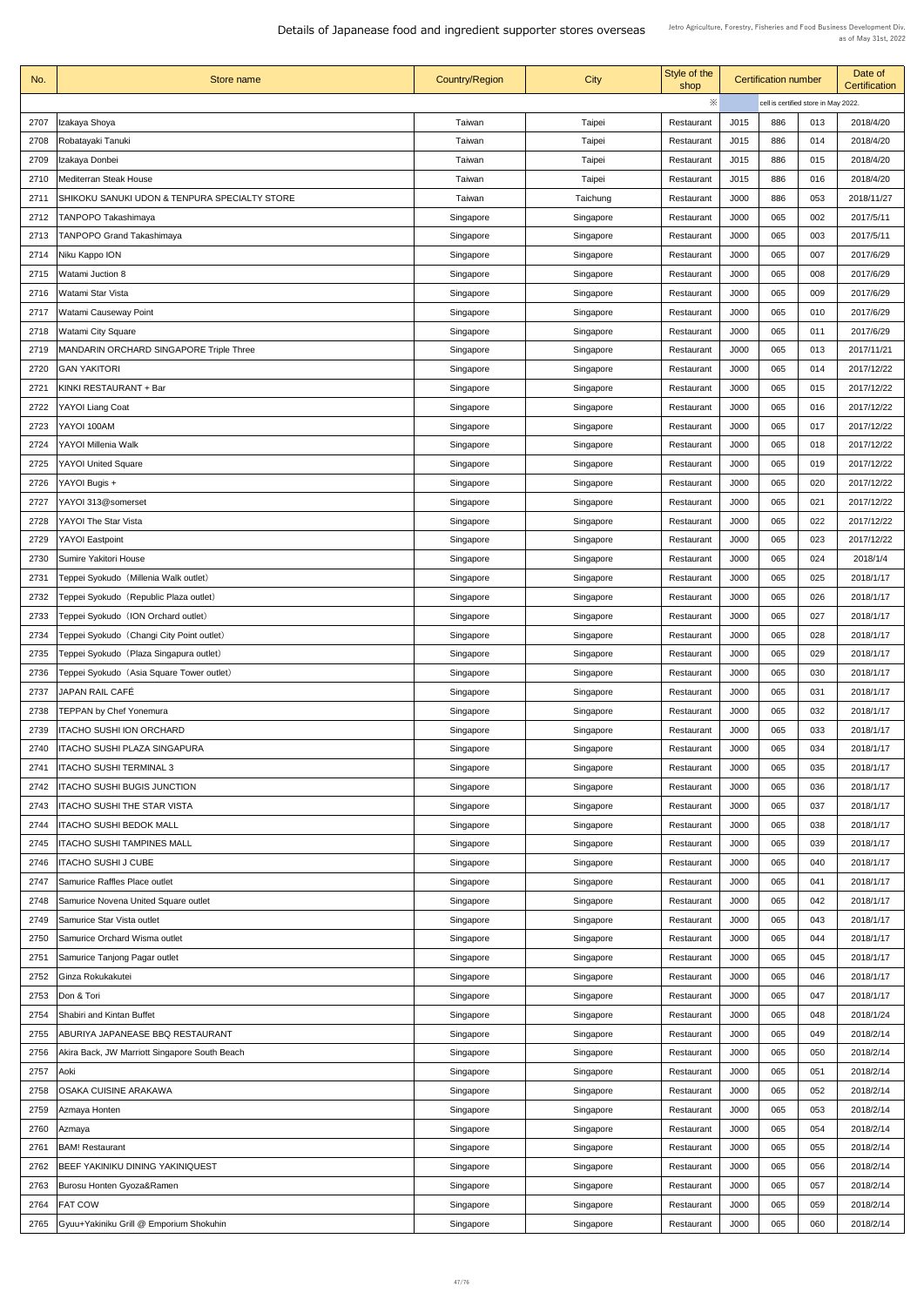| No.  | Store name                                     | <b>Country/Region</b> | <b>City</b>   | Style of the<br>shop | <b>Certification number</b>          |     | Date of<br><b>Certification</b> |            |
|------|------------------------------------------------|-----------------------|---------------|----------------------|--------------------------------------|-----|---------------------------------|------------|
|      |                                                |                       |               | $\ddot{\times}$      | cell is certified store in May 2022. |     |                                 |            |
| 2707 | Izakaya Shoya                                  | Taiwan                | Taipei        | Restaurant           | J015                                 | 886 | 013                             | 2018/4/20  |
| 2708 | Robatayaki Tanuki                              | Taiwan                | <b>Taipei</b> | Restaurant           | J015                                 | 886 | 014                             | 2018/4/20  |
| 2709 | Izakaya Donbei                                 | Taiwan                | <b>Taipei</b> | Restaurant           | J015                                 | 886 | 015                             | 2018/4/20  |
| 2710 | <b>Mediterran Steak House</b>                  | Taiwan                | <b>Taipei</b> | Restaurant           | J015                                 | 886 | 016                             | 2018/4/20  |
| 2711 | SHIKOKU SANUKI UDON & TENPURA SPECIALTY STORE  | Taiwan                | Taichung      | Restaurant           | J000                                 | 886 | 053                             | 2018/11/27 |
| 2712 | <b>TANPOPO Takashimaya</b>                     | Singapore             | Singapore     | Restaurant           | <b>J000</b>                          | 065 | 002                             | 2017/5/11  |
| 2713 | <b>TANPOPO Grand Takashimaya</b>               | Singapore             | Singapore     | Restaurant           | <b>J000</b>                          | 065 | 003                             | 2017/5/11  |
| 2714 | Niku Kappo ION                                 | Singapore             | Singapore     | Restaurant           | J000                                 | 065 | 007                             | 2017/6/29  |
| 2715 | <b>Natami Juction 8</b>                        | Singapore             | Singapore     | Restaurant           | J000                                 | 065 | 008                             | 2017/6/29  |
|      |                                                |                       |               |                      | <b>J000</b>                          | 065 |                                 | 2017/6/29  |
| 2716 | Watami Star Vista                              | Singapore             | Singapore     | Restaurant           |                                      |     | 009                             |            |
| 2717 | <b>Natami Causeway Point</b>                   | Singapore             | Singapore     | Restaurant           | J000                                 | 065 | 010                             | 2017/6/29  |
| 2718 | Watami City Square                             | Singapore             | Singapore     | Restaurant           | <b>J000</b>                          | 065 | 011                             | 2017/6/29  |
| 2719 | <b>MANDARIN ORCHARD SINGAPORE Triple Three</b> | Singapore             | Singapore     | Restaurant           | J000                                 | 065 | 013                             | 2017/11/21 |
| 2720 | <b>GAN YAKITORI</b>                            | Singapore             | Singapore     | Restaurant           | J000                                 | 065 | 014                             | 2017/12/22 |
| 2721 | KINKI RESTAURANT + Bar                         | Singapore             | Singapore     | Restaurant           | J000                                 | 065 | 015                             | 2017/12/22 |
| 2722 | <b>YAYOI Liang Coat</b>                        | Singapore             | Singapore     | Restaurant           | J000                                 | 065 | 016                             | 2017/12/22 |
| 2723 | YAYOI 100AM                                    | Singapore             | Singapore     | Restaurant           | J000                                 | 065 | 017                             | 2017/12/22 |
| 2724 | <b>YAYOI Millenia Walk</b>                     | Singapore             | Singapore     | Restaurant           | J000                                 | 065 | 018                             | 2017/12/22 |
| 2725 | <b>YAYOI United Square</b>                     | Singapore             | Singapore     | Restaurant           | J000                                 | 065 | 019                             | 2017/12/22 |
| 2726 | YAYOI Bugis +                                  | Singapore             | Singapore     | Restaurant           | J000                                 | 065 | 020                             | 2017/12/22 |
| 2727 | YAYOI 313@somerset                             | Singapore             | Singapore     | Restaurant           | J000                                 | 065 | 021                             | 2017/12/22 |
| 2728 | <b>YAYOI The Star Vista</b>                    | Singapore             | Singapore     | Restaurant           | J000                                 | 065 | 022                             | 2017/12/22 |
| 2729 | <b>YAYOI Eastpoint</b>                         | Singapore             | Singapore     | Restaurant           | J000                                 | 065 | 023                             | 2017/12/22 |
| 2730 | <b>Sumire Yakitori House</b>                   | Singapore             | Singapore     | Restaurant           | J000                                 | 065 | 024                             | 2018/1/4   |
| 2731 | Teppei Syokudo (Millenia Walk outlet)          | Singapore             | Singapore     | Restaurant           | J000                                 | 065 | 025                             | 2018/1/17  |
| 2732 | Teppei Syokudo (Republic Plaza outlet)         | Singapore             | Singapore     | Restaurant           | J000                                 | 065 | 026                             | 2018/1/17  |
| 2733 | Teppei Syokudo (ION Orchard outlet)            | Singapore             | Singapore     | Restaurant           | J000                                 | 065 | 027                             | 2018/1/17  |
| 2734 | Teppei Syokudo (Changi City Point outlet)      | Singapore             | Singapore     | Restaurant           | <b>J000</b>                          | 065 | 028                             | 2018/1/17  |
| 2735 | Teppei Syokudo (Plaza Singapura outlet)        | Singapore             | Singapore     | Restaurant           | J000                                 | 065 | 029                             | 2018/1/17  |
| 2736 | Teppei Syokudo (Asia Square Tower outlet)      | Singapore             | Singapore     | Restaurant           | J000                                 | 065 | 030                             | 2018/1/17  |
| 2737 | JAPAN RAIL CAFÉ                                | Singapore             | Singapore     | Restaurant           | J000                                 | 065 | 031                             | 2018/1/17  |
| 2738 | <b>TEPPAN by Chef Yonemura</b>                 | Singapore             | Singapore     | Restaurant           | J000                                 | 065 | 032                             | 2018/1/17  |
| 2739 | <b>TACHO SUSHI ION ORCHARD</b>                 | Singapore             | Singapore     | Restaurant           | J000                                 | 065 | 033                             | 2018/1/17  |
| 2740 | TACHO SUSHI PLAZA SINGAPURA                    | Singapore             | Singapore     | Restaurant           | J000                                 | 065 | 034                             | 2018/1/17  |
| 2741 | <b>ITACHO SUSHI TERMINAL 3</b>                 | Singapore             | Singapore     | Restaurant           | J000                                 | 065 | 035                             | 2018/1/17  |
| 2742 | <b>ITACHO SUSHI BUGIS JUNCTION</b>             | Singapore             | Singapore     | Restaurant           | J000                                 | 065 | 036                             | 2018/1/17  |
| 2743 | <b>ITACHO SUSHI THE STAR VISTA</b>             | Singapore             | Singapore     | Restaurant           | J000                                 | 065 | 037                             | 2018/1/17  |
| 2744 | <b>ITACHO SUSHI BEDOK MALL</b>                 |                       |               |                      | J000                                 | 065 | 038                             | 2018/1/17  |
|      |                                                | Singapore             | Singapore     | Restaurant           |                                      |     |                                 |            |
| 2745 | <b>ITACHO SUSHI TAMPINES MALL</b>              | Singapore             | Singapore     | Restaurant           | J000                                 | 065 | 039                             | 2018/1/17  |
| 2746 | <b>TACHO SUSHI J CUBE</b>                      | Singapore             | Singapore     | Restaurant           | J000                                 | 065 | 040                             | 2018/1/17  |
| 2747 | Samurice Raffles Place outlet                  | Singapore             | Singapore     | Restaurant           | J000                                 | 065 | 041                             | 2018/1/17  |
|      | 2748 Samurice Novena United Square outlet      | Singapore             | Singapore     | Restaurant           | J000                                 | 065 | 042                             | 2018/1/17  |
| 2749 | Samurice Star Vista outlet                     | Singapore             | Singapore     | Restaurant           | J000                                 | 065 | 043                             | 2018/1/17  |
| 2750 | Samurice Orchard Wisma outlet                  | Singapore             | Singapore     | Restaurant           | J000                                 | 065 | 044                             | 2018/1/17  |
| 2751 | Samurice Tanjong Pagar outlet                  | Singapore             | Singapore     | Restaurant           | J000                                 | 065 | 045                             | 2018/1/17  |
| 2752 | Ginza Rokukakutei                              | Singapore             | Singapore     | Restaurant           | J000                                 | 065 | 046                             | 2018/1/17  |
| 2753 | Don & Tori                                     | Singapore             | Singapore     | Restaurant           | J000                                 | 065 | 047                             | 2018/1/17  |
| 2754 | <b>Shabiri and Kintan Buffet</b>               | Singapore             | Singapore     | Restaurant           | J000                                 | 065 | 048                             | 2018/1/24  |
| 2755 | ABURIYA JAPANEASE BBQ RESTAURANT               | Singapore             | Singapore     | Restaurant           | J000                                 | 065 | 049                             | 2018/2/14  |
| 2756 | Akira Back, JW Marriott Singapore South Beach  | Singapore             | Singapore     | Restaurant           | J000                                 | 065 | 050                             | 2018/2/14  |
| 2757 | Aoki                                           | Singapore             | Singapore     | Restaurant           | J000                                 | 065 | 051                             | 2018/2/14  |
| 2758 | OSAKA CUISINE ARAKAWA                          | Singapore             | Singapore     | Restaurant           | <b>J000</b>                          | 065 | 052                             | 2018/2/14  |
| 2759 | Azmaya Honten                                  | Singapore             | Singapore     | Restaurant           | J000                                 | 065 | 053                             | 2018/2/14  |
| 2760 | Azmaya                                         | Singapore             | Singapore     | Restaurant           | J000                                 | 065 | 054                             | 2018/2/14  |
| 2761 | <b>BAM! Restaurant</b>                         | Singapore             | Singapore     | Restaurant           | <b>J000</b>                          | 065 | 055                             | 2018/2/14  |
| 2762 | BEEF YAKINIKU DINING YAKINIQUEST               | Singapore             | Singapore     | Restaurant           | J000                                 | 065 | 056                             | 2018/2/14  |
| 2763 | Burosu Honten Gyoza&Ramen                      | Singapore             | Singapore     | Restaurant           | J000                                 | 065 | 057                             | 2018/2/14  |
| 2764 | <b>FAT COW</b>                                 | Singapore             | Singapore     | Restaurant           | J000                                 | 065 | 059                             | 2018/2/14  |
| 2765 | Gyuu+Yakiniku Grill @ Emporium Shokuhin        | Singapore             | Singapore     | Restaurant           | J000                                 | 065 | 060                             | 2018/2/14  |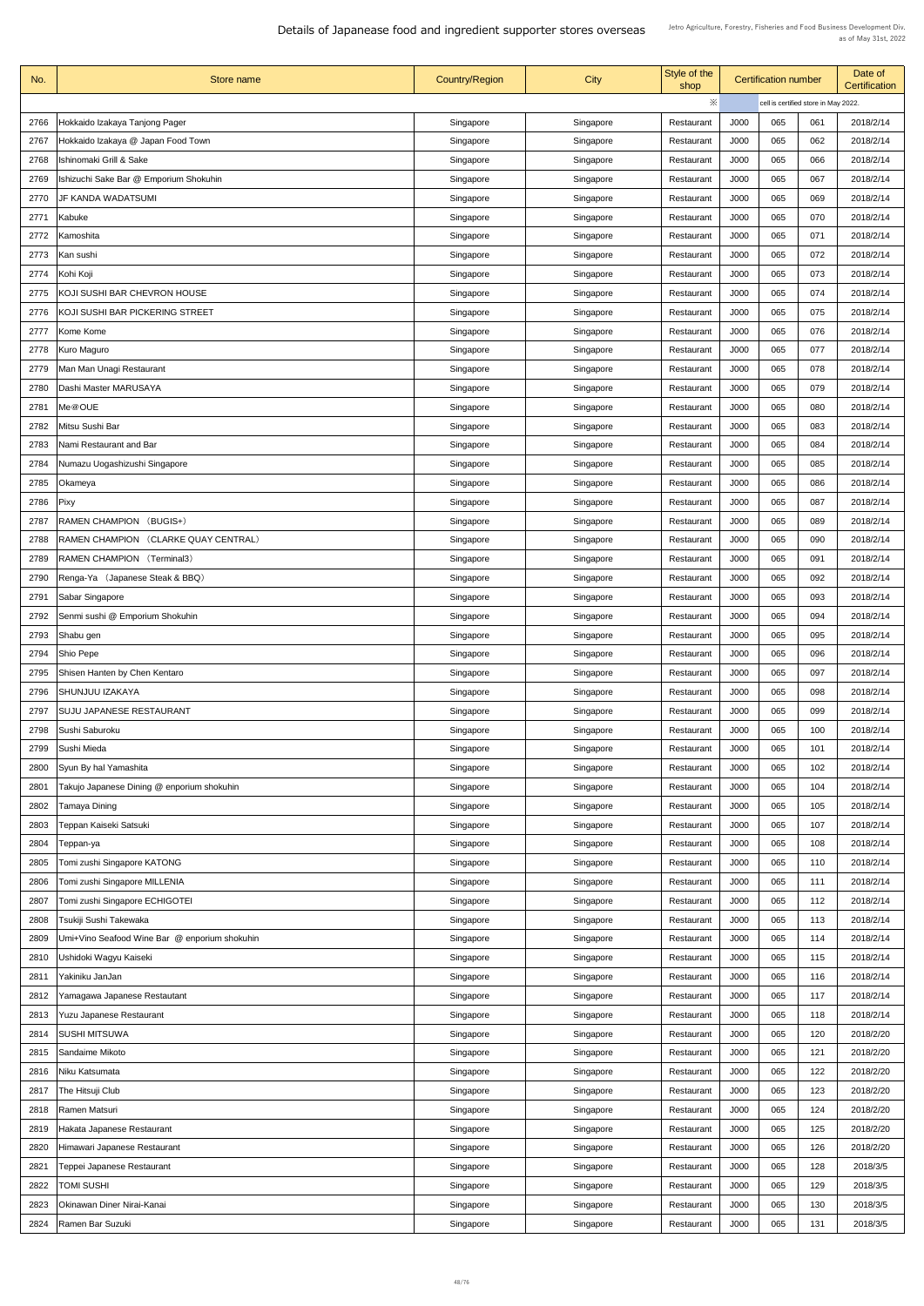| No.  | Store name                                     | <b>Country/Region</b> | <b>City</b> | Style of the<br>shop |             | <b>Certification number</b> |                                      | Date of<br><b>Certification</b> |
|------|------------------------------------------------|-----------------------|-------------|----------------------|-------------|-----------------------------|--------------------------------------|---------------------------------|
|      |                                                |                       |             | ※                    |             |                             | cell is certified store in May 2022. |                                 |
| 2766 | Hokkaido Izakaya Tanjong Pager                 | Singapore             | Singapore   | Restaurant           | J000        | 065                         | 061                                  | 2018/2/14                       |
| 2767 | Hokkaido Izakaya @ Japan Food Town             | Singapore             | Singapore   | Restaurant           | J000        | 065                         | 062                                  | 2018/2/14                       |
| 2768 | <b>Ishinomaki Grill &amp; Sake</b>             | Singapore             | Singapore   | Restaurant           | J000        | 065                         | 066                                  | 2018/2/14                       |
| 2769 | Ishizuchi Sake Bar @ Emporium Shokuhin         | Singapore             | Singapore   | Restaurant           | J000        | 065                         | 067                                  | 2018/2/14                       |
| 2770 | JF KANDA WADATSUMI                             |                       |             | Restaurant           | J000        | 065                         | 069                                  | 2018/2/14                       |
|      |                                                | Singapore             | Singapore   |                      | J000        | 065                         | 070                                  | 2018/2/14                       |
| 2771 | Kabuke                                         | Singapore             | Singapore   | Restaurant           |             |                             |                                      |                                 |
| 2772 | Kamoshita                                      | Singapore             | Singapore   | Restaurant           | <b>J000</b> | 065                         | 071                                  | 2018/2/14                       |
| 2773 | Kan sushi                                      | Singapore             | Singapore   | Restaurant           | J000        | 065                         | 072                                  | 2018/2/14                       |
| 2774 | Kohi Koji                                      | Singapore             | Singapore   | Restaurant           | J000        | 065                         | 073                                  | 2018/2/14                       |
| 2775 | KOJI SUSHI BAR CHEVRON HOUSE                   | Singapore             | Singapore   | Restaurant           | J000        | 065                         | 074                                  | 2018/2/14                       |
| 2776 | KOJI SUSHI BAR PICKERING STREET                | Singapore             | Singapore   | Restaurant           | J000        | 065                         | 075                                  | 2018/2/14                       |
| 2777 | Kome Kome                                      | Singapore             | Singapore   | Restaurant           | J000        | 065                         | 076                                  | 2018/2/14                       |
| 2778 | Kuro Maguro                                    | Singapore             | Singapore   | Restaurant           | J000        | 065                         | 077                                  | 2018/2/14                       |
| 2779 | Man Man Unagi Restaurant                       | Singapore             | Singapore   | Restaurant           | J000        | 065                         | 078                                  | 2018/2/14                       |
| 2780 | Dashi Master MARUSAYA                          | Singapore             | Singapore   | Restaurant           | J000        | 065                         | 079                                  | 2018/2/14                       |
| 2781 | Me@OUE                                         | Singapore             | Singapore   | Restaurant           | J000        | 065                         | 080                                  | 2018/2/14                       |
| 2782 | Mitsu Sushi Bar                                | Singapore             | Singapore   | Restaurant           | J000        | 065                         | 083                                  | 2018/2/14                       |
| 2783 | Nami Restaurant and Bar                        | Singapore             | Singapore   | Restaurant           | J000        | 065                         | 084                                  | 2018/2/14                       |
| 2784 | Numazu Uogashizushi Singapore                  | Singapore             | Singapore   | Restaurant           | J000        | 065                         | 085                                  | 2018/2/14                       |
| 2785 | Okameya                                        | Singapore             | Singapore   | Restaurant           | J000        | 065                         | 086                                  | 2018/2/14                       |
| 2786 | Pixy                                           | Singapore             | Singapore   | Restaurant           | J000        | 065                         | 087                                  | 2018/2/14                       |
| 2787 | <b>RAMEN CHAMPION</b><br>(BUGIS+)              | Singapore             | Singapore   | Restaurant           | J000        | 065                         | 089                                  | 2018/2/14                       |
| 2788 | (CLARKE QUAY CENTRAL)<br><b>RAMEN CHAMPION</b> | Singapore             | Singapore   | Restaurant           | J000        | 065                         | 090                                  | 2018/2/14                       |
| 2789 | <b>RAMEN CHAMPION (Terminal3)</b>              | Singapore             | Singapore   | Restaurant           | J000        | 065                         | 091                                  | 2018/2/14                       |
| 2790 | Renga-Ya (Japanese Steak & BBQ)                | Singapore             | Singapore   | Restaurant           | J000        | 065                         | 092                                  | 2018/2/14                       |
| 2791 | Sabar Singapore                                | Singapore             | Singapore   | Restaurant           | J000        | 065                         | 093                                  | 2018/2/14                       |
| 2792 | Senmi sushi @ Emporium Shokuhin                | Singapore             | Singapore   | Restaurant           | J000        | 065                         | 094                                  | 2018/2/14                       |
| 2793 | Shabu gen                                      | Singapore             | Singapore   | Restaurant           | J000        | 065                         | 095                                  | 2018/2/14                       |
| 2794 | Shio Pepe                                      | Singapore             | Singapore   | Restaurant           | J000        | 065                         | 096                                  | 2018/2/14                       |
| 2795 | Shisen Hanten by Chen Kentaro                  | Singapore             | Singapore   | Restaurant           | J000        | 065                         | 097                                  | 2018/2/14                       |
| 2796 | SHUNJUU IZAKAYA                                | Singapore             | Singapore   | Restaurant           | J000        | 065                         | 098                                  | 2018/2/14                       |
| 2797 | <b>SUJU JAPANESE RESTAURANT</b>                | Singapore             | Singapore   | Restaurant           | J000        | 065                         | 099                                  | 2018/2/14                       |
| 2798 | Sushi Saburoku                                 |                       |             | Restaurant           | J000        | 065                         | 100                                  | 2018/2/14                       |
|      |                                                | Singapore             | Singapore   |                      |             |                             |                                      |                                 |
| 2799 | Sushi Mieda                                    | Singapore             | Singapore   | Restaurant           | J000        | 065                         | 101                                  | 2018/2/14                       |
| 2800 | Syun By hal Yamashita                          | Singapore             | Singapore   | Restaurant           | J000        | 065                         | 102                                  | 2018/2/14                       |
| 2801 | Takujo Japanese Dining @ enporium shokuhin     | Singapore             | Singapore   | Restaurant           | J000        | 065                         | 104                                  | 2018/2/14                       |
| 2802 | Tamaya Dining                                  | Singapore             | Singapore   | Restaurant           | J000        | 065                         | 105                                  | 2018/2/14                       |
| 2803 | Teppan Kaiseki Satsuki                         | Singapore             | Singapore   | Restaurant           | J000        | 065                         | 107                                  | 2018/2/14                       |
| 2804 | Teppan-ya                                      | Singapore             | Singapore   | Restaurant           | J000        | 065                         | 108                                  | 2018/2/14                       |
| 2805 | Tomi zushi Singapore KATONG                    | Singapore             | Singapore   | Restaurant           | J000        | 065                         | 110                                  | 2018/2/14                       |
| 2806 | Tomi zushi Singapore MILLENIA                  | Singapore             | Singapore   | Restaurant           | J000        | 065                         | 111                                  | 2018/2/14                       |
| 2807 | Tomi zushi Singapore ECHIGOTEI                 | Singapore             | Singapore   | Restaurant           | J000        | 065                         | 112                                  | 2018/2/14                       |
| 2808 | Tsukiji Sushi Takewaka                         | Singapore             | Singapore   | Restaurant           | J000        | 065                         | 113                                  | 2018/2/14                       |
| 2809 | Umi+Vino Seafood Wine Bar @ enporium shokuhin  | Singapore             | Singapore   | Restaurant           | J000        | 065                         | 114                                  | 2018/2/14                       |
| 2810 | Ushidoki Wagyu Kaiseki                         | Singapore             | Singapore   | Restaurant           | J000        | 065                         | 115                                  | 2018/2/14                       |
| 2811 | Yakiniku JanJan                                | Singapore             | Singapore   | Restaurant           | J000        | 065                         | 116                                  | 2018/2/14                       |
| 2812 | Yamagawa Japanese Restautant                   | Singapore             | Singapore   | Restaurant           | J000        | 065                         | 117                                  | 2018/2/14                       |
| 2813 | <b>Yuzu Japanese Restaurant</b>                | Singapore             | Singapore   | Restaurant           | J000        | 065                         | 118                                  | 2018/2/14                       |
| 2814 | <b>SUSHI MITSUWA</b>                           | Singapore             | Singapore   | Restaurant           | J000        | 065                         | 120                                  | 2018/2/20                       |
| 2815 | <b>Sandaime Mikoto</b>                         | Singapore             | Singapore   | Restaurant           | J000        | 065                         | 121                                  | 2018/2/20                       |
| 2816 | Niku Katsumata                                 | Singapore             | Singapore   | Restaurant           | J000        | 065                         | 122                                  | 2018/2/20                       |
| 2817 | The Hitsuji Club                               | Singapore             | Singapore   | Restaurant           | J000        | 065                         | 123                                  | 2018/2/20                       |
| 2818 | <b>Ramen Matsuri</b>                           | Singapore             | Singapore   | Restaurant           | J000        | 065                         | 124                                  | 2018/2/20                       |
| 2819 | Hakata Japanese Restaurant                     | Singapore             | Singapore   | Restaurant           | J000        | 065                         | 125                                  | 2018/2/20                       |
| 2820 | Himawari Japanese Restaurant                   | Singapore             | Singapore   | Restaurant           | J000        | 065                         | 126                                  | 2018/2/20                       |
| 2821 | Teppei Japanese Restaurant                     | Singapore             | Singapore   | Restaurant           | J000        | 065                         | 128                                  | 2018/3/5                        |
| 2822 | <b>TOMI SUSHI</b>                              | Singapore             | Singapore   | Restaurant           | J000        | 065                         | 129                                  | 2018/3/5                        |
| 2823 | <b>Okinawan Diner Nirai-Kanai</b>              |                       | Singapore   | Restaurant           | J000        | 065                         | 130                                  | 2018/3/5                        |
|      |                                                | Singapore             |             |                      |             |                             |                                      |                                 |
| 2824 | Ramen Bar Suzuki                               | Singapore             | Singapore   | Restaurant           | J000        | 065                         | 131                                  | 2018/3/5                        |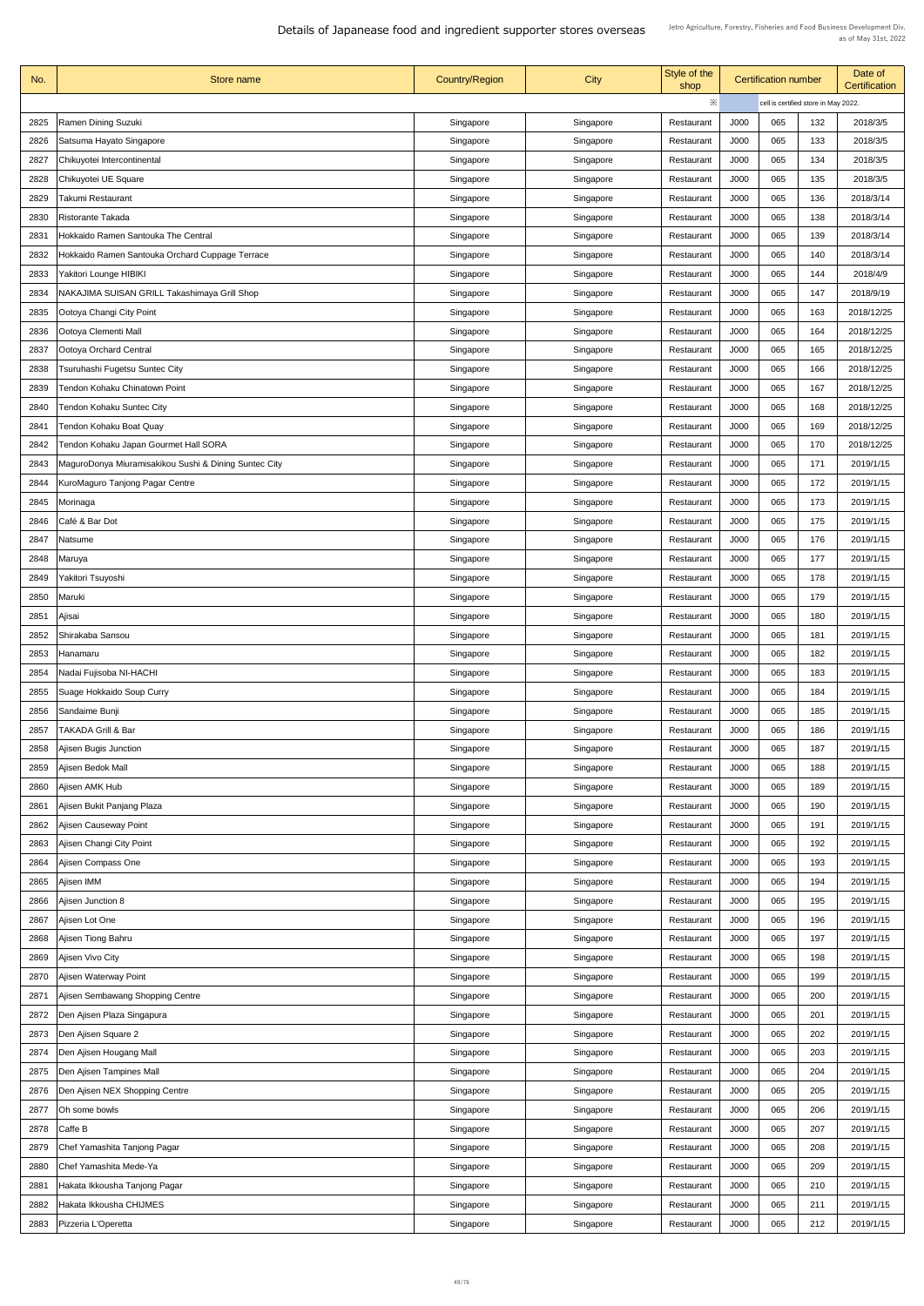| No.  | Store name                                            | <b>Country/Region</b> | <b>City</b> | Style of the<br>shop |             | <b>Certification number</b> |                                      | Date of<br><b>Certification</b> |
|------|-------------------------------------------------------|-----------------------|-------------|----------------------|-------------|-----------------------------|--------------------------------------|---------------------------------|
|      |                                                       |                       |             | $\ddot{\times}$      |             |                             | cell is certified store in May 2022. |                                 |
| 2825 | <b>Ramen Dining Suzuki</b>                            | Singapore             | Singapore   | Restaurant           | J000        | 065                         | 132                                  | 2018/3/5                        |
| 2826 | Satsuma Hayato Singapore                              | Singapore             | Singapore   | Restaurant           | J000        | 065                         | 133                                  | 2018/3/5                        |
| 2827 | Chikuyotei Intercontinental                           | Singapore             | Singapore   | Restaurant           | J000        | 065                         | 134                                  | 2018/3/5                        |
| 2828 | Chikuyotei UE Square                                  | Singapore             | Singapore   | Restaurant           | J000        | 065                         | 135                                  | 2018/3/5                        |
| 2829 | Takumi Restaurant                                     | Singapore             | Singapore   | Restaurant           | J000        | 065                         | 136                                  | 2018/3/14                       |
| 2830 | <b>Ristorante Takada</b>                              | Singapore             | Singapore   | Restaurant           | J000        | 065                         | 138                                  | 2018/3/14                       |
|      | Hokkaido Ramen Santouka The Central                   |                       |             |                      | J000        | 065                         | 139                                  |                                 |
| 2831 |                                                       | Singapore             | Singapore   | Restaurant           |             |                             |                                      | 2018/3/14                       |
| 2832 | Hokkaido Ramen Santouka Orchard Cuppage Terrace       | Singapore             | Singapore   | Restaurant           | J000        | 065                         | 140                                  | 2018/3/14                       |
| 2833 | Yakitori Lounge HIBIKI                                | Singapore             | Singapore   | Restaurant           | J000        | 065                         | 144                                  | 2018/4/9                        |
| 2834 | NAKAJIMA SUISAN GRILL Takashimaya Grill Shop          | Singapore             | Singapore   | Restaurant           | J000        | 065                         | 147                                  | 2018/9/19                       |
| 2835 | Ootoya Changi City Point                              | Singapore             | Singapore   | Restaurant           | J000        | 065                         | 163                                  | 2018/12/25                      |
| 2836 | Ootoya Clementi Mall                                  | Singapore             | Singapore   | Restaurant           | J000        | 065                         | 164                                  | 2018/12/25                      |
| 2837 | Ootoya Orchard Central                                | Singapore             | Singapore   | Restaurant           | J000        | 065                         | 165                                  | 2018/12/25                      |
| 2838 | Tsuruhashi Fugetsu Suntec City                        | Singapore             | Singapore   | Restaurant           | J000        | 065                         | 166                                  | 2018/12/25                      |
| 2839 | Tendon Kohaku Chinatown Point                         | Singapore             | Singapore   | Restaurant           | J000        | 065                         | 167                                  | 2018/12/25                      |
| 2840 | Tendon Kohaku Suntec City                             | Singapore             | Singapore   | Restaurant           | J000        | 065                         | 168                                  | 2018/12/25                      |
| 2841 | <b>Tendon Kohaku Boat Quay</b>                        | Singapore             | Singapore   | Restaurant           | J000        | 065                         | 169                                  | 2018/12/25                      |
| 2842 | Tendon Kohaku Japan Gourmet Hall SORA                 | Singapore             | Singapore   | Restaurant           | J000        | 065                         | 170                                  | 2018/12/25                      |
| 2843 | MaguroDonya Miuramisakikou Sushi & Dining Suntec City | Singapore             | Singapore   | Restaurant           | J000        | 065                         | 171                                  | 2019/1/15                       |
| 2844 | KuroMaguro Tanjong Pagar Centre                       | Singapore             | Singapore   | Restaurant           | J000        | 065                         | 172                                  | 2019/1/15                       |
| 2845 | Morinaga                                              | Singapore             | Singapore   | Restaurant           | J000        | 065                         | 173                                  | 2019/1/15                       |
| 2846 | Café & Bar Dot                                        | Singapore             | Singapore   | Restaurant           | J000        | 065                         | 175                                  | 2019/1/15                       |
| 2847 | Natsume                                               | Singapore             | Singapore   | Restaurant           | J000        | 065                         | 176                                  | 2019/1/15                       |
|      |                                                       |                       |             |                      |             | 065                         | 177                                  | 2019/1/15                       |
| 2848 | Maruya                                                | Singapore             | Singapore   | Restaurant           | J000        |                             |                                      |                                 |
| 2849 | Yakitori Tsuyoshi                                     | Singapore             | Singapore   | Restaurant           | J000        | 065                         | 178                                  | 2019/1/15                       |
| 2850 | Maruki                                                | Singapore             | Singapore   | Restaurant           | J000        | 065                         | 179                                  | 2019/1/15                       |
| 2851 | Ajisai                                                | Singapore             | Singapore   | Restaurant           | J000        | 065                         | 180                                  | 2019/1/15                       |
| 2852 | Shirakaba Sansou                                      | Singapore             | Singapore   | Restaurant           | J000        | 065                         | 181                                  | 2019/1/15                       |
| 2853 | Hanamaru                                              | Singapore             | Singapore   | Restaurant           | J000        | 065                         | 182                                  | 2019/1/15                       |
| 2854 | Nadai Fujisoba NI-HACHI                               | Singapore             | Singapore   | Restaurant           | J000        | 065                         | 183                                  | 2019/1/15                       |
| 2855 | Suage Hokkaido Soup Curry                             | Singapore             | Singapore   | Restaurant           | J000        | 065                         | 184                                  | 2019/1/15                       |
| 2856 | Sandaime Bunji                                        | Singapore             | Singapore   | Restaurant           | J000        | 065                         | 185                                  | 2019/1/15                       |
| 2857 | <b>TAKADA Grill &amp; Bar</b>                         | Singapore             | Singapore   | Restaurant           | J000        | 065                         | 186                                  | 2019/1/15                       |
| 2858 | Ajisen Bugis Junction                                 | Singapore             | Singapore   | Restaurant           | J000        | 065                         | 187                                  | 2019/1/15                       |
| 2859 | Ajisen Bedok Mall                                     | Singapore             | Singapore   | Restaurant           | J000        | 065                         | 188                                  | 2019/1/15                       |
| 2860 | Ajisen AMK Hub                                        | Singapore             | Singapore   | Restaurant           | J000        | 065                         | 189                                  | 2019/1/15                       |
| 2861 | Ajisen Bukit Panjang Plaza                            | Singapore             | Singapore   | Restaurant           | J000        | 065                         | 190                                  | 2019/1/15                       |
| 2862 | <b>Ajisen Causeway Point</b>                          | Singapore             | Singapore   | Restaurant           | J000        | 065                         | 191                                  | 2019/1/15                       |
| 2863 | Ajisen Changi City Point                              | Singapore             | Singapore   | Restaurant           | J000        | 065                         | 192                                  | 2019/1/15                       |
| 2864 | Ajisen Compass One                                    | Singapore             | Singapore   | Restaurant           | J000        | 065                         | 193                                  | 2019/1/15                       |
| 2865 | Ajisen IMM                                            | Singapore             | Singapore   | Restaurant           | J000        | 065                         | 194                                  | 2019/1/15                       |
| 2866 | Ajisen Junction 8                                     | Singapore             | Singapore   | Restaurant           | <b>J000</b> | 065                         | 195                                  | 2019/1/15                       |
| 2867 | Ajisen Lot One                                        | Singapore             | Singapore   | Restaurant           | J000        | 065                         | 196                                  | 2019/1/15                       |
| 2868 | Ajisen Tiong Bahru                                    | Singapore             | Singapore   | Restaurant           | J000        | 065                         | 197                                  | 2019/1/15                       |
| 2869 | Ajisen Vivo City                                      | Singapore             | Singapore   | Restaurant           | J000        | 065                         | 198                                  | 2019/1/15                       |
|      | Ajisen Waterway Point                                 |                       |             |                      | J000        | 065                         | 199                                  | 2019/1/15                       |
| 2870 |                                                       | Singapore             | Singapore   | Restaurant           |             |                             |                                      |                                 |
| 2871 | Ajisen Sembawang Shopping Centre                      | Singapore             | Singapore   | Restaurant           | J000        | 065                         | 200                                  | 2019/1/15                       |
| 2872 | Den Ajisen Plaza Singapura                            | Singapore             | Singapore   | Restaurant           | J000        | 065                         | 201                                  | 2019/1/15                       |
| 2873 | Den Ajisen Square 2                                   | Singapore             | Singapore   | Restaurant           | J000        | 065                         | 202                                  | 2019/1/15                       |
| 2874 | Den Ajisen Hougang Mall                               | Singapore             | Singapore   | Restaurant           | J000        | 065                         | 203                                  | 2019/1/15                       |
| 2875 | Den Ajisen Tampines Mall                              | Singapore             | Singapore   | Restaurant           | J000        | 065                         | 204                                  | 2019/1/15                       |
| 2876 | Den Ajisen NEX Shopping Centre                        | Singapore             | Singapore   | Restaurant           | J000        | 065                         | 205                                  | 2019/1/15                       |
| 2877 | Oh some bowls                                         | Singapore             | Singapore   | Restaurant           | J000        | 065                         | 206                                  | 2019/1/15                       |
| 2878 | Caffe B                                               | Singapore             | Singapore   | Restaurant           | J000        | 065                         | 207                                  | 2019/1/15                       |
| 2879 | Chef Yamashita Tanjong Pagar                          | Singapore             | Singapore   | Restaurant           | J000        | 065                         | 208                                  | 2019/1/15                       |
| 2880 | Chef Yamashita Mede-Ya                                | Singapore             | Singapore   | Restaurant           | J000        | 065                         | 209                                  | 2019/1/15                       |
| 2881 | Hakata Ikkousha Tanjong Pagar                         | Singapore             | Singapore   | Restaurant           | J000        | 065                         | 210                                  | 2019/1/15                       |
| 2882 | Hakata Ikkousha CHIJMES                               | Singapore             | Singapore   | Restaurant           | J000        | 065                         | 211                                  | 2019/1/15                       |
| 2883 | Pizzeria L'Operetta                                   | Singapore             | Singapore   | Restaurant           | J000        | 065                         | 212                                  | 2019/1/15                       |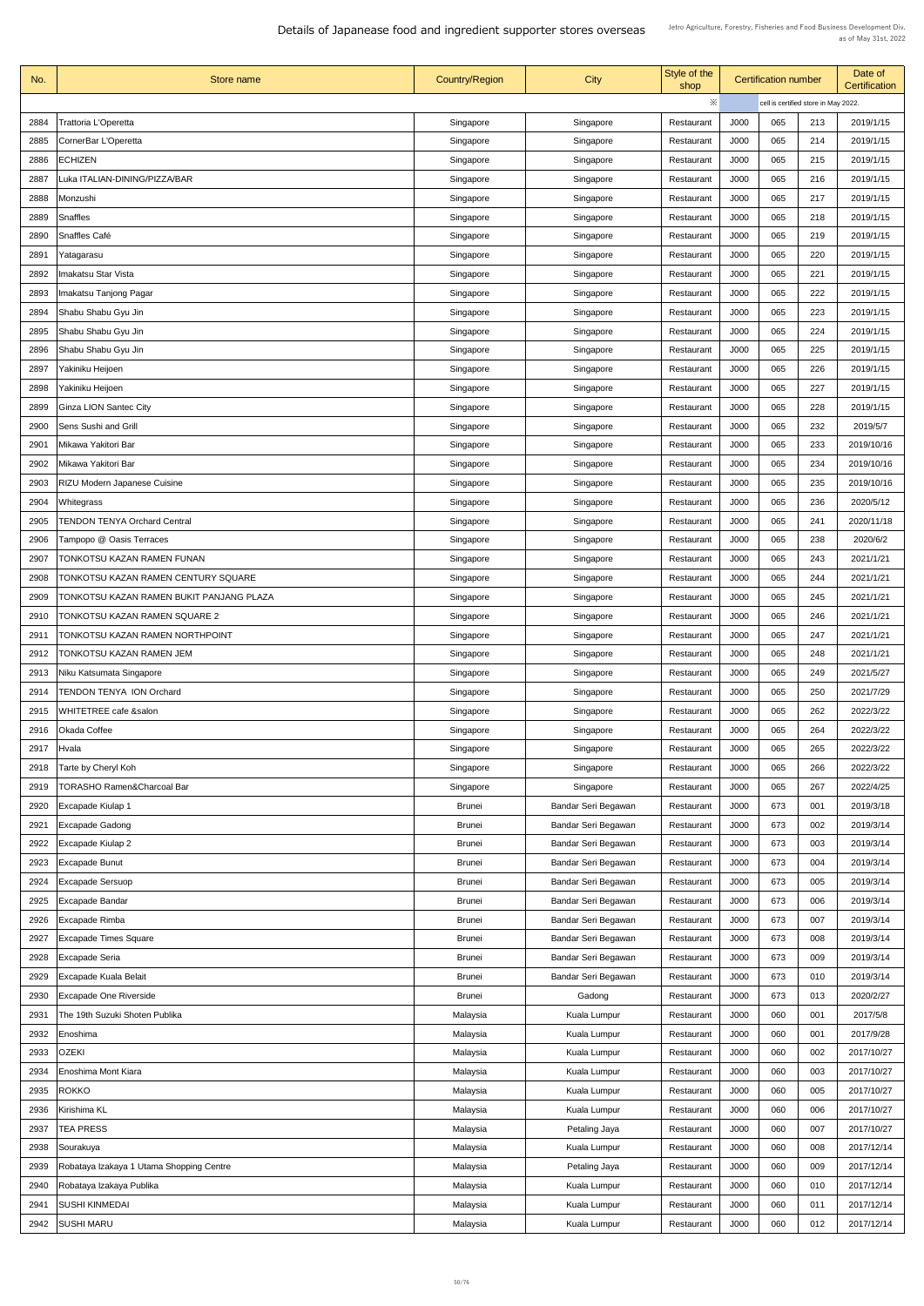| No.  | Store name                               | <b>Country/Region</b> | <b>City</b>         | Style of the<br>shop |             | <b>Certification number</b> |                                      | Date of<br><b>Certification</b> |
|------|------------------------------------------|-----------------------|---------------------|----------------------|-------------|-----------------------------|--------------------------------------|---------------------------------|
|      |                                          |                       |                     | $\ddot{\times}$      |             |                             | cell is certified store in May 2022. |                                 |
| 2884 | Trattoria L'Operetta                     | Singapore             | Singapore           | Restaurant           | J000        | 065                         | 213                                  | 2019/1/15                       |
| 2885 | CornerBar L'Operetta                     | Singapore             | Singapore           | Restaurant           | J000        | 065                         | 214                                  | 2019/1/15                       |
| 2886 | <b>ECHIZEN</b>                           | Singapore             | Singapore           | Restaurant           | J000        | 065                         | 215                                  | 2019/1/15                       |
| 2887 | uka ITALIAN-DINING/PIZZA/BAR             | Singapore             | Singapore           | Restaurant           | J000        | 065                         | 216                                  | 2019/1/15                       |
| 2888 | Monzushi                                 | Singapore             | Singapore           | Restaurant           | J000        | 065                         | 217                                  | 2019/1/15                       |
| 2889 | <b>Snaffles</b>                          | Singapore             | Singapore           | Restaurant           | J000        | 065                         | 218                                  | 2019/1/15                       |
|      |                                          |                       |                     |                      |             | 065                         |                                      |                                 |
| 2890 | Snaffles Café                            | Singapore             | Singapore           | Restaurant           | J000        |                             | 219                                  | 2019/1/15                       |
| 2891 | Yatagarasu                               | Singapore             | Singapore           | Restaurant           | J000        | 065                         | 220                                  | 2019/1/15                       |
| 2892 | makatsu Star Vista                       | Singapore             | Singapore           | Restaurant           | J000        | 065                         | 221                                  | 2019/1/15                       |
| 2893 | Imakatsu Tanjong Pagar                   | Singapore             | Singapore           | Restaurant           | J000        | 065                         | 222                                  | 2019/1/15                       |
| 2894 | Shabu Shabu Gyu Jin                      | Singapore             | Singapore           | Restaurant           | J000        | 065                         | 223                                  | 2019/1/15                       |
| 2895 | Shabu Shabu Gyu Jin                      | Singapore             | Singapore           | Restaurant           | J000        | 065                         | 224                                  | 2019/1/15                       |
| 2896 | Shabu Shabu Gyu Jin                      | Singapore             | Singapore           | Restaurant           | <b>J000</b> | 065                         | 225                                  | 2019/1/15                       |
| 2897 | Yakiniku Heijoen                         | Singapore             | Singapore           | Restaurant           | J000        | 065                         | 226                                  | 2019/1/15                       |
| 2898 | Yakiniku Heijoen                         | Singapore             | Singapore           | Restaurant           | J000        | 065                         | 227                                  | 2019/1/15                       |
| 2899 | <b>Ginza LION Santec City</b>            | Singapore             | Singapore           | Restaurant           | J000        | 065                         | 228                                  | 2019/1/15                       |
| 2900 | <b>Sens Sushi and Grill</b>              | Singapore             | Singapore           | Restaurant           | J000        | 065                         | 232                                  | 2019/5/7                        |
| 2901 | Mikawa Yakitori Bar                      | Singapore             | Singapore           | Restaurant           | J000        | 065                         | 233                                  | 2019/10/16                      |
| 2902 | Mikawa Yakitori Bar                      | Singapore             | Singapore           | Restaurant           | J000        | 065                         | 234                                  | 2019/10/16                      |
| 2903 | <b>RIZU Modern Japanese Cuisine</b>      | Singapore             | Singapore           | Restaurant           | J000        | 065                         | 235                                  | 2019/10/16                      |
| 2904 | Whitegrass                               | Singapore             | Singapore           | Restaurant           | J000        | 065                         | 236                                  | 2020/5/12                       |
| 2905 | <b>TENDON TENYA Orchard Central</b>      | Singapore             | Singapore           | Restaurant           | J000        | 065                         | 241                                  | 2020/11/18                      |
| 2906 | Tampopo @ Oasis Terraces                 |                       | Singapore           | Restaurant           | J000        | 065                         | 238                                  | 2020/6/2                        |
|      |                                          | Singapore             |                     |                      |             |                             |                                      |                                 |
| 2907 | TONKOTSU KAZAN RAMEN FUNAN               | Singapore             | Singapore           | Restaurant           | J000        | 065                         | 243                                  | 2021/1/21                       |
| 2908 | TONKOTSU KAZAN RAMEN CENTURY SQUARE      | Singapore             | Singapore           | Restaurant           | J000        | 065                         | 244                                  | 2021/1/21                       |
| 2909 | TONKOTSU KAZAN RAMEN BUKIT PANJANG PLAZA | Singapore             | Singapore           | Restaurant           | J000        | 065                         | 245                                  | 2021/1/21                       |
| 2910 | <b>TONKOTSU KAZAN RAMEN SQUARE 2</b>     | Singapore             | Singapore           | Restaurant           | J000        | 065                         | 246                                  | 2021/1/21                       |
| 2911 | TONKOTSU KAZAN RAMEN NORTHPOINT          | Singapore             | Singapore           | Restaurant           | J000        | 065                         | 247                                  | 2021/1/21                       |
| 2912 | TONKOTSU KAZAN RAMEN JEM                 | Singapore             | Singapore           | Restaurant           | J000        | 065                         | 248                                  | 2021/1/21                       |
| 2913 | Niku Katsumata Singapore                 | Singapore             | Singapore           | Restaurant           | J000        | 065                         | 249                                  | 2021/5/27                       |
| 2914 | <b>TENDON TENYA ION Orchard</b>          | Singapore             | Singapore           | Restaurant           | J000        | 065                         | 250                                  | 2021/7/29                       |
| 2915 | WHITETREE cafe &salon                    | Singapore             | Singapore           | Restaurant           | J000        | 065                         | 262                                  | 2022/3/22                       |
| 2916 | <b>Okada Coffee</b>                      | Singapore             | Singapore           | Restaurant           | J000        | 065                         | 264                                  | 2022/3/22                       |
| 2917 | Hvala                                    | Singapore             | Singapore           | Restaurant           | J000        | 065                         | 265                                  | 2022/3/22                       |
| 2918 | Tarte by Cheryl Koh                      | Singapore             | Singapore           | Restaurant           | J000        | 065                         | 266                                  | 2022/3/22                       |
| 2919 | <b>TORASHO Ramen&amp;Charcoal Bar</b>    | Singapore             | Singapore           | Restaurant           | J000        | 065                         | 267                                  | 2022/4/25                       |
| 2920 | <b>Excapade Kiulap 1</b>                 | <b>Brunei</b>         | Bandar Seri Begawan | Restaurant           | J000        | 673                         | 001                                  | 2019/3/18                       |
| 2921 | <b>Excapade Gadong</b>                   | <b>Brunei</b>         | Bandar Seri Begawan | Restaurant           | J000        | 673                         | 002                                  | 2019/3/14                       |
| 2922 | Excapade Kiulap 2                        | <b>Brunei</b>         | Bandar Seri Begawan | Restaurant           | J000        | 673                         | 003                                  | 2019/3/14                       |
| 2923 | <b>Excapade Bunut</b>                    | <b>Brunei</b>         | Bandar Seri Begawan | Restaurant           | J000        | 673                         | 004                                  | 2019/3/14                       |
| 2924 | <b>Excapade Sersuop</b>                  | <b>Brunei</b>         | Bandar Seri Begawan | Restaurant           | J000        | 673                         | 005                                  | 2019/3/14                       |
| 2925 | <b>Excapade Bandar</b>                   | <b>Brunei</b>         | Bandar Seri Begawan | Restaurant           | J000        | 673                         | 006                                  | 2019/3/14                       |
| 2926 | Excapade Rimba                           | <b>Brunei</b>         | Bandar Seri Begawan | Restaurant           | J000        | 673                         | 007                                  | 2019/3/14                       |
| 2927 | <b>Excapade Times Square</b>             | <b>Brunei</b>         | Bandar Seri Begawan | Restaurant           | J000        | 673                         | 008                                  | 2019/3/14                       |
| 2928 | <b>Excapade Seria</b>                    | <b>Brunei</b>         | Bandar Seri Begawan | Restaurant           | J000        | 673                         | 009                                  | 2019/3/14                       |
| 2929 | <b>Excapade Kuala Belait</b>             | <b>Brunei</b>         | Bandar Seri Begawan | Restaurant           | J000        | 673                         | 010                                  | 2019/3/14                       |
|      |                                          |                       |                     |                      |             |                             |                                      |                                 |
| 2930 | <b>Excapade One Riverside</b>            | <b>Brunei</b>         | Gadong              | Restaurant           | J000        | 673                         | 013                                  | 2020/2/27                       |
| 2931 | The 19th Suzuki Shoten Publika           | Malaysia              | <b>Kuala Lumpur</b> | Restaurant           | J000        | 060                         | 001                                  | 2017/5/8                        |
| 2932 | Enoshima                                 | Malaysia              | Kuala Lumpur        | Restaurant           | J000        | 060                         | 001                                  | 2017/9/28                       |
| 2933 | <b>OZEKI</b>                             | Malaysia              | Kuala Lumpur        | Restaurant           | J000        | 060                         | 002                                  | 2017/10/27                      |
| 2934 | Enoshima Mont Kiara                      | Malaysia              | Kuala Lumpur        | Restaurant           | J000        | 060                         | 003                                  | 2017/10/27                      |
| 2935 | <b>ROKKO</b>                             | Malaysia              | Kuala Lumpur        | Restaurant           | J000        | 060                         | 005                                  | 2017/10/27                      |
| 2936 | Kirishima KL                             | Malaysia              | <b>Kuala Lumpur</b> | Restaurant           | J000        | 060                         | 006                                  | 2017/10/27                      |
| 2937 | <b>TEA PRESS</b>                         | Malaysia              | Petaling Jaya       | Restaurant           | J000        | 060                         | 007                                  | 2017/10/27                      |
| 2938 | Sourakuya                                | Malaysia              | <b>Kuala Lumpur</b> | Restaurant           | J000        | 060                         | 008                                  | 2017/12/14                      |
| 2939 | Robataya Izakaya 1 Utama Shopping Centre | Malaysia              | Petaling Jaya       | Restaurant           | J000        | 060                         | 009                                  | 2017/12/14                      |
| 2940 | Robataya Izakaya Publika                 | Malaysia              | Kuala Lumpur        | Restaurant           | J000        | 060                         | 010                                  | 2017/12/14                      |
| 2941 | <b>SUSHI KINMEDAI</b>                    | Malaysia              | Kuala Lumpur        | Restaurant           | J000        | 060                         | 011                                  | 2017/12/14                      |
| 2942 | <b>SUSHI MARU</b>                        | Malaysia              | Kuala Lumpur        | Restaurant           | J000        | 060                         | 012                                  | 2017/12/14                      |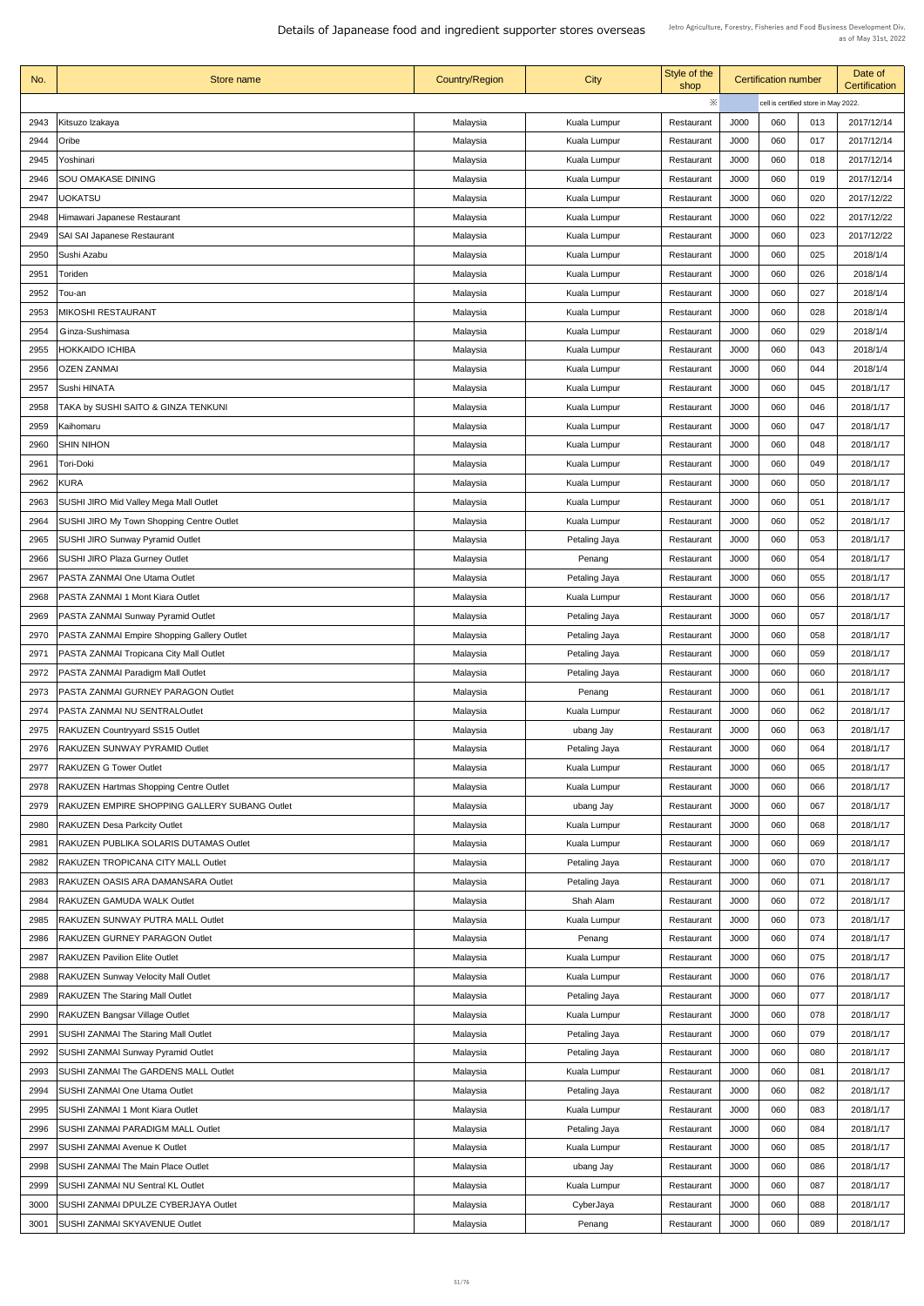| No.          | Store name                                                                   | <b>Country/Region</b> | City                          | Style of the<br>shop     |             | <b>Certification number</b>          |     | Date of<br><b>Certification</b> |
|--------------|------------------------------------------------------------------------------|-----------------------|-------------------------------|--------------------------|-------------|--------------------------------------|-----|---------------------------------|
|              |                                                                              |                       |                               | $\ddot{\times}$          |             | cell is certified store in May 2022. |     |                                 |
| 2943         | Kitsuzo Izakaya                                                              | Malaysia              | Kuala Lumpur                  | Restaurant               | <b>J000</b> | 060                                  | 013 | 2017/12/14                      |
| 2944         | Oribe                                                                        | Malaysia              | Kuala Lumpur                  | Restaurant               | J000        | 060                                  | 017 | 2017/12/14                      |
| 2945         | Yoshinari                                                                    | Malaysia              | Kuala Lumpur                  | Restaurant               | J000        | 060                                  | 018 | 2017/12/14                      |
| 2946         | <b>SOU OMAKASE DINING</b>                                                    | Malaysia              | Kuala Lumpur                  | Restaurant               | J000        | 060                                  | 019 | 2017/12/14                      |
| 2947         | <b>UOKATSU</b>                                                               | Malaysia              | <b>Kuala Lumpur</b>           | Restaurant               | <b>J000</b> | 060                                  | 020 | 2017/12/22                      |
| 2948         | Himawari Japanese Restaurant                                                 | Malaysia              | Kuala Lumpur                  | Restaurant               | <b>J000</b> | 060                                  | 022 | 2017/12/22                      |
| 2949         | <b>SAI SAI Japanese Restaurant</b>                                           | Malaysia              | Kuala Lumpur                  | Restaurant               | J000        | 060                                  | 023 | 2017/12/22                      |
| 2950         | Sushi Azabu                                                                  | Malaysia              | Kuala Lumpur                  | Restaurant               | <b>J000</b> | 060                                  | 025 | 2018/1/4                        |
| 2951         | Toriden                                                                      | Malaysia              | Kuala Lumpur                  | Restaurant               | J000        | 060                                  | 026 | 2018/1/4                        |
| 2952         | Tou-an                                                                       | Malaysia              | <b>Kuala Lumpur</b>           | Restaurant               | J000        | 060                                  | 027 | 2018/1/4                        |
| 2953         | <b>MIKOSHI RESTAURANT</b>                                                    | Malaysia              | Kuala Lumpur                  | Restaurant               | <b>J000</b> | 060                                  | 028 | 2018/1/4                        |
| 2954         | Ginza-Sushimasa                                                              | Malaysia              | Kuala Lumpur                  | Restaurant               | <b>J000</b> | 060                                  | 029 | 2018/1/4                        |
| 2955         | HOKKAIDO ICHIBA                                                              | Malaysia              | <b>Kuala Lumpur</b>           | Restaurant               | <b>J000</b> | 060                                  | 043 | 2018/1/4                        |
| 2956         | <b>OZEN ZANMAI</b>                                                           | Malaysia              | Kuala Lumpur                  | Restaurant               | J000        | 060                                  | 044 | 2018/1/4                        |
| 2957         | <b>Sushi HINATA</b>                                                          | Malaysia              | Kuala Lumpur                  | Restaurant               | J000        | 060                                  | 045 | 2018/1/17                       |
| 2958         | TAKA by SUSHI SAITO & GINZA TENKUNI                                          | Malaysia              | Kuala Lumpur                  | Restaurant               | J000        | 060                                  | 046 | 2018/1/17                       |
| 2959         | Kaihomaru                                                                    | Malaysia              | Kuala Lumpur                  | Restaurant               | J000        | 060                                  | 047 | 2018/1/17                       |
| 2960         | <b>SHIN NIHON</b>                                                            | Malaysia              | Kuala Lumpur                  | Restaurant               | J000        | 060                                  | 048 | 2018/1/17                       |
| 2961         | Tori-Doki                                                                    | Malaysia              | Kuala Lumpur                  | Restaurant               | J000        | 060                                  | 049 | 2018/1/17                       |
| 2962         | <b>KURA</b>                                                                  | Malaysia              | Kuala Lumpur                  | Restaurant               | J000        | 060                                  | 050 | 2018/1/17                       |
| 2963         | <b>SUSHI JIRO Mid Valley Mega Mall Outlet</b>                                | Malaysia              | Kuala Lumpur                  | Restaurant               | J000        | 060                                  | 051 | 2018/1/17                       |
| 2964         | <b>SUSHI JIRO My Town Shopping Centre Outlet</b>                             | Malaysia              | Kuala Lumpur                  | Restaurant               | J000        | 060                                  | 052 | 2018/1/17                       |
| 2965         | <b>SUSHI JIRO Sunway Pyramid Outlet</b>                                      | Malaysia              | Petaling Jaya                 | Restaurant               | J000        | 060                                  | 053 | 2018/1/17                       |
| 2966         | <b>SUSHI JIRO Plaza Gurney Outlet</b>                                        | Malaysia              | Penang                        | Restaurant               | J000        | 060                                  | 054 | 2018/1/17                       |
| 2967         | <b>PASTA ZANMAI One Utama Outlet</b>                                         | Malaysia              | Petaling Jaya                 | Restaurant               | J000        | 060                                  | 055 | 2018/1/17                       |
| 2968         | <b>PASTA ZANMAI 1 Mont Kiara Outlet</b>                                      | Malaysia              | Kuala Lumpur                  | Restaurant               | J000        | 060                                  | 056 | 2018/1/17                       |
| 2969         | PASTA ZANMAI Sunway Pyramid Outlet                                           | Malaysia              | Petaling Jaya                 | Restaurant               | J000        | 060                                  | 057 | 2018/1/17                       |
| 2970         | PASTA ZANMAI Empire Shopping Gallery Outlet                                  | Malaysia              | Petaling Jaya                 | Restaurant               | J000        | 060                                  | 058 | 2018/1/17                       |
| 2971         | PASTA ZANMAI Tropicana City Mall Outlet                                      | Malaysia              | Petaling Jaya                 | Restaurant               | J000        | 060                                  | 059 | 2018/1/17                       |
| 2972         | PASTA ZANMAI Paradigm Mall Outlet                                            | Malaysia              | Petaling Jaya                 | Restaurant               | J000        | 060                                  | 060 | 2018/1/17                       |
| 2973         | PASTA ZANMAI GURNEY PARAGON Outlet                                           |                       |                               |                          | <b>J000</b> | 060                                  | 061 | 2018/1/17                       |
| 2974         | <b>PASTA ZANMAI NU SENTRALOutlet</b>                                         | Malaysia              | Penang                        | Restaurant<br>Restaurant | <b>J000</b> | 060                                  | 062 | 2018/1/17                       |
|              | <b>RAKUZEN Countryyard SS15 Outlet</b>                                       | Malaysia              | Kuala Lumpur                  | Restaurant               | J000        | 060                                  | 063 | 2018/1/17                       |
| 2975<br>2976 | RAKUZEN SUNWAY PYRAMID Outlet                                                | Malaysia              | ubang Jay                     | Restaurant               | <b>J000</b> | 060                                  | 064 | 2018/1/17                       |
| 2977         | <b>RAKUZEN G Tower Outlet</b>                                                | Malaysia<br>Malaysia  | Petaling Jaya<br>Kuala Lumpur | Restaurant               | <b>J000</b> | 060                                  | 065 | 2018/1/17                       |
| 2978         | <b>RAKUZEN Hartmas Shopping Centre Outlet</b>                                | Malaysia              | Kuala Lumpur                  | Restaurant               | J000        | 060                                  | 066 | 2018/1/17                       |
| 2979         | RAKUZEN EMPIRE SHOPPING GALLERY SUBANG Outlet                                | Malaysia              | ubang Jay                     | Restaurant               | J000        | 060                                  | 067 | 2018/1/17                       |
| 2980         | <b>RAKUZEN Desa Parkcity Outlet</b>                                          | Malaysia              | Kuala Lumpur                  | Restaurant               | J000        | 060                                  | 068 | 2018/1/17                       |
| 2981         | RAKUZEN PUBLIKA SOLARIS DUTAMAS Outlet                                       | Malaysia              | Kuala Lumpur                  | Restaurant               | <b>J000</b> | 060                                  | 069 | 2018/1/17                       |
| 2982         | RAKUZEN TROPICANA CITY MALL Outlet                                           | Malaysia              | Petaling Jaya                 | Restaurant               | J000        | 060                                  | 070 | 2018/1/17                       |
| 2983         | RAKUZEN OASIS ARA DAMANSARA Outlet                                           | Malaysia              | Petaling Jaya                 | Restaurant               | J000        | 060                                  | 071 | 2018/1/17                       |
| 2984         |                                                                              |                       | Shah Alam                     |                          | J000        | 060                                  | 072 | 2018/1/17                       |
| 2985         | <b>RAKUZEN GAMUDA WALK Outlet</b><br>RAKUZEN SUNWAY PUTRA MALL Outlet        | Malaysia<br>Malaysia  | <b>Kuala Lumpur</b>           | Restaurant<br>Restaurant | <b>J000</b> | 060                                  | 073 | 2018/1/17                       |
|              |                                                                              |                       |                               |                          | <b>J000</b> |                                      | 074 |                                 |
| 2986<br>2987 | <b>RAKUZEN GURNEY PARAGON Outlet</b><br><b>RAKUZEN Pavilion Elite Outlet</b> | Malaysia<br>Malaysia  | Penang<br>Kuala Lumpur        | Restaurant<br>Restaurant | <b>J000</b> | 060<br>060                           | 075 | 2018/1/17<br>2018/1/17          |
|              |                                                                              |                       |                               |                          |             | 060                                  | 076 |                                 |
| 2988         | <b>RAKUZEN Sunway Velocity Mall Outlet</b>                                   | Malaysia              | <b>Kuala Lumpur</b>           | Restaurant               | J000        |                                      |     | 2018/1/17                       |
| 2989         | <b>RAKUZEN The Staring Mall Outlet</b>                                       | Malaysia              | Petaling Jaya                 | Restaurant               | J000        | 060                                  | 077 | 2018/1/17                       |
| 2990         | <b>RAKUZEN Bangsar Village Outlet</b>                                        | Malaysia              | Kuala Lumpur                  | Restaurant               | J000        | 060                                  | 078 | 2018/1/17                       |
| 2991         | <b>SUSHI ZANMAI The Staring Mall Outlet</b>                                  | Malaysia              | Petaling Jaya                 | Restaurant               | J000        | 060                                  | 079 | 2018/1/17                       |
| 2992         | <b>SUSHI ZANMAI Sunway Pyramid Outlet</b>                                    | Malaysia              | Petaling Jaya                 | Restaurant               | J000        | 060                                  | 080 | 2018/1/17                       |
| 2993         | <b>SUSHI ZANMAI The GARDENS MALL Outlet</b>                                  | Malaysia              | Kuala Lumpur                  | Restaurant               | J000        | 060                                  | 081 | 2018/1/17                       |
| 2994         | <b>SUSHI ZANMAI One Utama Outlet</b>                                         | Malaysia              | Petaling Jaya                 | Restaurant               | J000        | 060                                  | 082 | 2018/1/17                       |
| 2995         | <b>SUSHI ZANMAI 1 Mont Kiara Outlet</b>                                      | Malaysia              | Kuala Lumpur                  | Restaurant               | J000        | 060                                  | 083 | 2018/1/17                       |
| 2996         | <b>SUSHI ZANMAI PARADIGM MALL Outlet</b>                                     | Malaysia              | Petaling Jaya                 | Restaurant               | J000        | 060                                  | 084 | 2018/1/17                       |
| 2997         | <b>SUSHI ZANMAI Avenue K Outlet</b>                                          | Malaysia              | <b>Kuala Lumpur</b>           | Restaurant               | J000        | 060                                  | 085 | 2018/1/17                       |
| 2998         | <b>SUSHI ZANMAI The Main Place Outlet</b>                                    | Malaysia              | ubang Jay                     | Restaurant               | <b>J000</b> | 060                                  | 086 | 2018/1/17                       |
| 2999         | <b>SUSHI ZANMAI NU Sentral KL Outlet</b>                                     | Malaysia              | Kuala Lumpur                  | Restaurant               | J000        | 060                                  | 087 | 2018/1/17                       |
| 3000         | <b>SUSHI ZANMAI DPULZE CYBERJAYA Outlet</b>                                  | Malaysia              | CyberJaya                     | Restaurant               | J000        | 060                                  | 088 | 2018/1/17                       |
| 3001         | <b>SUSHI ZANMAI SKYAVENUE Outlet</b>                                         | Malaysia              | Penang                        | Restaurant               | J000        | 060                                  | 089 | 2018/1/17                       |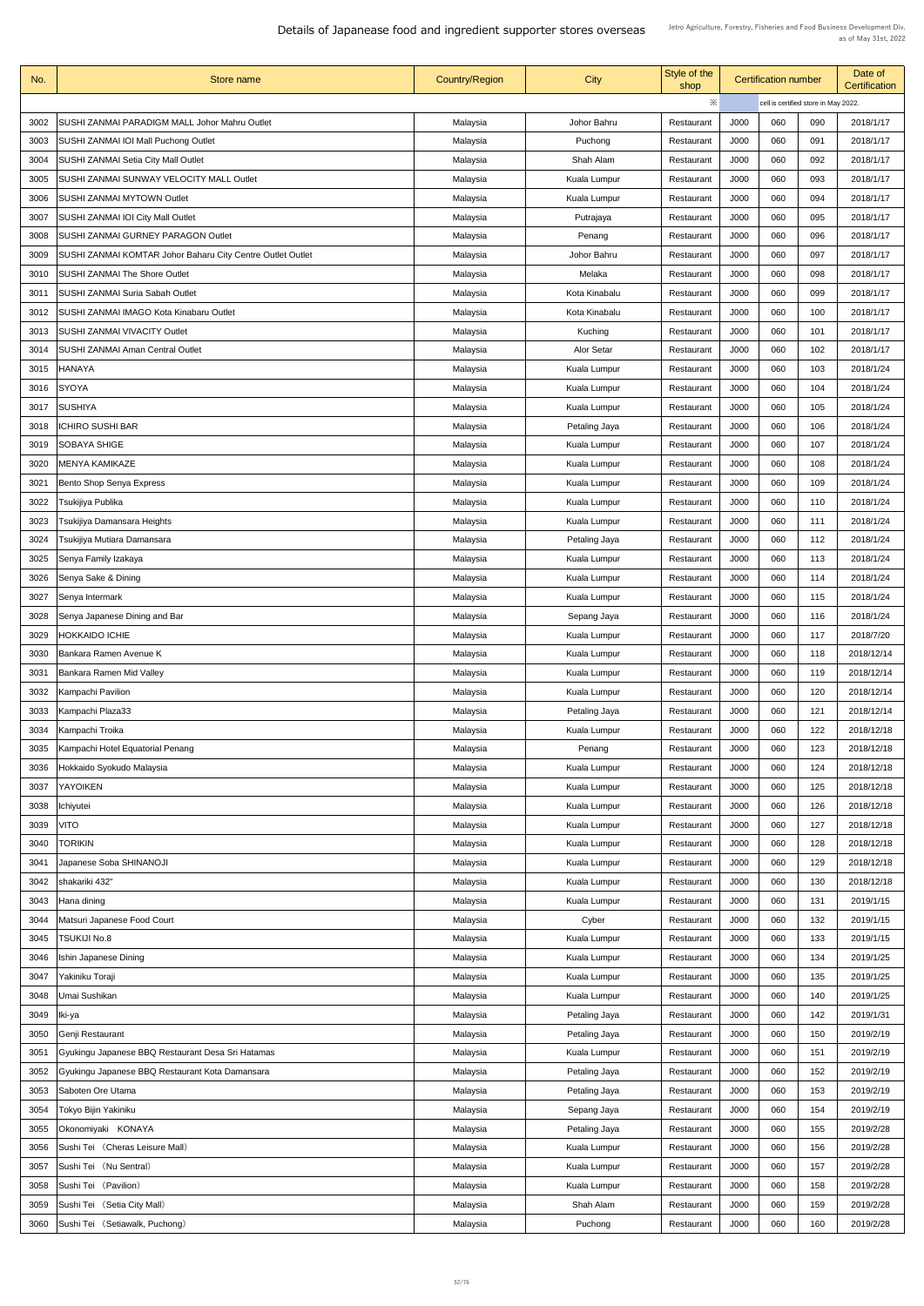| No.  | <b>Store name</b>                                          | <b>Country/Region</b> | City                | Style of the<br>shop | <b>Certification number</b> |     |                                      | Date of<br><b>Certification</b> |
|------|------------------------------------------------------------|-----------------------|---------------------|----------------------|-----------------------------|-----|--------------------------------------|---------------------------------|
|      |                                                            |                       |                     | ※                    |                             |     | cell is certified store in May 2022. |                                 |
| 3002 | <b>SUSHI ZANMAI PARADIGM MALL Johor Mahru Outlet</b>       | Malaysia              | Johor Bahru         | Restaurant           | <b>J000</b>                 | 060 | 090                                  | 2018/1/17                       |
| 3003 | <b>SUSHI ZANMAI IOI Mall Puchong Outlet</b>                | Malaysia              | Puchong             | Restaurant           | <b>J000</b>                 | 060 | 091                                  | 2018/1/17                       |
| 3004 | <b>SUSHI ZANMAI Setia City Mall Outlet</b>                 | Malaysia              | Shah Alam           | Restaurant           | <b>J000</b>                 | 060 | 092                                  | 2018/1/17                       |
| 3005 | <b>SUSHI ZANMAI SUNWAY VELOCITY MALL Outlet</b>            | Malaysia              | Kuala Lumpur        | Restaurant           | <b>J000</b>                 | 060 | 093                                  | 2018/1/17                       |
| 3006 | <b>SUSHI ZANMAI MYTOWN Outlet</b>                          | Malaysia              | <b>Kuala Lumpur</b> | Restaurant           | <b>J000</b>                 | 060 | 094                                  | 2018/1/17                       |
| 3007 | <b>SUSHI ZANMAI IOI City Mall Outlet</b>                   | Malaysia              | Putrajaya           | Restaurant           | <b>J000</b>                 | 060 | 095                                  | 2018/1/17                       |
| 3008 | <b>SUSHI ZANMAI GURNEY PARAGON Outlet</b>                  | Malaysia              | Penang              | Restaurant           | J000                        | 060 | 096                                  | 2018/1/17                       |
| 3009 | SUSHI ZANMAI KOMTAR Johor Baharu City Centre Outlet Outlet | Malaysia              | Johor Bahru         | Restaurant           | J000                        | 060 | 097                                  | 2018/1/17                       |
| 3010 | <b>SUSHI ZANMAI The Shore Outlet</b>                       | Malaysia              | Melaka              | Restaurant           | J000                        | 060 | 098                                  | 2018/1/17                       |
| 301' | <b>SUSHI ZANMAI Suria Sabah Outlet</b>                     | Malaysia              | Kota Kinabalu       | Restaurant           | <b>J000</b>                 | 060 | 099                                  | 2018/1/17                       |
| 3012 | <b>SUSHI ZANMAI IMAGO Kota Kinabaru Outlet</b>             | Malaysia              | Kota Kinabalu       | Restaurant           | <b>J000</b>                 | 060 | 100                                  | 2018/1/17                       |
| 3013 | <b>SUSHI ZANMAI VIVACITY Outlet</b>                        | Malaysia              | Kuching             | Restaurant           | <b>J000</b>                 | 060 | 101                                  | 2018/1/17                       |
| 3014 | <b>SUSHI ZANMAI Aman Central Outlet</b>                    | Malaysia              | Alor Setar          | Restaurant           | J000                        | 060 | 102                                  | 2018/1/17                       |
| 3015 | <b>HANAYA</b>                                              | Malaysia              | Kuala Lumpur        | Restaurant           | J000                        | 060 | 103                                  | 2018/1/24                       |
| 3016 | <b>SYOYA</b>                                               |                       | <b>Kuala Lumpur</b> | Restaurant           | J000                        | 060 | 104                                  | 2018/1/24                       |
|      |                                                            | Malaysia              |                     |                      |                             |     |                                      |                                 |
| 3017 | <b>SUSHIYA</b>                                             | Malaysia              | Kuala Lumpur        | Restaurant           | J000                        | 060 | 105                                  | 2018/1/24                       |
| 3018 | <b>ICHIRO SUSHI BAR</b>                                    | Malaysia              | Petaling Jaya       | Restaurant           | J000                        | 060 | 106                                  | 2018/1/24                       |
| 3019 | <b>SOBAYA SHIGE</b>                                        | Malaysia              | Kuala Lumpur        | Restaurant           | J000                        | 060 | 107                                  | 2018/1/24                       |
| 3020 | <b>MENYA KAMIKAZE</b>                                      | Malaysia              | <b>Kuala Lumpur</b> | Restaurant           | J000                        | 060 | 108                                  | 2018/1/24                       |
| 3021 | Bento Shop Senya Express                                   | Malaysia              | Kuala Lumpur        | Restaurant           | J000                        | 060 | 109                                  | 2018/1/24                       |
| 3022 | Tsukijiya Publika                                          | Malaysia              | Kuala Lumpur        | Restaurant           | J000                        | 060 | 110                                  | 2018/1/24                       |
| 3023 | Tsukijiya Damansara Heights                                | Malaysia              | Kuala Lumpur        | Restaurant           | J000                        | 060 | 111                                  | 2018/1/24                       |
| 3024 | Tsukijiya Mutiara Damansara                                | Malaysia              | Petaling Jaya       | Restaurant           | J000                        | 060 | 112                                  | 2018/1/24                       |
| 3025 | Senya Family Izakaya                                       | Malaysia              | <b>Kuala Lumpur</b> | Restaurant           | J000                        | 060 | 113                                  | 2018/1/24                       |
| 3026 | Senya Sake & Dining                                        | Malaysia              | Kuala Lumpur        | Restaurant           | J000                        | 060 | 114                                  | 2018/1/24                       |
| 3027 | Senya Intermark                                            | Malaysia              | <b>Kuala Lumpur</b> | Restaurant           | J000                        | 060 | 115                                  | 2018/1/24                       |
| 3028 | Senya Japanese Dining and Bar                              | Malaysia              | Sepang Jaya         | Restaurant           | J000                        | 060 | 116                                  | 2018/1/24                       |
| 3029 | <b>HOKKAIDO ICHIE</b>                                      | Malaysia              | Kuala Lumpur        | Restaurant           | J000                        | 060 | 117                                  | 2018/7/20                       |
| 3030 | Bankara Ramen Avenue K                                     | Malaysia              | Kuala Lumpur        | Restaurant           | J000                        | 060 | 118                                  | 2018/12/14                      |
| 3031 | Bankara Ramen Mid Valley                                   | Malaysia              | Kuala Lumpur        | Restaurant           | J000                        | 060 | 119                                  | 2018/12/14                      |
| 3032 | Kampachi Pavilion                                          | Malaysia              | Kuala Lumpur        | Restaurant           | J000                        | 060 | 120                                  | 2018/12/14                      |
| 3033 | Kampachi Plaza33                                           | Malaysia              | Petaling Jaya       | Restaurant           | J000                        | 060 | 121                                  | 2018/12/14                      |
| 3034 | Kampachi Troika                                            | Malaysia              | Kuala Lumpur        | Restaurant           | J000                        | 060 | 122                                  | 2018/12/18                      |
| 3035 | Kampachi Hotel Equatorial Penang                           | Malaysia              | Penang              | Restaurant           | J000                        | 060 | 123                                  | 2018/12/18                      |
| 3036 | Hokkaido Syokudo Malaysia                                  | Malaysia              | Kuala Lumpur        | Restaurant           | J000                        | 060 | 124                                  | 2018/12/18                      |
| 3037 | <b>YAYOIKEN</b>                                            | Malaysia              | <b>Kuala Lumpur</b> | Restaurant           | J000                        | 060 | 125                                  | 2018/12/18                      |
| 3038 | Ichiyutei                                                  | Malaysia              | Kuala Lumpur        | Restaurant           | J000                        | 060 | 126                                  | 2018/12/18                      |
| 3039 | <b>VITO</b>                                                | Malaysia              | Kuala Lumpur        | Restaurant           | J000                        | 060 | 127                                  | 2018/12/18                      |
| 3040 | <b>TORIKIN</b>                                             | Malaysia              | Kuala Lumpur        | Restaurant           | J000                        | 060 | 128                                  | 2018/12/18                      |
| 3041 | Japanese Soba SHINANOJI                                    | Malaysia              | Kuala Lumpur        | Restaurant           | J000                        | 060 | 129                                  | 2018/12/18                      |
| 3042 | shakariki 432"                                             | Malaysia              | Kuala Lumpur        | Restaurant           | J000                        | 060 | 130                                  | 2018/12/18                      |
|      | 3043   Hana dining                                         | Malaysia              | Kuala Lumpur        | Restaurant           | <b>J000</b>                 | 060 | 131                                  | 2019/1/15                       |
| 3044 | Matsuri Japanese Food Court                                | Malaysia              | Cyber               | Restaurant           | J000                        | 060 | 132                                  | 2019/1/15                       |
| 3045 | <b>TSUKIJI No.8</b>                                        | Malaysia              | <b>Kuala Lumpur</b> | Restaurant           | J000                        | 060 | 133                                  | 2019/1/15                       |
| 3046 | <b>Ishin Japanese Dining</b>                               | Malaysia              | Kuala Lumpur        | Restaurant           | J000                        | 060 | 134                                  | 2019/1/25                       |
| 3047 | Yakiniku Toraji                                            | Malaysia              | <b>Kuala Lumpur</b> | Restaurant           | J000                        | 060 | 135                                  | 2019/1/25                       |
| 3048 | Umai Sushikan                                              | Malaysia              | <b>Kuala Lumpur</b> | Restaurant           | J000                        | 060 | 140                                  | 2019/1/25                       |
| 3049 | Iki-ya                                                     | Malaysia              | Petaling Jaya       | Restaurant           | J000                        | 060 | 142                                  | 2019/1/31                       |
| 3050 | Genji Restaurant                                           | Malaysia              | Petaling Jaya       | Restaurant           | J000                        | 060 | 150                                  | 2019/2/19                       |
| 3051 | Gyukingu Japanese BBQ Restaurant Desa Sri Hatamas          | Malaysia              | Kuala Lumpur        | Restaurant           | J000                        | 060 | 151                                  | 2019/2/19                       |
| 3052 | Gyukingu Japanese BBQ Restaurant Kota Damansara            | Malaysia              | Petaling Jaya       | Restaurant           | J000                        | 060 | 152                                  | 2019/2/19                       |
| 3053 | Saboten Ore Utama                                          | Malaysia              | Petaling Jaya       | Restaurant           | J000                        | 060 | 153                                  | 2019/2/19                       |
| 3054 | Tokyo Bijin Yakiniku                                       | Malaysia              | Sepang Jaya         | Restaurant           | J000                        | 060 | 154                                  | 2019/2/19                       |
| 3055 | Okonomiyaki KONAYA                                         | Malaysia              | Petaling Jaya       | Restaurant           | J000                        | 060 | 155                                  | 2019/2/28                       |
| 3056 | Sushi Tei (Cheras Leisure Mall)                            | Malaysia              | Kuala Lumpur        | Restaurant           | J000                        | 060 | 156                                  | 2019/2/28                       |
| 3057 | Sushi Tei (Nu Sentral)                                     | Malaysia              | Kuala Lumpur        | Restaurant           | <b>J000</b>                 | 060 | 157                                  | 2019/2/28                       |
| 3058 | Sushi Tei (Pavilion)                                       | Malaysia              | <b>Kuala Lumpur</b> | Restaurant           | J000                        | 060 | 158                                  | 2019/2/28                       |
| 3059 | Sushi Tei (Setia City Mall)                                | Malaysia              | Shah Alam           | Restaurant           | J000                        | 060 | 159                                  | 2019/2/28                       |
| 3060 | Sushi Tei (Setiawalk, Puchong)                             | Malaysia              | Puchong             | Restaurant           | J000                        | 060 | 160                                  | 2019/2/28                       |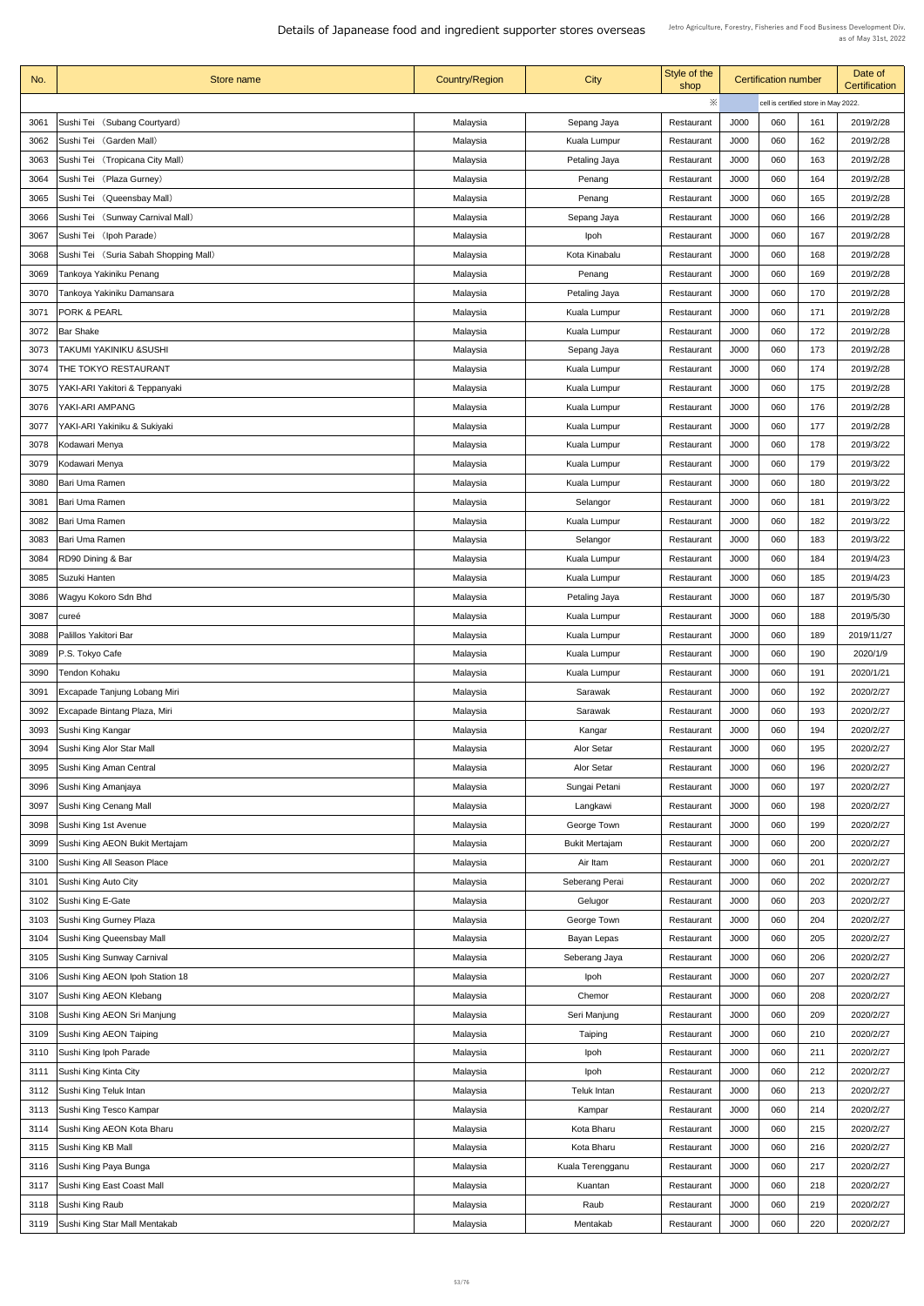| No.  | Store name                            | <b>Country/Region</b> | <b>City</b>           | Style of the<br>shop |             | <b>Certification number</b> |                                      | Date of<br><b>Certification</b> |
|------|---------------------------------------|-----------------------|-----------------------|----------------------|-------------|-----------------------------|--------------------------------------|---------------------------------|
|      |                                       |                       |                       | $\times$             |             |                             | cell is certified store in May 2022. |                                 |
| 3061 | Sushi Tei (Subang Courtyard)          | Malaysia              | Sepang Jaya           | Restaurant           | <b>J000</b> | 060                         | 161                                  | 2019/2/28                       |
| 3062 | Sushi Tei (Garden Mall)               | Malaysia              | Kuala Lumpur          | Restaurant           | J000        | 060                         | 162                                  | 2019/2/28                       |
| 3063 | Sushi Tei (Tropicana City Mall)       | Malaysia              | Petaling Jaya         | Restaurant           | <b>J000</b> | 060                         | 163                                  | 2019/2/28                       |
| 3064 | Sushi Tei (Plaza Gurney)              | Malaysia              | Penang                | Restaurant           | <b>J000</b> | 060                         | 164                                  | 2019/2/28                       |
| 3065 | Sushi Tei (Queensbay Mall)            | Malaysia              | Penang                | Restaurant           | <b>J000</b> | 060                         | 165                                  | 2019/2/28                       |
| 3066 | Sushi Tei (Sunway Carnival Mall)      | Malaysia              | Sepang Jaya           | Restaurant           | <b>J000</b> | 060                         | 166                                  | 2019/2/28                       |
| 3067 | Sushi Tei (Ipoh Parade)               | Malaysia              | <b>lpoh</b>           | Restaurant           | J000        | 060                         | 167                                  | 2019/2/28                       |
| 3068 | Sushi Tei (Suria Sabah Shopping Mall) | Malaysia              | Kota Kinabalu         | Restaurant           | <b>J000</b> | 060                         | 168                                  | 2019/2/28                       |
| 3069 | Tankoya Yakiniku Penang               | Malaysia              | Penang                | Restaurant           | J000        | 060                         | 169                                  | 2019/2/28                       |
| 3070 | Tankoya Yakiniku Damansara            | Malaysia              | Petaling Jaya         | Restaurant           | <b>J000</b> | 060                         | 170                                  | 2019/2/28                       |
| 3071 | <b>PORK &amp; PEARL</b>               | Malaysia              | Kuala Lumpur          | Restaurant           | J000        | 060                         | 171                                  | 2019/2/28                       |
| 3072 | <b>Bar Shake</b>                      | Malaysia              | <b>Kuala Lumpur</b>   | Restaurant           | J000        | 060                         | 172                                  | 2019/2/28                       |
| 3073 | <b>TAKUMI YAKINIKU &amp;SUSHI</b>     | Malaysia              | Sepang Jaya           | Restaurant           | <b>J000</b> | 060                         | 173                                  | 2019/2/28                       |
| 3074 | THE TOKYO RESTAURANT                  | Malaysia              | Kuala Lumpur          | Restaurant           | J000        | 060                         | 174                                  | 2019/2/28                       |
| 3075 | YAKI-ARI Yakitori & Teppanyaki        | Malaysia              | <b>Kuala Lumpur</b>   | Restaurant           | J000        | 060                         | 175                                  | 2019/2/28                       |
| 3076 | YAKI-ARI AMPANG                       | Malaysia              | Kuala Lumpur          | Restaurant           | J000        | 060                         | 176                                  | 2019/2/28                       |
| 3077 | YAKI-ARI Yakiniku & Sukiyaki          | Malaysia              | Kuala Lumpur          | Restaurant           | J000        | 060                         | 177                                  | 2019/2/28                       |
| 3078 | Kodawari Menya                        | Malaysia              | Kuala Lumpur          | Restaurant           | J000        | 060                         | 178                                  | 2019/3/22                       |
| 3079 | Kodawari Menya                        | Malaysia              | Kuala Lumpur          | Restaurant           | J000        | 060                         | 179                                  | 2019/3/22                       |
| 3080 | Bari Uma Ramen                        | Malaysia              | <b>Kuala Lumpur</b>   | Restaurant           | J000        | 060                         | 180                                  | 2019/3/22                       |
| 3081 | Bari Uma Ramen                        | Malaysia              | Selangor              | Restaurant           | J000        | 060                         | 181                                  | 2019/3/22                       |
| 3082 | <b>Bari Uma Ramen</b>                 | Malaysia              | Kuala Lumpur          | Restaurant           | J000        | 060                         | 182                                  | 2019/3/22                       |
| 3083 | Bari Uma Ramen                        | Malaysia              | Selangor              | Restaurant           | J000        | 060                         | 183                                  | 2019/3/22                       |
| 3084 | RD90 Dining & Bar                     | Malaysia              | <b>Kuala Lumpur</b>   | Restaurant           | J000        | 060                         | 184                                  | 2019/4/23                       |
| 3085 | Suzuki Hanten                         | Malaysia              | Kuala Lumpur          | Restaurant           | J000        | 060                         | 185                                  | 2019/4/23                       |
| 3086 | Wagyu Kokoro Sdn Bhd                  | Malaysia              | Petaling Jaya         | Restaurant           | J000        | 060                         | 187                                  | 2019/5/30                       |
| 3087 | cureé                                 | Malaysia              | Kuala Lumpur          | Restaurant           | J000        | 060                         | 188                                  | 2019/5/30                       |
| 3088 | Palillos Yakitori Bar                 | Malaysia              | Kuala Lumpur          | Restaurant           | J000        | 060                         | 189                                  | 2019/11/27                      |
| 3089 | P.S. Tokyo Cafe                       | Malaysia              | Kuala Lumpur          | Restaurant           | J000        | 060                         | 190                                  | 2020/1/9                        |
| 3090 | Tendon Kohaku                         | Malaysia              | Kuala Lumpur          | Restaurant           | J000        | 060                         | 191                                  | 2020/1/21                       |
| 3091 | <b>Excapade Tanjung Lobang Miri</b>   | Malaysia              | Sarawak               | Restaurant           | J000        | 060                         | 192                                  | 2020/2/27                       |
| 3092 | Excapade Bintang Plaza, Miri          | Malaysia              | Sarawak               | Restaurant           | J000        | 060                         | 193                                  | 2020/2/27                       |
| 3093 | Sushi King Kangar                     | Malaysia              | Kangar                | Restaurant           | J000        | 060                         | 194                                  | 2020/2/27                       |
| 3094 | Sushi King Alor Star Mall             | Malaysia              | Alor Setar            | Restaurant           | J000        | 060                         | 195                                  | 2020/2/27                       |
| 3095 | Sushi King Aman Central               | Malaysia              | <b>Alor Setar</b>     | Restaurant           | <b>J000</b> | 060                         | 196                                  | 2020/2/27                       |
| 3096 | Sushi King Amanjaya                   | Malaysia              | Sungai Petani         | Restaurant           | J000        | 060                         | 197                                  | 2020/2/27                       |
| 3097 | Sushi King Cenang Mall                | Malaysia              | Langkawi              | Restaurant           | J000        | 060                         | 198                                  | 2020/2/27                       |
| 3098 | Sushi King 1st Avenue                 | Malaysia              | George Town           | Restaurant           | J000        | 060                         | 199                                  | 2020/2/27                       |
| 3099 | Sushi King AEON Bukit Mertajam        | Malaysia              | <b>Bukit Mertajam</b> | Restaurant           | <b>J000</b> | 060                         | 200                                  | 2020/2/27                       |
| 3100 | Sushi King All Season Place           | Malaysia              | Air Itam              | Restaurant           | J000        | 060                         | 201                                  | 2020/2/27                       |
| 3101 | Sushi King Auto City                  | Malaysia              | Seberang Perai        | Restaurant           | <b>J000</b> | 060                         | 202                                  | 2020/2/27                       |
|      | 3102 Sushi King E-Gate                | Malaysia              | Gelugor               | Restaurant           | J000        | 060                         | 203                                  | 2020/2/27                       |
| 3103 | Sushi King Gurney Plaza               | Malaysia              | George Town           | Restaurant           | J000        | 060                         | 204                                  | 2020/2/27                       |
| 3104 | Sushi King Queensbay Mall             | Malaysia              | <b>Bayan Lepas</b>    | Restaurant           | <b>J000</b> | 060                         | 205                                  | 2020/2/27                       |
| 3105 | Sushi King Sunway Carnival            | Malaysia              | Seberang Jaya         | Restaurant           | J000        | 060                         | 206                                  | 2020/2/27                       |
| 3106 | Sushi King AEON Ipoh Station 18       | Malaysia              | Ipoh                  | Restaurant           | J000        | 060                         | 207                                  | 2020/2/27                       |
| 3107 | Sushi King AEON Klebang               | Malaysia              | Chemor                | Restaurant           | J000        | 060                         | 208                                  | 2020/2/27                       |
| 3108 | Sushi King AEON Sri Manjung           | Malaysia              | Seri Manjung          | Restaurant           | J000        | 060                         | 209                                  | 2020/2/27                       |
| 3109 | Sushi King AEON Taiping               | Malaysia              | Taiping               | Restaurant           | J000        | 060                         | 210                                  | 2020/2/27                       |
| 3110 | Sushi King Ipoh Parade                | Malaysia              | Ipoh                  | Restaurant           | J000        | 060                         | 211                                  | 2020/2/27                       |
| 3111 | Sushi King Kinta City                 | Malaysia              | Ipoh                  | Restaurant           | J000        | 060                         | 212                                  | 2020/2/27                       |
| 3112 | Sushi King Teluk Intan                | Malaysia              | Teluk Intan           | Restaurant           | J000        | 060                         | 213                                  | 2020/2/27                       |
| 3113 | Sushi King Tesco Kampar               | Malaysia              | Kampar                | Restaurant           | J000        | 060                         | 214                                  | 2020/2/27                       |
| 3114 | Sushi King AEON Kota Bharu            | Malaysia              | Kota Bharu            | Restaurant           | J000        | 060                         | 215                                  | 2020/2/27                       |
| 3115 | Sushi King KB Mall                    | Malaysia              | Kota Bharu            | Restaurant           | <b>J000</b> | 060                         | 216                                  | 2020/2/27                       |
| 3116 | Sushi King Paya Bunga                 | Malaysia              | Kuala Terengganu      | Restaurant           | J000        | 060                         | 217                                  | 2020/2/27                       |
| 3117 | Sushi King East Coast Mall            | Malaysia              | Kuantan               | Restaurant           | J000        | 060                         | 218                                  | 2020/2/27                       |
| 3118 | Sushi King Raub                       | Malaysia              | Raub                  | Restaurant           | J000        | 060                         | 219                                  | 2020/2/27                       |
| 3119 | Sushi King Star Mall Mentakab         | Malaysia              | Mentakab              | Restaurant           | J000        | 060                         | 220                                  | 2020/2/27                       |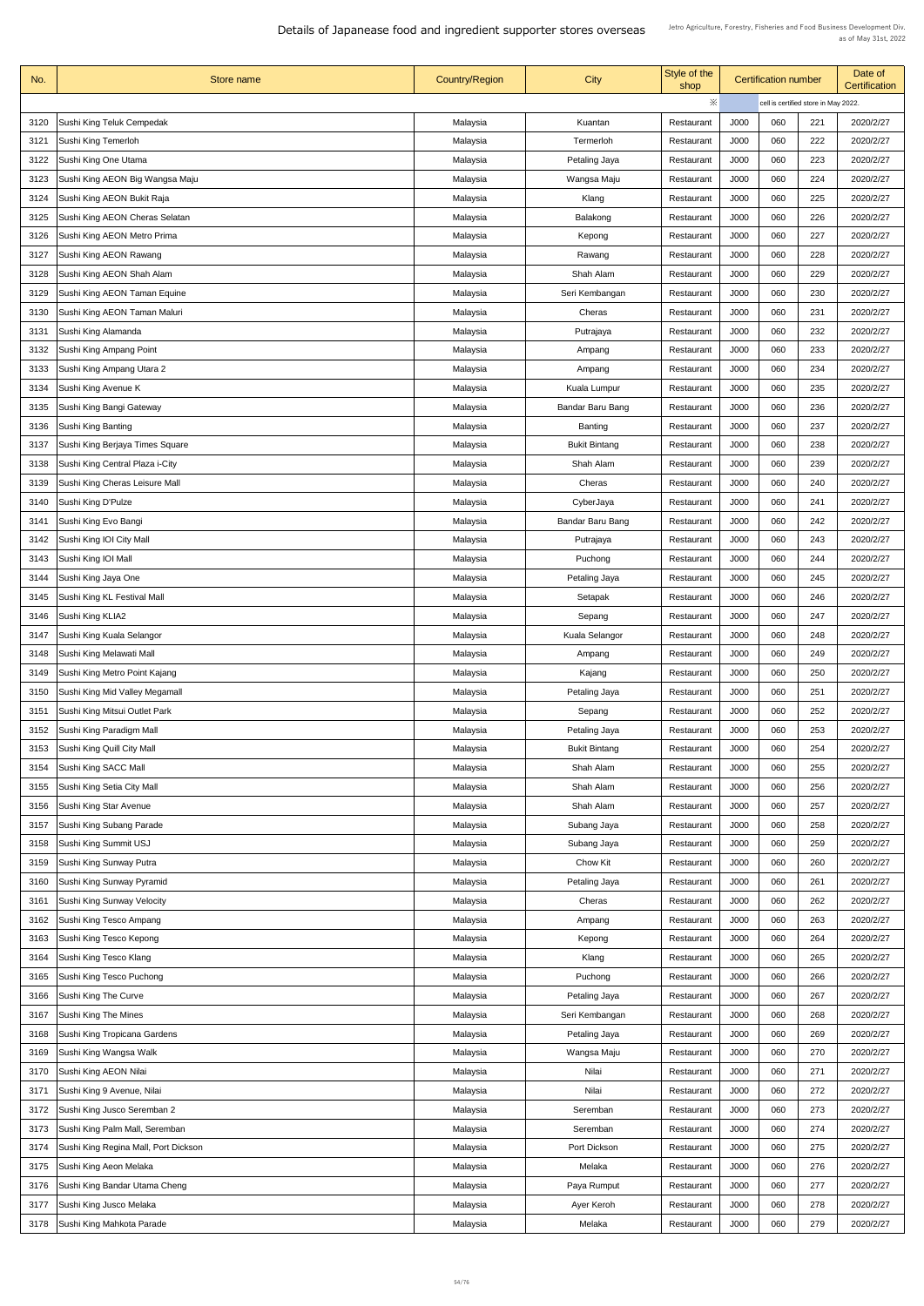| No.  | Store name                           | <b>Country/Region</b> | <b>City</b>             | Style of the<br>shop |                                      | <b>Certification number</b> |     | Date of<br><b>Certification</b> |
|------|--------------------------------------|-----------------------|-------------------------|----------------------|--------------------------------------|-----------------------------|-----|---------------------------------|
|      |                                      |                       |                         | $\times$             | cell is certified store in May 2022. |                             |     |                                 |
| 3120 | Sushi King Teluk Cempedak            | Malaysia              | Kuantan                 | Restaurant           | J000                                 | 060                         | 221 | 2020/2/27                       |
| 3121 | Sushi King Temerloh                  | Malaysia              | Termerloh               | Restaurant           | J000                                 | 060                         | 222 | 2020/2/27                       |
| 3122 | Sushi King One Utama                 | Malaysia              | Petaling Jaya           | Restaurant           | J000                                 | 060                         | 223 | 2020/2/27                       |
| 3123 | Sushi King AEON Big Wangsa Maju      | Malaysia              | Wangsa Maju             | Restaurant           | J000                                 | 060                         | 224 | 2020/2/27                       |
| 3124 | Sushi King AEON Bukit Raja           | Malaysia              | Klang                   | Restaurant           | J000                                 | 060                         | 225 | 2020/2/27                       |
| 3125 | Sushi King AEON Cheras Selatan       | Malaysia              | Balakong                | Restaurant           | J000                                 | 060                         | 226 | 2020/2/27                       |
| 3126 | Sushi King AEON Metro Prima          | Malaysia              | Kepong                  | Restaurant           | J000                                 | 060                         | 227 | 2020/2/27                       |
| 3127 | Sushi King AEON Rawang               | Malaysia              | Rawang                  | Restaurant           | J000                                 | 060                         | 228 | 2020/2/27                       |
| 3128 | Sushi King AEON Shah Alam            | Malaysia              | Shah Alam               | Restaurant           | J000                                 | 060                         | 229 | 2020/2/27                       |
| 3129 | Sushi King AEON Taman Equine         | Malaysia              | Seri Kembangan          | Restaurant           | J000                                 | 060                         | 230 | 2020/2/27                       |
| 3130 | Sushi King AEON Taman Maluri         | Malaysia              | Cheras                  | Restaurant           | J000                                 | 060                         | 231 | 2020/2/27                       |
| 3131 | Sushi King Alamanda                  | Malaysia              | Putrajaya               | Restaurant           | J000                                 | 060                         | 232 | 2020/2/27                       |
| 3132 | Sushi King Ampang Point              | Malaysia              | Ampang                  | Restaurant           | J000                                 | 060                         | 233 | 2020/2/27                       |
| 3133 | Sushi King Ampang Utara 2            | Malaysia              | Ampang                  | Restaurant           | J000                                 | 060                         | 234 | 2020/2/27                       |
| 3134 | Sushi King Avenue K                  | Malaysia              | Kuala Lumpur            | Restaurant           | J000                                 | 060                         | 235 | 2020/2/27                       |
| 3135 | Sushi King Bangi Gateway             | Malaysia              | Bandar Baru Bang        | Restaurant           | J000                                 | 060                         | 236 | 2020/2/27                       |
| 3136 | Sushi King Banting                   | Malaysia              | Banting                 | Restaurant           | J000                                 | 060                         | 237 | 2020/2/27                       |
| 3137 | Sushi King Berjaya Times Square      | Malaysia              | <b>Bukit Bintang</b>    | Restaurant           | J000                                 | 060                         | 238 | 2020/2/27                       |
| 3138 | Sushi King Central Plaza i-City      | Malaysia              | Shah Alam               | Restaurant           | J000                                 | 060                         | 239 | 2020/2/27                       |
| 3139 | Sushi King Cheras Leisure Mall       | Malaysia              | Cheras                  | Restaurant           | J000                                 | 060                         | 240 | 2020/2/27                       |
| 3140 | Sushi King D'Pulze                   | Malaysia              | CyberJaya               | Restaurant           | J000                                 | 060                         | 241 | 2020/2/27                       |
| 3141 | Sushi King Evo Bangi                 | Malaysia              | <b>Bandar Baru Bang</b> | Restaurant           | J000                                 | 060                         | 242 | 2020/2/27                       |
| 3142 | Sushi King IOI City Mall             | Malaysia              | Putrajaya               | Restaurant           | J000                                 | 060                         | 243 | 2020/2/27                       |
| 3143 | Sushi King IOI Mall                  | Malaysia              | Puchong                 | Restaurant           | J000                                 | 060                         | 244 | 2020/2/27                       |
| 3144 | Sushi King Jaya One                  | Malaysia              | Petaling Jaya           | Restaurant           | J000                                 | 060                         | 245 | 2020/2/27                       |
| 3145 | Sushi King KL Festival Mall          | Malaysia              | Setapak                 | Restaurant           | J000                                 | 060                         | 246 | 2020/2/27                       |
| 3146 | Sushi King KLIA2                     | Malaysia              | Sepang                  | Restaurant           | J000                                 | 060                         | 247 | 2020/2/27                       |
| 3147 | Sushi King Kuala Selangor            | Malaysia              | <b>Kuala Selangor</b>   | Restaurant           | J000                                 | 060                         | 248 | 2020/2/27                       |
| 3148 | Sushi King Melawati Mall             | Malaysia              | Ampang                  | Restaurant           | J000                                 | 060                         | 249 | 2020/2/27                       |
| 3149 | Sushi King Metro Point Kajang        | Malaysia              | Kajang                  | Restaurant           | J000                                 | 060                         | 250 | 2020/2/27                       |
| 3150 | Sushi King Mid Valley Megamall       | Malaysia              | Petaling Jaya           | Restaurant           | J000                                 | 060                         | 251 | 2020/2/27                       |
| 3151 | Sushi King Mitsui Outlet Park        | Malaysia              | Sepang                  | Restaurant           | J000                                 | 060                         | 252 | 2020/2/27                       |
| 3152 | Sushi King Paradigm Mall             | Malaysia              | Petaling Jaya           | Restaurant           | J000                                 | 060                         | 253 | 2020/2/27                       |
| 3153 | Sushi King Quill City Mall           | Malaysia              | <b>Bukit Bintang</b>    | Restaurant           | J000                                 | 060                         | 254 | 2020/2/27                       |
| 3154 | Sushi King SACC Mall                 | Malaysia              | Shah Alam               | Restaurant           | J000                                 | 060                         | 255 | 2020/2/27                       |
| 3155 | Sushi King Setia City Mall           | Malaysia              | Shah Alam               | Restaurant           | J000                                 | 060                         | 256 | 2020/2/27                       |
| 3156 | Sushi King Star Avenue               | Malaysia              | Shah Alam               | Restaurant           | J000                                 | 060                         | 257 | 2020/2/27                       |
| 3157 | Sushi King Subang Parade             | Malaysia              | Subang Jaya             | Restaurant           | J000                                 | 060                         | 258 | 2020/2/27                       |
| 3158 | Sushi King Summit USJ                | Malaysia              | Subang Jaya             | Restaurant           | J000                                 | 060                         | 259 | 2020/2/27                       |
| 3159 | Sushi King Sunway Putra              | Malaysia              | Chow Kit                | Restaurant           | J000                                 | 060                         | 260 | 2020/2/27                       |
| 3160 | Sushi King Sunway Pyramid            | Malaysia              | Petaling Jaya           | Restaurant           | J000                                 | 060                         | 261 | 2020/2/27                       |
|      | 3161   Sushi King Sunway Velocity    | Malaysia              | Cheras                  | Restaurant           | J000                                 | 060                         | 262 | 2020/2/27                       |
| 3162 | Sushi King Tesco Ampang              | Malaysia              | Ampang                  | Restaurant           | J000                                 | 060                         | 263 | 2020/2/27                       |
| 3163 | Sushi King Tesco Kepong              | Malaysia              | Kepong                  | Restaurant           | J000                                 | 060                         | 264 | 2020/2/27                       |
| 3164 | Sushi King Tesco Klang               | Malaysia              | Klang                   | Restaurant           | J000                                 | 060                         | 265 | 2020/2/27                       |
| 3165 | Sushi King Tesco Puchong             | Malaysia              | Puchong                 | Restaurant           | J000                                 | 060                         | 266 | 2020/2/27                       |
| 3166 | Sushi King The Curve                 | Malaysia              | Petaling Jaya           | Restaurant           | J000                                 | 060                         | 267 | 2020/2/27                       |
| 3167 | Sushi King The Mines                 | Malaysia              | Seri Kembangan          | Restaurant           | J000                                 | 060                         | 268 | 2020/2/27                       |
| 3168 | Sushi King Tropicana Gardens         | Malaysia              | Petaling Jaya           | Restaurant           | J000                                 | 060                         | 269 | 2020/2/27                       |
| 3169 | Sushi King Wangsa Walk               | Malaysia              | Wangsa Maju             | Restaurant           | J000                                 | 060                         | 270 | 2020/2/27                       |
| 3170 | Sushi King AEON Nilai                | Malaysia              | Nilai                   | Restaurant           | J000                                 | 060                         | 271 | 2020/2/27                       |
| 3171 | Sushi King 9 Avenue, Nilai           | Malaysia              | Nilai                   | Restaurant           | J000                                 | 060                         | 272 | 2020/2/27                       |
| 3172 | Sushi King Jusco Seremban 2          | Malaysia              | Seremban                | Restaurant           | J000                                 | 060                         | 273 | 2020/2/27                       |
| 3173 | Sushi King Palm Mall, Seremban       | Malaysia              | Seremban                | Restaurant           | J000                                 | 060                         | 274 | 2020/2/27                       |
| 3174 | Sushi King Regina Mall, Port Dickson | Malaysia              | Port Dickson            | Restaurant           | J000                                 | 060                         | 275 | 2020/2/27                       |
| 3175 | Sushi King Aeon Melaka               | Malaysia              | Melaka                  | Restaurant           | J000                                 | 060                         | 276 | 2020/2/27                       |
| 3176 | Sushi King Bandar Utama Cheng        | Malaysia              | Paya Rumput             | Restaurant           | J000                                 | 060                         | 277 | 2020/2/27                       |
| 3177 | Sushi King Jusco Melaka              | Malaysia              | Ayer Keroh              | Restaurant           | J000                                 | 060                         | 278 | 2020/2/27                       |
| 3178 | Sushi King Mahkota Parade            | Malaysia              | Melaka                  | Restaurant           | J000                                 | 060                         | 279 | 2020/2/27                       |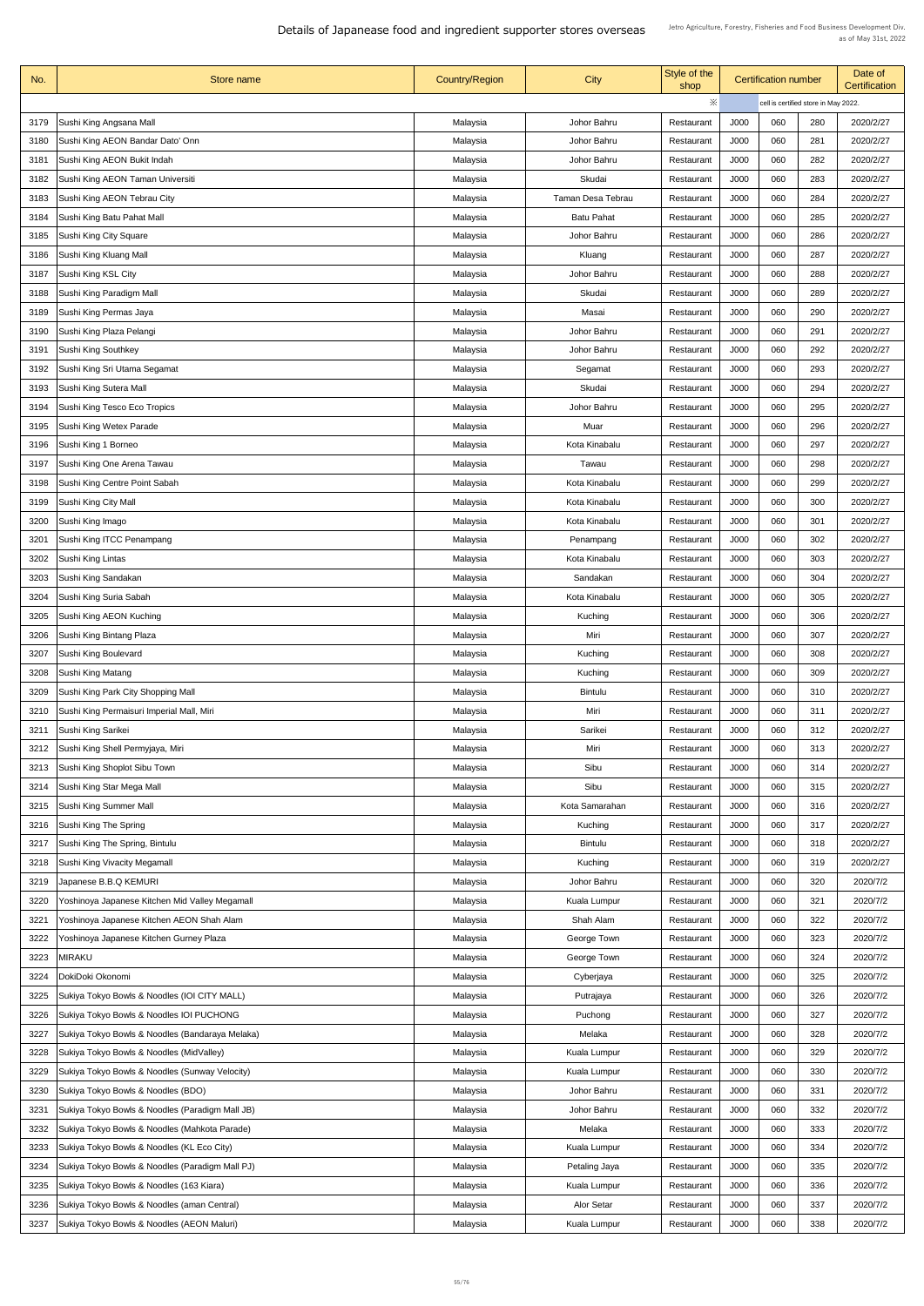| No.  | Store name                                          | <b>Country/Region</b> | <b>City</b>              | Style of the<br>shop |                                      | <b>Certification number</b> |     | Date of<br><b>Certification</b> |
|------|-----------------------------------------------------|-----------------------|--------------------------|----------------------|--------------------------------------|-----------------------------|-----|---------------------------------|
|      |                                                     |                       |                          | $\times$             | cell is certified store in May 2022. |                             |     |                                 |
| 3179 | Sushi King Angsana Mall                             | Malaysia              | Johor Bahru              | Restaurant           | <b>J000</b>                          | 060                         | 280 | 2020/2/27                       |
| 3180 | Sushi King AEON Bandar Dato' Onn                    | Malaysia              | Johor Bahru              | Restaurant           | J000                                 | 060                         | 281 | 2020/2/27                       |
| 3181 | Sushi King AEON Bukit Indah                         | Malaysia              | Johor Bahru              | Restaurant           | J000                                 | 060                         | 282 | 2020/2/27                       |
| 3182 | Sushi King AEON Taman Universiti                    | Malaysia              | Skudai                   | Restaurant           | J000                                 | 060                         | 283 | 2020/2/27                       |
| 3183 | Sushi King AEON Tebrau City                         | Malaysia              | <b>Taman Desa Tebrau</b> | Restaurant           | J000                                 | 060                         | 284 | 2020/2/27                       |
| 3184 | Sushi King Batu Pahat Mall                          | Malaysia              | <b>Batu Pahat</b>        | Restaurant           | J000                                 | 060                         | 285 | 2020/2/27                       |
| 3185 | <b>Sushi King City Square</b>                       | Malaysia              | Johor Bahru              | Restaurant           | J000                                 | 060                         | 286 | 2020/2/27                       |
| 3186 | Sushi King Kluang Mall                              | Malaysia              | Kluang                   | Restaurant           | J000                                 | 060                         | 287 | 2020/2/27                       |
| 3187 | Sushi King KSL City                                 | Malaysia              | Johor Bahru              | Restaurant           | J000                                 | 060                         | 288 | 2020/2/27                       |
| 3188 | Sushi King Paradigm Mall                            | Malaysia              | Skudai                   | Restaurant           | J000                                 | 060                         | 289 | 2020/2/27                       |
| 3189 | Sushi King Permas Jaya                              | Malaysia              | Masai                    | Restaurant           | J000                                 | 060                         | 290 | 2020/2/27                       |
| 3190 | Sushi King Plaza Pelangi                            | Malaysia              | Johor Bahru              | Restaurant           | J000                                 | 060                         | 291 | 2020/2/27                       |
| 3191 | Sushi King Southkey                                 | Malaysia              | Johor Bahru              | Restaurant           | J000                                 | 060                         | 292 | 2020/2/27                       |
| 3192 | Sushi King Sri Utama Segamat                        | Malaysia              | Segamat                  | Restaurant           | J000                                 | 060                         | 293 | 2020/2/27                       |
| 3193 | Sushi King Sutera Mall                              | Malaysia              | Skudai                   | Restaurant           | J000                                 | 060                         | 294 | 2020/2/27                       |
| 3194 | Sushi King Tesco Eco Tropics                        | Malaysia              | Johor Bahru              | Restaurant           | J000                                 | 060                         | 295 | 2020/2/27                       |
| 3195 | Sushi King Wetex Parade                             | Malaysia              | Muar                     | Restaurant           | J000                                 | 060                         | 296 | 2020/2/27                       |
| 3196 | Sushi King 1 Borneo                                 | Malaysia              | Kota Kinabalu            | Restaurant           | J000                                 | 060                         | 297 | 2020/2/27                       |
| 3197 | Sushi King One Arena Tawau                          | Malaysia              | Tawau                    | Restaurant           | J000                                 | 060                         | 298 | 2020/2/27                       |
| 3198 | Sushi King Centre Point Sabah                       | Malaysia              | Kota Kinabalu            | Restaurant           | J000                                 | 060                         | 299 | 2020/2/27                       |
| 3199 | Sushi King City Mall                                | Malaysia              | Kota Kinabalu            | Restaurant           | J000                                 | 060                         | 300 | 2020/2/27                       |
| 3200 | Sushi King Imago                                    | Malaysia              | Kota Kinabalu            | Restaurant           | J000                                 | 060                         | 301 | 2020/2/27                       |
| 3201 | Sushi King ITCC Penampang                           | Malaysia              | Penampang                | Restaurant           | J000                                 | 060                         | 302 | 2020/2/27                       |
| 3202 | Sushi King Lintas                                   | Malaysia              | Kota Kinabalu            | Restaurant           | J000                                 | 060                         | 303 | 2020/2/27                       |
| 3203 | Sushi King Sandakan                                 | Malaysia              | Sandakan                 | Restaurant           | J000                                 | 060                         | 304 | 2020/2/27                       |
| 3204 | Sushi King Suria Sabah                              | Malaysia              | Kota Kinabalu            | Restaurant           | J000                                 | 060                         | 305 | 2020/2/27                       |
| 3205 | Sushi King AEON Kuching                             | Malaysia              | Kuching                  | Restaurant           | J000                                 | 060                         | 306 | 2020/2/27                       |
| 3206 | Sushi King Bintang Plaza                            | Malaysia              | Miri                     | Restaurant           | J000                                 | 060                         | 307 | 2020/2/27                       |
| 3207 | Sushi King Boulevard                                | Malaysia              | Kuching                  | Restaurant           | J000                                 | 060                         | 308 | 2020/2/27                       |
| 3208 | Sushi King Matang                                   | Malaysia              | Kuching                  | Restaurant           | J000                                 | 060                         | 309 | 2020/2/27                       |
| 3209 | Sushi King Park City Shopping Mall                  | Malaysia              | <b>Bintulu</b>           | Restaurant           | J000                                 | 060                         | 310 | 2020/2/27                       |
| 3210 | Sushi King Permaisuri Imperial Mall, Miri           | Malaysia              | Miri                     | Restaurant           | J000                                 | 060                         | 311 | 2020/2/27                       |
| 3211 | Sushi King Sarikei                                  | Malaysia              | Sarikei                  | Restaurant           | J000                                 | 060                         | 312 | 2020/2/27                       |
| 3212 | Sushi King Shell Permyjaya, Miri                    | Malaysia              | Miri                     | Restaurant           | J000                                 | 060                         | 313 | 2020/2/27                       |
| 3213 | Sushi King Shoplot Sibu Town                        | Malaysia              | Sibu                     | Restaurant           | J000                                 | 060                         | 314 | 2020/2/27                       |
| 3214 | Sushi King Star Mega Mall                           | Malaysia              | Sibu                     | Restaurant           | J000                                 | 060                         | 315 | 2020/2/27                       |
| 3215 | Sushi King Summer Mall                              | Malaysia              | Kota Samarahan           | Restaurant           | J000                                 | 060                         | 316 | 2020/2/27                       |
| 3216 | Sushi King The Spring                               | Malaysia              | Kuching                  | Restaurant           | J000                                 | 060                         | 317 | 2020/2/27                       |
| 3217 | Sushi King The Spring, Bintulu                      | Malaysia              | <b>Bintulu</b>           | Restaurant           | J000                                 | 060                         | 318 | 2020/2/27                       |
| 3218 | Sushi King Vivacity Megamall                        | Malaysia              | Kuching                  | Restaurant           | J000                                 | 060                         | 319 | 2020/2/27                       |
| 3219 | Japanese B.B.Q KEMURI                               | Malaysia              | Johor Bahru              | Restaurant           | J000                                 | 060                         | 320 | 2020/7/2                        |
|      | 3220 Yoshinoya Japanese Kitchen Mid Valley Megamall | Malaysia              | Kuala Lumpur             | Restaurant           | J000                                 | 060                         | 321 | 2020/7/2                        |
| 3221 | Yoshinoya Japanese Kitchen AEON Shah Alam           | Malaysia              | Shah Alam                | Restaurant           | J000                                 | 060                         | 322 | 2020/7/2                        |
| 3222 | Yoshinoya Japanese Kitchen Gurney Plaza             | Malaysia              | George Town              | Restaurant           | J000                                 | 060                         | 323 | 2020/7/2                        |
| 3223 | <b>MIRAKU</b>                                       | Malaysia              | George Town              | Restaurant           | J000                                 | 060                         | 324 | 2020/7/2                        |
| 3224 | DokiDoki Okonomi                                    | Malaysia              | Cyberjaya                | Restaurant           | J000                                 | 060                         | 325 | 2020/7/2                        |
| 3225 | Sukiya Tokyo Bowls & Noodles (IOI CITY MALL)        | Malaysia              | Putrajaya                | Restaurant           | J000                                 | 060                         | 326 | 2020/7/2                        |
| 3226 | Sukiya Tokyo Bowls & Noodles IOI PUCHONG            | Malaysia              | Puchong                  | Restaurant           | J000                                 | 060                         | 327 | 2020/7/2                        |
| 3227 | Sukiya Tokyo Bowls & Noodles (Bandaraya Melaka)     | Malaysia              | Melaka                   | Restaurant           | J000                                 | 060                         | 328 | 2020/7/2                        |
| 3228 | Sukiya Tokyo Bowls & Noodles (MidValley)            | Malaysia              | Kuala Lumpur             | Restaurant           | J000                                 | 060                         | 329 | 2020/7/2                        |
| 3229 | Sukiya Tokyo Bowls & Noodles (Sunway Velocity)      | Malaysia              | Kuala Lumpur             | Restaurant           | J000                                 | 060                         | 330 | 2020/7/2                        |
| 3230 | Sukiya Tokyo Bowls & Noodles (BDO)                  | Malaysia              | Johor Bahru              | Restaurant           | J000                                 | 060                         | 331 | 2020/7/2                        |
| 3231 | Sukiya Tokyo Bowls & Noodles (Paradigm Mall JB)     | Malaysia              | Johor Bahru              | Restaurant           | J000                                 | 060                         | 332 | 2020/7/2                        |
| 3232 | Sukiya Tokyo Bowls & Noodles (Mahkota Parade)       | Malaysia              | Melaka                   | Restaurant           | J000                                 | 060                         | 333 | 2020/7/2                        |
| 3233 | Sukiya Tokyo Bowls & Noodles (KL Eco City)          | Malaysia              | Kuala Lumpur             | Restaurant           | J000                                 | 060                         | 334 | 2020/7/2                        |
| 3234 | Sukiya Tokyo Bowls & Noodles (Paradigm Mall PJ)     | Malaysia              | Petaling Jaya            | Restaurant           | J000                                 | 060                         | 335 | 2020/7/2                        |
| 3235 | Sukiya Tokyo Bowls & Noodles (163 Kiara)            | Malaysia              | Kuala Lumpur             | Restaurant           | J000                                 | 060                         | 336 | 2020/7/2                        |
| 3236 | Sukiya Tokyo Bowls & Noodles (aman Central)         | Malaysia              | Alor Setar               | Restaurant           | J000                                 | 060                         | 337 | 2020/7/2                        |
| 3237 | Sukiya Tokyo Bowls & Noodles (AEON Maluri)          | Malaysia              | Kuala Lumpur             | Restaurant           | J000                                 | 060                         | 338 | 2020/7/2                        |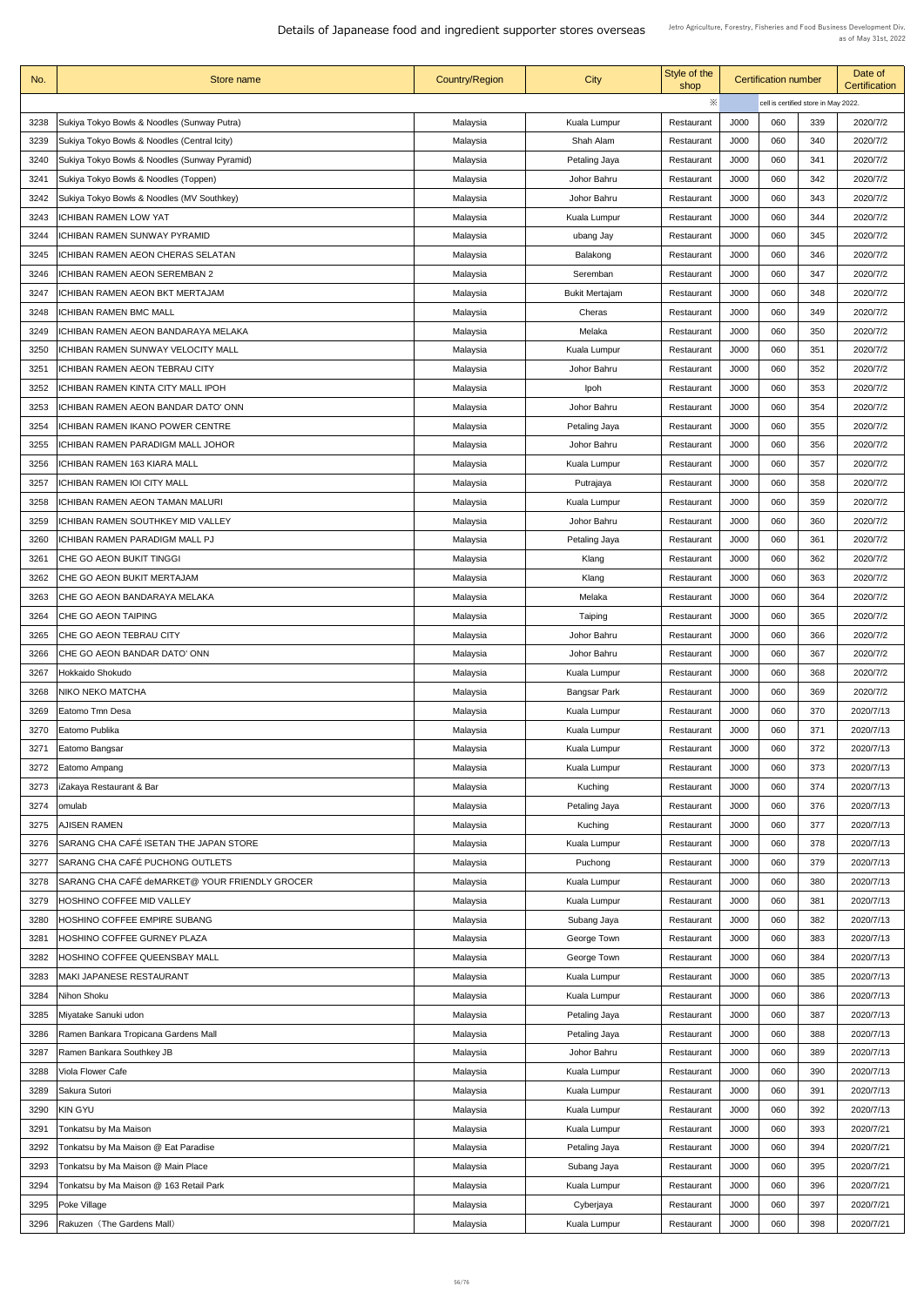| No.          | <b>Store name</b>                              | <b>Country/Region</b> | City                  | Style of the<br>shop | <b>Certification number</b> |            |                                      | Date of<br><b>Certification</b> |  |
|--------------|------------------------------------------------|-----------------------|-----------------------|----------------------|-----------------------------|------------|--------------------------------------|---------------------------------|--|
|              |                                                |                       |                       | ※                    |                             |            | cell is certified store in May 2022. |                                 |  |
| 3238         | Sukiya Tokyo Bowls & Noodles (Sunway Putra)    | Malaysia              | <b>Kuala Lumpur</b>   | Restaurant           | <b>J000</b>                 | 060        | 339                                  | 2020/7/2                        |  |
| 3239         | Sukiya Tokyo Bowls & Noodles (Central Icity)   | Malaysia              | Shah Alam             | Restaurant           | <b>J000</b>                 | 060        | 340                                  | 2020/7/2                        |  |
| 3240         | Sukiya Tokyo Bowls & Noodles (Sunway Pyramid)  | Malaysia              | Petaling Jaya         | Restaurant           | <b>J000</b>                 | 060        | 341                                  | 2020/7/2                        |  |
| 3241         | Sukiya Tokyo Bowls & Noodles (Toppen)          | Malaysia              | Johor Bahru           | Restaurant           | J000                        | 060        | 342                                  | 2020/7/2                        |  |
| 3242         | Sukiya Tokyo Bowls & Noodles (MV Southkey)     | Malaysia              | Johor Bahru           | Restaurant           | <b>J000</b>                 | 060        | 343                                  | 2020/7/2                        |  |
| 3243         | <b>ICHIBAN RAMEN LOW YAT</b>                   | Malaysia              | <b>Kuala Lumpur</b>   | Restaurant           | J000                        | 060        | 344                                  | 2020/7/2                        |  |
| 3244         | <b>ICHIBAN RAMEN SUNWAY PYRAMID</b>            | Malaysia              | ubang Jay             | Restaurant           | J000                        | 060        | 345                                  | 2020/7/2                        |  |
| 3245         | <b>ICHIBAN RAMEN AEON CHERAS SELATAN</b>       |                       | Balakong              | Restaurant           | J000                        | 060        | 346                                  | 2020/7/2                        |  |
|              |                                                | Malaysia              |                       |                      |                             |            |                                      |                                 |  |
| 3246         | <b>ICHIBAN RAMEN AEON SEREMBAN 2</b>           | Malaysia              | Seremban              | Restaurant           | J000                        | 060        | 347                                  | 2020/7/2                        |  |
| 3247         | <b>ICHIBAN RAMEN AEON BKT MERTAJAM</b>         | Malaysia              | <b>Bukit Mertajam</b> | Restaurant           | <b>J000</b>                 | 060        | 348                                  | 2020/7/2                        |  |
| 3248         | <b>ICHIBAN RAMEN BMC MALL</b>                  | Malaysia              | Cheras                | Restaurant           | J000                        | 060        | 349                                  | 2020/7/2                        |  |
| 3249         | <b>ICHIBAN RAMEN AEON BANDARAYA MELAKA</b>     | Malaysia              | Melaka                | Restaurant           | <b>J000</b>                 | 060        | 350                                  | 2020/7/2                        |  |
| 3250         | <b>ICHIBAN RAMEN SUNWAY VELOCITY MALL</b>      | Malaysia              | Kuala Lumpur          | Restaurant           | <b>J000</b>                 | 060        | 351                                  | 2020/7/2                        |  |
| 3251         | <b>ICHIBAN RAMEN AEON TEBRAU CITY</b>          | Malaysia              | Johor Bahru           | Restaurant           | <b>J000</b>                 | 060        | 352                                  | 2020/7/2                        |  |
| 3252         | <b>ICHIBAN RAMEN KINTA CITY MALL IPOH</b>      | Malaysia              | Ipoh                  | Restaurant           | J000                        | 060        | 353                                  | 2020/7/2                        |  |
| 3253         | <b>ICHIBAN RAMEN AEON BANDAR DATO' ONN</b>     | Malaysia              | Johor Bahru           | Restaurant           | J000                        | 060        | 354                                  | 2020/7/2                        |  |
| 3254         | <b>ICHIBAN RAMEN IKANO POWER CENTRE</b>        | Malaysia              | Petaling Jaya         | Restaurant           | J000                        | 060        | 355                                  | 2020/7/2                        |  |
| 3255         | <b>ICHIBAN RAMEN PARADIGM MALL JOHOR</b>       | Malaysia              | Johor Bahru           | Restaurant           | J000                        | 060        | 356                                  | 2020/7/2                        |  |
| 3256         | <b>ICHIBAN RAMEN 163 KIARA MALL</b>            | Malaysia              | Kuala Lumpur          | Restaurant           | J000                        | 060        | 357                                  | 2020/7/2                        |  |
| 3257         | <b>ICHIBAN RAMEN IOI CITY MALL</b>             | Malaysia              | Putrajaya             | Restaurant           | J000                        | 060        | 358                                  | 2020/7/2                        |  |
| 3258         | <b>ICHIBAN RAMEN AEON TAMAN MALURI</b>         | Malaysia              | Kuala Lumpur          | Restaurant           | J000                        | 060        | 359                                  | 2020/7/2                        |  |
| 3259         | <b>ICHIBAN RAMEN SOUTHKEY MID VALLEY</b>       | Malaysia              | Johor Bahru           | Restaurant           | J000                        | 060        | 360                                  | 2020/7/2                        |  |
| 3260         | <b>ICHIBAN RAMEN PARADIGM MALL PJ</b>          | Malaysia              | Petaling Jaya         | Restaurant           | J000                        | 060        | 361                                  | 2020/7/2                        |  |
| 3261         | CHE GO AEON BUKIT TINGGI                       | Malaysia              | Klang                 | Restaurant           | J000                        | 060        | 362                                  | 2020/7/2                        |  |
| 3262         | CHE GO AEON BUKIT MERTAJAM                     | Malaysia              | Klang                 | Restaurant           | J000                        | 060        | 363                                  | 2020/7/2                        |  |
| 3263         | CHE GO AEON BANDARAYA MELAKA                   | Malaysia              | Melaka                | Restaurant           | J000                        | 060        | 364                                  | 2020/7/2                        |  |
| 3264         | CHE GO AEON TAIPING                            | Malaysia              | Taiping               | Restaurant           | J000                        | 060        | 365                                  | 2020/7/2                        |  |
| 3265         | CHE GO AEON TEBRAU CITY                        | Malaysia              | Johor Bahru           | Restaurant           | <b>J000</b>                 | 060        | 366                                  | 2020/7/2                        |  |
| 3266         | CHE GO AEON BANDAR DATO' ONN                   | Malaysia              | Johor Bahru           | Restaurant           | J000                        | 060        | 367                                  | 2020/7/2                        |  |
| 3267         | Hokkaido Shokudo                               | Malaysia              | Kuala Lumpur          | Restaurant           | J000                        | 060        | 368                                  | 2020/7/2                        |  |
| 3268         | NIKO NEKO MATCHA                               | Malaysia              | <b>Bangsar Park</b>   | Restaurant           | J000                        | 060        | 369                                  | 2020/7/2                        |  |
| 3269         | Eatomo Tmn Desa                                | Malaysia              | <b>Kuala Lumpur</b>   | Restaurant           | J000                        | 060        | 370                                  | 2020/7/13                       |  |
| 3270         | Eatomo Publika                                 | Malaysia              | <b>Kuala Lumpur</b>   | Restaurant           | J000                        | 060        | 371                                  | 2020/7/13                       |  |
| 3271         | Eatomo Bangsar                                 | Malaysia              | <b>Kuala Lumpur</b>   | Restaurant           | J000                        | 060        | 372                                  | 2020/7/13                       |  |
| 3272         | Eatomo Ampang                                  | Malaysia              | <b>Kuala Lumpur</b>   | Restaurant           | J000                        | 060        | 373                                  | 2020/7/13                       |  |
| 3273         | iZakaya Restaurant & Bar                       | Malaysia              | Kuching               | Restaurant           | J000                        | 060        | 374                                  | 2020/7/13                       |  |
| 3274         | omulab                                         | Malaysia              | Petaling Jaya         | Restaurant           | J000                        | 060        | 376                                  | 2020/7/13                       |  |
| 3275         | AJISEN RAMEN                                   | Malaysia              | Kuching               | Restaurant           | J000                        | 060        | 377                                  | 2020/7/13                       |  |
| 3276         | SARANG CHA CAFÉ ISETAN THE JAPAN STORE         | Malaysia              | <b>Kuala Lumpur</b>   | Restaurant           | J000                        | 060        | 378                                  | 2020/7/13                       |  |
|              | SARANG CHA CAFÉ PUCHONG OUTLETS                |                       |                       |                      |                             |            |                                      |                                 |  |
| 3277<br>3278 | SARANG CHA CAFÉ deMARKET@ YOUR FRIENDLY GROCER | Malaysia              | Puchong               | Restaurant           | J000<br>J000                | 060<br>060 | 379<br>380                           | 2020/7/13<br>2020/7/13          |  |
|              | 3279   HOSHINO COFFEE MID VALLEY               | Malaysia              | <b>Kuala Lumpur</b>   | Restaurant           | <b>J000</b>                 | 060        | 381                                  | 2020/7/13                       |  |
|              |                                                | Malaysia              | Kuala Lumpur          | Restaurant           |                             |            |                                      |                                 |  |
| 3280         | HOSHINO COFFEE EMPIRE SUBANG                   | Malaysia              | Subang Jaya           | Restaurant           | J000                        | 060        | 382                                  | 2020/7/13                       |  |
| 3281         | HOSHINO COFFEE GURNEY PLAZA                    | Malaysia              | George Town           | Restaurant           | J000                        | 060        | 383                                  | 2020/7/13                       |  |
| 3282         | HOSHINO COFFEE QUEENSBAY MALL                  | Malaysia              | George Town           | Restaurant           | J000                        | 060        | 384                                  | 2020/7/13                       |  |
| 3283         | <b>MAKI JAPANESE RESTAURANT</b>                | Malaysia              | <b>Kuala Lumpur</b>   | Restaurant           | J000                        | 060        | 385                                  | 2020/7/13                       |  |
| 3284         | Nihon Shoku                                    | Malaysia              | <b>Kuala Lumpur</b>   | Restaurant           | J000                        | 060        | 386                                  | 2020/7/13                       |  |
| 3285         | Miyatake Sanuki udon                           | Malaysia              | Petaling Jaya         | Restaurant           | J000                        | 060        | 387                                  | 2020/7/13                       |  |
| 3286         | Ramen Bankara Tropicana Gardens Mall           | Malaysia              | Petaling Jaya         | Restaurant           | J000                        | 060        | 388                                  | 2020/7/13                       |  |
| 3287         | Ramen Bankara Southkey JB                      | Malaysia              | Johor Bahru           | Restaurant           | J000                        | 060        | 389                                  | 2020/7/13                       |  |
| 3288         | <b>Viola Flower Cafe</b>                       | Malaysia              | <b>Kuala Lumpur</b>   | Restaurant           | J000                        | 060        | 390                                  | 2020/7/13                       |  |
| 3289         | Sakura Sutori                                  | Malaysia              | <b>Kuala Lumpur</b>   | Restaurant           | J000                        | 060        | 391                                  | 2020/7/13                       |  |
| 3290         | <b>KIN GYU</b>                                 | Malaysia              | Kuala Lumpur          | Restaurant           | J000                        | 060        | 392                                  | 2020/7/13                       |  |
| 3291         | Tonkatsu by Ma Maison                          | Malaysia              | <b>Kuala Lumpur</b>   | Restaurant           | J000                        | 060        | 393                                  | 2020/7/21                       |  |
| 3292         | Tonkatsu by Ma Maison @ Eat Paradise           | Malaysia              | Petaling Jaya         | Restaurant           | J000                        | 060        | 394                                  | 2020/7/21                       |  |
| 3293         | Tonkatsu by Ma Maison @ Main Place             | Malaysia              | Subang Jaya           | Restaurant           | J000                        | 060        | 395                                  | 2020/7/21                       |  |
| 3294         | Tonkatsu by Ma Maison @ 163 Retail Park        | Malaysia              | Kuala Lumpur          | Restaurant           | J000                        | 060        | 396                                  | 2020/7/21                       |  |
| 3295         | Poke Village                                   | Malaysia              | Cyberjaya             | Restaurant           | J000                        | 060        | 397                                  | 2020/7/21                       |  |
| 3296         | Rakuzen (The Gardens Mall)                     | Malaysia              | Kuala Lumpur          | Restaurant           | J000                        | 060        | 398                                  | 2020/7/21                       |  |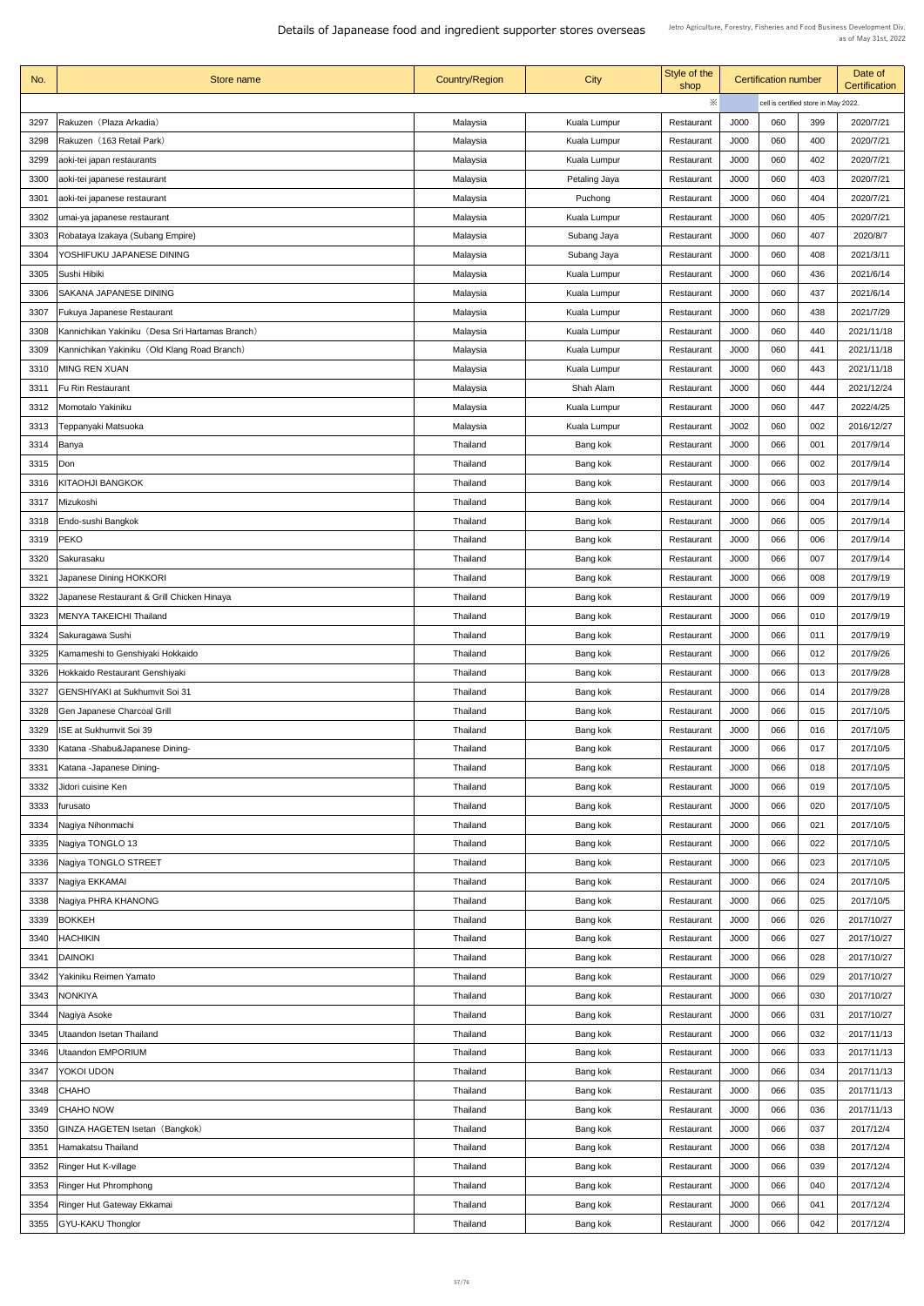| No.          | Store name                                                   | <b>Country/Region</b>       | <b>City</b>          | Style of the<br>shop     | <b>Certification number</b> |            |                                      | Date of<br><b>Certification</b> |
|--------------|--------------------------------------------------------------|-----------------------------|----------------------|--------------------------|-----------------------------|------------|--------------------------------------|---------------------------------|
|              |                                                              |                             |                      | ※                        |                             |            | cell is certified store in May 2022. |                                 |
| 3297         | Rakuzen (Plaza Arkadia)                                      | Malaysia                    | <b>Kuala Lumpur</b>  | Restaurant               | J000                        | 060        | 399                                  | 2020/7/21                       |
| 3298         | Rakuzen (163 Retail Park)                                    | Malaysia                    | Kuala Lumpur         | Restaurant               | J000                        | 060        | 400                                  | 2020/7/21                       |
| 3299         | aoki-tei japan restaurants                                   | Malaysia                    | Kuala Lumpur         | Restaurant               | J000                        | 060        | 402                                  | 2020/7/21                       |
| 3300         | aoki-tei japanese restaurant                                 | Malaysia                    | Petaling Jaya        | Restaurant               | J000                        | 060        | 403                                  | 2020/7/21                       |
| 3301         | aoki-tei japanese restaurant                                 | Malaysia                    | Puchong              | Restaurant               | J000                        | 060        | 404                                  | 2020/7/21                       |
| 3302         | umai-ya japanese restaurant                                  | Malaysia                    | Kuala Lumpur         | Restaurant               | J000                        | 060        | 405                                  | 2020/7/21                       |
| 3303         | Robataya Izakaya (Subang Empire)                             | Malaysia                    | Subang Jaya          | Restaurant               | J000                        | 060        | 407                                  | 2020/8/7                        |
| 3304         | YOSHIFUKU JAPANESE DINING                                    | Malaysia                    | Subang Jaya          | Restaurant               | J000                        | 060        | 408                                  | 2021/3/11                       |
| 3305         | Sushi Hibiki                                                 | Malaysia                    | Kuala Lumpur         | Restaurant               | J000                        | 060        | 436                                  | 2021/6/14                       |
| 3306         | <b>SAKANA JAPANESE DINING</b>                                | Malaysia                    | Kuala Lumpur         | Restaurant               | J000                        | 060        | 437                                  | 2021/6/14                       |
| 3307         | <b>Fukuya Japanese Restaurant</b>                            | Malaysia                    | Kuala Lumpur         | Restaurant               | J000                        | 060        | 438                                  | 2021/7/29                       |
| 3308         | Kannichikan Yakiniku (Desa Sri Hartamas Branch)              | Malaysia                    | Kuala Lumpur         | Restaurant               | J000                        | 060        | 440                                  | 2021/11/18                      |
| 3309         | Kannichikan Yakiniku (Old Klang Road Branch)                 | Malaysia                    | <b>Kuala Lumpur</b>  | Restaurant               | J000                        | 060        | 441                                  | 2021/11/18                      |
| 3310         | <b>MING REN XUAN</b>                                         | Malaysia                    | Kuala Lumpur         | Restaurant               | J000                        | 060        | 443                                  | 2021/11/18                      |
| 3311         | <b>Fu Rin Restaurant</b>                                     | Malaysia                    | Shah Alam            | Restaurant               | J000                        | 060        | 444                                  | 2021/12/24                      |
| 3312         | Momotalo Yakiniku                                            | Malaysia                    | Kuala Lumpur         | Restaurant               | J000                        | 060        | 447                                  | 2022/4/25                       |
| 3313         | Teppanyaki Matsuoka                                          | Malaysia                    | Kuala Lumpur         | Restaurant               | J002                        | 060        | 002                                  | 2016/12/27                      |
| 3314         | Banya                                                        | <b>Thailand</b>             | Bang kok             | Restaurant               | J000                        | 066        | 001                                  | 2017/9/14                       |
| 3315         | Don                                                          | <b>Thailand</b>             | Bang kok             | Restaurant               | J000                        | 066        | 002                                  | 2017/9/14                       |
| 3316         | <b>KITAOHJI BANGKOK</b>                                      | <b>Thailand</b>             | Bang kok             | Restaurant               | J000                        | 066        | 003                                  | 2017/9/14                       |
| 3317         | Mizukoshi                                                    | <b>Thailand</b>             | Bang kok             | Restaurant               | J000                        | 066        | 004                                  | 2017/9/14                       |
| 3318         | Endo-sushi Bangkok                                           | <b>Thailand</b>             | Bang kok             | Restaurant               | J000                        | 066        | 005                                  | 2017/9/14                       |
| 3319         | <b>PEKO</b>                                                  | <b>Thailand</b>             | Bang kok             | Restaurant               | J000                        | 066        | 006                                  | 2017/9/14                       |
| 3320         | Sakurasaku                                                   | <b>Thailand</b>             | Bang kok             | Restaurant               | J000                        | 066        | 007                                  | 2017/9/14                       |
| 3321         | Japanese Dining HOKKORI                                      | <b>Thailand</b>             | Bang kok             | Restaurant               | J000                        | 066        | 008                                  | 2017/9/19                       |
| 3322         | Japanese Restaurant & Grill Chicken Hinaya                   | <b>Thailand</b>             | Bang kok             | Restaurant               | J000                        | 066        | 009                                  | 2017/9/19                       |
| 3323         | <b>MENYA TAKEICHI Thailand</b>                               | Thailand                    | Bang kok             | Restaurant               | J000                        | 066        | 010                                  | 2017/9/19                       |
| 3324         | Sakuragawa Sushi                                             | Thailand                    | Bang kok             | Restaurant               | J000                        | 066        | 011                                  | 2017/9/19                       |
| 3325         | Kamameshi to Genshiyaki Hokkaido                             | <b>Thailand</b>             | Bang kok             | Restaurant               | J000                        | 066        | 012                                  | 2017/9/26                       |
| 3326         | Hokkaido Restaurant Genshiyaki                               | <b>Thailand</b>             | Bang kok             | Restaurant               | J000                        | 066        | 013                                  | 2017/9/28                       |
| 3327         | <b>GENSHIYAKI at Sukhumvit Soi 31</b>                        | <b>Thailand</b>             | Bang kok             | Restaurant               | J000                        | 066        | 014                                  | 2017/9/28                       |
| 3328         | <b>Gen Japanese Charcoal Grill</b>                           | <b>Thailand</b>             | Bang kok             | Restaurant               | J000                        | 066        | 015                                  | 2017/10/5                       |
| 3329         | ISE at Sukhumvit Soi 39                                      | <b>Thailand</b>             | Bang kok             | Restaurant               | J000                        | 066        | 016                                  | 2017/10/5                       |
| 3330<br>3331 | Katana - Shabu&Japanese Dining-<br>Katana - Japanese Dining- | <b>Thailand</b><br>Thailand | Bang kok<br>Bang kok | Restaurant<br>Restaurant | J000<br>J000                | 066<br>066 | 017<br>018                           | 2017/10/5<br>2017/10/5          |
| 3332         | Jidori cuisine Ken                                           | Thailand                    | Bang kok             | Restaurant               | J000                        | 066        | 019                                  | 2017/10/5                       |
| 3333         | furusato                                                     | Thailand                    | Bang kok             | Restaurant               | J000                        | 066        | 020                                  | 2017/10/5                       |
| 3334         | Nagiya Nihonmachi                                            | Thailand                    | Bang kok             | Restaurant               | J000                        | 066        | 021                                  | 2017/10/5                       |
| 3335         | Nagiya TONGLO 13                                             | Thailand                    | Bang kok             | Restaurant               | J000                        | 066        | 022                                  | 2017/10/5                       |
| 3336         | Nagiya TONGLO STREET                                         | <b>Thailand</b>             | Bang kok             | Restaurant               | J000                        | 066        | 023                                  | 2017/10/5                       |
| 3337         | Nagiya EKKAMAI                                               | <b>Thailand</b>             | Bang kok             | Restaurant               | J000                        | 066        | 024                                  | 2017/10/5                       |
|              | 3338   Nagiya PHRA KHANONG                                   | Thailand                    | Bang kok             | Restaurant               | J000                        | 066        | 025                                  | 2017/10/5                       |
| 3339         | BOKKEH                                                       | <b>Thailand</b>             | Bang kok             | Restaurant               | J000                        | 066        | 026                                  | 2017/10/27                      |
| 3340         | <b>HACHIKIN</b>                                              | <b>Thailand</b>             | Bang kok             | Restaurant               | J000                        | 066        | 027                                  | 2017/10/27                      |
| 3341         | <b>DAINOKI</b>                                               | <b>Thailand</b>             | Bang kok             | Restaurant               | J000                        | 066        | 028                                  | 2017/10/27                      |
| 3342         | Yakiniku Reimen Yamato                                       | <b>Thailand</b>             | Bang kok             | Restaurant               | J000                        | 066        | 029                                  | 2017/10/27                      |
| 3343         | <b>NONKIYA</b>                                               | <b>Thailand</b>             | Bang kok             | Restaurant               | J000                        | 066        | 030                                  | 2017/10/27                      |
| 3344         | Nagiya Asoke                                                 | <b>Thailand</b>             | Bang kok             | Restaurant               | J000                        | 066        | 031                                  | 2017/10/27                      |
| 3345         | <b>Utaandon Isetan Thailand</b>                              | <b>Thailand</b>             | Bang kok             | Restaurant               | J000                        | 066        | 032                                  | 2017/11/13                      |
| 3346         | Utaandon EMPORIUM                                            | <b>Thailand</b>             | Bang kok             | Restaurant               | J000                        | 066        | 033                                  | 2017/11/13                      |
| 3347         | <b>YOKOI UDON</b>                                            | Thailand                    | Bang kok             | Restaurant               | J000                        | 066        | 034                                  | 2017/11/13                      |
| 3348         | <b>CHAHO</b>                                                 | Thailand                    | Bang kok             | Restaurant               | J000                        | 066        | 035                                  | 2017/11/13                      |
| 3349         | <b>CHAHO NOW</b>                                             | Thailand                    | Bang kok             | Restaurant               | J000                        | 066        | 036                                  | 2017/11/13                      |
| 3350         | <b>GINZA HAGETEN Isetan (Bangkok)</b>                        | <b>Thailand</b>             | Bang kok             | Restaurant               | J000                        | 066        | 037                                  | 2017/12/4                       |
| 3351         | Hamakatsu Thailand                                           | <b>Thailand</b>             | Bang kok             | Restaurant               | J000                        | 066        | 038                                  | 2017/12/4                       |
| 3352         | <b>Ringer Hut K-village</b>                                  | Thailand                    | Bang kok             | Restaurant               | J000                        | 066        | 039                                  | 2017/12/4                       |
| 3353         | <b>Ringer Hut Phromphong</b>                                 | <b>Thailand</b>             | Bang kok             | Restaurant               | J000                        | 066        | 040                                  | 2017/12/4                       |
| 3354         | Ringer Hut Gateway Ekkamai                                   | Thailand                    | Bang kok             | Restaurant               | J000                        | 066        | 041                                  | 2017/12/4                       |
| 3355         | <b>GYU-KAKU Thonglor</b>                                     | <b>Thailand</b>             | Bang kok             | Restaurant               | J000                        | 066        | 042                                  | 2017/12/4                       |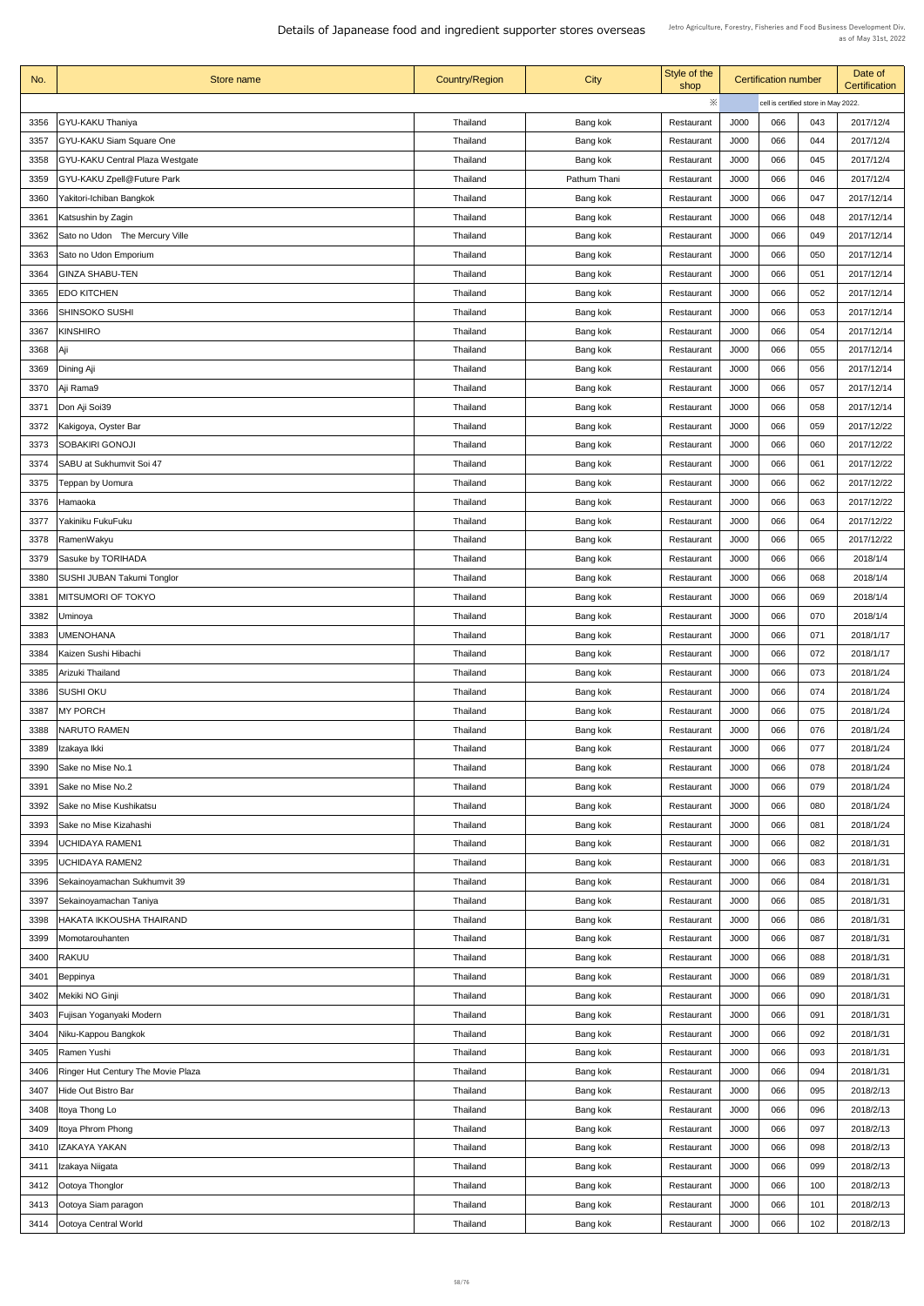| No.  | Store name                                | <b>Country/Region</b> | <b>City</b>  | Style of the<br>shop | <b>Certification number</b> |                                      |     | Date of<br>Certification |
|------|-------------------------------------------|-----------------------|--------------|----------------------|-----------------------------|--------------------------------------|-----|--------------------------|
|      |                                           |                       |              | ※                    |                             | cell is certified store in May 2022. |     |                          |
| 3356 | <b>GYU-KAKU Thaniya</b>                   | Thailand              | Bang kok     | Restaurant           | J000                        | 066                                  | 043 | 2017/12/4                |
| 3357 | <b>GYU-KAKU Siam Square One</b>           | Thailand              | Bang kok     | Restaurant           | J000                        | 066                                  | 044 | 2017/12/4                |
| 3358 | <b>GYU-KAKU Central Plaza Westgate</b>    | Thailand              | Bang kok     | Restaurant           | J000                        | 066                                  | 045 | 2017/12/4                |
| 3359 | <b>GYU-KAKU Zpell@Future Park</b>         | Thailand              | Pathum Thani | Restaurant           | J000                        | 066                                  | 046 | 2017/12/4                |
| 3360 | Yakitori-Ichiban Bangkok                  | Thailand              | Bang kok     | Restaurant           | J000                        | 066                                  | 047 | 2017/12/14               |
| 3361 | Katsushin by Zagin                        | Thailand              | Bang kok     | Restaurant           | J000                        | 066                                  | 048 | 2017/12/14               |
| 3362 | Sato no Udon The Mercury Ville            | Thailand              | Bang kok     | Restaurant           | J000                        | 066                                  | 049 | 2017/12/14               |
| 3363 | Sato no Udon Emporium                     | Thailand              | Bang kok     | Restaurant           | J000                        | 066                                  | 050 | 2017/12/14               |
| 3364 | <b>GINZA SHABU-TEN</b>                    | Thailand              | Bang kok     | Restaurant           | J000                        | 066                                  | 051 | 2017/12/14               |
| 3365 | <b>EDO KITCHEN</b>                        | Thailand              | Bang kok     | Restaurant           | J000                        | 066                                  | 052 | 2017/12/14               |
| 3366 | SHINSOKO SUSHI                            | Thailand              | Bang kok     | Restaurant           | J000                        | 066                                  | 053 | 2017/12/14               |
| 3367 | KINSHIRO                                  | Thailand              | Bang kok     | Restaurant           | J000                        | 066                                  | 054 | 2017/12/14               |
| 3368 | Aji                                       | Thailand              | Bang kok     | Restaurant           | J000                        | 066                                  | 055 | 2017/12/14               |
| 3369 | Dining Aji                                | Thailand              | Bang kok     | Restaurant           | J000                        | 066                                  | 056 | 2017/12/14               |
| 3370 | Aji Rama9                                 | Thailand              | Bang kok     | Restaurant           | J000                        | 066                                  | 057 | 2017/12/14               |
| 3371 | Don Aji Soi39                             | Thailand              | Bang kok     | Restaurant           | J000                        | 066                                  | 058 | 2017/12/14               |
| 3372 | Kakigoya, Oyster Bar                      | Thailand              | Bang kok     | Restaurant           | J000                        | 066                                  | 059 | 2017/12/22               |
| 3373 | <b>SOBAKIRI GONOJI</b>                    | Thailand              | Bang kok     | Restaurant           | J000                        | 066                                  | 060 | 2017/12/22               |
| 3374 | <b>SABU at Sukhumvit Soi 47</b>           | Thailand              | Bang kok     | Restaurant           | J000                        | 066                                  | 061 | 2017/12/22               |
| 3375 | Teppan by Uomura                          | Thailand              | Bang kok     | Restaurant           | J000                        | 066                                  | 062 | 2017/12/22               |
| 3376 | Hamaoka                                   | Thailand              | Bang kok     | Restaurant           | J000                        | 066                                  | 063 | 2017/12/22               |
| 3377 | Yakiniku FukuFuku                         | Thailand              | Bang kok     | Restaurant           | J000                        | 066                                  | 064 | 2017/12/22               |
| 3378 | <b>RamenWakyu</b>                         | Thailand              | Bang kok     | Restaurant           | J000                        | 066                                  | 065 | 2017/12/22               |
| 3379 | Sasuke by TORIHADA                        | Thailand              | Bang kok     | Restaurant           | J000                        | 066                                  | 066 | 2018/1/4                 |
| 3380 | <b>SUSHI JUBAN Takumi Tonglor</b>         | Thailand              | Bang kok     | Restaurant           | J000                        | 066                                  | 068 | 2018/1/4                 |
| 3381 | <b>MITSUMORI OF TOKYO</b>                 | Thailand              | Bang kok     | Restaurant           | J000                        | 066                                  | 069 | 2018/1/4                 |
| 3382 | Uminoya                                   | Thailand              | Bang kok     | Restaurant           | J000                        | 066                                  | 070 | 2018/1/4                 |
| 3383 | <b>UMENOHANA</b>                          | <b>Thailand</b>       | Bang kok     | Restaurant           | <b>J000</b>                 | 066                                  | 071 | 2018/1/17                |
| 3384 | Kaizen Sushi Hibachi                      | Thailand              | Bang kok     | Restaurant           | J000                        | 066                                  | 072 | 2018/1/17                |
| 3385 | Arizuki Thailand                          | Thailand              | Bang kok     | Restaurant           | J000                        | 066                                  | 073 | 2018/1/24                |
| 3386 | <b>SUSHI OKU</b>                          | Thailand              | Bang kok     | Restaurant           | J000                        | 066                                  | 074 | 2018/1/24                |
| 3387 | <b>MY PORCH</b>                           | Thailand              | Bang kok     | Restaurant           | J000                        | 066                                  | 075 | 2018/1/24                |
| 3388 | <b>NARUTO RAMEN</b>                       | Thailand              | Bang kok     | Restaurant           | J000                        | 066                                  | 076 | 2018/1/24                |
| 3389 | Izakaya Ikki                              | Thailand              | Bang kok     | Restaurant           | J000                        | 066                                  | 077 | 2018/1/24                |
| 3390 | Sake no Mise No.1                         | Thailand              | Bang kok     | Restaurant           | J000                        | 066                                  | 078 | 2018/1/24                |
| 3391 | Sake no Mise No.2                         | Thailand              | Bang kok     | Restaurant           | J000                        | 066                                  | 079 | 2018/1/24                |
| 3392 | Sake no Mise Kushikatsu                   | Thailand              | Bang kok     | Restaurant           | J000                        | 066                                  | 080 | 2018/1/24                |
| 3393 | Sake no Mise Kizahashi                    | Thailand              | Bang kok     | Restaurant           | J000                        | 066                                  | 081 | 2018/1/24                |
| 3394 | <b>JUCHIDAYA RAMEN1</b>                   | Thailand              | Bang kok     | Restaurant           | J000                        | 066                                  | 082 | 2018/1/31                |
| 3395 | <b>UCHIDAYA RAMEN2</b>                    | Thailand              | Bang kok     | Restaurant           | J000                        | 066                                  | 083 | 2018/1/31                |
| 3396 | Sekainoyamachan Sukhumvit 39              | Thailand              | Bang kok     | Restaurant           | J000                        | 066                                  | 084 | 2018/1/31                |
|      | 3397   Sekainoyamachan Taniya             | Thailand              | Bang kok     | Restaurant           | J000                        | 066                                  | 085 | 2018/1/31                |
| 3398 | <b>HAKATA IKKOUSHA THAIRAND</b>           | Thailand              | Bang kok     | Restaurant           | J000                        | 066                                  | 086 | 2018/1/31                |
| 3399 | Momotarouhanten                           | Thailand              | Bang kok     | Restaurant           | J000                        | 066                                  | 087 | 2018/1/31                |
| 3400 | <b>RAKUU</b>                              | Thailand              | Bang kok     | Restaurant           | J000                        | 066                                  | 088 | 2018/1/31                |
| 3401 | Beppinya                                  | Thailand              | Bang kok     | Restaurant           | J000                        | 066                                  | 089 | 2018/1/31                |
| 3402 | Mekiki NO Ginji                           | Thailand              | Bang kok     | Restaurant           | J000                        | 066                                  | 090 | 2018/1/31                |
| 3403 | Fujisan Yoganyaki Modern                  | Thailand              | Bang kok     | Restaurant           | J000                        | 066                                  | 091 | 2018/1/31                |
| 3404 | Niku-Kappou Bangkok                       | Thailand              | Bang kok     | Restaurant           | J000                        | 066                                  | 092 | 2018/1/31                |
| 3405 | <b>Ramen Yushi</b>                        | Thailand              | Bang kok     | Restaurant           | J000                        | 066                                  | 093 | 2018/1/31                |
| 3406 | <b>Ringer Hut Century The Movie Plaza</b> | Thailand              | Bang kok     | Restaurant           | J000                        | 066                                  | 094 | 2018/1/31                |
| 3407 | Hide Out Bistro Bar                       | Thailand              | Bang kok     | Restaurant           | J000                        | 066                                  | 095 | 2018/2/13                |
| 3408 | Itoya Thong Lo                            | Thailand              | Bang kok     | Restaurant           | J000                        | 066                                  | 096 | 2018/2/13                |
| 3409 | Itoya Phrom Phong                         | Thailand              | Bang kok     | Restaurant           | J000                        | 066                                  | 097 | 2018/2/13                |
| 3410 | <b>IZAKAYA YAKAN</b>                      | Thailand              | Bang kok     | Restaurant           | J000                        | 066                                  | 098 | 2018/2/13                |
| 3411 | Izakaya Niigata                           | Thailand              | Bang kok     | Restaurant           | J000                        | 066                                  | 099 | 2018/2/13                |
|      | 3412 Ootoya Thonglor                      | Thailand              | Bang kok     | Restaurant           | J000                        | 066                                  | 100 | 2018/2/13                |
| 3413 | Ootoya Siam paragon                       | Thailand              | Bang kok     | Restaurant           | J000                        | 066                                  | 101 | 2018/2/13                |
| 3414 | Ootoya Central World                      | Thailand              | Bang kok     | Restaurant           | J000                        | 066                                  | 102 | 2018/2/13                |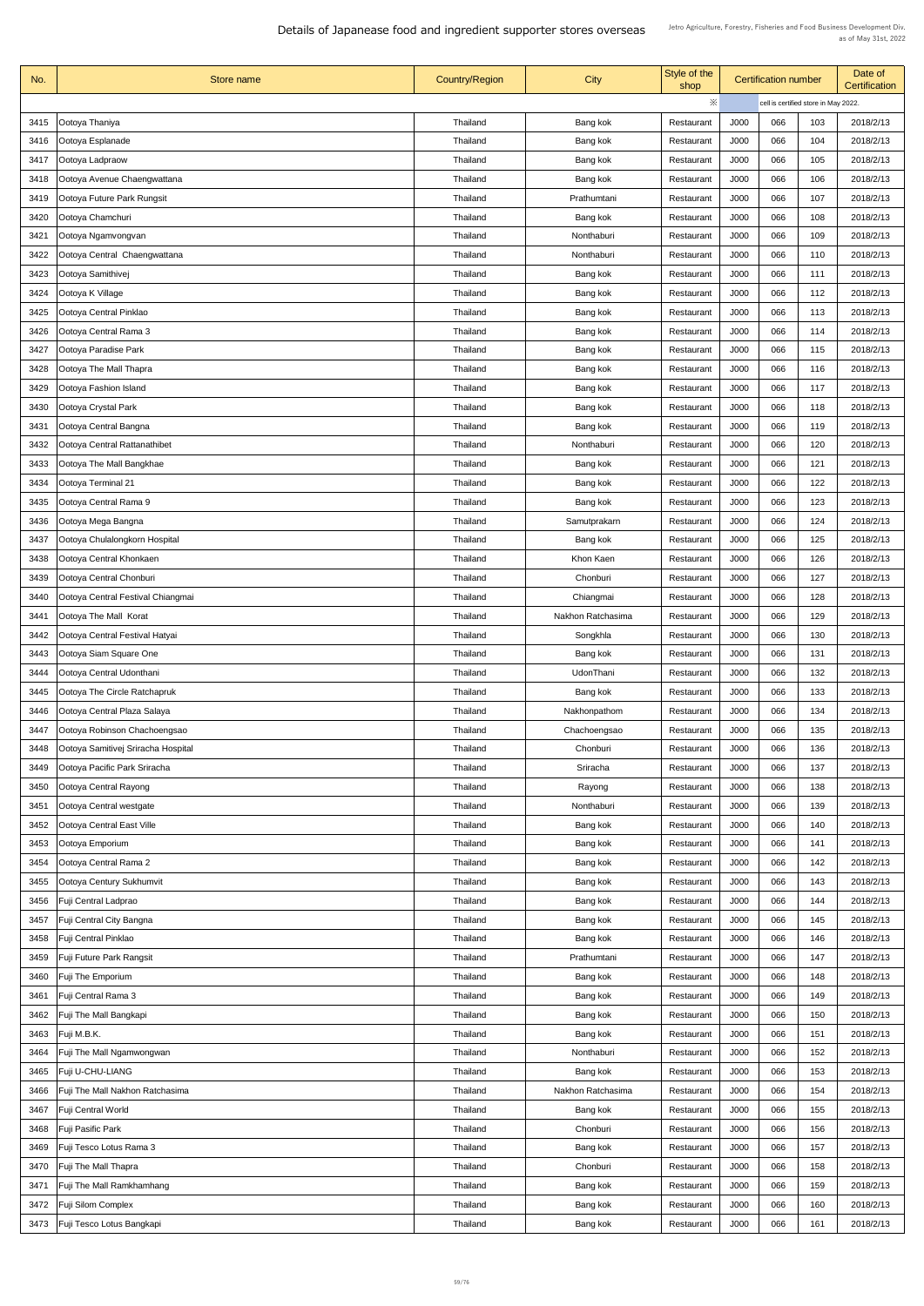| No.  | Store name                             | <b>Country/Region</b> | <b>City</b>       | Style of the<br>shop |             | <b>Certification number</b>          |     | Date of<br><b>Certification</b> |
|------|----------------------------------------|-----------------------|-------------------|----------------------|-------------|--------------------------------------|-----|---------------------------------|
|      |                                        |                       |                   | ※                    |             | cell is certified store in May 2022. |     |                                 |
| 3415 | Ootoya Thaniya                         | Thailand              | Bang kok          | Restaurant           | J000        | 066                                  | 103 | 2018/2/13                       |
| 3416 | Ootoya Esplanade                       | Thailand              | Bang kok          | Restaurant           | J000        | 066                                  | 104 | 2018/2/13                       |
| 3417 | Ootoya Ladpraow                        | Thailand              | Bang kok          | Restaurant           | J000        | 066                                  | 105 | 2018/2/13                       |
| 3418 | Ootoya Avenue Chaengwattana            | Thailand              | Bang kok          | Restaurant           | J000        | 066                                  | 106 | 2018/2/13                       |
| 3419 | Ootoya Future Park Rungsit             | Thailand              | Prathumtani       | Restaurant           | J000        | 066                                  | 107 | 2018/2/13                       |
| 3420 | Ootoya Chamchuri                       | Thailand              | Bang kok          | Restaurant           | J000        | 066                                  | 108 | 2018/2/13                       |
| 3421 | Ootoya Ngamvongvan                     | Thailand              | Nonthaburi        | Restaurant           | J000        | 066                                  | 109 | 2018/2/13                       |
| 3422 | Ootoya Central Chaengwattana           | Thailand              | Nonthaburi        | Restaurant           | J000        | 066                                  | 110 | 2018/2/13                       |
| 3423 | Ootoya Samithivej                      | Thailand              | Bang kok          | Restaurant           | J000        | 066                                  | 111 | 2018/2/13                       |
| 3424 | Ootoya K Village                       | Thailand              | Bang kok          | Restaurant           | J000        | 066                                  | 112 | 2018/2/13                       |
| 3425 | Ootoya Central Pinklao                 | Thailand              | Bang kok          | Restaurant           | J000        | 066                                  | 113 | 2018/2/13                       |
| 3426 | Ootoya Central Rama 3                  | Thailand              | Bang kok          | Restaurant           | J000        | 066                                  | 114 | 2018/2/13                       |
| 3427 | Ootoya Paradise Park                   | <b>Thailand</b>       | Bang kok          | Restaurant           | <b>J000</b> | 066                                  | 115 | 2018/2/13                       |
| 3428 | Ootoya The Mall Thapra                 | Thailand              | Bang kok          | Restaurant           | J000        | 066                                  | 116 | 2018/2/13                       |
| 3429 | Ootoya Fashion Island                  | Thailand              | Bang kok          | Restaurant           | J000        | 066                                  | 117 | 2018/2/13                       |
| 3430 | Ootoya Crystal Park                    | Thailand              | Bang kok          | Restaurant           | J000        | 066                                  | 118 | 2018/2/13                       |
| 3431 | Ootoya Central Bangna                  | Thailand              | Bang kok          | Restaurant           | J000        | 066                                  | 119 | 2018/2/13                       |
|      |                                        |                       |                   |                      |             |                                      |     |                                 |
| 3432 | <b>Ootoya Central Rattanathibet</b>    | Thailand              | Nonthaburi        | Restaurant           | J000        | 066                                  | 120 | 2018/2/13                       |
| 3433 | Ootoya The Mall Bangkhae               | Thailand              | Bang kok          | Restaurant           | J000        | 066                                  | 121 | 2018/2/13                       |
| 3434 | Ootoya Terminal 21                     | Thailand              | Bang kok          | Restaurant           | J000        | 066                                  | 122 | 2018/2/13                       |
| 3435 | Ootoya Central Rama 9                  | Thailand              | Bang kok          | Restaurant           | J000        | 066                                  | 123 | 2018/2/13                       |
| 3436 | Ootoya Mega Bangna                     | Thailand              | Samutprakarn      | Restaurant           | J000        | 066                                  | 124 | 2018/2/13                       |
| 3437 | Ootoya Chulalongkorn Hospital          | Thailand              | Bang kok          | Restaurant           | J000        | 066                                  | 125 | 2018/2/13                       |
| 3438 | Ootoya Central Khonkaen                | Thailand              | Khon Kaen         | Restaurant           | J000        | 066                                  | 126 | 2018/2/13                       |
| 3439 | Ootoya Central Chonburi                | Thailand              | Chonburi          | Restaurant           | J000        | 066                                  | 127 | 2018/2/13                       |
| 3440 | Ootoya Central Festival Chiangmai      | Thailand              | Chiangmai         | Restaurant           | J000        | 066                                  | 128 | 2018/2/13                       |
| 3441 | Ootoya The Mall Korat                  | Thailand              | Nakhon Ratchasima | Restaurant           | J000        | 066                                  | 129 | 2018/2/13                       |
| 3442 | Ootoya Central Festival Hatyai         | Thailand              | Songkhla          | Restaurant           | <b>J000</b> | 066                                  | 130 | 2018/2/13                       |
| 3443 | Ootoya Siam Square One                 | Thailand              | Bang kok          | Restaurant           | J000        | 066                                  | 131 | 2018/2/13                       |
| 3444 | Ootoya Central Udonthani               | Thailand              | UdonThani         | Restaurant           | J000        | 066                                  | 132 | 2018/2/13                       |
| 3445 | Ootoya The Circle Ratchapruk           | Thailand              | Bang kok          | Restaurant           | <b>J000</b> | 066                                  | 133 | 2018/2/13                       |
| 3446 | Ootoya Central Plaza Salaya            | Thailand              | Nakhonpathom      | Restaurant           | J000        | 066                                  | 134 | 2018/2/13                       |
| 3447 | Ootoya Robinson Chachoengsao           | Thailand              | Chachoengsao      | Restaurant           | J000        | 066                                  | 135 | 2018/2/13                       |
| 3448 | Ootoya Samitivej Sriracha Hospital     | Thailand              | Chonburi          | Restaurant           | J000        | 066                                  | 136 | 2018/2/13                       |
| 3449 | Ootoya Pacific Park Sriracha           | Thailand              | Sriracha          | Restaurant           | J000        | 066                                  | 137 | 2018/2/13                       |
| 3450 | Ootoya Central Rayong                  | Thailand              | Rayong            | Restaurant           | J000        | 066                                  | 138 | 2018/2/13                       |
| 3451 | Ootoya Central westgate                | Thailand              | Nonthaburi        | Restaurant           | J000        | 066                                  | 139 | 2018/2/13                       |
| 3452 | Ootoya Central East Ville              | Thailand              | Bang kok          | Restaurant           | J000        | 066                                  | 140 | 2018/2/13                       |
| 3453 | Ootoya Emporium                        | Thailand              | Bang kok          | Restaurant           | J000        | 066                                  | 141 | 2018/2/13                       |
| 3454 | Ootoya Central Rama 2                  | Thailand              | Bang kok          | Restaurant           | J000        | 066                                  | 142 | 2018/2/13                       |
| 3455 | Ootoya Century Sukhumvit               | Thailand              | Bang kok          | Restaurant           | J000        | 066                                  | 143 | 2018/2/13                       |
| 3456 | <b>Fuji Central Ladprao</b>            | Thailand              | Bang kok          | Restaurant           | J000        | 066                                  | 144 | 2018/2/13                       |
| 3457 | <b>Fuji Central City Bangna</b>        | Thailand              | Bang kok          | Restaurant           | J000        | 066                                  | 145 | 2018/2/13                       |
| 3458 | <b>Fuji Central Pinklao</b>            | Thailand              | Bang kok          | Restaurant           | J000        | 066                                  | 146 | 2018/2/13                       |
| 3459 | <b>Fuji Future Park Rangsit</b>        | Thailand              | Prathumtani       | Restaurant           | J000        | 066                                  | 147 | 2018/2/13                       |
| 3460 | <b>Fuji The Emporium</b>               | Thailand              | Bang kok          | Restaurant           | J000        | 066                                  | 148 | 2018/2/13                       |
| 3461 | <b>Fuji Central Rama 3</b>             | Thailand              | Bang kok          | Restaurant           | J000        | 066                                  | 149 | 2018/2/13                       |
| 3462 | <b>Fuji The Mall Bangkapi</b>          | Thailand              | Bang kok          | Restaurant           | J000        | 066                                  | 150 | 2018/2/13                       |
|      | 3463   Fuji M.B.K.                     | Thailand              | Bang kok          | Restaurant           | J000        | 066                                  | 151 | 2018/2/13                       |
| 3464 | <b>Fuji The Mall Ngamwongwan</b>       | Thailand              | Nonthaburi        | Restaurant           | J000        | 066                                  | 152 | 2018/2/13                       |
| 3465 | <b>Fuji U-CHU-LIANG</b>                | Thailand              | Bang kok          | Restaurant           | J000        | 066                                  | 153 | 2018/2/13                       |
| 3466 | <b>Fuji The Mall Nakhon Ratchasima</b> | Thailand              | Nakhon Ratchasima | Restaurant           | J000        | 066                                  | 154 | 2018/2/13                       |
| 3467 | <b>Fuji Central World</b>              | Thailand              | Bang kok          | Restaurant           | J000        | 066                                  | 155 | 2018/2/13                       |
| 3468 | <b>Fuji Pasific Park</b>               | Thailand              | Chonburi          | Restaurant           | J000        | 066                                  | 156 | 2018/2/13                       |
| 3469 | Fuji Tesco Lotus Rama 3                | Thailand              | Bang kok          | Restaurant           | J000        | 066                                  | 157 | 2018/2/13                       |
| 3470 | <b>Fuji The Mall Thapra</b>            | Thailand              | Chonburi          | Restaurant           | J000        | 066                                  | 158 | 2018/2/13                       |
|      | 3471   Fuji The Mall Ramkhamhang       | Thailand              | Bang kok          | Restaurant           | J000        | 066                                  | 159 | 2018/2/13                       |
| 3472 | <b>Fuji Silom Complex</b>              | Thailand              | Bang kok          | Restaurant           | J000        | 066                                  | 160 | 2018/2/13                       |
| 3473 | <b>Fuji Tesco Lotus Bangkapi</b>       | Thailand              | Bang kok          | Restaurant           | J000        | 066                                  | 161 | 2018/2/13                       |
|      |                                        |                       |                   |                      |             |                                      |     |                                 |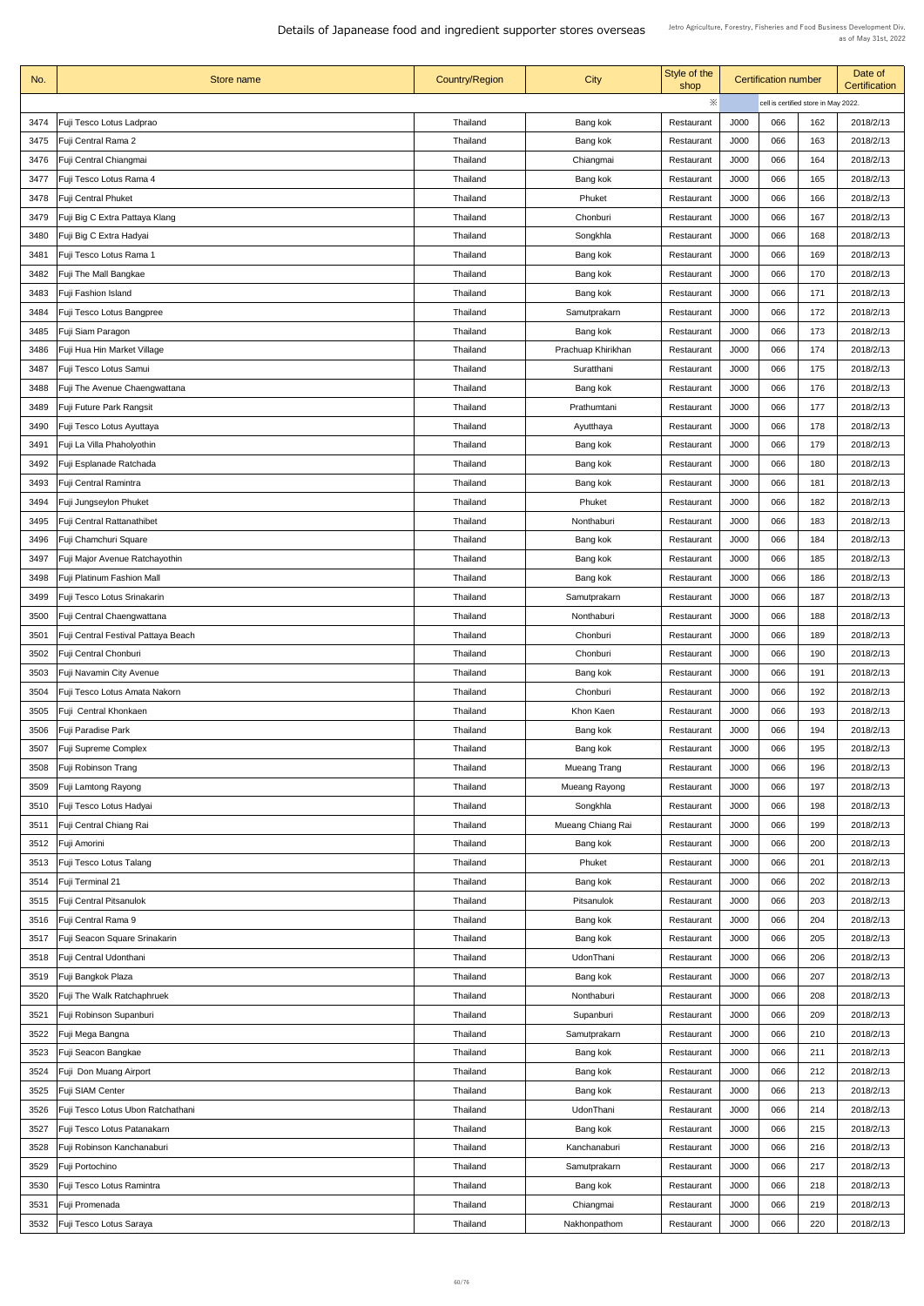| No.  | Store name                                 | <b>Country/Region</b> | <b>City</b>              | Style of the<br>shop | <b>Certification number</b> |     | Date of<br>Certification             |           |
|------|--------------------------------------------|-----------------------|--------------------------|----------------------|-----------------------------|-----|--------------------------------------|-----------|
|      |                                            |                       |                          | $\ddot{\times}$      |                             |     | cell is certified store in May 2022. |           |
| 3474 | Fuji Tesco Lotus Ladprao                   | Thailand              | Bang kok                 | Restaurant           | J000                        | 066 | 162                                  | 2018/2/13 |
| 3475 | Fuji Central Rama 2                        | <b>Thailand</b>       | Bang kok                 | Restaurant           | J000                        | 066 | 163                                  | 2018/2/13 |
| 3476 | Fuji Central Chiangmai                     | Thailand              | Chiangmai                | Restaurant           | J000                        | 066 | 164                                  | 2018/2/13 |
| 3477 | Fuji Tesco Lotus Rama 4                    | Thailand              | Bang kok                 | Restaurant           | J000                        | 066 | 165                                  | 2018/2/13 |
| 3478 | <b>Fuji Central Phuket</b>                 | Thailand              | Phuket                   | Restaurant           | J000                        | 066 | 166                                  | 2018/2/13 |
| 3479 | Fuji Big C Extra Pattaya Klang             | Thailand              | Chonburi                 | Restaurant           | J000                        | 066 | 167                                  | 2018/2/13 |
|      |                                            |                       |                          |                      |                             |     |                                      |           |
| 3480 | Fuji Big C Extra Hadyai                    | <b>Thailand</b>       | Songkhla                 | Restaurant           | J000                        | 066 | 168                                  | 2018/2/13 |
| 3481 | Fuji Tesco Lotus Rama 1                    | Thailand              | Bang kok                 | Restaurant           | J000                        | 066 | 169                                  | 2018/2/13 |
| 3482 | Fuji The Mall Bangkae                      | Thailand              | Bang kok                 | Restaurant           | J000                        | 066 | 170                                  | 2018/2/13 |
| 3483 | Fuji Fashion Island                        | Thailand              | Bang kok                 | Restaurant           | J000                        | 066 | 171                                  | 2018/2/13 |
| 3484 | Fuji Tesco Lotus Bangpree                  | Thailand              | Samutprakarn             | Restaurant           | J000                        | 066 | 172                                  | 2018/2/13 |
| 3485 | Fuji Siam Paragon                          | Thailand              | Bang kok                 | Restaurant           | J000                        | 066 | 173                                  | 2018/2/13 |
| 3486 | Fuji Hua Hin Market Village                | Thailand              | Prachuap Khirikhan       | Restaurant           | <b>J000</b>                 | 066 | 174                                  | 2018/2/13 |
| 3487 | Fuji Tesco Lotus Samui                     | Thailand              | Suratthani               | Restaurant           | J000                        | 066 | 175                                  | 2018/2/13 |
| 3488 | Fuji The Avenue Chaengwattana              | <b>Thailand</b>       | Bang kok                 | Restaurant           | J000                        | 066 | 176                                  | 2018/2/13 |
| 3489 | Fuji Future Park Rangsit                   | Thailand              | Prathumtani              | Restaurant           | J000                        | 066 | 177                                  | 2018/2/13 |
| 3490 | Fuji Tesco Lotus Ayuttaya                  | <b>Thailand</b>       | Ayutthaya                | Restaurant           | J000                        | 066 | 178                                  | 2018/2/13 |
| 3491 | Fuji La Villa Phaholyothin                 | Thailand              | Bang kok                 | Restaurant           | J000                        | 066 | 179                                  | 2018/2/13 |
| 3492 | Fuji Esplanade Ratchada                    | <b>Thailand</b>       | Bang kok                 | Restaurant           | J000                        | 066 | 180                                  | 2018/2/13 |
| 3493 | <b>Fuji Central Ramintra</b>               | Thailand              | Bang kok                 | Restaurant           | J000                        | 066 | 181                                  | 2018/2/13 |
| 3494 | Fuji Jungseylon Phuket                     | <b>Thailand</b>       | Phuket                   | Restaurant           | J000                        | 066 | 182                                  | 2018/2/13 |
| 3495 | <b>Fuji Central Rattanathibet</b>          | <b>Thailand</b>       | Nonthaburi               | Restaurant           | J000                        | 066 | 183                                  | 2018/2/13 |
|      |                                            |                       |                          |                      |                             |     |                                      |           |
| 3496 | Fuji Chamchuri Square                      | <b>Thailand</b>       | Bang kok                 | Restaurant           | J000                        | 066 | 184                                  | 2018/2/13 |
| 3497 | Fuji Major Avenue Ratchayothin             | <b>Thailand</b>       | Bang kok                 | Restaurant           | J000                        | 066 | 185                                  | 2018/2/13 |
| 3498 | Fuji Platinum Fashion Mall                 | Thailand              | Bang kok                 | Restaurant           | J000                        | 066 | 186                                  | 2018/2/13 |
| 3499 | Fuji Tesco Lotus Srinakarin                | Thailand              | Samutprakarn             | Restaurant           | J000                        | 066 | 187                                  | 2018/2/13 |
| 3500 | <b>Fuji Central Chaengwattana</b>          | <b>Thailand</b>       | Nonthaburi               | Restaurant           | J000                        | 066 | 188                                  | 2018/2/13 |
| 3501 | <b>Fuji Central Festival Pattaya Beach</b> | <b>Thailand</b>       | Chonburi                 | Restaurant           | J000                        | 066 | 189                                  | 2018/2/13 |
| 3502 | Fuji Central Chonburi                      | <b>Thailand</b>       | Chonburi                 | Restaurant           | J000                        | 066 | 190                                  | 2018/2/13 |
| 3503 | Fuji Navamin City Avenue                   | Thailand              | Bang kok                 | Restaurant           | J000                        | 066 | 191                                  | 2018/2/13 |
| 3504 | Fuji Tesco Lotus Amata Nakorn              | <b>Thailand</b>       | Chonburi                 | Restaurant           | J000                        | 066 | 192                                  | 2018/2/13 |
| 3505 | Fuji Central Khonkaen                      | <b>Thailand</b>       | Khon Kaen                | Restaurant           | J000                        | 066 | 193                                  | 2018/2/13 |
| 3506 | Fuji Paradise Park                         | <b>Thailand</b>       | Bang kok                 | Restaurant           | J000                        | 066 | 194                                  | 2018/2/13 |
| 3507 | <b>Fuji Supreme Complex</b>                | Thailand              | Bang kok                 | Restaurant           | J000                        | 066 | 195                                  | 2018/2/13 |
| 3508 | Fuji Robinson Trang                        | Thailand              | <b>Mueang Trang</b>      | Restaurant           | J000                        | 066 | 196                                  | 2018/2/13 |
| 3509 | Fuji Lamtong Rayong                        | Thailand              | Mueang Rayong            | Restaurant           | J000                        | 066 | 197                                  | 2018/2/13 |
| 3510 | Fuji Tesco Lotus Hadyai                    | <b>Thailand</b>       | Songkhla                 | Restaurant           | J000                        | 066 | 198                                  | 2018/2/13 |
| 3511 | Fuji Central Chiang Rai                    | Thailand              | <b>Mueang Chiang Rai</b> | Restaurant           | J000                        | 066 | 199                                  | 2018/2/13 |
| 3512 | Fuji Amorini                               | Thailand              | Bang kok                 | Restaurant           | J000                        | 066 | 200                                  | 2018/2/13 |
| 3513 | <b>Fuji Tesco Lotus Talang</b>             | Thailand              | Phuket                   | Restaurant           | J000                        | 066 | 201                                  | 2018/2/13 |
|      |                                            |                       |                          |                      | J000                        | 066 | 202                                  | 2018/2/13 |
| 3514 | Fuji Terminal 21                           | Thailand              | Bang kok                 | Restaurant           | J000                        | 066 |                                      |           |
|      | 3515   Fuji Central Pitsanulok             | <b>Thailand</b>       | Pitsanulok               | Restaurant           |                             |     | 203                                  | 2018/2/13 |
| 3516 | Fuji Central Rama 9                        | Thailand              | Bang kok                 | Restaurant           | J000                        | 066 | 204                                  | 2018/2/13 |
| 3517 | Fuji Seacon Square Srinakarin              | Thailand              | Bang kok                 | Restaurant           | J000                        | 066 | 205                                  | 2018/2/13 |
| 3518 | Fuji Central Udonthani                     | Thailand              | UdonThani                | Restaurant           | J000                        | 066 | 206                                  | 2018/2/13 |
| 3519 | Fuji Bangkok Plaza                         | Thailand              | Bang kok                 | Restaurant           | J000                        | 066 | 207                                  | 2018/2/13 |
| 3520 | Fuji The Walk Ratchaphruek                 | <b>Thailand</b>       | Nonthaburi               | Restaurant           | J000                        | 066 | 208                                  | 2018/2/13 |
| 3521 | Fuji Robinson Supanburi                    | Thailand              | Supanburi                | Restaurant           | J000                        | 066 | 209                                  | 2018/2/13 |
| 3522 | Fuji Mega Bangna                           | Thailand              | Samutprakarn             | Restaurant           | J000                        | 066 | 210                                  | 2018/2/13 |
| 3523 | Fuji Seacon Bangkae                        | Thailand              | Bang kok                 | Restaurant           | J000                        | 066 | 211                                  | 2018/2/13 |
| 3524 | Fuji Don Muang Airport                     | Thailand              | Bang kok                 | Restaurant           | J000                        | 066 | 212                                  | 2018/2/13 |
| 3525 | <b>Fuji SIAM Center</b>                    | Thailand              | Bang kok                 | Restaurant           | J000                        | 066 | 213                                  | 2018/2/13 |
| 3526 | Fuji Tesco Lotus Ubon Ratchathani          | Thailand              | UdonThani                | Restaurant           | J000                        | 066 | 214                                  | 2018/2/13 |
| 3527 | Fuji Tesco Lotus Patanakarn                | Thailand              | Bang kok                 | Restaurant           | J000                        | 066 | 215                                  | 2018/2/13 |
| 3528 | Fuji Robinson Kanchanaburi                 | Thailand              | Kanchanaburi             | Restaurant           | J000                        | 066 | 216                                  | 2018/2/13 |
| 3529 | <b>Fuji Portochino</b>                     | <b>Thailand</b>       | Samutprakarn             | Restaurant           | J000                        | 066 | 217                                  | 2018/2/13 |
| 3530 | Fuji Tesco Lotus Ramintra                  | Thailand              | Bang kok                 | Restaurant           | J000                        | 066 | 218                                  | 2018/2/13 |
| 3531 | <b>Fuji Promenada</b>                      | Thailand              | Chiangmai                | Restaurant           | J000                        | 066 | 219                                  | 2018/2/13 |
| 3532 | <b>Fuji Tesco Lotus Saraya</b>             | Thailand              | Nakhonpathom             | Restaurant           | J000                        | 066 | 220                                  | 2018/2/13 |
|      |                                            |                       |                          |                      |                             |     |                                      |           |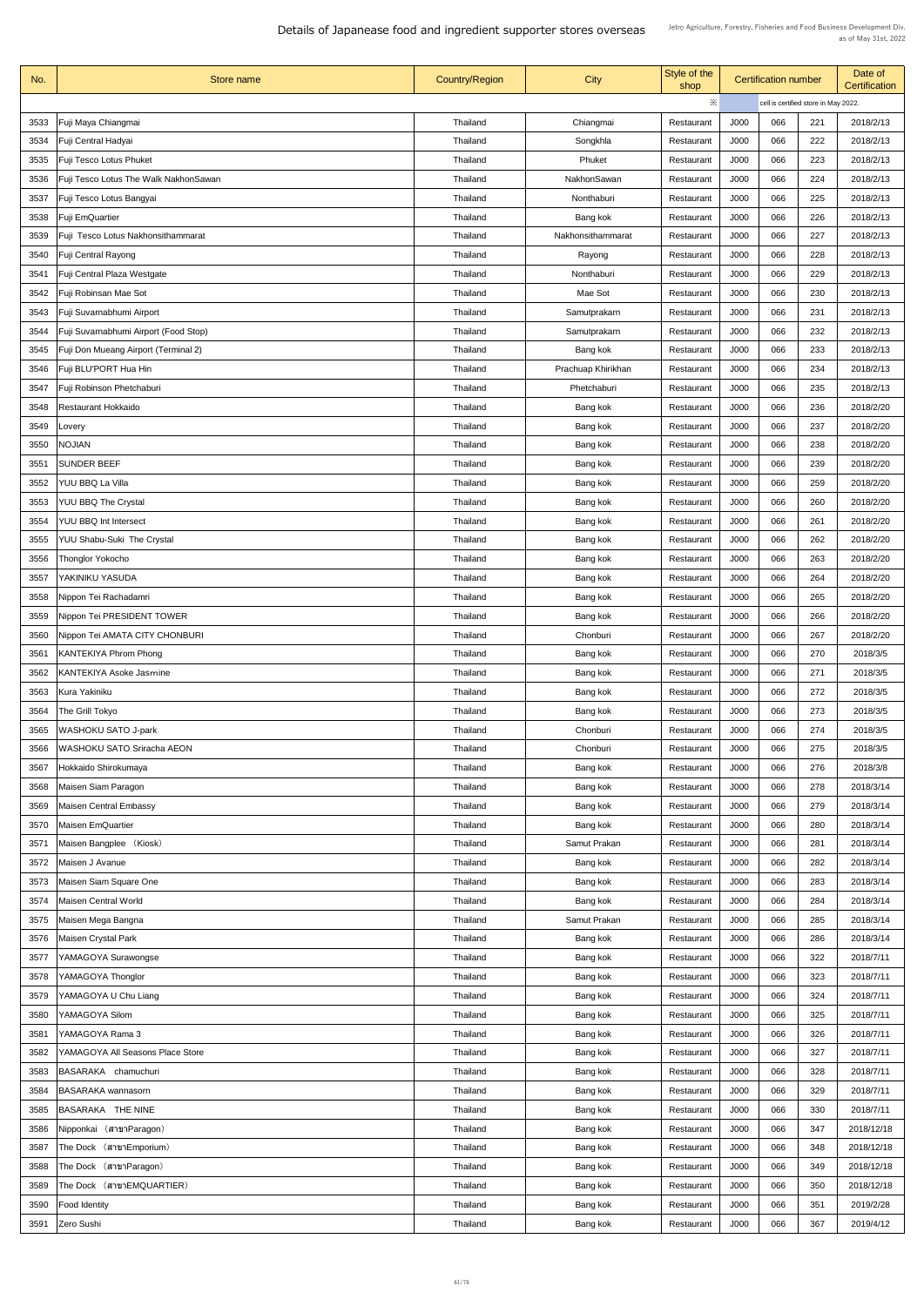| No.  | Store name                                  | <b>Country/Region</b> | <b>City</b>        | Style of the<br>shop |             | <b>Certification number</b> |                                      | Date of<br><b>Certification</b> |
|------|---------------------------------------------|-----------------------|--------------------|----------------------|-------------|-----------------------------|--------------------------------------|---------------------------------|
|      |                                             |                       |                    | $\ddot{\times}$      |             |                             | cell is certified store in May 2022. |                                 |
| 3533 | Fuji Maya Chiangmai                         | Thailand              | Chiangmai          | Restaurant           | J000        | 066                         | 221                                  | 2018/2/13                       |
| 3534 | Fuji Central Hadyai                         | <b>Thailand</b>       | Songkhla           | Restaurant           | J000        | 066                         | 222                                  | 2018/2/13                       |
| 3535 | <b>Fuji Tesco Lotus Phuket</b>              | <b>Thailand</b>       | Phuket             | Restaurant           | J000        | 066                         | 223                                  | 2018/2/13                       |
| 3536 | Fuji Tesco Lotus The Walk NakhonSawan       | <b>Thailand</b>       | <b>NakhonSawan</b> | Restaurant           | J000        | 066                         | 224                                  | 2018/2/13                       |
| 3537 |                                             | <b>Thailand</b>       | Nonthaburi         | Restaurant           | J000        | 066                         | 225                                  | 2018/2/13                       |
|      | Fuji Tesco Lotus Bangyai                    |                       |                    |                      |             | 066                         | 226                                  | 2018/2/13                       |
| 3538 | <b>Fuji EmQuartier</b>                      | Thailand              | Bang kok           | Restaurant           | J000        |                             |                                      |                                 |
| 3539 | Fuji Tesco Lotus Nakhonsithammarat          | <b>Thailand</b>       | Nakhonsithammarat  | Restaurant           | J000        | 066                         | 227                                  | 2018/2/13                       |
| 3540 | <b>Fuji Central Rayong</b>                  | <b>Thailand</b>       | Rayong             | Restaurant           | J000        | 066                         | 228                                  | 2018/2/13                       |
| 3541 | Fuji Central Plaza Westgate                 | Thailand              | Nonthaburi         | Restaurant           | J000        | 066                         | 229                                  | 2018/2/13                       |
| 3542 | Fuji Robinsan Mae Sot                       | Thailand              | Mae Sot            | Restaurant           | J000        | 066                         | 230                                  | 2018/2/13                       |
| 3543 | Fuji Suvarnabhumi Airport                   | <b>Thailand</b>       | Samutprakarn       | Restaurant           | J000        | 066                         | 231                                  | 2018/2/13                       |
| 3544 | Fuji Suvarnabhumi Airport (Food Stop)       | Thailand              | Samutprakarn       | Restaurant           | J000        | 066                         | 232                                  | 2018/2/13                       |
| 3545 | <b>Fuji Don Mueang Airport (Terminal 2)</b> | Thailand              | Bang kok           | Restaurant           | <b>J000</b> | 066                         | 233                                  | 2018/2/13                       |
| 3546 | Fuji BLU'PORT Hua Hin                       | <b>Thailand</b>       | Prachuap Khirikhan | Restaurant           | J000        | 066                         | 234                                  | 2018/2/13                       |
| 3547 | Fuji Robinson Phetchaburi                   | <b>Thailand</b>       | Phetchaburi        | Restaurant           | J000        | 066                         | 235                                  | 2018/2/13                       |
| 3548 | <b>Restaurant Hokkaido</b>                  | <b>Thailand</b>       | Bang kok           | Restaurant           | J000        | 066                         | 236                                  | 2018/2/20                       |
| 3549 | Lovery                                      | <b>Thailand</b>       | Bang kok           | Restaurant           | J000        | 066                         | 237                                  | 2018/2/20                       |
| 3550 | <b>NOJIAN</b>                               | Thailand              | Bang kok           | Restaurant           | J000        | 066                         | 238                                  | 2018/2/20                       |
| 3551 | <b>SUNDER BEEF</b>                          | Thailand              | Bang kok           | Restaurant           | J000        | 066                         | 239                                  | 2018/2/20                       |
| 3552 | YUU BBQ La Villa                            | Thailand              | Bang kok           | Restaurant           | J000        | 066                         | 259                                  | 2018/2/20                       |
| 3553 | <b>YUU BBQ The Crystal</b>                  | <b>Thailand</b>       | Bang kok           | Restaurant           | J000        | 066                         | 260                                  | 2018/2/20                       |
| 3554 | <b>YUU BBQ Int Intersect</b>                | <b>Thailand</b>       | Bang kok           | Restaurant           | J000        | 066                         | 261                                  | 2018/2/20                       |
| 3555 | <b>YUU Shabu-Suki The Crystal</b>           | <b>Thailand</b>       | Bang kok           | Restaurant           | J000        | 066                         | 262                                  | 2018/2/20                       |
| 3556 | Thonglor Yokocho                            | Thailand              | Bang kok           | Restaurant           | J000        | 066                         | 263                                  | 2018/2/20                       |
| 3557 | YAKINIKU YASUDA                             | Thailand              | Bang kok           | Restaurant           | J000        | 066                         | 264                                  | 2018/2/20                       |
| 3558 | Nippon Tei Rachadamri                       | <b>Thailand</b>       | Bang kok           | Restaurant           | J000        | 066                         | 265                                  | 2018/2/20                       |
| 3559 | Nippon Tei PRESIDENT TOWER                  | <b>Thailand</b>       | Bang kok           | Restaurant           | J000        | 066                         | 266                                  | 2018/2/20                       |
| 3560 | Nippon Tei AMATA CITY CHONBURI              | <b>Thailand</b>       | Chonburi           | Restaurant           | J000        | 066                         | 267                                  | 2018/2/20                       |
| 3561 | <b>KANTEKIYA Phrom Phong</b>                | Thailand              | Bang kok           | Restaurant           | J000        | 066                         | 270                                  | 2018/3/5                        |
| 3562 | <b>KANTEKIYA Asoke Jasmine</b>              | <b>Thailand</b>       | Bang kok           | Restaurant           | J000        | 066                         | 271                                  | 2018/3/5                        |
| 3563 | Kura Yakiniku                               | <b>Thailand</b>       | Bang kok           | Restaurant           | J000        | 066                         | 272                                  | 2018/3/5                        |
| 3564 | The Grill Tokyo                             | <b>Thailand</b>       | Bang kok           | Restaurant           | J000        | 066                         | 273                                  | 2018/3/5                        |
| 3565 | <b>WASHOKU SATO J-park</b>                  | <b>Thailand</b>       | Chonburi           | Restaurant           | J000        | 066                         | 274                                  | 2018/3/5                        |
| 3566 | <b>WASHOKU SATO Sriracha AEON</b>           | <b>Thailand</b>       | Chonburi           | Restaurant           | J000        | 066                         | 275                                  | 2018/3/5                        |
| 3567 | Hokkaido Shirokumaya                        | <b>Thailand</b>       | Bang kok           | Restaurant           | J000        | 066                         | 276                                  | 2018/3/8                        |
| 3568 | Maisen Siam Paragon                         | Thailand              | Bang kok           | Restaurant           | J000        | 066                         | 278                                  | 2018/3/14                       |
| 3569 | <b>Maisen Central Embassy</b>               | <b>Thailand</b>       | Bang kok           | Restaurant           | J000        | 066                         | 279                                  | 2018/3/14                       |
| 3570 | <b>Maisen EmQuartier</b>                    | <b>Thailand</b>       | Bang kok           | Restaurant           | J000        | 066                         | 280                                  | 2018/3/14                       |
|      |                                             |                       |                    |                      |             |                             |                                      |                                 |
| 3571 | Maisen Bangplee (Kiosk)                     | <b>Thailand</b>       | Samut Prakan       | Restaurant           | J000        | 066                         | 281                                  | 2018/3/14                       |
| 3572 | Maisen J Avanue                             | <b>Thailand</b>       | Bang kok           | Restaurant           | J000        | 066                         | 282                                  | 2018/3/14                       |
| 3573 | Maisen Siam Square One                      | Thailand              | Bang kok           | Restaurant           | J000        | 066                         | 283                                  | 2018/3/14                       |
|      | 3574   Maisen Central World                 | <b>Thailand</b>       | Bang kok           | Restaurant           | J000        | 066                         | 284                                  | 2018/3/14                       |
| 3575 | Maisen Mega Bangna                          | <b>Thailand</b>       | Samut Prakan       | Restaurant           | J000        | 066                         | 285                                  | 2018/3/14                       |
| 3576 | <b>Maisen Crystal Park</b>                  | <b>Thailand</b>       | Bang kok           | Restaurant           | J000        | 066                         | 286                                  | 2018/3/14                       |
| 3577 | YAMAGOYA Surawongse                         | <b>Thailand</b>       | Bang kok           | Restaurant           | J000        | 066                         | 322                                  | 2018/7/11                       |
| 3578 | YAMAGOYA Thonglor                           | <b>Thailand</b>       | Bang kok           | Restaurant           | J000        | 066                         | 323                                  | 2018/7/11                       |
| 3579 | YAMAGOYA U Chu Liang                        | Thailand              | Bang kok           | Restaurant           | J000        | 066                         | 324                                  | 2018/7/11                       |
| 3580 | YAMAGOYA Silom                              | <b>Thailand</b>       | Bang kok           | Restaurant           | J000        | 066                         | 325                                  | 2018/7/11                       |
| 3581 | YAMAGOYA Rama 3                             | <b>Thailand</b>       | Bang kok           | Restaurant           | J000        | 066                         | 326                                  | 2018/7/11                       |
| 3582 | YAMAGOYA All Seasons Place Store            | <b>Thailand</b>       | Bang kok           | Restaurant           | J000        | 066                         | 327                                  | 2018/7/11                       |
| 3583 | BASARAKA chamuchuri                         | Thailand              | Bang kok           | Restaurant           | J000        | 066                         | 328                                  | 2018/7/11                       |
| 3584 | <b>BASARAKA wannasorn</b>                   | <b>Thailand</b>       | Bang kok           | Restaurant           | J000        | 066                         | 329                                  | 2018/7/11                       |
| 3585 | BASARAKA THE NINE                           | <b>Thailand</b>       | Bang kok           | Restaurant           | J000        | 066                         | 330                                  | 2018/7/11                       |
| 3586 | Nipponkai (สาขาParagon)                     | <b>Thailand</b>       | Bang kok           | Restaurant           | J000        | 066                         | 347                                  | 2018/12/18                      |
| 3587 | The Dock (สาขาEmporium)                     | Thailand              | Bang kok           | Restaurant           | J000        | 066                         | 348                                  | 2018/12/18                      |
| 3588 | The Dock (สาขาParagon)                      | <b>Thailand</b>       | Bang kok           | Restaurant           | J000        | 066                         | 349                                  | 2018/12/18                      |
| 3589 | The Dock (สาขาEMQUARTIER)                   | Thailand              | Bang kok           | Restaurant           | J000        | 066                         | 350                                  | 2018/12/18                      |
| 3590 | <b>Food Identity</b>                        | Thailand              | Bang kok           | Restaurant           | J000        | 066                         | 351                                  | 2019/2/28                       |
| 3591 | Zero Sushi                                  | Thailand              | Bang kok           | Restaurant           | J000        | 066                         | 367                                  | 2019/4/12                       |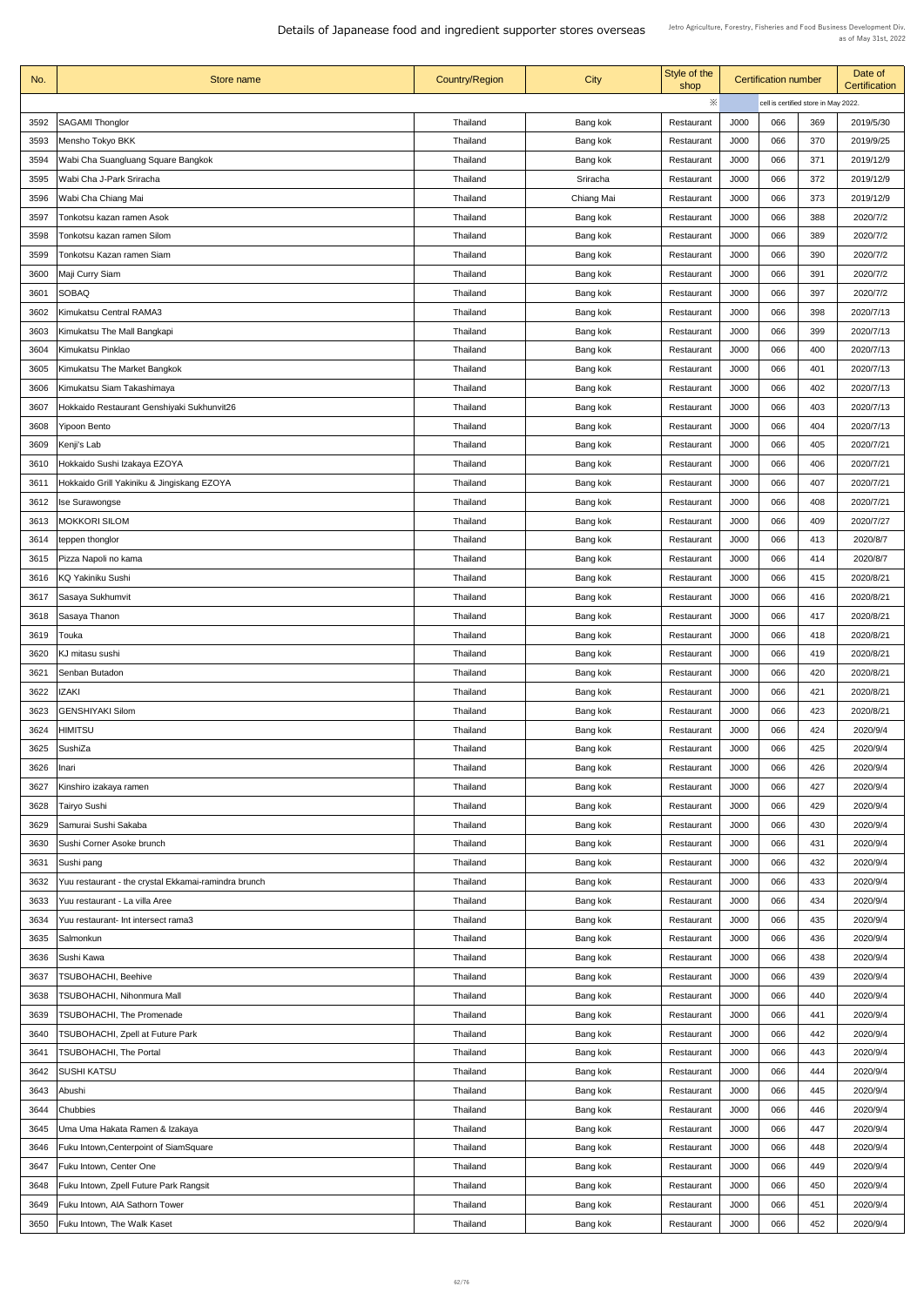| No.  | Store name                                           | <b>Country/Region</b> | <b>City</b>          | Style of the<br>shop     |             | <b>Certification number</b> |                                      | Date of<br><b>Certification</b> |
|------|------------------------------------------------------|-----------------------|----------------------|--------------------------|-------------|-----------------------------|--------------------------------------|---------------------------------|
|      |                                                      |                       |                      | ※                        |             |                             | cell is certified store in May 2022. |                                 |
| 3592 | <b>SAGAMI Thonglor</b>                               | Thailand              | Bang kok             | Restaurant               | <b>J000</b> | 066                         | 369                                  | 2019/5/30                       |
| 3593 | Mensho Tokyo BKK                                     | Thailand              | Bang kok             | Restaurant               | J000        | 066                         | 370                                  | 2019/9/25                       |
| 3594 | Wabi Cha Suangluang Square Bangkok                   | <b>Thailand</b>       | Bang kok             | Restaurant               | <b>J000</b> | 066                         | 371                                  | 2019/12/9                       |
| 3595 | Wabi Cha J-Park Sriracha                             | Thailand              | Sriracha             | Restaurant               | J000        | 066                         | 372                                  | 2019/12/9                       |
| 3596 | Wabi Cha Chiang Mai                                  | Thailand              | Chiang Mai           | Restaurant               | <b>J000</b> | 066                         | 373                                  | 2019/12/9                       |
| 3597 | Tonkotsu kazan ramen Asok                            | Thailand              | Bang kok             | Restaurant               | J000        | 066                         | 388                                  | 2020/7/2                        |
| 3598 | Tonkotsu kazan ramen Silom                           | Thailand              | Bang kok             | Restaurant               | <b>J000</b> | 066                         | 389                                  | 2020/7/2                        |
| 3599 | Tonkotsu Kazan ramen Siam                            | Thailand              | Bang kok             | Restaurant               | J000        | 066                         | 390                                  | 2020/7/2                        |
| 3600 | Maji Curry Siam                                      | Thailand              | Bang kok             | Restaurant               | J000        | 066                         | 391                                  | 2020/7/2                        |
| 3601 | <b>SOBAQ</b>                                         | Thailand              | Bang kok             | Restaurant               | J000        | 066                         | 397                                  | 2020/7/2                        |
| 3602 | Kimukatsu Central RAMA3                              | Thailand              | Bang kok             | Restaurant               | J000        | 066                         | 398                                  | 2020/7/13                       |
| 3603 | Kimukatsu The Mall Bangkapi                          | Thailand              | Bang kok             | Restaurant               | <b>J000</b> | 066                         | 399                                  | 2020/7/13                       |
| 3604 | Kimukatsu Pinklao                                    | Thailand              | Bang kok             | Restaurant               | J000        | 066                         | 400                                  | 2020/7/13                       |
| 3605 | Kimukatsu The Market Bangkok                         | <b>Thailand</b>       | Bang kok             | Restaurant               | <b>J000</b> | 066                         | 401                                  | 2020/7/13                       |
| 3606 | Kimukatsu Siam Takashimaya                           | Thailand              | Bang kok             | Restaurant               | J000        | 066                         | 402                                  | 2020/7/13                       |
| 3607 | Hokkaido Restaurant Genshiyaki Sukhunvit26           | <b>Thailand</b>       | Bang kok             | Restaurant               | J000        | 066                         | 403                                  | 2020/7/13                       |
| 3608 | <b>Yipoon Bento</b>                                  | Thailand              | Bang kok             | Restaurant               | J000        | 066                         | 404                                  | 2020/7/13                       |
| 3609 | Kenji's Lab                                          | <b>Thailand</b>       | Bang kok             | Restaurant               | J000        | 066                         | 405                                  | 2020/7/21                       |
| 3610 | Hokkaido Sushi Izakaya EZOYA                         | Thailand              | Bang kok             | Restaurant               | J000        | 066                         | 406                                  | 2020/7/21                       |
| 3611 | Hokkaido Grill Yakiniku & Jingiskang EZOYA           | Thailand              | Bang kok             | Restaurant               | J000        | 066                         | 407                                  | 2020/7/21                       |
| 3612 | Ise Surawongse                                       | Thailand              | Bang kok             | Restaurant               | J000        | 066                         | 408                                  | 2020/7/21                       |
| 3613 | <b>MOKKORI SILOM</b>                                 | Thailand              | Bang kok             | Restaurant               | J000        | 066                         | 409                                  | 2020/7/27                       |
| 3614 | teppen thonglor                                      | <b>Thailand</b>       | Bang kok             | Restaurant               | J000        | 066                         | 413                                  | 2020/8/7                        |
| 3615 | Pizza Napoli no kama                                 | Thailand              | Bang kok             | Restaurant               | J000        | 066                         | 414                                  | 2020/8/7                        |
| 3616 | <b>KQ Yakiniku Sushi</b>                             | <b>Thailand</b>       | Bang kok             | Restaurant               | J000        | 066                         | 415                                  | 2020/8/21                       |
| 3617 | Sasaya Sukhumvit                                     | <b>Thailand</b>       | Bang kok             | Restaurant               | <b>J000</b> | 066                         | 416                                  | 2020/8/21                       |
| 3618 | Sasaya Thanon                                        | <b>Thailand</b>       | Bang kok             | Restaurant               | J000        | 066                         | 417                                  | 2020/8/21                       |
| 3619 | Touka                                                | Thailand              | Bang kok             | Restaurant               | J000        | 066                         | 418                                  | 2020/8/21                       |
| 3620 | KJ mitasu sushi                                      | Thailand              |                      |                          | J000        | 066                         | 419                                  | 2020/8/21                       |
| 3621 | Senban Butadon                                       | Thailand              | Bang kok<br>Bang kok | Restaurant<br>Restaurant | J000        | 066                         | 420                                  | 2020/8/21                       |
| 3622 | <b>IZAKI</b>                                         | Thailand              | Bang kok             | Restaurant               | J000        | 066                         | 421                                  | 2020/8/21                       |
| 3623 | <b>GENSHIYAKI Silom</b>                              | Thailand              | Bang kok             | Restaurant               | J000        | 066                         | 423                                  | 2020/8/21                       |
| 3624 | HIMITSU                                              | <b>Thailand</b>       | Bang kok             | Restaurant               | J000        | 066                         | 424                                  | 2020/9/4                        |
| 3625 | SushiZa                                              | <b>Thailand</b>       | Bang kok             | Restaurant               | J000        | 066                         | 425                                  | 2020/9/4                        |
| 3626 | Inari                                                | Thailand              | Bang kok             | Restaurant               | J000        | 066                         | 426                                  | 2020/9/4                        |
| 3627 | Kinshiro izakaya ramen                               | <b>Thailand</b>       |                      | Restaurant               | J000        | 066                         | 427                                  | 2020/9/4                        |
| 3628 | Tairyo Sushi                                         | <b>Thailand</b>       | Bang kok<br>Bang kok | Restaurant               | J000        | 066                         | 429                                  | 2020/9/4                        |
| 3629 | Samurai Sushi Sakaba                                 | <b>Thailand</b>       | Bang kok             | Restaurant               | J000        | 066                         | 430                                  | 2020/9/4                        |
| 3630 | Sushi Corner Asoke brunch                            | Thailand              |                      | Restaurant               | J000        | 066                         | 431                                  | 2020/9/4                        |
| 3631 | Sushi pang                                           | Thailand              | Bang kok<br>Bang kok | Restaurant               | J000        | 066                         | 432                                  | 2020/9/4                        |
| 3632 | Yuu restaurant - the crystal Ekkamai-ramindra brunch | Thailand              |                      |                          | J000        | 066                         | 433                                  | 2020/9/4                        |
|      | 3633   Yuu restaurant - La villa Aree                | Thailand              | Bang kok             | Restaurant<br>Restaurant | J000        | 066                         | 434                                  | 2020/9/4                        |
| 3634 | Yuu restaurant- Int intersect rama3                  | <b>Thailand</b>       | Bang kok<br>Bang kok | Restaurant               | J000        | 066                         | 435                                  | 2020/9/4                        |
| 3635 | Salmonkun                                            | <b>Thailand</b>       | Bang kok             | Restaurant               | J000        | 066                         | 436                                  | 2020/9/4                        |
| 3636 | Sushi Kawa                                           | <b>Thailand</b>       | Bang kok             | Restaurant               | J000        | 066                         | 438                                  | 2020/9/4                        |
| 3637 | <b>TSUBOHACHI, Beehive</b>                           | Thailand              | Bang kok             | Restaurant               | J000        | 066                         | 439                                  | 2020/9/4                        |
| 3638 | <b>TSUBOHACHI, Nihonmura Mall</b>                    | Thailand              |                      |                          | J000        | 066                         | 440                                  | 2020/9/4                        |
|      | <b>TSUBOHACHI, The Promenade</b>                     | <b>Thailand</b>       | Bang kok             | Restaurant               | J000        | 066                         | 441                                  | 2020/9/4                        |
| 3639 |                                                      |                       | Bang kok             | Restaurant               |             | 066                         | 442                                  |                                 |
| 3640 | <b>TSUBOHACHI, Zpell at Future Park</b>              | <b>Thailand</b>       | Bang kok             | Restaurant               | J000        | 066                         |                                      | 2020/9/4                        |
| 3641 | <b>TSUBOHACHI, The Portal</b>                        | <b>Thailand</b>       | Bang kok             | Restaurant               | J000        |                             | 443                                  | 2020/9/4                        |
| 3642 | <b>SUSHI KATSU</b>                                   | Thailand              | Bang kok             | Restaurant               | J000        | 066                         | 444                                  | 2020/9/4                        |
| 3643 | Abushi                                               | Thailand              | Bang kok             | Restaurant               | J000        | 066                         | 445                                  | 2020/9/4                        |
| 3644 | <b>Chubbies</b>                                      | <b>Thailand</b>       | Bang kok             | Restaurant               | J000        | 066                         | 446                                  | 2020/9/4                        |
| 3645 | Uma Uma Hakata Ramen & Izakaya                       | <b>Thailand</b>       | Bang kok             | Restaurant               | J000        | 066                         | 447                                  | 2020/9/4                        |
| 3646 | Fuku Intown, Centerpoint of SiamSquare               | Thailand              | Bang kok             | Restaurant               | J000        | 066                         | 448                                  | 2020/9/4                        |
| 3647 | Fuku Intown, Center One                              | <b>Thailand</b>       | Bang kok             | Restaurant               | J000        | 066                         | 449                                  | 2020/9/4                        |
| 3648 | Fuku Intown, Zpell Future Park Rangsit               | Thailand              | Bang kok             | Restaurant               | J000        | 066                         | 450                                  | 2020/9/4                        |
| 3649 | Fuku Intown, AIA Sathorn Tower                       | Thailand              | Bang kok             | Restaurant               | J000        | 066                         | 451                                  | 2020/9/4                        |
| 3650 | <b>Fuku Intown, The Walk Kaset</b>                   | Thailand              | Bang kok             | Restaurant               | J000        | 066                         | 452                                  | 2020/9/4                        |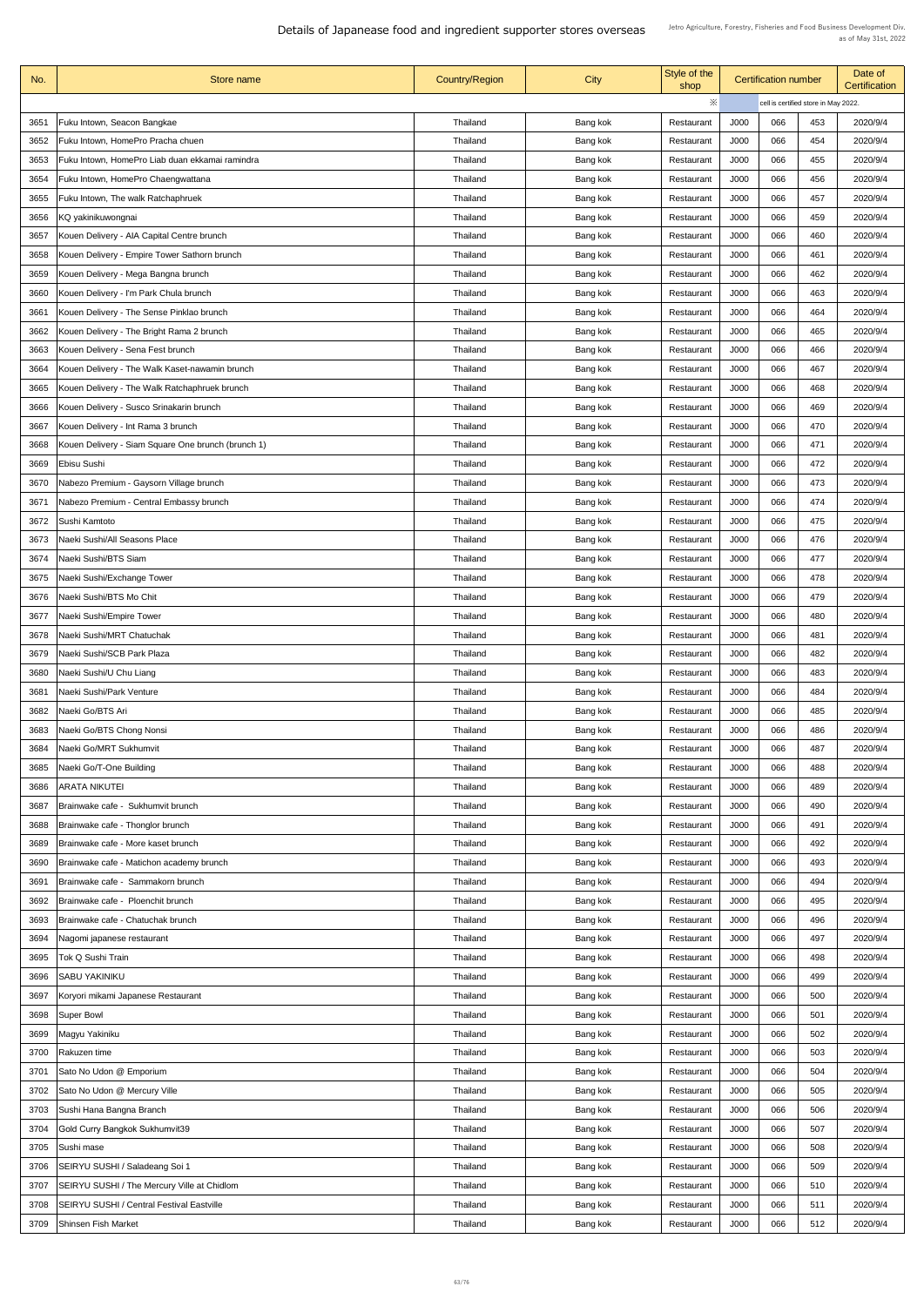| No.  | Store name                                         | <b>Country/Region</b> | City     | Style of the<br>shop |             | <b>Certification number</b>          |     | Date of<br><b>Certification</b> |
|------|----------------------------------------------------|-----------------------|----------|----------------------|-------------|--------------------------------------|-----|---------------------------------|
|      |                                                    |                       |          | ※                    |             | cell is certified store in May 2022. |     |                                 |
| 3651 | Fuku Intown, Seacon Bangkae                        | <b>Thailand</b>       | Bang kok | Restaurant           | <b>J000</b> | 066                                  | 453 | 2020/9/4                        |
| 3652 | Fuku Intown, HomePro Pracha chuen                  | Thailand              | Bang kok | Restaurant           | J000        | 066                                  | 454 | 2020/9/4                        |
| 3653 | Fuku Intown, HomePro Liab duan ekkamai ramindra    | <b>Thailand</b>       | Bang kok | Restaurant           | J000        | 066                                  | 455 | 2020/9/4                        |
| 3654 | Fuku Intown, HomePro Chaengwattana                 | <b>Thailand</b>       | Bang kok | Restaurant           | J000        | 066                                  | 456 | 2020/9/4                        |
| 3655 | Fuku Intown, The walk Ratchaphruek                 | Thailand              | Bang kok | Restaurant           | J000        | 066                                  | 457 | 2020/9/4                        |
| 3656 | KQ yakinikuwongnai                                 | Thailand              | Bang kok | Restaurant           | J000        | 066                                  | 459 | 2020/9/4                        |
|      |                                                    |                       |          |                      |             |                                      |     |                                 |
| 3657 | Kouen Delivery - AIA Capital Centre brunch         | <b>Thailand</b>       | Bang kok | Restaurant           | J000        | 066                                  | 460 | 2020/9/4                        |
| 3658 | Kouen Delivery - Empire Tower Sathorn brunch       | <b>Thailand</b>       | Bang kok | Restaurant           | J000        | 066                                  | 461 | 2020/9/4                        |
| 3659 | Kouen Delivery - Mega Bangna brunch                | <b>Thailand</b>       | Bang kok | Restaurant           | J000        | 066                                  | 462 | 2020/9/4                        |
| 3660 | Kouen Delivery - I'm Park Chula brunch             | <b>Thailand</b>       | Bang kok | Restaurant           | J000        | 066                                  | 463 | 2020/9/4                        |
| 3661 | Kouen Delivery - The Sense Pinklao brunch          | Thailand              | Bang kok | Restaurant           | J000        | 066                                  | 464 | 2020/9/4                        |
| 3662 | Kouen Delivery - The Bright Rama 2 brunch          | Thailand              | Bang kok | Restaurant           | J000        | 066                                  | 465 | 2020/9/4                        |
| 3663 | Kouen Delivery - Sena Fest brunch                  | Thailand              | Bang kok | Restaurant           | J000        | 066                                  | 466 | 2020/9/4                        |
| 3664 | Kouen Delivery - The Walk Kaset-nawamin brunch     | <b>Thailand</b>       | Bang kok | Restaurant           | J000        | 066                                  | 467 | 2020/9/4                        |
| 3665 | Kouen Delivery - The Walk Ratchaphruek brunch      | <b>Thailand</b>       | Bang kok | Restaurant           | J000        | 066                                  | 468 | 2020/9/4                        |
| 3666 | Kouen Delivery - Susco Srinakarin brunch           | Thailand              | Bang kok | Restaurant           | J000        | 066                                  | 469 | 2020/9/4                        |
| 3667 | Kouen Delivery - Int Rama 3 brunch                 | Thailand              | Bang kok | Restaurant           | J000        | 066                                  | 470 | 2020/9/4                        |
| 3668 | Kouen Delivery - Siam Square One brunch (brunch 1) | <b>Thailand</b>       | Bang kok | Restaurant           | J000        | 066                                  | 471 | 2020/9/4                        |
| 3669 | Ebisu Sushi                                        | Thailand              | Bang kok | Restaurant           | J000        | 066                                  | 472 | 2020/9/4                        |
| 3670 | Nabezo Premium - Gaysorn Village brunch            | <b>Thailand</b>       | Bang kok | Restaurant           | J000        | 066                                  | 473 | 2020/9/4                        |
| 3671 | Nabezo Premium - Central Embassy brunch            | Thailand              | Bang kok | Restaurant           | J000        | 066                                  | 474 | 2020/9/4                        |
| 3672 | Sushi Kamtoto                                      | Thailand              | Bang kok | Restaurant           | J000        | 066                                  | 475 | 2020/9/4                        |
| 3673 | Naeki Sushi/All Seasons Place                      | Thailand              | Bang kok | Restaurant           | J000        | 066                                  | 476 | 2020/9/4                        |
|      | Naeki Sushi/BTS Siam                               |                       |          |                      |             |                                      | 477 |                                 |
| 3674 |                                                    | <b>Thailand</b>       | Bang kok | Restaurant           | J000        | 066                                  |     | 2020/9/4                        |
| 3675 | Naeki Sushi/Exchange Tower                         | <b>Thailand</b>       | Bang kok | Restaurant           | J000        | 066                                  | 478 | 2020/9/4                        |
| 3676 | Naeki Sushi/BTS Mo Chit                            | Thailand              | Bang kok | Restaurant           | J000        | 066                                  | 479 | 2020/9/4                        |
| 3677 | Naeki Sushi/Empire Tower                           | Thailand              | Bang kok | Restaurant           | J000        | 066                                  | 480 | 2020/9/4                        |
| 3678 | Naeki Sushi/MRT Chatuchak                          | <b>Thailand</b>       | Bang kok | Restaurant           | J000        | 066                                  | 481 | 2020/9/4                        |
| 3679 | Naeki Sushi/SCB Park Plaza                         | <b>Thailand</b>       | Bang kok | Restaurant           | J000        | 066                                  | 482 | 2020/9/4                        |
| 3680 | Naeki Sushi/U Chu Liang                            | <b>Thailand</b>       | Bang kok | Restaurant           | J000        | 066                                  | 483 | 2020/9/4                        |
| 3681 | Naeki Sushi/Park Venture                           | Thailand              | Bang kok | Restaurant           | J000        | 066                                  | 484 | 2020/9/4                        |
| 3682 | Naeki Go/BTS Ari                                   | <b>Thailand</b>       | Bang kok | Restaurant           | J000        | 066                                  | 485 | 2020/9/4                        |
| 3683 | Naeki Go/BTS Chong Nonsi                           | <b>Thailand</b>       | Bang kok | Restaurant           | J000        | 066                                  | 486 | 2020/9/4                        |
| 3684 | Naeki Go/MRT Sukhumvit                             | <b>Thailand</b>       | Bang kok | Restaurant           | <b>J000</b> | 066                                  | 487 | 2020/9/4                        |
| 3685 | Naeki Go/T-One Building                            | <b>Thailand</b>       | Bang kok | Restaurant           | J000        | 066                                  | 488 | 2020/9/4                        |
| 3686 | <b>ARATA NIKUTEI</b>                               | Thailand              | Bang kok | Restaurant           | J000        | 066                                  | 489 | 2020/9/4                        |
| 3687 | Brainwake cafe - Sukhumvit brunch                  | <b>Thailand</b>       | Bang kok | Restaurant           | J000        | 066                                  | 490 | 2020/9/4                        |
| 3688 | Brainwake cafe - Thonglor brunch                   | Thailand              | Bang kok | Restaurant           | J000        | 066                                  | 491 | 2020/9/4                        |
| 3689 | Brainwake cafe - More kaset brunch                 | <b>Thailand</b>       | Bang kok | Restaurant           | J000        | 066                                  | 492 | 2020/9/4                        |
| 3690 | Brainwake cafe - Matichon academy brunch           | <b>Thailand</b>       | Bang kok | Restaurant           | J000        | 066                                  | 493 | 2020/9/4                        |
| 3691 | Brainwake cafe - Sammakorn brunch                  | Thailand              | Bang kok | Restaurant           | J000        | 066                                  | 494 | 2020/9/4                        |
| 3692 | Brainwake cafe - Ploenchit brunch                  | <b>Thailand</b>       | Bang kok | Restaurant           | <b>J000</b> | 066                                  | 495 | 2020/9/4                        |
| 3693 | Brainwake cafe - Chatuchak brunch                  | <b>Thailand</b>       | Bang kok | Restaurant           | J000        | 066                                  | 496 | 2020/9/4                        |
| 3694 | Nagomi japanese restaurant                         | Thailand              | Bang kok | Restaurant           | <b>J000</b> | 066                                  | 497 | 2020/9/4                        |
| 3695 | Tok Q Sushi Train                                  | <b>Thailand</b>       | Bang kok | Restaurant           | J000        | 066                                  | 498 | 2020/9/4                        |
| 3696 | SABU YAKINIKU                                      | Thailand              | Bang kok | Restaurant           | J000        | 066                                  | 499 | 2020/9/4                        |
|      |                                                    |                       |          |                      |             |                                      |     |                                 |
| 3697 | Koryori mikami Japanese Restaurant                 | <b>Thailand</b>       | Bang kok | Restaurant           | J000        | 066                                  | 500 | 2020/9/4                        |
| 3698 | <b>Super Bowl</b>                                  | <b>Thailand</b>       | Bang kok | Restaurant           | J000        | 066                                  | 501 | 2020/9/4                        |
| 3699 | Magyu Yakiniku                                     | Thailand              | Bang kok | Restaurant           | J000        | 066                                  | 502 | 2020/9/4                        |
| 3700 | Rakuzen time                                       | <b>Thailand</b>       | Bang kok | Restaurant           | J000        | 066                                  | 503 | 2020/9/4                        |
| 3701 | Sato No Udon @ Emporium                            | <b>Thailand</b>       | Bang kok | Restaurant           | J000        | 066                                  | 504 | 2020/9/4                        |
| 3702 | Sato No Udon @ Mercury Ville                       | <b>Thailand</b>       | Bang kok | Restaurant           | J000        | 066                                  | 505 | 2020/9/4                        |
| 3703 | Sushi Hana Bangna Branch                           | Thailand              | Bang kok | Restaurant           | J000        | 066                                  | 506 | 2020/9/4                        |
| 3704 | Gold Curry Bangkok Sukhumvit39                     | <b>Thailand</b>       | Bang kok | Restaurant           | <b>J000</b> | 066                                  | 507 | 2020/9/4                        |
| 3705 | Sushi mase                                         | <b>Thailand</b>       | Bang kok | Restaurant           | J000        | 066                                  | 508 | 2020/9/4                        |
| 3706 | SEIRYU SUSHI / Saladeang Soi 1                     | <b>Thailand</b>       | Bang kok | Restaurant           | J000        | 066                                  | 509 | 2020/9/4                        |
| 3707 | SEIRYU SUSHI / The Mercury Ville at Chidlom        | <b>Thailand</b>       | Bang kok | Restaurant           | J000        | 066                                  | 510 | 2020/9/4                        |
| 3708 | <b>SEIRYU SUSHI / Central Festival Eastville</b>   | <b>Thailand</b>       | Bang kok | Restaurant           | J000        | 066                                  | 511 | 2020/9/4                        |
| 3709 | <b>Shinsen Fish Market</b>                         | <b>Thailand</b>       | Bang kok | Restaurant           | J000        | 066                                  | 512 | 2020/9/4                        |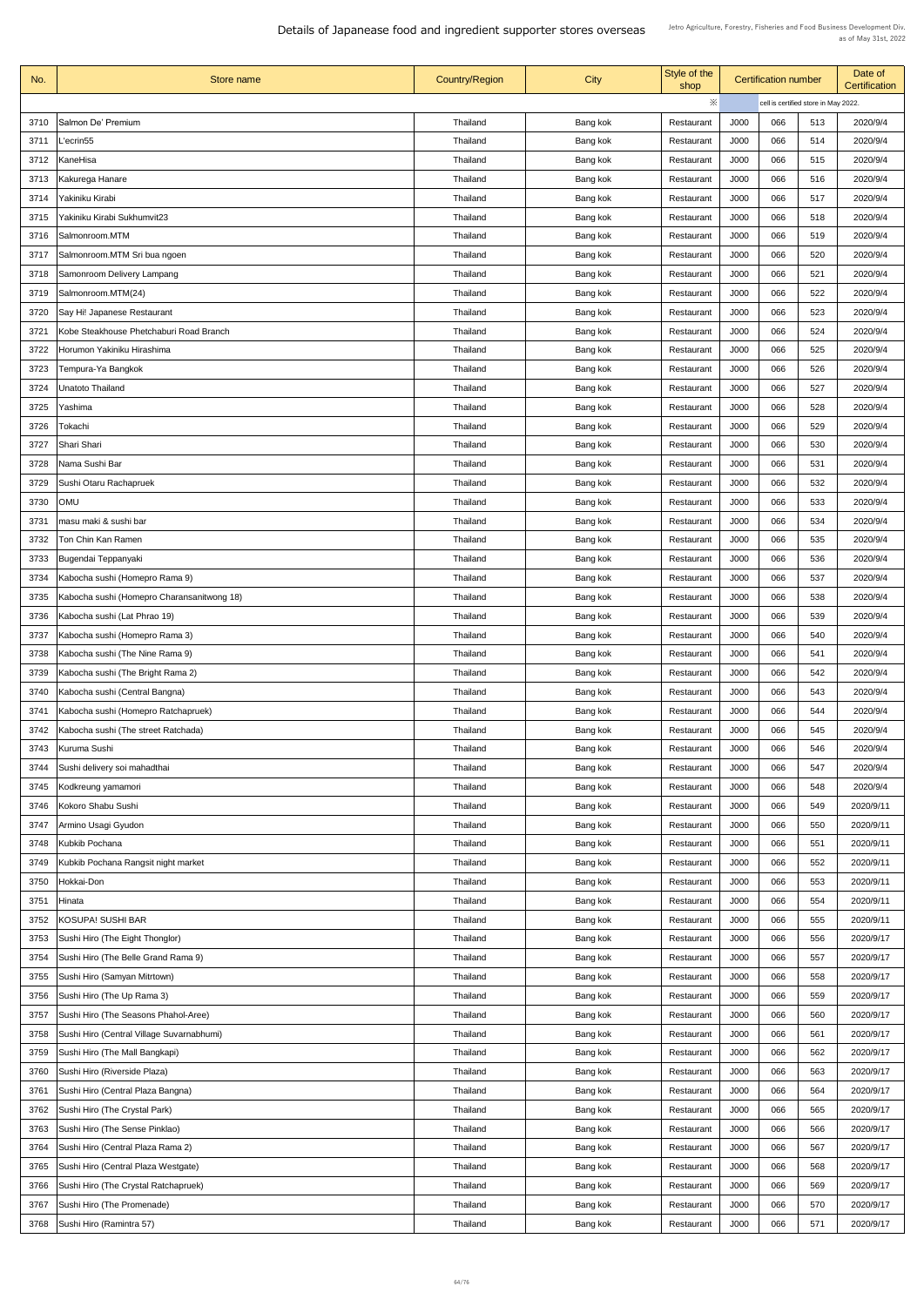| No.  | Store name                                 | <b>Country/Region</b> | <b>City</b> | Style of the<br>shop |             | <b>Certification number</b> |                                      | Date of<br><b>Certification</b> |
|------|--------------------------------------------|-----------------------|-------------|----------------------|-------------|-----------------------------|--------------------------------------|---------------------------------|
|      |                                            |                       |             | ※                    |             |                             | cell is certified store in May 2022. |                                 |
| 3710 | Salmon De' Premium                         | Thailand              | Bang kok    | Restaurant           | <b>J000</b> | 066                         | 513                                  | 2020/9/4                        |
| 3711 | L'ecrin55                                  | Thailand              | Bang kok    | Restaurant           | <b>J000</b> | 066                         | 514                                  | 2020/9/4                        |
| 3712 | KaneHisa                                   | Thailand              | Bang kok    | Restaurant           | <b>J000</b> | 066                         | 515                                  | 2020/9/4                        |
| 3713 | Kakurega Hanare                            | Thailand              | Bang kok    | Restaurant           | J000        | 066                         | 516                                  | 2020/9/4                        |
| 3714 | Yakiniku Kirabi                            | Thailand              | Bang kok    | Restaurant           | J000        | 066                         | 517                                  | 2020/9/4                        |
| 3715 | Yakiniku Kirabi Sukhumvit23                | Thailand              | Bang kok    | Restaurant           | J000        | 066                         | 518                                  | 2020/9/4                        |
| 3716 | Salmonroom.MTM                             | <b>Thailand</b>       | Bang kok    | Restaurant           | <b>J000</b> | 066                         | 519                                  | 2020/9/4                        |
| 3717 | Salmonroom.MTM Sri bua ngoen               | Thailand              | Bang kok    | Restaurant           | <b>J000</b> | 066                         | 520                                  | 2020/9/4                        |
| 3718 | <b>Samonroom Delivery Lampang</b>          | Thailand              | Bang kok    | Restaurant           | J000        | 066                         | 521                                  | 2020/9/4                        |
| 3719 | Salmonroom.MTM(24)                         | Thailand              | Bang kok    | Restaurant           | J000        | 066                         | 522                                  | 2020/9/4                        |
| 3720 | Say Hi! Japanese Restaurant                | Thailand              | Bang kok    | Restaurant           | J000        | 066                         | 523                                  | 2020/9/4                        |
| 3721 | Kobe Steakhouse Phetchaburi Road Branch    | Thailand              | Bang kok    | Restaurant           | <b>J000</b> | 066                         | 524                                  | 2020/9/4                        |
| 3722 | Horumon Yakiniku Hirashima                 | Thailand              | Bang kok    | Restaurant           | <b>J000</b> | 066                         | 525                                  | 2020/9/4                        |
| 3723 | Tempura-Ya Bangkok                         | Thailand              | Bang kok    | Restaurant           | J000        | 066                         | 526                                  | 2020/9/4                        |
|      |                                            |                       |             |                      |             |                             |                                      |                                 |
| 3724 | <b>Unatoto Thailand</b>                    | <b>Thailand</b>       | Bang kok    | Restaurant           | J000        | 066                         | 527                                  | 2020/9/4                        |
| 3725 | Yashima                                    | Thailand              | Bang kok    | Restaurant           | J000        | 066                         | 528                                  | 2020/9/4                        |
| 3726 | Tokachi                                    | <b>Thailand</b>       | Bang kok    | Restaurant           | J000        | 066                         | 529                                  | 2020/9/4                        |
| 3727 | Shari Shari                                | Thailand              | Bang kok    | Restaurant           | J000        | 066                         | 530                                  | 2020/9/4                        |
| 3728 | Nama Sushi Bar                             | <b>Thailand</b>       | Bang kok    | Restaurant           | J000        | 066                         | 531                                  | 2020/9/4                        |
| 3729 | Sushi Otaru Rachapruek                     | <b>Thailand</b>       | Bang kok    | Restaurant           | J000        | 066                         | 532                                  | 2020/9/4                        |
| 3730 | OMU                                        | <b>Thailand</b>       | Bang kok    | Restaurant           | J000        | 066                         | 533                                  | 2020/9/4                        |
| 3731 | masu maki & sushi bar                      | Thailand              | Bang kok    | Restaurant           | J000        | 066                         | 534                                  | 2020/9/4                        |
| 3732 | Ton Chin Kan Ramen                         | Thailand              | Bang kok    | Restaurant           | <b>J000</b> | 066                         | 535                                  | 2020/9/4                        |
| 3733 | Bugendai Teppanyaki                        | <b>Thailand</b>       | Bang kok    | Restaurant           | J000        | 066                         | 536                                  | 2020/9/4                        |
| 3734 | Kabocha sushi (Homepro Rama 9)             | Thailand              | Bang kok    | Restaurant           | J000        | 066                         | 537                                  | 2020/9/4                        |
| 3735 | Kabocha sushi (Homepro Charansanitwong 18) | <b>Thailand</b>       | Bang kok    | Restaurant           | J000        | 066                         | 538                                  | 2020/9/4                        |
| 3736 | Kabocha sushi (Lat Phrao 19)               | <b>Thailand</b>       | Bang kok    | Restaurant           | J000        | 066                         | 539                                  | 2020/9/4                        |
| 3737 | Kabocha sushi (Homepro Rama 3)             | Thailand              | Bang kok    | Restaurant           | <b>J000</b> | 066                         | 540                                  | 2020/9/4                        |
| 3738 | Kabocha sushi (The Nine Rama 9)            | Thailand              | Bang kok    | Restaurant           | J000        | 066                         | 541                                  | 2020/9/4                        |
| 3739 | Kabocha sushi (The Bright Rama 2)          | Thailand              | Bang kok    | Restaurant           | J000        | 066                         | 542                                  | 2020/9/4                        |
| 3740 | Kabocha sushi (Central Bangna)             | <b>Thailand</b>       | Bang kok    | Restaurant           | J000        | 066                         | 543                                  | 2020/9/4                        |
| 3741 | Kabocha sushi (Homepro Ratchapruek)        | <b>Thailand</b>       | Bang kok    | Restaurant           | J000        | 066                         | 544                                  | 2020/9/4                        |
| 3742 | Kabocha sushi (The street Ratchada)        | Thailand              | Bang kok    | Restaurant           | <b>J000</b> | 066                         | 545                                  | 2020/9/4                        |
| 3743 | Kuruma Sushi                               | <b>Thailand</b>       | Bang kok    | Restaurant           | J000        | 066                         | 546                                  | 2020/9/4                        |
| 3744 | Sushi delivery soi mahadthai               | Thailand              | Bang kok    | Restaurant           | J000        | 066                         | 547                                  | 2020/9/4                        |
| 3745 | Kodkreung yamamori                         | Thailand              | Bang kok    | Restaurant           | J000        | 066                         | 548                                  | 2020/9/4                        |
| 3746 | Kokoro Shabu Sushi                         | <b>Thailand</b>       | Bang kok    | Restaurant           | J000        | 066                         | 549                                  | 2020/9/11                       |
| 3747 | Armino Usagi Gyudon                        | <b>Thailand</b>       | Bang kok    | Restaurant           | J000        | 066                         | 550                                  | 2020/9/11                       |
| 3748 | Kubkib Pochana                             | <b>Thailand</b>       | Bang kok    | Restaurant           | J000        | 066                         | 551                                  | 2020/9/11                       |
| 3749 | Kubkib Pochana Rangsit night market        | <b>Thailand</b>       | Bang kok    | Restaurant           | J000        | 066                         | 552                                  | 2020/9/11                       |
| 3750 | Hokkai-Don                                 | Thailand              | Bang kok    | Restaurant           | J000        | 066                         | 553                                  | 2020/9/11                       |
| 3751 | Hinata                                     | Thailand              | Bang kok    | Restaurant           | <b>J000</b> | 066                         | 554                                  | 2020/9/11                       |
| 3752 | <b>KOSUPA! SUSHI BAR</b>                   | <b>Thailand</b>       | Bang kok    | Restaurant           | <b>J000</b> | 066                         | 555                                  | 2020/9/11                       |
| 3753 | Sushi Hiro (The Eight Thonglor)            | <b>Thailand</b>       | Bang kok    | Restaurant           | J000        | 066                         | 556                                  | 2020/9/17                       |
| 3754 | Sushi Hiro (The Belle Grand Rama 9)        | Thailand              | Bang kok    | Restaurant           | J000        | 066                         | 557                                  | 2020/9/17                       |
| 3755 | Sushi Hiro (Samyan Mitrtown)               | Thailand              | Bang kok    | Restaurant           | J000        | 066                         | 558                                  | 2020/9/17                       |
| 3756 | Sushi Hiro (The Up Rama 3)                 | Thailand              | Bang kok    | Restaurant           | J000        | 066                         | 559                                  | 2020/9/17                       |
| 3757 | Sushi Hiro (The Seasons Phahol-Aree)       | Thailand              | Bang kok    | Restaurant           | J000        | 066                         | 560                                  | 2020/9/17                       |
| 3758 | Sushi Hiro (Central Village Suvarnabhumi)  | <b>Thailand</b>       | Bang kok    | Restaurant           | J000        | 066                         | 561                                  | 2020/9/17                       |
| 3759 | Sushi Hiro (The Mall Bangkapi)             | <b>Thailand</b>       | Bang kok    | Restaurant           | J000        | 066                         | 562                                  | 2020/9/17                       |
| 3760 | Sushi Hiro (Riverside Plaza)               | Thailand              | Bang kok    | Restaurant           | J000        | 066                         | 563                                  | 2020/9/17                       |
| 3761 | Sushi Hiro (Central Plaza Bangna)          | <b>Thailand</b>       | Bang kok    | Restaurant           | J000        | 066                         | 564                                  | 2020/9/17                       |
| 3762 | Sushi Hiro (The Crystal Park)              | Thailand              | Bang kok    | Restaurant           | J000        | 066                         | 565                                  | 2020/9/17                       |
| 3763 | Sushi Hiro (The Sense Pinklao)             | Thailand              | Bang kok    | Restaurant           | J000        | 066                         | 566                                  | 2020/9/17                       |
| 3764 | Sushi Hiro (Central Plaza Rama 2)          | Thailand              | Bang kok    | Restaurant           | J000        | 066                         | 567                                  | 2020/9/17                       |
|      |                                            |                       |             |                      | J000        | 066                         | 568                                  | 2020/9/17                       |
| 3765 | Sushi Hiro (Central Plaza Westgate)        | Thailand              | Bang kok    | Restaurant           |             |                             |                                      |                                 |
| 3766 | Sushi Hiro (The Crystal Ratchapruek)       | Thailand              | Bang kok    | Restaurant           | J000        | 066                         | 569                                  | 2020/9/17                       |
| 3767 | Sushi Hiro (The Promenade)                 | <b>Thailand</b>       | Bang kok    | Restaurant           | J000        | 066                         | 570                                  | 2020/9/17                       |
| 3768 | Sushi Hiro (Ramintra 57)                   | <b>Thailand</b>       | Bang kok    | Restaurant           | J000        | 066                         | 571                                  | 2020/9/17                       |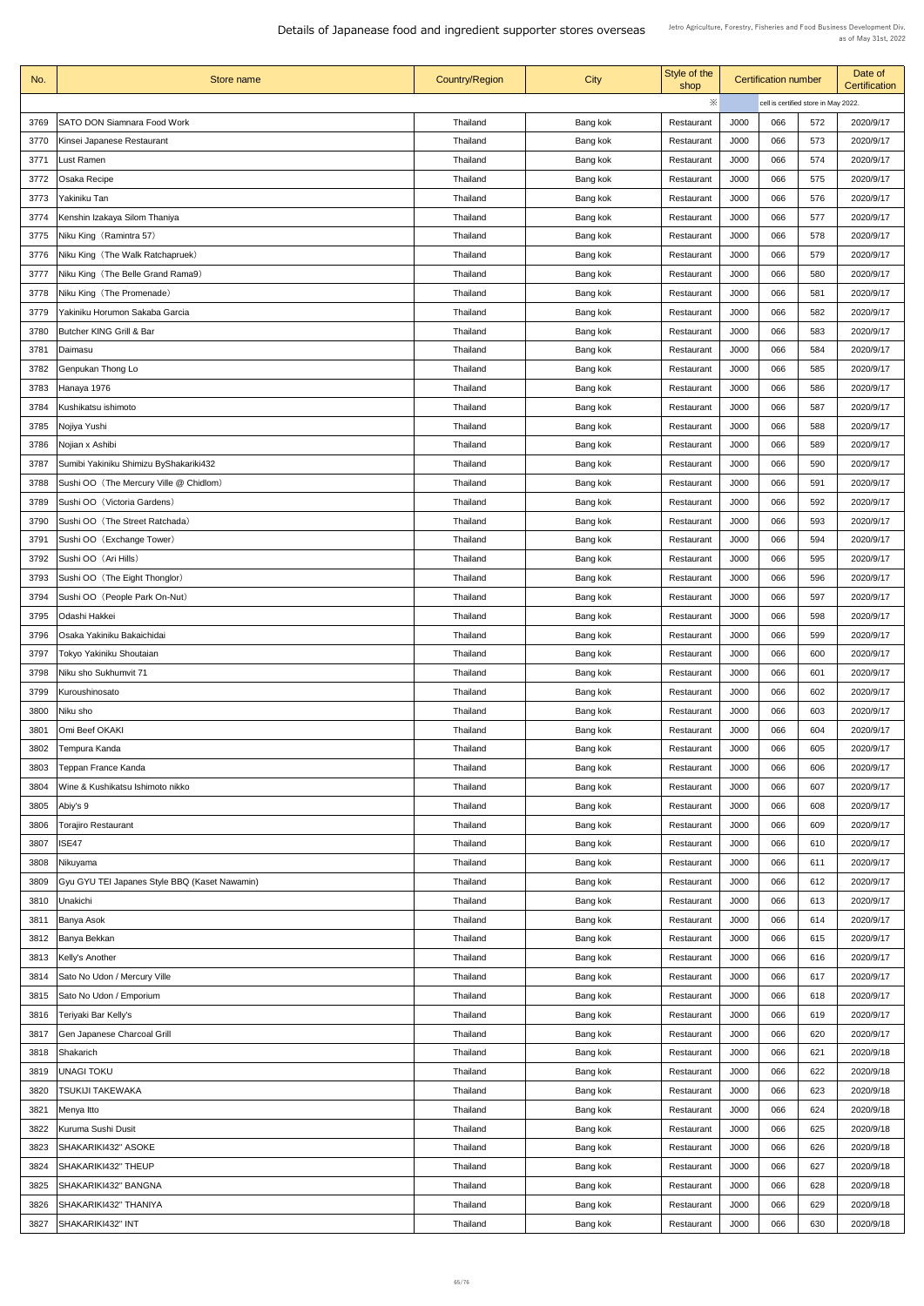| No.  | Store name                                    | <b>Country/Region</b> | <b>City</b> | Style of the<br>shop |             | <b>Certification number</b> |                                      | Date of<br><b>Certification</b> |
|------|-----------------------------------------------|-----------------------|-------------|----------------------|-------------|-----------------------------|--------------------------------------|---------------------------------|
|      |                                               |                       |             | ※                    |             |                             | cell is certified store in May 2022. |                                 |
| 3769 | <b>SATO DON Siamnara Food Work</b>            | Thailand              | Bang kok    | Restaurant           | J000        | 066                         | 572                                  | 2020/9/17                       |
| 3770 | Kinsei Japanese Restaurant                    | Thailand              | Bang kok    | Restaurant           | J000        | 066                         | 573                                  | 2020/9/17                       |
| 3771 | Lust Ramen                                    | Thailand              | Bang kok    | Restaurant           | <b>J000</b> | 066                         | 574                                  | 2020/9/17                       |
| 3772 | <b>Osaka Recipe</b>                           | Thailand              | Bang kok    | Restaurant           | J000        | 066                         | 575                                  | 2020/9/17                       |
| 3773 | Yakiniku Tan                                  | Thailand              | Bang kok    | Restaurant           | J000        | 066                         | 576                                  | 2020/9/17                       |
| 3774 | Kenshin Izakaya Silom Thaniya                 | Thailand              | Bang kok    | Restaurant           | J000        | 066                         | 577                                  | 2020/9/17                       |
| 3775 | Niku King (Ramintra 57)                       | Thailand              | Bang kok    | Restaurant           | J000        | 066                         | 578                                  | 2020/9/17                       |
| 3776 | Niku King (The Walk Ratchapruek)              | Thailand              | Bang kok    | Restaurant           | J000        | 066                         | 579                                  | 2020/9/17                       |
| 3777 | Niku King (The Belle Grand Rama9)             | Thailand              | Bang kok    | Restaurant           | J000        | 066                         | 580                                  | 2020/9/17                       |
| 3778 | Niku King (The Promenade)                     | Thailand              | Bang kok    | Restaurant           | J000        | 066                         | 581                                  | 2020/9/17                       |
| 3779 | Yakiniku Horumon Sakaba Garcia                | Thailand              | Bang kok    | Restaurant           | J000        | 066                         | 582                                  | 2020/9/17                       |
| 3780 | <b>Butcher KING Grill &amp; Bar</b>           | Thailand              | Bang kok    | Restaurant           | J000        | 066                         | 583                                  | 2020/9/17                       |
| 3781 | Daimasu                                       | Thailand              | Bang kok    | Restaurant           | <b>J000</b> | 066                         | 584                                  | 2020/9/17                       |
| 3782 | Genpukan Thong Lo                             | Thailand              | Bang kok    | Restaurant           | J000        | 066                         | 585                                  | 2020/9/17                       |
| 3783 | Hanaya 1976                                   | <b>Thailand</b>       | Bang kok    | Restaurant           | J000        | 066                         | 586                                  | 2020/9/17                       |
| 3784 | Kushikatsu ishimoto                           | Thailand              | Bang kok    | Restaurant           | J000        | 066                         | 587                                  | 2020/9/17                       |
| 3785 | 'Nojiya Yushi                                 | Thailand              | Bang kok    | Restaurant           | J000        | 066                         | 588                                  | 2020/9/17                       |
| 3786 | Nojian x Ashibi                               | <b>Thailand</b>       | Bang kok    | Restaurant           | J000        | 066                         | 589                                  | 2020/9/17                       |
| 3787 | Sumibi Yakiniku Shimizu ByShakariki432        | Thailand              | Bang kok    | Restaurant           | J000        | 066                         | 590                                  | 2020/9/17                       |
| 3788 | Sushi OO (The Mercury Ville @ Chidlom)        | Thailand              | Bang kok    | Restaurant           | J000        | 066                         | 591                                  | 2020/9/17                       |
| 3789 | Sushi OO (Victoria Gardens)                   | Thailand              | Bang kok    | Restaurant           | J000        | 066                         | 592                                  | 2020/9/17                       |
| 3790 | Sushi OO (The Street Ratchada)                | Thailand              | Bang kok    | Restaurant           | J000        | 066                         | 593                                  | 2020/9/17                       |
| 3791 | Sushi OO (Exchange Tower)                     | Thailand              | Bang kok    | Restaurant           | <b>J000</b> | 066                         | 594                                  | 2020/9/17                       |
| 3792 | Sushi OO (Ari Hills)                          | Thailand              | Bang kok    | Restaurant           | J000        | 066                         | 595                                  | 2020/9/17                       |
| 3793 | Sushi OO (The Eight Thonglor)                 | <b>Thailand</b>       | Bang kok    | Restaurant           | J000        | 066                         | 596                                  | 2020/9/17                       |
| 3794 | Sushi OO (People Park On-Nut)                 | Thailand              | Bang kok    | Restaurant           | J000        | 066                         | 597                                  | 2020/9/17                       |
| 3795 | Odashi Hakkei                                 | <b>Thailand</b>       | Bang kok    | Restaurant           | J000        | 066                         | 598                                  | 2020/9/17                       |
| 3796 | Osaka Yakiniku Bakaichidai                    | Thailand              | Bang kok    | Restaurant           | J000        | 066                         | 599                                  | 2020/9/17                       |
| 3797 | Tokyo Yakiniku Shoutaian                      | Thailand              | Bang kok    | Restaurant           | J000        | 066                         | 600                                  | 2020/9/17                       |
| 3798 | Niku sho Sukhumvit 71                         | Thailand              | Bang kok    | Restaurant           | J000        | 066                         | 601                                  | 2020/9/17                       |
| 3799 | Kuroushinosato                                | Thailand              | Bang kok    | Restaurant           | J000        | 066                         | 602                                  | 2020/9/17                       |
| 3800 | Niku sho                                      | Thailand              | Bang kok    | Restaurant           | J000        | 066                         | 603                                  | 2020/9/17                       |
| 3801 | Omi Beef OKAKI                                | Thailand              | Bang kok    | Restaurant           | <b>J000</b> | 066                         | 604                                  | 2020/9/17                       |
| 3802 | Tempura Kanda                                 | Thailand              | Bang kok    | Restaurant           | J000        | 066                         | 605                                  | 2020/9/17                       |
| 3803 | Teppan France Kanda                           | Thailand              | Bang kok    | Restaurant           | J000        | 066                         | 606                                  | 2020/9/17                       |
| 3804 | Wine & Kushikatsu Ishimoto nikko              | Thailand              | Bang kok    | Restaurant           | J000        | 066                         | 607                                  | 2020/9/17                       |
| 3805 | Abiy's 9                                      | <b>Thailand</b>       | Bang kok    | Restaurant           | J000        | 066                         | 608                                  | 2020/9/17                       |
| 3806 | <b>Torajiro Restaurant</b>                    | Thailand              | Bang kok    | Restaurant           | J000        | 066                         | 609                                  | 2020/9/17                       |
| 3807 | ISE47                                         | Thailand              | Bang kok    | Restaurant           | J000        | 066                         | 610                                  | 2020/9/17                       |
| 3808 | Nikuyama                                      | Thailand              | Bang kok    | Restaurant           | J000        | 066                         | 611                                  | 2020/9/17                       |
| 3809 | Gyu GYU TEI Japanes Style BBQ (Kaset Nawamin) | Thailand              | Bang kok    | Restaurant           | J000        | 066                         | 612                                  | 2020/9/17                       |
|      | 3810 Unakichi                                 | Thailand              | Bang kok    | Restaurant           | <b>J000</b> | 066                         | 613                                  | 2020/9/17                       |
| 3811 | Banya Asok                                    | <b>Thailand</b>       | Bang kok    | Restaurant           | <b>J000</b> | 066                         | 614                                  | 2020/9/17                       |
| 3812 | Banya Bekkan                                  | <b>Thailand</b>       | Bang kok    | Restaurant           | J000        | 066                         | 615                                  | 2020/9/17                       |
| 3813 | Kelly's Another                               | Thailand              | Bang kok    | Restaurant           | J000        | 066                         | 616                                  | 2020/9/17                       |
| 3814 | Sato No Udon / Mercury Ville                  | Thailand              | Bang kok    | Restaurant           | J000        | 066                         | 617                                  | 2020/9/17                       |
| 3815 | Sato No Udon / Emporium                       | Thailand              | Bang kok    | Restaurant           | J000        | 066                         | 618                                  | 2020/9/17                       |
| 3816 | Teriyaki Bar Kelly's                          | Thailand              | Bang kok    | Restaurant           | J000        | 066                         | 619                                  | 2020/9/17                       |
| 3817 | <b>Gen Japanese Charcoal Grill</b>            | Thailand              | Bang kok    | Restaurant           | J000        | 066                         | 620                                  | 2020/9/17                       |
| 3818 | Shakarich                                     | Thailand              | Bang kok    | Restaurant           | J000        | 066                         | 621                                  | 2020/9/18                       |
| 3819 | <b>UNAGI TOKU</b>                             | Thailand              | Bang kok    | Restaurant           | J000        | 066                         | 622                                  | 2020/9/18                       |
| 3820 | <b>TSUKIJI TAKEWAKA</b>                       | <b>Thailand</b>       | Bang kok    | Restaurant           | J000        | 066                         | 623                                  | 2020/9/18                       |
| 3821 | Menya Itto                                    | Thailand              | Bang kok    | Restaurant           | <b>J000</b> | 066                         | 624                                  | 2020/9/18                       |
| 3822 | Kuruma Sushi Dusit                            | Thailand              | Bang kok    | Restaurant           | J000        | 066                         | 625                                  | 2020/9/18                       |
| 3823 | SHAKARIKI432" ASOKE                           | Thailand              | Bang kok    | Restaurant           | J000        | 066                         | 626                                  | 2020/9/18                       |
| 3824 | SHAKARIKI432" THEUP                           | Thailand              | Bang kok    | Restaurant           | <b>J000</b> | 066                         | 627                                  | 2020/9/18                       |
| 3825 | SHAKARIKI432" BANGNA                          | Thailand              | Bang kok    | Restaurant           | J000        | 066                         | 628                                  | 2020/9/18                       |
| 3826 | SHAKARIKI432" THANIYA                         | Thailand              | Bang kok    | Restaurant           | J000        | 066                         | 629                                  | 2020/9/18                       |
| 3827 | SHAKARIKI432" INT                             | <b>Thailand</b>       | Bang kok    | Restaurant           | J000        | 066                         | 630                                  | 2020/9/18                       |
|      |                                               |                       |             |                      |             |                             |                                      |                                 |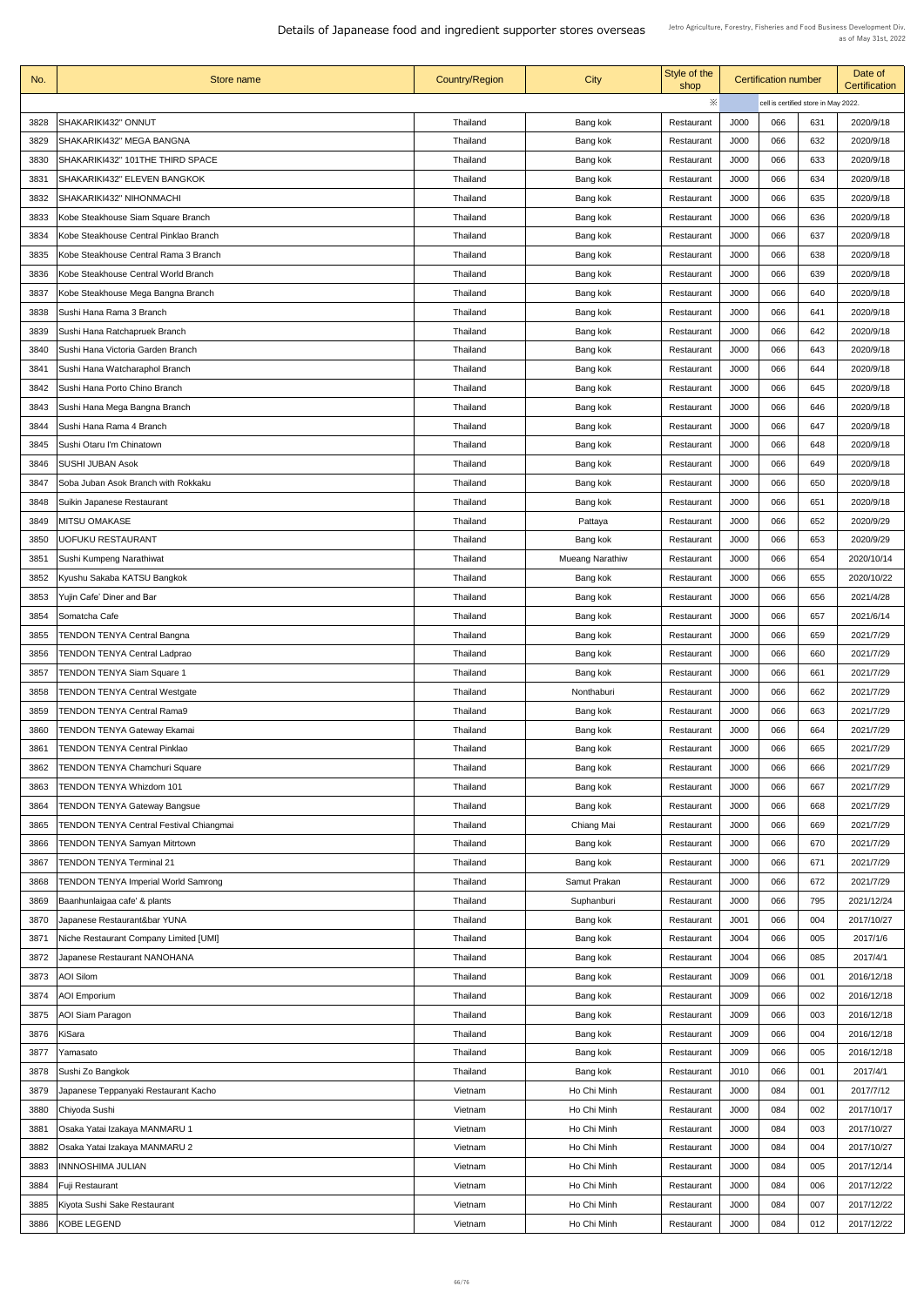| No.  | Store name                                                | <b>Country/Region</b> | <b>City</b>            | Style of the<br>shop |                  | <b>Certification number</b>          |     | Date of<br><b>Certification</b> |
|------|-----------------------------------------------------------|-----------------------|------------------------|----------------------|------------------|--------------------------------------|-----|---------------------------------|
|      |                                                           |                       |                        | ※                    |                  | cell is certified store in May 2022. |     |                                 |
| 3828 | <b>SHAKARIKI432" ONNUT</b>                                | Thailand              | Bang kok               | Restaurant           | J000             | 066                                  | 631 | 2020/9/18                       |
| 3829 | <b>SHAKARIKI432" MEGA BANGNA</b>                          | <b>Thailand</b>       | Bang kok               | Restaurant           | J000             | 066                                  | 632 | 2020/9/18                       |
| 3830 | SHAKARIKI432" 101THE THIRD SPACE                          | Thailand              | Bang kok               | Restaurant           | J000             | 066                                  | 633 | 2020/9/18                       |
| 3831 | <b>SHAKARIKI432" ELEVEN BANGKOK</b>                       | Thailand              | Bang kok               | Restaurant           | J000             | 066                                  | 634 | 2020/9/18                       |
| 3832 | <b>SHAKARIKI432" NIHONMACHI</b>                           | Thailand              | Bang kok               | Restaurant           | J000             | 066                                  | 635 | 2020/9/18                       |
| 3833 | Kobe Steakhouse Siam Square Branch                        | Thailand              | Bang kok               | Restaurant           | J000             | 066                                  | 636 | 2020/9/18                       |
| 3834 | Kobe Steakhouse Central Pinklao Branch                    | Thailand              | Bang kok               | Restaurant           | J000             | 066                                  | 637 | 2020/9/18                       |
| 3835 | Kobe Steakhouse Central Rama 3 Branch                     | Thailand              | Bang kok               | Restaurant           | J000             | 066                                  | 638 | 2020/9/18                       |
| 3836 | Kobe Steakhouse Central World Branch                      | Thailand              | Bang kok               | Restaurant           | J000             | 066                                  | 639 | 2020/9/18                       |
| 3837 | Kobe Steakhouse Mega Bangna Branch                        | Thailand              | Bang kok               | Restaurant           | J000             | 066                                  | 640 | 2020/9/18                       |
| 3838 | Sushi Hana Rama 3 Branch                                  | Thailand              | Bang kok               | Restaurant           | J000             | 066                                  | 641 | 2020/9/18                       |
| 3839 | Sushi Hana Ratchapruek Branch                             | Thailand              | Bang kok               | Restaurant           | J000             | 066                                  | 642 | 2020/9/18                       |
| 3840 | Sushi Hana Victoria Garden Branch                         | Thailand              | Bang kok               | Restaurant           | J000             | 066                                  | 643 | 2020/9/18                       |
| 3841 | Sushi Hana Watcharaphol Branch                            | <b>Thailand</b>       | Bang kok               | Restaurant           | J000             | 066                                  | 644 | 2020/9/18                       |
| 3842 | Sushi Hana Porto Chino Branch                             | <b>Thailand</b>       | Bang kok               | Restaurant           | J000             | 066                                  | 645 | 2020/9/18                       |
|      |                                                           |                       |                        |                      |                  | 066                                  | 646 |                                 |
| 3843 | Sushi Hana Mega Bangna Branch<br>Sushi Hana Rama 4 Branch | Thailand              | Bang kok               | Restaurant           | J000             | 066                                  |     | 2020/9/18                       |
| 3844 |                                                           | Thailand              | Bang kok               | Restaurant           | J000             |                                      | 647 | 2020/9/18                       |
| 3845 | Sushi Otaru I'm Chinatown                                 | Thailand              | Bang kok               | Restaurant           | J000             | 066                                  | 648 | 2020/9/18                       |
| 3846 | <b>SUSHI JUBAN Asok</b>                                   | Thailand              | Bang kok               | Restaurant           | J000             | 066                                  | 649 | 2020/9/18                       |
| 3847 | Soba Juban Asok Branch with Rokkaku                       | <b>Thailand</b>       | Bang kok               | Restaurant           | J000             | 066                                  | 650 | 2020/9/18                       |
| 3848 | <b>Suikin Japanese Restaurant</b>                         | Thailand              | Bang kok               | Restaurant           | J000             | 066                                  | 651 | 2020/9/18                       |
| 3849 | MITSU OMAKASE                                             | Thailand              | Pattaya                | Restaurant           | J000             | 066                                  | 652 | 2020/9/29                       |
| 3850 | <b>UOFUKU RESTAURANT</b>                                  | Thailand              | Bang kok               | Restaurant           | J000             | 066                                  | 653 | 2020/9/29                       |
| 3851 | Sushi Kumpeng Narathiwat                                  | Thailand              | <b>Mueang Narathiw</b> | Restaurant           | J000             | 066                                  | 654 | 2020/10/14                      |
| 3852 | Kyushu Sakaba KATSU Bangkok                               | Thailand              | Bang kok               | Restaurant           | J000             | 066                                  | 655 | 2020/10/22                      |
| 3853 | Yujin Cafe' Diner and Bar                                 | Thailand              | Bang kok               | Restaurant           | J000             | 066                                  | 656 | 2021/4/28                       |
| 3854 | Somatcha Cafe                                             | <b>Thailand</b>       | Bang kok               | Restaurant           | J000             | 066                                  | 657 | 2021/6/14                       |
| 3855 | <b>TENDON TENYA Central Bangna</b>                        | Thailand              | Bang kok               | Restaurant           | J000             | 066                                  | 659 | 2021/7/29                       |
| 3856 | <b>TENDON TENYA Central Ladprao</b>                       | Thailand              | Bang kok               | Restaurant           | J000             | 066                                  | 660 | 2021/7/29                       |
| 3857 | <b>TENDON TENYA Siam Square 1</b>                         | <b>Thailand</b>       | Bang kok               | Restaurant           | J000             | 066                                  | 661 | 2021/7/29                       |
| 3858 | <b>TENDON TENYA Central Westgate</b>                      | Thailand              | Nonthaburi             | Restaurant           | J000             | 066                                  | 662 | 2021/7/29                       |
| 3859 | <b>TENDON TENYA Central Rama9</b>                         | <b>Thailand</b>       | Bang kok               | Restaurant           | J000             | 066                                  | 663 | 2021/7/29                       |
| 3860 | <b>TENDON TENYA Gateway Ekamai</b>                        | Thailand              | Bang kok               | Restaurant           | J000             | 066                                  | 664 | 2021/7/29                       |
| 3861 | <b>TENDON TENYA Central Pinklao</b>                       | Thailand              | Bang kok               | Restaurant           | J000             | 066                                  | 665 | 2021/7/29                       |
| 3862 | <b>TENDON TENYA Chamchuri Square</b>                      | Thailand              | Bang kok               | Restaurant           | J000             | 066                                  | 666 | 2021/7/29                       |
| 3863 | <b>TENDON TENYA Whizdom 101</b>                           | Thailand              | Bang kok               | Restaurant           | J000             | 066                                  | 667 | 2021/7/29                       |
| 3864 | <b>TENDON TENYA Gateway Bangsue</b>                       | <b>Thailand</b>       | Bang kok               | Restaurant           | J000             | 066                                  | 668 | 2021/7/29                       |
| 3865 | <b>TENDON TENYA Central Festival Chiangmai</b>            | Thailand              | Chiang Mai             | Restaurant           | J000             | 066                                  | 669 | 2021/7/29                       |
| 3866 | <b>TENDON TENYA Samyan Mitrtown</b>                       | Thailand              | Bang kok               | Restaurant           | J000             | 066                                  | 670 | 2021/7/29                       |
| 3867 | <b>TENDON TENYA Terminal 21</b>                           | Thailand              | Bang kok               | Restaurant           | J000             | 066                                  | 671 | 2021/7/29                       |
| 3868 | <b>TENDON TENYA Imperial World Samrong</b>                | <b>Thailand</b>       | Samut Prakan           | Restaurant           | J000             | 066                                  | 672 | 2021/7/29                       |
|      | 3869 Baanhunlaigaa cafe' & plants                         | Thailand              | Suphanburi             | Restaurant           | J000             | 066                                  | 795 | 2021/12/24                      |
| 3870 | Japanese Restaurant&bar YUNA                              | Thailand              | Bang kok               | Restaurant           | J <sub>001</sub> | 066                                  | 004 | 2017/10/27                      |
| 3871 | Niche Restaurant Company Limited [UMI]                    | Thailand              | Bang kok               | Restaurant           | J004             | 066                                  | 005 | 2017/1/6                        |
| 3872 | Japanese Restaurant NANOHANA                              | Thailand              | Bang kok               | Restaurant           | J004             | 066                                  | 085 | 2017/4/1                        |
| 3873 | <b>AOI Silom</b>                                          | Thailand              | Bang kok               | Restaurant           | J009             | 066                                  | 001 | 2016/12/18                      |
| 3874 | <b>AOI</b> Emporium                                       | Thailand              | Bang kok               | Restaurant           | J009             | 066                                  | 002 | 2016/12/18                      |
| 3875 | <b>AOI Siam Paragon</b>                                   | Thailand              | Bang kok               | Restaurant           | J009             | 066                                  | 003 | 2016/12/18                      |
| 3876 | <b>KiSara</b>                                             | Thailand              | Bang kok               | Restaurant           | J009             | 066                                  | 004 | 2016/12/18                      |
| 3877 | Yamasato                                                  | Thailand              | Bang kok               | Restaurant           | J009             | 066                                  | 005 | 2016/12/18                      |
| 3878 | Sushi Zo Bangkok                                          | Thailand              | Bang kok               | Restaurant           | J <sub>010</sub> | 066                                  | 001 | 2017/4/1                        |
| 3879 | Japanese Teppanyaki Restaurant Kacho                      | Vietnam               | Ho Chi Minh            | Restaurant           | J000             | 084                                  | 001 | 2017/7/12                       |
| 3880 | Chiyoda Sushi                                             | Vietnam               | Ho Chi Minh            | Restaurant           | J000             | 084                                  | 002 | 2017/10/17                      |
| 3881 | Osaka Yatai Izakaya MANMARU 1                             | Vietnam               | Ho Chi Minh            | Restaurant           | J000             | 084                                  | 003 | 2017/10/27                      |
| 3882 | Osaka Yatai Izakaya MANMARU 2                             | Vietnam               | Ho Chi Minh            | Restaurant           | J000             | 084                                  | 004 | 2017/10/27                      |
| 3883 | <b>INNNOSHIMA JULIAN</b>                                  | Vietnam               | Ho Chi Minh            | Restaurant           | J000             | 084                                  | 005 | 2017/12/14                      |
| 3884 | <b>Fuji Restaurant</b>                                    | Vietnam               | Ho Chi Minh            | Restaurant           | J000             | 084                                  | 006 | 2017/12/22                      |
| 3885 | Kiyota Sushi Sake Restaurant                              | Vietnam               | Ho Chi Minh            | Restaurant           | J000             | 084                                  | 007 | 2017/12/22                      |
| 3886 | KOBE LEGEND                                               | Vietnam               | Ho Chi Minh            | Restaurant           | J000             | 084                                  | 012 | 2017/12/22                      |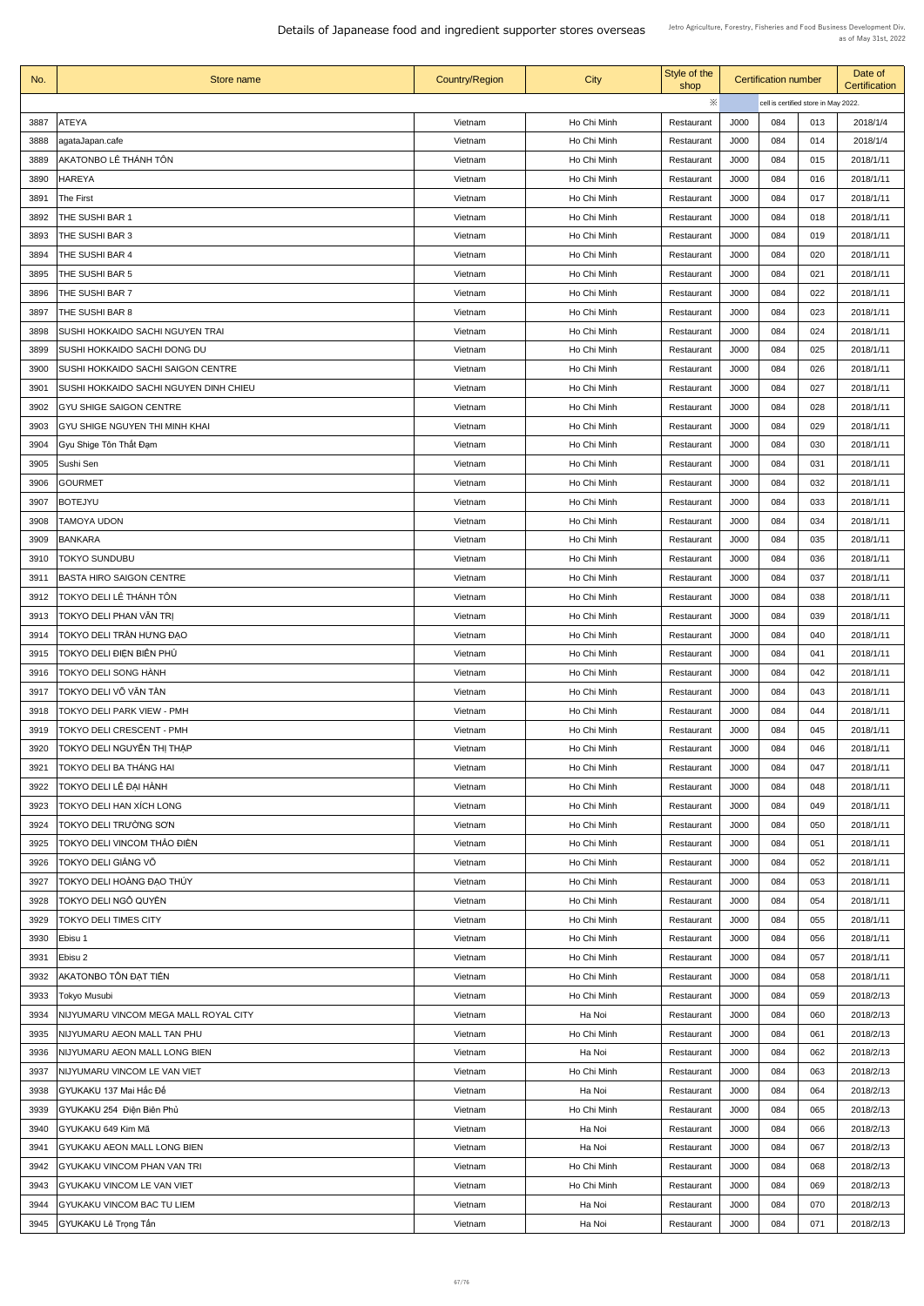| No.  | <b>Store name</b>                             | <b>Country/Region</b> | City        | Style of the<br>shop | <b>Certification number</b> |     |                                      | Date of<br><b>Certification</b> |
|------|-----------------------------------------------|-----------------------|-------------|----------------------|-----------------------------|-----|--------------------------------------|---------------------------------|
|      |                                               |                       |             | ※                    |                             |     | cell is certified store in May 2022. |                                 |
| 3887 | <b>ATEYA</b>                                  | Vietnam               | Ho Chi Minh | Restaurant           | J000                        | 084 | 013                                  | 2018/1/4                        |
| 3888 | agataJapan.cafe                               | Vietnam               | Ho Chi Minh | Restaurant           | J000                        | 084 | 014                                  | 2018/1/4                        |
| 3889 | AKATONBO LÊ THÁNH TÔN                         | Vietnam               | Ho Chi Minh | Restaurant           | J000                        | 084 | 015                                  | 2018/1/11                       |
| 3890 | <b>HAREYA</b>                                 | Vietnam               | Ho Chi Minh | Restaurant           | J000                        | 084 | 016                                  | 2018/1/11                       |
| 3891 | The First                                     | Vietnam               | Ho Chi Minh | Restaurant           | J000                        | 084 | 017                                  | 2018/1/11                       |
| 3892 | <b>THE SUSHI BAR 1</b>                        | Vietnam               | Ho Chi Minh | Restaurant           | J000                        | 084 | 018                                  | 2018/1/11                       |
| 3893 | <b>THE SUSHI BAR 3</b>                        | Vietnam               | Ho Chi Minh | Restaurant           | J000                        | 084 | 019                                  | 2018/1/11                       |
| 3894 | THE SUSHI BAR 4                               | Vietnam               | Ho Chi Minh | Restaurant           | J000                        | 084 | 020                                  | 2018/1/11                       |
| 3895 | THE SUSHI BAR 5                               | Vietnam               | Ho Chi Minh | Restaurant           | J000                        | 084 | 021                                  | 2018/1/11                       |
| 3896 | THE SUSHI BAR 7                               | Vietnam               | Ho Chi Minh | Restaurant           | J000                        | 084 | 022                                  | 2018/1/11                       |
| 3897 | THE SUSHI BAR 8                               | Vietnam               | Ho Chi Minh | Restaurant           | J000                        | 084 | 023                                  | 2018/1/11                       |
| 3898 | SUSHI HOKKAIDO SACHI NGUYEN TRAI              | Vietnam               | Ho Chi Minh | Restaurant           | J000                        | 084 | 024                                  | 2018/1/11                       |
|      |                                               |                       |             |                      |                             |     |                                      | 2018/1/11                       |
| 3899 | <b>SUSHI HOKKAIDO SACHI DONG DU</b>           | Vietnam               | Ho Chi Minh | Restaurant           | J000                        | 084 | 025                                  |                                 |
| 3900 | <b>SUSHI HOKKAIDO SACHI SAIGON CENTRE</b>     | Vietnam               | Ho Chi Minh | Restaurant           | J000                        | 084 | 026                                  | 2018/1/11                       |
| 3901 | <b>SUSHI HOKKAIDO SACHI NGUYEN DINH CHIEU</b> | Vietnam               | Ho Chi Minh | Restaurant           | J000                        | 084 | 027                                  | 2018/1/11                       |
| 3902 | <b>GYU SHIGE SAIGON CENTRE</b>                | Vietnam               | Ho Chi Minh | Restaurant           | J000                        | 084 | 028                                  | 2018/1/11                       |
| 3903 | <b>GYU SHIGE NGUYEN THI MINH KHAI</b>         | Vietnam               | Ho Chi Minh | Restaurant           | J000                        | 084 | 029                                  | 2018/1/11                       |
| 3904 | Gyu Shige Tôn Thất Đạm                        | Vietnam               | Ho Chi Minh | Restaurant           | J000                        | 084 | 030                                  | 2018/1/11                       |
| 3905 | Sushi Sen                                     | Vietnam               | Ho Chi Minh | Restaurant           | J000                        | 084 | 031                                  | 2018/1/11                       |
| 3906 | <b>GOURMET</b>                                | Vietnam               | Ho Chi Minh | Restaurant           | J000                        | 084 | 032                                  | 2018/1/11                       |
| 3907 | <b>BOTEJYU</b>                                | Vietnam               | Ho Chi Minh | Restaurant           | J000                        | 084 | 033                                  | 2018/1/11                       |
| 3908 | <b>TAMOYA UDON</b>                            | Vietnam               | Ho Chi Minh | Restaurant           | J000                        | 084 | 034                                  | 2018/1/11                       |
| 3909 | <b>BANKARA</b>                                | Vietnam               | Ho Chi Minh | Restaurant           | J000                        | 084 | 035                                  | 2018/1/11                       |
| 3910 | <b>TOKYO SUNDUBU</b>                          | Vietnam               | Ho Chi Minh | Restaurant           | J000                        | 084 | 036                                  | 2018/1/11                       |
| 3911 | <b>BASTA HIRO SAIGON CENTRE</b>               | Vietnam               | Ho Chi Minh | Restaurant           | J000                        | 084 | 037                                  | 2018/1/11                       |
| 3912 | TOKYO DELI LÊ THÁNH TÔN                       | Vietnam               | Ho Chi Minh | Restaurant           | J000                        | 084 | 038                                  | 2018/1/11                       |
| 3913 | <b>TOKYO DELI PHAN VĂN TRỊ</b>                | Vietnam               | Ho Chi Minh | Restaurant           | J000                        | 084 | 039                                  | 2018/1/11                       |
| 3914 | TOKYO DELI TRẦN HƯNG ĐẠO                      | Vietnam               | Ho Chi Minh | Restaurant           | J000                        | 084 | 040                                  | 2018/1/11                       |
| 3915 | TOKYO DELI ĐIỆN BIÊN PHỦ                      | Vietnam               | Ho Chi Minh | Restaurant           | J000                        | 084 | 041                                  | 2018/1/11                       |
| 3916 | TOKYO DELI SONG HÀNH                          | Vietnam               | Ho Chi Minh | Restaurant           | J000                        | 084 | 042                                  | 2018/1/11                       |
| 3917 | TOKYO DELI VÕ VĂN TẦN                         | Vietnam               | Ho Chi Minh | Restaurant           | J000                        | 084 | 043                                  | 2018/1/11                       |
| 3918 | <b>TOKYO DELI PARK VIEW - PMH</b>             | Vietnam               | Ho Chi Minh | Restaurant           | J000                        | 084 | 044                                  | 2018/1/11                       |
| 3919 | <b>TOKYO DELI CRESCENT - PMH</b>              | Vietnam               | Ho Chi Minh | Restaurant           | J000                        | 084 | 045                                  | 2018/1/11                       |
| 3920 | TOKYO DELI NGUYỄN THỊ THẬP                    | Vietnam               | Ho Chi Minh | Restaurant           | J000                        | 084 | 046                                  | 2018/1/11                       |
| 3921 | <b>TOKYO DELI BA THÁNG HAI</b>                | Vietnam               | Ho Chi Minh | Restaurant           | J000                        | 084 | 047                                  | 2018/1/11                       |
| 3922 | TOKYO DELI LÊ ĐẠI HÀNH                        | Vietnam               | Ho Chi Minh | Restaurant           | J000                        | 084 | 048                                  | 2018/1/11                       |
| 3923 | <b>TOKYO DELI HAN XÍCH LONG</b>               | Vietnam               | Ho Chi Minh | Restaurant           | J000                        | 084 | 049                                  | 2018/1/11                       |
| 3924 | TOKYO DELI TRƯỜNG SƠN                         | Vietnam               | Ho Chi Minh | Restaurant           | J000                        | 084 | 050                                  | 2018/1/11                       |
| 3925 | TOKYO DELI VINCOM THẢO ĐIỀN                   | Vietnam               | Ho Chi Minh | Restaurant           | J000                        | 084 | 051                                  | 2018/1/11                       |
| 3926 | TOKYO DELI GIẢNG VÕ                           | Vietnam               | Ho Chi Minh | Restaurant           | J000                        | 084 | 052                                  | 2018/1/11                       |
| 3927 | TOKYO DELI HOÀNG ĐẠO THÚY                     | Vietnam               | Ho Chi Minh | Restaurant           | J000                        | 084 | 053                                  | 2018/1/11                       |
|      | 3928   TOKYO DELI NGÔ QUYỀN                   | Vietnam               | Ho Chi Minh | Restaurant           | J000                        | 084 | 054                                  | 2018/1/11                       |
|      | <b>TOKYO DELI TIMES CITY</b>                  |                       |             |                      |                             |     |                                      |                                 |
| 3929 |                                               | Vietnam               | Ho Chi Minh | Restaurant           | J000                        | 084 | 055                                  | 2018/1/11                       |
| 3930 | Ebisu 1                                       | Vietnam               | Ho Chi Minh | Restaurant           | J000                        | 084 | 056                                  | 2018/1/11                       |
| 3931 | Ebisu 2                                       | Vietnam               | Ho Chi Minh | Restaurant           | J000                        | 084 | 057                                  | 2018/1/11                       |
| 3932 | AKATONBO TÔN ĐẠT TIẾN                         | Vietnam               | Ho Chi Minh | Restaurant           | J000                        | 084 | 058                                  | 2018/1/11                       |
| 3933 | <b>Tokyo Musubi</b>                           | Vietnam               | Ho Chi Minh | Restaurant           | J000                        | 084 | 059                                  | 2018/2/13                       |
| 3934 | NIJYUMARU VINCOM MEGA MALL ROYAL CITY         | Vietnam               | Ha Noi      | Restaurant           | J000                        | 084 | 060                                  | 2018/2/13                       |
| 3935 | NIJYUMARU AEON MALL TAN PHU                   | Vietnam               | Ho Chi Minh | Restaurant           | J000                        | 084 | 061                                  | 2018/2/13                       |
| 3936 | NIJYUMARU AEON MALL LONG BIEN                 | Vietnam               | Ha Noi      | Restaurant           | J000                        | 084 | 062                                  | 2018/2/13                       |
| 3937 | <b>INIJYUMARU VINCOM LE VAN VIET</b>          | Vietnam               | Ho Chi Minh | Restaurant           | J000                        | 084 | 063                                  | 2018/2/13                       |
| 3938 | GYUKAKU 137 Mai Hắc Đế                        | Vietnam               | Ha Noi      | Restaurant           | J000                        | 084 | 064                                  | 2018/2/13                       |
| 3939 | GYUKAKU 254 Điện Biên Phủ                     | Vietnam               | Ho Chi Minh | Restaurant           | J000                        | 084 | 065                                  | 2018/2/13                       |
| 3940 | GYUKAKU 649 Kim Mã                            | Vietnam               | Ha Noi      | Restaurant           | J000                        | 084 | 066                                  | 2018/2/13                       |
| 3941 | <b>GYUKAKU AEON MALL LONG BIEN</b>            | Vietnam               | Ha Noi      | Restaurant           | J000                        | 084 | 067                                  | 2018/2/13                       |
| 3942 | <b>GYUKAKU VINCOM PHAN VAN TRI</b>            | Vietnam               | Ho Chi Minh | Restaurant           | J000                        | 084 | 068                                  | 2018/2/13                       |
| 3943 | <b>GYUKAKU VINCOM LE VAN VIET</b>             | Vietnam               | Ho Chi Minh | Restaurant           | J000                        | 084 | 069                                  | 2018/2/13                       |
| 3944 | <b>GYUKAKU VINCOM BAC TU LIEM</b>             | Vietnam               | Ha Noi      | Restaurant           | J000                        | 084 | 070                                  | 2018/2/13                       |
| 3945 | GYUKAKU Lê Trọng Tấn                          | Vietnam               | Ha Noi      | Restaurant           | J000                        | 084 | 071                                  | 2018/2/13                       |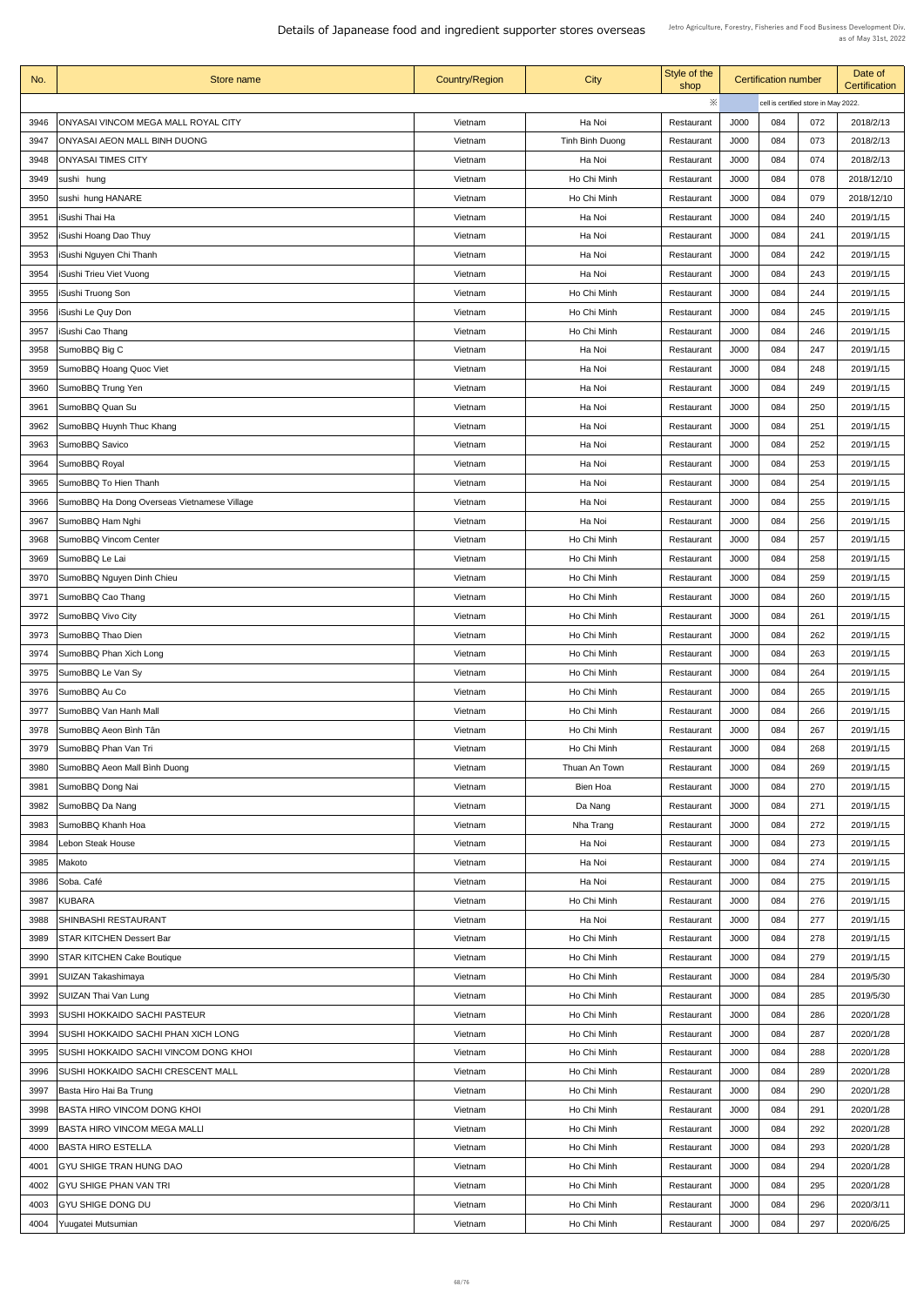| No.  | Store name                                   | <b>Country/Region</b> | <b>City</b>           | Style of the<br>shop     |              | <b>Certification number</b> |                                      | Date of<br><b>Certification</b> |
|------|----------------------------------------------|-----------------------|-----------------------|--------------------------|--------------|-----------------------------|--------------------------------------|---------------------------------|
|      |                                              |                       |                       | ※                        |              |                             | cell is certified store in May 2022. |                                 |
| 3946 | ONYASAI VINCOM MEGA MALL ROYAL CITY          | Vietnam               | Ha Noi                | Restaurant               | J000         | 084                         | 072                                  | 2018/2/13                       |
| 3947 | ONYASAI AEON MALL BINH DUONG                 | Vietnam               | Tinh Binh Duong       | Restaurant               | J000         | 084                         | 073                                  | 2018/2/13                       |
| 3948 | <b>ONYASAI TIMES CITY</b>                    | Vietnam               | Ha Noi                | Restaurant               | J000         | 084                         | 074                                  | 2018/2/13                       |
| 3949 | sushi hung                                   | Vietnam               | Ho Chi Minh           | Restaurant               | J000         | 084                         | 078                                  | 2018/12/10                      |
| 3950 | sushi hung HANARE                            | Vietnam               | Ho Chi Minh           | Restaurant               | J000         | 084                         | 079                                  | 2018/12/10                      |
| 3951 | <b>ISushi Thai Ha</b>                        | Vietnam               | Ha Noi                | Restaurant               | J000         | 084                         | 240                                  | 2019/1/15                       |
| 3952 | <b>ISushi Hoang Dao Thuy</b>                 | Vietnam               | Ha Noi                | Restaurant               | J000         | 084                         | 241                                  | 2019/1/15                       |
| 3953 | ISushi Nguyen Chi Thanh                      | Vietnam               | Ha Noi                | Restaurant               | J000         | 084                         | 242                                  | 2019/1/15                       |
| 3954 | ISushi Trieu Viet Vuong                      | Vietnam               | Ha Noi                | Restaurant               | J000         | 084                         | 243                                  | 2019/1/15                       |
| 3955 | <b>ISushi Truong Son</b>                     | Vietnam               | Ho Chi Minh           | Restaurant               | J000         | 084                         | 244                                  | 2019/1/15                       |
| 3956 | ISushi Le Quy Don                            | Vietnam               | Ho Chi Minh           | Restaurant               | J000         | 084                         | 245                                  | 2019/1/15                       |
| 3957 | <b>ISushi Cao Thang</b>                      | Vietnam               | Ho Chi Minh           | Restaurant               | J000         | 084                         | 246                                  | 2019/1/15                       |
| 3958 | SumoBBQ Big C                                | Vietnam               | Ha Noi                | Restaurant               | J000         | 084                         | 247                                  | 2019/1/15                       |
| 3959 | SumoBBQ Hoang Quoc Viet                      | Vietnam               | Ha Noi                | Restaurant               | J000         | 084                         | 248                                  | 2019/1/15                       |
| 3960 | SumoBBQ Trung Yen                            | Vietnam               | Ha Noi                | Restaurant               | J000         | 084                         | 249                                  | 2019/1/15                       |
| 3961 | SumoBBQ Quan Su                              | Vietnam               | Ha Noi                | Restaurant               | J000         | 084                         | 250                                  | 2019/1/15                       |
| 3962 | SumoBBQ Huynh Thuc Khang                     | Vietnam               | Ha Noi                | Restaurant               | J000         | 084                         | 251                                  | 2019/1/15                       |
| 3963 | SumoBBQ Savico                               | Vietnam               | Ha Noi                | Restaurant               | J000         | 084                         | 252                                  | 2019/1/15                       |
| 3964 | SumoBBQ Royal                                | Vietnam               | Ha Noi                | Restaurant               | J000         | 084                         | 253                                  | 2019/1/15                       |
| 3965 | SumoBBQ To Hien Thanh                        | Vietnam               | Ha Noi                | Restaurant               | J000         | 084                         | 254                                  | 2019/1/15                       |
| 3966 | SumoBBQ Ha Dong Overseas Vietnamese Village  | Vietnam               | Ha Noi                | Restaurant               | J000         | 084                         | 255                                  | 2019/1/15                       |
| 3967 | SumoBBQ Ham Nghi                             | Vietnam               | Ha Noi                | Restaurant               | J000         | 084                         | 256                                  | 2019/1/15                       |
| 3968 | SumoBBQ Vincom Center                        | Vietnam               | Ho Chi Minh           | Restaurant               | J000         | 084                         | 257                                  | 2019/1/15                       |
| 3969 | SumoBBQ Le Lai                               | Vietnam               | Ho Chi Minh           | Restaurant               | J000         | 084                         | 258                                  | 2019/1/15                       |
| 3970 | SumoBBQ Nguyen Dinh Chieu                    | Vietnam               | Ho Chi Minh           | Restaurant               | J000         | 084                         | 259                                  | 2019/1/15                       |
| 3971 | SumoBBQ Cao Thang                            | Vietnam               | Ho Chi Minh           | Restaurant               | J000         | 084                         | 260                                  | 2019/1/15                       |
| 3972 | SumoBBQ Vivo City                            | Vietnam               | Ho Chi Minh           | Restaurant               | J000         | 084                         | 261                                  | 2019/1/15                       |
| 3973 | SumoBBQ Thao Dien                            | Vietnam               | Ho Chi Minh           | Restaurant               | J000         | 084                         | 262                                  | 2019/1/15                       |
| 3974 | SumoBBQ Phan Xich Long                       | Vietnam               | Ho Chi Minh           | Restaurant               | J000         | 084                         | 263                                  | 2019/1/15                       |
| 3975 | SumoBBQ Le Van Sy                            | Vietnam               | Ho Chi Minh           | Restaurant               | J000         | 084                         | 264                                  | 2019/1/15                       |
| 3976 | SumoBBQ Au Co                                | Vietnam               | Ho Chi Minh           | Restaurant               | J000         | 084                         | 265                                  | 2019/1/15                       |
| 3977 | SumoBBQ Van Hanh Mall                        | Vietnam               | Ho Chi Minh           | Restaurant               | J000         | 084                         | 266                                  | 2019/1/15                       |
| 3978 | SumoBBQ Aeon Bình Tân                        | Vietnam               | Ho Chi Minh           | Restaurant               | J000         | 084                         | 267                                  | 2019/1/15                       |
| 3979 | SumoBBQ Phan Van Tri                         | Vietnam               | Ho Chi Minh           | Restaurant               | J000         | 084                         | 268                                  | 2019/1/15                       |
| 3980 | SumoBBQ Aeon Mall Binh Duong                 | Vietnam               | Thuan An Town         | Restaurant               | J000         | 084                         | 269                                  | 2019/1/15                       |
| 3981 | SumoBBQ Dong Nai                             | Vietnam               | Bien Hoa              | Restaurant               | J000         | 084                         | 270                                  | 2019/1/15                       |
| 3982 | SumoBBQ Da Nang                              | Vietnam               | Da Nang               | Restaurant               | J000         | 084                         | 271                                  | 2019/1/15                       |
| 3983 | SumoBBQ Khanh Hoa                            | Vietnam               | Nha Trang             | Restaurant               | J000         | 084                         | 272                                  | 2019/1/15                       |
| 3984 | Lebon Steak House                            | Vietnam               | Ha Noi                | Restaurant               | J000         | 084                         | 273                                  | 2019/1/15                       |
| 3985 | Makoto                                       | Vietnam               | Ha Noi                | Restaurant               | J000         | 084                         | 274                                  | 2019/1/15                       |
| 3986 | Soba. Café                                   | Vietnam               | Ha Noi                | Restaurant               | J000         | 084                         | 275                                  | 2019/1/15                       |
| 3988 | 3987 KUBARA<br> SHINBASHI RESTAURANT         | Vietnam<br>Vietnam    | Ho Chi Minh<br>Ha Noi | Restaurant<br>Restaurant | J000<br>J000 | 084<br>084                  | 276<br>277                           | 2019/1/15<br>2019/1/15          |
| 3989 | <b>STAR KITCHEN Dessert Bar</b>              | Vietnam               | Ho Chi Minh           | Restaurant               | J000         | 084                         | 278                                  | 2019/1/15                       |
| 3990 | <b>STAR KITCHEN Cake Boutique</b>            | Vietnam               | Ho Chi Minh           | Restaurant               | J000         | 084                         | 279                                  | 2019/1/15                       |
| 3991 | SUIZAN Takashimaya                           | Vietnam               | Ho Chi Minh           | Restaurant               | J000         | 084                         | 284                                  | 2019/5/30                       |
| 3992 | SUIZAN Thai Van Lung                         | Vietnam               | Ho Chi Minh           | Restaurant               | J000         | 084                         | 285                                  | 2019/5/30                       |
| 3993 | <b>SUSHI HOKKAIDO SACHI PASTEUR</b>          | Vietnam               | Ho Chi Minh           | Restaurant               | J000         | 084                         | 286                                  | 2020/1/28                       |
| 3994 | <b>SUSHI HOKKAIDO SACHI PHAN XICH LONG</b>   | Vietnam               | Ho Chi Minh           | Restaurant               | J000         | 084                         | 287                                  | 2020/1/28                       |
| 3995 | <b>SUSHI HOKKAIDO SACHI VINCOM DONG KHOI</b> | Vietnam               | Ho Chi Minh           | Restaurant               | J000         | 084                         | 288                                  | 2020/1/28                       |
| 3996 | <b>SUSHI HOKKAIDO SACHI CRESCENT MALL</b>    | Vietnam               | Ho Chi Minh           | Restaurant               | J000         | 084                         | 289                                  | 2020/1/28                       |
| 3997 | Basta Hiro Hai Ba Trung                      | Vietnam               | Ho Chi Minh           | Restaurant               | J000         | 084                         | 290                                  | 2020/1/28                       |
| 3998 | BASTA HIRO VINCOM DONG KHOI                  | Vietnam               | Ho Chi Minh           | Restaurant               | J000         | 084                         | 291                                  | 2020/1/28                       |
| 3999 | <b>BASTA HIRO VINCOM MEGA MALLI</b>          | Vietnam               | Ho Chi Minh           | Restaurant               | J000         | 084                         | 292                                  | 2020/1/28                       |
| 4000 | <b>BASTA HIRO ESTELLA</b>                    | Vietnam               | Ho Chi Minh           | Restaurant               | J000         | 084                         | 293                                  | 2020/1/28                       |
| 4001 | <b>GYU SHIGE TRAN HUNG DAO</b>               | Vietnam               | Ho Chi Minh           | Restaurant               | J000         | 084                         | 294                                  | 2020/1/28                       |
| 4002 | <b>GYU SHIGE PHAN VAN TRI</b>                | Vietnam               | Ho Chi Minh           | Restaurant               | J000         | 084                         | 295                                  | 2020/1/28                       |
| 4003 | <b>GYU SHIGE DONG DU</b>                     | Vietnam               | Ho Chi Minh           | Restaurant               | J000         | 084                         | 296                                  | 2020/3/11                       |
| 4004 | Yuugatei Mutsumian                           | Vietnam               | Ho Chi Minh           | Restaurant               | J000         | 084                         | 297                                  | 2020/6/25                       |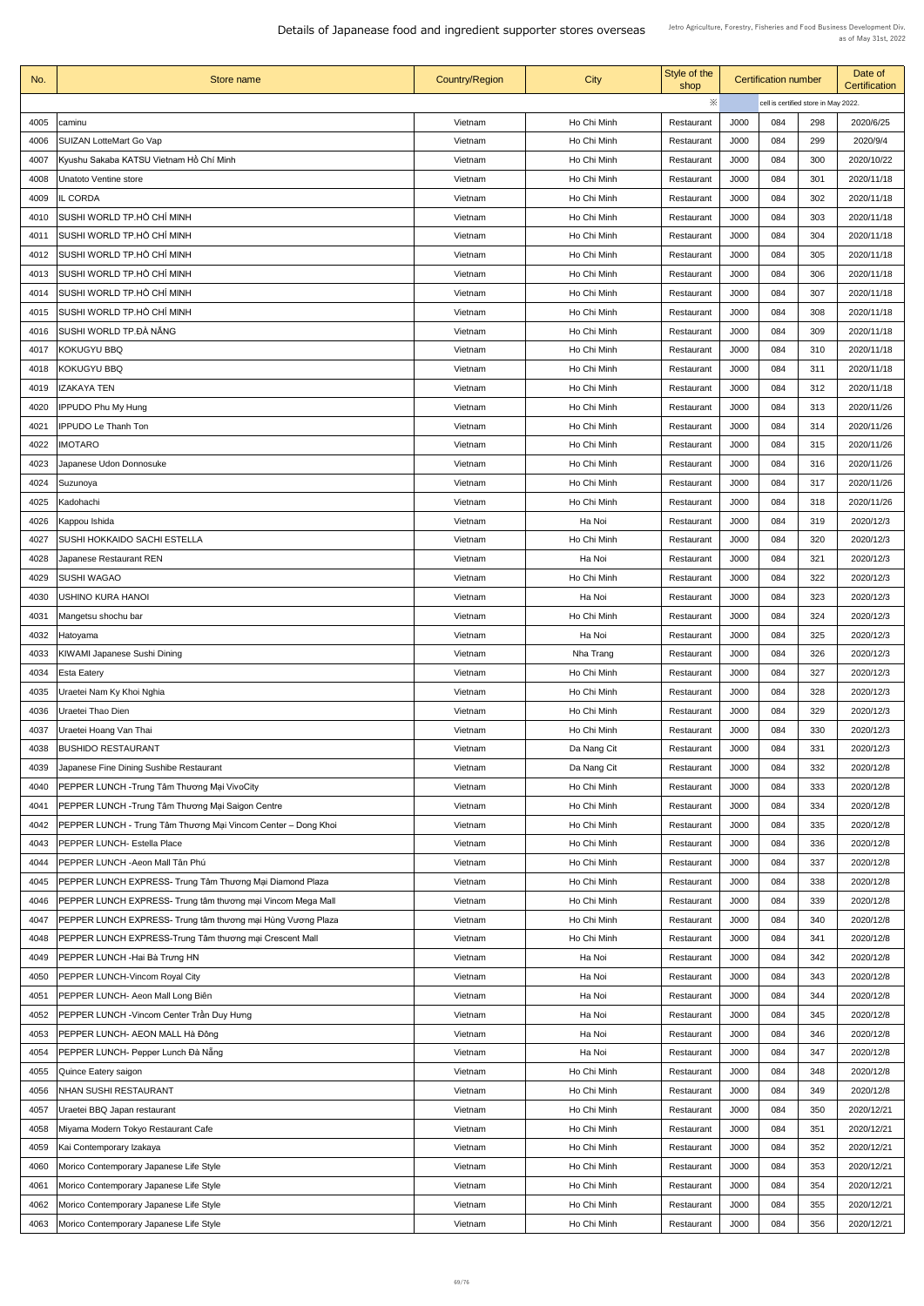| No.          | <b>Store name</b>                                                                         | <b>Country/Region</b> | <b>City</b>           | Style of the<br>shop     |                            | <b>Certification number</b> |                                      | Date of<br><b>Certification</b> |
|--------------|-------------------------------------------------------------------------------------------|-----------------------|-----------------------|--------------------------|----------------------------|-----------------------------|--------------------------------------|---------------------------------|
|              |                                                                                           |                       |                       | $\ddot{\times}$          |                            |                             | cell is certified store in May 2022. |                                 |
| 4005         | caminu                                                                                    | Vietnam               | Ho Chi Minh           | Restaurant               | J000                       | 084                         | 298                                  | 2020/6/25                       |
| 4006         | <b>SUIZAN LotteMart Go Vap</b>                                                            | Vietnam               | Ho Chi Minh           | Restaurant               | J000                       | 084                         | 299                                  | 2020/9/4                        |
| 4007         | Kyushu Sakaba KATSU Vietnam Hồ Chí Minh                                                   | Vietnam               | Ho Chi Minh           | Restaurant               | J000                       | 084                         | 300                                  | 2020/10/22                      |
| 4008         | <b>Unatoto Ventine store</b>                                                              | Vietnam               | Ho Chi Minh           | Restaurant               | <b>J000</b>                | 084                         | 301                                  | 2020/11/18                      |
| 4009         | <b>IL CORDA</b>                                                                           | Vietnam               | Ho Chi Minh           | Restaurant               | <b>J000</b>                | 084                         | 302                                  | 2020/11/18                      |
| 4010         | SUSHI WORLD TP.HỒ CHÍ MINH                                                                | Vietnam               | Ho Chi Minh           | Restaurant               | J000                       | 084                         | 303                                  | 2020/11/18                      |
| 4011         | SUSHI WORLD TP.HỒ CHÍ MINH                                                                | Vietnam               | Ho Chi Minh           | Restaurant               | J000                       | 084                         | 304                                  | 2020/11/18                      |
| 4012         | SUSHI WORLD TP.HỒ CHÍ MINH                                                                | Vietnam               | Ho Chi Minh           | Restaurant               | J000                       | 084                         | 305                                  | 2020/11/18                      |
| 4013         | SUSHI WORLD TP.HỒ CHÍ MINH                                                                | Vietnam               | Ho Chi Minh           | Restaurant               | J000                       | 084                         | 306                                  | 2020/11/18                      |
| 4014         | SUSHI WORLD TP.HỒ CHÍ MINH                                                                | Vietnam               | Ho Chi Minh           | Restaurant               | J000                       | 084                         | 307                                  | 2020/11/18                      |
| 4015         | SUSHI WORLD TP.HỒ CHÍ MINH                                                                | Vietnam               | Ho Chi Minh           | Restaurant               | J000                       | 084                         | 308                                  | 2020/11/18                      |
| 4016         | SUSHI WORLD TP.ĐÀ NÃNG                                                                    | Vietnam               | Ho Chi Minh           | Restaurant               | J000                       | 084                         | 309                                  | 2020/11/18                      |
| 4017         | <b>KOKUGYU BBQ</b>                                                                        | Vietnam               | Ho Chi Minh           | Restaurant               | J000                       | 084                         | 310                                  | 2020/11/18                      |
| 4018         | <b>KOKUGYU BBQ</b>                                                                        | Vietnam               | Ho Chi Minh           | Restaurant               | J000                       | 084                         | 311                                  | 2020/11/18                      |
| 4019         | <b>IZAKAYA TEN</b>                                                                        | Vietnam               | Ho Chi Minh           | Restaurant               | <b>J000</b>                | 084                         | 312                                  | 2020/11/18                      |
| 4020         | <b>IPPUDO Phu My Hung</b>                                                                 | Vietnam               | Ho Chi Minh           | Restaurant               | J000                       | 084                         | 313                                  | 2020/11/26                      |
| 4021         | <b>IPPUDO Le Thanh Ton</b>                                                                | Vietnam               | Ho Chi Minh           | Restaurant               | J000                       | 084                         | 314                                  | 2020/11/26                      |
| 4022         | <b>IMOTARO</b>                                                                            | Vietnam               | Ho Chi Minh           | Restaurant               | J000                       | 084                         | 315                                  | 2020/11/26                      |
| 4023         | Japanese Udon Donnosuke                                                                   | Vietnam               | Ho Chi Minh           | Restaurant               | J000                       | 084                         | 316                                  | 2020/11/26                      |
| 4024         | Suzunoya                                                                                  | Vietnam               | Ho Chi Minh           | Restaurant               | J000                       | 084                         | 317                                  | 2020/11/26                      |
| 4025         | Kadohachi                                                                                 | Vietnam               | Ho Chi Minh           | Restaurant               | J000                       | 084                         | 318                                  | 2020/11/26                      |
| 4026         | Kappou Ishida                                                                             | Vietnam               | Ha Noi                | Restaurant               | J000                       | 084                         | 319                                  | 2020/12/3                       |
| 4027         | <b>SUSHI HOKKAIDO SACHI ESTELLA</b>                                                       | Vietnam               | Ho Chi Minh           | Restaurant               | J000                       | 084                         | 320                                  | 2020/12/3                       |
| 4028         | <b>Japanese Restaurant REN</b>                                                            | Vietnam               | Ha Noi                | Restaurant               | J000                       | 084                         | 321                                  | 2020/12/3                       |
| 4029         | <b>SUSHI WAGAO</b>                                                                        | Vietnam               | Ho Chi Minh           | Restaurant               | J000                       | 084                         | 322                                  | 2020/12/3                       |
| 4030         | USHINO KURA HANOI                                                                         | Vietnam               | Ha Noi                | Restaurant               | J000                       | 084                         | 323                                  | 2020/12/3                       |
| 4031         | Mangetsu shochu bar                                                                       | Vietnam               | Ho Chi Minh           | Restaurant               | J000                       | 084                         | 324                                  | 2020/12/3                       |
| 4032         | Hatoyama                                                                                  | Vietnam               | Ha Noi                | Restaurant               | J000                       | 084                         | 325                                  | 2020/12/3                       |
| 4033         | <b>KIWAMI Japanese Sushi Dining</b>                                                       | Vietnam               | Nha Trang             | Restaurant               | <b>J000</b>                | 084                         | 326                                  | 2020/12/3                       |
| 4034         | <b>Esta Eatery</b>                                                                        | Vietnam               | Ho Chi Minh           | Restaurant               | J000                       | 084                         | 327                                  | 2020/12/3                       |
| 4035         | Uraetei Nam Ky Khoi Nghia                                                                 | Vietnam               | Ho Chi Minh           | Restaurant               | <b>J000</b>                | 084                         | 328                                  | 2020/12/3                       |
| 4036         | Uraetei Thao Dien                                                                         | Vietnam               | Ho Chi Minh           | Restaurant               | J000                       | 084                         | 329                                  | 2020/12/3                       |
| 4037         | Uraetei Hoang Van Thai                                                                    | Vietnam               | Ho Chi Minh           | Restaurant               | J000                       | 084                         | 330                                  | 2020/12/3                       |
| 4038         | <b>BUSHIDO RESTAURANT</b>                                                                 | Vietnam               | Da Nang Cit           | Restaurant               | <b>J000</b>                | 084                         | 331                                  | 2020/12/3                       |
| 4039         | Japanese Fine Dining Sushibe Restaurant                                                   | Vietnam               | Da Nang Cit           | Restaurant               | J000                       | 084                         | 332                                  | 2020/12/8                       |
| 4040         | PEPPER LUNCH - Trung Tâm Thương Mại VivoCity                                              | Vietnam               | Ho Chi Minh           | Restaurant               | J000                       | 084                         | 333                                  | 2020/12/8                       |
| 4041         | PEPPER LUNCH - Trung Tâm Thương Mại Saigon Centre                                         | Vietnam               | Ho Chi Minh           | Restaurant               | J000                       | 084                         | 334                                  | 2020/12/8                       |
| 4042         | PEPPER LUNCH - Trung Tâm Thương Mại Vincom Center - Dong Khoi                             | Vietnam               | Ho Chi Minh           | Restaurant               | J000                       | 084                         | 335                                  | 2020/12/8                       |
| 4043         | <b>PEPPER LUNCH- Estella Place</b>                                                        | Vietnam               | Ho Chi Minh           | Restaurant               | J000                       | 084                         | 336                                  | 2020/12/8                       |
| 4044         | PEPPER LUNCH - Aeon Mall Tân Phú                                                          | Vietnam               | Ho Chi Minh           | Restaurant               | J000                       | 084                         | 337                                  | 2020/12/8                       |
| 4045         | PEPPER LUNCH EXPRESS- Trung Tâm Thương Mại Diamond Plaza                                  | Vietnam               | Ho Chi Minh           | Restaurant               | <b>J000</b>                | 084                         | 338                                  | 2020/12/8                       |
|              | 4046   PEPPER LUNCH EXPRESS- Trung tâm thương mại Vincom Mega Mall                        | Vietnam               | Ho Chi Minh           | Restaurant               | J000                       | 084                         | 339                                  | 2020/12/8                       |
| 4047         | PEPPER LUNCH EXPRESS- Trung tâm thương mại Hùng Vương Plaza                               | Vietnam               | Ho Chi Minh           | Restaurant               | J000                       | 084<br>084                  | 340<br>341                           | 2020/12/8                       |
| 4048<br>4049 | PEPPER LUNCH EXPRESS-Trung Tâm thương mại Crescent Mall<br>PEPPER LUNCH - Hai Bà Trưng HN | Vietnam<br>Vietnam    | Ho Chi Minh<br>Ha Noi | Restaurant<br>Restaurant | <b>J000</b><br><b>J000</b> | 084                         | 342                                  | 2020/12/8<br>2020/12/8          |
| 4050         | <b>PEPPER LUNCH-Vincom Royal City</b>                                                     | Vietnam               | Ha Noi                | Restaurant               | <b>J000</b>                | 084                         | 343                                  | 2020/12/8                       |
| 4051         | PEPPER LUNCH- Aeon Mall Long Biên                                                         | Vietnam               | Ha Noi                | Restaurant               | J000                       | 084                         | 344                                  | 2020/12/8                       |
| 4052         | PEPPER LUNCH - Vincom Center Trần Duy Hưng                                                | Vietnam               | Ha Noi                | Restaurant               | J000                       | 084                         | 345                                  | 2020/12/8                       |
| 4053         | PEPPER LUNCH- AEON MALL Hà Đông                                                           | Vietnam               | Ha Noi                | Restaurant               | <b>J000</b>                | 084                         | 346                                  | 2020/12/8                       |
| 4054         | PEPPER LUNCH- Pepper Lunch Đà Nẵng                                                        | Vietnam               | Ha Noi                | Restaurant               | J000                       | 084                         | 347                                  | 2020/12/8                       |
| 4055         | Quince Eatery saigon                                                                      | Vietnam               | Ho Chi Minh           | Restaurant               | <b>J000</b>                | 084                         | 348                                  | 2020/12/8                       |
| 4056         | <b>NHAN SUSHI RESTAURANT</b>                                                              | Vietnam               | Ho Chi Minh           | Restaurant               | J000                       | 084                         | 349                                  | 2020/12/8                       |
| 4057         | Uraetei BBQ Japan restaurant                                                              | Vietnam               | Ho Chi Minh           | Restaurant               | J000                       | 084                         | 350                                  | 2020/12/21                      |
| 4058         | Miyama Modern Tokyo Restaurant Cafe                                                       | Vietnam               | Ho Chi Minh           | Restaurant               | <b>J000</b>                | 084                         | 351                                  | 2020/12/21                      |
| 4059         | Kai Contemporary Izakaya                                                                  | Vietnam               | Ho Chi Minh           | Restaurant               | <b>J000</b>                | 084                         | 352                                  | 2020/12/21                      |
| 4060         | Morico Contemporary Japanese Life Style                                                   | Vietnam               | Ho Chi Minh           | Restaurant               | <b>J000</b>                | 084                         | 353                                  | 2020/12/21                      |
| 4061         | Morico Contemporary Japanese Life Style                                                   | Vietnam               | Ho Chi Minh           | Restaurant               | J000                       | 084                         | 354                                  | 2020/12/21                      |
| 4062         | Morico Contemporary Japanese Life Style                                                   | Vietnam               | Ho Chi Minh           | Restaurant               | J000                       | 084                         | 355                                  | 2020/12/21                      |
| 4063         | Morico Contemporary Japanese Life Style                                                   | Vietnam               | Ho Chi Minh           | Restaurant               | J000                       | 084                         | 356                                  | 2020/12/21                      |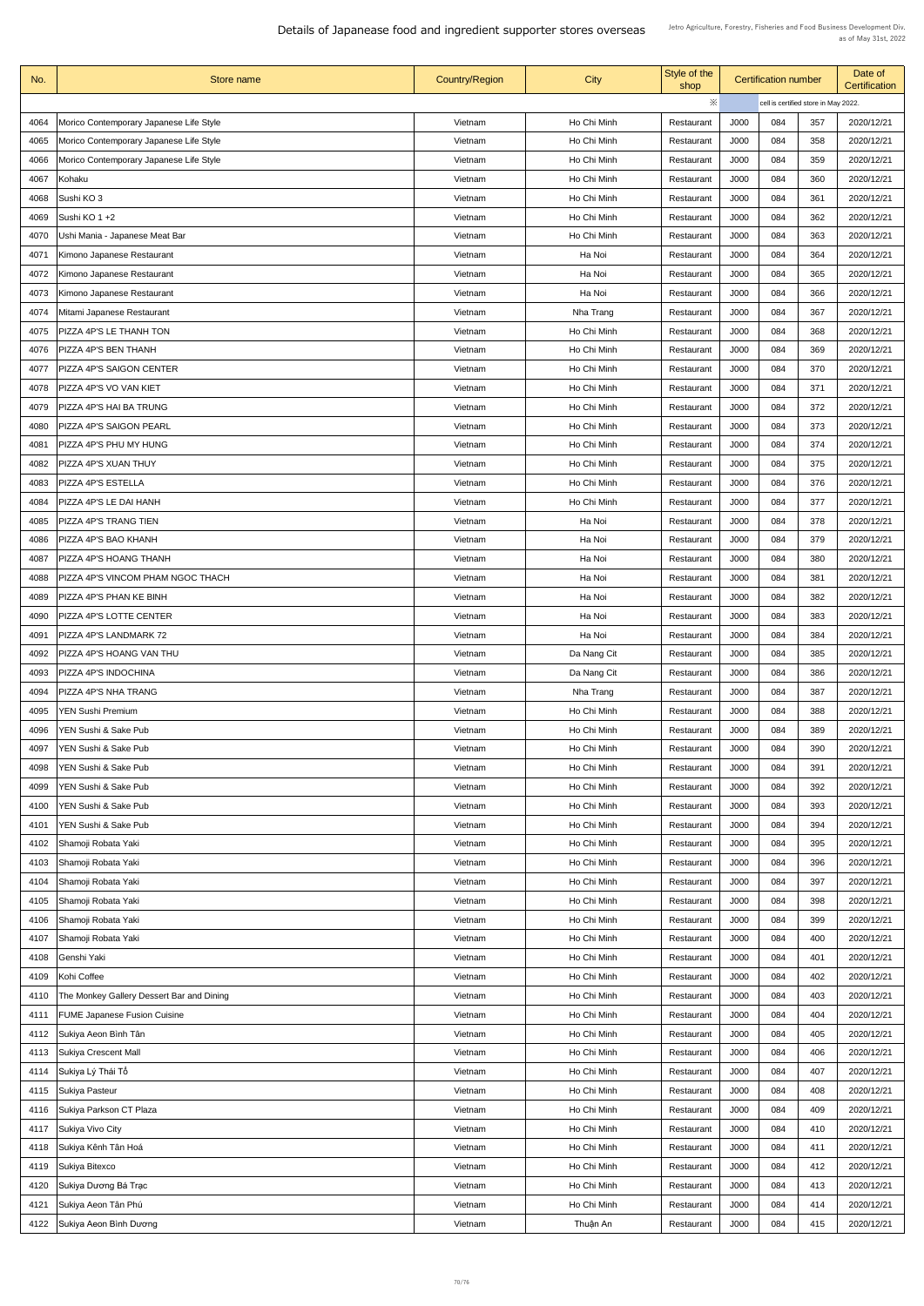| No.  | Store name                                | <b>Country/Region</b> | <b>City</b> | Style of the<br>shop |             | <b>Certification number</b> |                                      | Date of<br><b>Certification</b> |
|------|-------------------------------------------|-----------------------|-------------|----------------------|-------------|-----------------------------|--------------------------------------|---------------------------------|
|      |                                           |                       |             | ※                    |             |                             | cell is certified store in May 2022. |                                 |
| 4064 | Morico Contemporary Japanese Life Style   | Vietnam               | Ho Chi Minh | Restaurant           | J000        | 084                         | 357                                  | 2020/12/21                      |
| 4065 | Morico Contemporary Japanese Life Style   | Vietnam               | Ho Chi Minh | Restaurant           | J000        | 084                         | 358                                  | 2020/12/21                      |
| 4066 | Morico Contemporary Japanese Life Style   | Vietnam               | Ho Chi Minh | Restaurant           | J000        | 084                         | 359                                  | 2020/12/21                      |
| 4067 | Kohaku                                    | Vietnam               | Ho Chi Minh | Restaurant           | J000        | 084                         | 360                                  | 2020/12/21                      |
| 4068 | Sushi KO 3                                | Vietnam               | Ho Chi Minh | Restaurant           | J000        | 084                         | 361                                  | 2020/12/21                      |
| 4069 | Sushi KO 1 +2                             | Vietnam               | Ho Chi Minh | Restaurant           | J000        | 084                         | 362                                  | 2020/12/21                      |
| 4070 | Ushi Mania - Japanese Meat Bar            | Vietnam               | Ho Chi Minh | Restaurant           | J000        | 084                         | 363                                  | 2020/12/21                      |
| 4071 | Kimono Japanese Restaurant                | Vietnam               | Ha Noi      | Restaurant           | J000        | 084                         | 364                                  | 2020/12/21                      |
| 4072 | Kimono Japanese Restaurant                | Vietnam               | Ha Noi      | Restaurant           | J000        | 084                         | 365                                  | 2020/12/21                      |
| 4073 | Kimono Japanese Restaurant                | Vietnam               | Ha Noi      | Restaurant           | J000        | 084                         | 366                                  | 2020/12/21                      |
| 4074 | Mitami Japanese Restaurant                | Vietnam               | Nha Trang   | Restaurant           | J000        | 084                         | 367                                  | 2020/12/21                      |
| 4075 | PIZZA 4P'S LE THANH TON                   | Vietnam               | Ho Chi Minh |                      | J000        | 084                         | 368                                  | 2020/12/21                      |
|      | PIZZA 4P'S BEN THANH                      |                       |             | Restaurant           |             |                             |                                      |                                 |
| 4076 |                                           | Vietnam               | Ho Chi Minh | Restaurant           | <b>J000</b> | 084                         | 369                                  | 2020/12/21                      |
| 4077 | <b>PIZZA 4P'S SAIGON CENTER</b>           | Vietnam               | Ho Chi Minh | Restaurant           | J000        | 084                         | 370                                  | 2020/12/21                      |
| 4078 | PIZZA 4P'S VO VAN KIET                    | Vietnam               | Ho Chi Minh | Restaurant           | J000        | 084                         | 371                                  | 2020/12/21                      |
| 4079 | PIZZA 4P'S HAI BA TRUNG                   | Vietnam               | Ho Chi Minh | Restaurant           | J000        | 084                         | 372                                  | 2020/12/21                      |
| 4080 | PIZZA 4P'S SAIGON PEARL                   | Vietnam               | Ho Chi Minh | Restaurant           | J000        | 084                         | 373                                  | 2020/12/21                      |
| 4081 | <b>PIZZA 4P'S PHU MY HUNG</b>             | Vietnam               | Ho Chi Minh | Restaurant           | J000        | 084                         | 374                                  | 2020/12/21                      |
| 4082 | PIZZA 4P'S XUAN THUY                      | Vietnam               | Ho Chi Minh | Restaurant           | J000        | 084                         | 375                                  | 2020/12/21                      |
| 4083 | <b>PIZZA 4P'S ESTELLA</b>                 | Vietnam               | Ho Chi Minh | Restaurant           | J000        | 084                         | 376                                  | 2020/12/21                      |
| 4084 | PIZZA 4P'S LE DAI HANH                    | Vietnam               | Ho Chi Minh | Restaurant           | J000        | 084                         | 377                                  | 2020/12/21                      |
| 4085 | PIZZA 4P'S TRANG TIEN                     | Vietnam               | Ha Noi      | Restaurant           | J000        | 084                         | 378                                  | 2020/12/21                      |
| 4086 | PIZZA 4P'S BAO KHANH                      | Vietnam               | Ha Noi      | Restaurant           | J000        | 084                         | 379                                  | 2020/12/21                      |
| 4087 | PIZZA 4P'S HOANG THANH                    | Vietnam               | Ha Noi      | Restaurant           | J000        | 084                         | 380                                  | 2020/12/21                      |
| 4088 | PIZZA 4P'S VINCOM PHAM NGOC THACH         | Vietnam               | Ha Noi      | Restaurant           | J000        | 084                         | 381                                  | 2020/12/21                      |
| 4089 | PIZZA 4P'S PHAN KE BINH                   | Vietnam               | Ha Noi      | Restaurant           | J000        | 084                         | 382                                  | 2020/12/21                      |
| 4090 | <b>PIZZA 4P'S LOTTE CENTER</b>            | Vietnam               | Ha Noi      | Restaurant           | J000        | 084                         | 383                                  | 2020/12/21                      |
| 4091 | PIZZA 4P'S LANDMARK 72                    | Vietnam               | Ha Noi      | Restaurant           | J000        | 084                         | 384                                  | 2020/12/21                      |
| 4092 | PIZZA 4P'S HOANG VAN THU                  | Vietnam               | Da Nang Cit | Restaurant           | J000        | 084                         | 385                                  | 2020/12/21                      |
| 4093 | PIZZA 4P'S INDOCHINA                      | Vietnam               | Da Nang Cit | Restaurant           | J000        | 084                         | 386                                  | 2020/12/21                      |
| 4094 | PIZZA 4P'S NHA TRANG                      | Vietnam               | Nha Trang   | Restaurant           | J000        | 084                         | 387                                  | 2020/12/21                      |
| 4095 | <b>YEN Sushi Premium</b>                  | Vietnam               | Ho Chi Minh | Restaurant           | J000        | 084                         | 388                                  | 2020/12/21                      |
| 4096 | YEN Sushi & Sake Pub                      | Vietnam               | Ho Chi Minh | Restaurant           | J000        | 084                         | 389                                  | 2020/12/21                      |
| 4097 | <b>YEN Sushi &amp; Sake Pub</b>           | Vietnam               | Ho Chi Minh | Restaurant           | J000        | 084                         | 390                                  | 2020/12/21                      |
| 4098 | YEN Sushi & Sake Pub                      | Vietnam               | Ho Chi Minh | Restaurant           | J000        | 084                         | 391                                  | 2020/12/21                      |
| 4099 | YEN Sushi & Sake Pub                      | Vietnam               | Ho Chi Minh | Restaurant           | J000        | 084                         | 392                                  | 2020/12/21                      |
| 4100 | YEN Sushi & Sake Pub                      | Vietnam               | Ho Chi Minh | Restaurant           | J000        | 084                         | 393                                  | 2020/12/21                      |
| 4101 | YEN Sushi & Sake Pub                      | Vietnam               | Ho Chi Minh | Restaurant           | J000        | 084                         | 394                                  | 2020/12/21                      |
| 4102 | Shamoji Robata Yaki                       | Vietnam               | Ho Chi Minh | Restaurant           | J000        | 084                         | 395                                  | 2020/12/21                      |
| 4103 | Shamoji Robata Yaki                       | Vietnam               | Ho Chi Minh | Restaurant           | J000        | 084                         | 396                                  | 2020/12/21                      |
| 4104 |                                           |                       | Ho Chi Minh |                      | J000        | 084                         | 397                                  | 2020/12/21                      |
|      | Shamoji Robata Yaki                       | Vietnam               |             | Restaurant           |             |                             |                                      |                                 |
|      | 4105 Shamoji Robata Yaki                  | Vietnam               | Ho Chi Minh | Restaurant           | J000        | 084                         | 398                                  | 2020/12/21                      |
| 4106 | Shamoji Robata Yaki                       | Vietnam               | Ho Chi Minh | Restaurant           | J000        | 084                         | 399                                  | 2020/12/21                      |
| 4107 | Shamoji Robata Yaki                       | Vietnam               | Ho Chi Minh | Restaurant           | J000        | 084                         | 400                                  | 2020/12/21                      |
| 4108 | Genshi Yaki                               | Vietnam               | Ho Chi Minh | Restaurant           | J000        | 084                         | 401                                  | 2020/12/21                      |
| 4109 | Kohi Coffee                               | Vietnam               | Ho Chi Minh | Restaurant           | J000        | 084                         | 402                                  | 2020/12/21                      |
| 4110 | The Monkey Gallery Dessert Bar and Dining | Vietnam               | Ho Chi Minh | Restaurant           | J000        | 084                         | 403                                  | 2020/12/21                      |
| 4111 | <b>FUME Japanese Fusion Cuisine</b>       | Vietnam               | Ho Chi Minh | Restaurant           | J000        | 084                         | 404                                  | 2020/12/21                      |
| 4112 | Sukiya Aeon Bình Tân                      | Vietnam               | Ho Chi Minh | Restaurant           | J000        | 084                         | 405                                  | 2020/12/21                      |
| 4113 | <b>Sukiya Crescent Mall</b>               | Vietnam               | Ho Chi Minh | Restaurant           | J000        | 084                         | 406                                  | 2020/12/21                      |
| 4114 | Sukiya Lý Thái Tổ                         | Vietnam               | Ho Chi Minh | Restaurant           | J000        | 084                         | 407                                  | 2020/12/21                      |
| 4115 | Sukiya Pasteur                            | Vietnam               | Ho Chi Minh | Restaurant           | J000        | 084                         | 408                                  | 2020/12/21                      |
| 4116 | Sukiya Parkson CT Plaza                   | Vietnam               | Ho Chi Minh | Restaurant           | J000        | 084                         | 409                                  | 2020/12/21                      |
| 4117 | Sukiya Vivo City                          | Vietnam               | Ho Chi Minh | Restaurant           | J000        | 084                         | 410                                  | 2020/12/21                      |
| 4118 | Sukiya Kênh Tân Hoá                       | Vietnam               | Ho Chi Minh | Restaurant           | J000        | 084                         | 411                                  | 2020/12/21                      |
| 4119 | Sukiya Bitexco                            | Vietnam               | Ho Chi Minh | Restaurant           | J000        | 084                         | 412                                  | 2020/12/21                      |
| 4120 | Sukiya Dương Bá Trạc                      | Vietnam               | Ho Chi Minh | Restaurant           | J000        | 084                         | 413                                  | 2020/12/21                      |
| 4121 | Sukiya Aeon Tân Phú                       | Vietnam               | Ho Chi Minh | Restaurant           | J000        | 084                         | 414                                  | 2020/12/21                      |
| 4122 | Sukiya Aeon Binh Dương                    | Vietnam               | Thuận An    | Restaurant           | J000        | 084                         | 415                                  | 2020/12/21                      |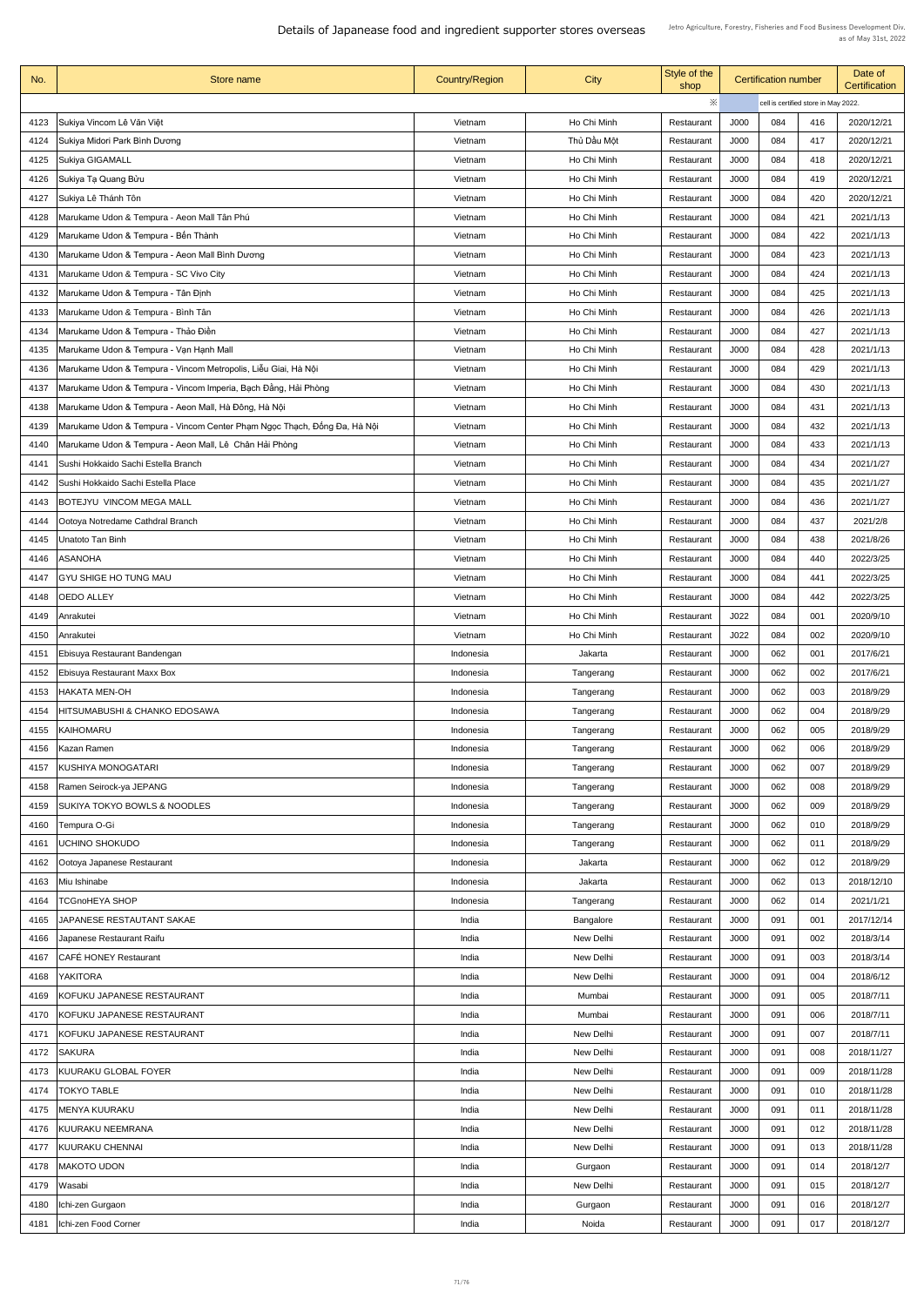| No.  | <b>Store name</b>                                                        | <b>Country/Region</b> | City             | Style of the<br>shop |      | <b>Certification number</b> |                                      | Date of<br><b>Certification</b> |
|------|--------------------------------------------------------------------------|-----------------------|------------------|----------------------|------|-----------------------------|--------------------------------------|---------------------------------|
|      |                                                                          |                       |                  | ※                    |      |                             | cell is certified store in May 2022. |                                 |
| 4123 | Sukiya Vincom Lê Văn Việt                                                | Vietnam               | Ho Chi Minh      | Restaurant           | J000 | 084                         | 416                                  | 2020/12/21                      |
| 4124 | Sukiya Midori Park Bình Dương                                            | Vietnam               | Thủ Dầu Một      | Restaurant           | J000 | 084                         | 417                                  | 2020/12/21                      |
| 4125 | Sukiya GIGAMALL                                                          | Vietnam               | Ho Chi Minh      | Restaurant           | J000 | 084                         | 418                                  | 2020/12/21                      |
| 4126 | Sukiya Tạ Quang Bửu                                                      | Vietnam               | Ho Chi Minh      | Restaurant           | J000 | 084                         | 419                                  | 2020/12/21                      |
| 4127 | Sukiya Lê Thánh Tôn                                                      | Vietnam               | Ho Chi Minh      | Restaurant           | J000 | 084                         | 420                                  | 2020/12/21                      |
| 4128 | Marukame Udon & Tempura - Aeon Mall Tân Phú                              | Vietnam               | Ho Chi Minh      | Restaurant           | J000 | 084                         | 421                                  | 2021/1/13                       |
| 4129 | Marukame Udon & Tempura - Bến Thành                                      | Vietnam               | Ho Chi Minh      | Restaurant           | J000 | 084                         | 422                                  | 2021/1/13                       |
| 4130 | Marukame Udon & Tempura - Aeon Mall Binh Dương                           | Vietnam               | Ho Chi Minh      | Restaurant           | J000 | 084                         | 423                                  | 2021/1/13                       |
| 4131 | Marukame Udon & Tempura - SC Vivo City                                   | Vietnam               | Ho Chi Minh      | Restaurant           | J000 | 084                         | 424                                  | 2021/1/13                       |
| 4132 | Marukame Udon & Tempura - Tân Định                                       | Vietnam               | Ho Chi Minh      | Restaurant           | J000 | 084                         | 425                                  | 2021/1/13                       |
| 4133 | Marukame Udon & Tempura - Bình Tân                                       | Vietnam               | Ho Chi Minh      | Restaurant           | J000 | 084                         | 426                                  | 2021/1/13                       |
| 4134 | Marukame Udon & Tempura - Thảo Điền                                      | Vietnam               | Ho Chi Minh      | Restaurant           | J000 | 084                         | 427                                  | 2021/1/13                       |
| 4135 | Marukame Udon & Tempura - Vạn Hạnh Mall                                  | Vietnam               | Ho Chi Minh      | Restaurant           | J000 | 084                         | 428                                  | 2021/1/13                       |
| 4136 | Marukame Udon & Tempura - Vincom Metropolis, Liễu Giai, Hà Nội           | Vietnam               | Ho Chi Minh      | Restaurant           | J000 | 084                         | 429                                  | 2021/1/13                       |
| 4137 | Marukame Udon & Tempura - Vincom Imperia, Bạch Đằng, Hải Phòng           | Vietnam               | Ho Chi Minh      | Restaurant           | J000 | 084                         | 430                                  | 2021/1/13                       |
| 4138 | Marukame Udon & Tempura - Aeon Mall, Hà Đông, Hà Nội                     | Vietnam               | Ho Chi Minh      | Restaurant           | J000 | 084                         | 431                                  | 2021/1/13                       |
| 4139 | Marukame Udon & Tempura - Vincom Center Phạm Ngọc Thạch, Đống Đa, Hà Nội | Vietnam               | Ho Chi Minh      | Restaurant           | J000 | 084                         | 432                                  | 2021/1/13                       |
| 4140 | Marukame Udon & Tempura - Aeon Mall, Lê Chân Hải Phòng                   | Vietnam               | Ho Chi Minh      | Restaurant           | J000 | 084                         | 433                                  | 2021/1/13                       |
| 4141 | Sushi Hokkaido Sachi Estella Branch                                      | Vietnam               | Ho Chi Minh      | Restaurant           | J000 | 084                         | 434                                  | 2021/1/27                       |
| 4142 | Sushi Hokkaido Sachi Estella Place                                       | Vietnam               | Ho Chi Minh      | Restaurant           | J000 | 084                         | 435                                  | 2021/1/27                       |
| 4143 | BOTEJYU VINCOM MEGA MALL                                                 | Vietnam               | Ho Chi Minh      | Restaurant           | J000 | 084                         | 436                                  | 2021/1/27                       |
| 4144 | Ootoya Notredame Cathdral Branch                                         | Vietnam               | Ho Chi Minh      | Restaurant           | J000 | 084                         | 437                                  | 2021/2/8                        |
| 4145 | Unatoto Tan Binh                                                         | Vietnam               | Ho Chi Minh      | Restaurant           | J000 | 084                         | 438                                  | 2021/8/26                       |
| 4146 | <b>ASANOHA</b>                                                           | Vietnam               | Ho Chi Minh      | Restaurant           | J000 | 084                         | 440                                  | 2022/3/25                       |
| 4147 | <b>GYU SHIGE HO TUNG MAU</b>                                             | Vietnam               | Ho Chi Minh      | Restaurant           | J000 | 084                         | 441                                  | 2022/3/25                       |
| 4148 | <b>OEDO ALLEY</b>                                                        | Vietnam               | Ho Chi Minh      | Restaurant           | J000 | 084                         | 442                                  | 2022/3/25                       |
| 4149 |                                                                          | Vietnam               | Ho Chi Minh      |                      | J022 | 084                         | 001                                  | 2020/9/10                       |
| 4150 | <b>Anrakutei</b>                                                         | Vietnam               | Ho Chi Minh      | Restaurant           | J022 | 084                         | 002                                  | 2020/9/10                       |
|      | <b>Anrakutei</b>                                                         |                       |                  | Restaurant           |      | 062                         |                                      |                                 |
| 4151 | <b>Ebisuya Restaurant Bandengan</b>                                      | Indonesia             | Jakarta          | Restaurant           | J000 |                             | 001                                  | 2017/6/21                       |
| 4152 | <b>Ebisuya Restaurant Maxx Box</b>                                       | Indonesia             | Tangerang        | Restaurant           | J000 | 062                         | 002                                  | 2017/6/21                       |
| 4153 | <b>HAKATA MEN-OH</b>                                                     | Indonesia             | Tangerang        | Restaurant           | J000 | 062                         | 003                                  | 2018/9/29                       |
| 4154 | <b>HITSUMABUSHI &amp; CHANKO EDOSAWA</b>                                 | Indonesia             | Tangerang        | Restaurant           | J000 | 062                         | 004                                  | 2018/9/29                       |
| 4155 | KAIHOMARU                                                                | Indonesia             | Tangerang        | Restaurant           | J000 | 062                         | 005                                  | 2018/9/29                       |
| 4156 | Kazan Ramen<br>KUSHIYA MONOGATARI                                        | Indonesia             | Tangerang        | Restaurant           | J000 | 062                         | 006                                  | 2018/9/29                       |
| 4157 |                                                                          | Indonesia             | Tangerang        | Restaurant           | J000 | 062                         | 007                                  | 2018/9/29                       |
| 4158 | Ramen Seirock-ya JEPANG                                                  | Indonesia             | Tangerang        | Restaurant           | J000 | 062                         | 008                                  | 2018/9/29                       |
| 4159 | <b>SUKIYA TOKYO BOWLS &amp; NOODLES</b>                                  | Indonesia             | Tangerang        | Restaurant           | J000 | 062                         | 009                                  | 2018/9/29                       |
| 4160 | Tempura O-Gi                                                             | Indonesia             | Tangerang        | Restaurant           | J000 | 062                         | 010                                  | 2018/9/29                       |
| 4161 | <b>UCHINO SHOKUDO</b>                                                    | Indonesia             | Tangerang        | Restaurant           | J000 | 062                         | 011                                  | 2018/9/29                       |
| 4162 | Ootoya Japanese Restaurant                                               | Indonesia             | Jakarta          | Restaurant           | J000 | 062                         | 012                                  | 2018/9/29                       |
| 4163 | Miu Ishinabe                                                             | Indonesia             | Jakarta          | Restaurant           | J000 | 062                         | 013                                  | 2018/12/10                      |
| 4164 | <b>TCGnoHEYA SHOP</b>                                                    | Indonesia             | Tangerang        | Restaurant           | J000 | 062                         | 014                                  | 2021/1/21                       |
| 4165 | JAPANESE RESTAUTANT SAKAE                                                | India                 | Bangalore        | Restaurant           | J000 | 091                         | 001                                  | 2017/12/14                      |
| 4166 | Japanese Restaurant Raifu                                                | India                 | New Delhi        | Restaurant           | J000 | 091                         | 002                                  | 2018/3/14                       |
| 4167 | <b>CAFÉ HONEY Restaurant</b>                                             | India                 | New Delhi        | Restaurant           | J000 | 091                         | 003                                  | 2018/3/14                       |
| 4168 | <b>YAKITORA</b>                                                          | India                 | New Delhi        | Restaurant           | J000 | 091                         | 004                                  | 2018/6/12                       |
| 4169 | KOFUKU JAPANESE RESTAURANT                                               | India                 | Mumbai           | Restaurant           | J000 | 091                         | 005                                  | 2018/7/11                       |
| 4170 | <b>KOFUKU JAPANESE RESTAURANT</b>                                        | India                 | Mumbai           | Restaurant           | J000 | 091                         | 006                                  | 2018/7/11                       |
| 4171 | KOFUKU JAPANESE RESTAURANT                                               | India                 | New Delhi        | Restaurant           | J000 | 091                         | 007                                  | 2018/7/11                       |
| 4172 | <b>SAKURA</b>                                                            | India                 | New Delhi        | Restaurant           | J000 | 091                         | 008                                  | 2018/11/27                      |
| 4173 | <b>KUURAKU GLOBAL FOYER</b>                                              | India                 | New Delhi        | Restaurant           | J000 | 091                         | 009                                  | 2018/11/28                      |
| 4174 | <b>TOKYO TABLE</b>                                                       | India                 | New Delhi        | Restaurant           | J000 | 091                         | 010                                  | 2018/11/28                      |
| 4175 | <b>MENYA KUURAKU</b>                                                     | India                 | <b>New Delhi</b> | Restaurant           | J000 | 091                         | 011                                  | 2018/11/28                      |
| 4176 | KUURAKU NEEMRANA                                                         | India                 | New Delhi        | Restaurant           | J000 | 091                         | 012                                  | 2018/11/28                      |
| 4177 | <b>KUURAKU CHENNAI</b>                                                   | India                 | New Delhi        | Restaurant           | J000 | 091                         | 013                                  | 2018/11/28                      |
| 4178 | <b>MAKOTO UDON</b>                                                       | India                 | Gurgaon          | Restaurant           | J000 | 091                         | 014                                  | 2018/12/7                       |
| 4179 | Wasabi                                                                   | India                 | New Delhi        | Restaurant           | J000 | 091                         | 015                                  | 2018/12/7                       |
| 4180 | Ichi-zen Gurgaon                                                         | India                 | Gurgaon          | Restaurant           | J000 | 091                         | 016                                  | 2018/12/7                       |
| 4181 | Ichi-zen Food Corner                                                     | India                 | Noida            | Restaurant           | J000 | 091                         | 017                                  | 2018/12/7                       |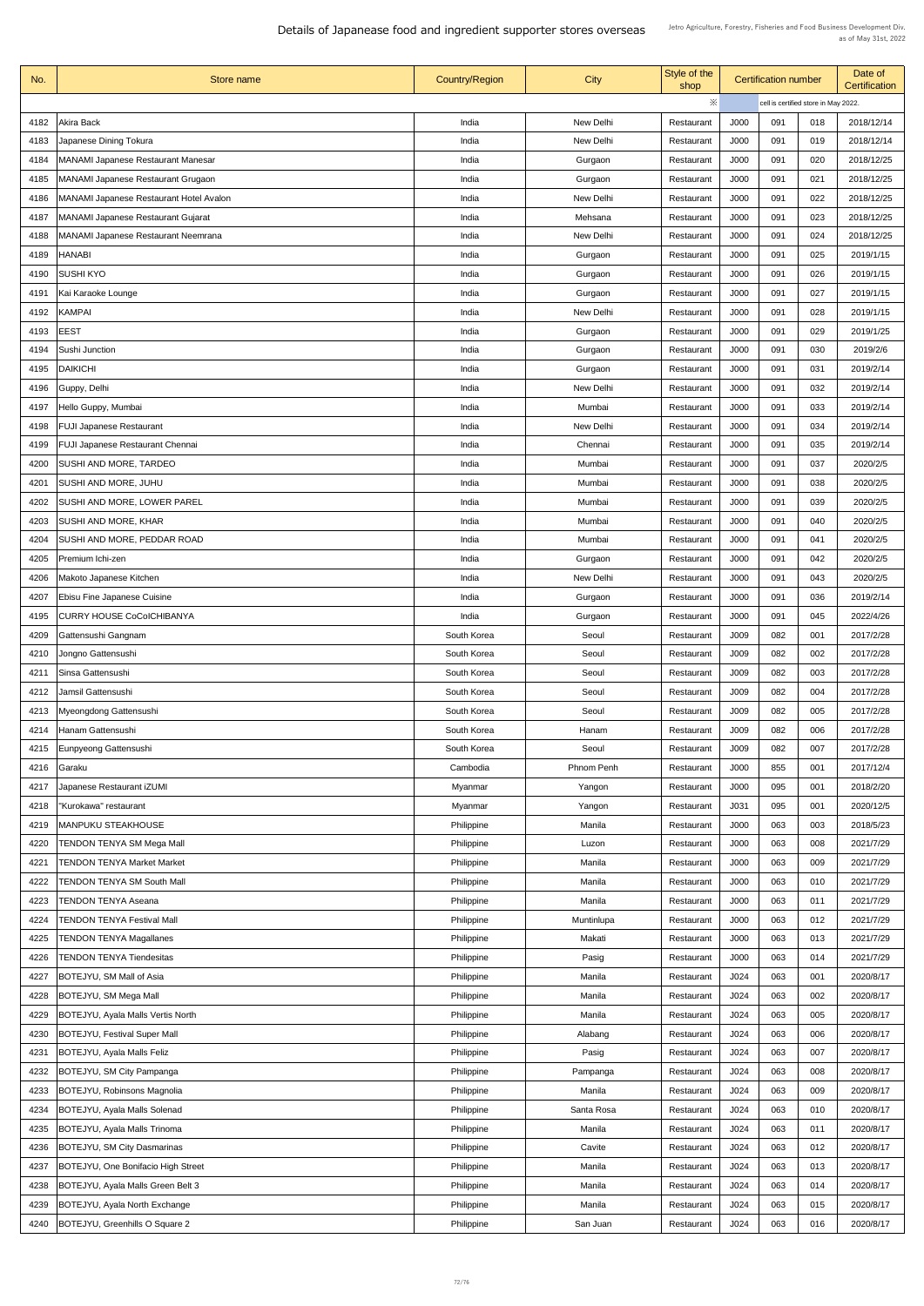| No.  | Store name                                     | <b>Country/Region</b> | <b>City</b>       | Style of the<br>shop |                  | <b>Certification number</b> |                                      | Date of<br><b>Certification</b> |
|------|------------------------------------------------|-----------------------|-------------------|----------------------|------------------|-----------------------------|--------------------------------------|---------------------------------|
|      |                                                |                       |                   | ※                    |                  |                             | cell is certified store in May 2022. |                                 |
| 4182 | Akira Back                                     | India                 | <b>New Delhi</b>  | Restaurant           | J000             | 091                         | 018                                  | 2018/12/14                      |
| 4183 | Japanese Dining Tokura                         | India                 | New Delhi         | Restaurant           | <b>J000</b>      | 091                         | 019                                  | 2018/12/14                      |
| 4184 | <b>MANAMI Japanese Restaurant Manesar</b>      | India                 | Gurgaon           | Restaurant           | <b>J000</b>      | 091                         | 020                                  | 2018/12/25                      |
| 4185 | <b>MANAMI Japanese Restaurant Grugaon</b>      | India                 | Gurgaon           | Restaurant           | J000             | 091                         | 021                                  | 2018/12/25                      |
| 4186 | <b>MANAMI Japanese Restaurant Hotel Avalon</b> | India                 | New Delhi         | Restaurant           | J000             | 091                         | 022                                  | 2018/12/25                      |
| 4187 | <b>MANAMI Japanese Restaurant Gujarat</b>      | India                 | Mehsana           | Restaurant           | <b>J000</b>      | 091                         | 023                                  | 2018/12/25                      |
|      | <b>MANAMI Japanese Restaurant Neemrana</b>     | India                 | New Delhi         |                      | <b>J000</b>      | 091                         | 024                                  | 2018/12/25                      |
| 4188 |                                                |                       |                   | Restaurant           |                  |                             |                                      |                                 |
| 4189 | <b>HANABI</b>                                  | India                 | Gurgaon           | Restaurant           | J000             | 091                         | 025                                  | 2019/1/15                       |
| 4190 | <b>SUSHI KYO</b>                               | India                 | Gurgaon           | Restaurant           | J000             | 091                         | 026                                  | 2019/1/15                       |
| 4191 | Kai Karaoke Lounge                             | India                 | Gurgaon           | Restaurant           | <b>J000</b>      | 091                         | 027                                  | 2019/1/15                       |
| 4192 | <b>KAMPAI</b>                                  | India                 | New Delhi         | Restaurant           | J000             | 091                         | 028                                  | 2019/1/15                       |
| 4193 | <b>EEST</b>                                    | India                 | Gurgaon           | Restaurant           | J000             | 091                         | 029                                  | 2019/1/25                       |
| 4194 | Sushi Junction                                 | India                 | Gurgaon           | Restaurant           | J000             | 091                         | 030                                  | 2019/2/6                        |
| 4195 | <b>DAIKICHI</b>                                | India                 | Gurgaon           | Restaurant           | J000             | 091                         | 031                                  | 2019/2/14                       |
| 4196 | Guppy, Delhi                                   | India                 | New Delhi         | Restaurant           | J000             | 091                         | 032                                  | 2019/2/14                       |
| 4197 | Hello Guppy, Mumbai                            | India                 | Mumbai            | Restaurant           | J000             | 091                         | 033                                  | 2019/2/14                       |
| 4198 | <b>FUJI Japanese Restaurant</b>                | India                 | New Delhi         | Restaurant           | <b>J000</b>      | 091                         | 034                                  | 2019/2/14                       |
| 4199 | <b>FUJI Japanese Restaurant Chennai</b>        | India                 | Chennai           | Restaurant           | J000             | 091                         | 035                                  | 2019/2/14                       |
| 4200 | SUSHI AND MORE, TARDEO                         | India                 | Mumbai            | Restaurant           | J000             | 091                         | 037                                  | 2020/2/5                        |
| 4201 | <b>SUSHI AND MORE, JUHU</b>                    | India                 | Mumbai            | Restaurant           | J000             | 091                         | 038                                  | 2020/2/5                        |
| 4202 | <b>SUSHI AND MORE, LOWER PAREL</b>             | India                 | Mumbai            | Restaurant           | J000             | 091                         | 039                                  | 2020/2/5                        |
| 4203 | <b>SUSHI AND MORE, KHAR</b>                    | India                 | Mumbai            | Restaurant           | J000             | 091                         | 040                                  | 2020/2/5                        |
| 4204 | SUSHI AND MORE, PEDDAR ROAD                    | India                 | Mumbai            | Restaurant           | J000             | 091                         | 041                                  | 2020/2/5                        |
| 4205 | Premium Ichi-zen                               | India                 | Gurgaon           | Restaurant           | J000             | 091                         | 042                                  | 2020/2/5                        |
| 4206 | Makoto Japanese Kitchen                        | India                 | New Delhi         | Restaurant           | J000             | 091                         | 043                                  | 2020/2/5                        |
| 4207 | <b>Ebisu Fine Japanese Cuisine</b>             | India                 | Gurgaon           | Restaurant           | J000             | 091                         | 036                                  | 2019/2/14                       |
| 4195 | <b>CURRY HOUSE CoColCHIBANYA</b>               | India                 | Gurgaon           | Restaurant           | J000             | 091                         | 045                                  | 2022/4/26                       |
| 4209 | Gattensushi Gangnam                            | South Korea           | Seoul             | Restaurant           | <b>J009</b>      | 082                         | 001                                  | 2017/2/28                       |
| 4210 | Jongno Gattensushi                             | South Korea           | Seoul             | Restaurant           | J009             | 082                         | 002                                  | 2017/2/28                       |
| 4211 | Sinsa Gattensushi                              | South Korea           | Seoul             | Restaurant           | J009             | 082                         | 003                                  | 2017/2/28                       |
| 4212 | Jamsil Gattensushi                             | South Korea           | Seoul             | Restaurant           | J009             | 082                         | 004                                  | 2017/2/28                       |
| 4213 | Myeongdong Gattensushi                         | South Korea           | Seoul             | Restaurant           | <b>J009</b>      | 082                         | 005                                  | 2017/2/28                       |
| 4214 | Hanam Gattensushi                              | South Korea           | Hanam             | Restaurant           | J009             | 082                         | 006                                  | 2017/2/28                       |
|      |                                                |                       |                   |                      |                  | 082                         |                                      | 2017/2/28                       |
| 4215 | Eunpyeong Gattensushi                          | South Korea           | Seoul             | Restaurant           | J009             |                             | 007                                  |                                 |
| 4216 | <b>Garaku</b>                                  | Cambodia              | <b>Phnom Penh</b> | Restaurant           | J000             | 855                         | 001                                  | 2017/12/4                       |
| 4217 | Japanese Restaurant iZUMI                      | Myanmar               | Yangon            | Restaurant           | J000             | 095                         | 001                                  | 2018/2/20                       |
| 4218 | "Kurokawa" restaurant                          | Myanmar               | Yangon            | Restaurant           | J031             | 095                         | 001                                  | 2020/12/5                       |
| 4219 | <b>MANPUKU STEAKHOUSE</b>                      | Philippine            | Manila            | Restaurant           | J000             | 063                         | 003                                  | 2018/5/23                       |
| 4220 | <b>TENDON TENYA SM Mega Mall</b>               | Philippine            | Luzon             | Restaurant           | J000             | 063                         | 008                                  | 2021/7/29                       |
| 4221 | <b>TENDON TENYA Market Market</b>              | Philippine            | Manila            | Restaurant           | J000             | 063                         | 009                                  | 2021/7/29                       |
| 4222 | <b>TENDON TENYA SM South Mall</b>              | Philippine            | Manila            | Restaurant           | J000             | 063                         | 010                                  | 2021/7/29                       |
|      | 4223   TENDON TENYA Aseana                     | Philippine            | Manila            | Restaurant           | J000             | 063                         | 011                                  | 2021/7/29                       |
| 4224 | <b>TENDON TENYA Festival Mall</b>              | Philippine            | Muntinlupa        | Restaurant           | J000             | 063                         | 012                                  | 2021/7/29                       |
| 4225 | <b>TENDON TENYA Magallanes</b>                 | Philippine            | Makati            | Restaurant           | J000             | 063                         | 013                                  | 2021/7/29                       |
| 4226 | <b>TENDON TENYA Tiendesitas</b>                | Philippine            | Pasig             | Restaurant           | J000             | 063                         | 014                                  | 2021/7/29                       |
| 4227 | BOTEJYU, SM Mall of Asia                       | Philippine            | Manila            | Restaurant           | J024             | 063                         | 001                                  | 2020/8/17                       |
| 4228 | <b>BOTEJYU, SM Mega Mall</b>                   | Philippine            | Manila            | Restaurant           | J <sub>024</sub> | 063                         | 002                                  | 2020/8/17                       |
| 4229 | <b>BOTEJYU, Ayala Malls Vertis North</b>       | Philippine            | Manila            | Restaurant           | J024             | 063                         | 005                                  | 2020/8/17                       |
| 4230 | <b>BOTEJYU, Festival Super Mall</b>            | Philippine            | Alabang           | Restaurant           | J <sub>024</sub> | 063                         | 006                                  | 2020/8/17                       |
| 4231 | <b>BOTEJYU, Ayala Malls Feliz</b>              | Philippine            | Pasig             | Restaurant           | J024             | 063                         | 007                                  | 2020/8/17                       |
| 4232 | <b>BOTEJYU, SM City Pampanga</b>               | Philippine            | Pampanga          | Restaurant           | J024             | 063                         | 008                                  | 2020/8/17                       |
| 4233 | <b>BOTEJYU, Robinsons Magnolia</b>             | Philippine            | Manila            | Restaurant           | J024             | 063                         | 009                                  | 2020/8/17                       |
| 4234 | <b>BOTEJYU, Ayala Malls Solenad</b>            | Philippine            | Santa Rosa        | Restaurant           | J024             | 063                         | 010                                  | 2020/8/17                       |
| 4235 | <b>BOTEJYU, Ayala Malls Trinoma</b>            | Philippine            | Manila            | Restaurant           | J <sub>024</sub> | 063                         | 011                                  | 2020/8/17                       |
| 4236 | <b>BOTEJYU, SM City Dasmarinas</b>             | Philippine            | Cavite            | Restaurant           | J024             | 063                         | 012                                  | 2020/8/17                       |
| 4237 | <b>BOTEJYU, One Bonifacio High Street</b>      | Philippine            | Manila            | Restaurant           | J024             | 063                         | 013                                  | 2020/8/17                       |
| 4238 | <b>BOTEJYU, Ayala Malls Green Belt 3</b>       | Philippine            | Manila            | Restaurant           | J <sub>024</sub> | 063                         | 014                                  | 2020/8/17                       |
|      | <b>BOTEJYU, Ayala North Exchange</b>           |                       |                   |                      |                  | 063                         |                                      | 2020/8/17                       |
| 4239 |                                                | Philippine            | Manila            | Restaurant           | J024             |                             | 015                                  |                                 |
| 4240 | BOTEJYU, Greenhills O Square 2                 | Philippine            | San Juan          | Restaurant           | J024             | 063                         | 016                                  | 2020/8/17                       |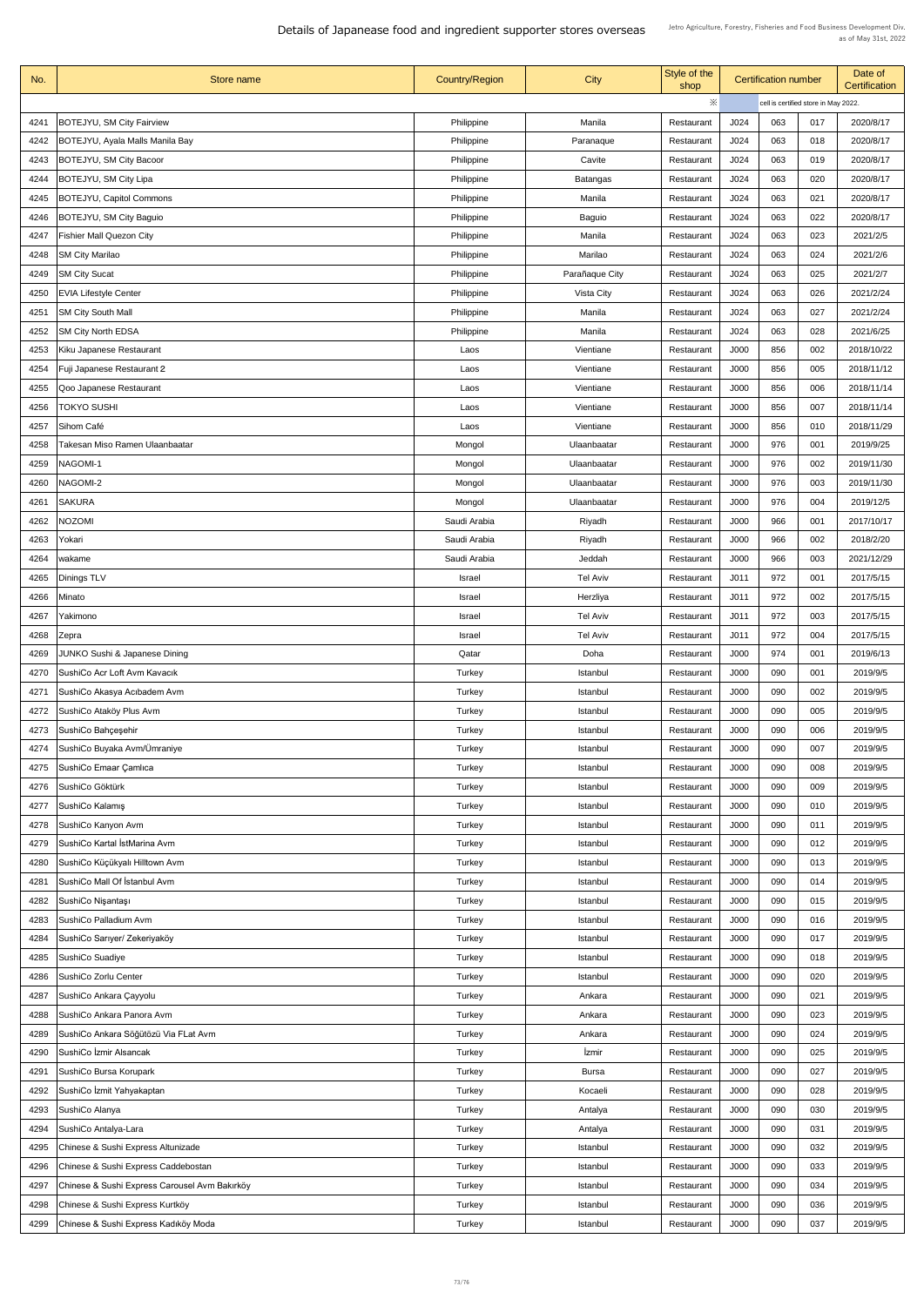Details of Japanease food and ingredient supporter stores overseas

| $\ddot{\times}$<br>cell is certified store in May 2022.<br><b>BOTEJYU, SM City Fairview</b><br>J024<br>017<br>4241<br>Philippine<br>Manila<br>063<br>2020/8/17<br>Restaurant<br>063<br>2020/8/17<br><b>BOTEJYU, Ayala Malls Manila Bay</b><br>J024<br>4242<br>Philippine<br>Paranaque<br>018<br>Restaurant<br>J024<br>063<br>2020/8/17<br>4243<br><b>BOTEJYU, SM City Bacoor</b><br>Philippine<br>019<br>Cavite<br>Restaurant<br><b>BOTEJYU, SM City Lipa</b><br>J024<br>063<br>020<br>2020/8/17<br>4244<br>Philippine<br>Batangas<br>Restaurant<br><b>BOTEJYU, Capitol Commons</b><br>J024<br>063<br>021<br>4245<br>2020/8/17<br>Philippine<br>Manila<br>Restaurant<br>J024<br>063<br>022<br>4246<br><b>BOTEJYU, SM City Baguio</b><br>2020/8/17<br>Philippine<br><b>Baguio</b><br>Restaurant<br>J024<br>063<br>4247<br><b>Fishier Mall Quezon City</b><br>023<br>2021/2/5<br>Philippine<br>Manila<br>Restaurant<br>4248<br><b>SM City Marilao</b><br>Philippine<br>J024<br>063<br>2021/2/6<br>Marilao<br>024<br>Restaurant<br>063<br>4249<br><b>SM City Sucat</b><br>J024<br>025<br>2021/2/7<br>Philippine<br>Parañaque City<br>Restaurant<br>J024<br>063<br>4250<br><b>EVIA Lifestyle Center</b><br>Philippine<br><b>Vista City</b><br>026<br>2021/2/24<br>Restaurant<br>J024<br>063<br>027<br>2021/2/24<br><b>SM City South Mall</b><br>Philippine<br>Manila<br>4251<br>Restaurant<br>J024<br>063<br>028<br>4252<br><b>SM City North EDSA</b><br>2021/6/25<br>Philippine<br>Manila<br>Restaurant<br>Kiku Japanese Restaurant<br>J000<br>Vientiane<br>856<br>002<br>2018/10/22<br>4253<br>Restaurant<br>Laos<br>2018/11/12<br>Fuji Japanese Restaurant 2<br>J000<br>856<br>005<br>4254<br>Vientiane<br>Laos<br>Restaurant<br>J000<br>856<br>006<br>2018/11/14<br>4255<br>Qoo Japanese Restaurant<br>Vientiane<br>Laos<br>Restaurant<br><b>TOKYO SUSHI</b><br>J000<br>856<br>007<br>2018/11/14<br>4256<br>Vientiane<br>Laos<br>Restaurant<br>856<br>J000<br>4257<br>Sihom Café<br>010<br>2018/11/29<br>Vientiane<br>Laos<br>Restaurant<br>J000<br>976<br>Takesan Miso Ramen Ulaanbaatar<br>2019/9/25<br>4258<br>Mongol<br>001<br>Ulaanbaatar<br>Restaurant<br>976<br>NAGOMI-1<br>Mongol<br>J000<br>2019/11/30<br>4259<br>Ulaanbaatar<br>002<br>Restaurant<br>J000<br>976<br>003<br>4260<br>NAGOMI-2<br>2019/11/30<br>Mongol<br>Ulaanbaatar<br>Restaurant<br>976<br><b>SAKURA</b><br>J000<br>004<br>2019/12/5<br>4261<br>Mongol<br>Ulaanbaatar<br>Restaurant<br>4262<br><b>NOZOMI</b><br>J000<br>966<br>2017/10/17<br>Saudi Arabia<br>001<br>Riyadh<br>Restaurant<br>Yokari<br>J000<br>966<br>4263<br>002<br>2018/2/20<br>Saudi Arabia<br>Riyadh<br>Restaurant<br>J000<br>966<br>4264<br>Saudi Arabia<br>Jeddah<br>003<br>2021/12/29<br>wakame<br>Restaurant<br>Dinings TLV<br>972<br>001<br>2017/5/15<br>4265<br><b>Tel Aviv</b><br>J011<br><b>Israel</b><br>Restaurant<br>972<br>J011<br>002<br>2017/5/15<br>4266<br>Minato<br>Herzliya<br><b>Israel</b><br>Restaurant<br>J011<br>972<br>2017/5/15<br>4267<br><b>Tel Aviv</b><br>003<br>Yakimono<br><b>Israel</b><br>Restaurant<br>972<br>2017/5/15<br><b>Tel Aviv</b><br>J <sub>011</sub><br>4268<br>Zepra<br>004<br><b>Israel</b><br>Restaurant<br>974<br><b>JUNKO Sushi &amp; Japanese Dining</b><br>Qatar<br>J000<br>2019/6/13<br>4269<br>Doha<br>001<br>Restaurant<br>SushiCo Acr Loft Avm Kavacık<br>2019/9/5<br>4270<br>Turkey<br>J000<br>090<br>001<br>Istanbul<br>Restaurant<br>2019/9/5<br>SushiCo Akasya Acıbadem Avm<br>Turkey<br>J000<br>090<br>002<br>4271<br>Istanbul<br>Restaurant<br>J000<br>4272<br>SushiCo Ataköy Plus Avm<br>090<br>005<br>2019/9/5<br>Turkey<br><b>Istanbul</b><br>Restaurant<br>SushiCo Bahçeşehir<br>2019/9/5<br>Turkey<br>J000<br>090<br>4273<br>006<br><b>Istanbul</b><br>Restaurant<br>SushiCo Buyaka Avm/Ümraniye<br>J000<br>090<br>007<br>2019/9/5<br>4274<br>Turkey<br>Istanbul<br>Restaurant<br>SushiCo Emaar Çamlıca<br>2019/9/5<br>J000<br>090<br>008<br>4275<br>Turkey<br>Istanbul<br>Restaurant<br>J000<br>2019/9/5<br>4276<br>SushiCo Göktürk<br>090<br>009<br><b>Turkey</b><br>Istanbul<br>Restaurant<br>J000<br>090<br>4277<br>010<br>2019/9/5<br>SushiCo Kalamış<br>Turkey<br>Istanbul<br>Restaurant<br>SushiCo Kanyon Avm<br>J000<br>090<br>2019/9/5<br>4278<br>Turkey<br>011<br>Istanbul<br>Restaurant<br>SushiCo Kartal İstMarina Avm<br>J000<br>090<br>4279<br><b>Turkey</b><br>012<br>2019/9/5<br>Istanbul<br>Restaurant<br>2019/9/5<br>SushiCo Küçükyalı Hilltown Avm<br>J000<br>090<br>013<br>4280<br>Turkey<br>Istanbul<br>Restaurant<br>SushiCo Mall Of İstanbul Avm<br>J000<br>Turkey<br>090<br>014<br>2019/9/5<br>4281<br><b>Istanbul</b><br>Restaurant<br>2019/9/5<br>J000<br>090<br>4282 SushiCo Nişantaşı<br><b>Turkey</b><br>015<br>Restaurant<br><b>Istanbul</b><br>2019/9/5<br>SushiCo Palladium Avm<br>J000<br>090<br>4283<br>Turkey<br>016<br><b>Istanbul</b><br>Restaurant<br>SushiCo Sarıyer/ Zekeriyaköy<br>2019/9/5<br>J000<br>090<br>017<br>4284<br><b>Turkey</b><br>Istanbul<br>Restaurant<br><b>SushiCo Suadiye</b><br>J000<br>2019/9/5<br>4285<br>090<br>018<br>Turkey<br>Istanbul<br>Restaurant<br>J000<br><b>SushiCo Zorlu Center</b><br>090<br>020<br>2019/9/5<br>4286<br><b>Turkey</b><br><b>Istanbul</b><br>Restaurant<br>SushiCo Ankara Çayyolu<br>J000<br>090<br>021<br>2019/9/5<br>4287<br>Turkey<br>Ankara<br>Restaurant<br>SushiCo Ankara Panora Avm<br>J000<br>090<br>023<br>2019/9/5<br>4288<br>Turkey<br>Ankara<br>Restaurant<br>SushiCo Ankara Söğütözü Via FLat Avm<br>4289<br>J000<br>090<br>2019/9/5<br><b>Turkey</b><br>024<br>Ankara<br>Restaurant<br>SushiCo İzmir Alsancak<br><i>izmir</i><br>J000<br>090<br>2019/9/5<br>4290<br>Turkey<br>025<br>Restaurant<br>J000<br>090<br>027<br>4291<br>2019/9/5<br>SushiCo Bursa Korupark<br>Turkey<br><b>Bursa</b><br>Restaurant<br>SushiCo İzmit Yahyakaptan<br>2019/9/5<br>4292<br>J000<br>090<br>028<br>Turkey<br>Kocaeli<br>Restaurant<br>J000<br>090<br>030<br>2019/9/5<br>4293<br>SushiCo Alanya<br><b>Turkey</b><br>Antalya<br>Restaurant<br>J000<br>090<br>2019/9/5<br>4294<br>SushiCo Antalya-Lara<br>031<br>Turkey<br>Antalya<br>Restaurant<br>Chinese & Sushi Express Altunizade<br>J000<br>090<br>032<br>2019/9/5<br>4295<br><b>Turkey</b><br>Istanbul<br>Restaurant<br>Chinese & Sushi Express Caddebostan<br>J000<br>090<br>033<br>4296<br>2019/9/5<br><b>Turkey</b><br>Istanbul<br>Restaurant<br>Chinese & Sushi Express Carousel Avm Bakırköy<br>4297<br><b>Turkey</b><br>2019/9/5<br>Istanbul<br>J000<br>090<br>034<br>Restaurant<br>Chinese & Sushi Express Kurtköy<br>J000<br>090<br>036<br>2019/9/5<br>4298<br>Turkey<br>Istanbul<br>Restaurant | No.  | Store name                           | <b>Country/Region</b> | <b>City</b> | Style of the<br>shop |      | <b>Certification number</b> |     | Date of<br><b>Certification</b> |
|----------------------------------------------------------------------------------------------------------------------------------------------------------------------------------------------------------------------------------------------------------------------------------------------------------------------------------------------------------------------------------------------------------------------------------------------------------------------------------------------------------------------------------------------------------------------------------------------------------------------------------------------------------------------------------------------------------------------------------------------------------------------------------------------------------------------------------------------------------------------------------------------------------------------------------------------------------------------------------------------------------------------------------------------------------------------------------------------------------------------------------------------------------------------------------------------------------------------------------------------------------------------------------------------------------------------------------------------------------------------------------------------------------------------------------------------------------------------------------------------------------------------------------------------------------------------------------------------------------------------------------------------------------------------------------------------------------------------------------------------------------------------------------------------------------------------------------------------------------------------------------------------------------------------------------------------------------------------------------------------------------------------------------------------------------------------------------------------------------------------------------------------------------------------------------------------------------------------------------------------------------------------------------------------------------------------------------------------------------------------------------------------------------------------------------------------------------------------------------------------------------------------------------------------------------------------------------------------------------------------------------------------------------------------------------------------------------------------------------------------------------------------------------------------------------------------------------------------------------------------------------------------------------------------------------------------------------------------------------------------------------------------------------------------------------------------------------------------------------------------------------------------------------------------------------------------------------------------------------------------------------------------------------------------------------------------------------------------------------------------------------------------------------------------------------------------------------------------------------------------------------------------------------------------------------------------------------------------------------------------------------------------------------------------------------------------------------------------------------------------------------------------------------------------------------------------------------------------------------------------------------------------------------------------------------------------------------------------------------------------------------------------------------------------------------------------------------------------------------------------------------------------------------------------------------------------------------------------------------------------------------------------------------------------------------------------------------------------------------------------------------------------------------------------------------------------------------------------------------------------------------------------------------------------------------------------------------------------------------------------------------------------------------------------------------------------------------------------------------------------------------------------------------------------------------------------------------------------------------------------------------------------------------------------------------------------------------------------------------------------------------------------------------------------------------------------------------------------------------------------------------------------------------------------------------------------------------------------------------------------------------------------------------------------------------------------------------------------------------------------------------------------------------------------------------------------------------------------------------------------------------------------------------------------------------------------------------------------------------------------------------------------------------------------------------------------------------------------------------------------------------------------------------------------------------------------------------------------------------------------------------------------------------------------------------------------------------------------------------------------------------------------------------------------------------------------------------------------------------------------------------------------------------------------------------------------------------------------------------------------------------------------------------------------------------------------------------------------------------------------------------------------------------------------------------------------------------------------------------------------------------------------------------------------------------------------------------------------------------------------------------------------------------------------|------|--------------------------------------|-----------------------|-------------|----------------------|------|-----------------------------|-----|---------------------------------|
|                                                                                                                                                                                                                                                                                                                                                                                                                                                                                                                                                                                                                                                                                                                                                                                                                                                                                                                                                                                                                                                                                                                                                                                                                                                                                                                                                                                                                                                                                                                                                                                                                                                                                                                                                                                                                                                                                                                                                                                                                                                                                                                                                                                                                                                                                                                                                                                                                                                                                                                                                                                                                                                                                                                                                                                                                                                                                                                                                                                                                                                                                                                                                                                                                                                                                                                                                                                                                                                                                                                                                                                                                                                                                                                                                                                                                                                                                                                                                                                                                                                                                                                                                                                                                                                                                                                                                                                                                                                                                                                                                                                                                                                                                                                                                                                                                                                                                                                                                                                                                                                                                                                                                                                                                                                                                                                                                                                                                                                                                                                                                                                                                                                                                                                                                                                                                                                                                                                                                                                                                                                                                                                                                                                                                                                                                                                                                                                                                                                                                                                                                                                                                                                                      |      |                                      |                       |             |                      |      |                             |     |                                 |
|                                                                                                                                                                                                                                                                                                                                                                                                                                                                                                                                                                                                                                                                                                                                                                                                                                                                                                                                                                                                                                                                                                                                                                                                                                                                                                                                                                                                                                                                                                                                                                                                                                                                                                                                                                                                                                                                                                                                                                                                                                                                                                                                                                                                                                                                                                                                                                                                                                                                                                                                                                                                                                                                                                                                                                                                                                                                                                                                                                                                                                                                                                                                                                                                                                                                                                                                                                                                                                                                                                                                                                                                                                                                                                                                                                                                                                                                                                                                                                                                                                                                                                                                                                                                                                                                                                                                                                                                                                                                                                                                                                                                                                                                                                                                                                                                                                                                                                                                                                                                                                                                                                                                                                                                                                                                                                                                                                                                                                                                                                                                                                                                                                                                                                                                                                                                                                                                                                                                                                                                                                                                                                                                                                                                                                                                                                                                                                                                                                                                                                                                                                                                                                                                      |      |                                      |                       |             |                      |      |                             |     |                                 |
|                                                                                                                                                                                                                                                                                                                                                                                                                                                                                                                                                                                                                                                                                                                                                                                                                                                                                                                                                                                                                                                                                                                                                                                                                                                                                                                                                                                                                                                                                                                                                                                                                                                                                                                                                                                                                                                                                                                                                                                                                                                                                                                                                                                                                                                                                                                                                                                                                                                                                                                                                                                                                                                                                                                                                                                                                                                                                                                                                                                                                                                                                                                                                                                                                                                                                                                                                                                                                                                                                                                                                                                                                                                                                                                                                                                                                                                                                                                                                                                                                                                                                                                                                                                                                                                                                                                                                                                                                                                                                                                                                                                                                                                                                                                                                                                                                                                                                                                                                                                                                                                                                                                                                                                                                                                                                                                                                                                                                                                                                                                                                                                                                                                                                                                                                                                                                                                                                                                                                                                                                                                                                                                                                                                                                                                                                                                                                                                                                                                                                                                                                                                                                                                                      |      |                                      |                       |             |                      |      |                             |     |                                 |
|                                                                                                                                                                                                                                                                                                                                                                                                                                                                                                                                                                                                                                                                                                                                                                                                                                                                                                                                                                                                                                                                                                                                                                                                                                                                                                                                                                                                                                                                                                                                                                                                                                                                                                                                                                                                                                                                                                                                                                                                                                                                                                                                                                                                                                                                                                                                                                                                                                                                                                                                                                                                                                                                                                                                                                                                                                                                                                                                                                                                                                                                                                                                                                                                                                                                                                                                                                                                                                                                                                                                                                                                                                                                                                                                                                                                                                                                                                                                                                                                                                                                                                                                                                                                                                                                                                                                                                                                                                                                                                                                                                                                                                                                                                                                                                                                                                                                                                                                                                                                                                                                                                                                                                                                                                                                                                                                                                                                                                                                                                                                                                                                                                                                                                                                                                                                                                                                                                                                                                                                                                                                                                                                                                                                                                                                                                                                                                                                                                                                                                                                                                                                                                                                      |      |                                      |                       |             |                      |      |                             |     |                                 |
|                                                                                                                                                                                                                                                                                                                                                                                                                                                                                                                                                                                                                                                                                                                                                                                                                                                                                                                                                                                                                                                                                                                                                                                                                                                                                                                                                                                                                                                                                                                                                                                                                                                                                                                                                                                                                                                                                                                                                                                                                                                                                                                                                                                                                                                                                                                                                                                                                                                                                                                                                                                                                                                                                                                                                                                                                                                                                                                                                                                                                                                                                                                                                                                                                                                                                                                                                                                                                                                                                                                                                                                                                                                                                                                                                                                                                                                                                                                                                                                                                                                                                                                                                                                                                                                                                                                                                                                                                                                                                                                                                                                                                                                                                                                                                                                                                                                                                                                                                                                                                                                                                                                                                                                                                                                                                                                                                                                                                                                                                                                                                                                                                                                                                                                                                                                                                                                                                                                                                                                                                                                                                                                                                                                                                                                                                                                                                                                                                                                                                                                                                                                                                                                                      |      |                                      |                       |             |                      |      |                             |     |                                 |
|                                                                                                                                                                                                                                                                                                                                                                                                                                                                                                                                                                                                                                                                                                                                                                                                                                                                                                                                                                                                                                                                                                                                                                                                                                                                                                                                                                                                                                                                                                                                                                                                                                                                                                                                                                                                                                                                                                                                                                                                                                                                                                                                                                                                                                                                                                                                                                                                                                                                                                                                                                                                                                                                                                                                                                                                                                                                                                                                                                                                                                                                                                                                                                                                                                                                                                                                                                                                                                                                                                                                                                                                                                                                                                                                                                                                                                                                                                                                                                                                                                                                                                                                                                                                                                                                                                                                                                                                                                                                                                                                                                                                                                                                                                                                                                                                                                                                                                                                                                                                                                                                                                                                                                                                                                                                                                                                                                                                                                                                                                                                                                                                                                                                                                                                                                                                                                                                                                                                                                                                                                                                                                                                                                                                                                                                                                                                                                                                                                                                                                                                                                                                                                                                      |      |                                      |                       |             |                      |      |                             |     |                                 |
|                                                                                                                                                                                                                                                                                                                                                                                                                                                                                                                                                                                                                                                                                                                                                                                                                                                                                                                                                                                                                                                                                                                                                                                                                                                                                                                                                                                                                                                                                                                                                                                                                                                                                                                                                                                                                                                                                                                                                                                                                                                                                                                                                                                                                                                                                                                                                                                                                                                                                                                                                                                                                                                                                                                                                                                                                                                                                                                                                                                                                                                                                                                                                                                                                                                                                                                                                                                                                                                                                                                                                                                                                                                                                                                                                                                                                                                                                                                                                                                                                                                                                                                                                                                                                                                                                                                                                                                                                                                                                                                                                                                                                                                                                                                                                                                                                                                                                                                                                                                                                                                                                                                                                                                                                                                                                                                                                                                                                                                                                                                                                                                                                                                                                                                                                                                                                                                                                                                                                                                                                                                                                                                                                                                                                                                                                                                                                                                                                                                                                                                                                                                                                                                                      |      |                                      |                       |             |                      |      |                             |     |                                 |
|                                                                                                                                                                                                                                                                                                                                                                                                                                                                                                                                                                                                                                                                                                                                                                                                                                                                                                                                                                                                                                                                                                                                                                                                                                                                                                                                                                                                                                                                                                                                                                                                                                                                                                                                                                                                                                                                                                                                                                                                                                                                                                                                                                                                                                                                                                                                                                                                                                                                                                                                                                                                                                                                                                                                                                                                                                                                                                                                                                                                                                                                                                                                                                                                                                                                                                                                                                                                                                                                                                                                                                                                                                                                                                                                                                                                                                                                                                                                                                                                                                                                                                                                                                                                                                                                                                                                                                                                                                                                                                                                                                                                                                                                                                                                                                                                                                                                                                                                                                                                                                                                                                                                                                                                                                                                                                                                                                                                                                                                                                                                                                                                                                                                                                                                                                                                                                                                                                                                                                                                                                                                                                                                                                                                                                                                                                                                                                                                                                                                                                                                                                                                                                                                      |      |                                      |                       |             |                      |      |                             |     |                                 |
|                                                                                                                                                                                                                                                                                                                                                                                                                                                                                                                                                                                                                                                                                                                                                                                                                                                                                                                                                                                                                                                                                                                                                                                                                                                                                                                                                                                                                                                                                                                                                                                                                                                                                                                                                                                                                                                                                                                                                                                                                                                                                                                                                                                                                                                                                                                                                                                                                                                                                                                                                                                                                                                                                                                                                                                                                                                                                                                                                                                                                                                                                                                                                                                                                                                                                                                                                                                                                                                                                                                                                                                                                                                                                                                                                                                                                                                                                                                                                                                                                                                                                                                                                                                                                                                                                                                                                                                                                                                                                                                                                                                                                                                                                                                                                                                                                                                                                                                                                                                                                                                                                                                                                                                                                                                                                                                                                                                                                                                                                                                                                                                                                                                                                                                                                                                                                                                                                                                                                                                                                                                                                                                                                                                                                                                                                                                                                                                                                                                                                                                                                                                                                                                                      |      |                                      |                       |             |                      |      |                             |     |                                 |
|                                                                                                                                                                                                                                                                                                                                                                                                                                                                                                                                                                                                                                                                                                                                                                                                                                                                                                                                                                                                                                                                                                                                                                                                                                                                                                                                                                                                                                                                                                                                                                                                                                                                                                                                                                                                                                                                                                                                                                                                                                                                                                                                                                                                                                                                                                                                                                                                                                                                                                                                                                                                                                                                                                                                                                                                                                                                                                                                                                                                                                                                                                                                                                                                                                                                                                                                                                                                                                                                                                                                                                                                                                                                                                                                                                                                                                                                                                                                                                                                                                                                                                                                                                                                                                                                                                                                                                                                                                                                                                                                                                                                                                                                                                                                                                                                                                                                                                                                                                                                                                                                                                                                                                                                                                                                                                                                                                                                                                                                                                                                                                                                                                                                                                                                                                                                                                                                                                                                                                                                                                                                                                                                                                                                                                                                                                                                                                                                                                                                                                                                                                                                                                                                      |      |                                      |                       |             |                      |      |                             |     |                                 |
|                                                                                                                                                                                                                                                                                                                                                                                                                                                                                                                                                                                                                                                                                                                                                                                                                                                                                                                                                                                                                                                                                                                                                                                                                                                                                                                                                                                                                                                                                                                                                                                                                                                                                                                                                                                                                                                                                                                                                                                                                                                                                                                                                                                                                                                                                                                                                                                                                                                                                                                                                                                                                                                                                                                                                                                                                                                                                                                                                                                                                                                                                                                                                                                                                                                                                                                                                                                                                                                                                                                                                                                                                                                                                                                                                                                                                                                                                                                                                                                                                                                                                                                                                                                                                                                                                                                                                                                                                                                                                                                                                                                                                                                                                                                                                                                                                                                                                                                                                                                                                                                                                                                                                                                                                                                                                                                                                                                                                                                                                                                                                                                                                                                                                                                                                                                                                                                                                                                                                                                                                                                                                                                                                                                                                                                                                                                                                                                                                                                                                                                                                                                                                                                                      |      |                                      |                       |             |                      |      |                             |     |                                 |
|                                                                                                                                                                                                                                                                                                                                                                                                                                                                                                                                                                                                                                                                                                                                                                                                                                                                                                                                                                                                                                                                                                                                                                                                                                                                                                                                                                                                                                                                                                                                                                                                                                                                                                                                                                                                                                                                                                                                                                                                                                                                                                                                                                                                                                                                                                                                                                                                                                                                                                                                                                                                                                                                                                                                                                                                                                                                                                                                                                                                                                                                                                                                                                                                                                                                                                                                                                                                                                                                                                                                                                                                                                                                                                                                                                                                                                                                                                                                                                                                                                                                                                                                                                                                                                                                                                                                                                                                                                                                                                                                                                                                                                                                                                                                                                                                                                                                                                                                                                                                                                                                                                                                                                                                                                                                                                                                                                                                                                                                                                                                                                                                                                                                                                                                                                                                                                                                                                                                                                                                                                                                                                                                                                                                                                                                                                                                                                                                                                                                                                                                                                                                                                                                      |      |                                      |                       |             |                      |      |                             |     |                                 |
|                                                                                                                                                                                                                                                                                                                                                                                                                                                                                                                                                                                                                                                                                                                                                                                                                                                                                                                                                                                                                                                                                                                                                                                                                                                                                                                                                                                                                                                                                                                                                                                                                                                                                                                                                                                                                                                                                                                                                                                                                                                                                                                                                                                                                                                                                                                                                                                                                                                                                                                                                                                                                                                                                                                                                                                                                                                                                                                                                                                                                                                                                                                                                                                                                                                                                                                                                                                                                                                                                                                                                                                                                                                                                                                                                                                                                                                                                                                                                                                                                                                                                                                                                                                                                                                                                                                                                                                                                                                                                                                                                                                                                                                                                                                                                                                                                                                                                                                                                                                                                                                                                                                                                                                                                                                                                                                                                                                                                                                                                                                                                                                                                                                                                                                                                                                                                                                                                                                                                                                                                                                                                                                                                                                                                                                                                                                                                                                                                                                                                                                                                                                                                                                                      |      |                                      |                       |             |                      |      |                             |     |                                 |
|                                                                                                                                                                                                                                                                                                                                                                                                                                                                                                                                                                                                                                                                                                                                                                                                                                                                                                                                                                                                                                                                                                                                                                                                                                                                                                                                                                                                                                                                                                                                                                                                                                                                                                                                                                                                                                                                                                                                                                                                                                                                                                                                                                                                                                                                                                                                                                                                                                                                                                                                                                                                                                                                                                                                                                                                                                                                                                                                                                                                                                                                                                                                                                                                                                                                                                                                                                                                                                                                                                                                                                                                                                                                                                                                                                                                                                                                                                                                                                                                                                                                                                                                                                                                                                                                                                                                                                                                                                                                                                                                                                                                                                                                                                                                                                                                                                                                                                                                                                                                                                                                                                                                                                                                                                                                                                                                                                                                                                                                                                                                                                                                                                                                                                                                                                                                                                                                                                                                                                                                                                                                                                                                                                                                                                                                                                                                                                                                                                                                                                                                                                                                                                                                      |      |                                      |                       |             |                      |      |                             |     |                                 |
|                                                                                                                                                                                                                                                                                                                                                                                                                                                                                                                                                                                                                                                                                                                                                                                                                                                                                                                                                                                                                                                                                                                                                                                                                                                                                                                                                                                                                                                                                                                                                                                                                                                                                                                                                                                                                                                                                                                                                                                                                                                                                                                                                                                                                                                                                                                                                                                                                                                                                                                                                                                                                                                                                                                                                                                                                                                                                                                                                                                                                                                                                                                                                                                                                                                                                                                                                                                                                                                                                                                                                                                                                                                                                                                                                                                                                                                                                                                                                                                                                                                                                                                                                                                                                                                                                                                                                                                                                                                                                                                                                                                                                                                                                                                                                                                                                                                                                                                                                                                                                                                                                                                                                                                                                                                                                                                                                                                                                                                                                                                                                                                                                                                                                                                                                                                                                                                                                                                                                                                                                                                                                                                                                                                                                                                                                                                                                                                                                                                                                                                                                                                                                                                                      |      |                                      |                       |             |                      |      |                             |     |                                 |
|                                                                                                                                                                                                                                                                                                                                                                                                                                                                                                                                                                                                                                                                                                                                                                                                                                                                                                                                                                                                                                                                                                                                                                                                                                                                                                                                                                                                                                                                                                                                                                                                                                                                                                                                                                                                                                                                                                                                                                                                                                                                                                                                                                                                                                                                                                                                                                                                                                                                                                                                                                                                                                                                                                                                                                                                                                                                                                                                                                                                                                                                                                                                                                                                                                                                                                                                                                                                                                                                                                                                                                                                                                                                                                                                                                                                                                                                                                                                                                                                                                                                                                                                                                                                                                                                                                                                                                                                                                                                                                                                                                                                                                                                                                                                                                                                                                                                                                                                                                                                                                                                                                                                                                                                                                                                                                                                                                                                                                                                                                                                                                                                                                                                                                                                                                                                                                                                                                                                                                                                                                                                                                                                                                                                                                                                                                                                                                                                                                                                                                                                                                                                                                                                      |      |                                      |                       |             |                      |      |                             |     |                                 |
|                                                                                                                                                                                                                                                                                                                                                                                                                                                                                                                                                                                                                                                                                                                                                                                                                                                                                                                                                                                                                                                                                                                                                                                                                                                                                                                                                                                                                                                                                                                                                                                                                                                                                                                                                                                                                                                                                                                                                                                                                                                                                                                                                                                                                                                                                                                                                                                                                                                                                                                                                                                                                                                                                                                                                                                                                                                                                                                                                                                                                                                                                                                                                                                                                                                                                                                                                                                                                                                                                                                                                                                                                                                                                                                                                                                                                                                                                                                                                                                                                                                                                                                                                                                                                                                                                                                                                                                                                                                                                                                                                                                                                                                                                                                                                                                                                                                                                                                                                                                                                                                                                                                                                                                                                                                                                                                                                                                                                                                                                                                                                                                                                                                                                                                                                                                                                                                                                                                                                                                                                                                                                                                                                                                                                                                                                                                                                                                                                                                                                                                                                                                                                                                                      |      |                                      |                       |             |                      |      |                             |     |                                 |
|                                                                                                                                                                                                                                                                                                                                                                                                                                                                                                                                                                                                                                                                                                                                                                                                                                                                                                                                                                                                                                                                                                                                                                                                                                                                                                                                                                                                                                                                                                                                                                                                                                                                                                                                                                                                                                                                                                                                                                                                                                                                                                                                                                                                                                                                                                                                                                                                                                                                                                                                                                                                                                                                                                                                                                                                                                                                                                                                                                                                                                                                                                                                                                                                                                                                                                                                                                                                                                                                                                                                                                                                                                                                                                                                                                                                                                                                                                                                                                                                                                                                                                                                                                                                                                                                                                                                                                                                                                                                                                                                                                                                                                                                                                                                                                                                                                                                                                                                                                                                                                                                                                                                                                                                                                                                                                                                                                                                                                                                                                                                                                                                                                                                                                                                                                                                                                                                                                                                                                                                                                                                                                                                                                                                                                                                                                                                                                                                                                                                                                                                                                                                                                                                      |      |                                      |                       |             |                      |      |                             |     |                                 |
|                                                                                                                                                                                                                                                                                                                                                                                                                                                                                                                                                                                                                                                                                                                                                                                                                                                                                                                                                                                                                                                                                                                                                                                                                                                                                                                                                                                                                                                                                                                                                                                                                                                                                                                                                                                                                                                                                                                                                                                                                                                                                                                                                                                                                                                                                                                                                                                                                                                                                                                                                                                                                                                                                                                                                                                                                                                                                                                                                                                                                                                                                                                                                                                                                                                                                                                                                                                                                                                                                                                                                                                                                                                                                                                                                                                                                                                                                                                                                                                                                                                                                                                                                                                                                                                                                                                                                                                                                                                                                                                                                                                                                                                                                                                                                                                                                                                                                                                                                                                                                                                                                                                                                                                                                                                                                                                                                                                                                                                                                                                                                                                                                                                                                                                                                                                                                                                                                                                                                                                                                                                                                                                                                                                                                                                                                                                                                                                                                                                                                                                                                                                                                                                                      |      |                                      |                       |             |                      |      |                             |     |                                 |
|                                                                                                                                                                                                                                                                                                                                                                                                                                                                                                                                                                                                                                                                                                                                                                                                                                                                                                                                                                                                                                                                                                                                                                                                                                                                                                                                                                                                                                                                                                                                                                                                                                                                                                                                                                                                                                                                                                                                                                                                                                                                                                                                                                                                                                                                                                                                                                                                                                                                                                                                                                                                                                                                                                                                                                                                                                                                                                                                                                                                                                                                                                                                                                                                                                                                                                                                                                                                                                                                                                                                                                                                                                                                                                                                                                                                                                                                                                                                                                                                                                                                                                                                                                                                                                                                                                                                                                                                                                                                                                                                                                                                                                                                                                                                                                                                                                                                                                                                                                                                                                                                                                                                                                                                                                                                                                                                                                                                                                                                                                                                                                                                                                                                                                                                                                                                                                                                                                                                                                                                                                                                                                                                                                                                                                                                                                                                                                                                                                                                                                                                                                                                                                                                      |      |                                      |                       |             |                      |      |                             |     |                                 |
|                                                                                                                                                                                                                                                                                                                                                                                                                                                                                                                                                                                                                                                                                                                                                                                                                                                                                                                                                                                                                                                                                                                                                                                                                                                                                                                                                                                                                                                                                                                                                                                                                                                                                                                                                                                                                                                                                                                                                                                                                                                                                                                                                                                                                                                                                                                                                                                                                                                                                                                                                                                                                                                                                                                                                                                                                                                                                                                                                                                                                                                                                                                                                                                                                                                                                                                                                                                                                                                                                                                                                                                                                                                                                                                                                                                                                                                                                                                                                                                                                                                                                                                                                                                                                                                                                                                                                                                                                                                                                                                                                                                                                                                                                                                                                                                                                                                                                                                                                                                                                                                                                                                                                                                                                                                                                                                                                                                                                                                                                                                                                                                                                                                                                                                                                                                                                                                                                                                                                                                                                                                                                                                                                                                                                                                                                                                                                                                                                                                                                                                                                                                                                                                                      |      |                                      |                       |             |                      |      |                             |     |                                 |
|                                                                                                                                                                                                                                                                                                                                                                                                                                                                                                                                                                                                                                                                                                                                                                                                                                                                                                                                                                                                                                                                                                                                                                                                                                                                                                                                                                                                                                                                                                                                                                                                                                                                                                                                                                                                                                                                                                                                                                                                                                                                                                                                                                                                                                                                                                                                                                                                                                                                                                                                                                                                                                                                                                                                                                                                                                                                                                                                                                                                                                                                                                                                                                                                                                                                                                                                                                                                                                                                                                                                                                                                                                                                                                                                                                                                                                                                                                                                                                                                                                                                                                                                                                                                                                                                                                                                                                                                                                                                                                                                                                                                                                                                                                                                                                                                                                                                                                                                                                                                                                                                                                                                                                                                                                                                                                                                                                                                                                                                                                                                                                                                                                                                                                                                                                                                                                                                                                                                                                                                                                                                                                                                                                                                                                                                                                                                                                                                                                                                                                                                                                                                                                                                      |      |                                      |                       |             |                      |      |                             |     |                                 |
|                                                                                                                                                                                                                                                                                                                                                                                                                                                                                                                                                                                                                                                                                                                                                                                                                                                                                                                                                                                                                                                                                                                                                                                                                                                                                                                                                                                                                                                                                                                                                                                                                                                                                                                                                                                                                                                                                                                                                                                                                                                                                                                                                                                                                                                                                                                                                                                                                                                                                                                                                                                                                                                                                                                                                                                                                                                                                                                                                                                                                                                                                                                                                                                                                                                                                                                                                                                                                                                                                                                                                                                                                                                                                                                                                                                                                                                                                                                                                                                                                                                                                                                                                                                                                                                                                                                                                                                                                                                                                                                                                                                                                                                                                                                                                                                                                                                                                                                                                                                                                                                                                                                                                                                                                                                                                                                                                                                                                                                                                                                                                                                                                                                                                                                                                                                                                                                                                                                                                                                                                                                                                                                                                                                                                                                                                                                                                                                                                                                                                                                                                                                                                                                                      |      |                                      |                       |             |                      |      |                             |     |                                 |
|                                                                                                                                                                                                                                                                                                                                                                                                                                                                                                                                                                                                                                                                                                                                                                                                                                                                                                                                                                                                                                                                                                                                                                                                                                                                                                                                                                                                                                                                                                                                                                                                                                                                                                                                                                                                                                                                                                                                                                                                                                                                                                                                                                                                                                                                                                                                                                                                                                                                                                                                                                                                                                                                                                                                                                                                                                                                                                                                                                                                                                                                                                                                                                                                                                                                                                                                                                                                                                                                                                                                                                                                                                                                                                                                                                                                                                                                                                                                                                                                                                                                                                                                                                                                                                                                                                                                                                                                                                                                                                                                                                                                                                                                                                                                                                                                                                                                                                                                                                                                                                                                                                                                                                                                                                                                                                                                                                                                                                                                                                                                                                                                                                                                                                                                                                                                                                                                                                                                                                                                                                                                                                                                                                                                                                                                                                                                                                                                                                                                                                                                                                                                                                                                      |      |                                      |                       |             |                      |      |                             |     |                                 |
|                                                                                                                                                                                                                                                                                                                                                                                                                                                                                                                                                                                                                                                                                                                                                                                                                                                                                                                                                                                                                                                                                                                                                                                                                                                                                                                                                                                                                                                                                                                                                                                                                                                                                                                                                                                                                                                                                                                                                                                                                                                                                                                                                                                                                                                                                                                                                                                                                                                                                                                                                                                                                                                                                                                                                                                                                                                                                                                                                                                                                                                                                                                                                                                                                                                                                                                                                                                                                                                                                                                                                                                                                                                                                                                                                                                                                                                                                                                                                                                                                                                                                                                                                                                                                                                                                                                                                                                                                                                                                                                                                                                                                                                                                                                                                                                                                                                                                                                                                                                                                                                                                                                                                                                                                                                                                                                                                                                                                                                                                                                                                                                                                                                                                                                                                                                                                                                                                                                                                                                                                                                                                                                                                                                                                                                                                                                                                                                                                                                                                                                                                                                                                                                                      |      |                                      |                       |             |                      |      |                             |     |                                 |
|                                                                                                                                                                                                                                                                                                                                                                                                                                                                                                                                                                                                                                                                                                                                                                                                                                                                                                                                                                                                                                                                                                                                                                                                                                                                                                                                                                                                                                                                                                                                                                                                                                                                                                                                                                                                                                                                                                                                                                                                                                                                                                                                                                                                                                                                                                                                                                                                                                                                                                                                                                                                                                                                                                                                                                                                                                                                                                                                                                                                                                                                                                                                                                                                                                                                                                                                                                                                                                                                                                                                                                                                                                                                                                                                                                                                                                                                                                                                                                                                                                                                                                                                                                                                                                                                                                                                                                                                                                                                                                                                                                                                                                                                                                                                                                                                                                                                                                                                                                                                                                                                                                                                                                                                                                                                                                                                                                                                                                                                                                                                                                                                                                                                                                                                                                                                                                                                                                                                                                                                                                                                                                                                                                                                                                                                                                                                                                                                                                                                                                                                                                                                                                                                      |      |                                      |                       |             |                      |      |                             |     |                                 |
|                                                                                                                                                                                                                                                                                                                                                                                                                                                                                                                                                                                                                                                                                                                                                                                                                                                                                                                                                                                                                                                                                                                                                                                                                                                                                                                                                                                                                                                                                                                                                                                                                                                                                                                                                                                                                                                                                                                                                                                                                                                                                                                                                                                                                                                                                                                                                                                                                                                                                                                                                                                                                                                                                                                                                                                                                                                                                                                                                                                                                                                                                                                                                                                                                                                                                                                                                                                                                                                                                                                                                                                                                                                                                                                                                                                                                                                                                                                                                                                                                                                                                                                                                                                                                                                                                                                                                                                                                                                                                                                                                                                                                                                                                                                                                                                                                                                                                                                                                                                                                                                                                                                                                                                                                                                                                                                                                                                                                                                                                                                                                                                                                                                                                                                                                                                                                                                                                                                                                                                                                                                                                                                                                                                                                                                                                                                                                                                                                                                                                                                                                                                                                                                                      |      |                                      |                       |             |                      |      |                             |     |                                 |
|                                                                                                                                                                                                                                                                                                                                                                                                                                                                                                                                                                                                                                                                                                                                                                                                                                                                                                                                                                                                                                                                                                                                                                                                                                                                                                                                                                                                                                                                                                                                                                                                                                                                                                                                                                                                                                                                                                                                                                                                                                                                                                                                                                                                                                                                                                                                                                                                                                                                                                                                                                                                                                                                                                                                                                                                                                                                                                                                                                                                                                                                                                                                                                                                                                                                                                                                                                                                                                                                                                                                                                                                                                                                                                                                                                                                                                                                                                                                                                                                                                                                                                                                                                                                                                                                                                                                                                                                                                                                                                                                                                                                                                                                                                                                                                                                                                                                                                                                                                                                                                                                                                                                                                                                                                                                                                                                                                                                                                                                                                                                                                                                                                                                                                                                                                                                                                                                                                                                                                                                                                                                                                                                                                                                                                                                                                                                                                                                                                                                                                                                                                                                                                                                      |      |                                      |                       |             |                      |      |                             |     |                                 |
|                                                                                                                                                                                                                                                                                                                                                                                                                                                                                                                                                                                                                                                                                                                                                                                                                                                                                                                                                                                                                                                                                                                                                                                                                                                                                                                                                                                                                                                                                                                                                                                                                                                                                                                                                                                                                                                                                                                                                                                                                                                                                                                                                                                                                                                                                                                                                                                                                                                                                                                                                                                                                                                                                                                                                                                                                                                                                                                                                                                                                                                                                                                                                                                                                                                                                                                                                                                                                                                                                                                                                                                                                                                                                                                                                                                                                                                                                                                                                                                                                                                                                                                                                                                                                                                                                                                                                                                                                                                                                                                                                                                                                                                                                                                                                                                                                                                                                                                                                                                                                                                                                                                                                                                                                                                                                                                                                                                                                                                                                                                                                                                                                                                                                                                                                                                                                                                                                                                                                                                                                                                                                                                                                                                                                                                                                                                                                                                                                                                                                                                                                                                                                                                                      |      |                                      |                       |             |                      |      |                             |     |                                 |
|                                                                                                                                                                                                                                                                                                                                                                                                                                                                                                                                                                                                                                                                                                                                                                                                                                                                                                                                                                                                                                                                                                                                                                                                                                                                                                                                                                                                                                                                                                                                                                                                                                                                                                                                                                                                                                                                                                                                                                                                                                                                                                                                                                                                                                                                                                                                                                                                                                                                                                                                                                                                                                                                                                                                                                                                                                                                                                                                                                                                                                                                                                                                                                                                                                                                                                                                                                                                                                                                                                                                                                                                                                                                                                                                                                                                                                                                                                                                                                                                                                                                                                                                                                                                                                                                                                                                                                                                                                                                                                                                                                                                                                                                                                                                                                                                                                                                                                                                                                                                                                                                                                                                                                                                                                                                                                                                                                                                                                                                                                                                                                                                                                                                                                                                                                                                                                                                                                                                                                                                                                                                                                                                                                                                                                                                                                                                                                                                                                                                                                                                                                                                                                                                      |      |                                      |                       |             |                      |      |                             |     |                                 |
|                                                                                                                                                                                                                                                                                                                                                                                                                                                                                                                                                                                                                                                                                                                                                                                                                                                                                                                                                                                                                                                                                                                                                                                                                                                                                                                                                                                                                                                                                                                                                                                                                                                                                                                                                                                                                                                                                                                                                                                                                                                                                                                                                                                                                                                                                                                                                                                                                                                                                                                                                                                                                                                                                                                                                                                                                                                                                                                                                                                                                                                                                                                                                                                                                                                                                                                                                                                                                                                                                                                                                                                                                                                                                                                                                                                                                                                                                                                                                                                                                                                                                                                                                                                                                                                                                                                                                                                                                                                                                                                                                                                                                                                                                                                                                                                                                                                                                                                                                                                                                                                                                                                                                                                                                                                                                                                                                                                                                                                                                                                                                                                                                                                                                                                                                                                                                                                                                                                                                                                                                                                                                                                                                                                                                                                                                                                                                                                                                                                                                                                                                                                                                                                                      |      |                                      |                       |             |                      |      |                             |     |                                 |
|                                                                                                                                                                                                                                                                                                                                                                                                                                                                                                                                                                                                                                                                                                                                                                                                                                                                                                                                                                                                                                                                                                                                                                                                                                                                                                                                                                                                                                                                                                                                                                                                                                                                                                                                                                                                                                                                                                                                                                                                                                                                                                                                                                                                                                                                                                                                                                                                                                                                                                                                                                                                                                                                                                                                                                                                                                                                                                                                                                                                                                                                                                                                                                                                                                                                                                                                                                                                                                                                                                                                                                                                                                                                                                                                                                                                                                                                                                                                                                                                                                                                                                                                                                                                                                                                                                                                                                                                                                                                                                                                                                                                                                                                                                                                                                                                                                                                                                                                                                                                                                                                                                                                                                                                                                                                                                                                                                                                                                                                                                                                                                                                                                                                                                                                                                                                                                                                                                                                                                                                                                                                                                                                                                                                                                                                                                                                                                                                                                                                                                                                                                                                                                                                      |      |                                      |                       |             |                      |      |                             |     |                                 |
|                                                                                                                                                                                                                                                                                                                                                                                                                                                                                                                                                                                                                                                                                                                                                                                                                                                                                                                                                                                                                                                                                                                                                                                                                                                                                                                                                                                                                                                                                                                                                                                                                                                                                                                                                                                                                                                                                                                                                                                                                                                                                                                                                                                                                                                                                                                                                                                                                                                                                                                                                                                                                                                                                                                                                                                                                                                                                                                                                                                                                                                                                                                                                                                                                                                                                                                                                                                                                                                                                                                                                                                                                                                                                                                                                                                                                                                                                                                                                                                                                                                                                                                                                                                                                                                                                                                                                                                                                                                                                                                                                                                                                                                                                                                                                                                                                                                                                                                                                                                                                                                                                                                                                                                                                                                                                                                                                                                                                                                                                                                                                                                                                                                                                                                                                                                                                                                                                                                                                                                                                                                                                                                                                                                                                                                                                                                                                                                                                                                                                                                                                                                                                                                                      |      |                                      |                       |             |                      |      |                             |     |                                 |
|                                                                                                                                                                                                                                                                                                                                                                                                                                                                                                                                                                                                                                                                                                                                                                                                                                                                                                                                                                                                                                                                                                                                                                                                                                                                                                                                                                                                                                                                                                                                                                                                                                                                                                                                                                                                                                                                                                                                                                                                                                                                                                                                                                                                                                                                                                                                                                                                                                                                                                                                                                                                                                                                                                                                                                                                                                                                                                                                                                                                                                                                                                                                                                                                                                                                                                                                                                                                                                                                                                                                                                                                                                                                                                                                                                                                                                                                                                                                                                                                                                                                                                                                                                                                                                                                                                                                                                                                                                                                                                                                                                                                                                                                                                                                                                                                                                                                                                                                                                                                                                                                                                                                                                                                                                                                                                                                                                                                                                                                                                                                                                                                                                                                                                                                                                                                                                                                                                                                                                                                                                                                                                                                                                                                                                                                                                                                                                                                                                                                                                                                                                                                                                                                      |      |                                      |                       |             |                      |      |                             |     |                                 |
|                                                                                                                                                                                                                                                                                                                                                                                                                                                                                                                                                                                                                                                                                                                                                                                                                                                                                                                                                                                                                                                                                                                                                                                                                                                                                                                                                                                                                                                                                                                                                                                                                                                                                                                                                                                                                                                                                                                                                                                                                                                                                                                                                                                                                                                                                                                                                                                                                                                                                                                                                                                                                                                                                                                                                                                                                                                                                                                                                                                                                                                                                                                                                                                                                                                                                                                                                                                                                                                                                                                                                                                                                                                                                                                                                                                                                                                                                                                                                                                                                                                                                                                                                                                                                                                                                                                                                                                                                                                                                                                                                                                                                                                                                                                                                                                                                                                                                                                                                                                                                                                                                                                                                                                                                                                                                                                                                                                                                                                                                                                                                                                                                                                                                                                                                                                                                                                                                                                                                                                                                                                                                                                                                                                                                                                                                                                                                                                                                                                                                                                                                                                                                                                                      |      |                                      |                       |             |                      |      |                             |     |                                 |
|                                                                                                                                                                                                                                                                                                                                                                                                                                                                                                                                                                                                                                                                                                                                                                                                                                                                                                                                                                                                                                                                                                                                                                                                                                                                                                                                                                                                                                                                                                                                                                                                                                                                                                                                                                                                                                                                                                                                                                                                                                                                                                                                                                                                                                                                                                                                                                                                                                                                                                                                                                                                                                                                                                                                                                                                                                                                                                                                                                                                                                                                                                                                                                                                                                                                                                                                                                                                                                                                                                                                                                                                                                                                                                                                                                                                                                                                                                                                                                                                                                                                                                                                                                                                                                                                                                                                                                                                                                                                                                                                                                                                                                                                                                                                                                                                                                                                                                                                                                                                                                                                                                                                                                                                                                                                                                                                                                                                                                                                                                                                                                                                                                                                                                                                                                                                                                                                                                                                                                                                                                                                                                                                                                                                                                                                                                                                                                                                                                                                                                                                                                                                                                                                      |      |                                      |                       |             |                      |      |                             |     |                                 |
|                                                                                                                                                                                                                                                                                                                                                                                                                                                                                                                                                                                                                                                                                                                                                                                                                                                                                                                                                                                                                                                                                                                                                                                                                                                                                                                                                                                                                                                                                                                                                                                                                                                                                                                                                                                                                                                                                                                                                                                                                                                                                                                                                                                                                                                                                                                                                                                                                                                                                                                                                                                                                                                                                                                                                                                                                                                                                                                                                                                                                                                                                                                                                                                                                                                                                                                                                                                                                                                                                                                                                                                                                                                                                                                                                                                                                                                                                                                                                                                                                                                                                                                                                                                                                                                                                                                                                                                                                                                                                                                                                                                                                                                                                                                                                                                                                                                                                                                                                                                                                                                                                                                                                                                                                                                                                                                                                                                                                                                                                                                                                                                                                                                                                                                                                                                                                                                                                                                                                                                                                                                                                                                                                                                                                                                                                                                                                                                                                                                                                                                                                                                                                                                                      |      |                                      |                       |             |                      |      |                             |     |                                 |
|                                                                                                                                                                                                                                                                                                                                                                                                                                                                                                                                                                                                                                                                                                                                                                                                                                                                                                                                                                                                                                                                                                                                                                                                                                                                                                                                                                                                                                                                                                                                                                                                                                                                                                                                                                                                                                                                                                                                                                                                                                                                                                                                                                                                                                                                                                                                                                                                                                                                                                                                                                                                                                                                                                                                                                                                                                                                                                                                                                                                                                                                                                                                                                                                                                                                                                                                                                                                                                                                                                                                                                                                                                                                                                                                                                                                                                                                                                                                                                                                                                                                                                                                                                                                                                                                                                                                                                                                                                                                                                                                                                                                                                                                                                                                                                                                                                                                                                                                                                                                                                                                                                                                                                                                                                                                                                                                                                                                                                                                                                                                                                                                                                                                                                                                                                                                                                                                                                                                                                                                                                                                                                                                                                                                                                                                                                                                                                                                                                                                                                                                                                                                                                                                      |      |                                      |                       |             |                      |      |                             |     |                                 |
|                                                                                                                                                                                                                                                                                                                                                                                                                                                                                                                                                                                                                                                                                                                                                                                                                                                                                                                                                                                                                                                                                                                                                                                                                                                                                                                                                                                                                                                                                                                                                                                                                                                                                                                                                                                                                                                                                                                                                                                                                                                                                                                                                                                                                                                                                                                                                                                                                                                                                                                                                                                                                                                                                                                                                                                                                                                                                                                                                                                                                                                                                                                                                                                                                                                                                                                                                                                                                                                                                                                                                                                                                                                                                                                                                                                                                                                                                                                                                                                                                                                                                                                                                                                                                                                                                                                                                                                                                                                                                                                                                                                                                                                                                                                                                                                                                                                                                                                                                                                                                                                                                                                                                                                                                                                                                                                                                                                                                                                                                                                                                                                                                                                                                                                                                                                                                                                                                                                                                                                                                                                                                                                                                                                                                                                                                                                                                                                                                                                                                                                                                                                                                                                                      |      |                                      |                       |             |                      |      |                             |     |                                 |
|                                                                                                                                                                                                                                                                                                                                                                                                                                                                                                                                                                                                                                                                                                                                                                                                                                                                                                                                                                                                                                                                                                                                                                                                                                                                                                                                                                                                                                                                                                                                                                                                                                                                                                                                                                                                                                                                                                                                                                                                                                                                                                                                                                                                                                                                                                                                                                                                                                                                                                                                                                                                                                                                                                                                                                                                                                                                                                                                                                                                                                                                                                                                                                                                                                                                                                                                                                                                                                                                                                                                                                                                                                                                                                                                                                                                                                                                                                                                                                                                                                                                                                                                                                                                                                                                                                                                                                                                                                                                                                                                                                                                                                                                                                                                                                                                                                                                                                                                                                                                                                                                                                                                                                                                                                                                                                                                                                                                                                                                                                                                                                                                                                                                                                                                                                                                                                                                                                                                                                                                                                                                                                                                                                                                                                                                                                                                                                                                                                                                                                                                                                                                                                                                      |      |                                      |                       |             |                      |      |                             |     |                                 |
|                                                                                                                                                                                                                                                                                                                                                                                                                                                                                                                                                                                                                                                                                                                                                                                                                                                                                                                                                                                                                                                                                                                                                                                                                                                                                                                                                                                                                                                                                                                                                                                                                                                                                                                                                                                                                                                                                                                                                                                                                                                                                                                                                                                                                                                                                                                                                                                                                                                                                                                                                                                                                                                                                                                                                                                                                                                                                                                                                                                                                                                                                                                                                                                                                                                                                                                                                                                                                                                                                                                                                                                                                                                                                                                                                                                                                                                                                                                                                                                                                                                                                                                                                                                                                                                                                                                                                                                                                                                                                                                                                                                                                                                                                                                                                                                                                                                                                                                                                                                                                                                                                                                                                                                                                                                                                                                                                                                                                                                                                                                                                                                                                                                                                                                                                                                                                                                                                                                                                                                                                                                                                                                                                                                                                                                                                                                                                                                                                                                                                                                                                                                                                                                                      |      |                                      |                       |             |                      |      |                             |     |                                 |
|                                                                                                                                                                                                                                                                                                                                                                                                                                                                                                                                                                                                                                                                                                                                                                                                                                                                                                                                                                                                                                                                                                                                                                                                                                                                                                                                                                                                                                                                                                                                                                                                                                                                                                                                                                                                                                                                                                                                                                                                                                                                                                                                                                                                                                                                                                                                                                                                                                                                                                                                                                                                                                                                                                                                                                                                                                                                                                                                                                                                                                                                                                                                                                                                                                                                                                                                                                                                                                                                                                                                                                                                                                                                                                                                                                                                                                                                                                                                                                                                                                                                                                                                                                                                                                                                                                                                                                                                                                                                                                                                                                                                                                                                                                                                                                                                                                                                                                                                                                                                                                                                                                                                                                                                                                                                                                                                                                                                                                                                                                                                                                                                                                                                                                                                                                                                                                                                                                                                                                                                                                                                                                                                                                                                                                                                                                                                                                                                                                                                                                                                                                                                                                                                      |      |                                      |                       |             |                      |      |                             |     |                                 |
|                                                                                                                                                                                                                                                                                                                                                                                                                                                                                                                                                                                                                                                                                                                                                                                                                                                                                                                                                                                                                                                                                                                                                                                                                                                                                                                                                                                                                                                                                                                                                                                                                                                                                                                                                                                                                                                                                                                                                                                                                                                                                                                                                                                                                                                                                                                                                                                                                                                                                                                                                                                                                                                                                                                                                                                                                                                                                                                                                                                                                                                                                                                                                                                                                                                                                                                                                                                                                                                                                                                                                                                                                                                                                                                                                                                                                                                                                                                                                                                                                                                                                                                                                                                                                                                                                                                                                                                                                                                                                                                                                                                                                                                                                                                                                                                                                                                                                                                                                                                                                                                                                                                                                                                                                                                                                                                                                                                                                                                                                                                                                                                                                                                                                                                                                                                                                                                                                                                                                                                                                                                                                                                                                                                                                                                                                                                                                                                                                                                                                                                                                                                                                                                                      |      |                                      |                       |             |                      |      |                             |     |                                 |
|                                                                                                                                                                                                                                                                                                                                                                                                                                                                                                                                                                                                                                                                                                                                                                                                                                                                                                                                                                                                                                                                                                                                                                                                                                                                                                                                                                                                                                                                                                                                                                                                                                                                                                                                                                                                                                                                                                                                                                                                                                                                                                                                                                                                                                                                                                                                                                                                                                                                                                                                                                                                                                                                                                                                                                                                                                                                                                                                                                                                                                                                                                                                                                                                                                                                                                                                                                                                                                                                                                                                                                                                                                                                                                                                                                                                                                                                                                                                                                                                                                                                                                                                                                                                                                                                                                                                                                                                                                                                                                                                                                                                                                                                                                                                                                                                                                                                                                                                                                                                                                                                                                                                                                                                                                                                                                                                                                                                                                                                                                                                                                                                                                                                                                                                                                                                                                                                                                                                                                                                                                                                                                                                                                                                                                                                                                                                                                                                                                                                                                                                                                                                                                                                      |      |                                      |                       |             |                      |      |                             |     |                                 |
|                                                                                                                                                                                                                                                                                                                                                                                                                                                                                                                                                                                                                                                                                                                                                                                                                                                                                                                                                                                                                                                                                                                                                                                                                                                                                                                                                                                                                                                                                                                                                                                                                                                                                                                                                                                                                                                                                                                                                                                                                                                                                                                                                                                                                                                                                                                                                                                                                                                                                                                                                                                                                                                                                                                                                                                                                                                                                                                                                                                                                                                                                                                                                                                                                                                                                                                                                                                                                                                                                                                                                                                                                                                                                                                                                                                                                                                                                                                                                                                                                                                                                                                                                                                                                                                                                                                                                                                                                                                                                                                                                                                                                                                                                                                                                                                                                                                                                                                                                                                                                                                                                                                                                                                                                                                                                                                                                                                                                                                                                                                                                                                                                                                                                                                                                                                                                                                                                                                                                                                                                                                                                                                                                                                                                                                                                                                                                                                                                                                                                                                                                                                                                                                                      |      |                                      |                       |             |                      |      |                             |     |                                 |
|                                                                                                                                                                                                                                                                                                                                                                                                                                                                                                                                                                                                                                                                                                                                                                                                                                                                                                                                                                                                                                                                                                                                                                                                                                                                                                                                                                                                                                                                                                                                                                                                                                                                                                                                                                                                                                                                                                                                                                                                                                                                                                                                                                                                                                                                                                                                                                                                                                                                                                                                                                                                                                                                                                                                                                                                                                                                                                                                                                                                                                                                                                                                                                                                                                                                                                                                                                                                                                                                                                                                                                                                                                                                                                                                                                                                                                                                                                                                                                                                                                                                                                                                                                                                                                                                                                                                                                                                                                                                                                                                                                                                                                                                                                                                                                                                                                                                                                                                                                                                                                                                                                                                                                                                                                                                                                                                                                                                                                                                                                                                                                                                                                                                                                                                                                                                                                                                                                                                                                                                                                                                                                                                                                                                                                                                                                                                                                                                                                                                                                                                                                                                                                                                      |      |                                      |                       |             |                      |      |                             |     |                                 |
|                                                                                                                                                                                                                                                                                                                                                                                                                                                                                                                                                                                                                                                                                                                                                                                                                                                                                                                                                                                                                                                                                                                                                                                                                                                                                                                                                                                                                                                                                                                                                                                                                                                                                                                                                                                                                                                                                                                                                                                                                                                                                                                                                                                                                                                                                                                                                                                                                                                                                                                                                                                                                                                                                                                                                                                                                                                                                                                                                                                                                                                                                                                                                                                                                                                                                                                                                                                                                                                                                                                                                                                                                                                                                                                                                                                                                                                                                                                                                                                                                                                                                                                                                                                                                                                                                                                                                                                                                                                                                                                                                                                                                                                                                                                                                                                                                                                                                                                                                                                                                                                                                                                                                                                                                                                                                                                                                                                                                                                                                                                                                                                                                                                                                                                                                                                                                                                                                                                                                                                                                                                                                                                                                                                                                                                                                                                                                                                                                                                                                                                                                                                                                                                                      |      |                                      |                       |             |                      |      |                             |     |                                 |
|                                                                                                                                                                                                                                                                                                                                                                                                                                                                                                                                                                                                                                                                                                                                                                                                                                                                                                                                                                                                                                                                                                                                                                                                                                                                                                                                                                                                                                                                                                                                                                                                                                                                                                                                                                                                                                                                                                                                                                                                                                                                                                                                                                                                                                                                                                                                                                                                                                                                                                                                                                                                                                                                                                                                                                                                                                                                                                                                                                                                                                                                                                                                                                                                                                                                                                                                                                                                                                                                                                                                                                                                                                                                                                                                                                                                                                                                                                                                                                                                                                                                                                                                                                                                                                                                                                                                                                                                                                                                                                                                                                                                                                                                                                                                                                                                                                                                                                                                                                                                                                                                                                                                                                                                                                                                                                                                                                                                                                                                                                                                                                                                                                                                                                                                                                                                                                                                                                                                                                                                                                                                                                                                                                                                                                                                                                                                                                                                                                                                                                                                                                                                                                                                      |      |                                      |                       |             |                      |      |                             |     |                                 |
|                                                                                                                                                                                                                                                                                                                                                                                                                                                                                                                                                                                                                                                                                                                                                                                                                                                                                                                                                                                                                                                                                                                                                                                                                                                                                                                                                                                                                                                                                                                                                                                                                                                                                                                                                                                                                                                                                                                                                                                                                                                                                                                                                                                                                                                                                                                                                                                                                                                                                                                                                                                                                                                                                                                                                                                                                                                                                                                                                                                                                                                                                                                                                                                                                                                                                                                                                                                                                                                                                                                                                                                                                                                                                                                                                                                                                                                                                                                                                                                                                                                                                                                                                                                                                                                                                                                                                                                                                                                                                                                                                                                                                                                                                                                                                                                                                                                                                                                                                                                                                                                                                                                                                                                                                                                                                                                                                                                                                                                                                                                                                                                                                                                                                                                                                                                                                                                                                                                                                                                                                                                                                                                                                                                                                                                                                                                                                                                                                                                                                                                                                                                                                                                                      |      |                                      |                       |             |                      |      |                             |     |                                 |
|                                                                                                                                                                                                                                                                                                                                                                                                                                                                                                                                                                                                                                                                                                                                                                                                                                                                                                                                                                                                                                                                                                                                                                                                                                                                                                                                                                                                                                                                                                                                                                                                                                                                                                                                                                                                                                                                                                                                                                                                                                                                                                                                                                                                                                                                                                                                                                                                                                                                                                                                                                                                                                                                                                                                                                                                                                                                                                                                                                                                                                                                                                                                                                                                                                                                                                                                                                                                                                                                                                                                                                                                                                                                                                                                                                                                                                                                                                                                                                                                                                                                                                                                                                                                                                                                                                                                                                                                                                                                                                                                                                                                                                                                                                                                                                                                                                                                                                                                                                                                                                                                                                                                                                                                                                                                                                                                                                                                                                                                                                                                                                                                                                                                                                                                                                                                                                                                                                                                                                                                                                                                                                                                                                                                                                                                                                                                                                                                                                                                                                                                                                                                                                                                      |      |                                      |                       |             |                      |      |                             |     |                                 |
|                                                                                                                                                                                                                                                                                                                                                                                                                                                                                                                                                                                                                                                                                                                                                                                                                                                                                                                                                                                                                                                                                                                                                                                                                                                                                                                                                                                                                                                                                                                                                                                                                                                                                                                                                                                                                                                                                                                                                                                                                                                                                                                                                                                                                                                                                                                                                                                                                                                                                                                                                                                                                                                                                                                                                                                                                                                                                                                                                                                                                                                                                                                                                                                                                                                                                                                                                                                                                                                                                                                                                                                                                                                                                                                                                                                                                                                                                                                                                                                                                                                                                                                                                                                                                                                                                                                                                                                                                                                                                                                                                                                                                                                                                                                                                                                                                                                                                                                                                                                                                                                                                                                                                                                                                                                                                                                                                                                                                                                                                                                                                                                                                                                                                                                                                                                                                                                                                                                                                                                                                                                                                                                                                                                                                                                                                                                                                                                                                                                                                                                                                                                                                                                                      |      |                                      |                       |             |                      |      |                             |     |                                 |
|                                                                                                                                                                                                                                                                                                                                                                                                                                                                                                                                                                                                                                                                                                                                                                                                                                                                                                                                                                                                                                                                                                                                                                                                                                                                                                                                                                                                                                                                                                                                                                                                                                                                                                                                                                                                                                                                                                                                                                                                                                                                                                                                                                                                                                                                                                                                                                                                                                                                                                                                                                                                                                                                                                                                                                                                                                                                                                                                                                                                                                                                                                                                                                                                                                                                                                                                                                                                                                                                                                                                                                                                                                                                                                                                                                                                                                                                                                                                                                                                                                                                                                                                                                                                                                                                                                                                                                                                                                                                                                                                                                                                                                                                                                                                                                                                                                                                                                                                                                                                                                                                                                                                                                                                                                                                                                                                                                                                                                                                                                                                                                                                                                                                                                                                                                                                                                                                                                                                                                                                                                                                                                                                                                                                                                                                                                                                                                                                                                                                                                                                                                                                                                                                      |      |                                      |                       |             |                      |      |                             |     |                                 |
|                                                                                                                                                                                                                                                                                                                                                                                                                                                                                                                                                                                                                                                                                                                                                                                                                                                                                                                                                                                                                                                                                                                                                                                                                                                                                                                                                                                                                                                                                                                                                                                                                                                                                                                                                                                                                                                                                                                                                                                                                                                                                                                                                                                                                                                                                                                                                                                                                                                                                                                                                                                                                                                                                                                                                                                                                                                                                                                                                                                                                                                                                                                                                                                                                                                                                                                                                                                                                                                                                                                                                                                                                                                                                                                                                                                                                                                                                                                                                                                                                                                                                                                                                                                                                                                                                                                                                                                                                                                                                                                                                                                                                                                                                                                                                                                                                                                                                                                                                                                                                                                                                                                                                                                                                                                                                                                                                                                                                                                                                                                                                                                                                                                                                                                                                                                                                                                                                                                                                                                                                                                                                                                                                                                                                                                                                                                                                                                                                                                                                                                                                                                                                                                                      |      |                                      |                       |             |                      |      |                             |     |                                 |
|                                                                                                                                                                                                                                                                                                                                                                                                                                                                                                                                                                                                                                                                                                                                                                                                                                                                                                                                                                                                                                                                                                                                                                                                                                                                                                                                                                                                                                                                                                                                                                                                                                                                                                                                                                                                                                                                                                                                                                                                                                                                                                                                                                                                                                                                                                                                                                                                                                                                                                                                                                                                                                                                                                                                                                                                                                                                                                                                                                                                                                                                                                                                                                                                                                                                                                                                                                                                                                                                                                                                                                                                                                                                                                                                                                                                                                                                                                                                                                                                                                                                                                                                                                                                                                                                                                                                                                                                                                                                                                                                                                                                                                                                                                                                                                                                                                                                                                                                                                                                                                                                                                                                                                                                                                                                                                                                                                                                                                                                                                                                                                                                                                                                                                                                                                                                                                                                                                                                                                                                                                                                                                                                                                                                                                                                                                                                                                                                                                                                                                                                                                                                                                                                      |      |                                      |                       |             |                      |      |                             |     |                                 |
|                                                                                                                                                                                                                                                                                                                                                                                                                                                                                                                                                                                                                                                                                                                                                                                                                                                                                                                                                                                                                                                                                                                                                                                                                                                                                                                                                                                                                                                                                                                                                                                                                                                                                                                                                                                                                                                                                                                                                                                                                                                                                                                                                                                                                                                                                                                                                                                                                                                                                                                                                                                                                                                                                                                                                                                                                                                                                                                                                                                                                                                                                                                                                                                                                                                                                                                                                                                                                                                                                                                                                                                                                                                                                                                                                                                                                                                                                                                                                                                                                                                                                                                                                                                                                                                                                                                                                                                                                                                                                                                                                                                                                                                                                                                                                                                                                                                                                                                                                                                                                                                                                                                                                                                                                                                                                                                                                                                                                                                                                                                                                                                                                                                                                                                                                                                                                                                                                                                                                                                                                                                                                                                                                                                                                                                                                                                                                                                                                                                                                                                                                                                                                                                                      |      |                                      |                       |             |                      |      |                             |     |                                 |
|                                                                                                                                                                                                                                                                                                                                                                                                                                                                                                                                                                                                                                                                                                                                                                                                                                                                                                                                                                                                                                                                                                                                                                                                                                                                                                                                                                                                                                                                                                                                                                                                                                                                                                                                                                                                                                                                                                                                                                                                                                                                                                                                                                                                                                                                                                                                                                                                                                                                                                                                                                                                                                                                                                                                                                                                                                                                                                                                                                                                                                                                                                                                                                                                                                                                                                                                                                                                                                                                                                                                                                                                                                                                                                                                                                                                                                                                                                                                                                                                                                                                                                                                                                                                                                                                                                                                                                                                                                                                                                                                                                                                                                                                                                                                                                                                                                                                                                                                                                                                                                                                                                                                                                                                                                                                                                                                                                                                                                                                                                                                                                                                                                                                                                                                                                                                                                                                                                                                                                                                                                                                                                                                                                                                                                                                                                                                                                                                                                                                                                                                                                                                                                                                      |      |                                      |                       |             |                      |      |                             |     |                                 |
|                                                                                                                                                                                                                                                                                                                                                                                                                                                                                                                                                                                                                                                                                                                                                                                                                                                                                                                                                                                                                                                                                                                                                                                                                                                                                                                                                                                                                                                                                                                                                                                                                                                                                                                                                                                                                                                                                                                                                                                                                                                                                                                                                                                                                                                                                                                                                                                                                                                                                                                                                                                                                                                                                                                                                                                                                                                                                                                                                                                                                                                                                                                                                                                                                                                                                                                                                                                                                                                                                                                                                                                                                                                                                                                                                                                                                                                                                                                                                                                                                                                                                                                                                                                                                                                                                                                                                                                                                                                                                                                                                                                                                                                                                                                                                                                                                                                                                                                                                                                                                                                                                                                                                                                                                                                                                                                                                                                                                                                                                                                                                                                                                                                                                                                                                                                                                                                                                                                                                                                                                                                                                                                                                                                                                                                                                                                                                                                                                                                                                                                                                                                                                                                                      |      |                                      |                       |             |                      |      |                             |     |                                 |
|                                                                                                                                                                                                                                                                                                                                                                                                                                                                                                                                                                                                                                                                                                                                                                                                                                                                                                                                                                                                                                                                                                                                                                                                                                                                                                                                                                                                                                                                                                                                                                                                                                                                                                                                                                                                                                                                                                                                                                                                                                                                                                                                                                                                                                                                                                                                                                                                                                                                                                                                                                                                                                                                                                                                                                                                                                                                                                                                                                                                                                                                                                                                                                                                                                                                                                                                                                                                                                                                                                                                                                                                                                                                                                                                                                                                                                                                                                                                                                                                                                                                                                                                                                                                                                                                                                                                                                                                                                                                                                                                                                                                                                                                                                                                                                                                                                                                                                                                                                                                                                                                                                                                                                                                                                                                                                                                                                                                                                                                                                                                                                                                                                                                                                                                                                                                                                                                                                                                                                                                                                                                                                                                                                                                                                                                                                                                                                                                                                                                                                                                                                                                                                                                      |      |                                      |                       |             |                      |      |                             |     |                                 |
|                                                                                                                                                                                                                                                                                                                                                                                                                                                                                                                                                                                                                                                                                                                                                                                                                                                                                                                                                                                                                                                                                                                                                                                                                                                                                                                                                                                                                                                                                                                                                                                                                                                                                                                                                                                                                                                                                                                                                                                                                                                                                                                                                                                                                                                                                                                                                                                                                                                                                                                                                                                                                                                                                                                                                                                                                                                                                                                                                                                                                                                                                                                                                                                                                                                                                                                                                                                                                                                                                                                                                                                                                                                                                                                                                                                                                                                                                                                                                                                                                                                                                                                                                                                                                                                                                                                                                                                                                                                                                                                                                                                                                                                                                                                                                                                                                                                                                                                                                                                                                                                                                                                                                                                                                                                                                                                                                                                                                                                                                                                                                                                                                                                                                                                                                                                                                                                                                                                                                                                                                                                                                                                                                                                                                                                                                                                                                                                                                                                                                                                                                                                                                                                                      |      |                                      |                       |             |                      |      |                             |     |                                 |
|                                                                                                                                                                                                                                                                                                                                                                                                                                                                                                                                                                                                                                                                                                                                                                                                                                                                                                                                                                                                                                                                                                                                                                                                                                                                                                                                                                                                                                                                                                                                                                                                                                                                                                                                                                                                                                                                                                                                                                                                                                                                                                                                                                                                                                                                                                                                                                                                                                                                                                                                                                                                                                                                                                                                                                                                                                                                                                                                                                                                                                                                                                                                                                                                                                                                                                                                                                                                                                                                                                                                                                                                                                                                                                                                                                                                                                                                                                                                                                                                                                                                                                                                                                                                                                                                                                                                                                                                                                                                                                                                                                                                                                                                                                                                                                                                                                                                                                                                                                                                                                                                                                                                                                                                                                                                                                                                                                                                                                                                                                                                                                                                                                                                                                                                                                                                                                                                                                                                                                                                                                                                                                                                                                                                                                                                                                                                                                                                                                                                                                                                                                                                                                                                      |      |                                      |                       |             |                      |      |                             |     |                                 |
|                                                                                                                                                                                                                                                                                                                                                                                                                                                                                                                                                                                                                                                                                                                                                                                                                                                                                                                                                                                                                                                                                                                                                                                                                                                                                                                                                                                                                                                                                                                                                                                                                                                                                                                                                                                                                                                                                                                                                                                                                                                                                                                                                                                                                                                                                                                                                                                                                                                                                                                                                                                                                                                                                                                                                                                                                                                                                                                                                                                                                                                                                                                                                                                                                                                                                                                                                                                                                                                                                                                                                                                                                                                                                                                                                                                                                                                                                                                                                                                                                                                                                                                                                                                                                                                                                                                                                                                                                                                                                                                                                                                                                                                                                                                                                                                                                                                                                                                                                                                                                                                                                                                                                                                                                                                                                                                                                                                                                                                                                                                                                                                                                                                                                                                                                                                                                                                                                                                                                                                                                                                                                                                                                                                                                                                                                                                                                                                                                                                                                                                                                                                                                                                                      |      |                                      |                       |             |                      |      |                             |     |                                 |
|                                                                                                                                                                                                                                                                                                                                                                                                                                                                                                                                                                                                                                                                                                                                                                                                                                                                                                                                                                                                                                                                                                                                                                                                                                                                                                                                                                                                                                                                                                                                                                                                                                                                                                                                                                                                                                                                                                                                                                                                                                                                                                                                                                                                                                                                                                                                                                                                                                                                                                                                                                                                                                                                                                                                                                                                                                                                                                                                                                                                                                                                                                                                                                                                                                                                                                                                                                                                                                                                                                                                                                                                                                                                                                                                                                                                                                                                                                                                                                                                                                                                                                                                                                                                                                                                                                                                                                                                                                                                                                                                                                                                                                                                                                                                                                                                                                                                                                                                                                                                                                                                                                                                                                                                                                                                                                                                                                                                                                                                                                                                                                                                                                                                                                                                                                                                                                                                                                                                                                                                                                                                                                                                                                                                                                                                                                                                                                                                                                                                                                                                                                                                                                                                      | 4299 | Chinese & Sushi Express Kadıköy Moda | Turkey                | Istanbul    | Restaurant           | J000 | 090                         | 037 | 2019/9/5                        |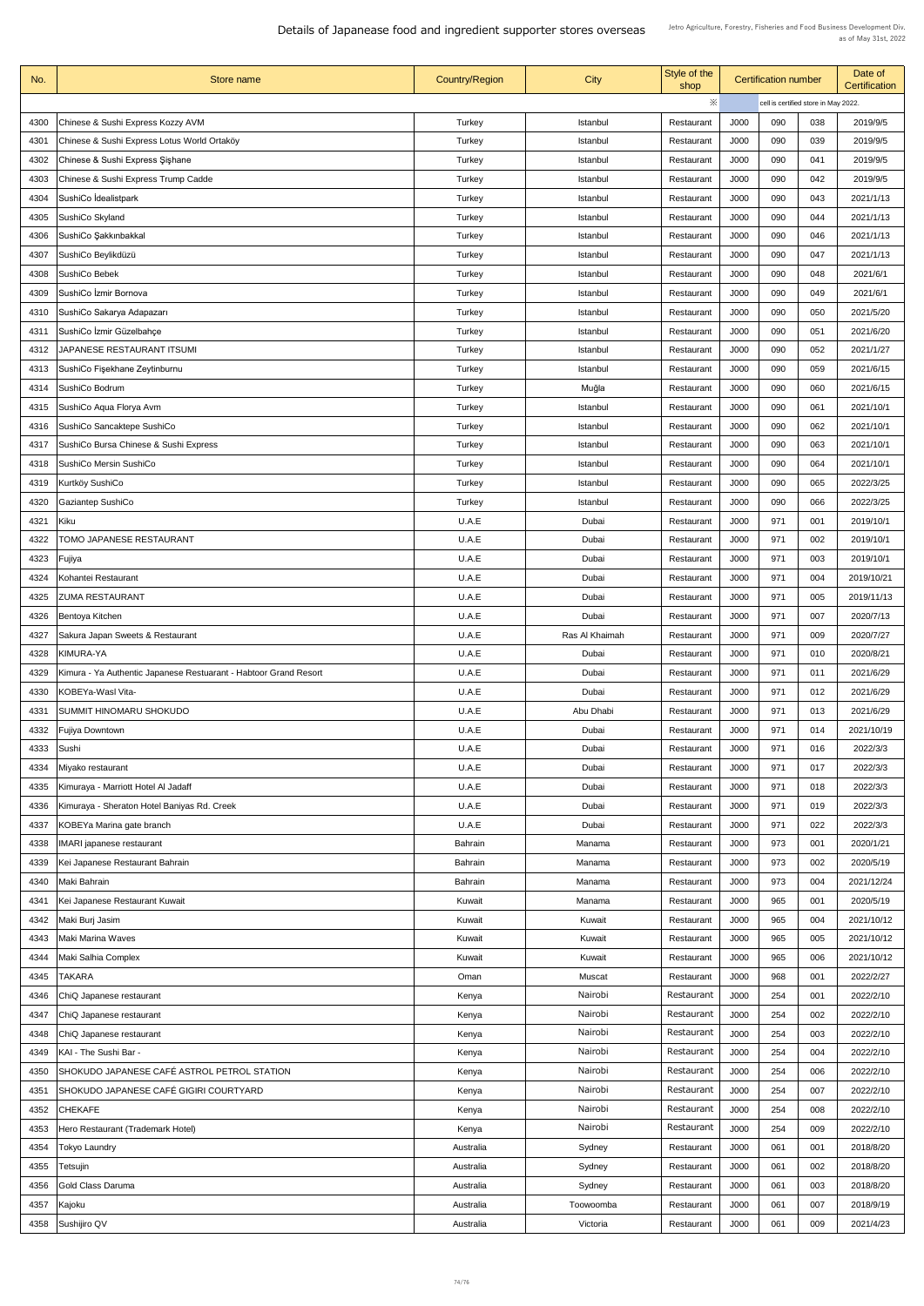Details of Japanease food and ingredient supporter stores overseas

| No.  | Store name                                                       | <b>Country/Region</b> | <b>City</b>     | Style of the<br>shop |             | <b>Certification number</b> |                                      | Date of<br><b>Certification</b> |
|------|------------------------------------------------------------------|-----------------------|-----------------|----------------------|-------------|-----------------------------|--------------------------------------|---------------------------------|
|      |                                                                  |                       |                 | $\times$             |             |                             | cell is certified store in May 2022. |                                 |
| 4300 | Chinese & Sushi Express Kozzy AVM                                | <b>Turkey</b>         | Istanbul        | Restaurant           | J000        | 090                         | 038                                  | 2019/9/5                        |
| 4301 | Chinese & Sushi Express Lotus World Ortaköy                      | Turkey                | <b>Istanbul</b> | Restaurant           | <b>J000</b> | 090                         | 039                                  | 2019/9/5                        |
| 4302 | Chinese & Sushi Express Şişhane                                  | <b>Turkey</b>         | <b>Istanbul</b> | Restaurant           | J000        | 090                         | 041                                  | 2019/9/5                        |
| 4303 | Chinese & Sushi Express Trump Cadde                              | Turkey                | Istanbul        | Restaurant           | <b>J000</b> | 090                         | 042                                  | 2019/9/5                        |
| 4304 | SushiCo İdealistpark                                             | Turkey                | Istanbul        | Restaurant           | <b>J000</b> | 090                         | 043                                  | 2021/1/13                       |
| 4305 | SushiCo Skyland                                                  | Turkey                | Istanbul        | Restaurant           | <b>J000</b> | 090                         | 044                                  | 2021/1/13                       |
| 4306 | SushiCo Şakkınbakkal                                             | <b>Turkey</b>         | Istanbul        | Restaurant           | J000        | 090                         | 046                                  | 2021/1/13                       |
| 4307 | SushiCo Beylikdüzü                                               | <b>Turkey</b>         | Istanbul        | Restaurant           | J000        | 090                         | 047                                  | 2021/1/13                       |
| 4308 | <b>SushiCo Bebek</b>                                             | Turkey                | Istanbul        | Restaurant           | J000        | 090                         | 048                                  | 2021/6/1                        |
| 4309 | SushiCo İzmir Bornova                                            | <b>Turkey</b>         | Istanbul        | Restaurant           | J000        | 090                         | 049                                  | 2021/6/1                        |
| 4310 | SushiCo Sakarya Adapazarı                                        | Turkey                | Istanbul        | Restaurant           | J000        | 090                         | 050                                  | 2021/5/20                       |
| 4311 | SushiCo İzmir Güzelbahçe                                         | Turkey                | <b>Istanbul</b> | Restaurant           | J000        | 090                         | 051                                  | 2021/6/20                       |
| 4312 | JAPANESE RESTAURANT ITSUMI                                       | <b>Turkey</b>         | <b>Istanbul</b> | Restaurant           | <b>J000</b> | 090                         | 052                                  | 2021/1/27                       |
| 4313 | SushiCo Fişekhane Zeytinburnu                                    | Turkey                | Istanbul        | Restaurant           | J000        | 090                         | 059                                  | 2021/6/15                       |
| 4314 | SushiCo Bodrum                                                   | Turkey                | Muğla           | Restaurant           | <b>J000</b> | 090                         | 060                                  | 2021/6/15                       |
| 4315 | SushiCo Aqua Florya Avm                                          | Turkey                | <b>Istanbul</b> | Restaurant           | J000        | 090                         | 061                                  | 2021/10/1                       |
| 4316 | SushiCo Sancaktepe SushiCo                                       | <b>Turkey</b>         | Istanbul        | Restaurant           | J000        | 090                         | 062                                  | 2021/10/1                       |
| 4317 | SushiCo Bursa Chinese & Sushi Express                            | <b>Turkey</b>         | Istanbul        | Restaurant           | J000        | 090                         | 063                                  | 2021/10/1                       |
| 4318 | <b>SushiCo Mersin SushiCo</b>                                    | Turkey                | Istanbul        | Restaurant           | J000        | 090                         | 064                                  | 2021/10/1                       |
| 4319 | Kurtköy SushiCo                                                  | Turkey                | Istanbul        | Restaurant           | J000        | 090                         | 065                                  | 2022/3/25                       |
| 4320 | <b>Gaziantep SushiCo</b>                                         | <b>Turkey</b>         | Istanbul        | Restaurant           | J000        | 090                         | 066                                  | 2022/3/25                       |
| 4321 | Kiku                                                             | U.A.E                 | Dubai           | Restaurant           | J000        | 971                         | 001                                  | 2019/10/1                       |
| 4322 | TOMO JAPANESE RESTAURANT                                         | U.A.E                 | Dubai           | Restaurant           | J000        | 971                         | 002                                  | 2019/10/1                       |
| 4323 | Fujiya                                                           | U.A.E                 | Dubai           | Restaurant           | J000        | 971                         | 003                                  | 2019/10/1                       |
| 4324 | Kohantei Restaurant                                              | U.A.E                 | Dubai           | Restaurant           | <b>J000</b> | 971                         | 004                                  | 2019/10/21                      |
| 4325 | <b>ZUMA RESTAURANT</b>                                           | U.A.E                 | Dubai           | Restaurant           | J000        | 971                         | 005                                  | 2019/11/13                      |
| 4326 | Bentoya Kitchen                                                  | U.A.E                 | Dubai           | Restaurant           | J000        | 971                         | 007                                  | 2020/7/13                       |
| 4327 | Sakura Japan Sweets & Restaurant                                 | U.A.E                 | Ras Al Khaimah  | Restaurant           | <b>J000</b> | 971                         | 009                                  | 2020/7/27                       |
| 4328 | <b>KIMURA-YA</b>                                                 | U.A.E                 | Dubai           | Restaurant           | J000        | 971                         | 010                                  | 2020/8/21                       |
| 4329 | Kimura - Ya Authentic Japanese Restuarant - Habtoor Grand Resort | U.A.E                 | Dubai           | Restaurant           | J000        | 971                         | 011                                  | 2021/6/29                       |
| 4330 | KOBEYa-Wasl Vita-                                                | U.A.E                 | Dubai           | Restaurant           | J000        | 971                         | 012                                  | 2021/6/29                       |
| 4331 | <b>SUMMIT HINOMARU SHOKUDO</b>                                   | U.A.E                 | Abu Dhabi       | Restaurant           | J000        | 971                         | 013                                  | 2021/6/29                       |
| 4332 | <b>Fujiya Downtown</b>                                           | U.A.E                 | Dubai           | Restaurant           | J000        | 971                         | 014                                  | 2021/10/19                      |
| 4333 | Sushi                                                            | U.A.E                 | Dubai           | Restaurant           | J000        | 971                         | 016                                  | 2022/3/3                        |
| 4334 | Miyako restaurant                                                | U.A.E                 | Dubai           | Restaurant           | <b>J000</b> | 971                         | 017                                  | 2022/3/3                        |
| 4335 | Kimuraya - Marriott Hotel Al Jadaff                              | U.A.E                 | Dubai           | Restaurant           | J000        | 971                         | 018                                  | 2022/3/3                        |
| 4336 | Kimuraya - Sheraton Hotel Baniyas Rd. Creek                      | U.A.E                 | Dubai           | Restaurant           | J000        | 971                         | 019                                  | 2022/3/3                        |
| 4337 | KOBEYa Marina gate branch                                        | U.A.E                 | Dubai           | Restaurant           | J000        | 971                         | 022                                  | 2022/3/3                        |
| 4338 | <b>IMARI japanese restaurant</b>                                 | <b>Bahrain</b>        | Manama          | Restaurant           | J000        | 973                         | 001                                  | 2020/1/21                       |
| 4339 | Kei Japanese Restaurant Bahrain                                  | <b>Bahrain</b>        | Manama          | Restaurant           | J000        | 973                         | 002                                  | 2020/5/19                       |
| 4340 | Maki Bahrain                                                     | <b>Bahrain</b>        | Manama          | Restaurant           | J000        | 973                         | 004                                  | 2021/12/24                      |
| 4341 | Kei Japanese Restaurant Kuwait                                   | Kuwait                | Manama          | Restaurant           | J000        | 965                         | 001                                  | 2020/5/19                       |
| 4342 | Maki Burj Jasim                                                  | Kuwait                | Kuwait          | Restaurant           | J000        | 965                         | 004                                  | 2021/10/12                      |
| 4343 | <b>Maki Marina Waves</b>                                         | Kuwait                | Kuwait          | Restaurant           | J000        | 965                         | 005                                  | 2021/10/12                      |
| 4344 | Maki Salhia Complex                                              | Kuwait                | Kuwait          | Restaurant           | J000        | 965                         | 006                                  | 2021/10/12                      |
| 4345 | <b>TAKARA</b>                                                    | Oman                  | <b>Muscat</b>   | Restaurant           | J000        | 968                         | 001                                  | 2022/2/27                       |
| 4346 | ChiQ Japanese restaurant                                         | Kenya                 | Nairobi         | Restaurant           | J000        | 254                         | 001                                  | 2022/2/10                       |
| 4347 | ChiQ Japanese restaurant                                         | Kenya                 | Nairobi         | Restaurant           | J000        | 254                         | 002                                  | 2022/2/10                       |
| 4348 | ChiQ Japanese restaurant                                         | Kenya                 | Nairobi         | Restaurant           | J000        | 254                         | 003                                  | 2022/2/10                       |
| 4349 | KAI - The Sushi Bar -                                            | Kenya                 | Nairobi         | Restaurant           | J000        | 254                         | 004                                  | 2022/2/10                       |
| 4350 | SHOKUDO JAPANESE CAFÉ ASTROL PETROL STATION                      | Kenya                 | Nairobi         | Restaurant           | J000        | 254                         | 006                                  | 2022/2/10                       |
|      | SHOKUDO JAPANESE CAFÉ GIGIRI COURTYARD                           |                       | Nairobi         | Restaurant           | J000        | 254                         | 007                                  | 2022/2/10                       |
| 4351 |                                                                  | Kenya                 | Nairobi         | Restaurant           |             |                             |                                      |                                 |
| 4352 | <b>CHEKAFE</b>                                                   | Kenya                 | Nairobi         | Restaurant           | J000        | 254                         | 008                                  | 2022/2/10                       |
| 4353 | Hero Restaurant (Trademark Hotel)                                | Kenya                 |                 |                      | J000        | 254                         | 009                                  | 2022/2/10                       |
| 4354 | <b>Tokyo Laundry</b>                                             | Australia             | Sydney          | Restaurant           | J000        | 061                         | 001                                  | 2018/8/20                       |
| 4355 | Tetsujin                                                         | Australia             | Sydney          | Restaurant           | J000        | 061                         | 002                                  | 2018/8/20                       |
| 4356 | Gold Class Daruma                                                | Australia             | Sydney          | Restaurant           | J000        | 061                         | 003                                  | 2018/8/20                       |
| 4357 | Kajoku                                                           | Australia             | Toowoomba       | Restaurant           | J000        | 061                         | 007                                  | 2018/9/19                       |
| 4358 | Sushijiro QV                                                     | Australia             | Victoria        | Restaurant           | J000        | 061                         | 009                                  | 2021/4/23                       |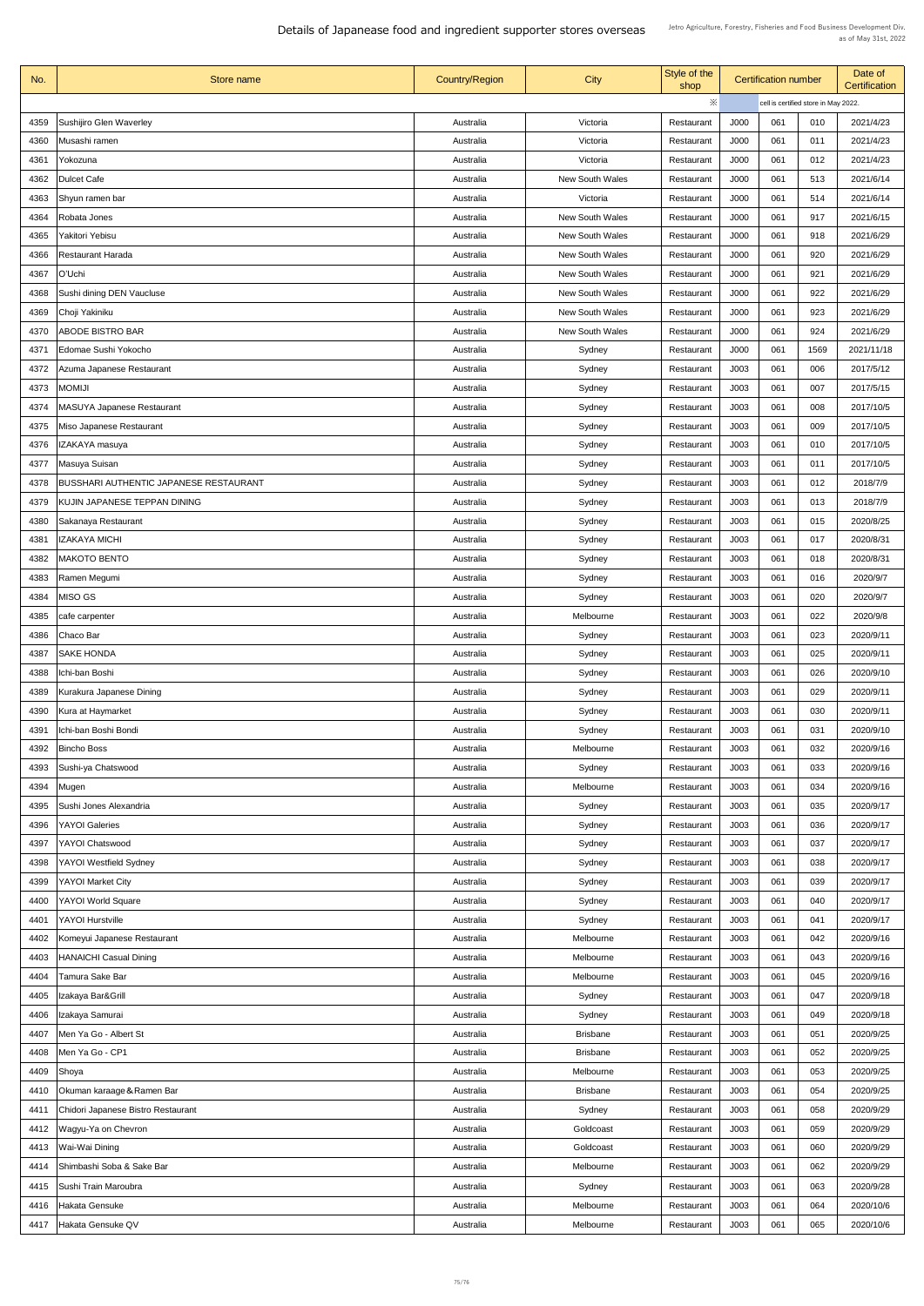Details of Japanease food and ingredient supporter stores overseas

| No.  | Store name                                    | <b>Country/Region</b> | <b>City</b>            | Style of the<br>shop | <b>Certification number</b> |                                      |      | Date of<br><b>Certification</b> |
|------|-----------------------------------------------|-----------------------|------------------------|----------------------|-----------------------------|--------------------------------------|------|---------------------------------|
|      |                                               |                       |                        | ※                    |                             | cell is certified store in May 2022. |      |                                 |
| 4359 | Sushijiro Glen Waverley                       | Australia             | Victoria               | Restaurant           | J000                        | 061                                  | 010  | 2021/4/23                       |
| 4360 | Musashi ramen                                 | Australia             | Victoria               | Restaurant           | J000                        | 061                                  | 011  | 2021/4/23                       |
| 4361 | Yokozuna                                      | Australia             | Victoria               | Restaurant           | J000                        | 061                                  | 012  | 2021/4/23                       |
| 4362 | Dulcet Cafe                                   | Australia             | <b>New South Wales</b> | Restaurant           | J000                        | 061                                  | 513  | 2021/6/14                       |
| 4363 | Shyun ramen bar                               | Australia             | Victoria               | Restaurant           | J000                        | 061                                  | 514  | 2021/6/14                       |
| 4364 | Robata Jones                                  | Australia             | <b>New South Wales</b> | Restaurant           | J000                        | 061                                  | 917  | 2021/6/15                       |
| 4365 | Yakitori Yebisu                               | Australia             | <b>New South Wales</b> | Restaurant           | J000                        | 061                                  | 918  | 2021/6/29                       |
| 4366 | <b>Restaurant Harada</b>                      | Australia             | <b>New South Wales</b> | Restaurant           | J000                        | 061                                  | 920  | 2021/6/29                       |
| 4367 | O'Uchi                                        | Australia             | <b>New South Wales</b> | Restaurant           | J000                        | 061                                  | 921  | 2021/6/29                       |
|      |                                               |                       | <b>New South Wales</b> |                      | J000                        | 061                                  | 922  | 2021/6/29                       |
| 4368 | Sushi dining DEN Vaucluse                     | Australia             |                        | Restaurant           |                             |                                      |      |                                 |
| 4369 | Choji Yakiniku                                | Australia             | <b>New South Wales</b> | Restaurant           | J000                        | 061                                  | 923  | 2021/6/29                       |
| 4370 | <b>ABODE BISTRO BAR</b>                       | Australia             | <b>New South Wales</b> | Restaurant           | J000                        | 061                                  | 924  | 2021/6/29                       |
| 437  | Edomae Sushi Yokocho                          | Australia             | Sydney                 | Restaurant           | <b>J000</b>                 | 061                                  | 1569 | 2021/11/18                      |
| 4372 | Azuma Japanese Restaurant                     | Australia             | Sydney                 | Restaurant           | J003                        | 061                                  | 006  | 2017/5/12                       |
| 4373 | <b>MOMIJI</b>                                 | Australia             | Sydney                 | Restaurant           | J003                        | 061                                  | 007  | 2017/5/15                       |
| 4374 | <b>MASUYA Japanese Restaurant</b>             | Australia             | Sydney                 | Restaurant           | J003                        | 061                                  | 008  | 2017/10/5                       |
| 4375 | Miso Japanese Restaurant                      | Australia             | Sydney                 | Restaurant           | J003                        | 061                                  | 009  | 2017/10/5                       |
| 4376 | IZAKAYA masuya                                | Australia             | Sydney                 | Restaurant           | J003                        | 061                                  | 010  | 2017/10/5                       |
| 4377 | Masuya Suisan                                 | Australia             | Sydney                 | Restaurant           | J003                        | 061                                  | 011  | 2017/10/5                       |
| 4378 | <b>BUSSHARI AUTHENTIC JAPANESE RESTAURANT</b> | Australia             | Sydney                 | Restaurant           | J003                        | 061                                  | 012  | 2018/7/9                        |
| 4379 | KUJIN JAPANESE TEPPAN DINING                  | Australia             | Sydney                 | Restaurant           | J003                        | 061                                  | 013  | 2018/7/9                        |
| 4380 | Sakanaya Restaurant                           | Australia             | Sydney                 | Restaurant           | J003                        | 061                                  | 015  | 2020/8/25                       |
| 4381 | <b>IZAKAYA MICHI</b>                          | Australia             | Sydney                 | Restaurant           | J003                        | 061                                  | 017  | 2020/8/31                       |
| 4382 | <b>MAKOTO BENTO</b>                           | Australia             | Sydney                 | Restaurant           | J003                        | 061                                  | 018  | 2020/8/31                       |
| 4383 | Ramen Megumi                                  | Australia             | Sydney                 | Restaurant           | J003                        | 061                                  | 016  | 2020/9/7                        |
| 4384 | MISO GS                                       | Australia             | Sydney                 | Restaurant           | J003                        | 061                                  | 020  | 2020/9/7                        |
| 4385 |                                               | Australia             | Melbourne              | Restaurant           | J003                        | 061                                  | 022  | 2020/9/8                        |
|      | cafe carpenter                                |                       |                        |                      |                             |                                      |      |                                 |
| 4386 | Chaco Bar                                     | Australia             | Sydney                 | Restaurant           | J003                        | 061                                  | 023  | 2020/9/11                       |
| 4387 | <b>SAKE HONDA</b>                             | Australia             | Sydney                 | Restaurant           | J003                        | 061                                  | 025  | 2020/9/11                       |
| 4388 | Ichi-ban Boshi                                | Australia             | Sydney                 | Restaurant           | J003                        | 061                                  | 026  | 2020/9/10                       |
| 4389 | Kurakura Japanese Dining                      | Australia             | Sydney                 | Restaurant           | J003                        | 061                                  | 029  | 2020/9/11                       |
| 4390 | Kura at Haymarket                             | Australia             | Sydney                 | Restaurant           | J003                        | 061                                  | 030  | 2020/9/11                       |
| 4391 | Ichi-ban Boshi Bondi                          | Australia             | Sydney                 | Restaurant           | J003                        | 061                                  | 031  | 2020/9/10                       |
| 4392 | <b>Bincho Boss</b>                            | Australia             | Melbourne              | Restaurant           | J003                        | 061                                  | 032  | 2020/9/16                       |
| 4393 | Sushi-ya Chatswood                            | Australia             | Sydney                 | Restaurant           | J003                        | 061                                  | 033  | 2020/9/16                       |
| 4394 | Mugen                                         | Australia             | Melbourne              | Restaurant           | J003                        | 061                                  | 034  | 2020/9/16                       |
| 4395 | Sushi Jones Alexandria                        | Australia             | Sydney                 | Restaurant           | J003                        | 061                                  | 035  | 2020/9/17                       |
| 4396 | <b>YAYOI Galeries</b>                         | Australia             | Sydney                 | Restaurant           | J003                        | 061                                  | 036  | 2020/9/17                       |
| 4397 | <b>YAYOI Chatswood</b>                        | Australia             | Sydney                 | Restaurant           | J003                        | 061                                  | 037  | 2020/9/17                       |
| 4398 | <b>YAYOI Westfield Sydney</b>                 | Australia             | Sydney                 | Restaurant           | J003                        | 061                                  | 038  | 2020/9/17                       |
| 4399 | <b>YAYOI Market City</b>                      | Australia             | Sydney                 | Restaurant           | J003                        | 061                                  | 039  | 2020/9/17                       |
|      | 4400   YAYOI World Square                     | Australia             | Sydney                 | Restaurant           | J003                        | 061                                  | 040  | 2020/9/17                       |
| 4401 | <b>YAYOI Hurstville</b>                       | Australia             | Sydney                 | Restaurant           | J003                        | 061                                  | 041  | 2020/9/17                       |
| 4402 | Komeyui Japanese Restaurant                   | Australia             | Melbourne              | Restaurant           | J003                        | 061                                  | 042  | 2020/9/16                       |
| 4403 | <b>HANAICHI Casual Dining</b>                 | Australia             | Melbourne              | Restaurant           | J003                        | 061                                  | 043  | 2020/9/16                       |
| 4404 | Tamura Sake Bar                               | Australia             | Melbourne              | Restaurant           | J003                        | 061                                  | 045  | 2020/9/16                       |
| 4405 | Izakaya Bar&Grill                             | Australia             | Sydney                 | Restaurant           | J003                        | 061                                  | 047  | 2020/9/18                       |
| 4406 | Izakaya Samurai                               | Australia             | Sydney                 | Restaurant           | J003                        | 061                                  | 049  | 2020/9/18                       |
| 4407 | Men Ya Go - Albert St                         | Australia             | <b>Brisbane</b>        | Restaurant           | J003                        | 061                                  | 051  | 2020/9/25                       |
|      |                                               |                       |                        |                      |                             |                                      |      |                                 |
| 4408 | Men Ya Go - CP1                               | Australia             | <b>Brisbane</b>        | Restaurant           | J003                        | 061                                  | 052  | 2020/9/25                       |
| 4409 | Shoya                                         | Australia             | Melbourne              | Restaurant           | J003                        | 061                                  | 053  | 2020/9/25                       |
| 4410 | Okuman karaage & Ramen Bar                    | Australia             | <b>Brisbane</b>        | Restaurant           | J003                        | 061                                  | 054  | 2020/9/25                       |
| 4411 | Chidori Japanese Bistro Restaurant            | Australia             | Sydney                 | Restaurant           | J003                        | 061                                  | 058  | 2020/9/29                       |
| 4412 | Wagyu-Ya on Chevron                           | Australia             | Goldcoast              | Restaurant           | J003                        | 061                                  | 059  | 2020/9/29                       |
| 4413 | Wai-Wai Dining                                | Australia             | Goldcoast              | Restaurant           | J003                        | 061                                  | 060  | 2020/9/29                       |
| 4414 | Shimbashi Soba & Sake Bar                     | Australia             | Melbourne              | Restaurant           | J003                        | 061                                  | 062  | 2020/9/29                       |
| 4415 | Sushi Train Maroubra                          | Australia             | Sydney                 | Restaurant           | J003                        | 061                                  | 063  | 2020/9/28                       |
| 4416 | Hakata Gensuke                                | Australia             | Melbourne              | Restaurant           | J003                        | 061                                  | 064  | 2020/10/6                       |
| 4417 | Hakata Gensuke QV                             | Australia             | Melbourne              | Restaurant           | J003                        | 061                                  | 065  | 2020/10/6                       |